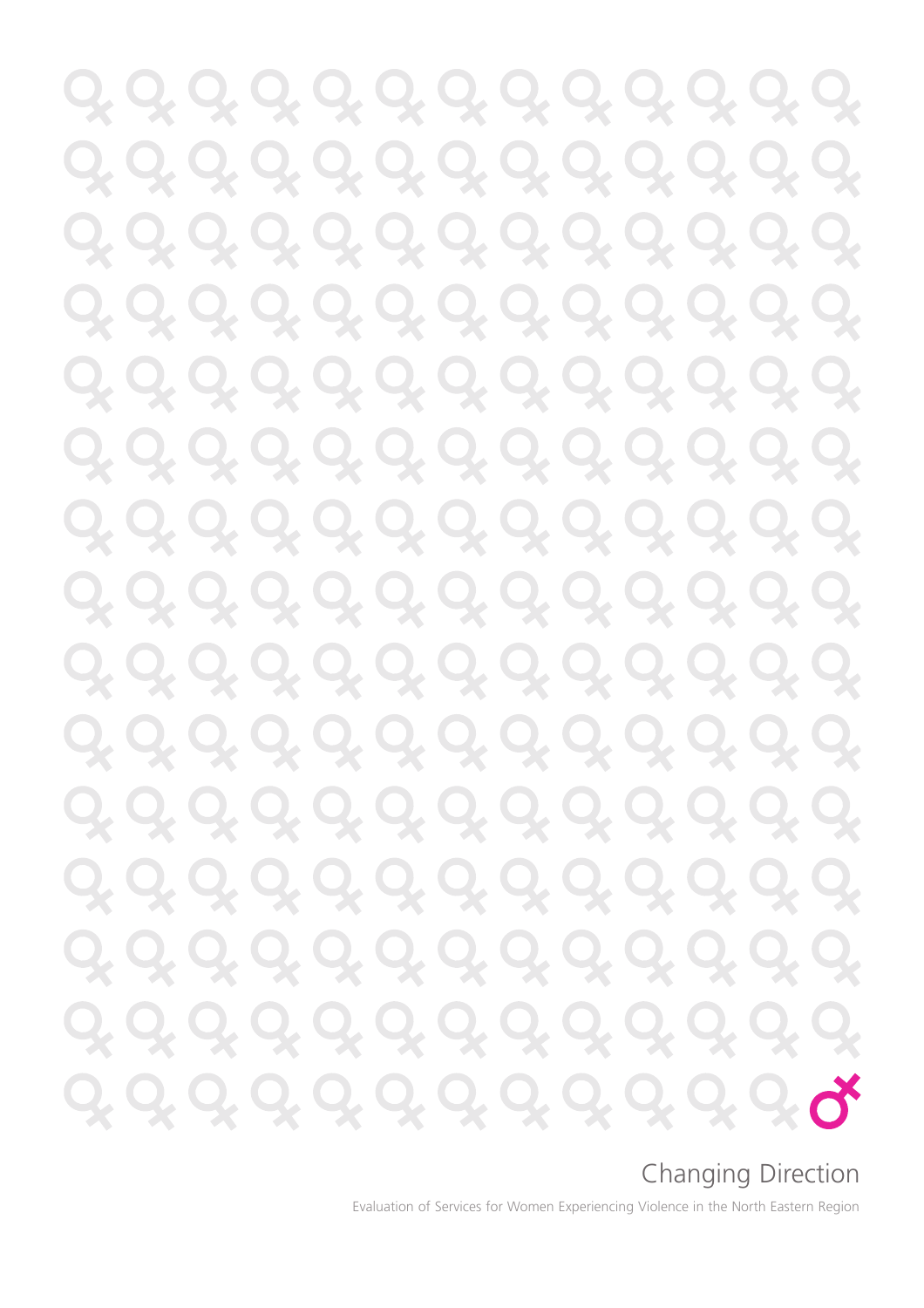Q, Q, Q, Q, Q, Q, Q, Q, Q, Q, Q, <u>0, 0, 0, 0, 0, 0, 0, 0, 0, 0,</u> <u>0, 0, 0, 0, 0, 0, 0, 0, 0,</u> <u>Q, Q, Q, Q, Q, Q, Q, Q, </u> Q. 9, 9, 9, 9, 9, 9, 9, 9, 9, 9, Q, <u>0, 0, 0, 0, 0, 0, 0, 0, 0, 0, </u> Q. Q, Q, Q, Q, Q, Q, Q, Q, Q, Q, Q, Q, Q, Q, Q, Q, Q, Q, Q, Q, Q, Q, Q, Q, Q, Q, Q, Q, Q, Q, Q, Q, Q, Q, <u>0, 0, 0, 0, 0, 0, 0, 0, 0, 0, 0, 0,</u> <u>0, 0, 0, 0, 0, 0, 0, 0, 0, 0, 0,</u> <u>Q, Q, Q, Q, Q, Q, Q, Q, Q, </u> 2, Q, Q, Q, Q, Q, Q, Q, Q. 2, Q, Q, Q, Q, Q, Q, Q, Q, Q, Q, Q, Q, Q, Q, Q, Q, Q, Q,

### Changing Direction

Evaluation of Services for Women Experiencing Violence in the North Eastern Region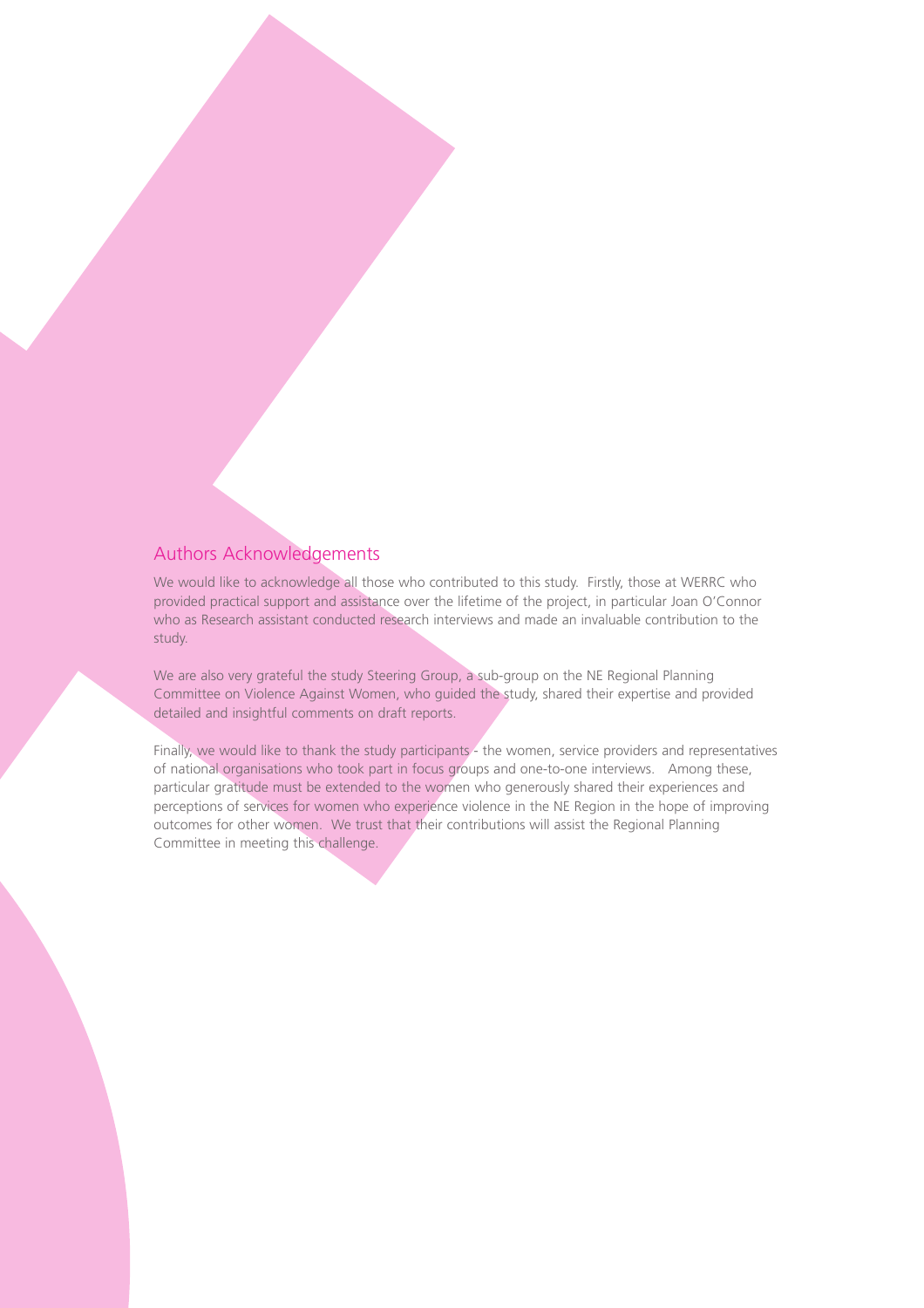#### Authors Acknowledgements

We would like to acknowledge all those who contributed to this study. Firstly, those at WERRC who provided practical support and assistance over the lifetime of the project, in particular Joan O'Connor who as Research assistant conducted research interviews and made an invaluable contribution to the study.

We are also very grateful the study Steering Group, a sub-group on the NE Regional Planning Committee on Violence Against Women, who guided the study, shared their expertise and provided detailed and insightful comments on draft reports.

Finally, we would like to thank the study participants - the women, service providers and representatives of national organisations who took part in focus groups and one-to-one interviews. Among these, particular gratitude must be extended to the women who generously shared their experiences and perceptions of services for women who experience violence in the NE Region in the hope of improving outcomes for other women. We trust that their contributions will assist the Regional Planning Committee in meeting this challenge.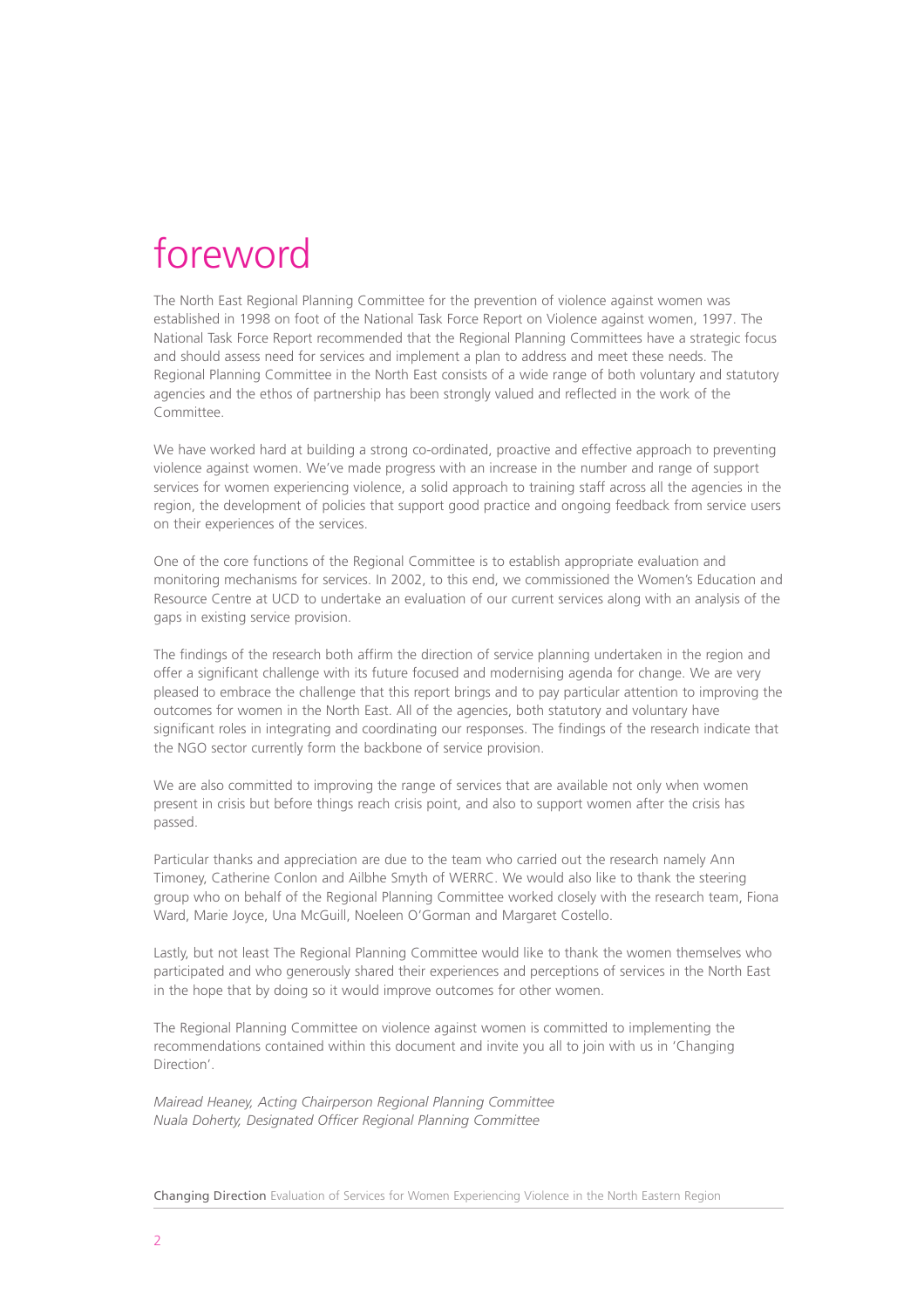### foreword

The North East Regional Planning Committee for the prevention of violence against women was established in 1998 on foot of the National Task Force Report on Violence against women, 1997. The National Task Force Report recommended that the Regional Planning Committees have a strategic focus and should assess need for services and implement a plan to address and meet these needs. The Regional Planning Committee in the North East consists of a wide range of both voluntary and statutory agencies and the ethos of partnership has been strongly valued and reflected in the work of the Committee.

We have worked hard at building a strong co-ordinated, proactive and effective approach to preventing violence against women. We've made progress with an increase in the number and range of support services for women experiencing violence, a solid approach to training staff across all the agencies in the region, the development of policies that support good practice and ongoing feedback from service users on their experiences of the services.

One of the core functions of the Regional Committee is to establish appropriate evaluation and monitoring mechanisms for services. In 2002, to this end, we commissioned the Women's Education and Resource Centre at UCD to undertake an evaluation of our current services along with an analysis of the gaps in existing service provision.

The findings of the research both affirm the direction of service planning undertaken in the region and offer a significant challenge with its future focused and modernising agenda for change. We are very pleased to embrace the challenge that this report brings and to pay particular attention to improving the outcomes for women in the North East. All of the agencies, both statutory and voluntary have significant roles in integrating and coordinating our responses. The findings of the research indicate that the NGO sector currently form the backbone of service provision.

We are also committed to improving the range of services that are available not only when women present in crisis but before things reach crisis point, and also to support women after the crisis has passed.

Particular thanks and appreciation are due to the team who carried out the research namely Ann Timoney, Catherine Conlon and Ailbhe Smyth of WERRC. We would also like to thank the steering group who on behalf of the Regional Planning Committee worked closely with the research team, Fiona Ward, Marie Joyce, Una McGuill, Noeleen O'Gorman and Margaret Costello.

Lastly, but not least The Regional Planning Committee would like to thank the women themselves who participated and who generously shared their experiences and perceptions of services in the North East in the hope that by doing so it would improve outcomes for other women.

The Regional Planning Committee on violence against women is committed to implementing the recommendations contained within this document and invite you all to join with us in 'Changing Direction'.

*Mairead Heaney, Acting Chairperson Regional Planning Committee Nuala Doherty, Designated Officer Regional Planning Committee*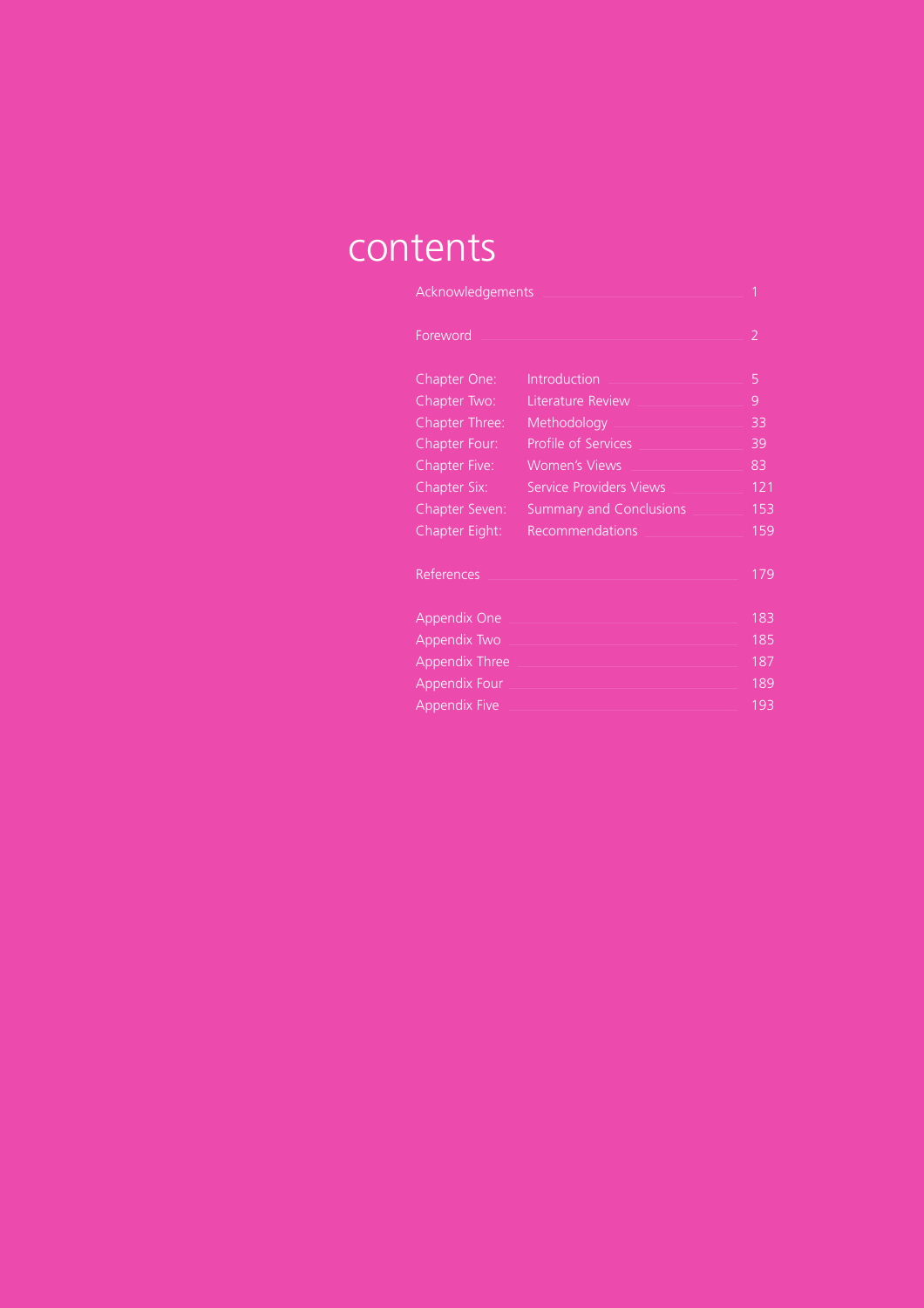### contents

| Acknowledgements      |                                |     |
|-----------------------|--------------------------------|-----|
| Foreword              |                                | 2   |
| Chapter One:          | Introduction                   | 5   |
| Chapter Two:          | Literature Review              | 9   |
| Chapter Three:        | Methodology                    | 33  |
| Chapter Four:         | Profile of Services            | 39  |
| <b>Chapter Five:</b>  | <b>Women's Views</b>           | 83  |
| Chapter Six:          | <b>Service Providers Views</b> | 121 |
| <b>Chapter Seven:</b> | <b>Summary and Conclusions</b> | 153 |
| Chapter Eight:        | Recommendations                | 159 |
| References            |                                | 179 |
| Appendix One          |                                | 183 |
| Appendix Two          |                                | 185 |
| <b>Appendix Three</b> |                                | 187 |
| <b>Appendix Four</b>  |                                | 189 |
| <b>Appendix Five</b>  |                                | 193 |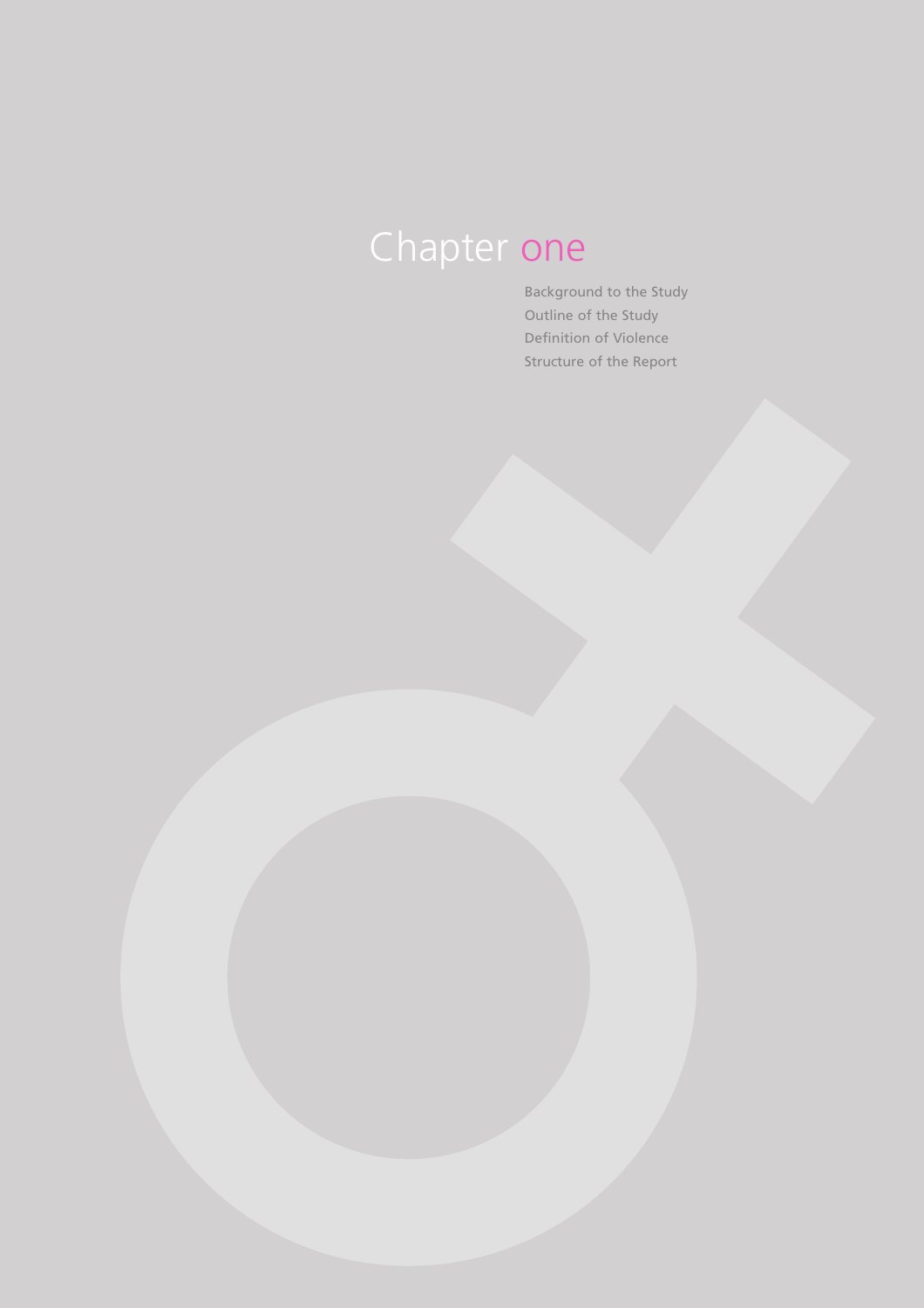# Chapter one

Background to the Study Outline of the Study Definition of Violence Structure of the Report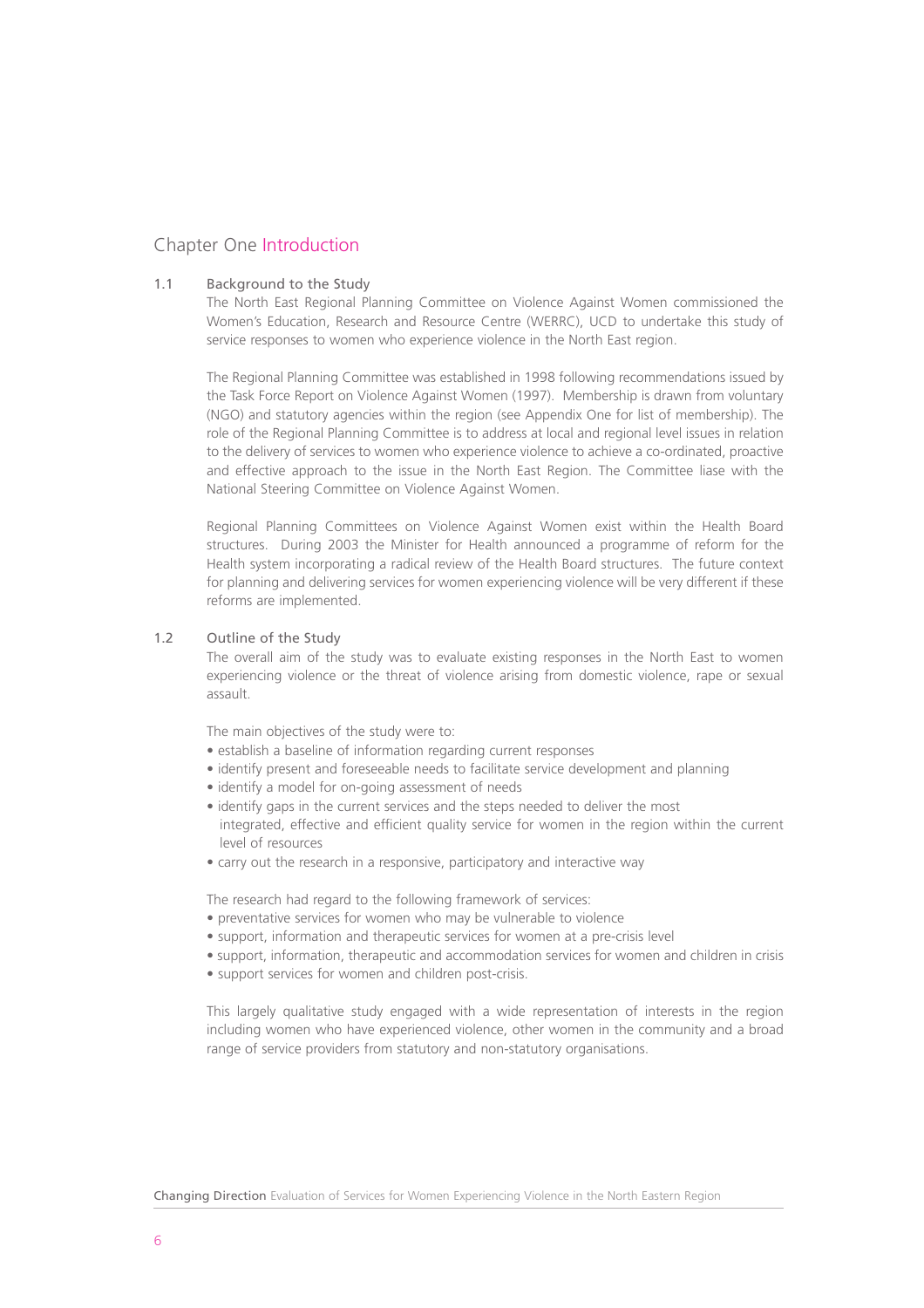#### Chapter One Introduction

#### 1.1 Background to the Study

The North East Regional Planning Committee on Violence Against Women commissioned the Women's Education, Research and Resource Centre (WERRC), UCD to undertake this study of service responses to women who experience violence in the North East region.

The Regional Planning Committee was established in 1998 following recommendations issued by the Task Force Report on Violence Against Women (1997). Membership is drawn from voluntary (NGO) and statutory agencies within the region (see Appendix One for list of membership). The role of the Regional Planning Committee is to address at local and regional level issues in relation to the delivery of services to women who experience violence to achieve a co-ordinated, proactive and effective approach to the issue in the North East Region. The Committee liase with the National Steering Committee on Violence Against Women.

Regional Planning Committees on Violence Against Women exist within the Health Board structures. During 2003 the Minister for Health announced a programme of reform for the Health system incorporating a radical review of the Health Board structures. The future context for planning and delivering services for women experiencing violence will be very different if these reforms are implemented.

#### 1.2 Outline of the Study

The overall aim of the study was to evaluate existing responses in the North East to women experiencing violence or the threat of violence arising from domestic violence, rape or sexual assault.

The main objectives of the study were to:

- establish a baseline of information regarding current responses
- identify present and foreseeable needs to facilitate service development and planning
- identify a model for on-going assessment of needs
- identify gaps in the current services and the steps needed to deliver the most integrated, effective and efficient quality service for women in the region within the current level of resources
- carry out the research in a responsive, participatory and interactive way

The research had regard to the following framework of services:

- preventative services for women who may be vulnerable to violence
- support, information and therapeutic services for women at a pre-crisis level
- support, information, therapeutic and accommodation services for women and children in crisis
- support services for women and children post-crisis.

This largely qualitative study engaged with a wide representation of interests in the region including women who have experienced violence, other women in the community and a broad range of service providers from statutory and non-statutory organisations.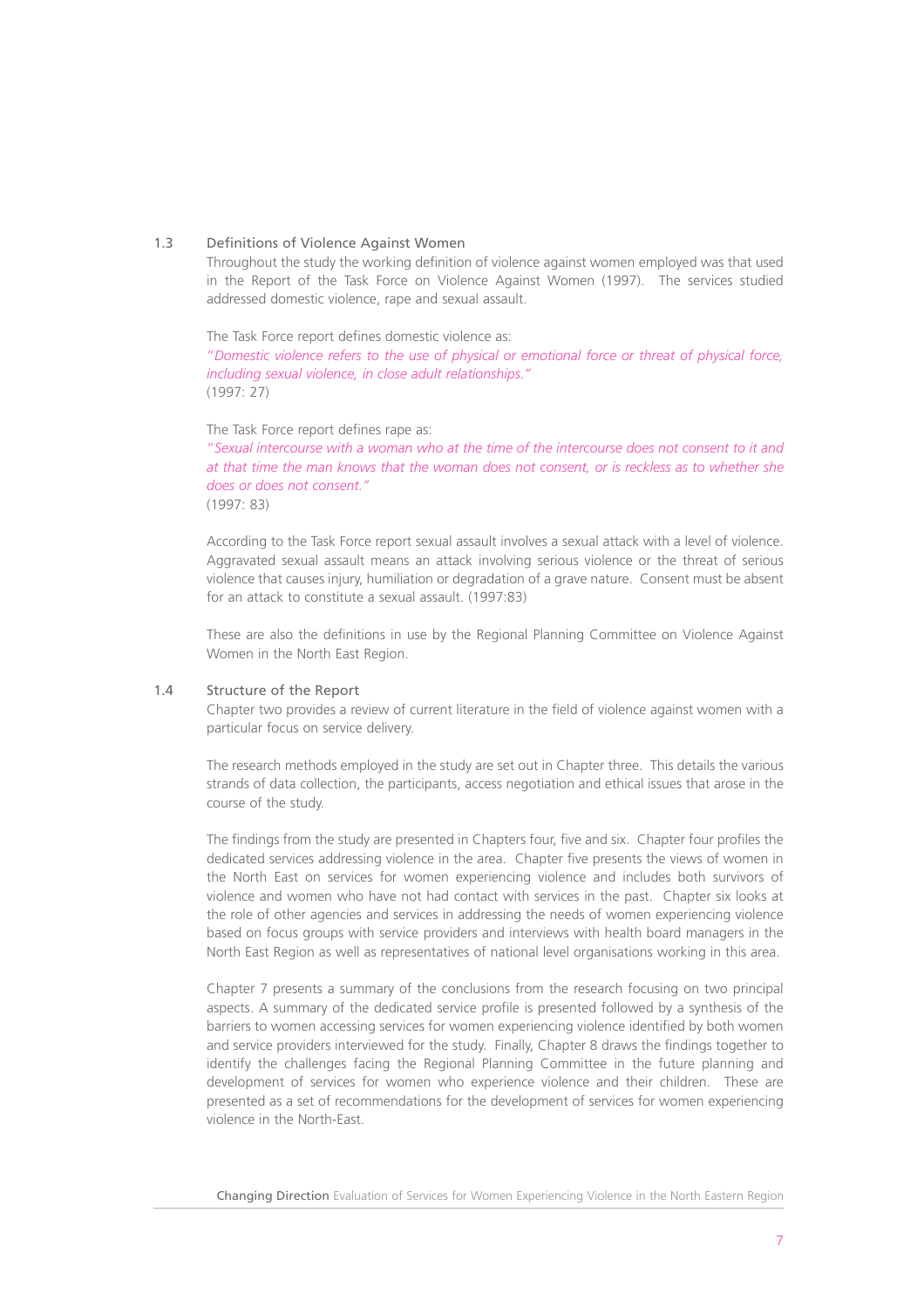#### 1.3 Definitions of Violence Against Women

Throughout the study the working definition of violence against women employed was that used in the Report of the Task Force on Violence Against Women (1997). The services studied addressed domestic violence, rape and sexual assault.

The Task Force report defines domestic violence as: "*Domestic violence refers to the use of physical or emotional force or threat of physical force, including sexual violence, in close adult relationships."* (1997: 27)

The Task Force report defines rape as:

"*Sexual intercourse with a woman who at the time of the intercourse does not consent to it and at that time the man knows that the woman does not consent, or is reckless as to whether she does or does not consent."* (1997: 83)

According to the Task Force report sexual assault involves a sexual attack with a level of violence. Aggravated sexual assault means an attack involving serious violence or the threat of serious violence that causes injury, humiliation or degradation of a grave nature. Consent must be absent for an attack to constitute a sexual assault. (1997:83)

These are also the definitions in use by the Regional Planning Committee on Violence Against Women in the North East Region.

#### 1.4 Structure of the Report

Chapter two provides a review of current literature in the field of violence against women with a particular focus on service delivery.

The research methods employed in the study are set out in Chapter three. This details the various strands of data collection, the participants, access negotiation and ethical issues that arose in the course of the study.

The findings from the study are presented in Chapters four, five and six. Chapter four profiles the dedicated services addressing violence in the area. Chapter five presents the views of women in the North East on services for women experiencing violence and includes both survivors of violence and women who have not had contact with services in the past. Chapter six looks at the role of other agencies and services in addressing the needs of women experiencing violence based on focus groups with service providers and interviews with health board managers in the North East Region as well as representatives of national level organisations working in this area.

Chapter 7 presents a summary of the conclusions from the research focusing on two principal aspects. A summary of the dedicated service profile is presented followed by a synthesis of the barriers to women accessing services for women experiencing violence identified by both women and service providers interviewed for the study. Finally, Chapter 8 draws the findings together to identify the challenges facing the Regional Planning Committee in the future planning and development of services for women who experience violence and their children. These are presented as a set of recommendations for the development of services for women experiencing violence in the North-East.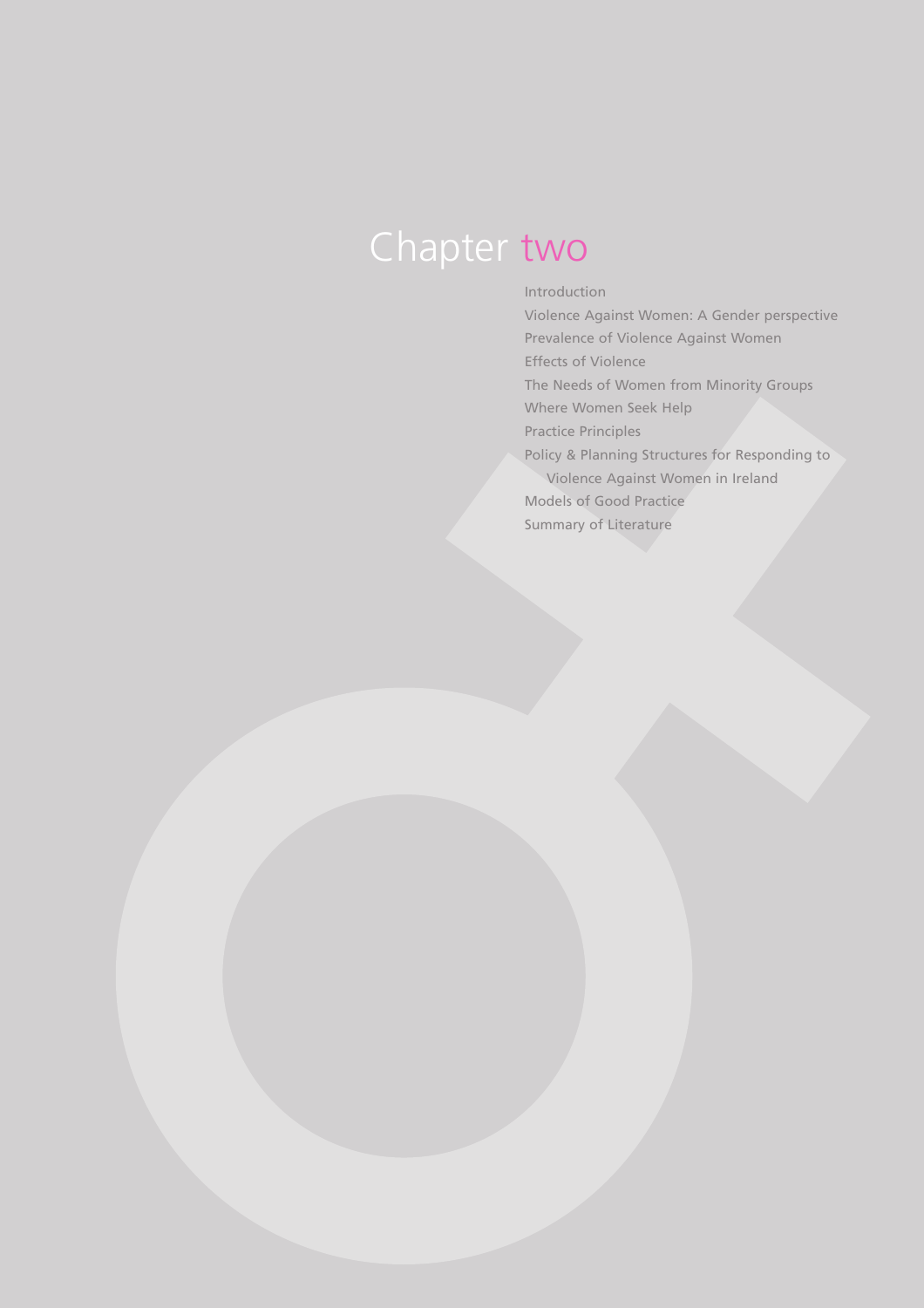## Chapter two

#### Introduction

Violence Against Women: A Gender perspective Prevalence of Violence Against Women Effects of Violence The Needs of Women from Minority Groups Where Women Seek Help Practice Principles Policy & Planning Structures for Responding to Violence Against Women in Ireland Models of Good Practice Summary of Literature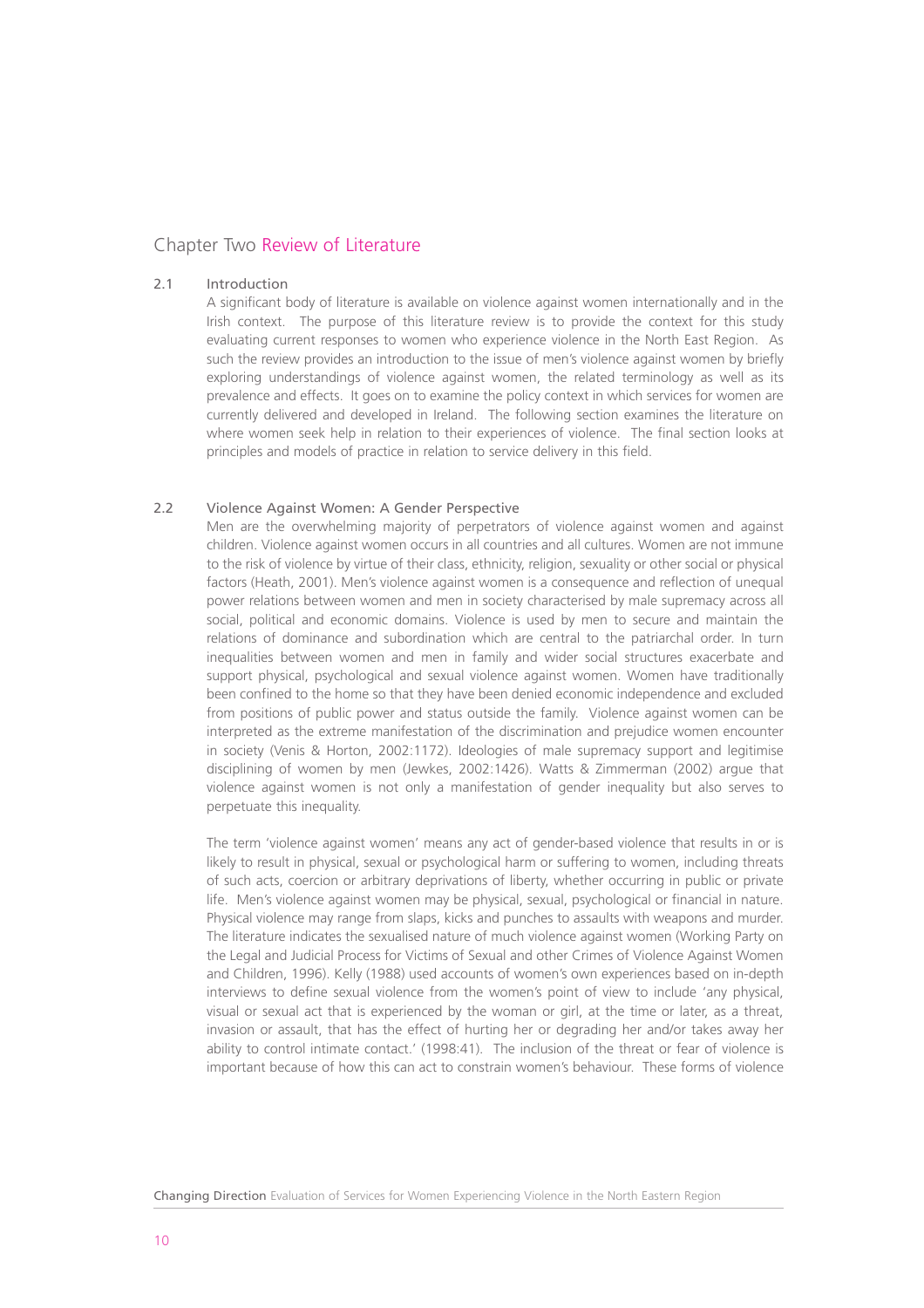#### Chapter Two Review of Literature

#### 2.1 Introduction

A significant body of literature is available on violence against women internationally and in the Irish context. The purpose of this literature review is to provide the context for this study evaluating current responses to women who experience violence in the North East Region. As such the review provides an introduction to the issue of men's violence against women by briefly exploring understandings of violence against women, the related terminology as well as its prevalence and effects. It goes on to examine the policy context in which services for women are currently delivered and developed in Ireland. The following section examines the literature on where women seek help in relation to their experiences of violence. The final section looks at principles and models of practice in relation to service delivery in this field.

#### 2.2 Violence Against Women: A Gender Perspective

Men are the overwhelming majority of perpetrators of violence against women and against children. Violence against women occurs in all countries and all cultures. Women are not immune to the risk of violence by virtue of their class, ethnicity, religion, sexuality or other social or physical factors (Heath, 2001). Men's violence against women is a consequence and reflection of unequal power relations between women and men in society characterised by male supremacy across all social, political and economic domains. Violence is used by men to secure and maintain the relations of dominance and subordination which are central to the patriarchal order. In turn inequalities between women and men in family and wider social structures exacerbate and support physical, psychological and sexual violence against women. Women have traditionally been confined to the home so that they have been denied economic independence and excluded from positions of public power and status outside the family. Violence against women can be interpreted as the extreme manifestation of the discrimination and prejudice women encounter in society (Venis & Horton, 2002:1172). Ideologies of male supremacy support and legitimise disciplining of women by men (Jewkes, 2002:1426). Watts & Zimmerman (2002) argue that violence against women is not only a manifestation of gender inequality but also serves to perpetuate this inequality.

The term 'violence against women' means any act of gender-based violence that results in or is likely to result in physical, sexual or psychological harm or suffering to women, including threats of such acts, coercion or arbitrary deprivations of liberty, whether occurring in public or private life. Men's violence against women may be physical, sexual, psychological or financial in nature. Physical violence may range from slaps, kicks and punches to assaults with weapons and murder. The literature indicates the sexualised nature of much violence against women (Working Party on the Legal and Judicial Process for Victims of Sexual and other Crimes of Violence Against Women and Children, 1996). Kelly (1988) used accounts of women's own experiences based on in-depth interviews to define sexual violence from the women's point of view to include 'any physical, visual or sexual act that is experienced by the woman or girl, at the time or later, as a threat, invasion or assault, that has the effect of hurting her or degrading her and/or takes away her ability to control intimate contact.' (1998:41). The inclusion of the threat or fear of violence is important because of how this can act to constrain women's behaviour. These forms of violence

Changing Direction Evaluation of Services for Women Experiencing Violence in the North Eastern Region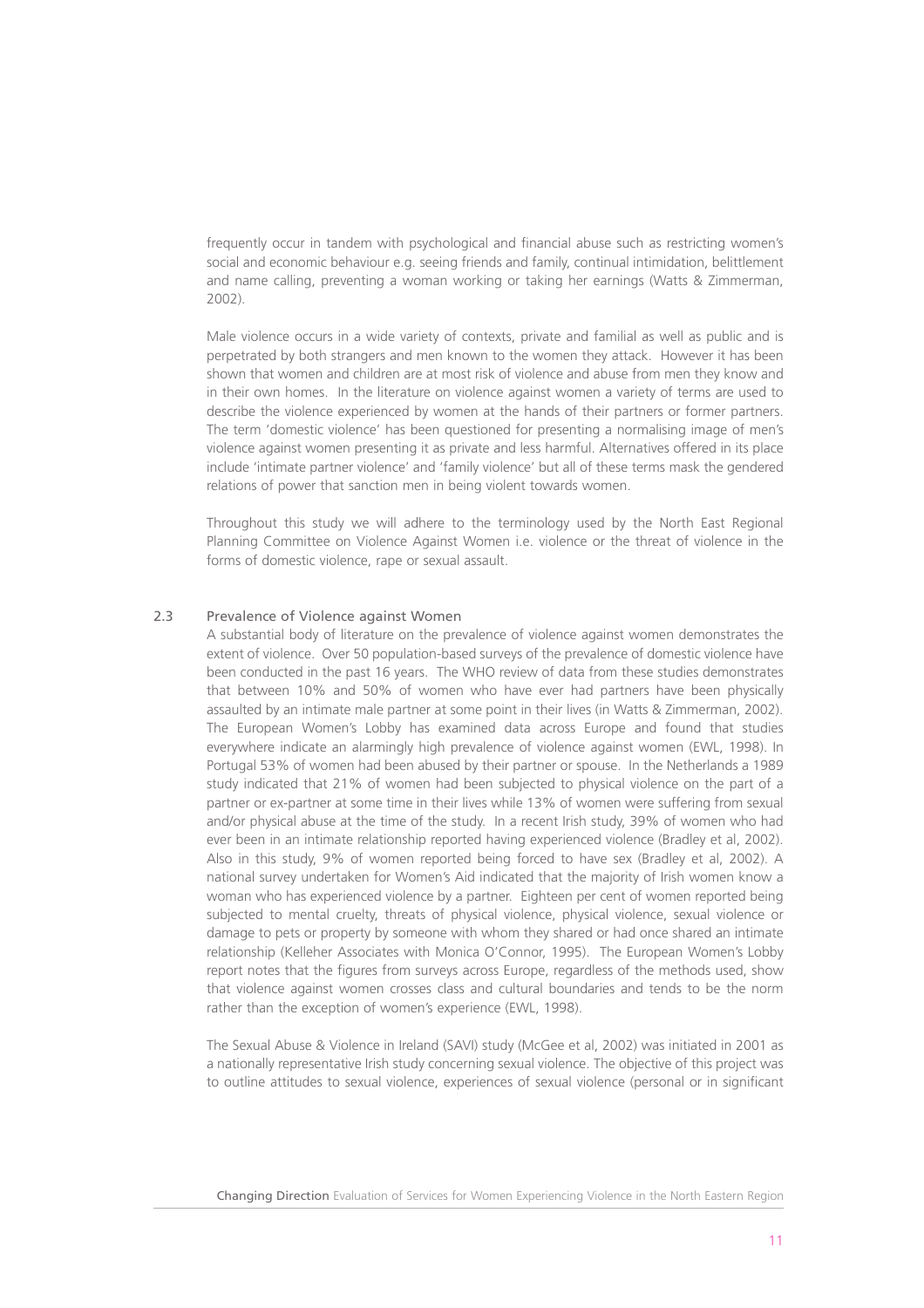frequently occur in tandem with psychological and financial abuse such as restricting women's social and economic behaviour e.g. seeing friends and family, continual intimidation, belittlement and name calling, preventing a woman working or taking her earnings (Watts & Zimmerman, 2002).

Male violence occurs in a wide variety of contexts, private and familial as well as public and is perpetrated by both strangers and men known to the women they attack. However it has been shown that women and children are at most risk of violence and abuse from men they know and in their own homes. In the literature on violence against women a variety of terms are used to describe the violence experienced by women at the hands of their partners or former partners. The term 'domestic violence' has been questioned for presenting a normalising image of men's violence against women presenting it as private and less harmful. Alternatives offered in its place include 'intimate partner violence' and 'family violence' but all of these terms mask the gendered relations of power that sanction men in being violent towards women.

Throughout this study we will adhere to the terminology used by the North East Regional Planning Committee on Violence Against Women i.e. violence or the threat of violence in the forms of domestic violence, rape or sexual assault.

#### 2.3 Prevalence of Violence against Women

A substantial body of literature on the prevalence of violence against women demonstrates the extent of violence. Over 50 population-based surveys of the prevalence of domestic violence have been conducted in the past 16 years. The WHO review of data from these studies demonstrates that between 10% and 50% of women who have ever had partners have been physically assaulted by an intimate male partner at some point in their lives (in Watts & Zimmerman, 2002). The European Women's Lobby has examined data across Europe and found that studies everywhere indicate an alarmingly high prevalence of violence against women (EWL, 1998). In Portugal 53% of women had been abused by their partner or spouse. In the Netherlands a 1989 study indicated that 21% of women had been subjected to physical violence on the part of a partner or ex-partner at some time in their lives while 13% of women were suffering from sexual and/or physical abuse at the time of the study. In a recent Irish study, 39% of women who had ever been in an intimate relationship reported having experienced violence (Bradley et al, 2002). Also in this study, 9% of women reported being forced to have sex (Bradley et al, 2002). A national survey undertaken for Women's Aid indicated that the majority of Irish women know a woman who has experienced violence by a partner. Eighteen per cent of women reported being subjected to mental cruelty, threats of physical violence, physical violence, sexual violence or damage to pets or property by someone with whom they shared or had once shared an intimate relationship (Kelleher Associates with Monica O'Connor, 1995). The European Women's Lobby report notes that the figures from surveys across Europe, regardless of the methods used, show that violence against women crosses class and cultural boundaries and tends to be the norm rather than the exception of women's experience (EWL, 1998).

The Sexual Abuse & Violence in Ireland (SAVI) study (McGee et al, 2002) was initiated in 2001 as a nationally representative Irish study concerning sexual violence. The objective of this project was to outline attitudes to sexual violence, experiences of sexual violence (personal or in significant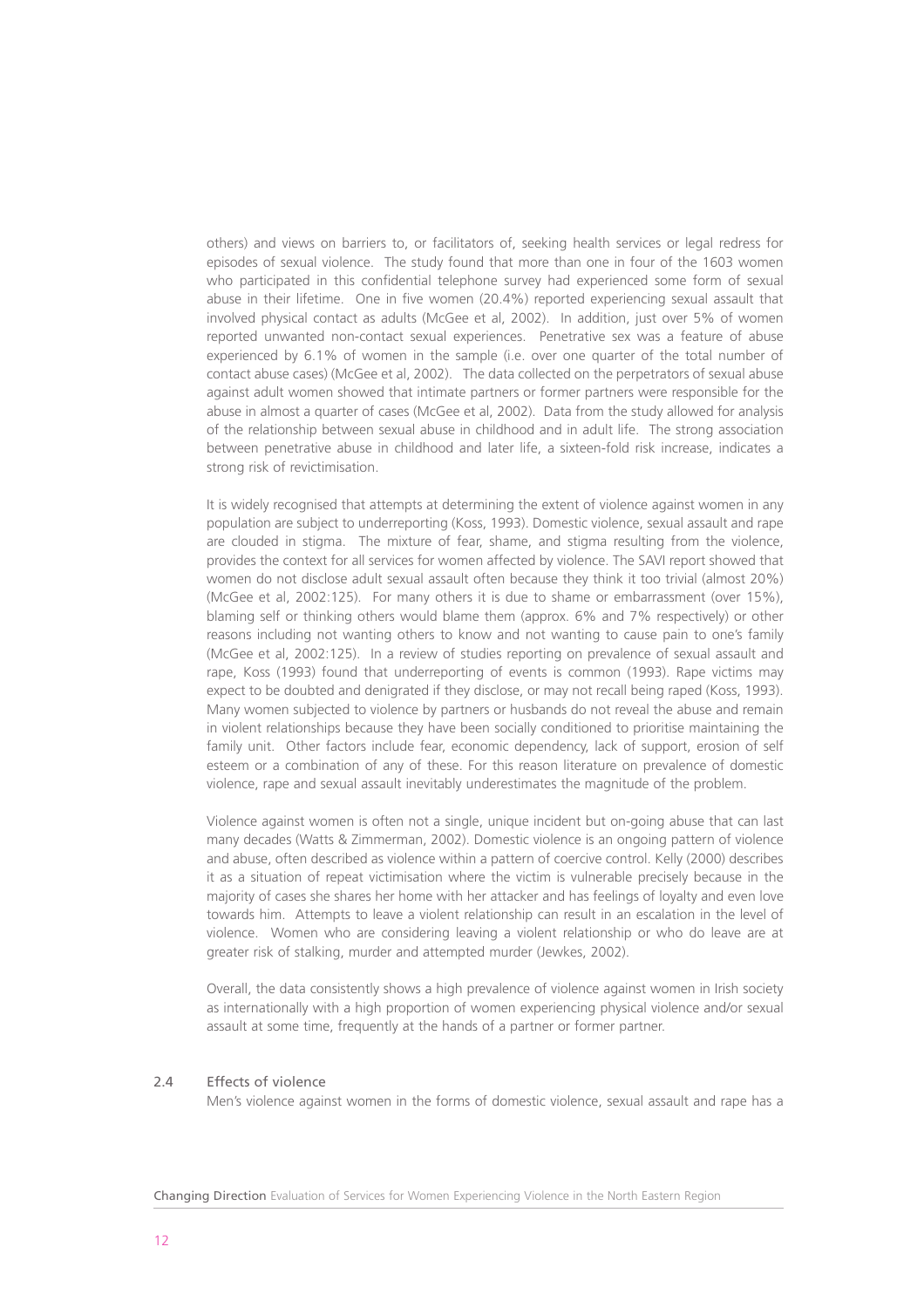others) and views on barriers to, or facilitators of, seeking health services or legal redress for episodes of sexual violence. The study found that more than one in four of the 1603 women who participated in this confidential telephone survey had experienced some form of sexual abuse in their lifetime. One in five women (20.4%) reported experiencing sexual assault that involved physical contact as adults (McGee et al, 2002). In addition, just over 5% of women reported unwanted non-contact sexual experiences. Penetrative sex was a feature of abuse experienced by 6.1% of women in the sample (i.e. over one quarter of the total number of contact abuse cases) (McGee et al, 2002). The data collected on the perpetrators of sexual abuse against adult women showed that intimate partners or former partners were responsible for the abuse in almost a quarter of cases (McGee et al, 2002). Data from the study allowed for analysis of the relationship between sexual abuse in childhood and in adult life. The strong association between penetrative abuse in childhood and later life, a sixteen-fold risk increase, indicates a strong risk of revictimisation.

It is widely recognised that attempts at determining the extent of violence against women in any population are subject to underreporting (Koss, 1993). Domestic violence, sexual assault and rape are clouded in stigma. The mixture of fear, shame, and stigma resulting from the violence, provides the context for all services for women affected by violence. The SAVI report showed that women do not disclose adult sexual assault often because they think it too trivial (almost 20%) (McGee et al, 2002:125). For many others it is due to shame or embarrassment (over 15%), blaming self or thinking others would blame them (approx. 6% and 7% respectively) or other reasons including not wanting others to know and not wanting to cause pain to one's family (McGee et al, 2002:125). In a review of studies reporting on prevalence of sexual assault and rape, Koss (1993) found that underreporting of events is common (1993). Rape victims may expect to be doubted and denigrated if they disclose, or may not recall being raped (Koss, 1993). Many women subjected to violence by partners or husbands do not reveal the abuse and remain in violent relationships because they have been socially conditioned to prioritise maintaining the family unit. Other factors include fear, economic dependency, lack of support, erosion of self esteem or a combination of any of these. For this reason literature on prevalence of domestic violence, rape and sexual assault inevitably underestimates the magnitude of the problem.

Violence against women is often not a single, unique incident but on-going abuse that can last many decades (Watts & Zimmerman, 2002). Domestic violence is an ongoing pattern of violence and abuse, often described as violence within a pattern of coercive control. Kelly (2000) describes it as a situation of repeat victimisation where the victim is vulnerable precisely because in the majority of cases she shares her home with her attacker and has feelings of loyalty and even love towards him. Attempts to leave a violent relationship can result in an escalation in the level of violence. Women who are considering leaving a violent relationship or who do leave are at greater risk of stalking, murder and attempted murder (Jewkes, 2002).

Overall, the data consistently shows a high prevalence of violence against women in Irish society as internationally with a high proportion of women experiencing physical violence and/or sexual assault at some time, frequently at the hands of a partner or former partner.

#### 2.4 Effects of violence

Men's violence against women in the forms of domestic violence, sexual assault and rape has a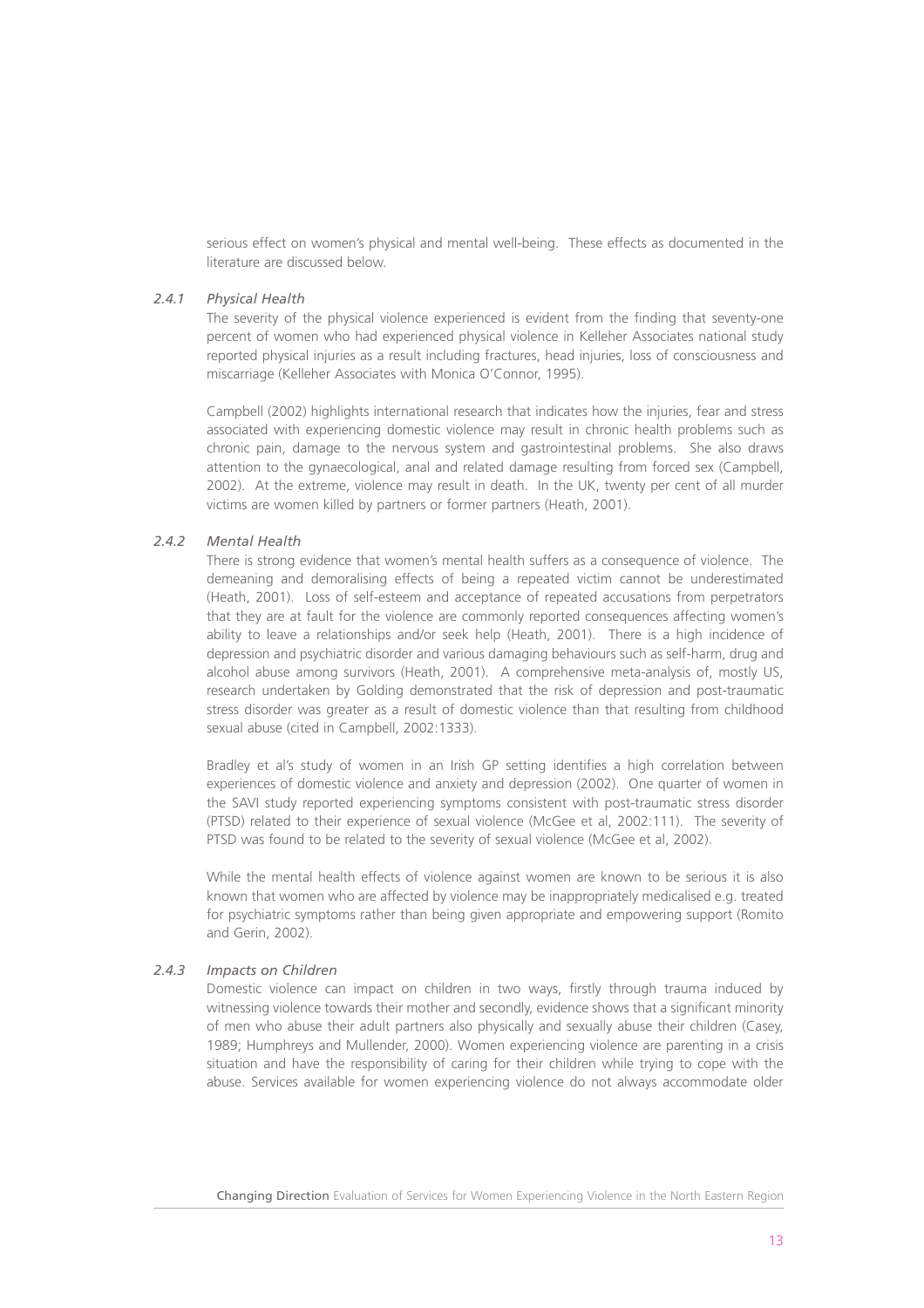serious effect on women's physical and mental well-being. These effects as documented in the literature are discussed below.

#### *2.4.1 Physical Health*

The severity of the physical violence experienced is evident from the finding that seventy-one percent of women who had experienced physical violence in Kelleher Associates national study reported physical injuries as a result including fractures, head injuries, loss of consciousness and miscarriage (Kelleher Associates with Monica O'Connor, 1995).

Campbell (2002) highlights international research that indicates how the injuries, fear and stress associated with experiencing domestic violence may result in chronic health problems such as chronic pain, damage to the nervous system and gastrointestinal problems. She also draws attention to the gynaecological, anal and related damage resulting from forced sex (Campbell, 2002). At the extreme, violence may result in death. In the UK, twenty per cent of all murder victims are women killed by partners or former partners (Heath, 2001).

#### *2.4.2 Mental Health*

There is strong evidence that women's mental health suffers as a consequence of violence. The demeaning and demoralising effects of being a repeated victim cannot be underestimated (Heath, 2001). Loss of self-esteem and acceptance of repeated accusations from perpetrators that they are at fault for the violence are commonly reported consequences affecting women's ability to leave a relationships and/or seek help (Heath, 2001). There is a high incidence of depression and psychiatric disorder and various damaging behaviours such as self-harm, drug and alcohol abuse among survivors (Heath, 2001). A comprehensive meta-analysis of, mostly US, research undertaken by Golding demonstrated that the risk of depression and post-traumatic stress disorder was greater as a result of domestic violence than that resulting from childhood sexual abuse (cited in Campbell, 2002:1333).

Bradley et al's study of women in an Irish GP setting identifies a high correlation between experiences of domestic violence and anxiety and depression (2002). One quarter of women in the SAVI study reported experiencing symptoms consistent with post-traumatic stress disorder (PTSD) related to their experience of sexual violence (McGee et al, 2002:111). The severity of PTSD was found to be related to the severity of sexual violence (McGee et al, 2002).

While the mental health effects of violence against women are known to be serious it is also known that women who are affected by violence may be inappropriately medicalised e.g. treated for psychiatric symptoms rather than being given appropriate and empowering support (Romito and Gerin, 2002).

#### *2.4.3 Impacts on Children*

Domestic violence can impact on children in two ways, firstly through trauma induced by witnessing violence towards their mother and secondly, evidence shows that a significant minority of men who abuse their adult partners also physically and sexually abuse their children (Casey, 1989; Humphreys and Mullender, 2000). Women experiencing violence are parenting in a crisis situation and have the responsibility of caring for their children while trying to cope with the abuse. Services available for women experiencing violence do not always accommodate older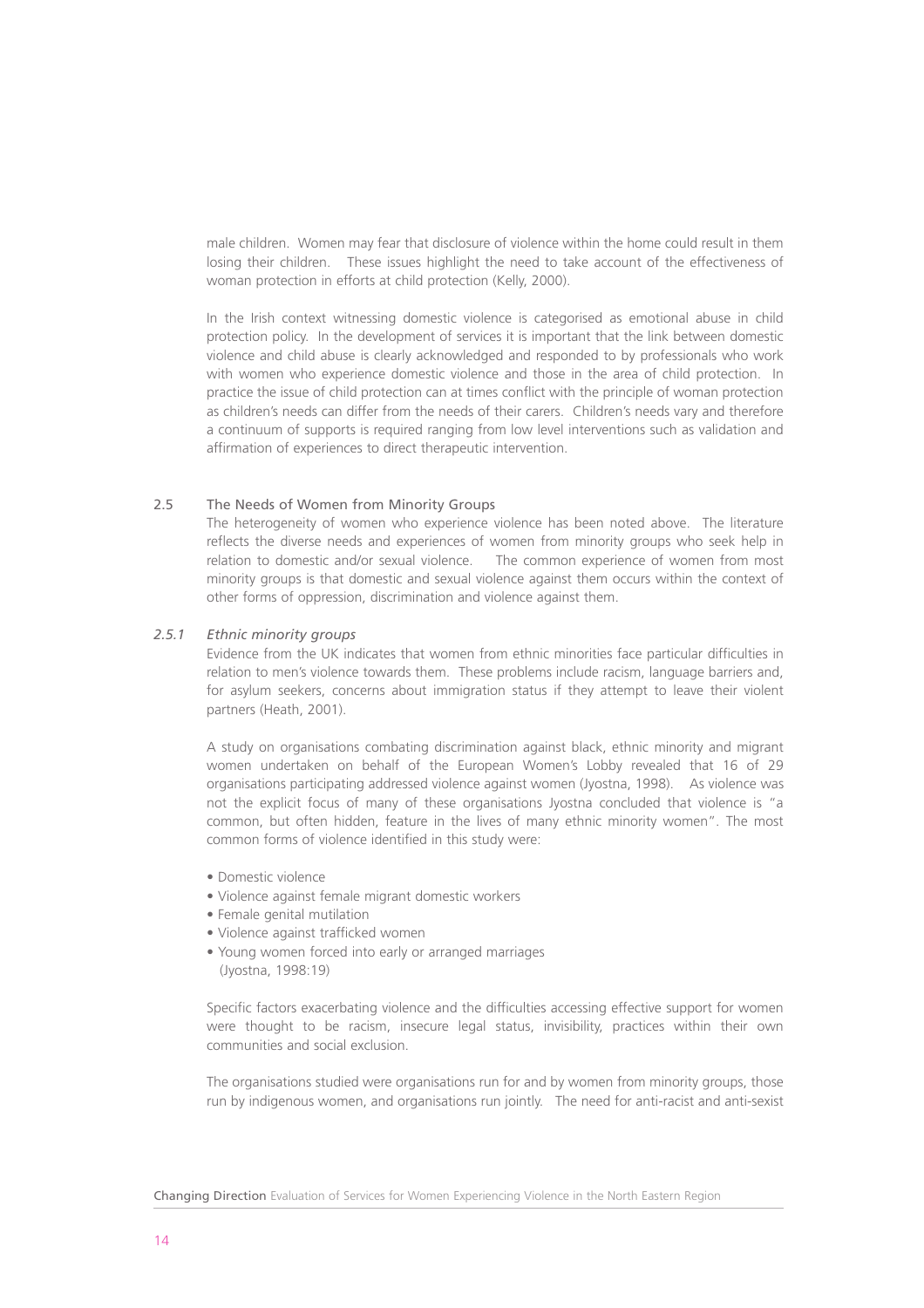male children. Women may fear that disclosure of violence within the home could result in them losing their children. These issues highlight the need to take account of the effectiveness of woman protection in efforts at child protection (Kelly, 2000).

In the Irish context witnessing domestic violence is categorised as emotional abuse in child protection policy. In the development of services it is important that the link between domestic violence and child abuse is clearly acknowledged and responded to by professionals who work with women who experience domestic violence and those in the area of child protection. In practice the issue of child protection can at times conflict with the principle of woman protection as children's needs can differ from the needs of their carers. Children's needs vary and therefore a continuum of supports is required ranging from low level interventions such as validation and affirmation of experiences to direct therapeutic intervention.

#### 2.5 The Needs of Women from Minority Groups

The heterogeneity of women who experience violence has been noted above. The literature reflects the diverse needs and experiences of women from minority groups who seek help in relation to domestic and/or sexual violence. The common experience of women from most minority groups is that domestic and sexual violence against them occurs within the context of other forms of oppression, discrimination and violence against them.

#### *2.5.1 Ethnic minority groups*

Evidence from the UK indicates that women from ethnic minorities face particular difficulties in relation to men's violence towards them. These problems include racism, language barriers and, for asylum seekers, concerns about immigration status if they attempt to leave their violent partners (Heath, 2001).

A study on organisations combating discrimination against black, ethnic minority and migrant women undertaken on behalf of the European Women's Lobby revealed that 16 of 29 organisations participating addressed violence against women (Jyostna, 1998). As violence was not the explicit focus of many of these organisations Jyostna concluded that violence is "a common, but often hidden, feature in the lives of many ethnic minority women". The most common forms of violence identified in this study were:

- Domestic violence
- Violence against female migrant domestic workers
- Female genital mutilation
- Violence against trafficked women
- Young women forced into early or arranged marriages (Jyostna, 1998:19)

Specific factors exacerbating violence and the difficulties accessing effective support for women were thought to be racism, insecure legal status, invisibility, practices within their own communities and social exclusion.

The organisations studied were organisations run for and by women from minority groups, those run by indigenous women, and organisations run jointly. The need for anti-racist and anti-sexist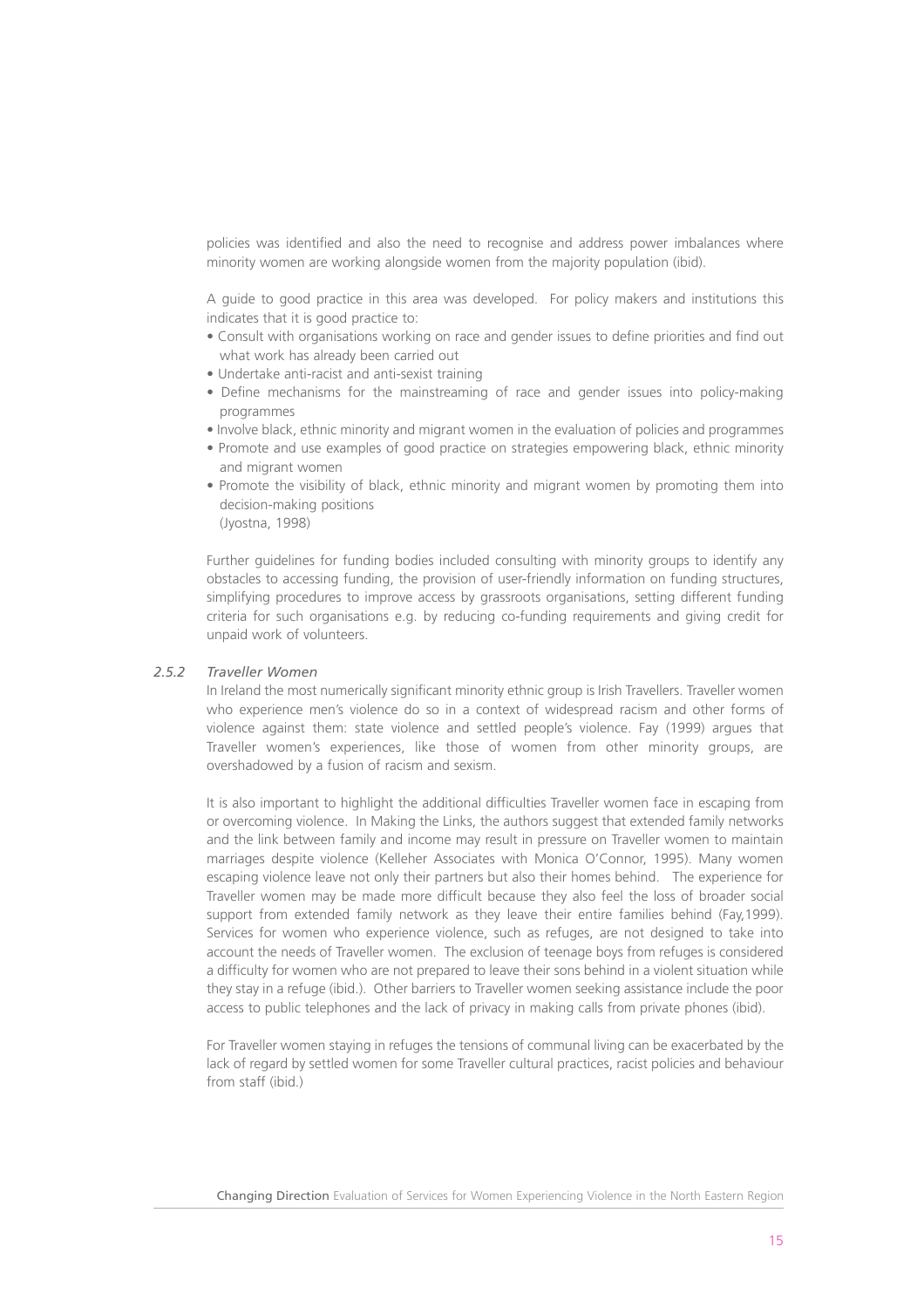policies was identified and also the need to recognise and address power imbalances where minority women are working alongside women from the majority population (ibid).

A guide to good practice in this area was developed. For policy makers and institutions this indicates that it is good practice to:

- Consult with organisations working on race and gender issues to define priorities and find out what work has already been carried out
- Undertake anti-racist and anti-sexist training
- Define mechanisms for the mainstreaming of race and gender issues into policy-making programmes
- Involve black, ethnic minority and migrant women in the evaluation of policies and programmes
- Promote and use examples of good practice on strategies empowering black, ethnic minority and migrant women
- Promote the visibility of black, ethnic minority and migrant women by promoting them into decision-making positions (Jyostna, 1998)

Further guidelines for funding bodies included consulting with minority groups to identify any obstacles to accessing funding, the provision of user-friendly information on funding structures, simplifying procedures to improve access by grassroots organisations, setting different funding criteria for such organisations e.g. by reducing co-funding requirements and giving credit for unpaid work of volunteers.

#### *2.5.2 Traveller Women*

In Ireland the most numerically significant minority ethnic group is Irish Travellers. Traveller women who experience men's violence do so in a context of widespread racism and other forms of violence against them: state violence and settled people's violence. Fay (1999) argues that Traveller women's experiences, like those of women from other minority groups, are overshadowed by a fusion of racism and sexism.

It is also important to highlight the additional difficulties Traveller women face in escaping from or overcoming violence. In Making the Links, the authors suggest that extended family networks and the link between family and income may result in pressure on Traveller women to maintain marriages despite violence (Kelleher Associates with Monica O'Connor, 1995). Many women escaping violence leave not only their partners but also their homes behind. The experience for Traveller women may be made more difficult because they also feel the loss of broader social support from extended family network as they leave their entire families behind (Fay,1999). Services for women who experience violence, such as refuges, are not designed to take into account the needs of Traveller women. The exclusion of teenage boys from refuges is considered a difficulty for women who are not prepared to leave their sons behind in a violent situation while they stay in a refuge (ibid.). Other barriers to Traveller women seeking assistance include the poor access to public telephones and the lack of privacy in making calls from private phones (ibid).

For Traveller women staying in refuges the tensions of communal living can be exacerbated by the lack of regard by settled women for some Traveller cultural practices, racist policies and behaviour from staff (ibid.)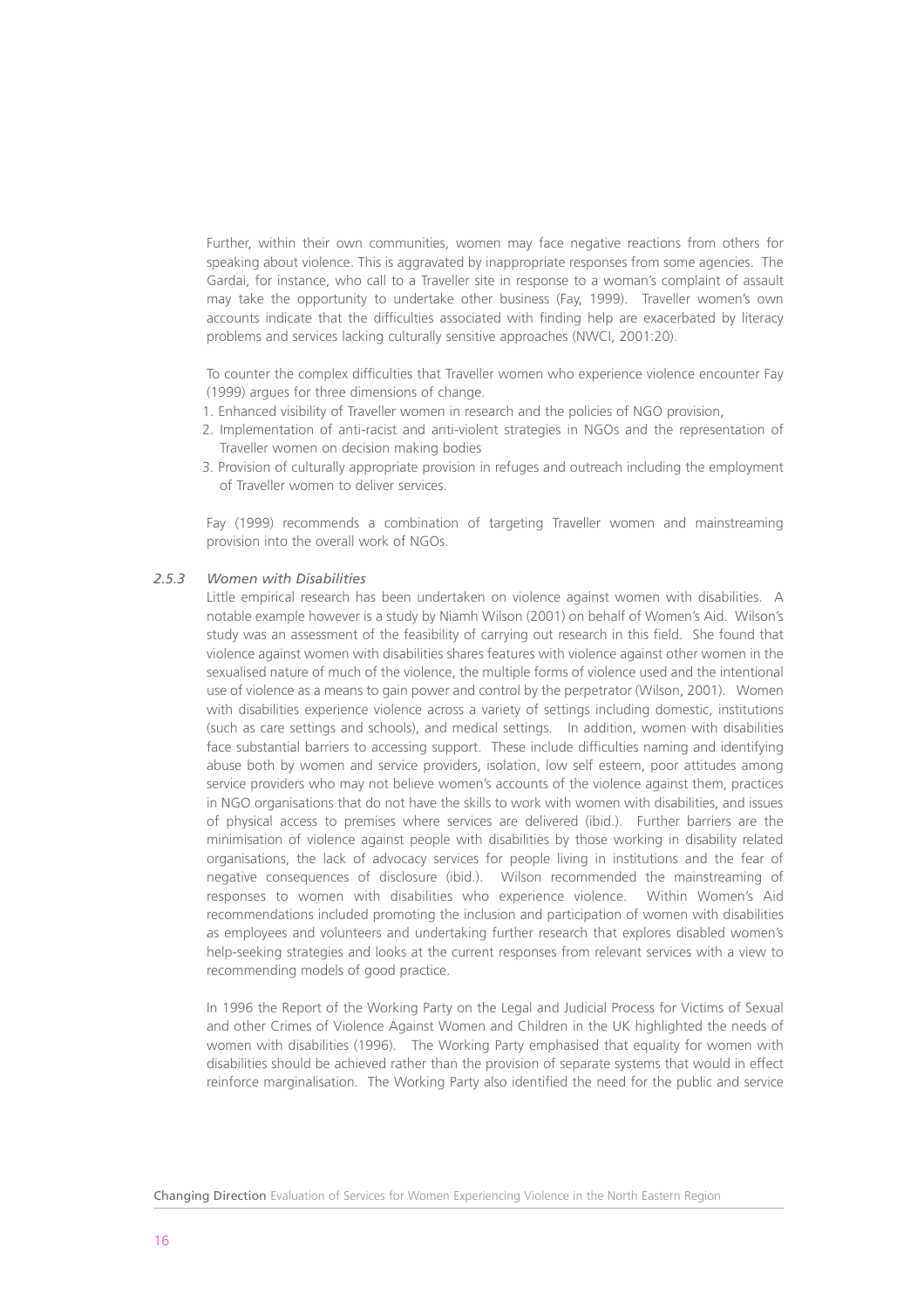Further, within their own communities, women may face negative reactions from others for speaking about violence. This is aggravated by inappropriate responses from some agencies. The Gardai, for instance, who call to a Traveller site in response to a woman's complaint of assault may take the opportunity to undertake other business (Fay, 1999). Traveller women's own accounts indicate that the difficulties associated with finding help are exacerbated by literacy problems and services lacking culturally sensitive approaches (NWCI, 2001:20).

To counter the complex difficulties that Traveller women who experience violence encounter Fay (1999) argues for three dimensions of change.

- 1. Enhanced visibility of Traveller women in research and the policies of NGO provision,
- 2. Implementation of anti-racist and anti-violent strategies in NGOs and the representation of Traveller women on decision making bodies
- 3. Provision of culturally appropriate provision in refuges and outreach including the employment of Traveller women to deliver services.

Fay (1999) recommends a combination of targeting Traveller women and mainstreaming provision into the overall work of NGOs.

#### *2.5.3 Women with Disabilities*

Little empirical research has been undertaken on violence against women with disabilities. A notable example however is a study by Niamh Wilson (2001) on behalf of Women's Aid. Wilson's study was an assessment of the feasibility of carrying out research in this field. She found that violence against women with disabilities shares features with violence against other women in the sexualised nature of much of the violence, the multiple forms of violence used and the intentional use of violence as a means to gain power and control by the perpetrator (Wilson, 2001). Women with disabilities experience violence across a variety of settings including domestic, institutions (such as care settings and schools), and medical settings. In addition, women with disabilities face substantial barriers to accessing support. These include difficulties naming and identifying abuse both by women and service providers, isolation, low self esteem, poor attitudes among service providers who may not believe women's accounts of the violence against them, practices in NGO organisations that do not have the skills to work with women with disabilities, and issues of physical access to premises where services are delivered (ibid.). Further barriers are the minimisation of violence against people with disabilities by those working in disability related organisations, the lack of advocacy services for people living in institutions and the fear of negative consequences of disclosure (ibid.). Wilson recommended the mainstreaming of responses to women with disabilities who experience violence. Within Women's Aid recommendations included promoting the inclusion and participation of women with disabilities as employees and volunteers and undertaking further research that explores disabled women's help-seeking strategies and looks at the current responses from relevant services with a view to recommending models of good practice.

In 1996 the Report of the Working Party on the Legal and Judicial Process for Victims of Sexual and other Crimes of Violence Against Women and Children in the UK highlighted the needs of women with disabilities (1996). The Working Party emphasised that equality for women with disabilities should be achieved rather than the provision of separate systems that would in effect reinforce marginalisation. The Working Party also identified the need for the public and service

Changing Direction Evaluation of Services for Women Experiencing Violence in the North Eastern Region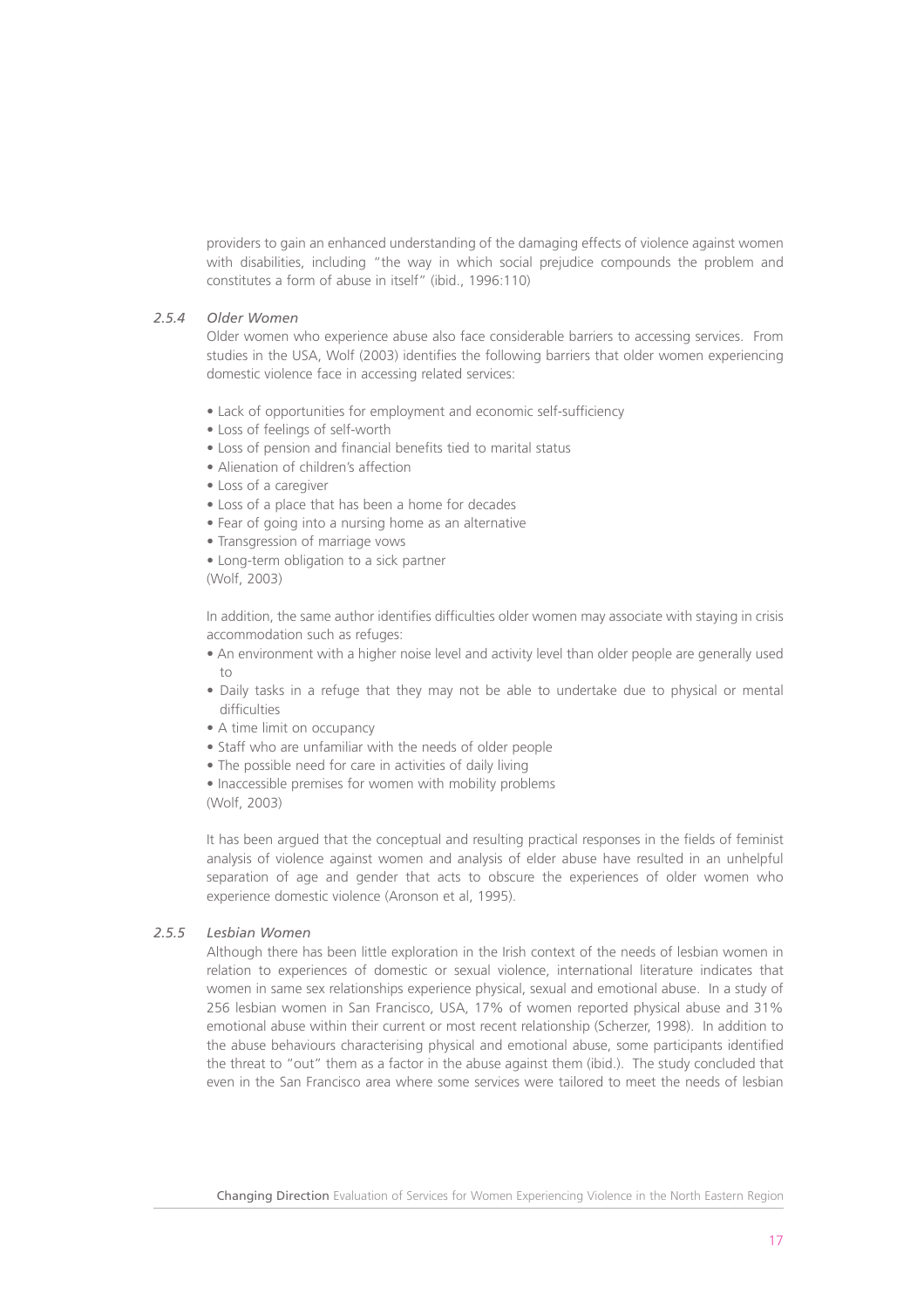providers to gain an enhanced understanding of the damaging effects of violence against women with disabilities, including "the way in which social prejudice compounds the problem and constitutes a form of abuse in itself" (ibid., 1996:110)

#### *2.5.4 Older Women*

Older women who experience abuse also face considerable barriers to accessing services. From studies in the USA, Wolf (2003) identifies the following barriers that older women experiencing domestic violence face in accessing related services:

- Lack of opportunities for employment and economic self-sufficiency
- Loss of feelings of self-worth
- Loss of pension and financial benefits tied to marital status
- Alienation of children's affection
- Loss of a caregiver
- Loss of a place that has been a home for decades
- Fear of going into a nursing home as an alternative
- Transgression of marriage vows
- Long-term obligation to a sick partner

(Wolf, 2003)

In addition, the same author identifies difficulties older women may associate with staying in crisis accommodation such as refuges:

- An environment with a higher noise level and activity level than older people are generally used to
- Daily tasks in a refuge that they may not be able to undertake due to physical or mental difficulties
- A time limit on occupancy
- Staff who are unfamiliar with the needs of older people
- The possible need for care in activities of daily living
- Inaccessible premises for women with mobility problems (Wolf, 2003)

It has been argued that the conceptual and resulting practical responses in the fields of feminist analysis of violence against women and analysis of elder abuse have resulted in an unhelpful separation of age and gender that acts to obscure the experiences of older women who experience domestic violence (Aronson et al, 1995).

#### *2.5.5 Lesbian Women*

Although there has been little exploration in the Irish context of the needs of lesbian women in relation to experiences of domestic or sexual violence, international literature indicates that women in same sex relationships experience physical, sexual and emotional abuse. In a study of 256 lesbian women in San Francisco, USA, 17% of women reported physical abuse and 31% emotional abuse within their current or most recent relationship (Scherzer, 1998). In addition to the abuse behaviours characterising physical and emotional abuse, some participants identified the threat to "out" them as a factor in the abuse against them (ibid.). The study concluded that even in the San Francisco area where some services were tailored to meet the needs of lesbian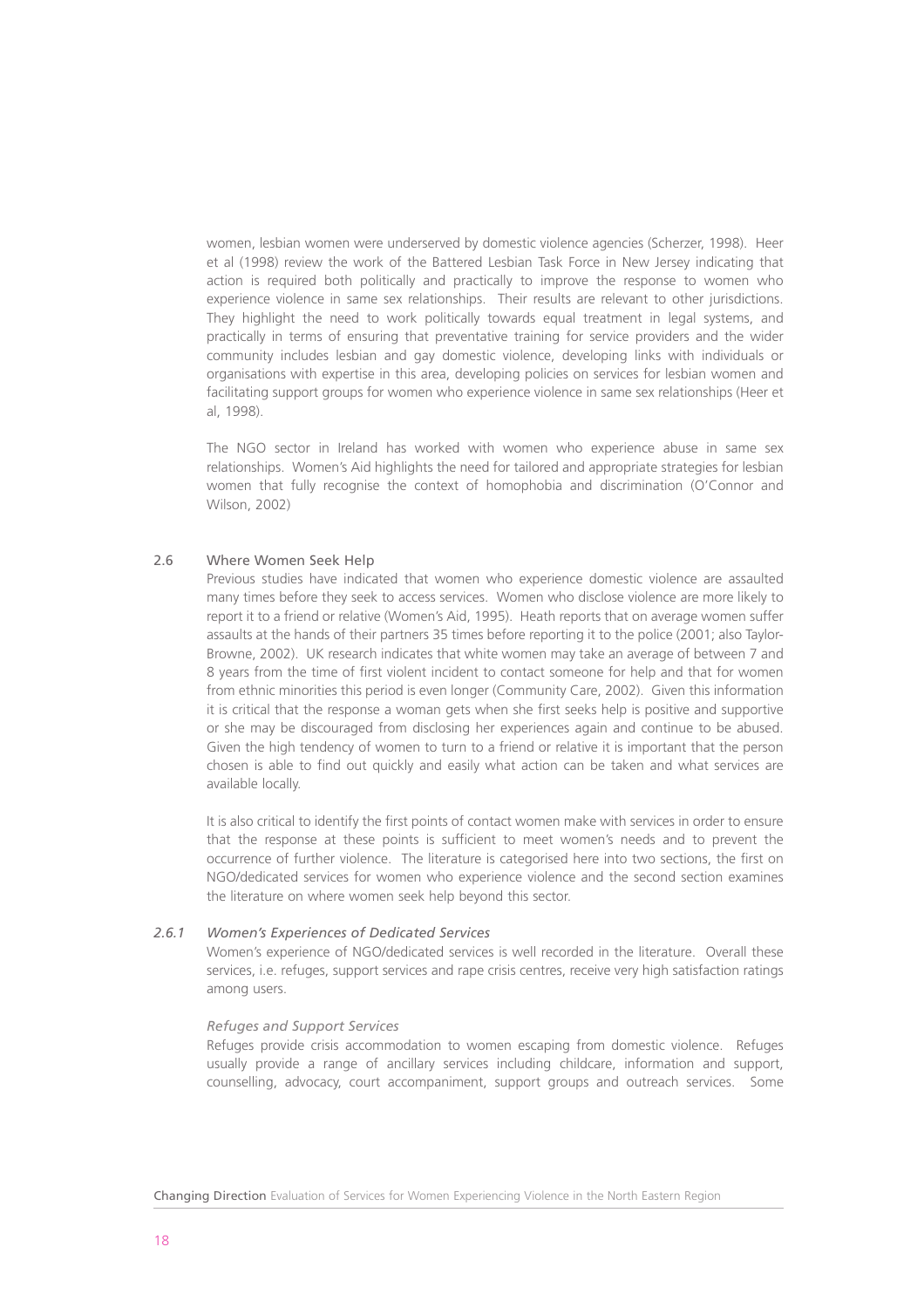women, lesbian women were underserved by domestic violence agencies (Scherzer, 1998). Heer et al (1998) review the work of the Battered Lesbian Task Force in New Jersey indicating that action is required both politically and practically to improve the response to women who experience violence in same sex relationships. Their results are relevant to other jurisdictions. They highlight the need to work politically towards equal treatment in legal systems, and practically in terms of ensuring that preventative training for service providers and the wider community includes lesbian and gay domestic violence, developing links with individuals or organisations with expertise in this area, developing policies on services for lesbian women and facilitating support groups for women who experience violence in same sex relationships (Heer et al, 1998).

The NGO sector in Ireland has worked with women who experience abuse in same sex relationships. Women's Aid highlights the need for tailored and appropriate strategies for lesbian women that fully recognise the context of homophobia and discrimination (O'Connor and Wilson, 2002)

#### 2.6 Where Women Seek Help

Previous studies have indicated that women who experience domestic violence are assaulted many times before they seek to access services. Women who disclose violence are more likely to report it to a friend or relative (Women's Aid, 1995). Heath reports that on average women suffer assaults at the hands of their partners 35 times before reporting it to the police (2001; also Taylor-Browne, 2002). UK research indicates that white women may take an average of between 7 and 8 years from the time of first violent incident to contact someone for help and that for women from ethnic minorities this period is even longer (Community Care, 2002). Given this information it is critical that the response a woman gets when she first seeks help is positive and supportive or she may be discouraged from disclosing her experiences again and continue to be abused. Given the high tendency of women to turn to a friend or relative it is important that the person chosen is able to find out quickly and easily what action can be taken and what services are available locally.

It is also critical to identify the first points of contact women make with services in order to ensure that the response at these points is sufficient to meet women's needs and to prevent the occurrence of further violence. The literature is categorised here into two sections, the first on NGO/dedicated services for women who experience violence and the second section examines the literature on where women seek help beyond this sector.

#### *2.6.1 Women's Experiences of Dedicated Services*

Women's experience of NGO/dedicated services is well recorded in the literature. Overall these services, i.e. refuges, support services and rape crisis centres, receive very high satisfaction ratings among users.

#### *Refuges and Support Services*

Refuges provide crisis accommodation to women escaping from domestic violence. Refuges usually provide a range of ancillary services including childcare, information and support, counselling, advocacy, court accompaniment, support groups and outreach services. Some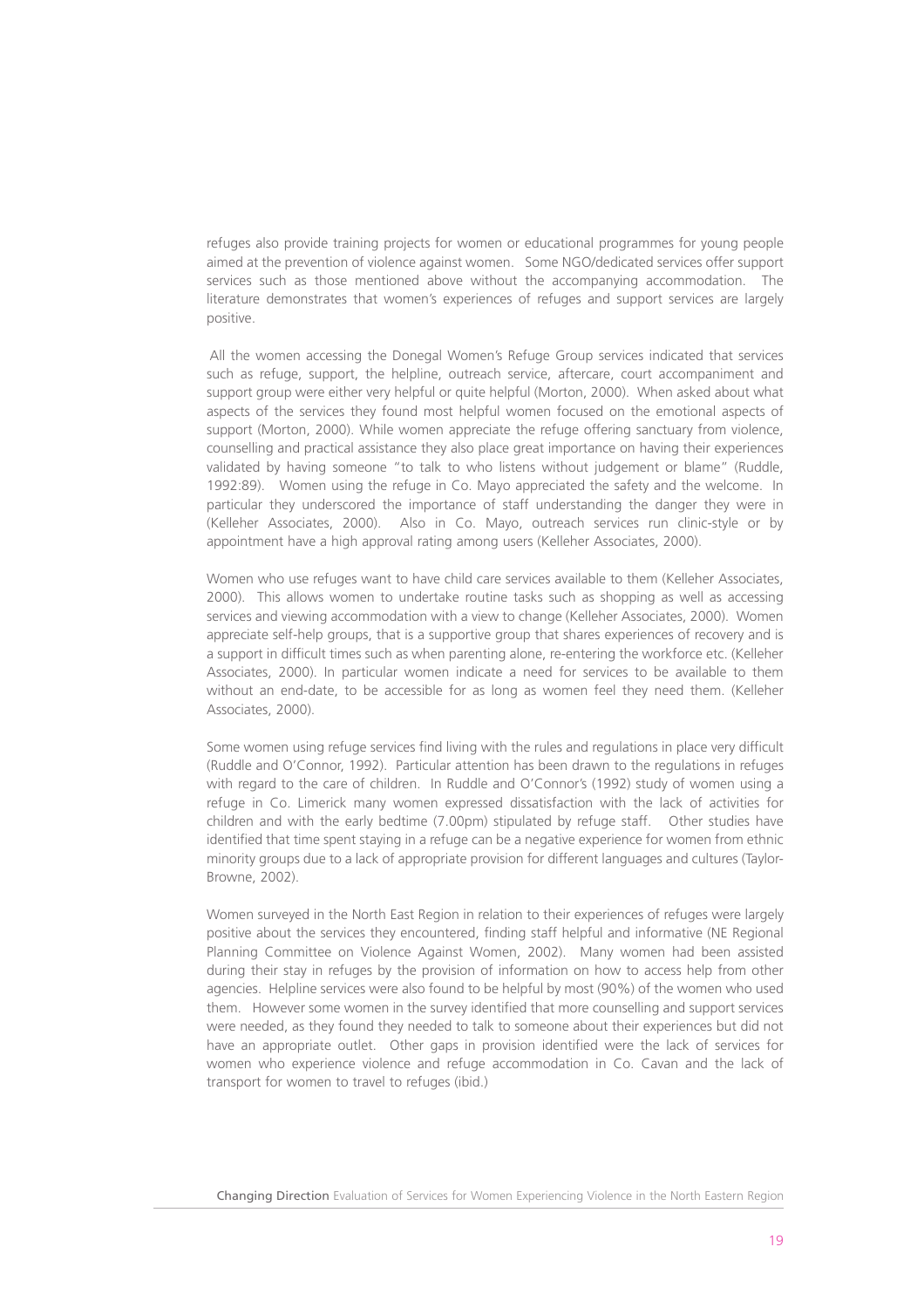refuges also provide training projects for women or educational programmes for young people aimed at the prevention of violence against women. Some NGO/dedicated services offer support services such as those mentioned above without the accompanying accommodation. The literature demonstrates that women's experiences of refuges and support services are largely positive.

All the women accessing the Donegal Women's Refuge Group services indicated that services such as refuge, support, the helpline, outreach service, aftercare, court accompaniment and support group were either very helpful or quite helpful (Morton, 2000). When asked about what aspects of the services they found most helpful women focused on the emotional aspects of support (Morton, 2000). While women appreciate the refuge offering sanctuary from violence, counselling and practical assistance they also place great importance on having their experiences validated by having someone "to talk to who listens without judgement or blame" (Ruddle, 1992:89). Women using the refuge in Co. Mayo appreciated the safety and the welcome. In particular they underscored the importance of staff understanding the danger they were in (Kelleher Associates, 2000). Also in Co. Mayo, outreach services run clinic-style or by appointment have a high approval rating among users (Kelleher Associates, 2000).

Women who use refuges want to have child care services available to them (Kelleher Associates, 2000). This allows women to undertake routine tasks such as shopping as well as accessing services and viewing accommodation with a view to change (Kelleher Associates, 2000). Women appreciate self-help groups, that is a supportive group that shares experiences of recovery and is a support in difficult times such as when parenting alone, re-entering the workforce etc. (Kelleher Associates, 2000). In particular women indicate a need for services to be available to them without an end-date, to be accessible for as long as women feel they need them. (Kelleher Associates, 2000).

Some women using refuge services find living with the rules and regulations in place very difficult (Ruddle and O'Connor, 1992). Particular attention has been drawn to the regulations in refuges with regard to the care of children. In Ruddle and O'Connor's (1992) study of women using a refuge in Co. Limerick many women expressed dissatisfaction with the lack of activities for children and with the early bedtime (7.00pm) stipulated by refuge staff. Other studies have identified that time spent staying in a refuge can be a negative experience for women from ethnic minority groups due to a lack of appropriate provision for different languages and cultures (Taylor-Browne, 2002).

Women surveyed in the North East Region in relation to their experiences of refuges were largely positive about the services they encountered, finding staff helpful and informative (NE Regional Planning Committee on Violence Against Women, 2002). Many women had been assisted during their stay in refuges by the provision of information on how to access help from other agencies. Helpline services were also found to be helpful by most (90%) of the women who used them. However some women in the survey identified that more counselling and support services were needed, as they found they needed to talk to someone about their experiences but did not have an appropriate outlet. Other gaps in provision identified were the lack of services for women who experience violence and refuge accommodation in Co. Cavan and the lack of transport for women to travel to refuges (ibid.)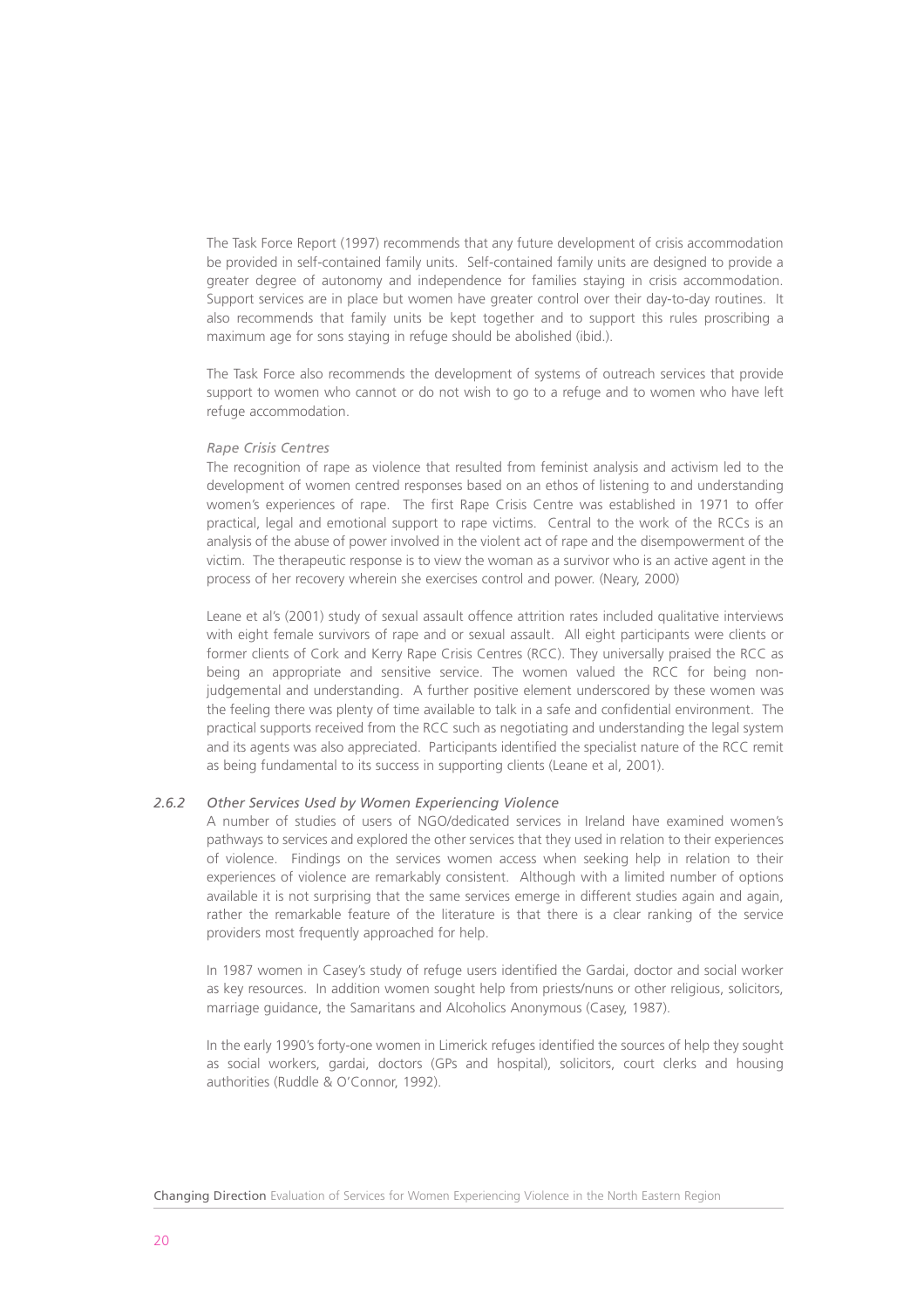The Task Force Report (1997) recommends that any future development of crisis accommodation be provided in self-contained family units. Self-contained family units are designed to provide a greater degree of autonomy and independence for families staying in crisis accommodation. Support services are in place but women have greater control over their day-to-day routines. It also recommends that family units be kept together and to support this rules proscribing a maximum age for sons staying in refuge should be abolished (ibid.).

The Task Force also recommends the development of systems of outreach services that provide support to women who cannot or do not wish to go to a refuge and to women who have left refuge accommodation.

#### *Rape Crisis Centres*

The recognition of rape as violence that resulted from feminist analysis and activism led to the development of women centred responses based on an ethos of listening to and understanding women's experiences of rape. The first Rape Crisis Centre was established in 1971 to offer practical, legal and emotional support to rape victims. Central to the work of the RCCs is an analysis of the abuse of power involved in the violent act of rape and the disempowerment of the victim. The therapeutic response is to view the woman as a survivor who is an active agent in the process of her recovery wherein she exercises control and power. (Neary, 2000)

Leane et al's (2001) study of sexual assault offence attrition rates included qualitative interviews with eight female survivors of rape and or sexual assault. All eight participants were clients or former clients of Cork and Kerry Rape Crisis Centres (RCC). They universally praised the RCC as being an appropriate and sensitive service. The women valued the RCC for being nonjudgemental and understanding. A further positive element underscored by these women was the feeling there was plenty of time available to talk in a safe and confidential environment. The practical supports received from the RCC such as negotiating and understanding the legal system and its agents was also appreciated. Participants identified the specialist nature of the RCC remit as being fundamental to its success in supporting clients (Leane et al, 2001).

#### *2.6.2 Other Services Used by Women Experiencing Violence*

A number of studies of users of NGO/dedicated services in Ireland have examined women's pathways to services and explored the other services that they used in relation to their experiences of violence. Findings on the services women access when seeking help in relation to their experiences of violence are remarkably consistent. Although with a limited number of options available it is not surprising that the same services emerge in different studies again and again, rather the remarkable feature of the literature is that there is a clear ranking of the service providers most frequently approached for help.

In 1987 women in Casey's study of refuge users identified the Gardai, doctor and social worker as key resources. In addition women sought help from priests/nuns or other religious, solicitors, marriage guidance, the Samaritans and Alcoholics Anonymous (Casey, 1987).

In the early 1990's forty-one women in Limerick refuges identified the sources of help they sought as social workers, gardai, doctors (GPs and hospital), solicitors, court clerks and housing authorities (Ruddle & O'Connor, 1992).

Changing Direction Evaluation of Services for Women Experiencing Violence in the North Eastern Region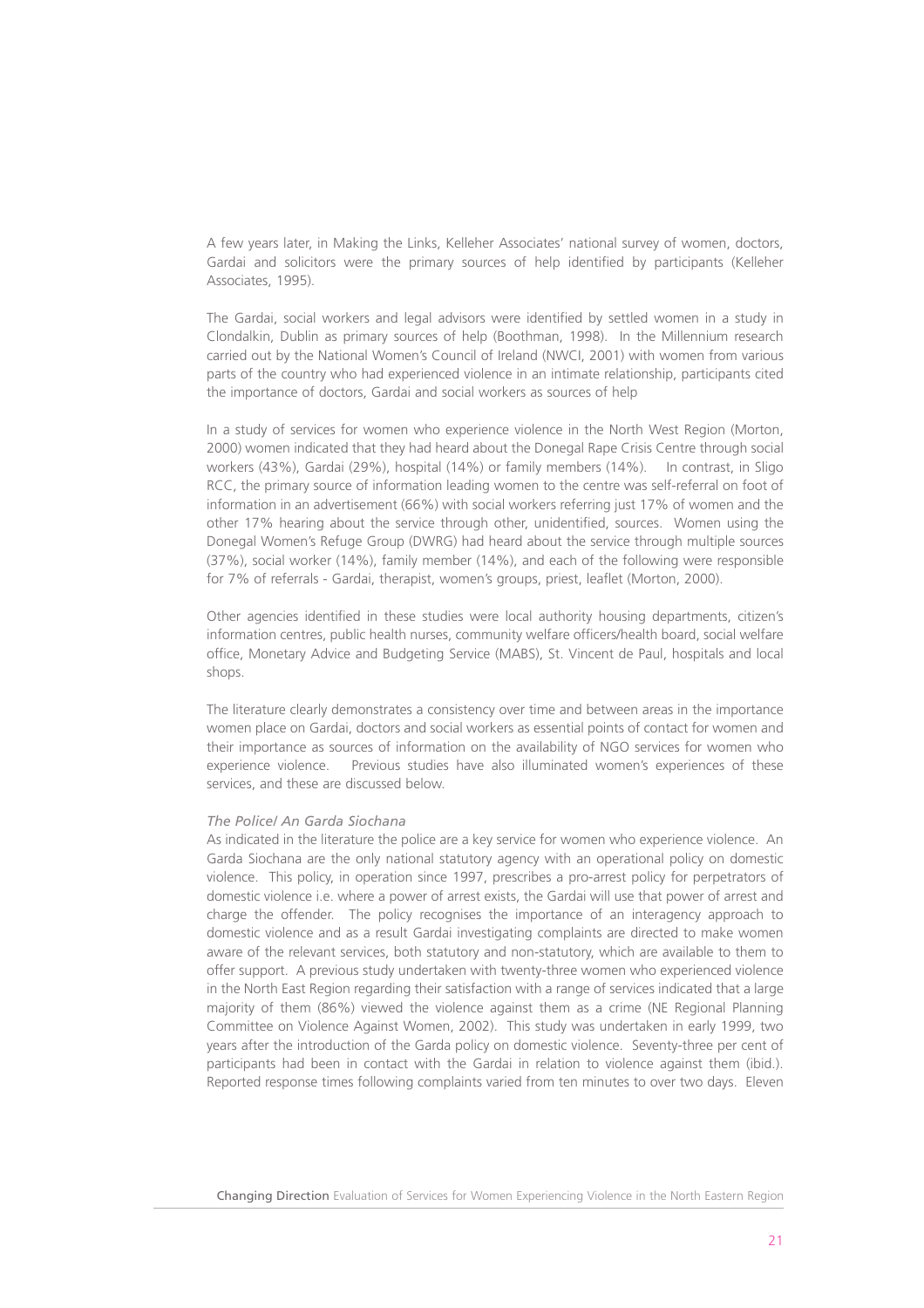A few years later, in Making the Links, Kelleher Associates' national survey of women, doctors, Gardai and solicitors were the primary sources of help identified by participants (Kelleher Associates, 1995).

The Gardai, social workers and legal advisors were identified by settled women in a study in Clondalkin, Dublin as primary sources of help (Boothman, 1998). In the Millennium research carried out by the National Women's Council of Ireland (NWCI, 2001) with women from various parts of the country who had experienced violence in an intimate relationship, participants cited the importance of doctors, Gardai and social workers as sources of help

In a study of services for women who experience violence in the North West Region (Morton, 2000) women indicated that they had heard about the Donegal Rape Crisis Centre through social workers (43%), Gardai (29%), hospital (14%) or family members (14%). In contrast, in Sligo RCC, the primary source of information leading women to the centre was self-referral on foot of information in an advertisement (66%) with social workers referring just 17% of women and the other 17% hearing about the service through other, unidentified, sources. Women using the Donegal Women's Refuge Group (DWRG) had heard about the service through multiple sources (37%), social worker (14%), family member (14%), and each of the following were responsible for 7% of referrals - Gardai, therapist, women's groups, priest, leaflet (Morton, 2000).

Other agencies identified in these studies were local authority housing departments, citizen's information centres, public health nurses, community welfare officers/health board, social welfare office, Monetary Advice and Budgeting Service (MABS), St. Vincent de Paul, hospitals and local shops.

The literature clearly demonstrates a consistency over time and between areas in the importance women place on Gardai, doctors and social workers as essential points of contact for women and their importance as sources of information on the availability of NGO services for women who experience violence. Previous studies have also illuminated women's experiences of these services, and these are discussed below.

#### *The Police/ An Garda Siochana*

As indicated in the literature the police are a key service for women who experience violence. An Garda Siochana are the only national statutory agency with an operational policy on domestic violence. This policy, in operation since 1997, prescribes a pro-arrest policy for perpetrators of domestic violence i.e. where a power of arrest exists, the Gardai will use that power of arrest and charge the offender. The policy recognises the importance of an interagency approach to domestic violence and as a result Gardai investigating complaints are directed to make women aware of the relevant services, both statutory and non-statutory, which are available to them to offer support. A previous study undertaken with twenty-three women who experienced violence in the North East Region regarding their satisfaction with a range of services indicated that a large majority of them (86%) viewed the violence against them as a crime (NE Regional Planning Committee on Violence Against Women, 2002). This study was undertaken in early 1999, two years after the introduction of the Garda policy on domestic violence. Seventy-three per cent of participants had been in contact with the Gardai in relation to violence against them (ibid.). Reported response times following complaints varied from ten minutes to over two days. Eleven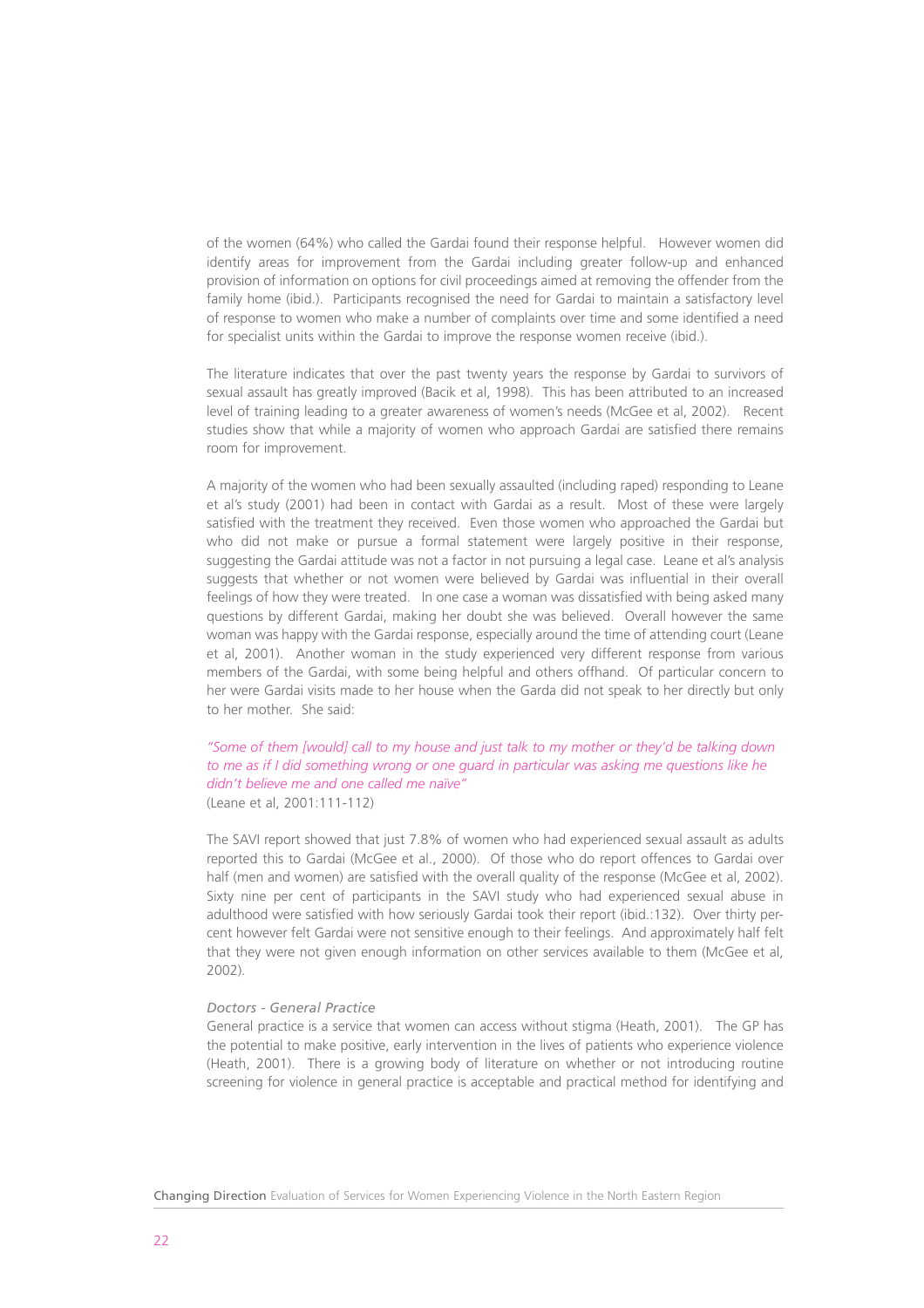of the women (64%) who called the Gardai found their response helpful. However women did identify areas for improvement from the Gardai including greater follow-up and enhanced provision of information on options for civil proceedings aimed at removing the offender from the family home (ibid.). Participants recognised the need for Gardai to maintain a satisfactory level of response to women who make a number of complaints over time and some identified a need for specialist units within the Gardai to improve the response women receive (ibid.).

The literature indicates that over the past twenty years the response by Gardai to survivors of sexual assault has greatly improved (Bacik et al, 1998). This has been attributed to an increased level of training leading to a greater awareness of women's needs (McGee et al, 2002). Recent studies show that while a majority of women who approach Gardai are satisfied there remains room for improvement.

A majority of the women who had been sexually assaulted (including raped) responding to Leane et al's study (2001) had been in contact with Gardai as a result. Most of these were largely satisfied with the treatment they received. Even those women who approached the Gardai but who did not make or pursue a formal statement were largely positive in their response, suggesting the Gardai attitude was not a factor in not pursuing a legal case. Leane et al's analysis suggests that whether or not women were believed by Gardai was influential in their overall feelings of how they were treated. In one case a woman was dissatisfied with being asked many questions by different Gardai, making her doubt she was believed. Overall however the same woman was happy with the Gardai response, especially around the time of attending court (Leane et al, 2001). Another woman in the study experienced very different response from various members of the Gardai, with some being helpful and others offhand. Of particular concern to her were Gardai visits made to her house when the Garda did not speak to her directly but only to her mother. She said:

*"Some of them [would] call to my house and just talk to my mother or they'd be talking down to me as if I did something wrong or one guard in particular was asking me questions like he didn't believe me and one called me naïve"* (Leane et al, 2001:111-112)

The SAVI report showed that just 7.8% of women who had experienced sexual assault as adults reported this to Gardai (McGee et al., 2000). Of those who do report offences to Gardai over half (men and women) are satisfied with the overall quality of the response (McGee et al. 2002). Sixty nine per cent of participants in the SAVI study who had experienced sexual abuse in adulthood were satisfied with how seriously Gardai took their report (ibid.:132). Over thirty percent however felt Gardai were not sensitive enough to their feelings. And approximately half felt that they were not given enough information on other services available to them (McGee et al, 2002).

#### *Doctors - General Practice*

General practice is a service that women can access without stigma (Heath, 2001). The GP has the potential to make positive, early intervention in the lives of patients who experience violence (Heath, 2001). There is a growing body of literature on whether or not introducing routine screening for violence in general practice is acceptable and practical method for identifying and

Changing Direction Evaluation of Services for Women Experiencing Violence in the North Eastern Region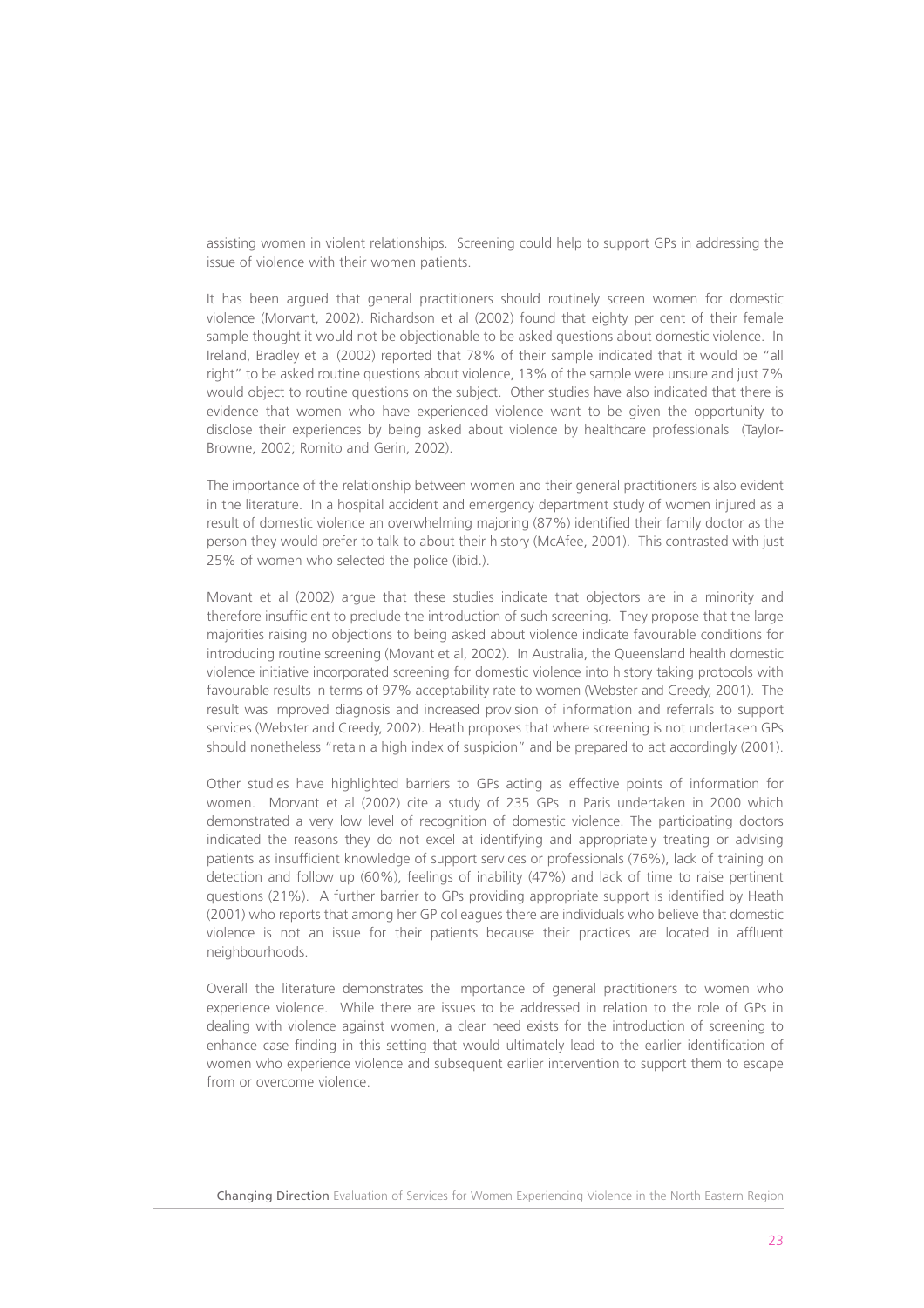assisting women in violent relationships. Screening could help to support GPs in addressing the issue of violence with their women patients.

It has been argued that general practitioners should routinely screen women for domestic violence (Morvant, 2002). Richardson et al (2002) found that eighty per cent of their female sample thought it would not be objectionable to be asked questions about domestic violence. In Ireland, Bradley et al (2002) reported that 78% of their sample indicated that it would be "all right" to be asked routine questions about violence, 13% of the sample were unsure and just 7% would object to routine questions on the subject. Other studies have also indicated that there is evidence that women who have experienced violence want to be given the opportunity to disclose their experiences by being asked about violence by healthcare professionals (Taylor-Browne, 2002; Romito and Gerin, 2002).

The importance of the relationship between women and their general practitioners is also evident in the literature. In a hospital accident and emergency department study of women injured as a result of domestic violence an overwhelming majoring (87%) identified their family doctor as the person they would prefer to talk to about their history (McAfee, 2001). This contrasted with just 25% of women who selected the police (ibid.).

Movant et al (2002) argue that these studies indicate that objectors are in a minority and therefore insufficient to preclude the introduction of such screening. They propose that the large majorities raising no objections to being asked about violence indicate favourable conditions for introducing routine screening (Movant et al, 2002). In Australia, the Queensland health domestic violence initiative incorporated screening for domestic violence into history taking protocols with favourable results in terms of 97% acceptability rate to women (Webster and Creedy, 2001). The result was improved diagnosis and increased provision of information and referrals to support services (Webster and Creedy, 2002). Heath proposes that where screening is not undertaken GPs should nonetheless "retain a high index of suspicion" and be prepared to act accordingly (2001).

Other studies have highlighted barriers to GPs acting as effective points of information for women. Morvant et al (2002) cite a study of 235 GPs in Paris undertaken in 2000 which demonstrated a very low level of recognition of domestic violence. The participating doctors indicated the reasons they do not excel at identifying and appropriately treating or advising patients as insufficient knowledge of support services or professionals (76%), lack of training on detection and follow up (60%), feelings of inability (47%) and lack of time to raise pertinent questions (21%). A further barrier to GPs providing appropriate support is identified by Heath (2001) who reports that among her GP colleagues there are individuals who believe that domestic violence is not an issue for their patients because their practices are located in affluent neighbourhoods.

Overall the literature demonstrates the importance of general practitioners to women who experience violence. While there are issues to be addressed in relation to the role of GPs in dealing with violence against women, a clear need exists for the introduction of screening to enhance case finding in this setting that would ultimately lead to the earlier identification of women who experience violence and subsequent earlier intervention to support them to escape from or overcome violence.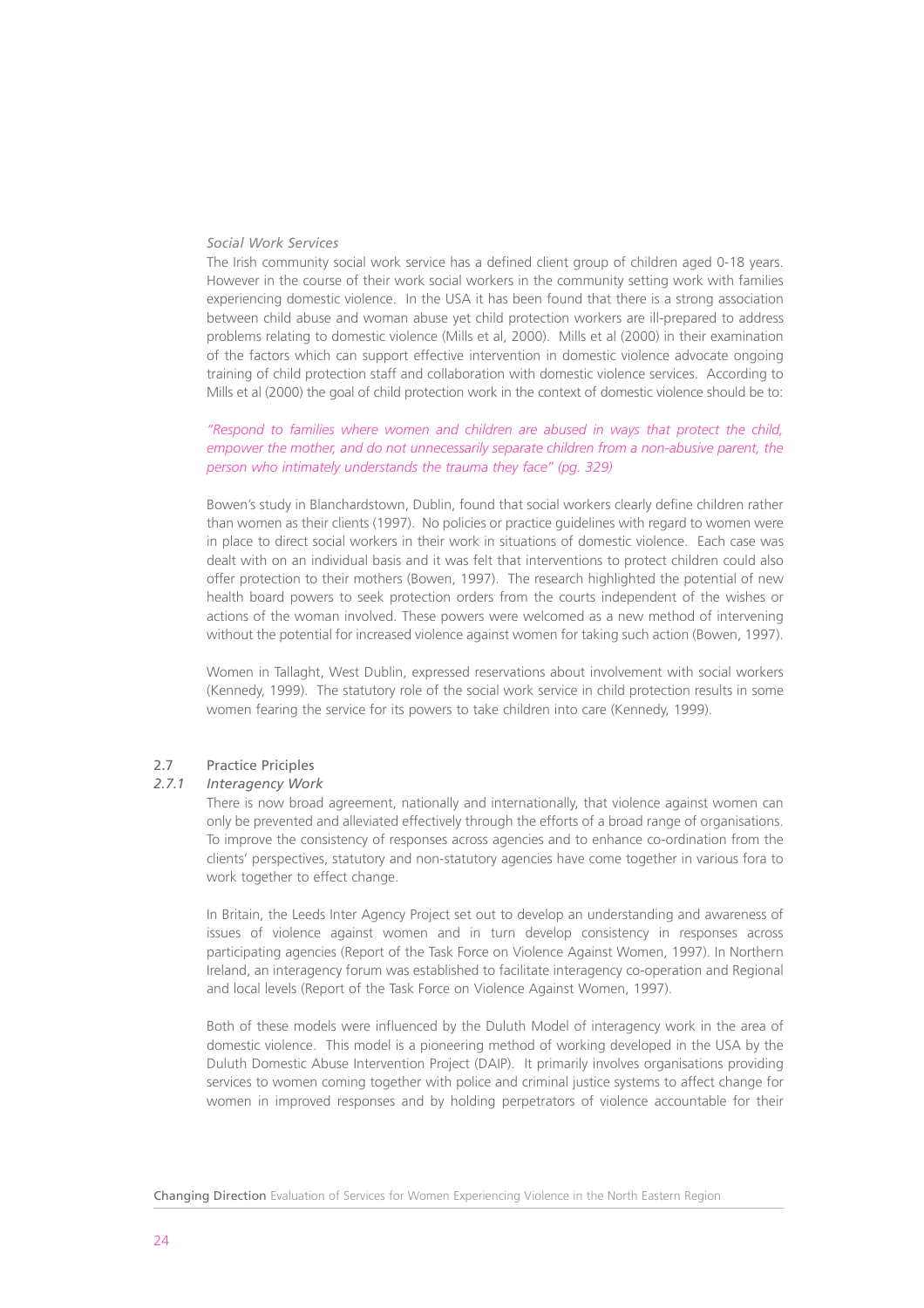#### *Social Work Services*

The Irish community social work service has a defined client group of children aged 0-18 years. However in the course of their work social workers in the community setting work with families experiencing domestic violence. In the USA it has been found that there is a strong association between child abuse and woman abuse yet child protection workers are ill-prepared to address problems relating to domestic violence (Mills et al, 2000). Mills et al (2000) in their examination of the factors which can support effective intervention in domestic violence advocate ongoing training of child protection staff and collaboration with domestic violence services. According to Mills et al (2000) the goal of child protection work in the context of domestic violence should be to:

#### *"Respond to families where women and children are abused in ways that protect the child, empower the mother, and do not unnecessarily separate children from a non-abusive parent, the person who intimately understands the trauma they face" (pg. 329)*

Bowen's study in Blanchardstown, Dublin, found that social workers clearly define children rather than women as their clients (1997). No policies or practice guidelines with regard to women were in place to direct social workers in their work in situations of domestic violence. Each case was dealt with on an individual basis and it was felt that interventions to protect children could also offer protection to their mothers (Bowen, 1997). The research highlighted the potential of new health board powers to seek protection orders from the courts independent of the wishes or actions of the woman involved. These powers were welcomed as a new method of intervening without the potential for increased violence against women for taking such action (Bowen, 1997).

Women in Tallaght, West Dublin, expressed reservations about involvement with social workers (Kennedy, 1999). The statutory role of the social work service in child protection results in some women fearing the service for its powers to take children into care (Kennedy, 1999).

#### 2.7 Practice Priciples

#### *2.7.1 Interagency Work*

There is now broad agreement, nationally and internationally, that violence against women can only be prevented and alleviated effectively through the efforts of a broad range of organisations. To improve the consistency of responses across agencies and to enhance co-ordination from the clients' perspectives, statutory and non-statutory agencies have come together in various fora to work together to effect change.

In Britain, the Leeds Inter Agency Project set out to develop an understanding and awareness of issues of violence against women and in turn develop consistency in responses across participating agencies (Report of the Task Force on Violence Against Women, 1997). In Northern Ireland, an interagency forum was established to facilitate interagency co-operation and Regional and local levels (Report of the Task Force on Violence Against Women, 1997).

Both of these models were influenced by the Duluth Model of interagency work in the area of domestic violence. This model is a pioneering method of working developed in the USA by the Duluth Domestic Abuse Intervention Project (DAIP). It primarily involves organisations providing services to women coming together with police and criminal justice systems to affect change for women in improved responses and by holding perpetrators of violence accountable for their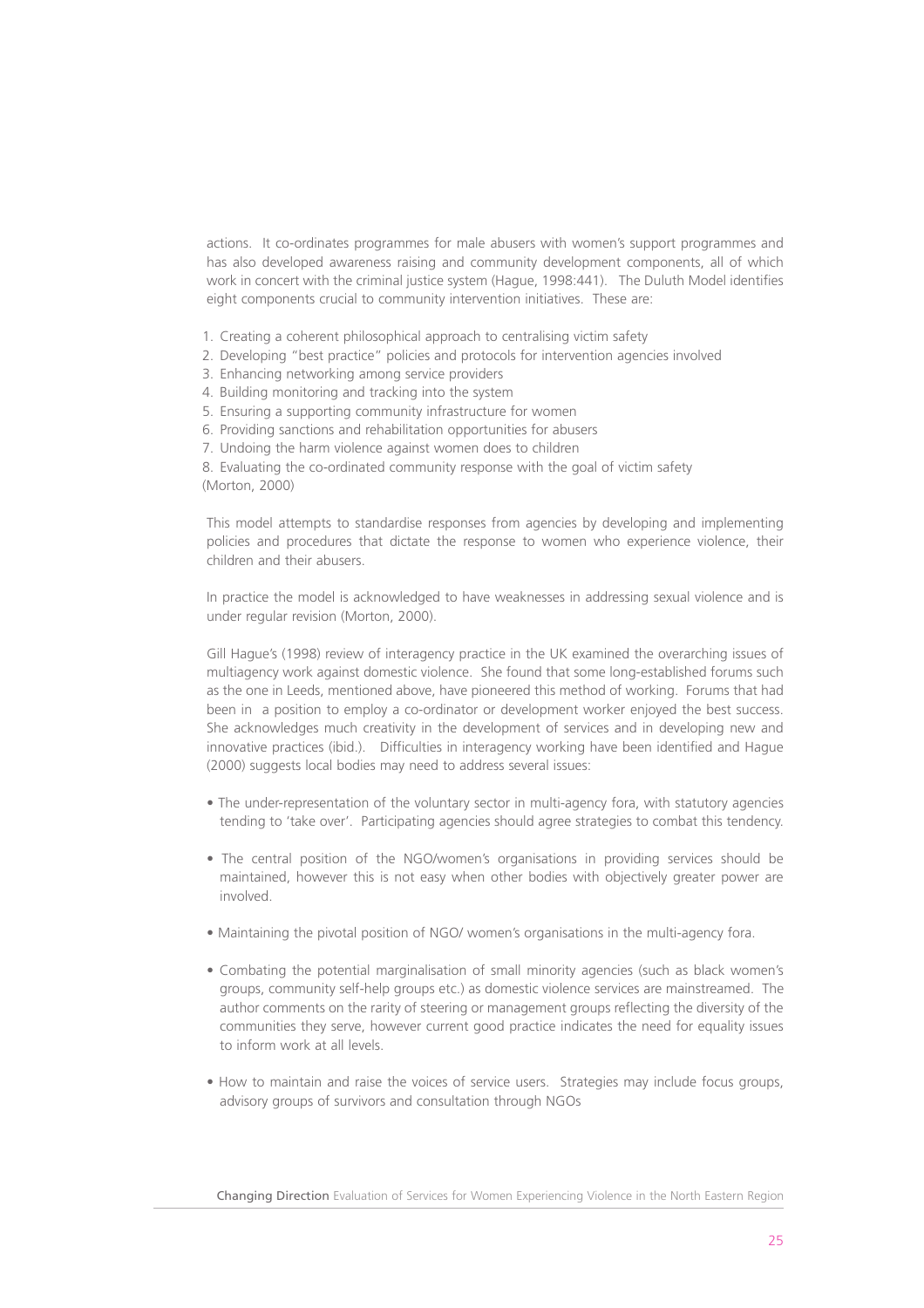actions. It co-ordinates programmes for male abusers with women's support programmes and has also developed awareness raising and community development components, all of which work in concert with the criminal justice system (Hague, 1998:441). The Duluth Model identifies eight components crucial to community intervention initiatives. These are:

- 1. Creating a coherent philosophical approach to centralising victim safety
- 2. Developing "best practice" policies and protocols for intervention agencies involved
- 3. Enhancing networking among service providers
- 4. Building monitoring and tracking into the system
- 5. Ensuring a supporting community infrastructure for women
- 6. Providing sanctions and rehabilitation opportunities for abusers
- 7. Undoing the harm violence against women does to children

8. Evaluating the co-ordinated community response with the goal of victim safety (Morton, 2000)

This model attempts to standardise responses from agencies by developing and implementing policies and procedures that dictate the response to women who experience violence, their children and their abusers.

In practice the model is acknowledged to have weaknesses in addressing sexual violence and is under regular revision (Morton, 2000).

Gill Hague's (1998) review of interagency practice in the UK examined the overarching issues of multiagency work against domestic violence. She found that some long-established forums such as the one in Leeds, mentioned above, have pioneered this method of working. Forums that had been in a position to employ a co-ordinator or development worker enjoyed the best success. She acknowledges much creativity in the development of services and in developing new and innovative practices (ibid.). Difficulties in interagency working have been identified and Hague (2000) suggests local bodies may need to address several issues:

- The under-representation of the voluntary sector in multi-agency fora, with statutory agencies tending to 'take over'. Participating agencies should agree strategies to combat this tendency.
- The central position of the NGO/women's organisations in providing services should be maintained, however this is not easy when other bodies with objectively greater power are involved.
- Maintaining the pivotal position of NGO/ women's organisations in the multi-agency fora.
- Combating the potential marginalisation of small minority agencies (such as black women's groups, community self-help groups etc.) as domestic violence services are mainstreamed. The author comments on the rarity of steering or management groups reflecting the diversity of the communities they serve, however current good practice indicates the need for equality issues to inform work at all levels.
- How to maintain and raise the voices of service users. Strategies may include focus groups, advisory groups of survivors and consultation through NGOs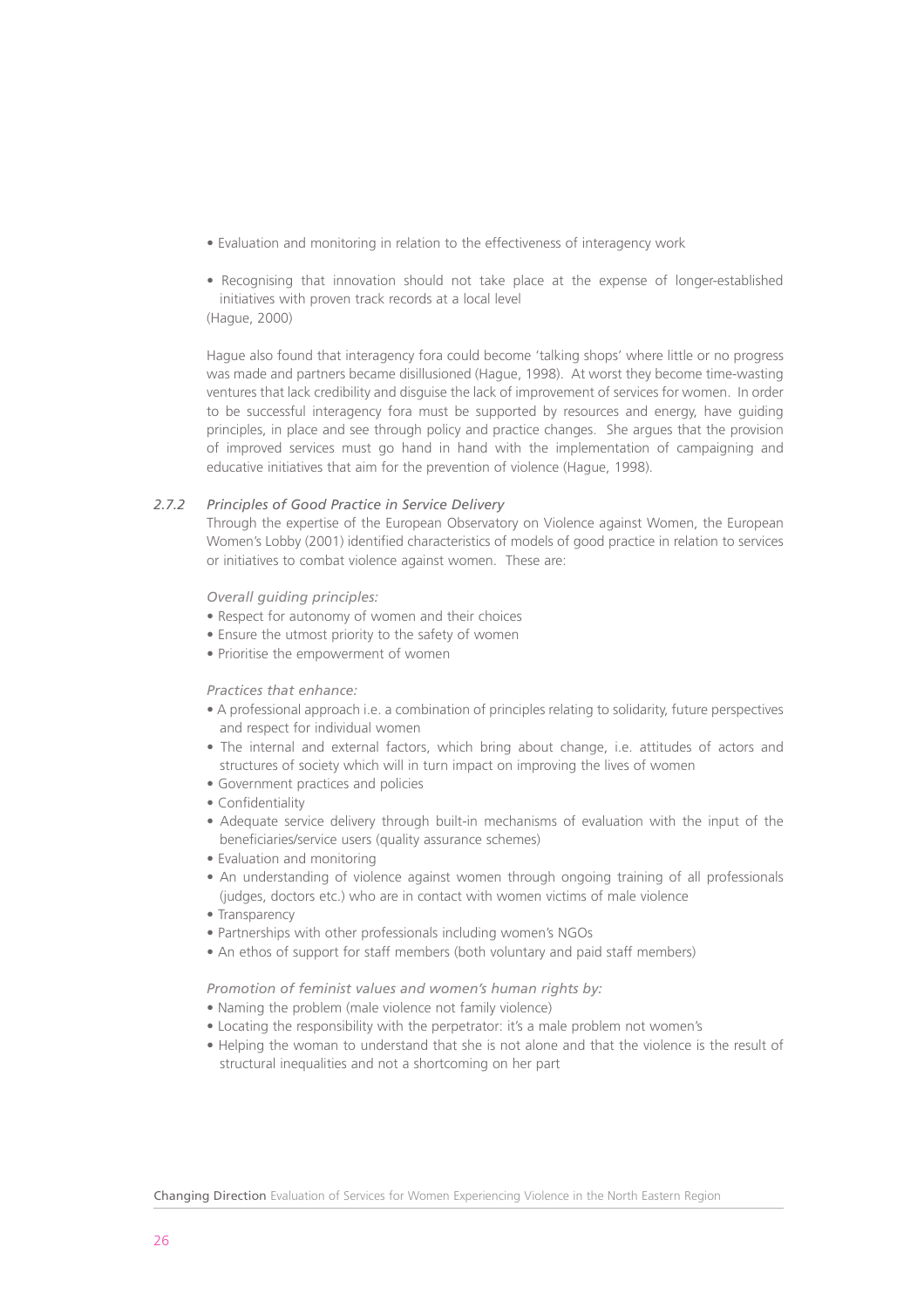- Evaluation and monitoring in relation to the effectiveness of interagency work
- Recognising that innovation should not take place at the expense of longer-established initiatives with proven track records at a local level

(Hague, 2000)

Hague also found that interagency fora could become 'talking shops' where little or no progress was made and partners became disillusioned (Hague, 1998). At worst they become time-wasting ventures that lack credibility and disguise the lack of improvement of services for women. In order to be successful interagency fora must be supported by resources and energy, have guiding principles, in place and see through policy and practice changes. She argues that the provision of improved services must go hand in hand with the implementation of campaigning and educative initiatives that aim for the prevention of violence (Hague, 1998).

#### *2.7.2 Principles of Good Practice in Service Delivery*

Through the expertise of the European Observatory on Violence against Women, the European Women's Lobby (2001) identified characteristics of models of good practice in relation to services or initiatives to combat violence against women. These are:

#### *Overall guiding principles:*

- Respect for autonomy of women and their choices
- Ensure the utmost priority to the safety of women
- Prioritise the empowerment of women

#### *Practices that enhance:*

- A professional approach i.e. a combination of principles relating to solidarity, future perspectives and respect for individual women
- The internal and external factors, which bring about change, i.e. attitudes of actors and structures of society which will in turn impact on improving the lives of women
- Government practices and policies
- Confidentiality
- Adequate service delivery through built-in mechanisms of evaluation with the input of the beneficiaries/service users (quality assurance schemes)
- Evaluation and monitoring
- An understanding of violence against women through ongoing training of all professionals (judges, doctors etc.) who are in contact with women victims of male violence
- Transparency
- Partnerships with other professionals including women's NGOs
- An ethos of support for staff members (both voluntary and paid staff members)

*Promotion of feminist values and women's human rights by:*

- Naming the problem (male violence not family violence)
- Locating the responsibility with the perpetrator: it's a male problem not women's
- Helping the woman to understand that she is not alone and that the violence is the result of structural inequalities and not a shortcoming on her part

Changing Direction Evaluation of Services for Women Experiencing Violence in the North Eastern Region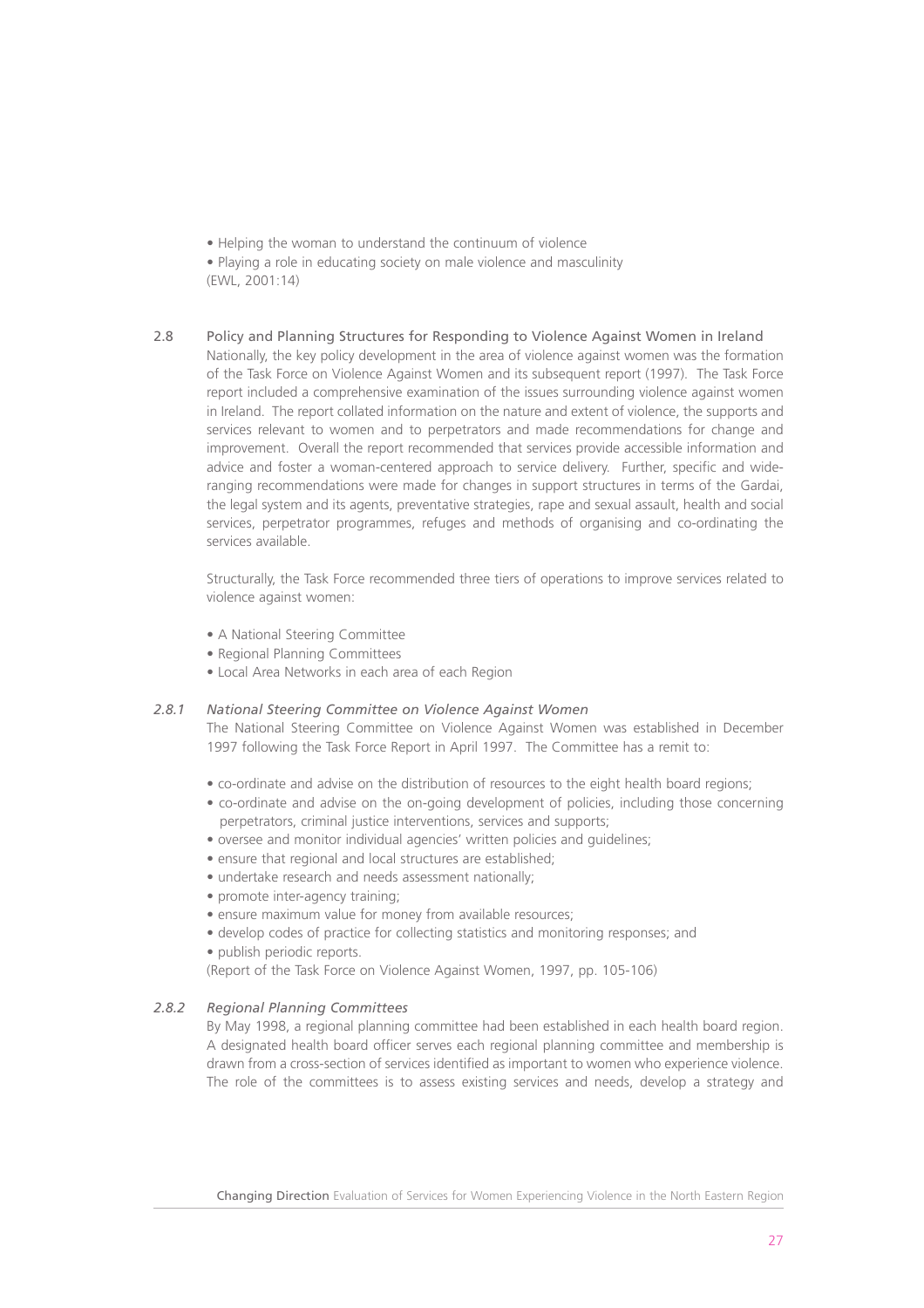• Helping the woman to understand the continuum of violence

• Playing a role in educating society on male violence and masculinity (EWL, 2001:14)

#### 2.8 Policy and Planning Structures for Responding to Violence Against Women in Ireland

Nationally, the key policy development in the area of violence against women was the formation of the Task Force on Violence Against Women and its subsequent report (1997). The Task Force report included a comprehensive examination of the issues surrounding violence against women in Ireland. The report collated information on the nature and extent of violence, the supports and services relevant to women and to perpetrators and made recommendations for change and improvement. Overall the report recommended that services provide accessible information and advice and foster a woman-centered approach to service delivery. Further, specific and wideranging recommendations were made for changes in support structures in terms of the Gardai, the legal system and its agents, preventative strategies, rape and sexual assault, health and social services, perpetrator programmes, refuges and methods of organising and co-ordinating the services available.

Structurally, the Task Force recommended three tiers of operations to improve services related to violence against women:

- A National Steering Committee
- Regional Planning Committees
- Local Area Networks in each area of each Region

#### *2.8.1 National Steering Committee on Violence Against Women*

The National Steering Committee on Violence Against Women was established in December 1997 following the Task Force Report in April 1997. The Committee has a remit to:

- co-ordinate and advise on the distribution of resources to the eight health board regions;
- co-ordinate and advise on the on-going development of policies, including those concerning perpetrators, criminal justice interventions, services and supports;
- oversee and monitor individual agencies' written policies and guidelines;
- ensure that regional and local structures are established;
- undertake research and needs assessment nationally;
- promote inter-agency training;
- ensure maximum value for money from available resources;
- develop codes of practice for collecting statistics and monitoring responses; and
- publish periodic reports.

(Report of the Task Force on Violence Against Women, 1997, pp. 105-106)

#### *2.8.2 Regional Planning Committees*

By May 1998, a regional planning committee had been established in each health board region. A designated health board officer serves each regional planning committee and membership is drawn from a cross-section of services identified as important to women who experience violence. The role of the committees is to assess existing services and needs, develop a strategy and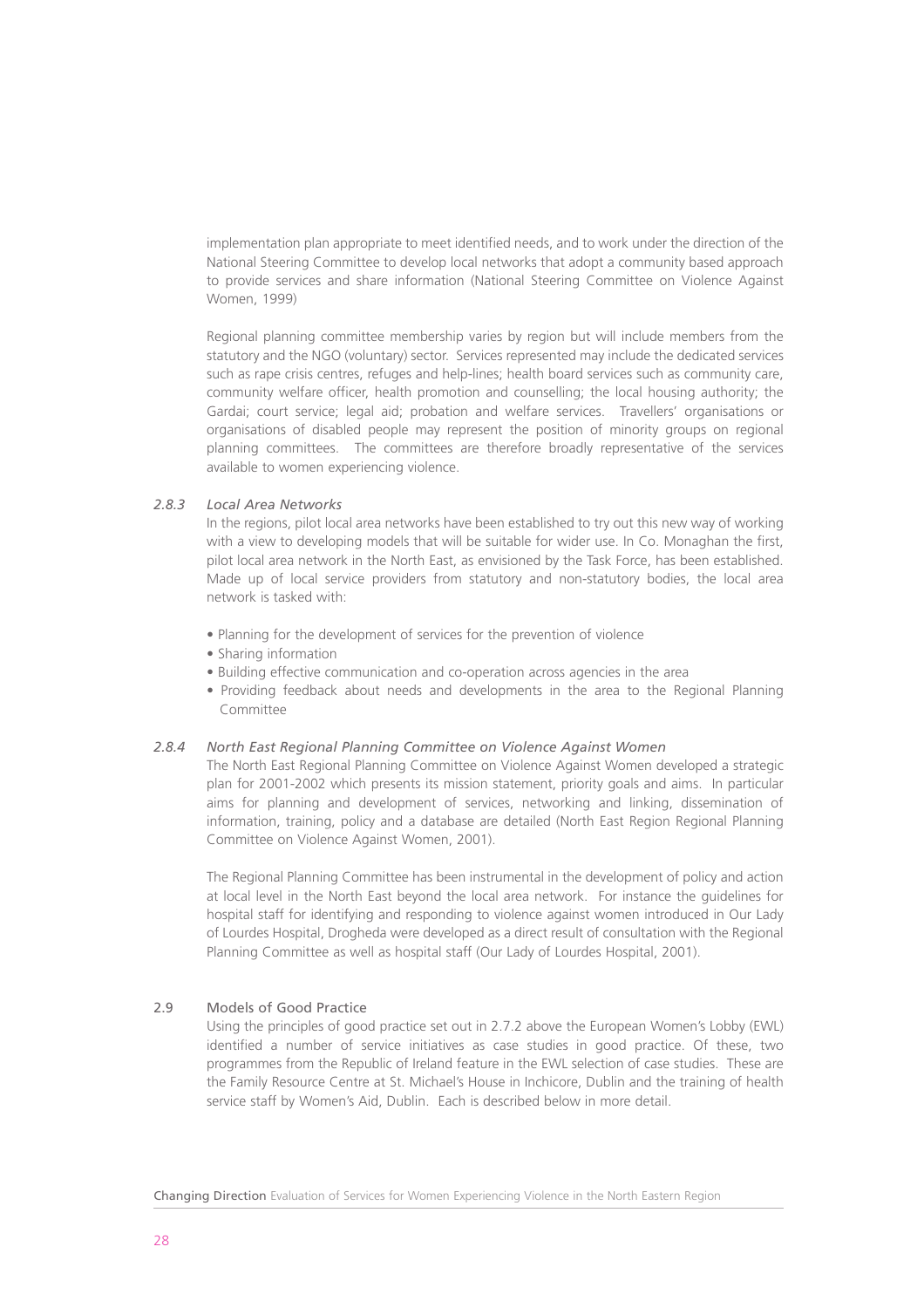implementation plan appropriate to meet identified needs, and to work under the direction of the National Steering Committee to develop local networks that adopt a community based approach to provide services and share information (National Steering Committee on Violence Against Women, 1999)

Regional planning committee membership varies by region but will include members from the statutory and the NGO (voluntary) sector. Services represented may include the dedicated services such as rape crisis centres, refuges and help-lines; health board services such as community care, community welfare officer, health promotion and counselling; the local housing authority; the Gardai; court service; legal aid; probation and welfare services. Travellers' organisations or organisations of disabled people may represent the position of minority groups on regional planning committees. The committees are therefore broadly representative of the services available to women experiencing violence.

#### *2.8.3 Local Area Networks*

In the regions, pilot local area networks have been established to try out this new way of working with a view to developing models that will be suitable for wider use. In Co. Monaghan the first, pilot local area network in the North East, as envisioned by the Task Force, has been established. Made up of local service providers from statutory and non-statutory bodies, the local area network is tasked with:

- Planning for the development of services for the prevention of violence
- Sharing information
- Building effective communication and co-operation across agencies in the area
- Providing feedback about needs and developments in the area to the Regional Planning Committee

#### *2.8.4 North East Regional Planning Committee on Violence Against Women*

The North East Regional Planning Committee on Violence Against Women developed a strategic plan for 2001-2002 which presents its mission statement, priority goals and aims. In particular aims for planning and development of services, networking and linking, dissemination of information, training, policy and a database are detailed (North East Region Regional Planning Committee on Violence Against Women, 2001).

The Regional Planning Committee has been instrumental in the development of policy and action at local level in the North East beyond the local area network. For instance the guidelines for hospital staff for identifying and responding to violence against women introduced in Our Lady of Lourdes Hospital, Drogheda were developed as a direct result of consultation with the Regional Planning Committee as well as hospital staff (Our Lady of Lourdes Hospital, 2001).

#### 2.9 Models of Good Practice

Using the principles of good practice set out in 2.7.2 above the European Women's Lobby (EWL) identified a number of service initiatives as case studies in good practice. Of these, two programmes from the Republic of Ireland feature in the EWL selection of case studies. These are the Family Resource Centre at St. Michael's House in Inchicore, Dublin and the training of health service staff by Women's Aid, Dublin. Each is described below in more detail.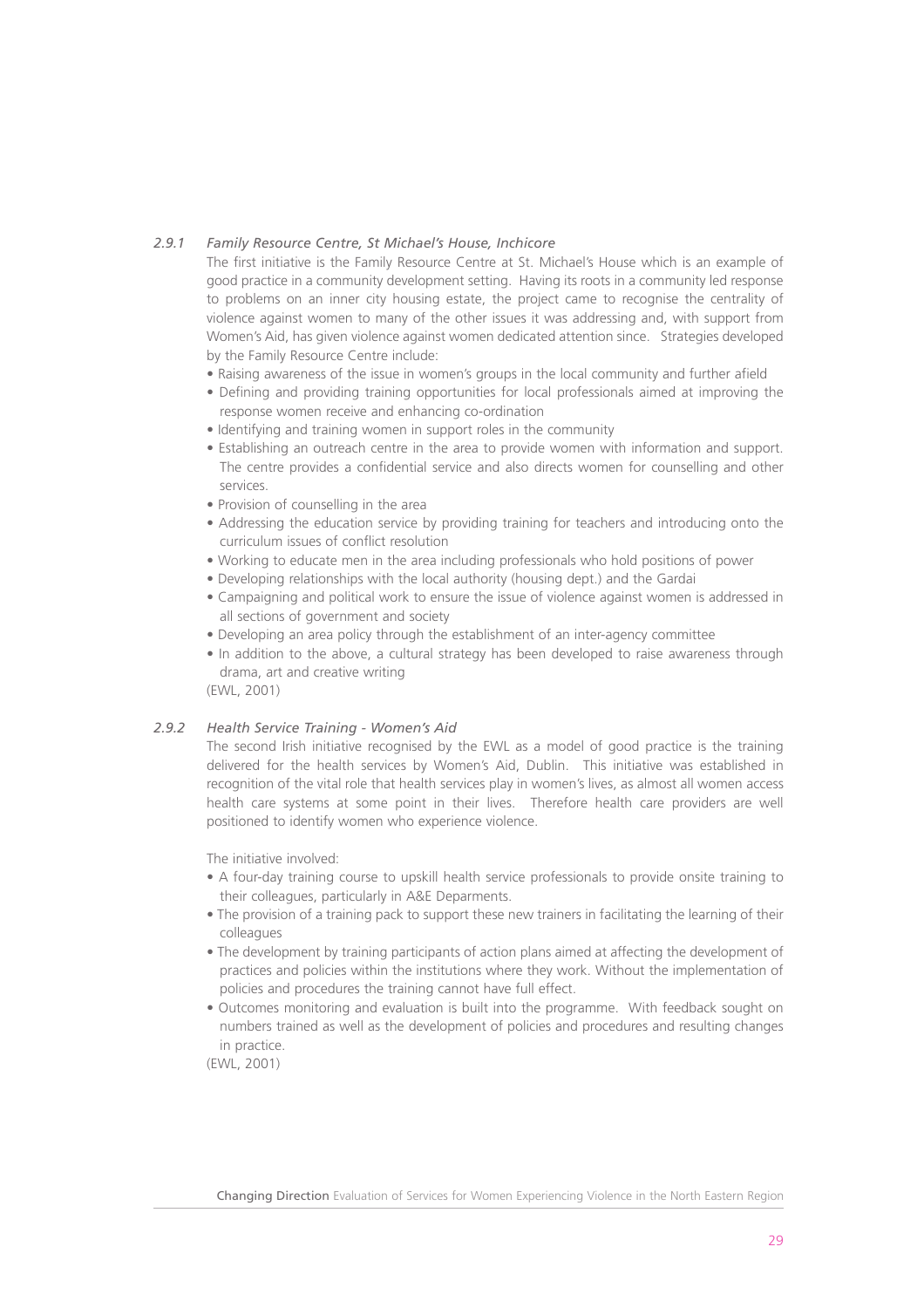#### *2.9.1 Family Resource Centre, St Michael's House, Inchicore*

The first initiative is the Family Resource Centre at St. Michael's House which is an example of good practice in a community development setting. Having its roots in a community led response to problems on an inner city housing estate, the project came to recognise the centrality of violence against women to many of the other issues it was addressing and, with support from Women's Aid, has given violence against women dedicated attention since. Strategies developed by the Family Resource Centre include:

- Raising awareness of the issue in women's groups in the local community and further afield
- Defining and providing training opportunities for local professionals aimed at improving the response women receive and enhancing co-ordination
- Identifying and training women in support roles in the community
- Establishing an outreach centre in the area to provide women with information and support. The centre provides a confidential service and also directs women for counselling and other services.
- Provision of counselling in the area
- Addressing the education service by providing training for teachers and introducing onto the curriculum issues of conflict resolution
- Working to educate men in the area including professionals who hold positions of power
- Developing relationships with the local authority (housing dept.) and the Gardai
- Campaigning and political work to ensure the issue of violence against women is addressed in all sections of government and society
- Developing an area policy through the establishment of an inter-agency committee
- In addition to the above, a cultural strategy has been developed to raise awareness through drama, art and creative writing

(EWL, 2001)

#### *2.9.2 Health Service Training - Women's Aid*

The second Irish initiative recognised by the EWL as a model of good practice is the training delivered for the health services by Women's Aid, Dublin. This initiative was established in recognition of the vital role that health services play in women's lives, as almost all women access health care systems at some point in their lives. Therefore health care providers are well positioned to identify women who experience violence.

The initiative involved:

- A four-day training course to upskill health service professionals to provide onsite training to their colleagues, particularly in A&E Deparments.
- The provision of a training pack to support these new trainers in facilitating the learning of their colleagues
- The development by training participants of action plans aimed at affecting the development of practices and policies within the institutions where they work. Without the implementation of policies and procedures the training cannot have full effect.
- Outcomes monitoring and evaluation is built into the programme. With feedback sought on numbers trained as well as the development of policies and procedures and resulting changes in practice.

(EWL, 2001)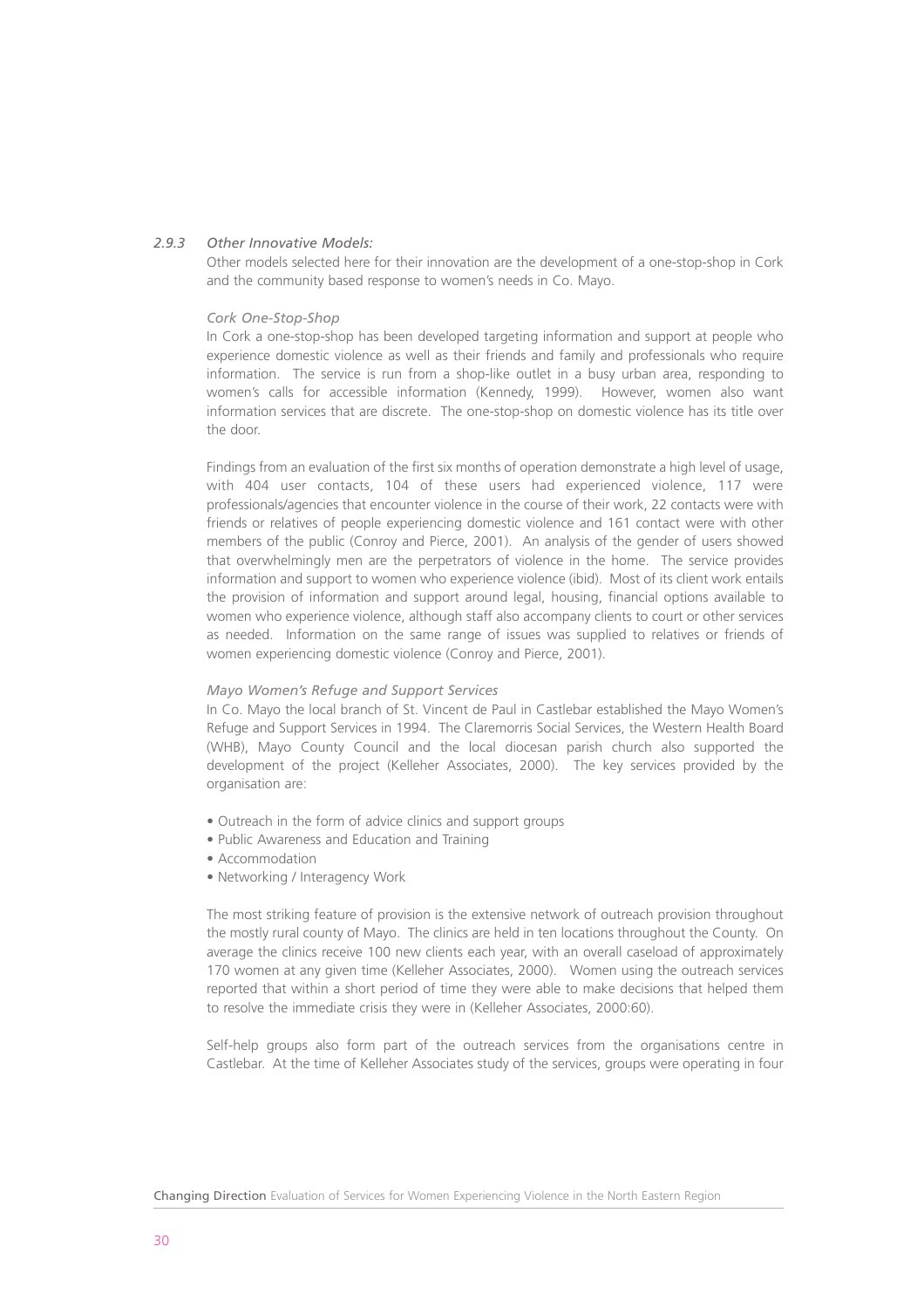#### *2.9.3 Other Innovative Models:*

Other models selected here for their innovation are the development of a one-stop-shop in Cork and the community based response to women's needs in Co. Mayo.

#### *Cork One-Stop-Shop*

In Cork a one-stop-shop has been developed targeting information and support at people who experience domestic violence as well as their friends and family and professionals who require information. The service is run from a shop-like outlet in a busy urban area, responding to women's calls for accessible information (Kennedy, 1999). However, women also want information services that are discrete. The one-stop-shop on domestic violence has its title over the door.

Findings from an evaluation of the first six months of operation demonstrate a high level of usage. with 404 user contacts, 104 of these users had experienced violence, 117 were professionals/agencies that encounter violence in the course of their work, 22 contacts were with friends or relatives of people experiencing domestic violence and 161 contact were with other members of the public (Conroy and Pierce, 2001). An analysis of the gender of users showed that overwhelmingly men are the perpetrators of violence in the home. The service provides information and support to women who experience violence (ibid). Most of its client work entails the provision of information and support around legal, housing, financial options available to women who experience violence, although staff also accompany clients to court or other services as needed. Information on the same range of issues was supplied to relatives or friends of women experiencing domestic violence (Conroy and Pierce, 2001).

#### *Mayo Women's Refuge and Support Services*

In Co. Mayo the local branch of St. Vincent de Paul in Castlebar established the Mayo Women's Refuge and Support Services in 1994. The Claremorris Social Services, the Western Health Board (WHB), Mayo County Council and the local diocesan parish church also supported the development of the project (Kelleher Associates, 2000). The key services provided by the organisation are:

- Outreach in the form of advice clinics and support groups
- Public Awareness and Education and Training
- Accommodation
- Networking / Interagency Work

The most striking feature of provision is the extensive network of outreach provision throughout the mostly rural county of Mayo. The clinics are held in ten locations throughout the County. On average the clinics receive 100 new clients each year, with an overall caseload of approximately 170 women at any given time (Kelleher Associates, 2000). Women using the outreach services reported that within a short period of time they were able to make decisions that helped them to resolve the immediate crisis they were in (Kelleher Associates, 2000:60).

Self-help groups also form part of the outreach services from the organisations centre in Castlebar. At the time of Kelleher Associates study of the services, groups were operating in four

Changing Direction Evaluation of Services for Women Experiencing Violence in the North Eastern Region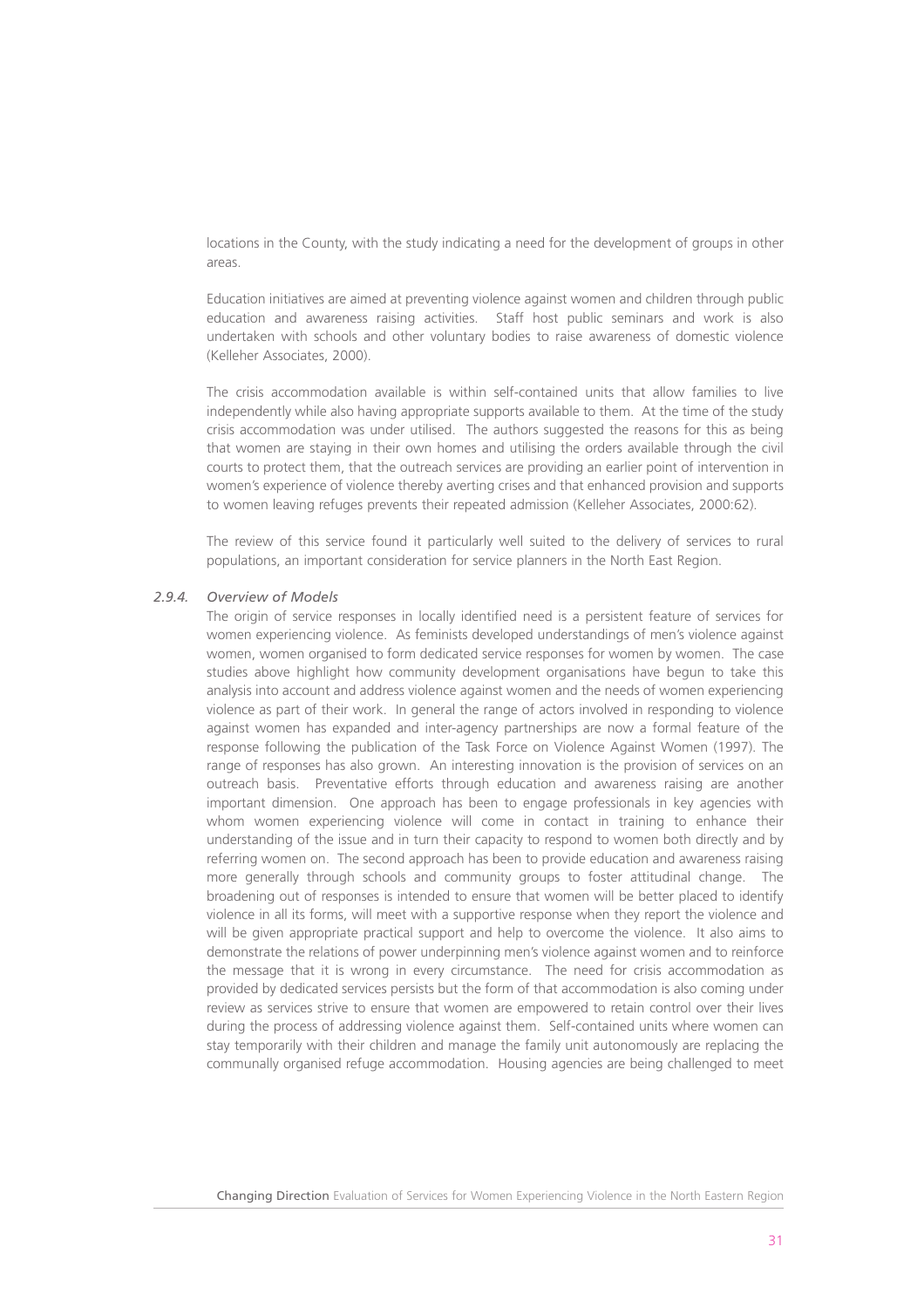locations in the County, with the study indicating a need for the development of groups in other areas.

Education initiatives are aimed at preventing violence against women and children through public education and awareness raising activities. Staff host public seminars and work is also undertaken with schools and other voluntary bodies to raise awareness of domestic violence (Kelleher Associates, 2000).

The crisis accommodation available is within self-contained units that allow families to live independently while also having appropriate supports available to them. At the time of the study crisis accommodation was under utilised. The authors suggested the reasons for this as being that women are staying in their own homes and utilising the orders available through the civil courts to protect them, that the outreach services are providing an earlier point of intervention in women's experience of violence thereby averting crises and that enhanced provision and supports to women leaving refuges prevents their repeated admission (Kelleher Associates, 2000:62).

The review of this service found it particularly well suited to the delivery of services to rural populations, an important consideration for service planners in the North East Region.

#### *2.9.4. Overview of Models*

The origin of service responses in locally identified need is a persistent feature of services for women experiencing violence. As feminists developed understandings of men's violence against women, women organised to form dedicated service responses for women by women. The case studies above highlight how community development organisations have begun to take this analysis into account and address violence against women and the needs of women experiencing violence as part of their work. In general the range of actors involved in responding to violence against women has expanded and inter-agency partnerships are now a formal feature of the response following the publication of the Task Force on Violence Against Women (1997). The range of responses has also grown. An interesting innovation is the provision of services on an outreach basis. Preventative efforts through education and awareness raising are another important dimension. One approach has been to engage professionals in key agencies with whom women experiencing violence will come in contact in training to enhance their understanding of the issue and in turn their capacity to respond to women both directly and by referring women on. The second approach has been to provide education and awareness raising more generally through schools and community groups to foster attitudinal change. The broadening out of responses is intended to ensure that women will be better placed to identify violence in all its forms, will meet with a supportive response when they report the violence and will be given appropriate practical support and help to overcome the violence. It also aims to demonstrate the relations of power underpinning men's violence against women and to reinforce the message that it is wrong in every circumstance. The need for crisis accommodation as provided by dedicated services persists but the form of that accommodation is also coming under review as services strive to ensure that women are empowered to retain control over their lives during the process of addressing violence against them. Self-contained units where women can stay temporarily with their children and manage the family unit autonomously are replacing the communally organised refuge accommodation. Housing agencies are being challenged to meet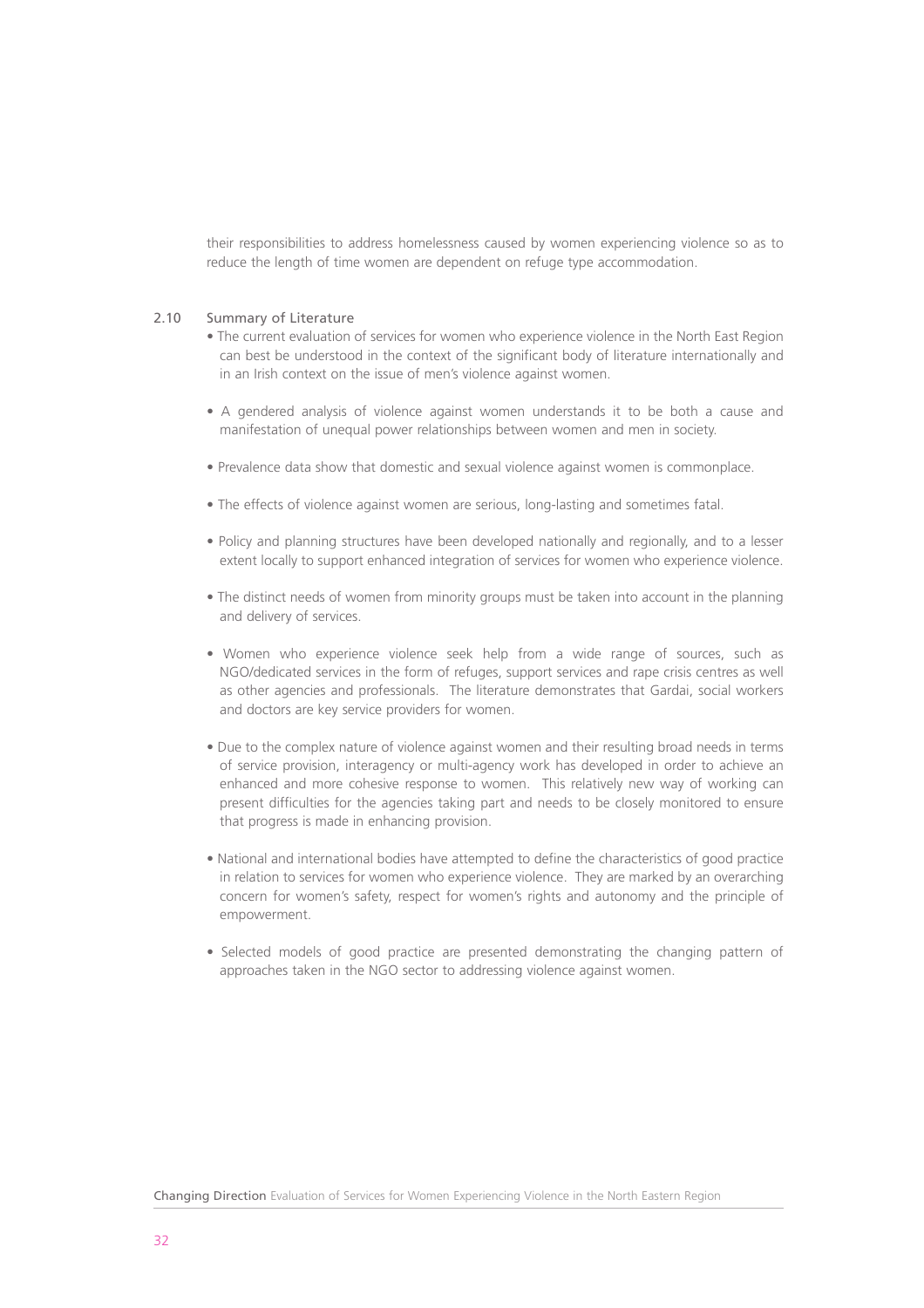their responsibilities to address homelessness caused by women experiencing violence so as to reduce the length of time women are dependent on refuge type accommodation.

#### 2.10 Summary of Literature

- The current evaluation of services for women who experience violence in the North East Region can best be understood in the context of the significant body of literature internationally and in an Irish context on the issue of men's violence against women.
- A gendered analysis of violence against women understands it to be both a cause and manifestation of unequal power relationships between women and men in society.
- Prevalence data show that domestic and sexual violence against women is commonplace.
- The effects of violence against women are serious, long-lasting and sometimes fatal.
- Policy and planning structures have been developed nationally and regionally, and to a lesser extent locally to support enhanced integration of services for women who experience violence.
- The distinct needs of women from minority groups must be taken into account in the planning and delivery of services.
- Women who experience violence seek help from a wide range of sources, such as NGO/dedicated services in the form of refuges, support services and rape crisis centres as well as other agencies and professionals. The literature demonstrates that Gardai, social workers and doctors are key service providers for women.
- Due to the complex nature of violence against women and their resulting broad needs in terms of service provision, interagency or multi-agency work has developed in order to achieve an enhanced and more cohesive response to women. This relatively new way of working can present difficulties for the agencies taking part and needs to be closely monitored to ensure that progress is made in enhancing provision.
- National and international bodies have attempted to define the characteristics of good practice in relation to services for women who experience violence. They are marked by an overarching concern for women's safety, respect for women's rights and autonomy and the principle of empowerment.
- Selected models of good practice are presented demonstrating the changing pattern of approaches taken in the NGO sector to addressing violence against women.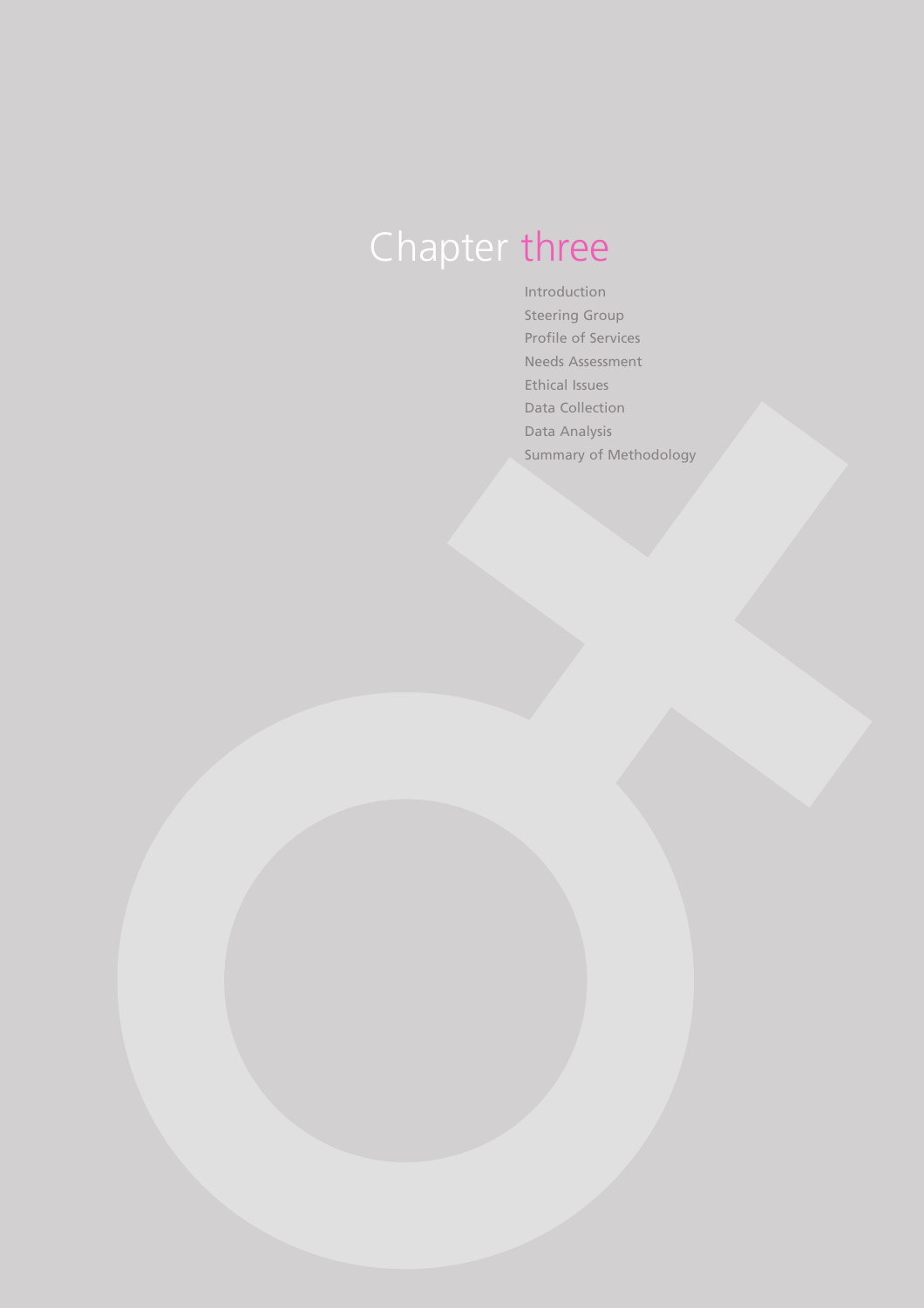## Chapter three

Introduction Steering Group Profile of Services Needs Assessment Ethical Issues Data Collection Data Analysis Summary of Methodology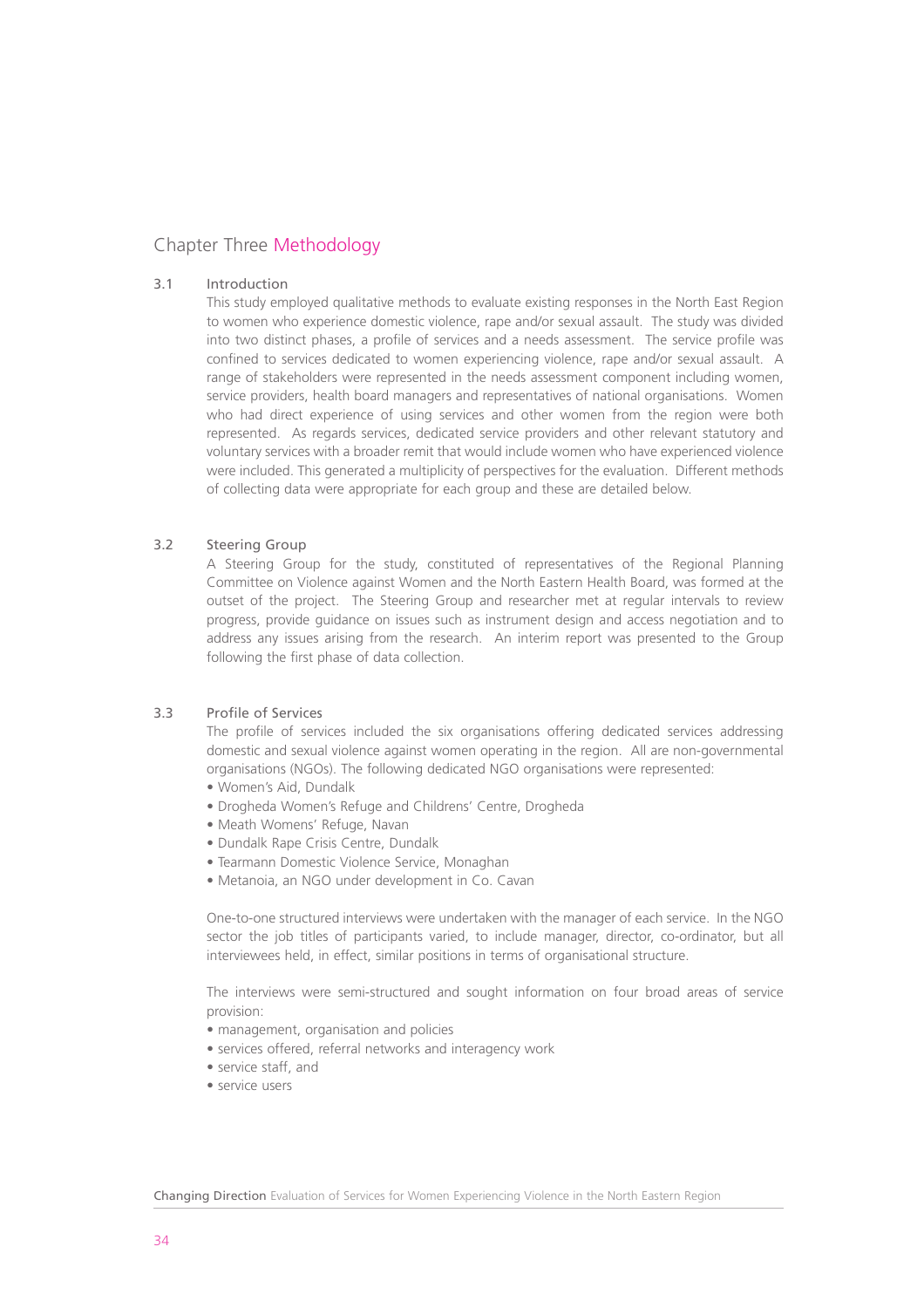#### Chapter Three Methodology

#### 3.1 Introduction

This study employed qualitative methods to evaluate existing responses in the North East Region to women who experience domestic violence, rape and/or sexual assault. The study was divided into two distinct phases, a profile of services and a needs assessment. The service profile was confined to services dedicated to women experiencing violence, rape and/or sexual assault. A range of stakeholders were represented in the needs assessment component including women, service providers, health board managers and representatives of national organisations. Women who had direct experience of using services and other women from the region were both represented. As regards services, dedicated service providers and other relevant statutory and voluntary services with a broader remit that would include women who have experienced violence were included. This generated a multiplicity of perspectives for the evaluation. Different methods of collecting data were appropriate for each group and these are detailed below.

#### 3.2 Steering Group

A Steering Group for the study, constituted of representatives of the Regional Planning Committee on Violence against Women and the North Eastern Health Board, was formed at the outset of the project. The Steering Group and researcher met at regular intervals to review progress, provide guidance on issues such as instrument design and access negotiation and to address any issues arising from the research. An interim report was presented to the Group following the first phase of data collection.

#### 3.3 Profile of Services

The profile of services included the six organisations offering dedicated services addressing domestic and sexual violence against women operating in the region. All are non-governmental organisations (NGOs). The following dedicated NGO organisations were represented:

- Women's Aid, Dundalk
- Drogheda Women's Refuge and Childrens' Centre, Drogheda
- Meath Womens' Refuge, Navan
- Dundalk Rape Crisis Centre, Dundalk
- Tearmann Domestic Violence Service, Monaghan
- Metanoia, an NGO under development in Co. Cavan

One-to-one structured interviews were undertaken with the manager of each service. In the NGO sector the job titles of participants varied, to include manager, director, co-ordinator, but all interviewees held, in effect, similar positions in terms of organisational structure.

The interviews were semi-structured and sought information on four broad areas of service provision:

- management, organisation and policies
- services offered, referral networks and interagency work
- service staff, and
- service users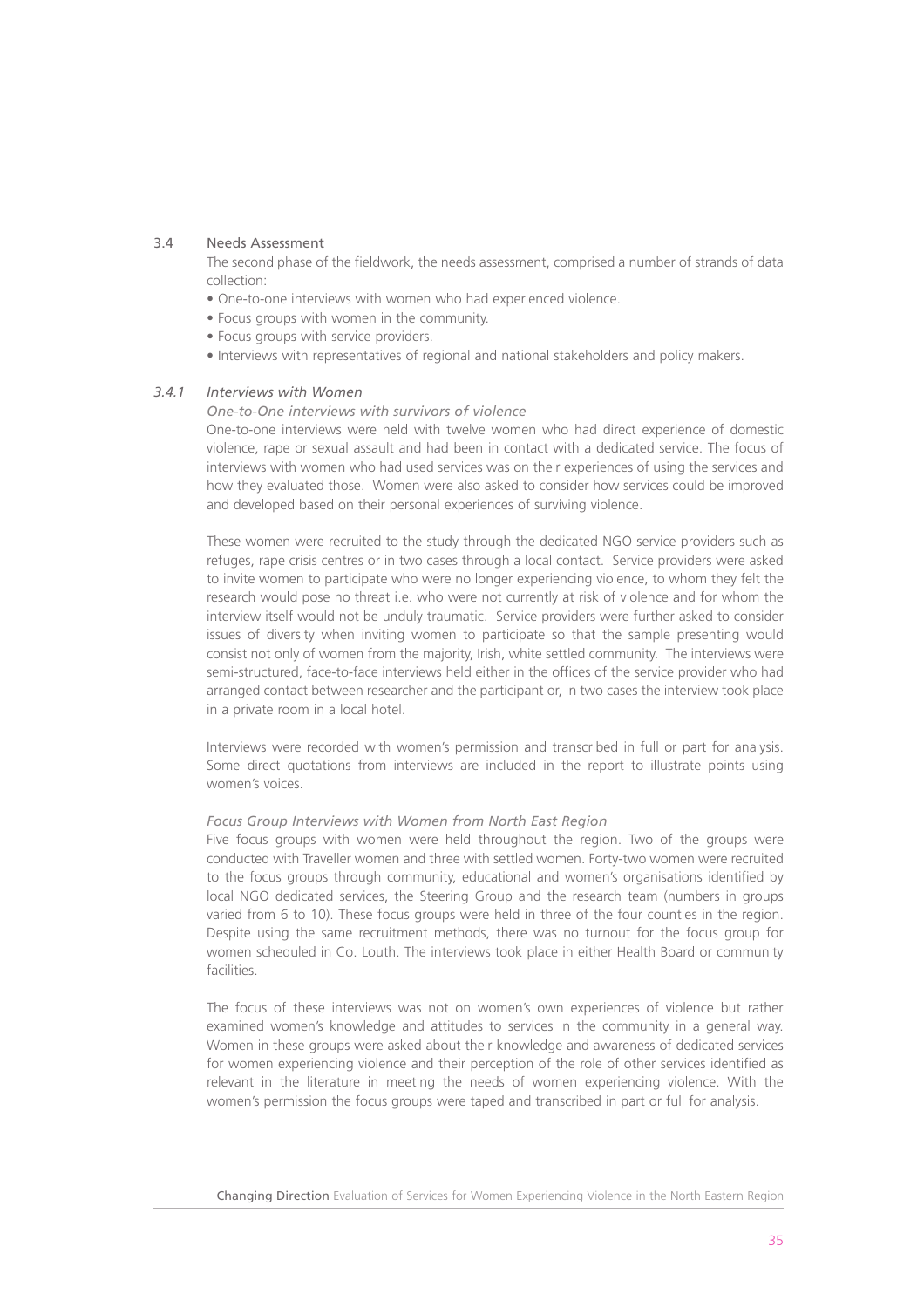#### 3.4 Needs Assessment

The second phase of the fieldwork, the needs assessment, comprised a number of strands of data collection:

- One-to-one interviews with women who had experienced violence.
- Focus groups with women in the community.
- Focus groups with service providers
- Interviews with representatives of regional and national stakeholders and policy makers.

#### *3.4.1 Interviews with Women*

#### *One-to-One interviews with survivors of violence*

One-to-one interviews were held with twelve women who had direct experience of domestic violence, rape or sexual assault and had been in contact with a dedicated service. The focus of interviews with women who had used services was on their experiences of using the services and how they evaluated those. Women were also asked to consider how services could be improved and developed based on their personal experiences of surviving violence.

These women were recruited to the study through the dedicated NGO service providers such as refuges, rape crisis centres or in two cases through a local contact. Service providers were asked to invite women to participate who were no longer experiencing violence, to whom they felt the research would pose no threat i.e. who were not currently at risk of violence and for whom the interview itself would not be unduly traumatic. Service providers were further asked to consider issues of diversity when inviting women to participate so that the sample presenting would consist not only of women from the majority, Irish, white settled community. The interviews were semi-structured, face-to-face interviews held either in the offices of the service provider who had arranged contact between researcher and the participant or, in two cases the interview took place in a private room in a local hotel.

Interviews were recorded with women's permission and transcribed in full or part for analysis. Some direct quotations from interviews are included in the report to illustrate points using women's voices.

#### *Focus Group Interviews with Women from North East Region*

Five focus groups with women were held throughout the region. Two of the groups were conducted with Traveller women and three with settled women. Forty-two women were recruited to the focus groups through community, educational and women's organisations identified by local NGO dedicated services, the Steering Group and the research team (numbers in groups varied from 6 to 10). These focus groups were held in three of the four counties in the region. Despite using the same recruitment methods, there was no turnout for the focus group for women scheduled in Co. Louth. The interviews took place in either Health Board or community facilities.

The focus of these interviews was not on women's own experiences of violence but rather examined women's knowledge and attitudes to services in the community in a general way. Women in these groups were asked about their knowledge and awareness of dedicated services for women experiencing violence and their perception of the role of other services identified as relevant in the literature in meeting the needs of women experiencing violence. With the women's permission the focus groups were taped and transcribed in part or full for analysis.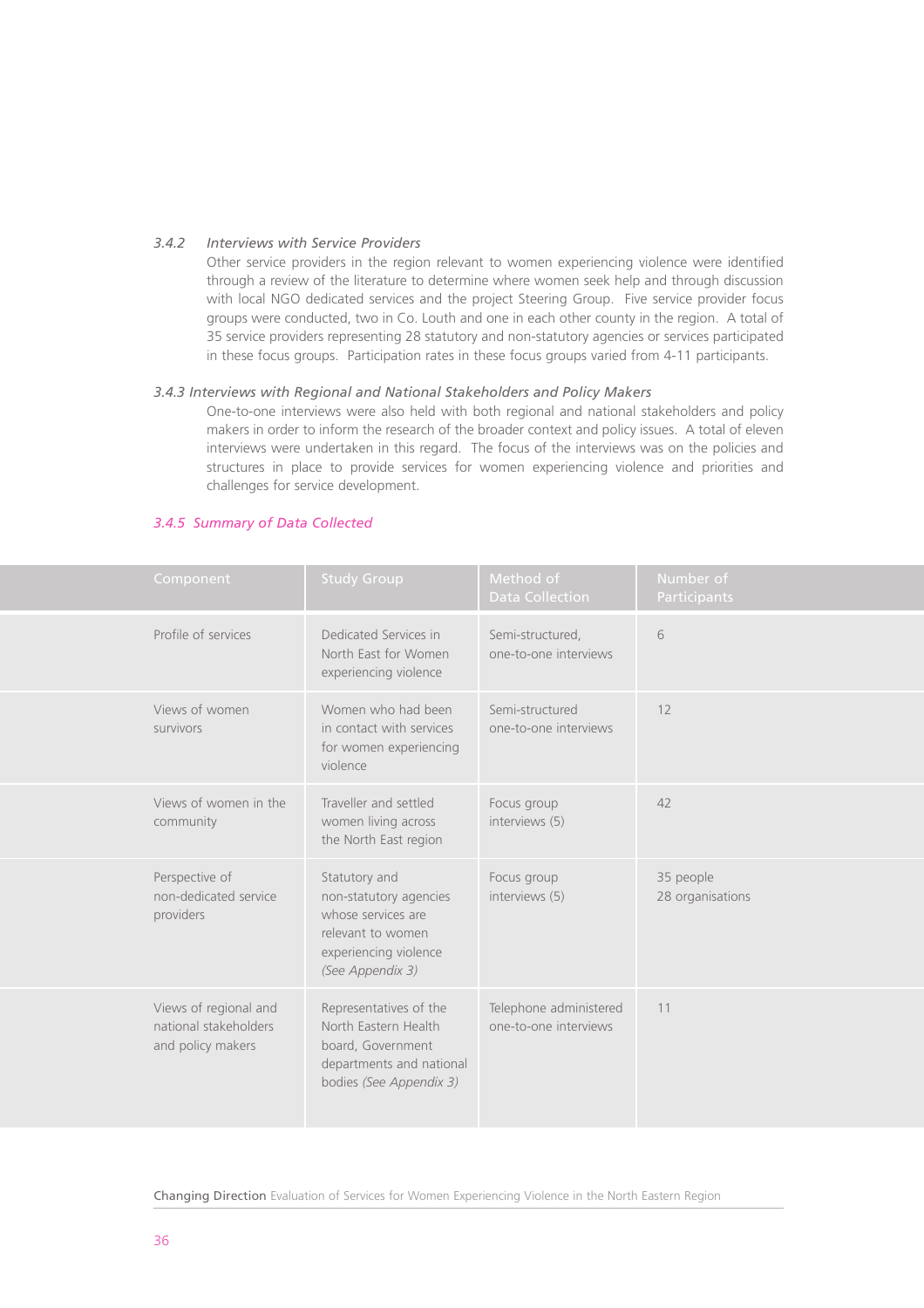#### *3.4.2 Interviews with Service Providers*

Other service providers in the region relevant to women experiencing violence were identified through a review of the literature to determine where women seek help and through discussion with local NGO dedicated services and the project Steering Group. Five service provider focus groups were conducted, two in Co. Louth and one in each other county in the region. A total of 35 service providers representing 28 statutory and non-statutory agencies or services participated in these focus groups. Participation rates in these focus groups varied from 4-11 participants.

#### *3.4.3 Interviews with Regional and National Stakeholders and Policy Makers*

One-to-one interviews were also held with both regional and national stakeholders and policy makers in order to inform the research of the broader context and policy issues. A total of eleven interviews were undertaken in this regard. The focus of the interviews was on the policies and structures in place to provide services for women experiencing violence and priorities and challenges for service development.

# *3.4.5 Summary of Data Collected*

| Component                                                           | <b>Study Group</b>                                                                                                              | Method of<br><b>Data Collection</b>             | Number of<br>Participants     |
|---------------------------------------------------------------------|---------------------------------------------------------------------------------------------------------------------------------|-------------------------------------------------|-------------------------------|
| Profile of services                                                 | Dedicated Services in<br>North East for Women<br>experiencing violence                                                          | Semi-structured,<br>one-to-one interviews       | 6                             |
| Views of women<br>survivors                                         | Women who had been<br>in contact with services<br>for women experiencing<br>violence                                            | Semi-structured<br>one-to-one interviews        | 12                            |
| Views of women in the<br>community                                  | Traveller and settled<br>women living across<br>the North East region                                                           | Focus group<br>interviews (5)                   | 42                            |
| Perspective of<br>non-dedicated service<br>providers                | Statutory and<br>non-statutory agencies<br>whose services are<br>relevant to women<br>experiencing violence<br>(See Appendix 3) | Focus group<br>interviews (5)                   | 35 people<br>28 organisations |
| Views of regional and<br>national stakeholders<br>and policy makers | Representatives of the<br>North Eastern Health<br>board, Government<br>departments and national<br>bodies (See Appendix 3)      | Telephone administered<br>one-to-one interviews | 11                            |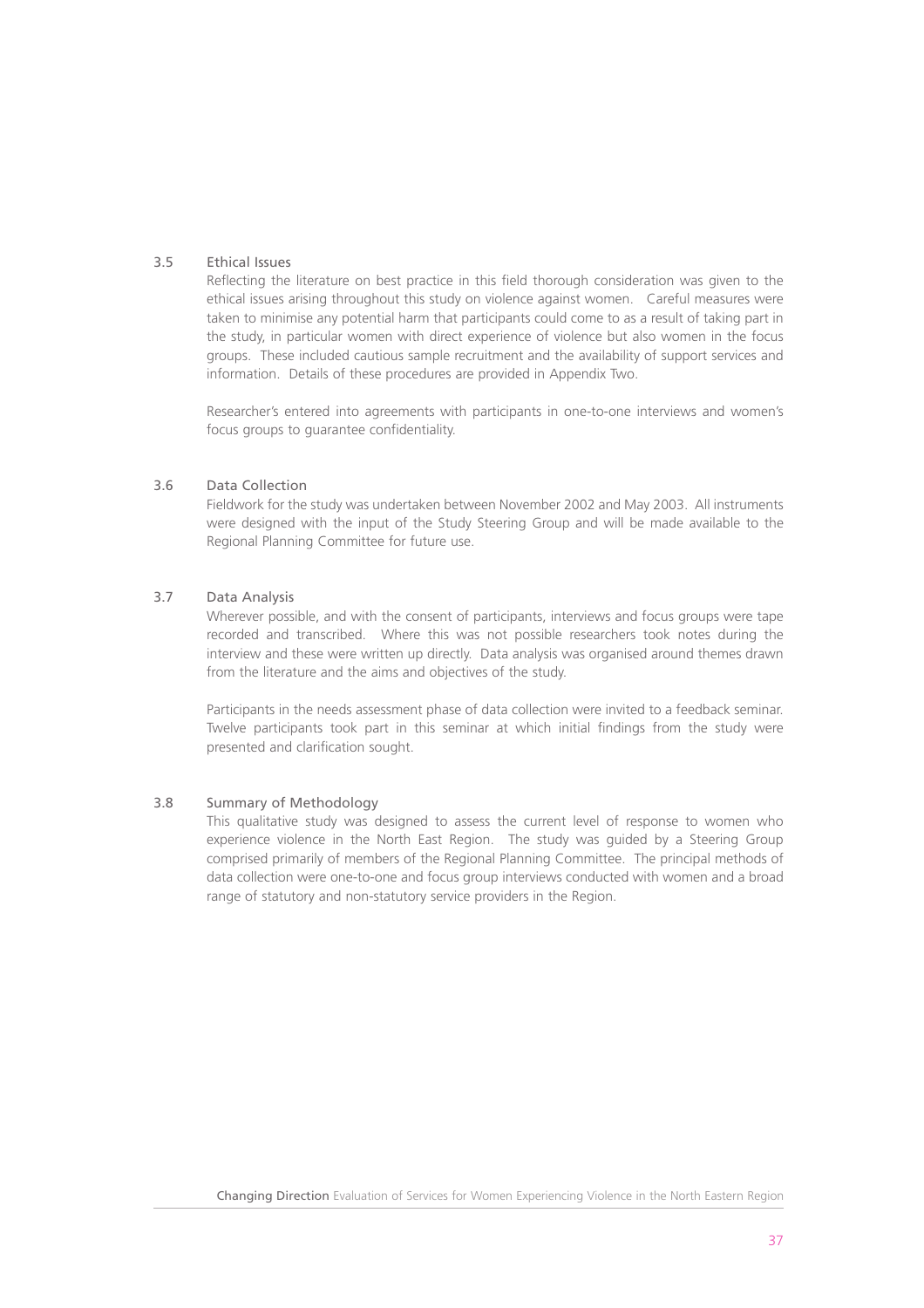# 3.5 Ethical Issues

Reflecting the literature on best practice in this field thorough consideration was given to the ethical issues arising throughout this study on violence against women. Careful measures were taken to minimise any potential harm that participants could come to as a result of taking part in the study, in particular women with direct experience of violence but also women in the focus groups. These included cautious sample recruitment and the availability of support services and information. Details of these procedures are provided in Appendix Two.

Researcher's entered into agreements with participants in one-to-one interviews and women's focus groups to guarantee confidentiality.

# 3.6 Data Collection

Fieldwork for the study was undertaken between November 2002 and May 2003. All instruments were designed with the input of the Study Steering Group and will be made available to the Regional Planning Committee for future use.

# 3.7 Data Analysis

Wherever possible, and with the consent of participants, interviews and focus groups were tape recorded and transcribed. Where this was not possible researchers took notes during the interview and these were written up directly. Data analysis was organised around themes drawn from the literature and the aims and objectives of the study.

Participants in the needs assessment phase of data collection were invited to a feedback seminar. Twelve participants took part in this seminar at which initial findings from the study were presented and clarification sought.

# 3.8 Summary of Methodology

This qualitative study was designed to assess the current level of response to women who experience violence in the North East Region. The study was guided by a Steering Group comprised primarily of members of the Regional Planning Committee. The principal methods of data collection were one-to-one and focus group interviews conducted with women and a broad range of statutory and non-statutory service providers in the Region.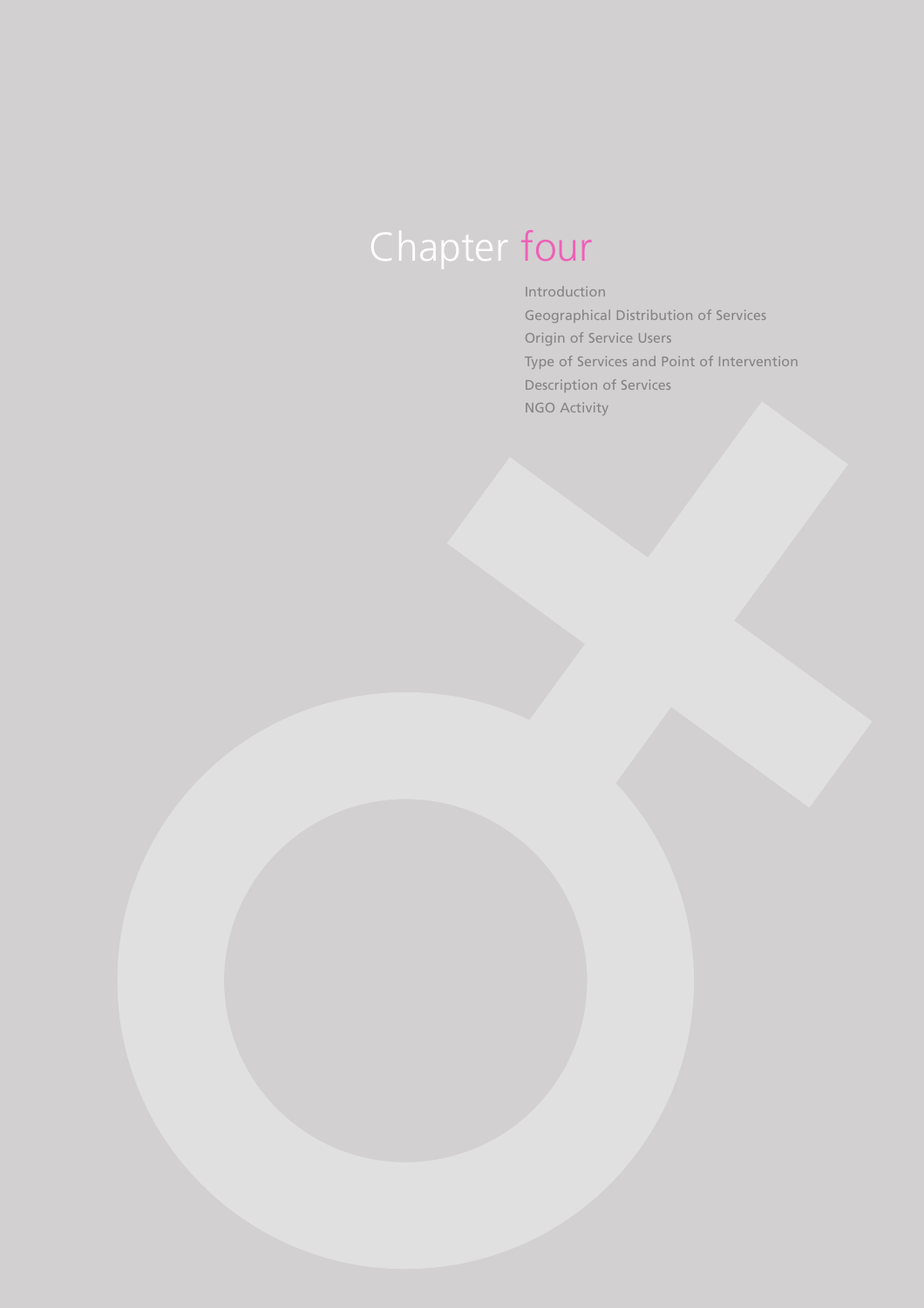# Chapter four

Introduction Geographical Distribution of Services Origin of Service Users Type of Services and Point of Intervention Description of Services NGO Activity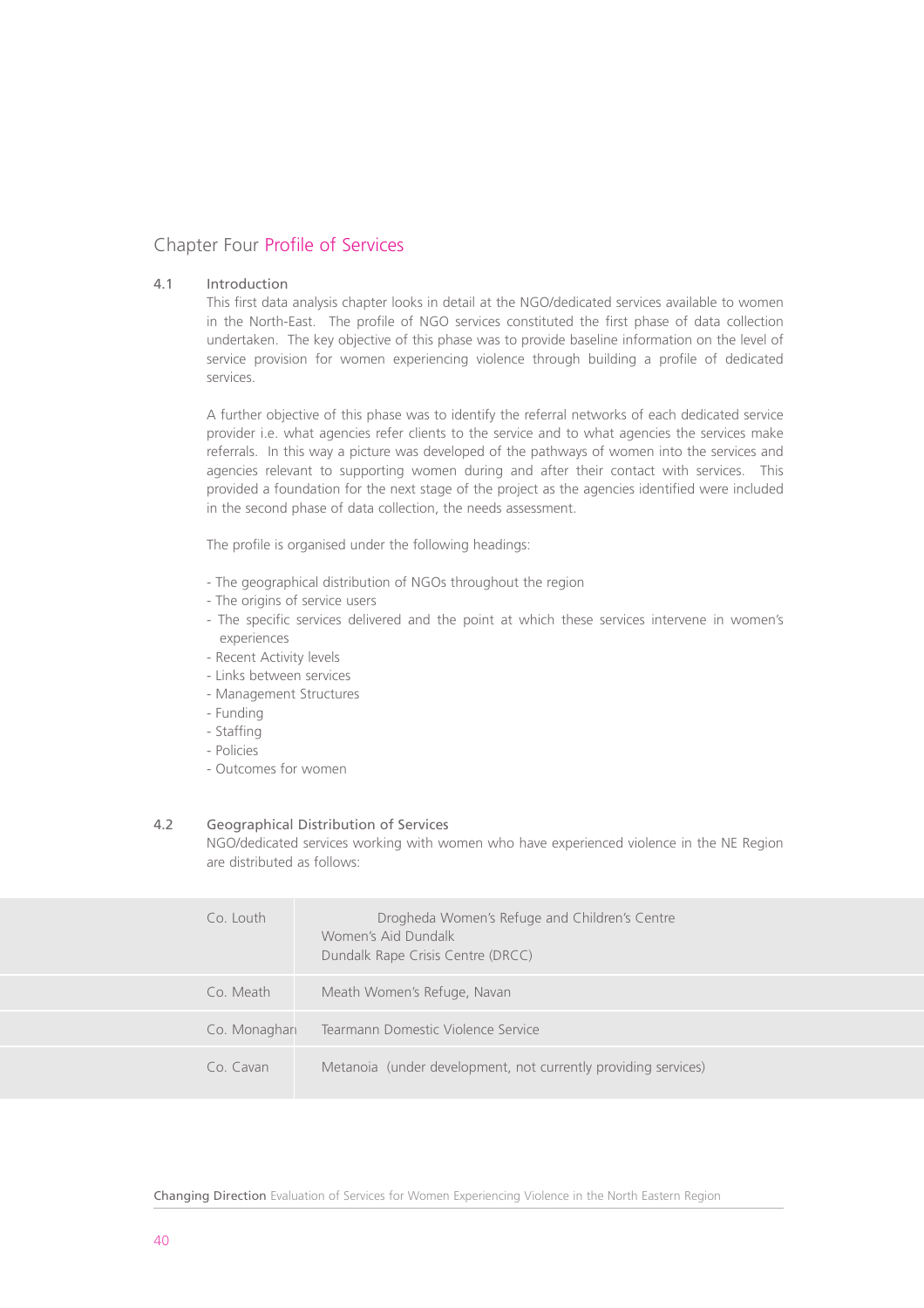# Chapter Four Profile of Services

#### 4.1 Introduction

This first data analysis chapter looks in detail at the NGO/dedicated services available to women in the North-East. The profile of NGO services constituted the first phase of data collection undertaken. The key objective of this phase was to provide baseline information on the level of service provision for women experiencing violence through building a profile of dedicated services.

A further objective of this phase was to identify the referral networks of each dedicated service provider i.e. what agencies refer clients to the service and to what agencies the services make referrals. In this way a picture was developed of the pathways of women into the services and agencies relevant to supporting women during and after their contact with services. This provided a foundation for the next stage of the project as the agencies identified were included in the second phase of data collection, the needs assessment.

The profile is organised under the following headings:

- The geographical distribution of NGOs throughout the region
- The origins of service users
- The specific services delivered and the point at which these services intervene in women's experiences
- Recent Activity levels
- Links between services
- Management Structures
- Funding
- Staffing
- Policies
- Outcomes for women

#### 4.2 Geographical Distribution of Services

NGO/dedicated services working with women who have experienced violence in the NE Region are distributed as follows:

| $Co$ I outh  | Drogheda Women's Refuge and Children's Centre<br>Women's Aid Dundalk<br>Dundalk Rape Crisis Centre (DRCC) |
|--------------|-----------------------------------------------------------------------------------------------------------|
| Co. Meath    | Meath Women's Refuge, Navan                                                                               |
| Co. Monaghan | Tearmann Domestic Violence Service                                                                        |
| Co Cavan     | Metanoia (under development, not currently providing services)                                            |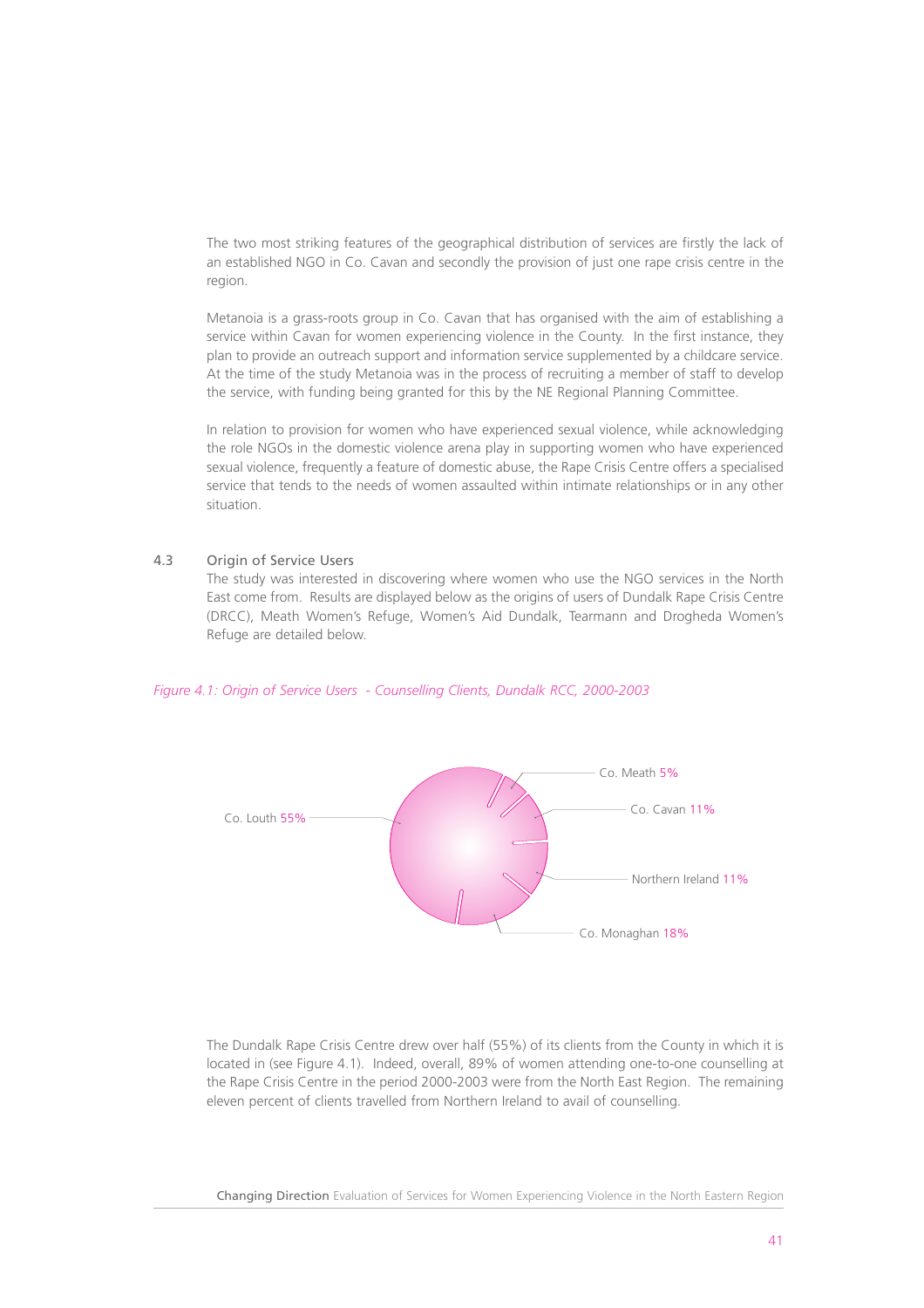The two most striking features of the geographical distribution of services are firstly the lack of an established NGO in Co. Cavan and secondly the provision of just one rape crisis centre in the region.

Metanoia is a grass-roots group in Co. Cavan that has organised with the aim of establishing a service within Cavan for women experiencing violence in the County. In the first instance, they plan to provide an outreach support and information service supplemented by a childcare service. At the time of the study Metanoia was in the process of recruiting a member of staff to develop the service, with funding being granted for this by the NE Regional Planning Committee.

In relation to provision for women who have experienced sexual violence, while acknowledging the role NGOs in the domestic violence arena play in supporting women who have experienced sexual violence, frequently a feature of domestic abuse, the Rape Crisis Centre offers a specialised service that tends to the needs of women assaulted within intimate relationships or in any other situation.

#### 4.3 Origin of Service Users

The study was interested in discovering where women who use the NGO services in the North East come from. Results are displayed below as the origins of users of Dundalk Rape Crisis Centre (DRCC), Meath Women's Refuge, Women's Aid Dundalk, Tearmann and Drogheda Women's Refuge are detailed below.



#### *Figure 4.1: Origin of Service Users - Counselling Clients, Dundalk RCC, 2000-2003*

The Dundalk Rape Crisis Centre drew over half (55%) of its clients from the County in which it is located in (see Figure 4.1). Indeed, overall, 89% of women attending one-to-one counselling at the Rape Crisis Centre in the period 2000-2003 were from the North East Region. The remaining eleven percent of clients travelled from Northern Ireland to avail of counselling.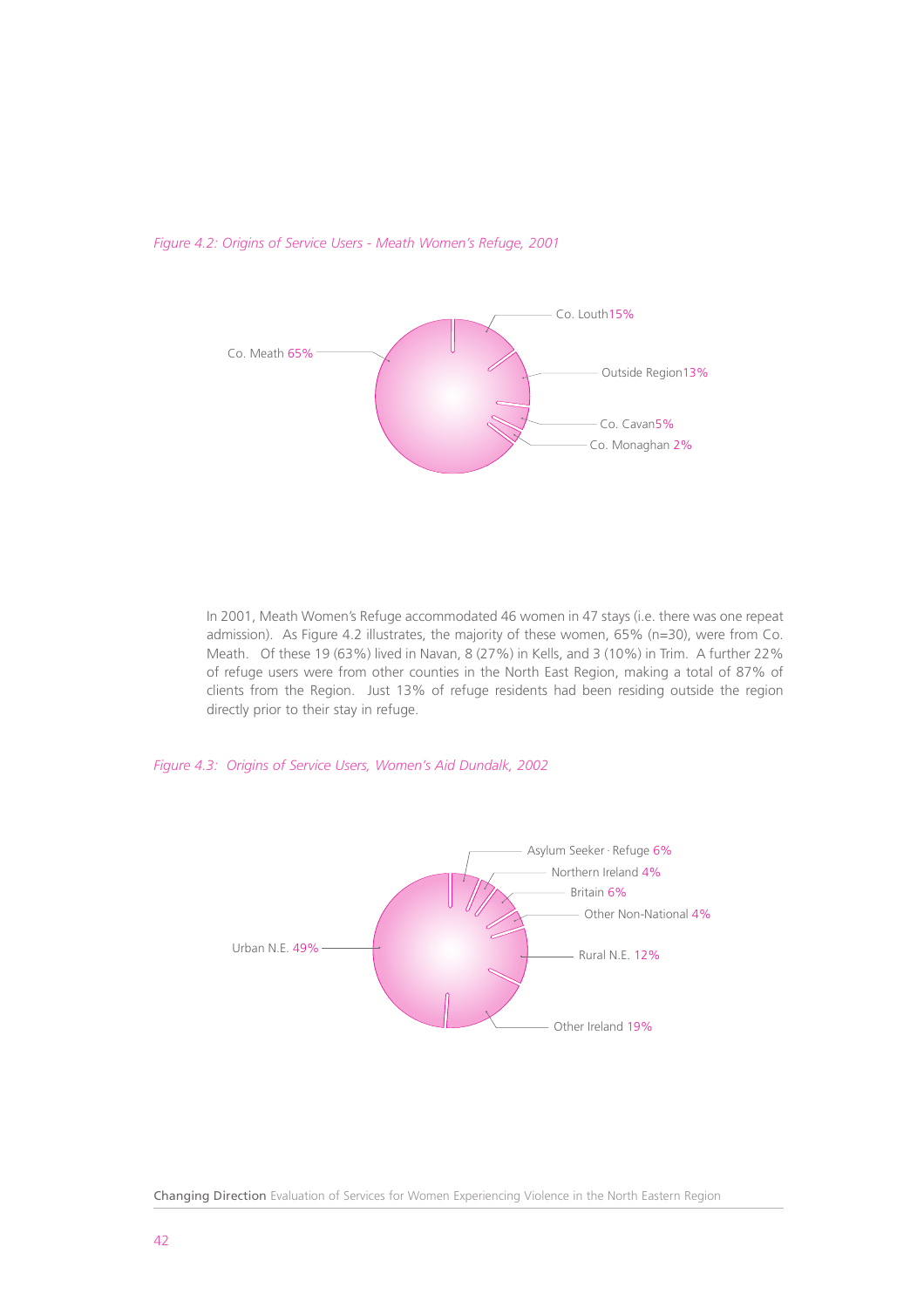

*Figure 4.2: Origins of Service Users - Meath Women's Refuge, 2001*

In 2001, Meath Women's Refuge accommodated 46 women in 47 stays (i.e. there was one repeat admission). As Figure 4.2 illustrates, the majority of these women, 65% (n=30), were from Co. Meath. Of these 19 (63%) lived in Navan, 8 (27%) in Kells, and 3 (10%) in Trim. A further 22% of refuge users were from other counties in the North East Region, making a total of 87% of clients from the Region. Just 13% of refuge residents had been residing outside the region directly prior to their stay in refuge.

*Figure 4.3: Origins of Service Users, Women's Aid Dundalk, 2002* 



Changing Direction Evaluation of Services for Women Experiencing Violence in the North Eastern Region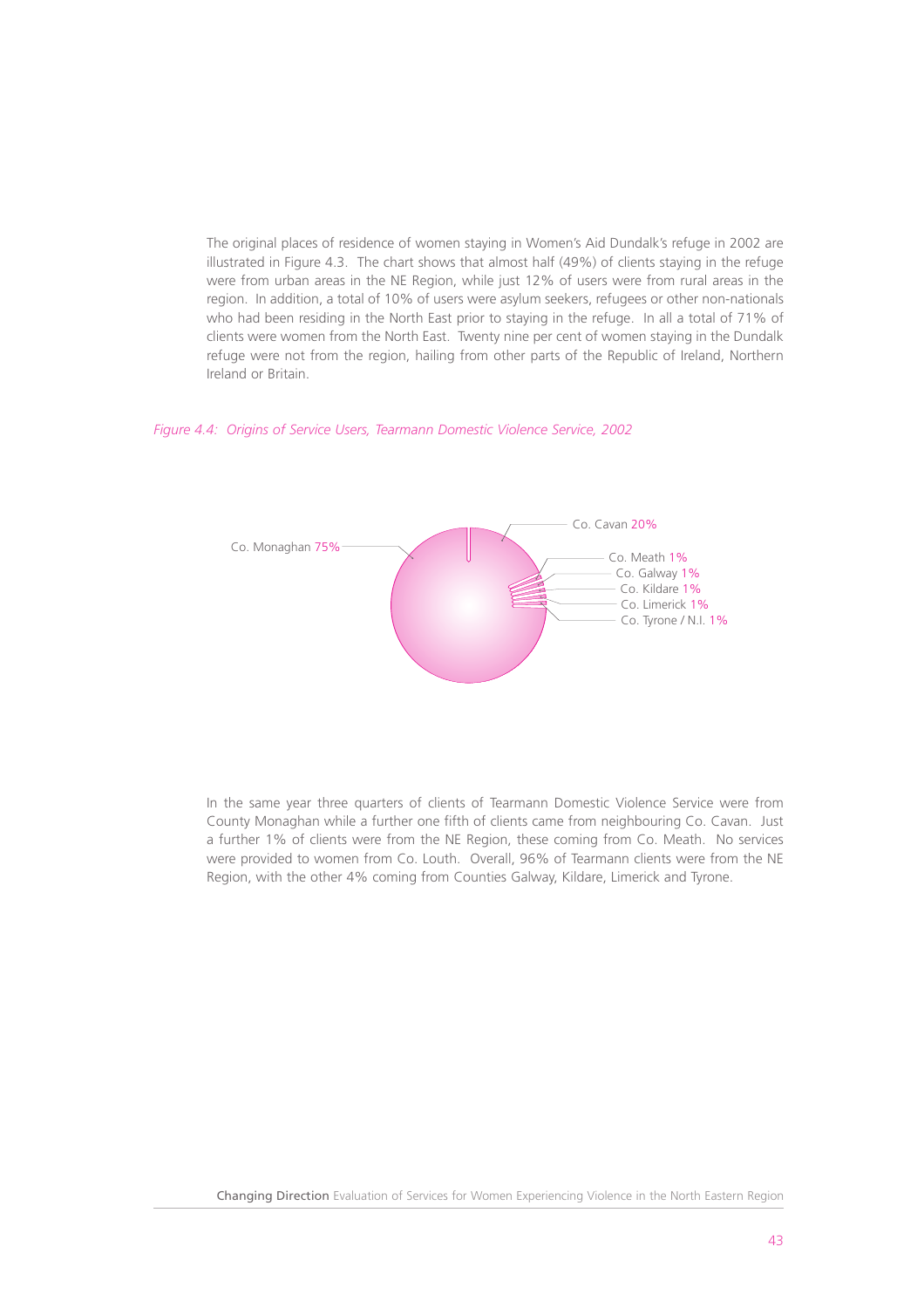The original places of residence of women staying in Women's Aid Dundalk's refuge in 2002 are illustrated in Figure 4.3. The chart shows that almost half (49%) of clients staying in the refuge were from urban areas in the NE Region, while just 12% of users were from rural areas in the region. In addition, a total of 10% of users were asylum seekers, refugees or other non-nationals who had been residing in the North East prior to staying in the refuge. In all a total of 71% of clients were women from the North East. Twenty nine per cent of women staying in the Dundalk refuge were not from the region, hailing from other parts of the Republic of Ireland, Northern Ireland or Britain.

#### *Figure 4.4: Origins of Service Users, Tearmann Domestic Violence Service, 2002*



In the same year three quarters of clients of Tearmann Domestic Violence Service were from County Monaghan while a further one fifth of clients came from neighbouring Co. Cavan. Just a further 1% of clients were from the NE Region, these coming from Co. Meath. No services were provided to women from Co. Louth. Overall, 96% of Tearmann clients were from the NE Region, with the other 4% coming from Counties Galway, Kildare, Limerick and Tyrone.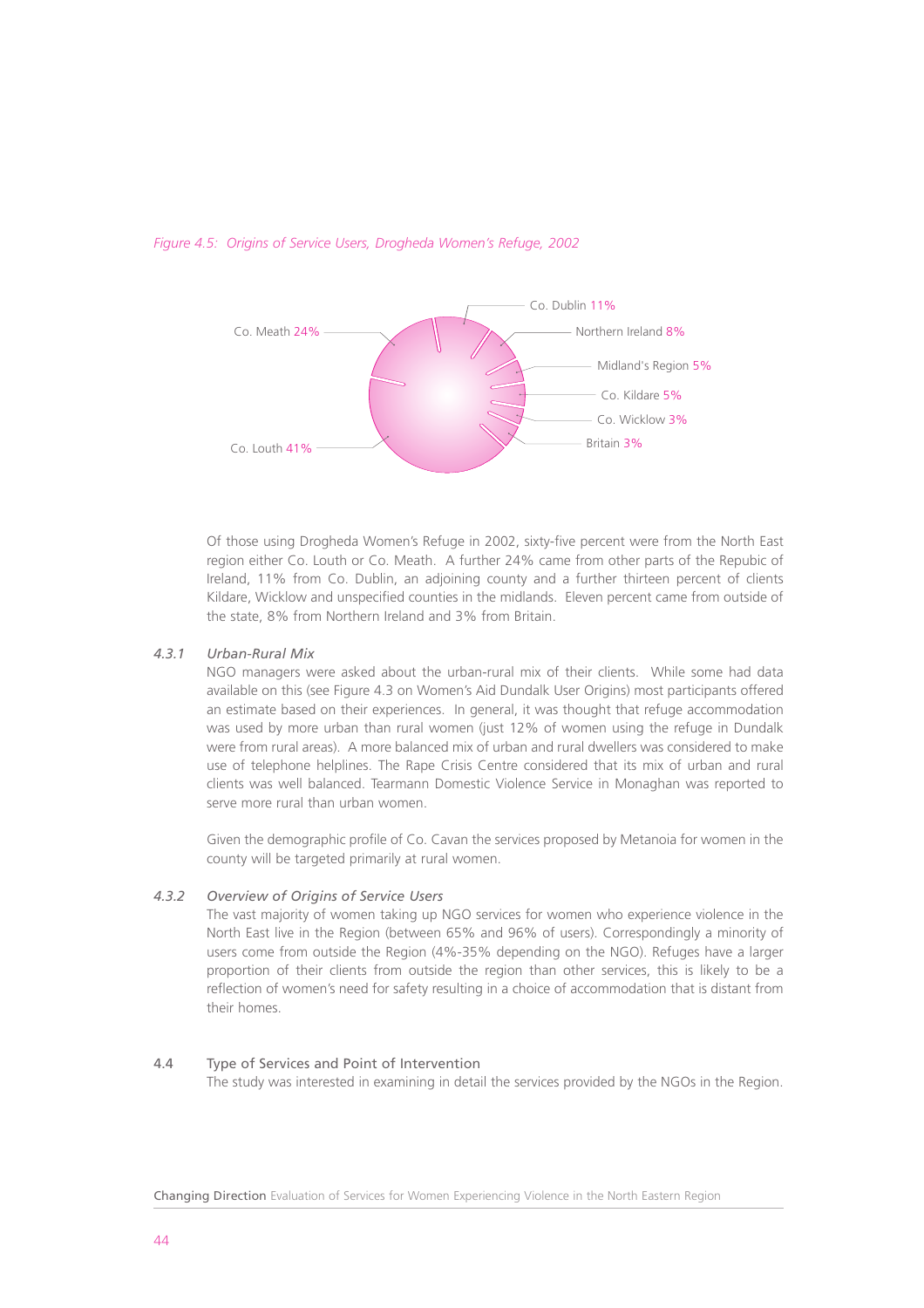

#### *Figure 4.5: Origins of Service Users, Drogheda Women's Refuge, 2002*

Of those using Drogheda Women's Refuge in 2002, sixty-five percent were from the North East region either Co. Louth or Co. Meath. A further 24% came from other parts of the Repubic of Ireland, 11% from Co. Dublin, an adjoining county and a further thirteen percent of clients Kildare, Wicklow and unspecified counties in the midlands. Eleven percent came from outside of the state, 8% from Northern Ireland and 3% from Britain.

#### *4.3.1 Urban-Rural Mix*

NGO managers were asked about the urban-rural mix of their clients. While some had data available on this (see Figure 4.3 on Women's Aid Dundalk User Origins) most participants offered an estimate based on their experiences. In general, it was thought that refuge accommodation was used by more urban than rural women (just 12% of women using the refuge in Dundalk were from rural areas). A more balanced mix of urban and rural dwellers was considered to make use of telephone helplines. The Rape Crisis Centre considered that its mix of urban and rural clients was well balanced. Tearmann Domestic Violence Service in Monaghan was reported to serve more rural than urban women.

Given the demographic profile of Co. Cavan the services proposed by Metanoia for women in the county will be targeted primarily at rural women.

#### *4.3.2 Overview of Origins of Service Users*

The vast majority of women taking up NGO services for women who experience violence in the North East live in the Region (between 65% and 96% of users). Correspondingly a minority of users come from outside the Region (4%-35% depending on the NGO). Refuges have a larger proportion of their clients from outside the region than other services, this is likely to be a reflection of women's need for safety resulting in a choice of accommodation that is distant from their homes.

#### 4.4 Type of Services and Point of Intervention

The study was interested in examining in detail the services provided by the NGOs in the Region.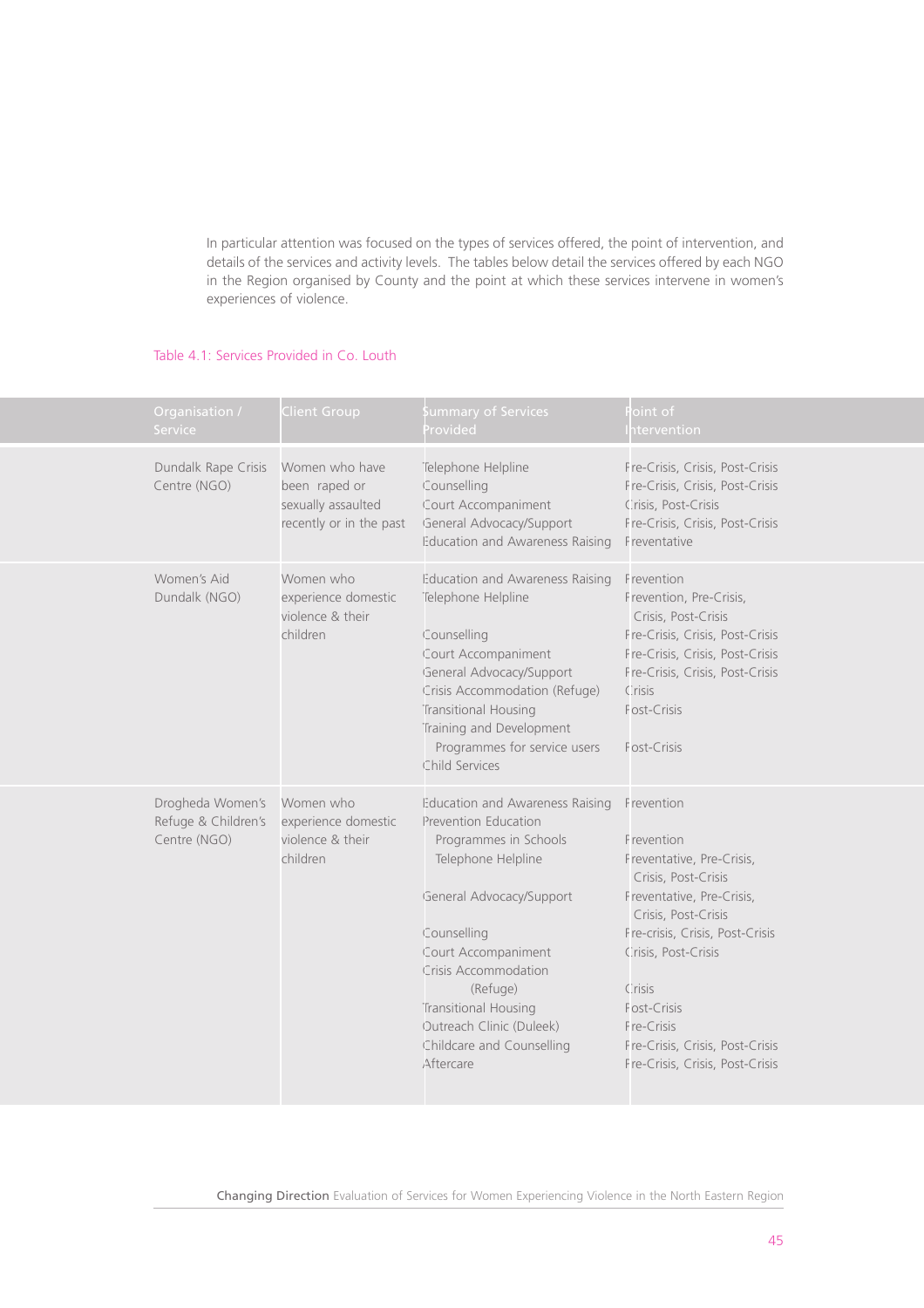In particular attention was focused on the types of services offered, the point of intervention, and details of the services and activity levels. The tables below detail the services offered by each NGO in the Region organised by County and the point at which these services intervene in women's experiences of violence.

# Table 4.1: Services Provided in Co. Louth

| Organisation /<br><b>Service</b>                        | <b>Client Group</b>                                                              | ummary of Services<br>rovided                                                                                                                                                                                                                                                                                     | oint of<br>tervention                                                                                                                                                                                                                                                                                   |
|---------------------------------------------------------|----------------------------------------------------------------------------------|-------------------------------------------------------------------------------------------------------------------------------------------------------------------------------------------------------------------------------------------------------------------------------------------------------------------|---------------------------------------------------------------------------------------------------------------------------------------------------------------------------------------------------------------------------------------------------------------------------------------------------------|
| Dundalk Rape Crisis<br>Centre (NGO)                     | Women who have<br>been raped or<br>sexually assaulted<br>recently or in the past | Telephone Helpline<br>Counselling<br>Court Accompaniment<br>General Advocacy/Support<br>Education and Awareness Raising                                                                                                                                                                                           | Fre-Crisis, Crisis, Post-Crisis<br>Fre-Crisis, Crisis, Post-Crisis<br>Crisis, Post-Crisis<br>Fre-Crisis, Crisis, Post-Crisis<br>Freventative                                                                                                                                                            |
| Women's Aid<br>Dundalk (NGO)                            | Women who<br>experience domestic<br>violence & their<br>children                 | Education and Awareness Raising<br>Telephone Helpline<br>Counselling<br>Court Accompaniment<br>General Advocacy/Support<br>Crisis Accommodation (Refuge)<br>Transitional Housing<br>Training and Development<br>Programmes for service users<br>Child Services                                                    | Frevention<br>Frevention, Pre-Crisis,<br>Crisis, Post-Crisis<br>Fre-Crisis, Crisis, Post-Crisis<br>Fre-Crisis, Crisis, Post-Crisis<br>Fre-Crisis, Crisis, Post-Crisis<br>Crisis<br>Fost-Crisis<br>Fost-Crisis                                                                                           |
| Drogheda Women's<br>Refuge & Children's<br>Centre (NGO) | Women who<br>experience domestic<br>violence & their<br>children                 | Education and Awareness Raising<br><b>Prevention Education</b><br>Programmes in Schools<br>Telephone Helpline<br>General Advocacy/Support<br>Counselling<br>Court Accompaniment<br>Crisis Accommodation<br>(Refuge)<br>Transitional Housing<br>Outreach Clinic (Duleek)<br>Childcare and Counselling<br>Aftercare | Frevention<br>Frevention<br>Freventative, Pre-Crisis,<br>Crisis, Post-Crisis<br>Freventative, Pre-Crisis,<br>Crisis, Post-Crisis<br>Fre-crisis, Crisis, Post-Crisis<br>Crisis, Post-Crisis<br>Crisis<br>Fost-Crisis<br>Fre-Crisis<br>Fre-Crisis, Crisis, Post-Crisis<br>Fre-Crisis, Crisis, Post-Crisis |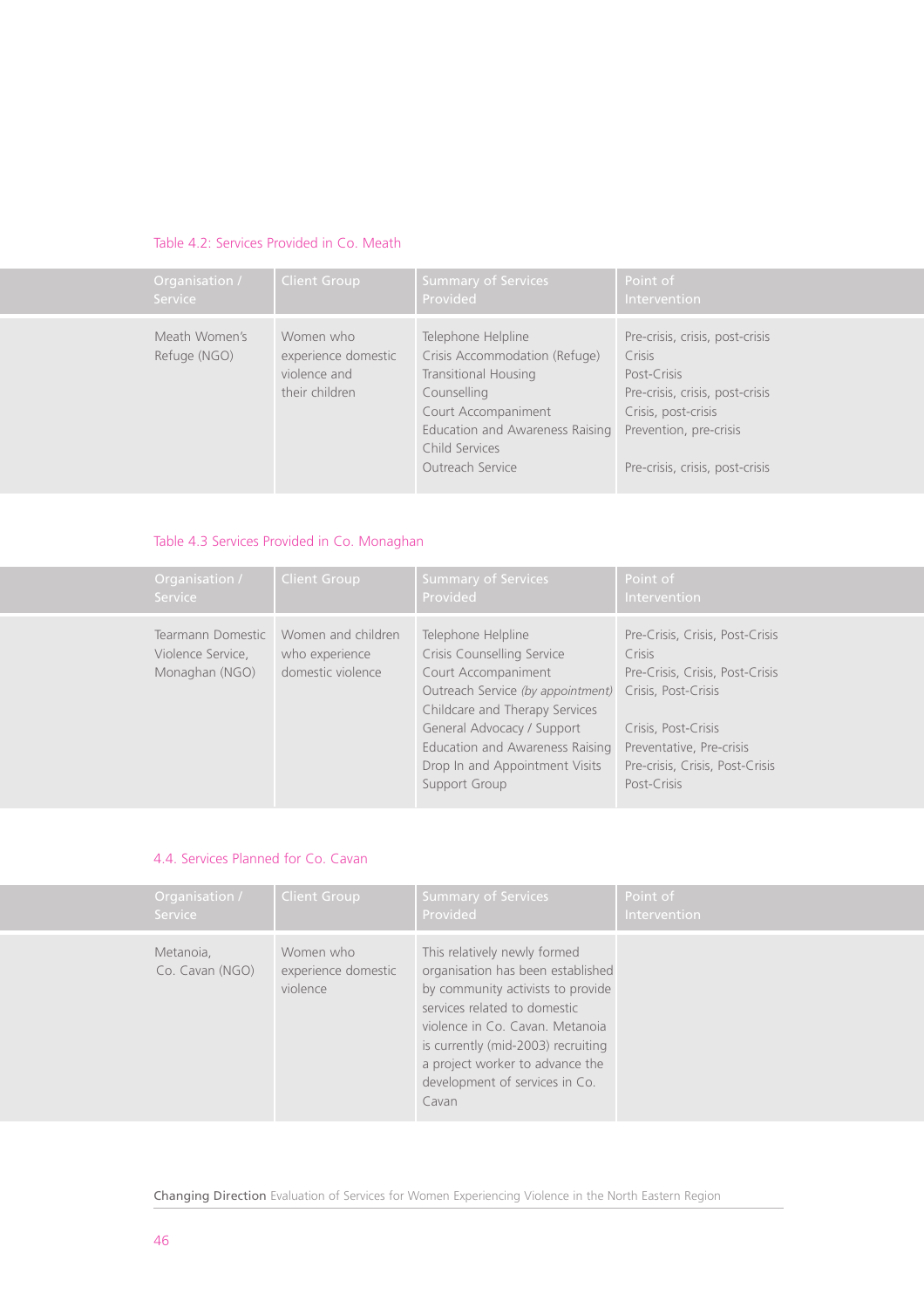# Table 4.2: Services Provided in Co. Meath

| Organisation /                | <b>Client Group</b>                                                | <b>Summary of Services</b>                                                                                                                                                                 | Point of                                                                                                                                                                        |
|-------------------------------|--------------------------------------------------------------------|--------------------------------------------------------------------------------------------------------------------------------------------------------------------------------------------|---------------------------------------------------------------------------------------------------------------------------------------------------------------------------------|
| Service                       |                                                                    | Provided                                                                                                                                                                                   | Intervention                                                                                                                                                                    |
| Meath Women's<br>Refuge (NGO) | Women who<br>experience domestic<br>violence and<br>their children | Telephone Helpline<br>Crisis Accommodation (Refuge)<br>Transitional Housing<br>Counselling<br>Court Accompaniment<br>Education and Awareness Raising<br>Child Services<br>Outreach Service | Pre-crisis, crisis, post-crisis<br>Crisis<br>Post-Crisis<br>Pre-crisis, crisis, post-crisis<br>Crisis, post-crisis<br>Prevention, pre-crisis<br>Pre-crisis, crisis, post-crisis |

# Table 4.3 Services Provided in Co. Monaghan

| Organisation /                                           | <b>Client Group</b>                                       | Summary of Services                                                                                                                                                                                                                                                | Point of                                                                                                                                                                                                 |
|----------------------------------------------------------|-----------------------------------------------------------|--------------------------------------------------------------------------------------------------------------------------------------------------------------------------------------------------------------------------------------------------------------------|----------------------------------------------------------------------------------------------------------------------------------------------------------------------------------------------------------|
| <b>Service</b>                                           |                                                           | Provided                                                                                                                                                                                                                                                           | Intervention                                                                                                                                                                                             |
| Tearmann Domestic<br>Violence Service,<br>Monaghan (NGO) | Women and children<br>who experience<br>domestic violence | Telephone Helpline<br>Crisis Counselling Service<br>Court Accompaniment<br>Outreach Service (by appointment)<br>Childcare and Therapy Services<br>General Advocacy / Support<br>Education and Awareness Raising<br>Drop In and Appointment Visits<br>Support Group | Pre-Crisis, Crisis, Post-Crisis<br>Crisis<br>Pre-Crisis, Crisis, Post-Crisis<br>Crisis, Post-Crisis<br>Crisis, Post-Crisis<br>Preventative, Pre-crisis<br>Pre-crisis, Crisis, Post-Crisis<br>Post-Crisis |

# 4.4. Services Planned for Co. Cavan

| Organisation /               | <b>Client Group</b>                          | <b>Summary of Services</b>                                                                                                                                                                                                                                                                    | Point of            |
|------------------------------|----------------------------------------------|-----------------------------------------------------------------------------------------------------------------------------------------------------------------------------------------------------------------------------------------------------------------------------------------------|---------------------|
| <b>Service</b>               |                                              | Provided                                                                                                                                                                                                                                                                                      | <b>Intervention</b> |
| Metanoia,<br>Co. Cavan (NGO) | Women who<br>experience domestic<br>violence | This relatively newly formed<br>organisation has been established<br>by community activists to provide<br>services related to domestic<br>violence in Co. Cavan, Metanoia<br>is currently (mid-2003) recruiting<br>a project worker to advance the<br>development of services in Co.<br>Cavan |                     |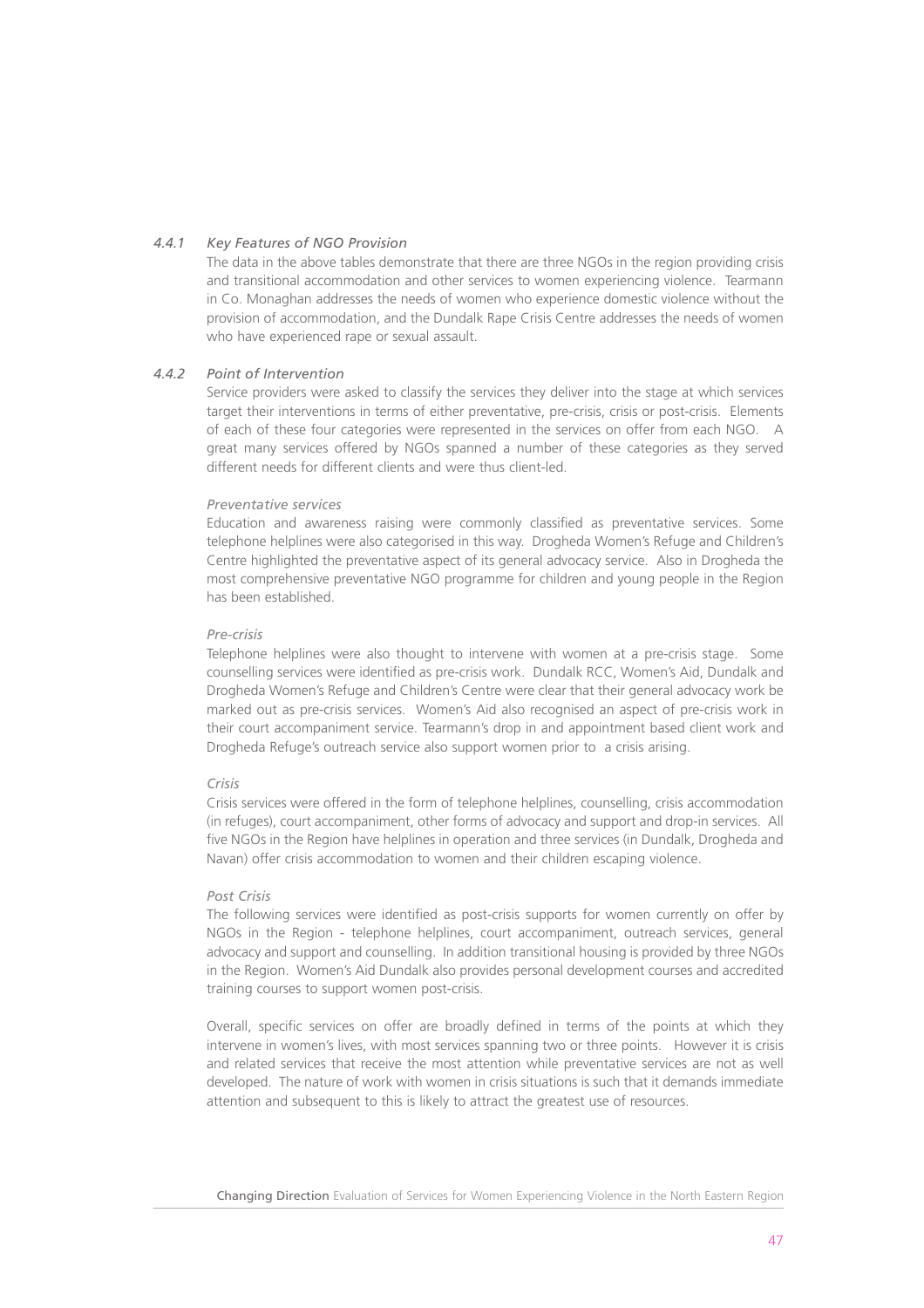# *4.4.1 Key Features of NGO Provision*

The data in the above tables demonstrate that there are three NGOs in the region providing crisis and transitional accommodation and other services to women experiencing violence. Tearmann in Co. Monaghan addresses the needs of women who experience domestic violence without the provision of accommodation, and the Dundalk Rape Crisis Centre addresses the needs of women who have experienced rape or sexual assault

# *4.4.2 Point of Intervention*

Service providers were asked to classify the services they deliver into the stage at which services target their interventions in terms of either preventative, pre-crisis, crisis or post-crisis. Elements of each of these four categories were represented in the services on offer from each NGO. A great many services offered by NGOs spanned a number of these categories as they served different needs for different clients and were thus client-led.

# *Preventative services*

Education and awareness raising were commonly classified as preventative services. Some telephone helplines were also categorised in this way. Drogheda Women's Refuge and Children's Centre highlighted the preventative aspect of its general advocacy service. Also in Drogheda the most comprehensive preventative NGO programme for children and young people in the Region has been established.

#### *Pre-crisis*

Telephone helplines were also thought to intervene with women at a pre-crisis stage. Some counselling services were identified as pre-crisis work. Dundalk RCC, Women's Aid, Dundalk and Drogheda Women's Refuge and Children's Centre were clear that their general advocacy work be marked out as pre-crisis services. Women's Aid also recognised an aspect of pre-crisis work in their court accompaniment service. Tearmann's drop in and appointment based client work and Drogheda Refuge's outreach service also support women prior to a crisis arising.

# *Crisis*

Crisis services were offered in the form of telephone helplines, counselling, crisis accommodation (in refuges), court accompaniment, other forms of advocacy and support and drop-in services. All five NGOs in the Region have helplines in operation and three services (in Dundalk, Drogheda and Navan) offer crisis accommodation to women and their children escaping violence.

#### *Post Crisis*

The following services were identified as post-crisis supports for women currently on offer by NGOs in the Region - telephone helplines, court accompaniment, outreach services, general advocacy and support and counselling. In addition transitional housing is provided by three NGOs in the Region. Women's Aid Dundalk also provides personal development courses and accredited training courses to support women post-crisis.

Overall, specific services on offer are broadly defined in terms of the points at which they intervene in women's lives, with most services spanning two or three points. However it is crisis and related services that receive the most attention while preventative services are not as well developed. The nature of work with women in crisis situations is such that it demands immediate attention and subsequent to this is likely to attract the greatest use of resources.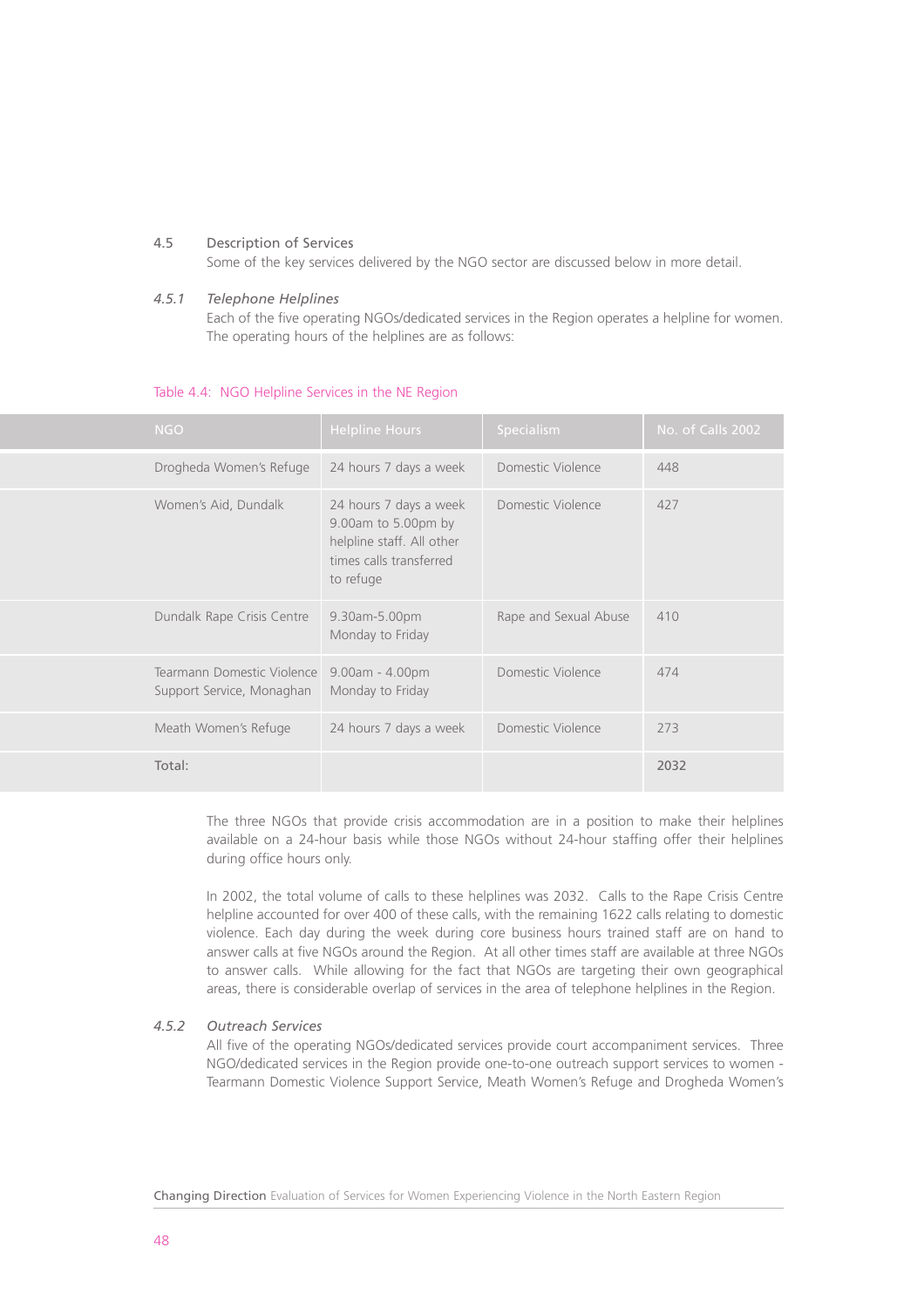#### 4.5 Description of Services

Some of the key services delivered by the NGO sector are discussed below in more detail.

#### *4.5.1 Telephone Helplines*

Each of the five operating NGOs/dedicated services in the Region operates a helpline for women. The operating hours of the helplines are as follows:

#### Table 4.4: NGO Helpline Services in the NE Region

| <b>NGO</b>                                              | <b>Helpline Hours</b>                                                                                              | Specialism            | No. of Calls 2002 |
|---------------------------------------------------------|--------------------------------------------------------------------------------------------------------------------|-----------------------|-------------------|
| Drogheda Women's Refuge                                 | 24 hours 7 days a week                                                                                             | Domestic Violence     | 448               |
| Women's Aid, Dundalk                                    | 24 hours 7 days a week<br>9.00am to 5.00pm by<br>helpline staff. All other<br>times calls transferred<br>to refuge | Domestic Violence     | 427               |
| Dundalk Rape Crisis Centre                              | 9.30am-5.00pm<br>Monday to Friday                                                                                  | Rape and Sexual Abuse | 410               |
| Tearmann Domestic Violence<br>Support Service, Monaghan | $9.00am - 4.00pm$<br>Monday to Friday                                                                              | Domestic Violence     | 474               |
| Meath Women's Refuge                                    | 24 hours 7 days a week                                                                                             | Domestic Violence     | 273               |
| Total:                                                  |                                                                                                                    |                       | 2032              |

The three NGOs that provide crisis accommodation are in a position to make their helplines available on a 24-hour basis while those NGOs without 24-hour staffing offer their helplines during office hours only.

In 2002, the total volume of calls to these helplines was 2032. Calls to the Rape Crisis Centre helpline accounted for over 400 of these calls, with the remaining 1622 calls relating to domestic violence. Each day during the week during core business hours trained staff are on hand to answer calls at five NGOs around the Region. At all other times staff are available at three NGOs to answer calls. While allowing for the fact that NGOs are targeting their own geographical areas, there is considerable overlap of services in the area of telephone helplines in the Region.

# *4.5.2 Outreach Services*

All five of the operating NGOs/dedicated services provide court accompaniment services. Three NGO/dedicated services in the Region provide one-to-one outreach support services to women - Tearmann Domestic Violence Support Service, Meath Women's Refuge and Drogheda Women's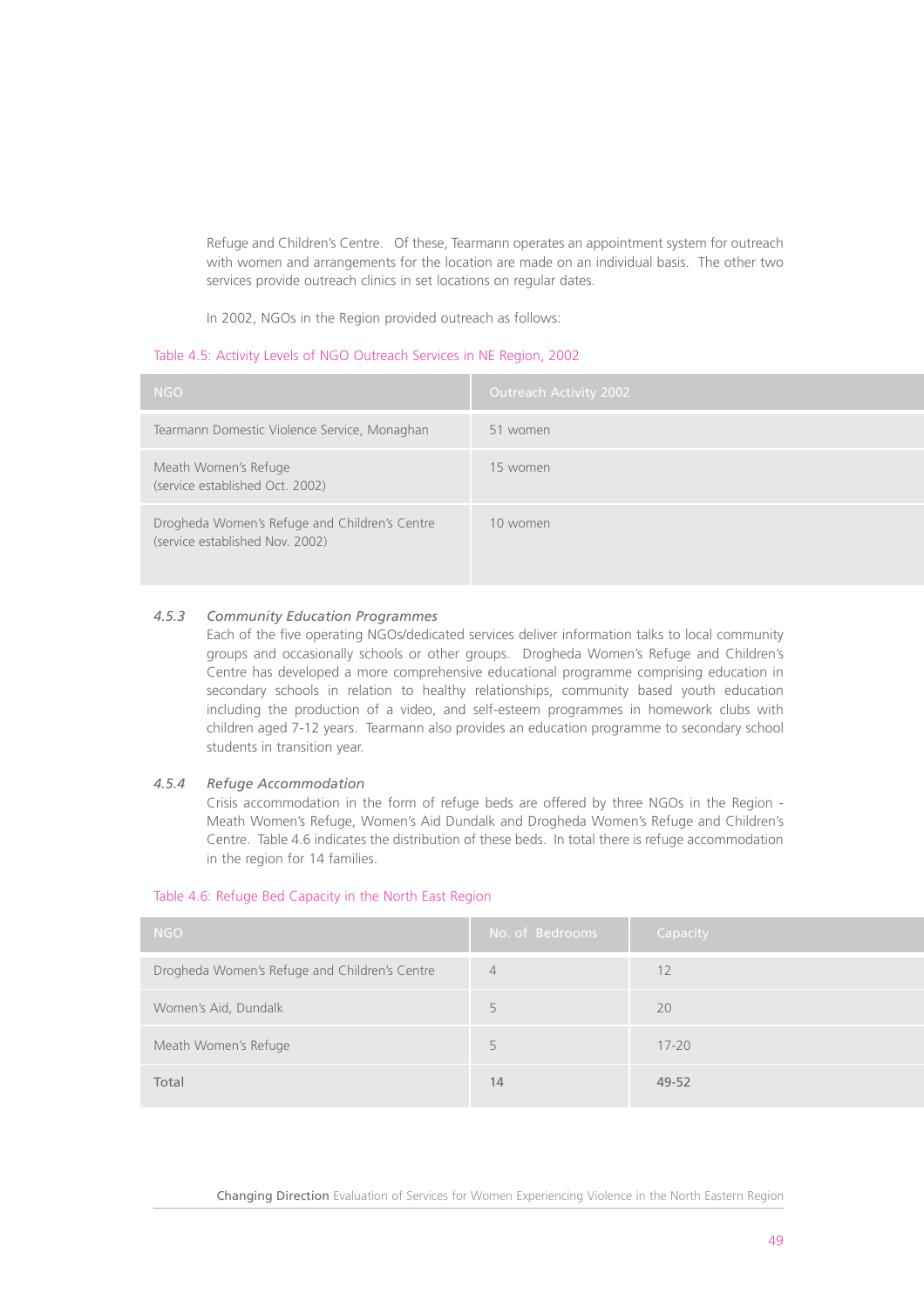Refuge and Children's Centre. Of these, Tearmann operates an appointment system for outreach with women and arrangements for the location are made on an individual basis. The other two services provide outreach clinics in set locations on regular dates.

In 2002, NGOs in the Region provided outreach as follows:

#### Table 4.5: Activity Levels of NGO Outreach Services in NE Region, 2002

| <b>NGO</b>                                                                       | <b>Outreach Activity 2002</b> |
|----------------------------------------------------------------------------------|-------------------------------|
| Tearmann Domestic Violence Service, Monaghan                                     | 51 women                      |
| Meath Women's Refuge<br>(service established Oct. 2002)                          | 15 women                      |
| Drogheda Women's Refuge and Children's Centre<br>(service established Nov. 2002) | 10 women                      |

# *4.5.3 Community Education Programmes*

Each of the five operating NGOs/dedicated services deliver information talks to local community groups and occasionally schools or other groups. Drogheda Women's Refuge and Children's Centre has developed a more comprehensive educational programme comprising education in secondary schools in relation to healthy relationships, community based youth education including the production of a video, and self-esteem programmes in homework clubs with children aged 7-12 years. Tearmann also provides an education programme to secondary school students in transition year.

# *4.5.4 Refuge Accommodation*

Crisis accommodation in the form of refuge beds are offered by three NGOs in the Region - Meath Women's Refuge, Women's Aid Dundalk and Drogheda Women's Refuge and Children's Centre. Table 4.6 indicates the distribution of these beds. In total there is refuge accommodation in the region for 14 families.

| <b>NGO</b>                                    | No. of Bedrooms | Capacity  |
|-----------------------------------------------|-----------------|-----------|
| Drogheda Women's Refuge and Children's Centre | $\overline{4}$  | 12        |
| Women's Aid, Dundalk                          | 5               | 20        |
| Meath Women's Refuge                          | 5               | $17 - 20$ |
| Total                                         | 14              | 49-52     |

#### Table 4.6: Refuge Bed Capacity in the North East Region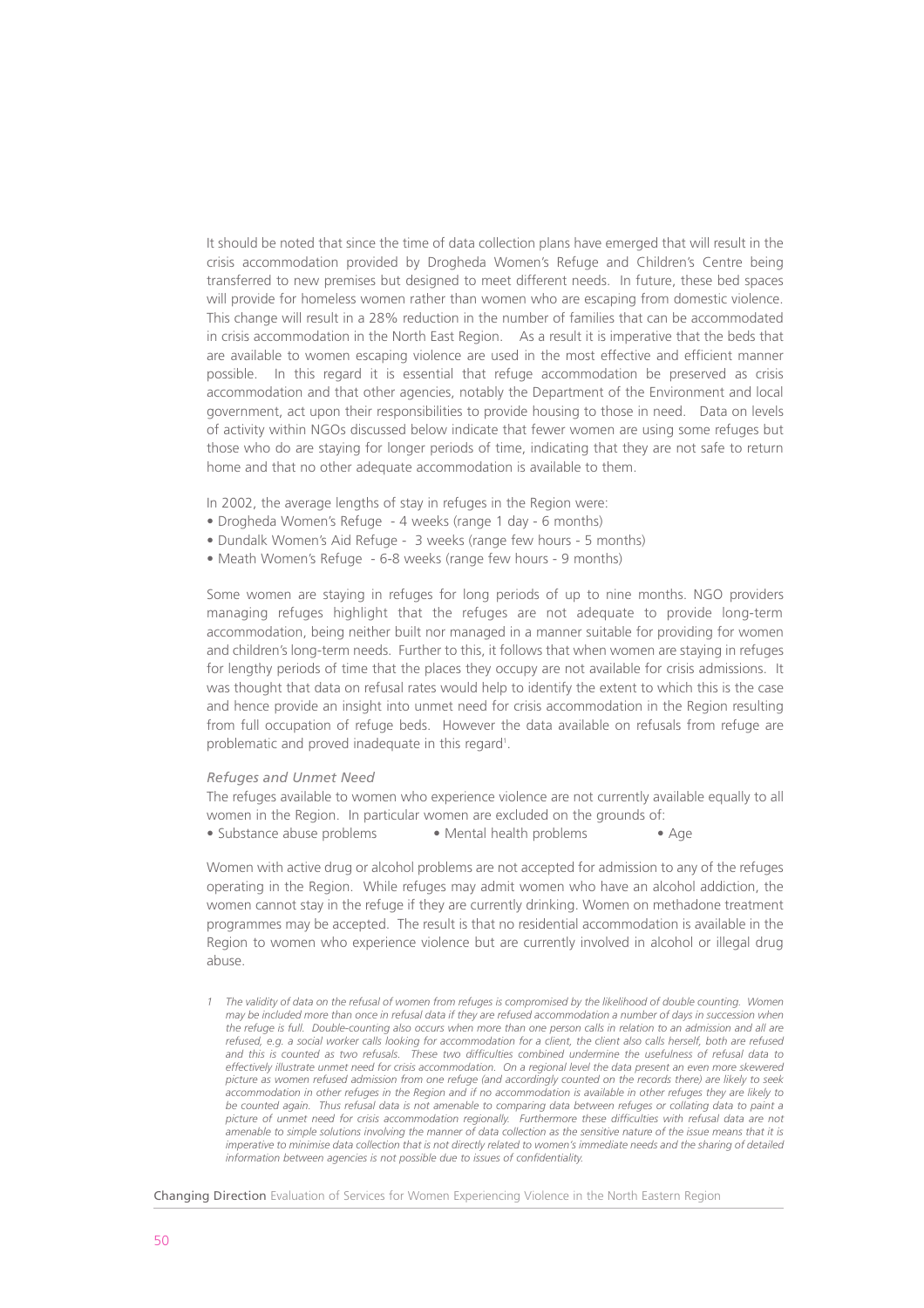It should be noted that since the time of data collection plans have emerged that will result in the crisis accommodation provided by Drogheda Women's Refuge and Children's Centre being transferred to new premises but designed to meet different needs. In future, these bed spaces will provide for homeless women rather than women who are escaping from domestic violence. This change will result in a 28% reduction in the number of families that can be accommodated in crisis accommodation in the North East Region. As a result it is imperative that the beds that are available to women escaping violence are used in the most effective and efficient manner possible. In this regard it is essential that refuge accommodation be preserved as crisis accommodation and that other agencies, notably the Department of the Environment and local government, act upon their responsibilities to provide housing to those in need. Data on levels of activity within NGOs discussed below indicate that fewer women are using some refuges but those who do are staying for longer periods of time, indicating that they are not safe to return home and that no other adequate accommodation is available to them.

In 2002, the average lengths of stay in refuges in the Region were:

- Drogheda Women's Refuge 4 weeks (range 1 day 6 months)
- Dundalk Women's Aid Refuge 3 weeks (range few hours 5 months)
- Meath Women's Refuge 6-8 weeks (range few hours 9 months)

Some women are staying in refuges for long periods of up to nine months. NGO providers managing refuges highlight that the refuges are not adequate to provide long-term accommodation, being neither built nor managed in a manner suitable for providing for women and children's long-term needs. Further to this, it follows that when women are staying in refuges for lengthy periods of time that the places they occupy are not available for crisis admissions. It was thought that data on refusal rates would help to identify the extent to which this is the case and hence provide an insight into unmet need for crisis accommodation in the Region resulting from full occupation of refuge beds. However the data available on refusals from refuge are problematic and proved inadequate in this regard<sup>1</sup>.

#### *Refuges and Unmet Need*

The refuges available to women who experience violence are not currently available equally to all women in the Region. In particular women are excluded on the grounds of: • Substance abuse problems • Mental health problems • Age

Women with active drug or alcohol problems are not accepted for admission to any of the refuges operating in the Region. While refuges may admit women who have an alcohol addiction, the women cannot stay in the refuge if they are currently drinking. Women on methadone treatment programmes may be accepted. The result is that no residential accommodation is available in the Region to women who experience violence but are currently involved in alcohol or illegal drug abuse.

*1 The validity of data on the refusal of women from refuges is compromised by the likelihood of double counting. Women may be included more than once in refusal data if they are refused accommodation a number of days in succession when the refuge is full. Double-counting also occurs when more than one person calls in relation to an admission and all are refused, e.g. a social worker calls looking for accommodation for a client, the client also calls herself, both are refused and this is counted as two refusals. These two difficulties combined undermine the usefulness of refusal data to effectively illustrate unmet need for crisis accommodation. On a regional level the data present an even more skewered picture as women refused admission from one refuge (and accordingly counted on the records there) are likely to seek accommodation in other refuges in the Region and if no accommodation is available in other refuges they are likely to be counted again. Thus refusal data is not amenable to comparing data between refuges or collating data to paint a picture of unmet need for crisis accommodation regionally. Furthermore these difficulties with refusal data are not amenable to simple solutions involving the manner of data collection as the sensitive nature of the issue means that it is imperative to minimise data collection that is not directly related to women's immediate needs and the sharing of detailed information between agencies is not possible due to issues of confidentiality.*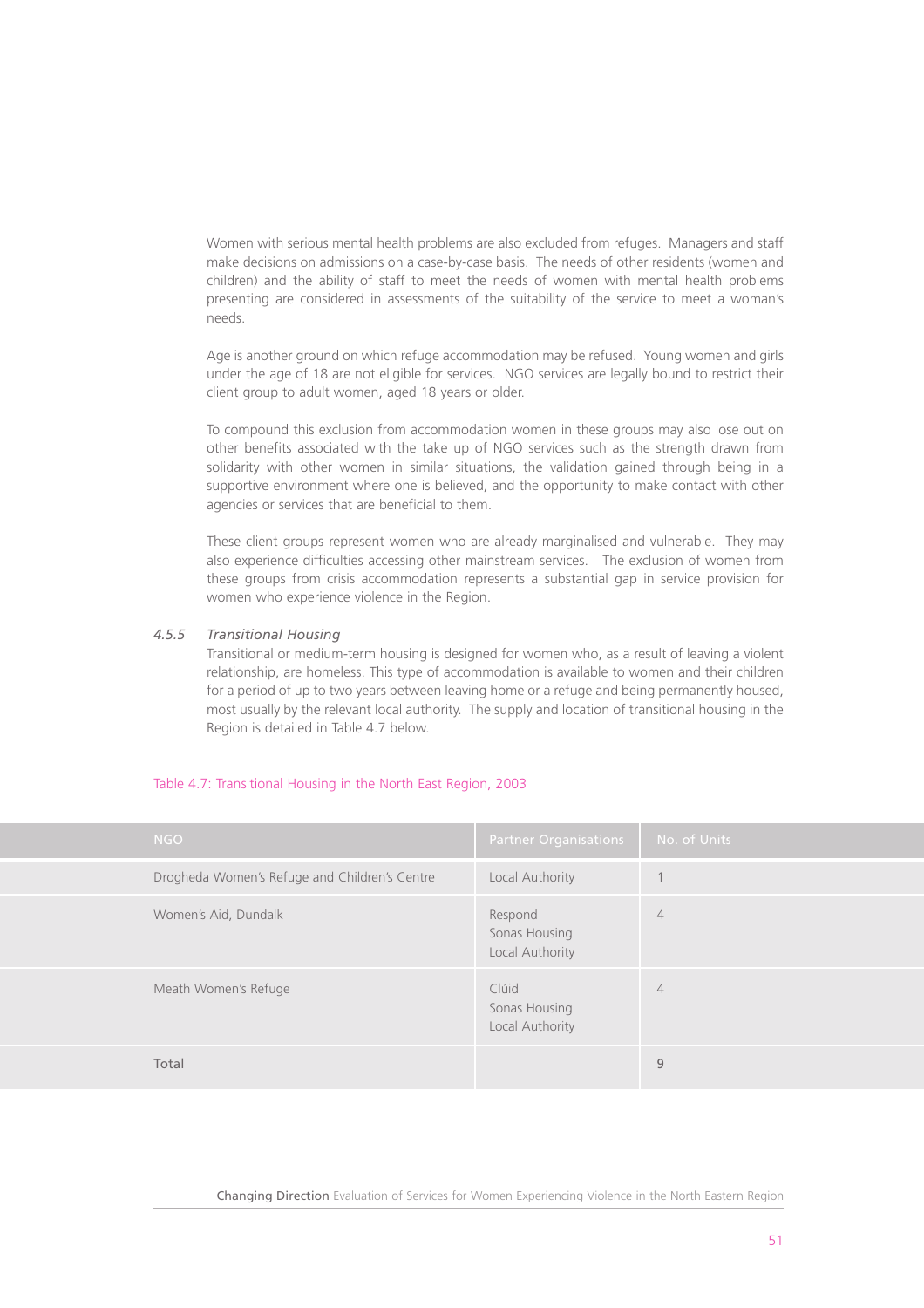Women with serious mental health problems are also excluded from refuges. Managers and staff make decisions on admissions on a case-by-case basis. The needs of other residents (women and children) and the ability of staff to meet the needs of women with mental health problems presenting are considered in assessments of the suitability of the service to meet a woman's needs.

Age is another ground on which refuge accommodation may be refused. Young women and girls under the age of 18 are not eligible for services. NGO services are legally bound to restrict their client group to adult women, aged 18 years or older.

To compound this exclusion from accommodation women in these groups may also lose out on other benefits associated with the take up of NGO services such as the strength drawn from solidarity with other women in similar situations, the validation gained through being in a supportive environment where one is believed, and the opportunity to make contact with other agencies or services that are beneficial to them.

These client groups represent women who are already marginalised and vulnerable. They may also experience difficulties accessing other mainstream services. The exclusion of women from these groups from crisis accommodation represents a substantial gap in service provision for women who experience violence in the Region.

#### *4.5.5 Transitional Housing*

Transitional or medium-term housing is designed for women who, as a result of leaving a violent relationship, are homeless. This type of accommodation is available to women and their children for a period of up to two years between leaving home or a refuge and being permanently housed. most usually by the relevant local authority. The supply and location of transitional housing in the Region is detailed in Table 4.7 below.

#### Table 4.7: Transitional Housing in the North East Region, 2003

| <b>NGO</b>                                    | <b>Partner Organisations</b>                | No. of Units   |
|-----------------------------------------------|---------------------------------------------|----------------|
| Drogheda Women's Refuge and Children's Centre | Local Authority                             |                |
| Women's Aid, Dundalk                          | Respond<br>Sonas Housing<br>Local Authority | $\overline{4}$ |
| Meath Women's Refuge                          | Clúid<br>Sonas Housing<br>Local Authority   | $\overline{4}$ |
| Total                                         |                                             | 9              |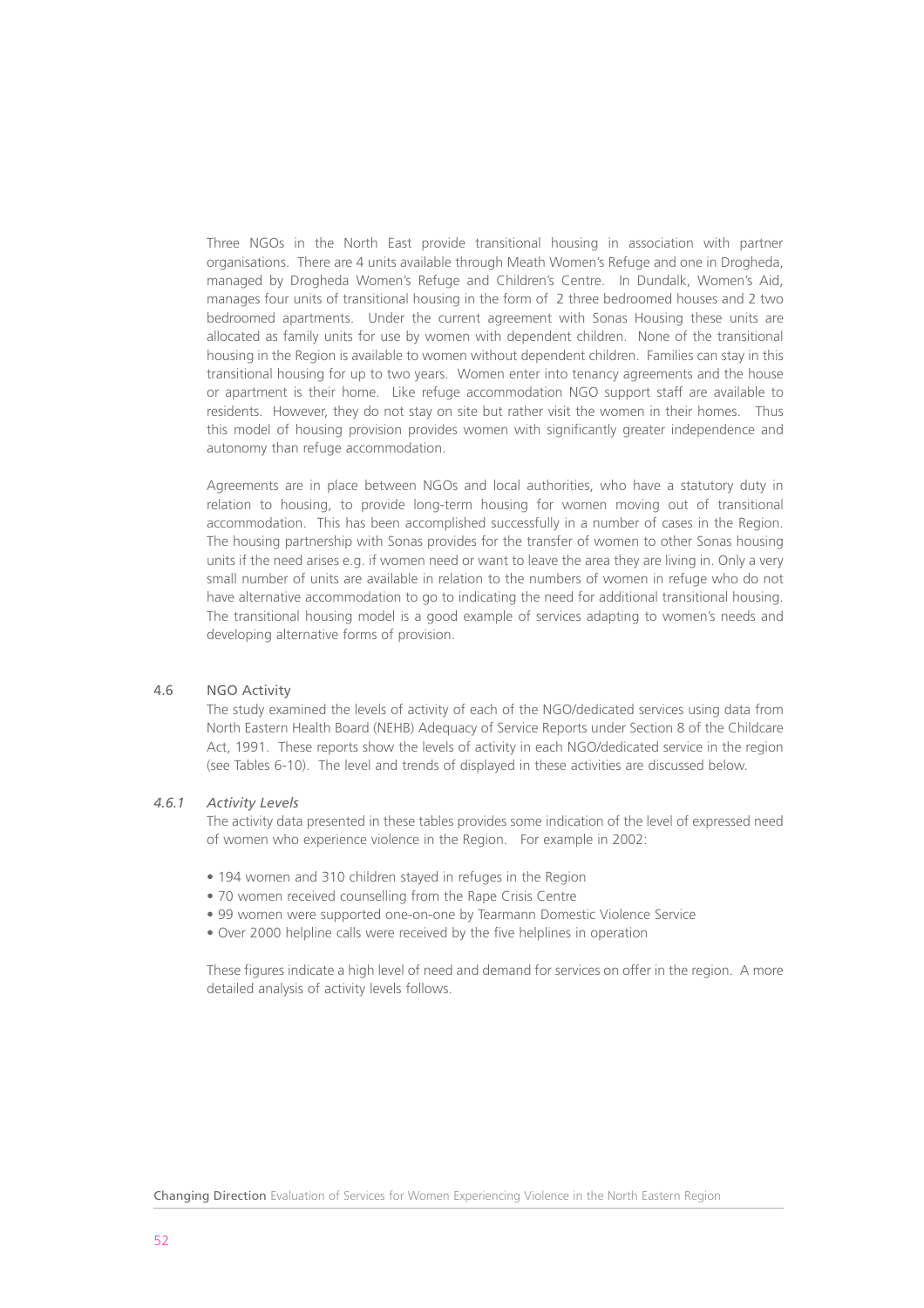Three NGOs in the North East provide transitional housing in association with partner organisations. There are 4 units available through Meath Women's Refuge and one in Drogheda, managed by Drogheda Women's Refuge and Children's Centre. In Dundalk, Women's Aid, manages four units of transitional housing in the form of 2 three bedroomed houses and 2 two bedroomed apartments. Under the current agreement with Sonas Housing these units are allocated as family units for use by women with dependent children. None of the transitional housing in the Region is available to women without dependent children. Families can stay in this transitional housing for up to two years. Women enter into tenancy agreements and the house or apartment is their home. Like refuge accommodation NGO support staff are available to residents. However, they do not stay on site but rather visit the women in their homes. Thus this model of housing provision provides women with significantly greater independence and autonomy than refuge accommodation.

Agreements are in place between NGOs and local authorities, who have a statutory duty in relation to housing, to provide long-term housing for women moving out of transitional accommodation. This has been accomplished successfully in a number of cases in the Region. The housing partnership with Sonas provides for the transfer of women to other Sonas housing units if the need arises e.g. if women need or want to leave the area they are living in. Only a very small number of units are available in relation to the numbers of women in refuge who do not have alternative accommodation to go to indicating the need for additional transitional housing. The transitional housing model is a good example of services adapting to women's needs and developing alternative forms of provision.

# 4.6 NGO Activity

The study examined the levels of activity of each of the NGO/dedicated services using data from North Eastern Health Board (NEHB) Adequacy of Service Reports under Section 8 of the Childcare Act, 1991. These reports show the levels of activity in each NGO/dedicated service in the region (see Tables 6-10). The level and trends of displayed in these activities are discussed below.

#### *4.6.1 Activity Levels*

The activity data presented in these tables provides some indication of the level of expressed need of women who experience violence in the Region. For example in 2002:

- 194 women and 310 children stayed in refuges in the Region
- 70 women received counselling from the Rape Crisis Centre
- 99 women were supported one-on-one by Tearmann Domestic Violence Service
- Over 2000 helpline calls were received by the five helplines in operation

These figures indicate a high level of need and demand for services on offer in the region. A more detailed analysis of activity levels follows.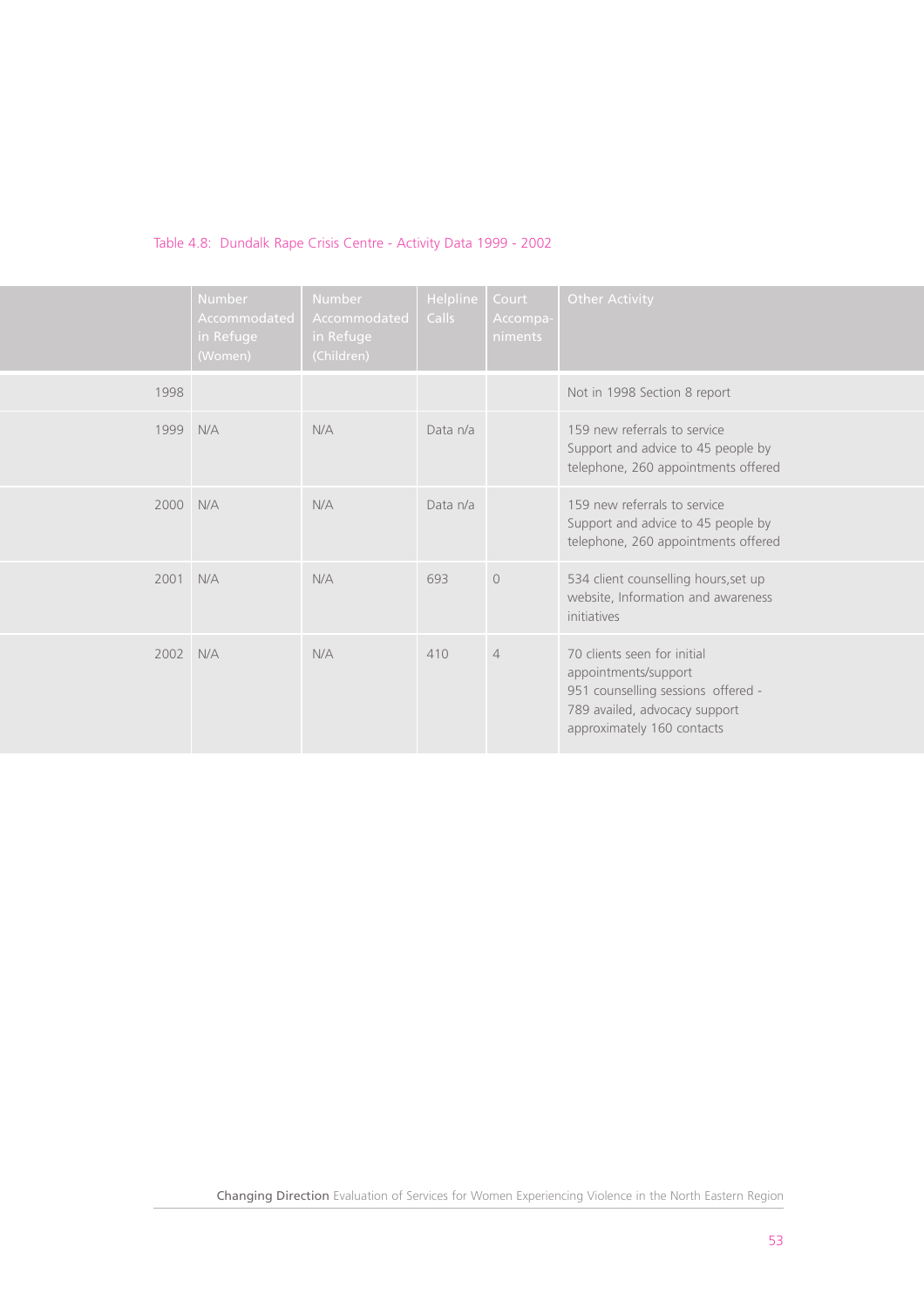# Table 4.8: Dundalk Rape Crisis Centre - Activity Data 1999 - 2002

|      | <b>Number</b><br>Accommodated<br>in Refuge<br>(Women) | <b>Number</b><br>Accommodated<br>in Refuge<br>(Children) | Helpline<br>Calls | Court<br>Accompa-<br>niments | <b>Other Activity</b>                                                                                                                                    |
|------|-------------------------------------------------------|----------------------------------------------------------|-------------------|------------------------------|----------------------------------------------------------------------------------------------------------------------------------------------------------|
| 1998 |                                                       |                                                          |                   |                              | Not in 1998 Section 8 report                                                                                                                             |
| 1999 | N/A                                                   | N/A                                                      | Data n/a          |                              | 159 new referrals to service<br>Support and advice to 45 people by<br>telephone, 260 appointments offered                                                |
| 2000 | N/A                                                   | N/A                                                      | Data n/a          |                              | 159 new referrals to service<br>Support and advice to 45 people by<br>telephone, 260 appointments offered                                                |
| 2001 | N/A                                                   | N/A                                                      | 693               | $\Omega$                     | 534 client counselling hours, set up<br>website, Information and awareness<br>initiatives                                                                |
| 2002 | N/A                                                   | N/A                                                      | 410               | $\overline{4}$               | 70 clients seen for initial<br>appointments/support<br>951 counselling sessions offered -<br>789 availed, advocacy support<br>approximately 160 contacts |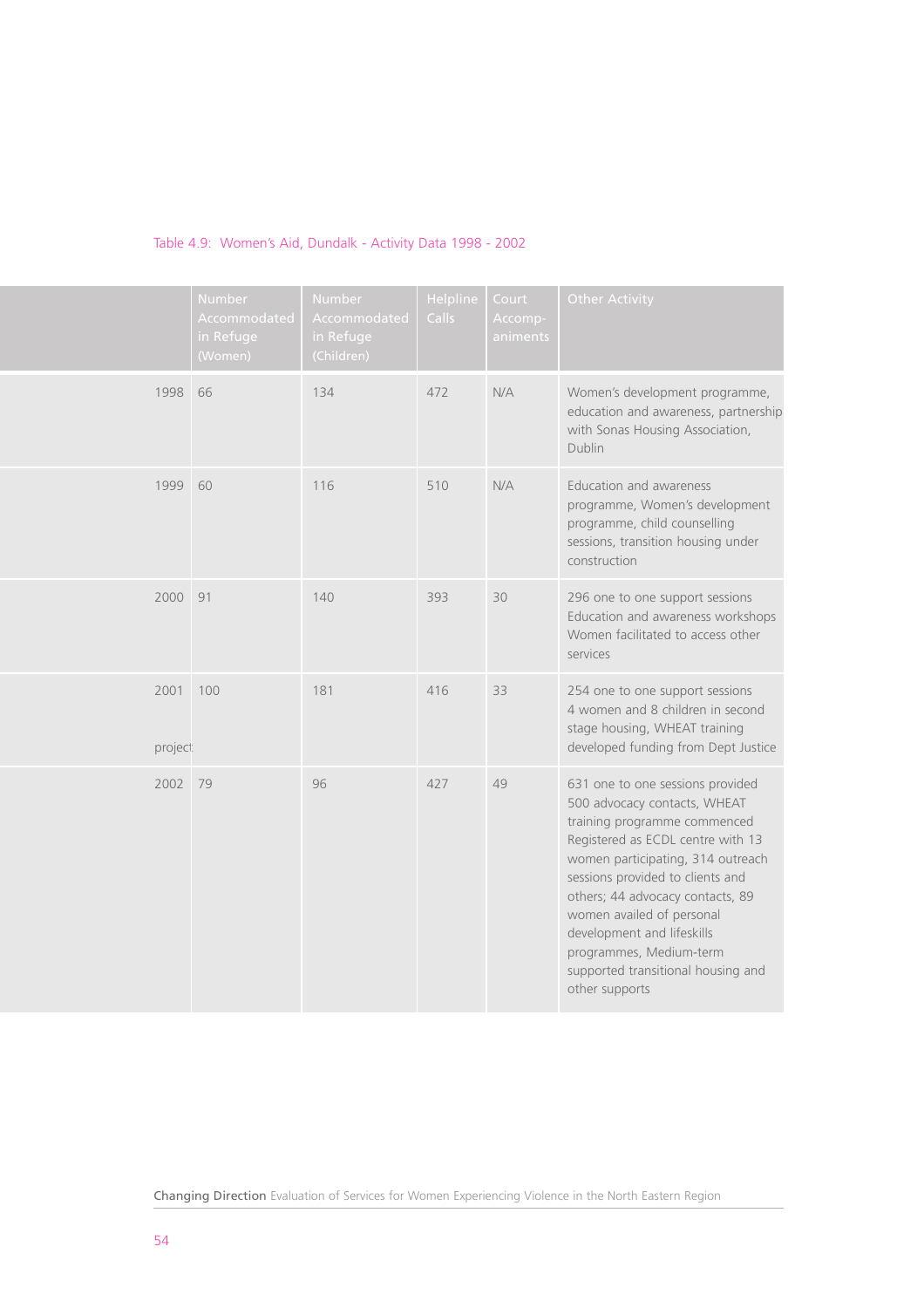|                  | Number<br>Accommodated<br>in Refuge<br>(Women) | Number<br>Accommodated<br>in Refuge<br>(Children) | Helpline<br>Calls | Court<br>Accomp-<br>animents | <b>Other Activity</b>                                                                                                                                                                                                                                                                                                                                                                            |
|------------------|------------------------------------------------|---------------------------------------------------|-------------------|------------------------------|--------------------------------------------------------------------------------------------------------------------------------------------------------------------------------------------------------------------------------------------------------------------------------------------------------------------------------------------------------------------------------------------------|
| 1998             | 66                                             | 134                                               | 472               | N/A                          | Women's development programme,<br>education and awareness, partnership<br>with Sonas Housing Association,<br>Dublin                                                                                                                                                                                                                                                                              |
| 1999             | 60                                             | 116                                               | 510               | N/A                          | Education and awareness<br>programme, Women's development<br>programme, child counselling<br>sessions, transition housing under<br>construction                                                                                                                                                                                                                                                  |
| 2000             | 91                                             | 140                                               | 393               | 30                           | 296 one to one support sessions<br>Education and awareness workshops<br>Women facilitated to access other<br>services                                                                                                                                                                                                                                                                            |
| 2001<br>project: | 100                                            | 181                                               | 416               | 33                           | 254 one to one support sessions<br>4 women and 8 children in second<br>stage housing, WHEAT training<br>developed funding from Dept Justice                                                                                                                                                                                                                                                      |
| 2002             | 79                                             | 96                                                | 427               | 49                           | 631 one to one sessions provided<br>500 advocacy contacts, WHEAT<br>training programme commenced<br>Registered as ECDL centre with 13<br>women participating, 314 outreach<br>sessions provided to clients and<br>others; 44 advocacy contacts, 89<br>women availed of personal<br>development and lifeskills<br>programmes, Medium-term<br>supported transitional housing and<br>other supports |

# Table 4.9: Women's Aid, Dundalk - Activity Data 1998 - 2002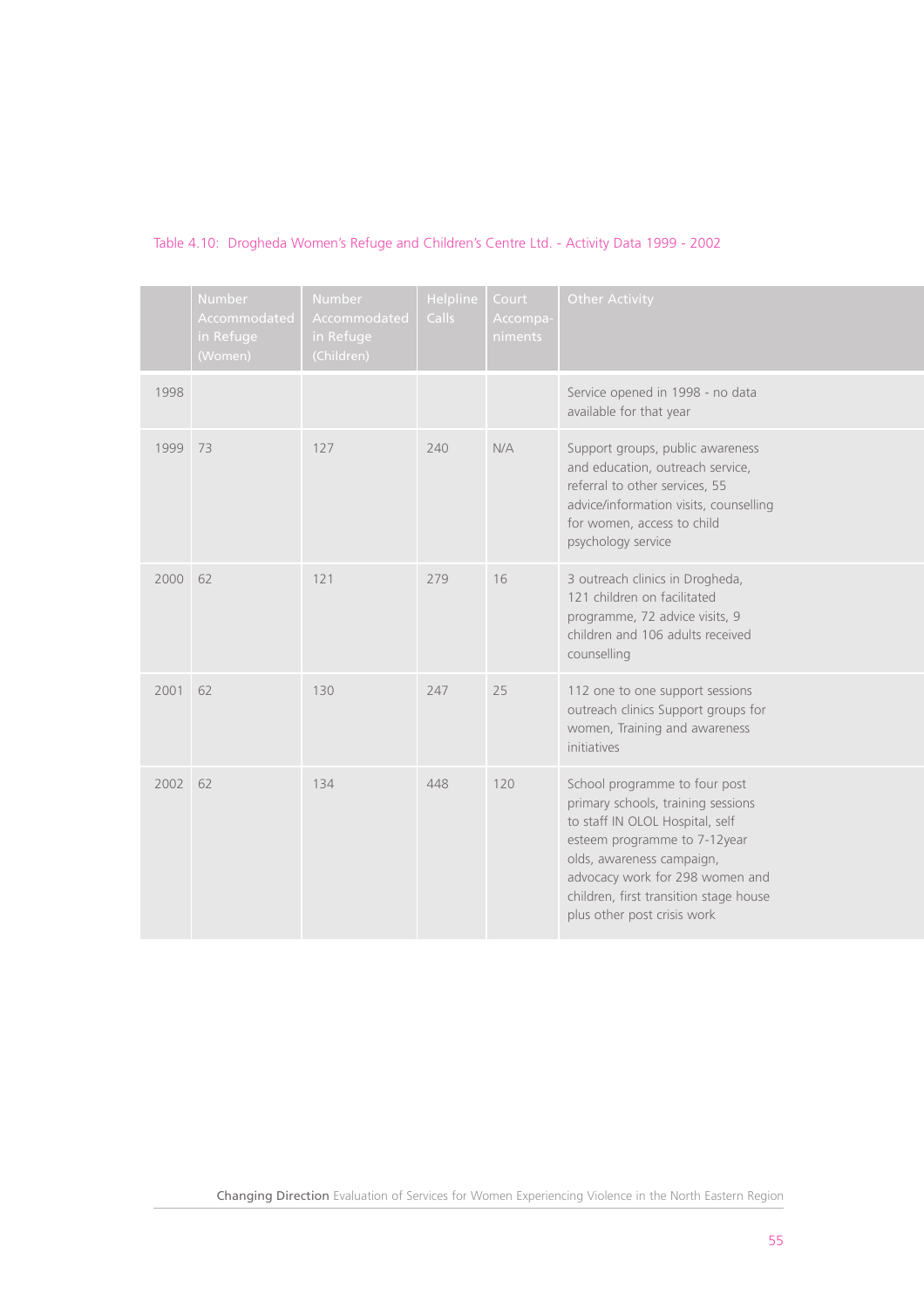|      | Number<br>Accommodated<br>in Refuge<br>(Women) | Number<br>Accommodated<br>in Refuge<br>(Children) | Helpline<br>Calls | Court<br>Accompa-<br>niments | <b>Other Activity</b>                                                                                                                                                                                                                                                           |
|------|------------------------------------------------|---------------------------------------------------|-------------------|------------------------------|---------------------------------------------------------------------------------------------------------------------------------------------------------------------------------------------------------------------------------------------------------------------------------|
| 1998 |                                                |                                                   |                   |                              | Service opened in 1998 - no data<br>available for that year                                                                                                                                                                                                                     |
| 1999 | 73                                             | 127                                               | 240               | N/A                          | Support groups, public awareness<br>and education, outreach service,<br>referral to other services, 55<br>advice/information visits, counselling<br>for women, access to child<br>psychology service                                                                            |
| 2000 | 62                                             | 121                                               | 279               | 16                           | 3 outreach clinics in Drogheda,<br>121 children on facilitated<br>programme, 72 advice visits, 9<br>children and 106 adults received<br>counselling                                                                                                                             |
| 2001 | 62                                             | 130                                               | 247               | 25                           | 112 one to one support sessions<br>outreach clinics Support groups for<br>women, Training and awareness<br>initiatives                                                                                                                                                          |
| 2002 | 62                                             | 134                                               | 448               | 120                          | School programme to four post<br>primary schools, training sessions<br>to staff IN OLOL Hospital, self<br>esteem programme to 7-12year<br>olds, awareness campaign,<br>advocacy work for 298 women and<br>children, first transition stage house<br>plus other post crisis work |

# Table 4.10: Drogheda Women's Refuge and Children's Centre Ltd. - Activity Data 1999 - 2002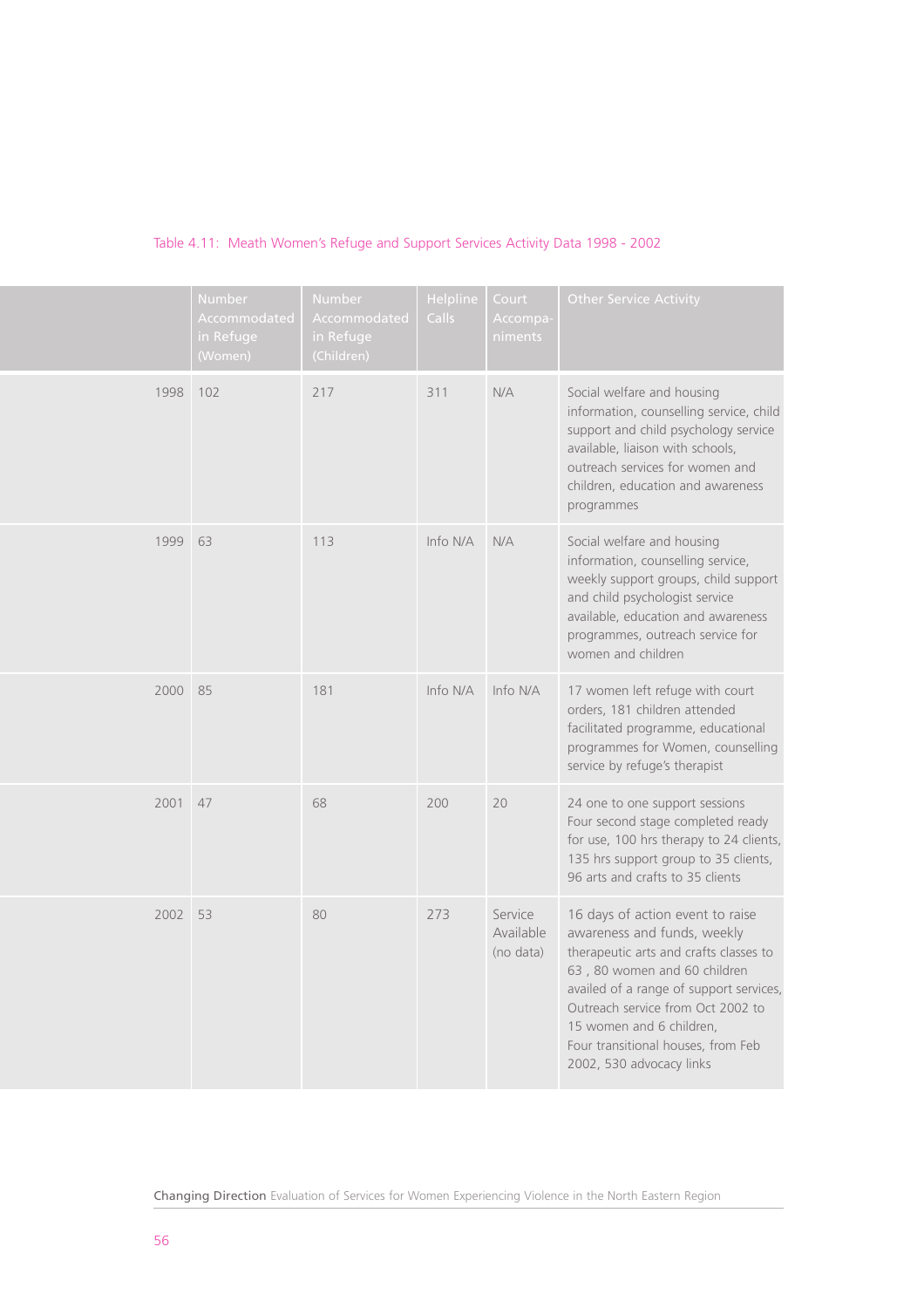|      | Number<br>Accommodated<br>in Refuge<br>(Women) | Number<br>Accommodated<br>in Refuge<br>(Children) | Helpline<br><b>Calls</b> | Court<br>Accompa-<br>niments      | <b>Other Service Activity</b>                                                                                                                                                                                                                                                                                           |
|------|------------------------------------------------|---------------------------------------------------|--------------------------|-----------------------------------|-------------------------------------------------------------------------------------------------------------------------------------------------------------------------------------------------------------------------------------------------------------------------------------------------------------------------|
| 1998 | 102                                            | 217                                               | 311                      | N/A                               | Social welfare and housing<br>information, counselling service, child<br>support and child psychology service<br>available, liaison with schools,<br>outreach services for women and<br>children, education and awareness<br>programmes                                                                                 |
| 1999 | 63                                             | 113                                               | Info N/A                 | N/A                               | Social welfare and housing<br>information, counselling service,<br>weekly support groups, child support<br>and child psychologist service<br>available, education and awareness<br>programmes, outreach service for<br>women and children                                                                               |
| 2000 | 85                                             | 181                                               | Info N/A                 | Info N/A                          | 17 women left refuge with court<br>orders, 181 children attended<br>facilitated programme, educational<br>programmes for Women, counselling<br>service by refuge's therapist                                                                                                                                            |
| 2001 | 47                                             | 68                                                | 200                      | 20                                | 24 one to one support sessions<br>Four second stage completed ready<br>for use, 100 hrs therapy to 24 clients,<br>135 hrs support group to 35 clients,<br>96 arts and crafts to 35 clients                                                                                                                              |
| 2002 | 53                                             | 80                                                | 273                      | Service<br>Available<br>(no data) | 16 days of action event to raise<br>awareness and funds, weekly<br>therapeutic arts and crafts classes to<br>63, 80 women and 60 children<br>availed of a range of support services,<br>Outreach service from Oct 2002 to<br>15 women and 6 children,<br>Four transitional houses, from Feb<br>2002, 530 advocacy links |

# Table 4.11: Meath Women's Refuge and Support Services Activity Data 1998 - 2002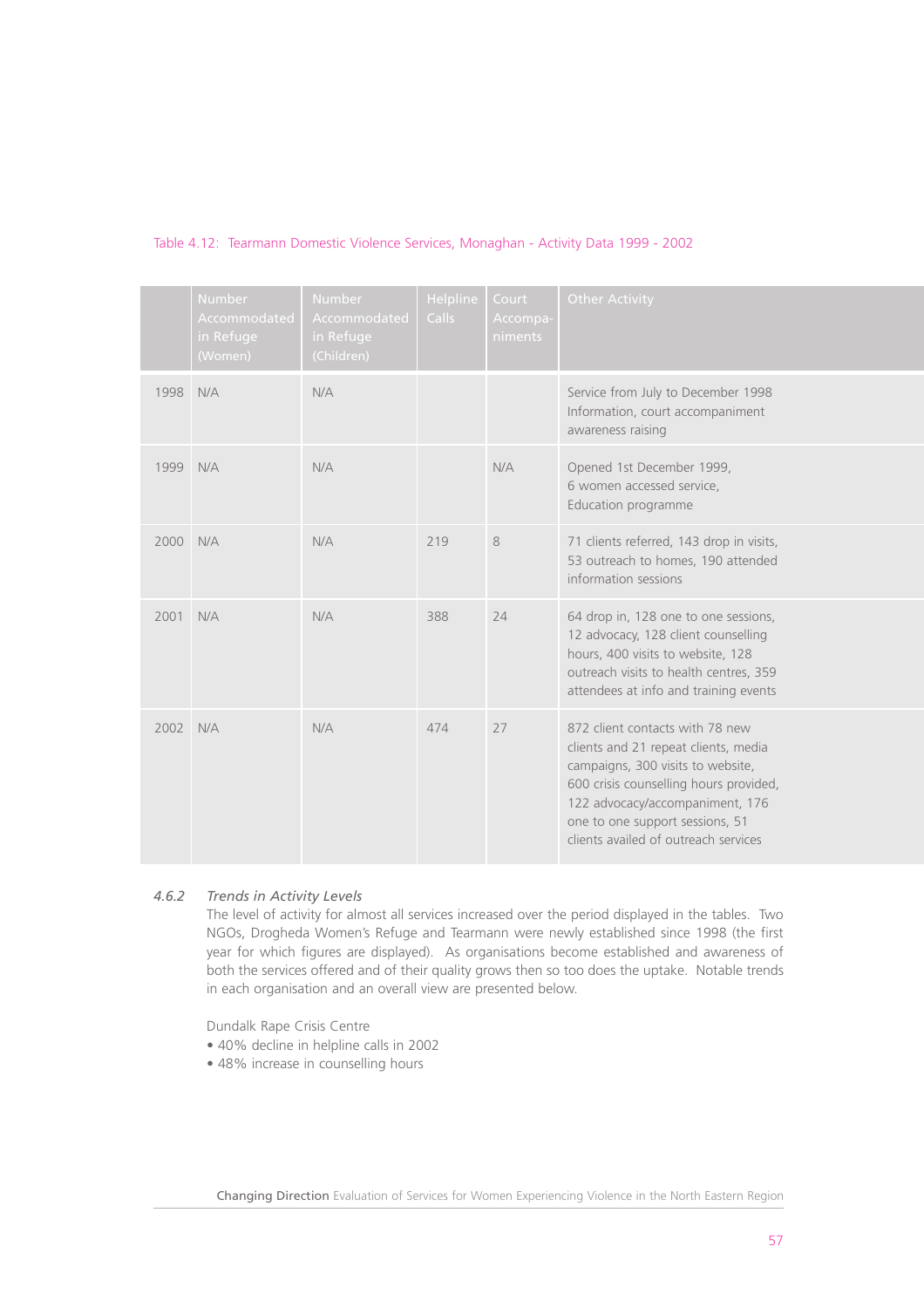|      | <b>Number</b><br>Accommodated<br>in Refuge<br>(Women) | <b>Number</b><br>Accommodated<br>in Refuge<br>(Children) | Helpline<br>Calls | Court<br>Accompa-<br>niments | <b>Other Activity</b>                                                                                                                                                                                                                                                |
|------|-------------------------------------------------------|----------------------------------------------------------|-------------------|------------------------------|----------------------------------------------------------------------------------------------------------------------------------------------------------------------------------------------------------------------------------------------------------------------|
| 1998 | N/A                                                   | N/A                                                      |                   |                              | Service from July to December 1998<br>Information, court accompaniment<br>awareness raising                                                                                                                                                                          |
| 1999 | N/A                                                   | N/A                                                      |                   | N/A                          | Opened 1st December 1999,<br>6 women accessed service,<br>Education programme                                                                                                                                                                                        |
| 2000 | N/A                                                   | N/A                                                      | 219               | 8                            | 71 clients referred, 143 drop in visits,<br>53 outreach to homes, 190 attended<br>information sessions                                                                                                                                                               |
| 2001 | N/A                                                   | N/A                                                      | 388               | 74                           | 64 drop in, 128 one to one sessions,<br>12 advocacy, 128 client counselling<br>hours, 400 visits to website, 128<br>outreach visits to health centres, 359<br>attendees at info and training events                                                                  |
| 2002 | N/A                                                   | N/A                                                      | 474               | 27                           | 872 client contacts with 78 new<br>clients and 21 repeat clients, media<br>campaigns, 300 visits to website,<br>600 crisis counselling hours provided,<br>122 advocacy/accompaniment, 176<br>one to one support sessions, 51<br>clients availed of outreach services |

# Table 4.12: Tearmann Domestic Violence Services, Monaghan - Activity Data 1999 - 2002

# *4.6.2 Trends in Activity Levels*

The level of activity for almost all services increased over the period displayed in the tables. Two NGOs, Drogheda Women's Refuge and Tearmann were newly established since 1998 (the first year for which figures are displayed). As organisations become established and awareness of both the services offered and of their quality grows then so too does the uptake. Notable trends in each organisation and an overall view are presented below.

Dundalk Rape Crisis Centre

- 40% decline in helpline calls in 2002
- 48% increase in counselling hours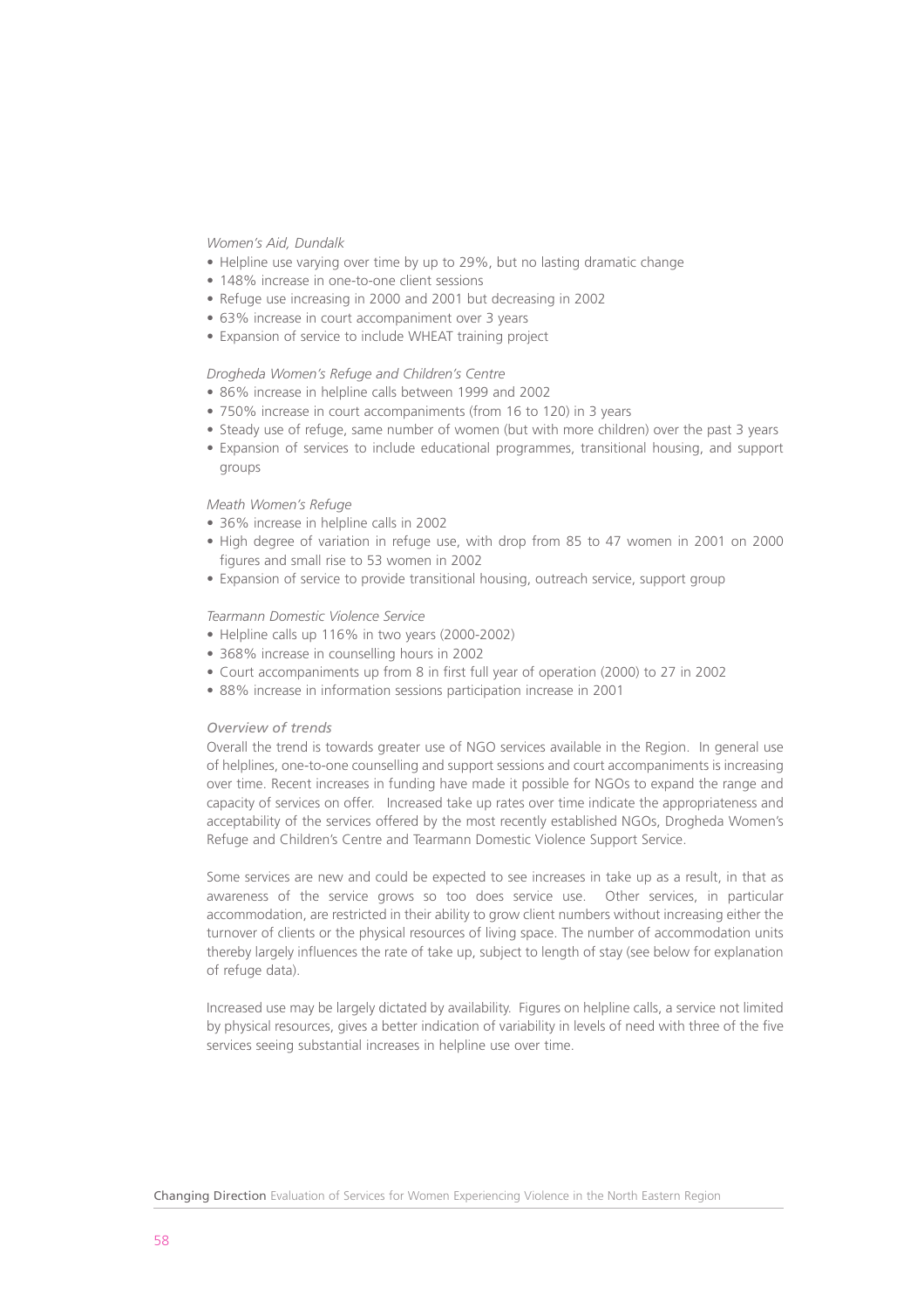*Women's Aid, Dundalk* 

- Helpline use varying over time by up to 29%, but no lasting dramatic change
- 148% increase in one-to-one client sessions
- Refuge use increasing in 2000 and 2001 but decreasing in 2002
- 63% increase in court accompaniment over 3 years
- Expansion of service to include WHEAT training project

#### *Drogheda Women's Refuge and Children's Centre*

- 86% increase in helpline calls between 1999 and 2002
- 750% increase in court accompaniments (from 16 to 120) in 3 years
- Steady use of refuge, same number of women (but with more children) over the past 3 years
- Expansion of services to include educational programmes, transitional housing, and support groups

#### *Meath Women's Refuge*

- 36% increase in helpline calls in 2002
- High degree of variation in refuge use, with drop from 85 to 47 women in 2001 on 2000 figures and small rise to 53 women in 2002
- Expansion of service to provide transitional housing, outreach service, support group

#### *Tearmann Domestic Violence Service*

- Helpline calls up 116% in two years (2000-2002)
- 368% increase in counselling hours in 2002
- Court accompaniments up from 8 in first full year of operation (2000) to 27 in 2002
- 88% increase in information sessions participation increase in 2001

#### *Overview of trends*

Overall the trend is towards greater use of NGO services available in the Region. In general use of helplines, one-to-one counselling and support sessions and court accompaniments is increasing over time. Recent increases in funding have made it possible for NGOs to expand the range and capacity of services on offer. Increased take up rates over time indicate the appropriateness and acceptability of the services offered by the most recently established NGOs, Drogheda Women's Refuge and Children's Centre and Tearmann Domestic Violence Support Service.

Some services are new and could be expected to see increases in take up as a result, in that as awareness of the service grows so too does service use. Other services, in particular accommodation, are restricted in their ability to grow client numbers without increasing either the turnover of clients or the physical resources of living space. The number of accommodation units thereby largely influences the rate of take up, subject to length of stay (see below for explanation of refuge data).

Increased use may be largely dictated by availability. Figures on helpline calls, a service not limited by physical resources, gives a better indication of variability in levels of need with three of the five services seeing substantial increases in helpline use over time.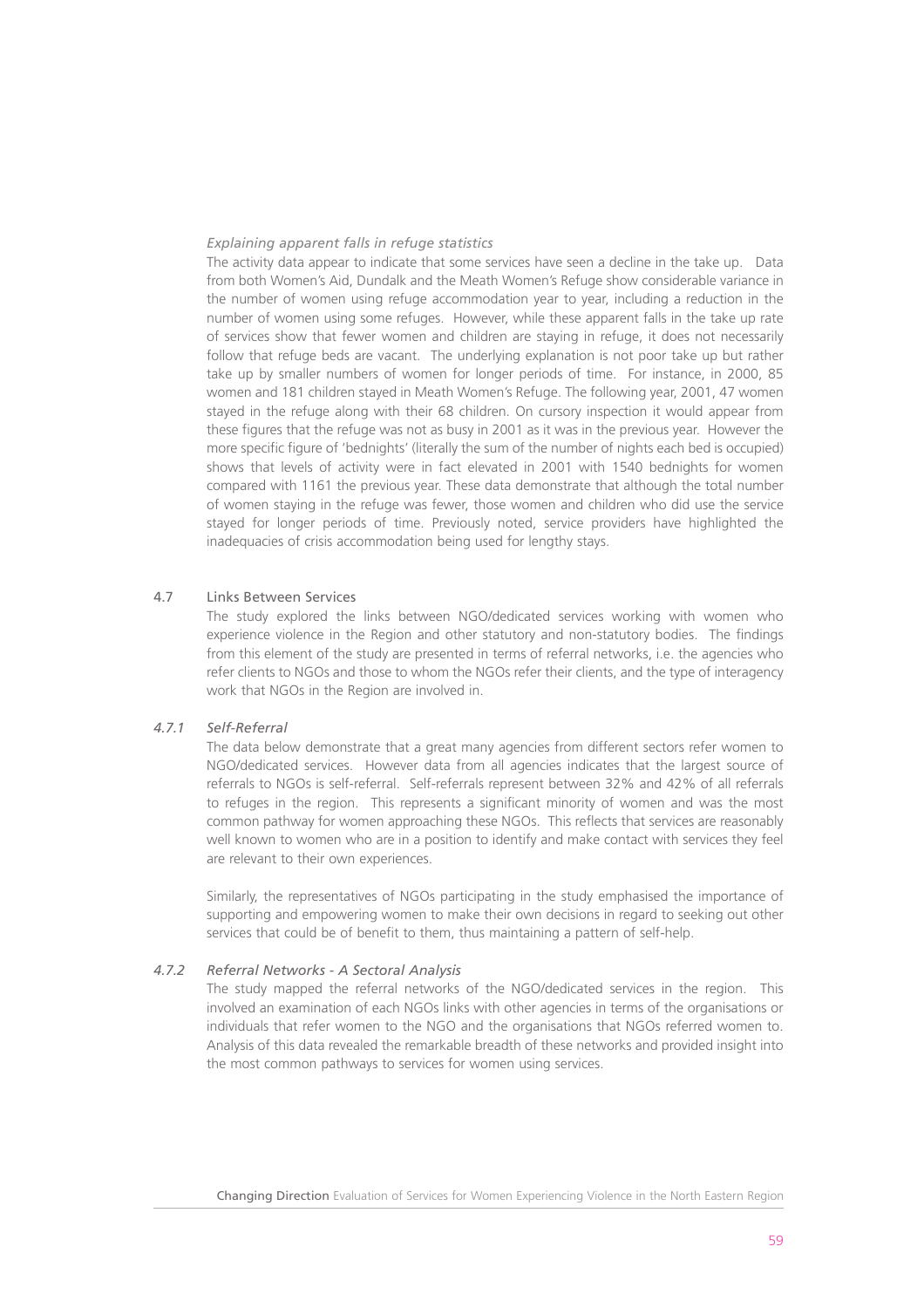#### *Explaining apparent falls in refuge statistics*

The activity data appear to indicate that some services have seen a decline in the take up. Data from both Women's Aid, Dundalk and the Meath Women's Refuge show considerable variance in the number of women using refuge accommodation year to year, including a reduction in the number of women using some refuges. However, while these apparent falls in the take up rate of services show that fewer women and children are staying in refuge, it does not necessarily follow that refuge beds are vacant. The underlying explanation is not poor take up but rather take up by smaller numbers of women for longer periods of time. For instance, in 2000, 85 women and 181 children stayed in Meath Women's Refuge. The following year, 2001, 47 women stayed in the refuge along with their 68 children. On cursory inspection it would appear from these figures that the refuge was not as busy in 2001 as it was in the previous year. However the more specific figure of 'bednights' (literally the sum of the number of nights each bed is occupied) shows that levels of activity were in fact elevated in 2001 with 1540 bednights for women compared with 1161 the previous year. These data demonstrate that although the total number of women staying in the refuge was fewer, those women and children who did use the service stayed for longer periods of time. Previously noted, service providers have highlighted the inadequacies of crisis accommodation being used for lengthy stays.

#### 4.7 Links Between Services

The study explored the links between NGO/dedicated services working with women who experience violence in the Region and other statutory and non-statutory bodies. The findings from this element of the study are presented in terms of referral networks, i.e. the agencies who refer clients to NGOs and those to whom the NGOs refer their clients, and the type of interagency work that NGOs in the Region are involved in.

# *4.7.1 Self-Referral*

The data below demonstrate that a great many agencies from different sectors refer women to NGO/dedicated services. However data from all agencies indicates that the largest source of referrals to NGOs is self-referral. Self-referrals represent between 32% and 42% of all referrals to refuges in the region. This represents a significant minority of women and was the most common pathway for women approaching these NGOs. This reflects that services are reasonably well known to women who are in a position to identify and make contact with services they feel are relevant to their own experiences.

Similarly, the representatives of NGOs participating in the study emphasised the importance of supporting and empowering women to make their own decisions in regard to seeking out other services that could be of benefit to them, thus maintaining a pattern of self-help.

# *4.7.2 Referral Networks - A Sectoral Analysis*

The study mapped the referral networks of the NGO/dedicated services in the region. This involved an examination of each NGOs links with other agencies in terms of the organisations or individuals that refer women to the NGO and the organisations that NGOs referred women to. Analysis of this data revealed the remarkable breadth of these networks and provided insight into the most common pathways to services for women using services.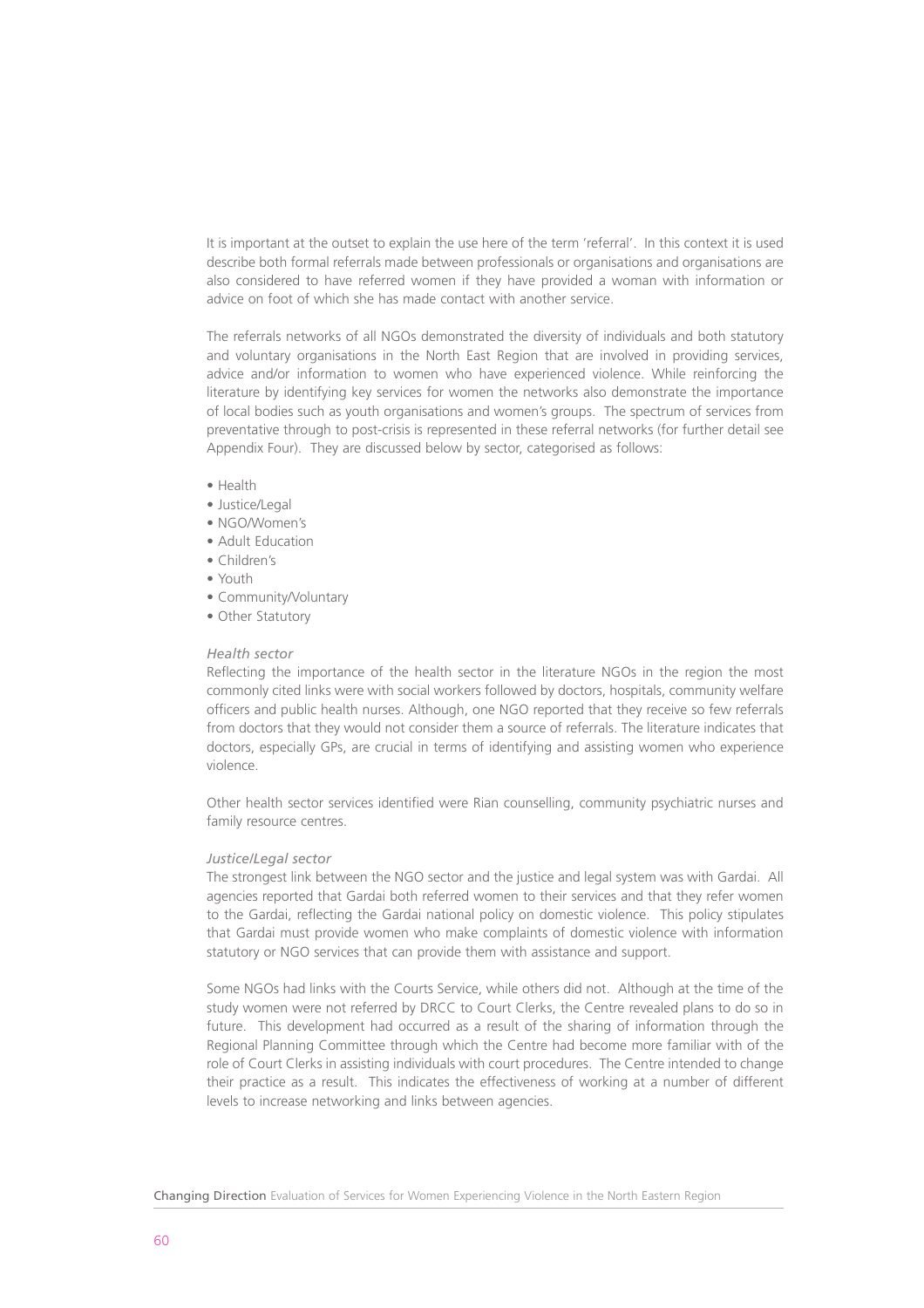It is important at the outset to explain the use here of the term 'referral'. In this context it is used describe both formal referrals made between professionals or organisations and organisations are also considered to have referred women if they have provided a woman with information or advice on foot of which she has made contact with another service.

The referrals networks of all NGOs demonstrated the diversity of individuals and both statutory and voluntary organisations in the North East Region that are involved in providing services, advice and/or information to women who have experienced violence. While reinforcing the literature by identifying key services for women the networks also demonstrate the importance of local bodies such as youth organisations and women's groups. The spectrum of services from preventative through to post-crisis is represented in these referral networks (for further detail see Appendix Four). They are discussed below by sector, categorised as follows:

- Health
- Justice/Legal
- NGO/Women's
- Adult Education
- Children's
- Youth
- Community/Voluntary
- Other Statutory

#### *Health sector*

Reflecting the importance of the health sector in the literature NGOs in the region the most commonly cited links were with social workers followed by doctors, hospitals, community welfare officers and public health nurses. Although, one NGO reported that they receive so few referrals from doctors that they would not consider them a source of referrals. The literature indicates that doctors, especially GPs, are crucial in terms of identifying and assisting women who experience violence.

Other health sector services identified were Rian counselling, community psychiatric nurses and family resource centres.

#### *Justice/Legal sector*

The strongest link between the NGO sector and the justice and legal system was with Gardai. All agencies reported that Gardai both referred women to their services and that they refer women to the Gardai, reflecting the Gardai national policy on domestic violence. This policy stipulates that Gardai must provide women who make complaints of domestic violence with information statutory or NGO services that can provide them with assistance and support.

Some NGOs had links with the Courts Service, while others did not. Although at the time of the study women were not referred by DRCC to Court Clerks, the Centre revealed plans to do so in future. This development had occurred as a result of the sharing of information through the Regional Planning Committee through which the Centre had become more familiar with of the role of Court Clerks in assisting individuals with court procedures. The Centre intended to change their practice as a result. This indicates the effectiveness of working at a number of different levels to increase networking and links between agencies.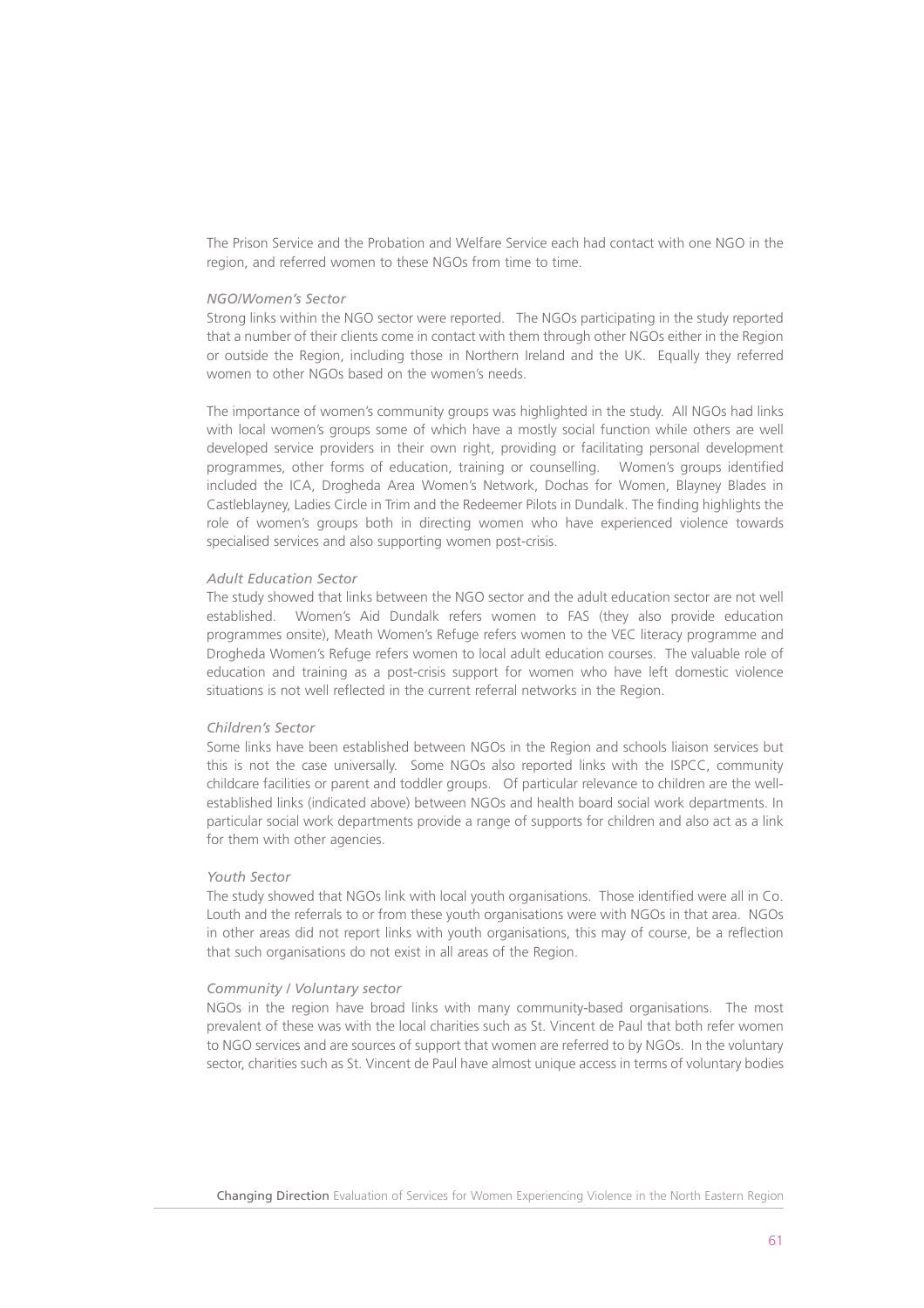The Prison Service and the Probation and Welfare Service each had contact with one NGO in the region, and referred women to these NGOs from time to time.

#### *NGO/Women's Sector*

Strong links within the NGO sector were reported. The NGOs participating in the study reported that a number of their clients come in contact with them through other NGOs either in the Region or outside the Region, including those in Northern Ireland and the UK. Equally they referred women to other NGOs based on the women's needs.

The importance of women's community groups was highlighted in the study. All NGOs had links with local women's groups some of which have a mostly social function while others are well developed service providers in their own right, providing or facilitating personal development programmes, other forms of education, training or counselling. Women's groups identified included the ICA, Drogheda Area Women's Network, Dochas for Women, Blayney Blades in Castleblayney, Ladies Circle in Trim and the Redeemer Pilots in Dundalk. The finding highlights the role of women's groups both in directing women who have experienced violence towards specialised services and also supporting women post-crisis.

#### *Adult Education Sector*

The study showed that links between the NGO sector and the adult education sector are not well established. Women's Aid Dundalk refers women to FAS (they also provide education programmes onsite), Meath Women's Refuge refers women to the VEC literacy programme and Drogheda Women's Refuge refers women to local adult education courses. The valuable role of education and training as a post-crisis support for women who have left domestic violence situations is not well reflected in the current referral networks in the Region.

#### *Children's Sector*

Some links have been established between NGOs in the Region and schools liaison services but this is not the case universally. Some NGOs also reported links with the ISPCC, community childcare facilities or parent and toddler groups. Of particular relevance to children are the wellestablished links (indicated above) between NGOs and health board social work departments. In particular social work departments provide a range of supports for children and also act as a link for them with other agencies.

#### *Youth Sector*

The study showed that NGOs link with local youth organisations. Those identified were all in Co. Louth and the referrals to or from these youth organisations were with NGOs in that area. NGOs in other areas did not report links with youth organisations, this may of course, be a reflection that such organisations do not exist in all areas of the Region.

#### *Community / Voluntary sector*

NGOs in the region have broad links with many community-based organisations. The most prevalent of these was with the local charities such as St. Vincent de Paul that both refer women to NGO services and are sources of support that women are referred to by NGOs. In the voluntary sector, charities such as St. Vincent de Paul have almost unique access in terms of voluntary bodies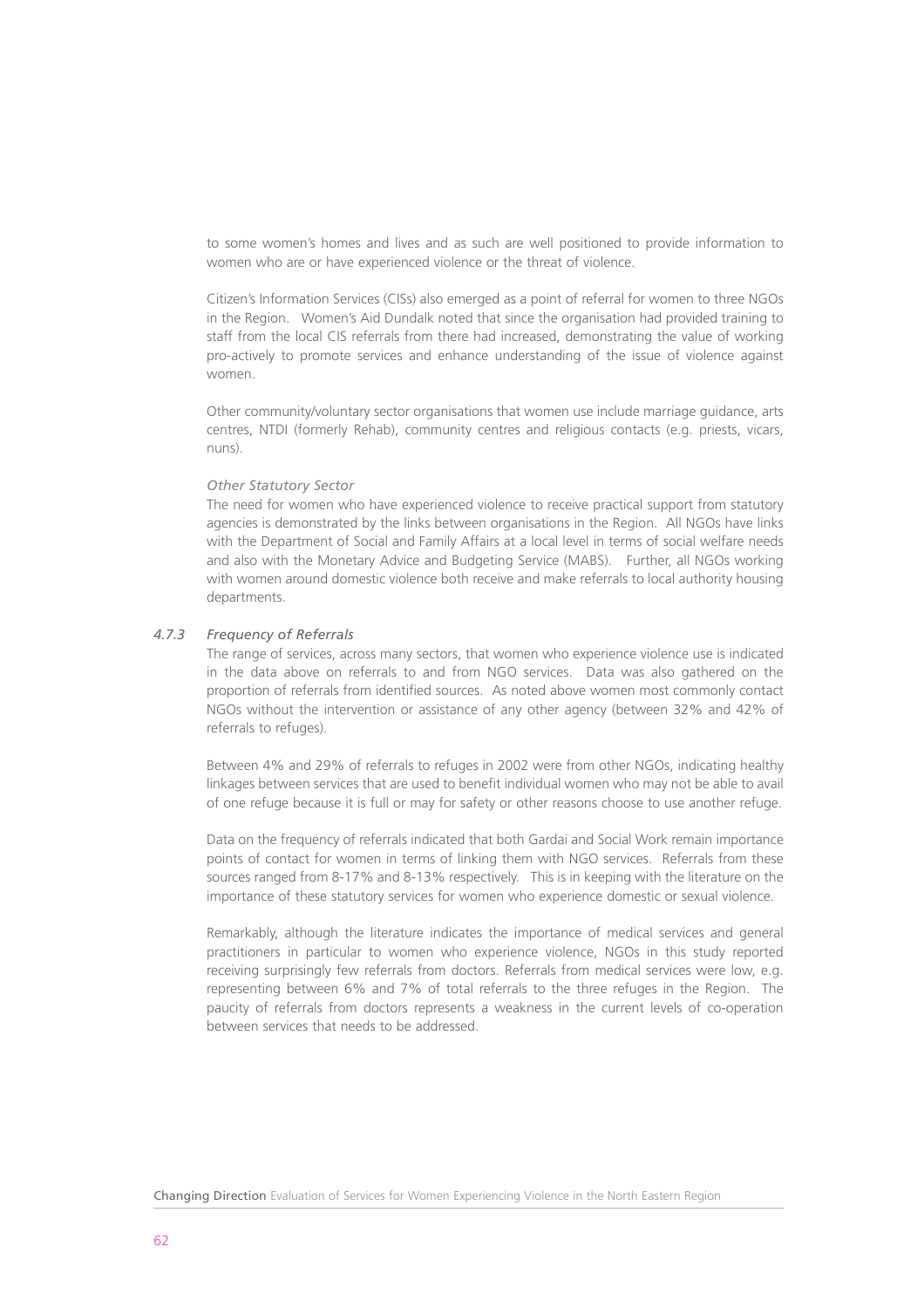to some women's homes and lives and as such are well positioned to provide information to women who are or have experienced violence or the threat of violence.

Citizen's Information Services (CISs) also emerged as a point of referral for women to three NGOs in the Region. Women's Aid Dundalk noted that since the organisation had provided training to staff from the local CIS referrals from there had increased, demonstrating the value of working pro-actively to promote services and enhance understanding of the issue of violence against women.

Other community/voluntary sector organisations that women use include marriage guidance, arts centres, NTDI (formerly Rehab), community centres and religious contacts (e.g. priests, vicars, nuns).

#### *Other Statutory Sector*

The need for women who have experienced violence to receive practical support from statutory agencies is demonstrated by the links between organisations in the Region. All NGOs have links with the Department of Social and Family Affairs at a local level in terms of social welfare needs and also with the Monetary Advice and Budgeting Service (MABS). Further, all NGOs working with women around domestic violence both receive and make referrals to local authority housing departments.

#### *4.7.3 Frequency of Referrals*

The range of services, across many sectors, that women who experience violence use is indicated in the data above on referrals to and from NGO services. Data was also gathered on the proportion of referrals from identified sources. As noted above women most commonly contact NGOs without the intervention or assistance of any other agency (between 32% and 42% of referrals to refuges).

Between 4% and 29% of referrals to refuges in 2002 were from other NGOs, indicating healthy linkages between services that are used to benefit individual women who may not be able to avail of one refuge because it is full or may for safety or other reasons choose to use another refuge.

Data on the frequency of referrals indicated that both Gardai and Social Work remain importance points of contact for women in terms of linking them with NGO services. Referrals from these sources ranged from 8-17% and 8-13% respectively. This is in keeping with the literature on the importance of these statutory services for women who experience domestic or sexual violence.

Remarkably, although the literature indicates the importance of medical services and general practitioners in particular to women who experience violence, NGOs in this study reported receiving surprisingly few referrals from doctors. Referrals from medical services were low, e.g. representing between 6% and 7% of total referrals to the three refuges in the Region. The paucity of referrals from doctors represents a weakness in the current levels of co-operation between services that needs to be addressed.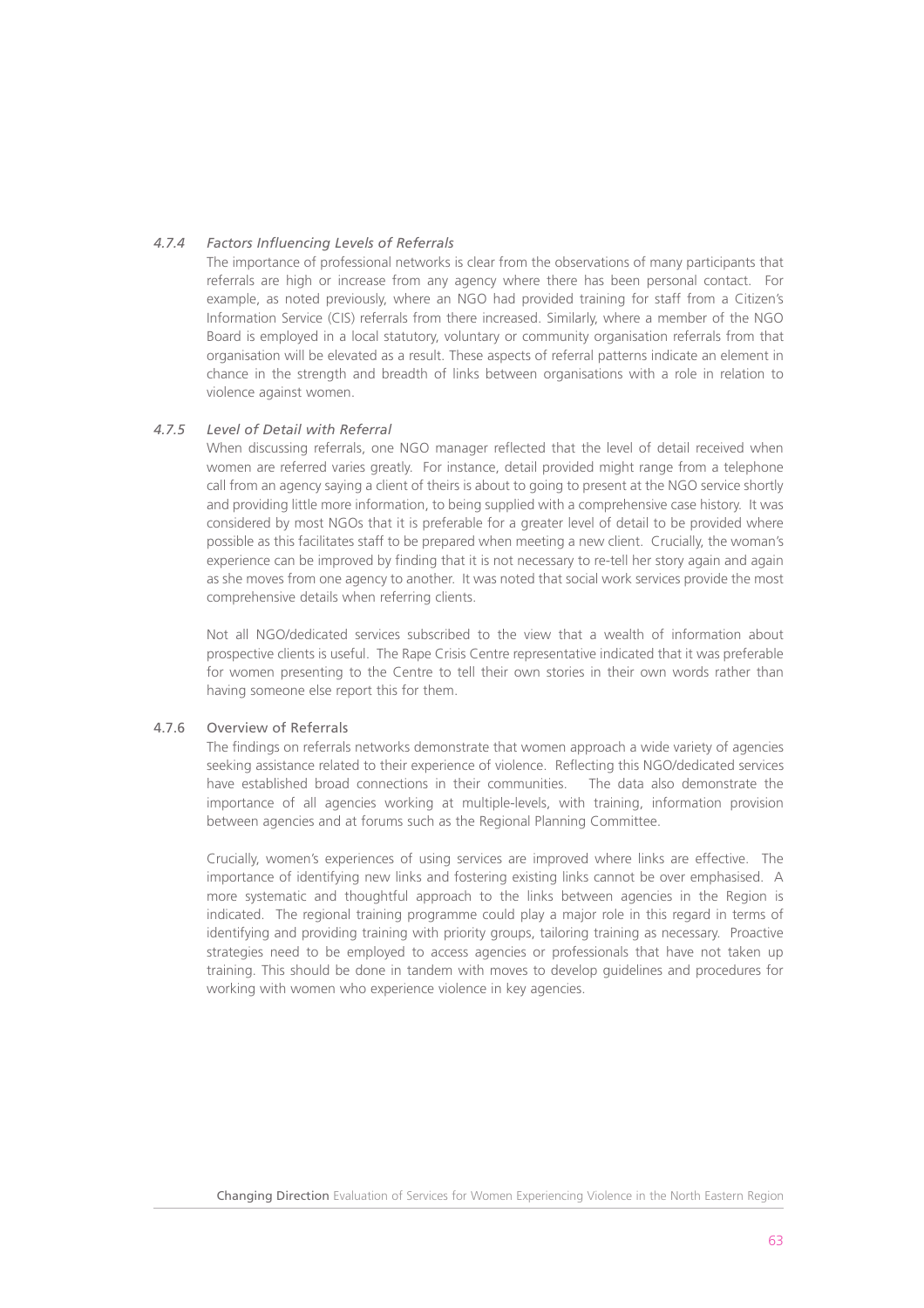# *4.7.4 Factors Influencing Levels of Referrals*

The importance of professional networks is clear from the observations of many participants that referrals are high or increase from any agency where there has been personal contact. For example, as noted previously, where an NGO had provided training for staff from a Citizen's Information Service (CIS) referrals from there increased. Similarly, where a member of the NGO Board is employed in a local statutory, voluntary or community organisation referrals from that organisation will be elevated as a result. These aspects of referral patterns indicate an element in chance in the strength and breadth of links between organisations with a role in relation to violence against women.

# *4.7.5 Level of Detail with Referral*

When discussing referrals, one NGO manager reflected that the level of detail received when women are referred varies greatly. For instance, detail provided might range from a telephone call from an agency saying a client of theirs is about to going to present at the NGO service shortly and providing little more information, to being supplied with a comprehensive case history. It was considered by most NGOs that it is preferable for a greater level of detail to be provided where possible as this facilitates staff to be prepared when meeting a new client. Crucially, the woman's experience can be improved by finding that it is not necessary to re-tell her story again and again as she moves from one agency to another. It was noted that social work services provide the most comprehensive details when referring clients.

Not all NGO/dedicated services subscribed to the view that a wealth of information about prospective clients is useful. The Rape Crisis Centre representative indicated that it was preferable for women presenting to the Centre to tell their own stories in their own words rather than having someone else report this for them.

# 4.7.6 Overview of Referrals

The findings on referrals networks demonstrate that women approach a wide variety of agencies seeking assistance related to their experience of violence. Reflecting this NGO/dedicated services have established broad connections in their communities. The data also demonstrate the importance of all agencies working at multiple-levels, with training, information provision between agencies and at forums such as the Regional Planning Committee.

Crucially, women's experiences of using services are improved where links are effective. The importance of identifying new links and fostering existing links cannot be over emphasised. A more systematic and thoughtful approach to the links between agencies in the Region is indicated. The regional training programme could play a major role in this regard in terms of identifying and providing training with priority groups, tailoring training as necessary. Proactive strategies need to be employed to access agencies or professionals that have not taken up training. This should be done in tandem with moves to develop guidelines and procedures for working with women who experience violence in key agencies.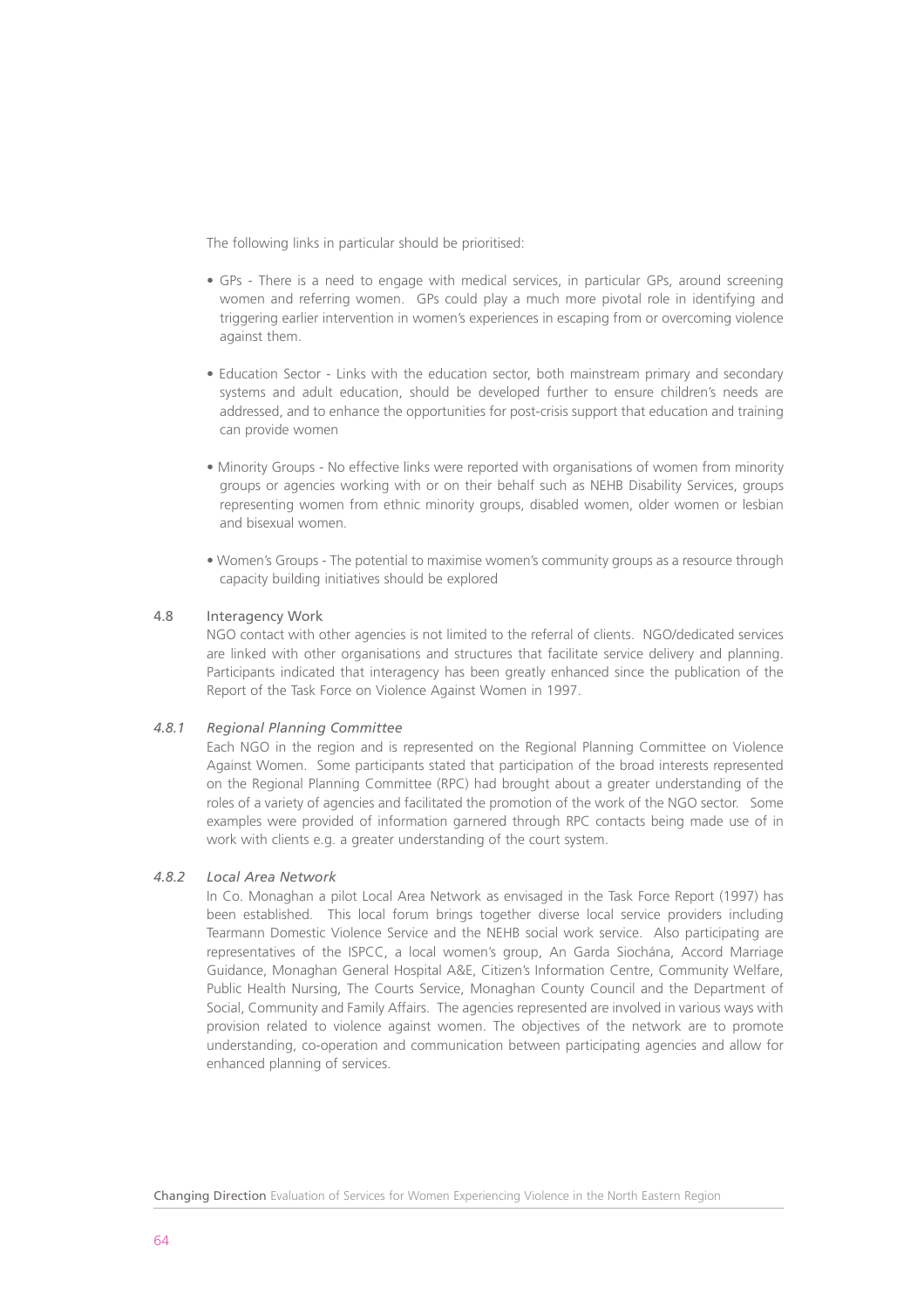The following links in particular should be prioritised:

- GPs There is a need to engage with medical services, in particular GPs, around screening women and referring women. GPs could play a much more pivotal role in identifying and triggering earlier intervention in women's experiences in escaping from or overcoming violence against them.
- Education Sector Links with the education sector, both mainstream primary and secondary systems and adult education, should be developed further to ensure children's needs are addressed, and to enhance the opportunities for post-crisis support that education and training can provide women
- Minority Groups No effective links were reported with organisations of women from minority groups or agencies working with or on their behalf such as NEHB Disability Services, groups representing women from ethnic minority groups, disabled women, older women or lesbian and bisexual women.
- Women's Groups The potential to maximise women's community groups as a resource through capacity building initiatives should be explored

# 4.8 Interagency Work

NGO contact with other agencies is not limited to the referral of clients. NGO/dedicated services are linked with other organisations and structures that facilitate service delivery and planning. Participants indicated that interagency has been greatly enhanced since the publication of the Report of the Task Force on Violence Against Women in 1997.

# *4.8.1 Regional Planning Committee*

Each NGO in the region and is represented on the Regional Planning Committee on Violence Against Women. Some participants stated that participation of the broad interests represented on the Regional Planning Committee (RPC) had brought about a greater understanding of the roles of a variety of agencies and facilitated the promotion of the work of the NGO sector. Some examples were provided of information garnered through RPC contacts being made use of in work with clients e.g. a greater understanding of the court system.

# *4.8.2 Local Area Network*

In Co. Monaghan a pilot Local Area Network as envisaged in the Task Force Report (1997) has been established. This local forum brings together diverse local service providers including Tearmann Domestic Violence Service and the NEHB social work service. Also participating are representatives of the ISPCC, a local women's group, An Garda Siochána, Accord Marriage Guidance, Monaghan General Hospital A&E, Citizen's Information Centre, Community Welfare, Public Health Nursing, The Courts Service, Monaghan County Council and the Department of Social, Community and Family Affairs. The agencies represented are involved in various ways with provision related to violence against women. The objectives of the network are to promote understanding, co-operation and communication between participating agencies and allow for enhanced planning of services.

Changing Direction Evaluation of Services for Women Experiencing Violence in the North Eastern Region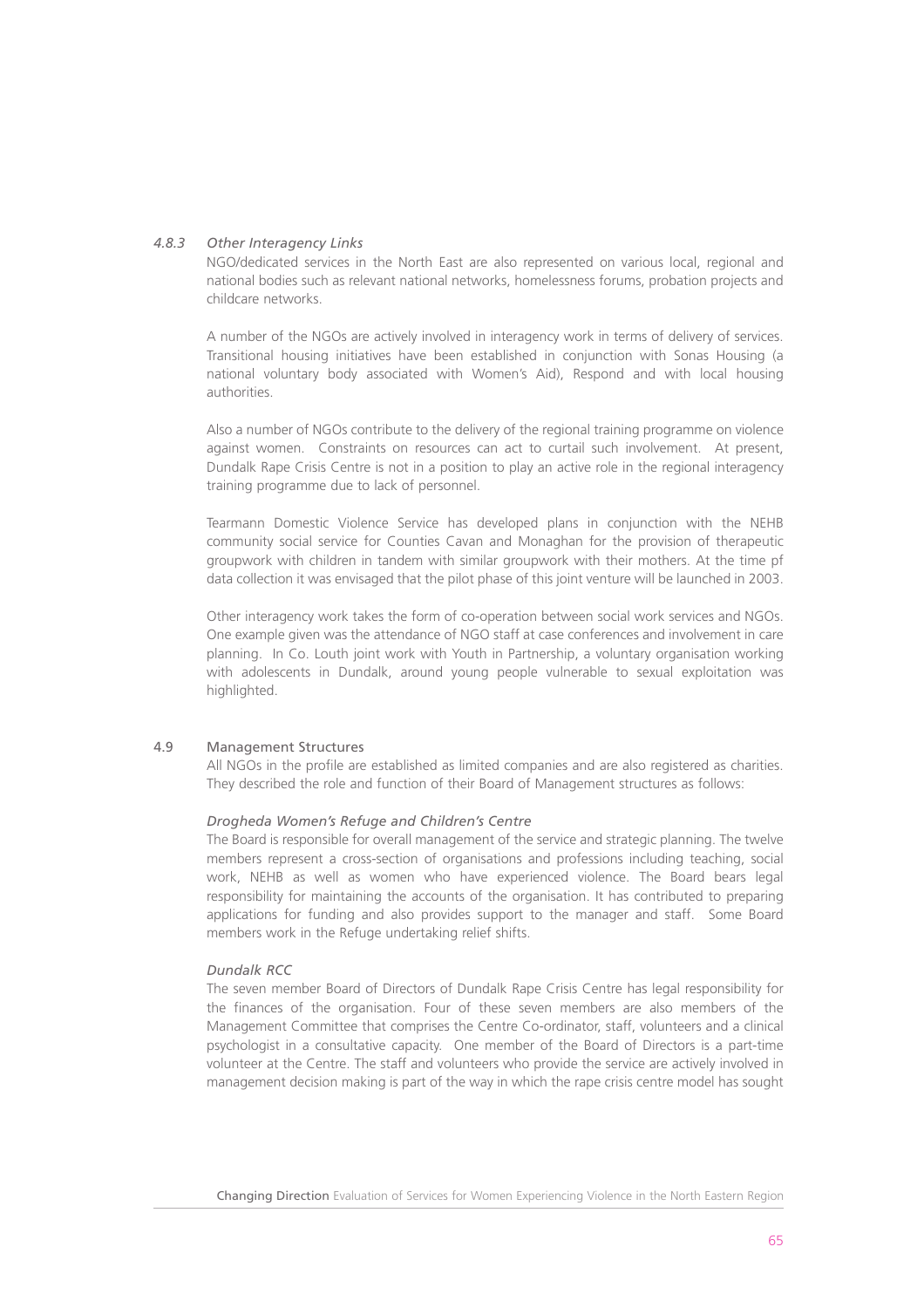#### *4.8.3 Other Interagency Links*

NGO/dedicated services in the North East are also represented on various local, regional and national bodies such as relevant national networks, homelessness forums, probation projects and childcare networks.

A number of the NGOs are actively involved in interagency work in terms of delivery of services. Transitional housing initiatives have been established in conjunction with Sonas Housing (a national voluntary body associated with Women's Aid), Respond and with local housing authorities.

Also a number of NGOs contribute to the delivery of the regional training programme on violence against women. Constraints on resources can act to curtail such involvement. At present, Dundalk Rape Crisis Centre is not in a position to play an active role in the regional interagency training programme due to lack of personnel.

Tearmann Domestic Violence Service has developed plans in conjunction with the NEHB community social service for Counties Cavan and Monaghan for the provision of therapeutic groupwork with children in tandem with similar groupwork with their mothers. At the time pf data collection it was envisaged that the pilot phase of this joint venture will be launched in 2003.

Other interagency work takes the form of co-operation between social work services and NGOs. One example given was the attendance of NGO staff at case conferences and involvement in care planning. In Co. Louth joint work with Youth in Partnership, a voluntary organisation working with adolescents in Dundalk, around young people vulnerable to sexual exploitation was highlighted.

#### 4.9 Management Structures

All NGOs in the profile are established as limited companies and are also registered as charities. They described the role and function of their Board of Management structures as follows:

# *Drogheda Women's Refuge and Children's Centre*

The Board is responsible for overall management of the service and strategic planning. The twelve members represent a cross-section of organisations and professions including teaching, social work, NEHB as well as women who have experienced violence. The Board bears legal responsibility for maintaining the accounts of the organisation. It has contributed to preparing applications for funding and also provides support to the manager and staff. Some Board members work in the Refuge undertaking relief shifts.

#### *Dundalk RCC*

The seven member Board of Directors of Dundalk Rape Crisis Centre has legal responsibility for the finances of the organisation. Four of these seven members are also members of the Management Committee that comprises the Centre Co-ordinator, staff, volunteers and a clinical psychologist in a consultative capacity. One member of the Board of Directors is a part-time volunteer at the Centre. The staff and volunteers who provide the service are actively involved in management decision making is part of the way in which the rape crisis centre model has sought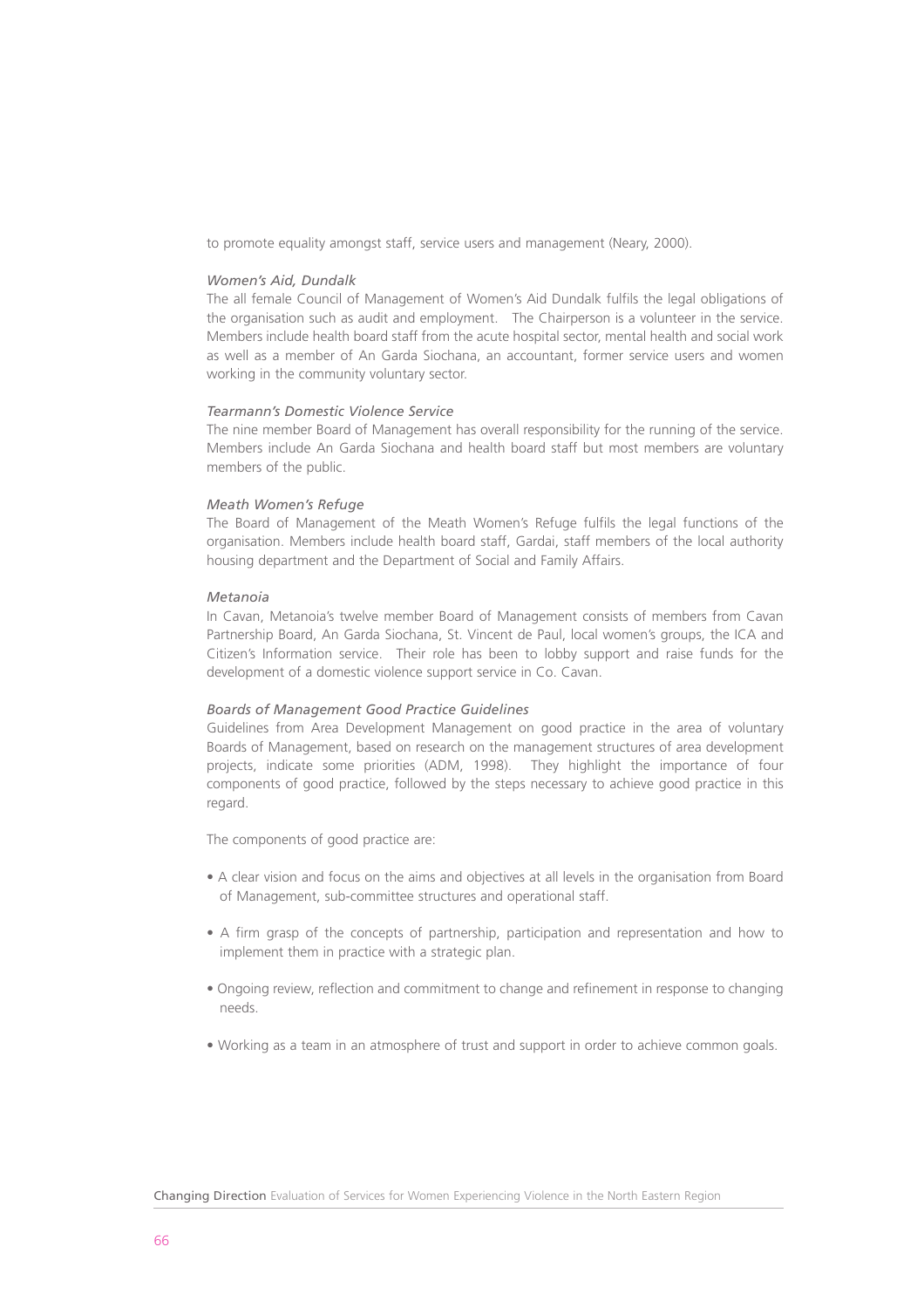to promote equality amongst staff, service users and management (Neary, 2000).

#### *Women's Aid, Dundalk*

The all female Council of Management of Women's Aid Dundalk fulfils the legal obligations of the organisation such as audit and employment. The Chairperson is a volunteer in the service. Members include health board staff from the acute hospital sector, mental health and social work as well as a member of An Garda Siochana, an accountant, former service users and women working in the community voluntary sector.

#### *Tearmann's Domestic Violence Service*

The nine member Board of Management has overall responsibility for the running of the service. Members include An Garda Siochana and health board staff but most members are voluntary members of the public.

#### *Meath Women's Refuge*

The Board of Management of the Meath Women's Refuge fulfils the legal functions of the organisation. Members include health board staff, Gardai, staff members of the local authority housing department and the Department of Social and Family Affairs.

#### *Metanoia*

In Cavan, Metanoia's twelve member Board of Management consists of members from Cavan Partnership Board, An Garda Siochana, St. Vincent de Paul, local women's groups, the ICA and Citizen's Information service. Their role has been to lobby support and raise funds for the development of a domestic violence support service in Co. Cavan.

#### *Boards of Management Good Practice Guidelines*

Guidelines from Area Development Management on good practice in the area of voluntary Boards of Management, based on research on the management structures of area development projects, indicate some priorities (ADM, 1998). They highlight the importance of four components of good practice, followed by the steps necessary to achieve good practice in this regard.

The components of good practice are:

- A clear vision and focus on the aims and objectives at all levels in the organisation from Board of Management, sub-committee structures and operational staff.
- A firm grasp of the concepts of partnership, participation and representation and how to implement them in practice with a strategic plan.
- Ongoing review, reflection and commitment to change and refinement in response to changing needs.
- Working as a team in an atmosphere of trust and support in order to achieve common goals.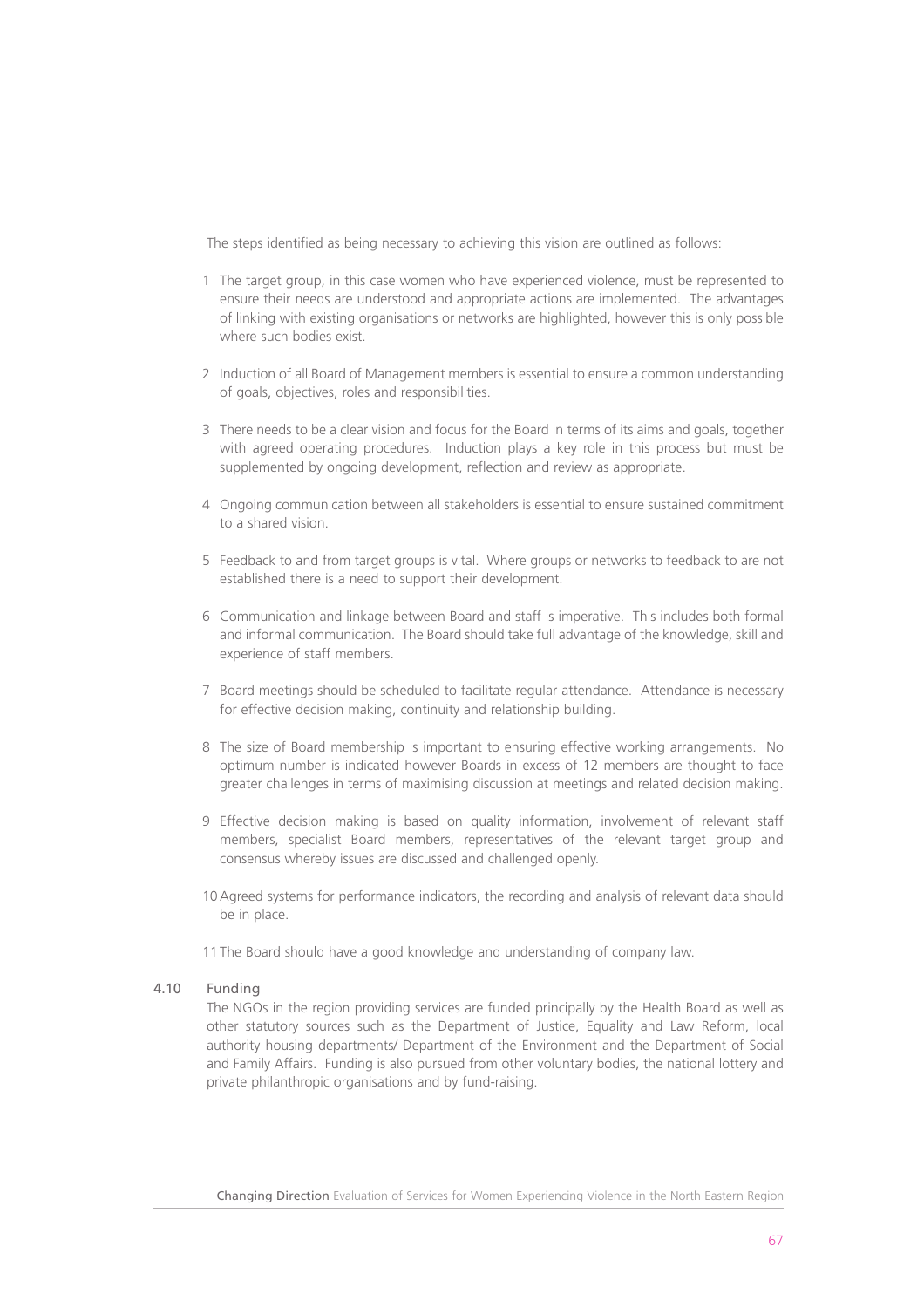The steps identified as being necessary to achieving this vision are outlined as follows:

- 1 The target group, in this case women who have experienced violence, must be represented to ensure their needs are understood and appropriate actions are implemented. The advantages of linking with existing organisations or networks are highlighted, however this is only possible where such bodies exist.
- 2 Induction of all Board of Management members is essential to ensure a common understanding of goals, objectives, roles and responsibilities.
- 3 There needs to be a clear vision and focus for the Board in terms of its aims and goals, together with agreed operating procedures. Induction plays a key role in this process but must be supplemented by ongoing development, reflection and review as appropriate.
- 4 Ongoing communication between all stakeholders is essential to ensure sustained commitment to a shared vision.
- 5 Feedback to and from target groups is vital. Where groups or networks to feedback to are not established there is a need to support their development.
- 6 Communication and linkage between Board and staff is imperative. This includes both formal and informal communication. The Board should take full advantage of the knowledge, skill and experience of staff members.
- 7 Board meetings should be scheduled to facilitate regular attendance. Attendance is necessary for effective decision making, continuity and relationship building.
- 8 The size of Board membership is important to ensuring effective working arrangements. No optimum number is indicated however Boards in excess of 12 members are thought to face greater challenges in terms of maximising discussion at meetings and related decision making.
- 9 Effective decision making is based on quality information, involvement of relevant staff members, specialist Board members, representatives of the relevant target group and consensus whereby issues are discussed and challenged openly.
- 10 Agreed systems for performance indicators, the recording and analysis of relevant data should be in place.
- 11 The Board should have a good knowledge and understanding of company law.

#### 4.10 Funding

The NGOs in the region providing services are funded principally by the Health Board as well as other statutory sources such as the Department of Justice, Equality and Law Reform, local authority housing departments/ Department of the Environment and the Department of Social and Family Affairs. Funding is also pursued from other voluntary bodies, the national lottery and private philanthropic organisations and by fund-raising.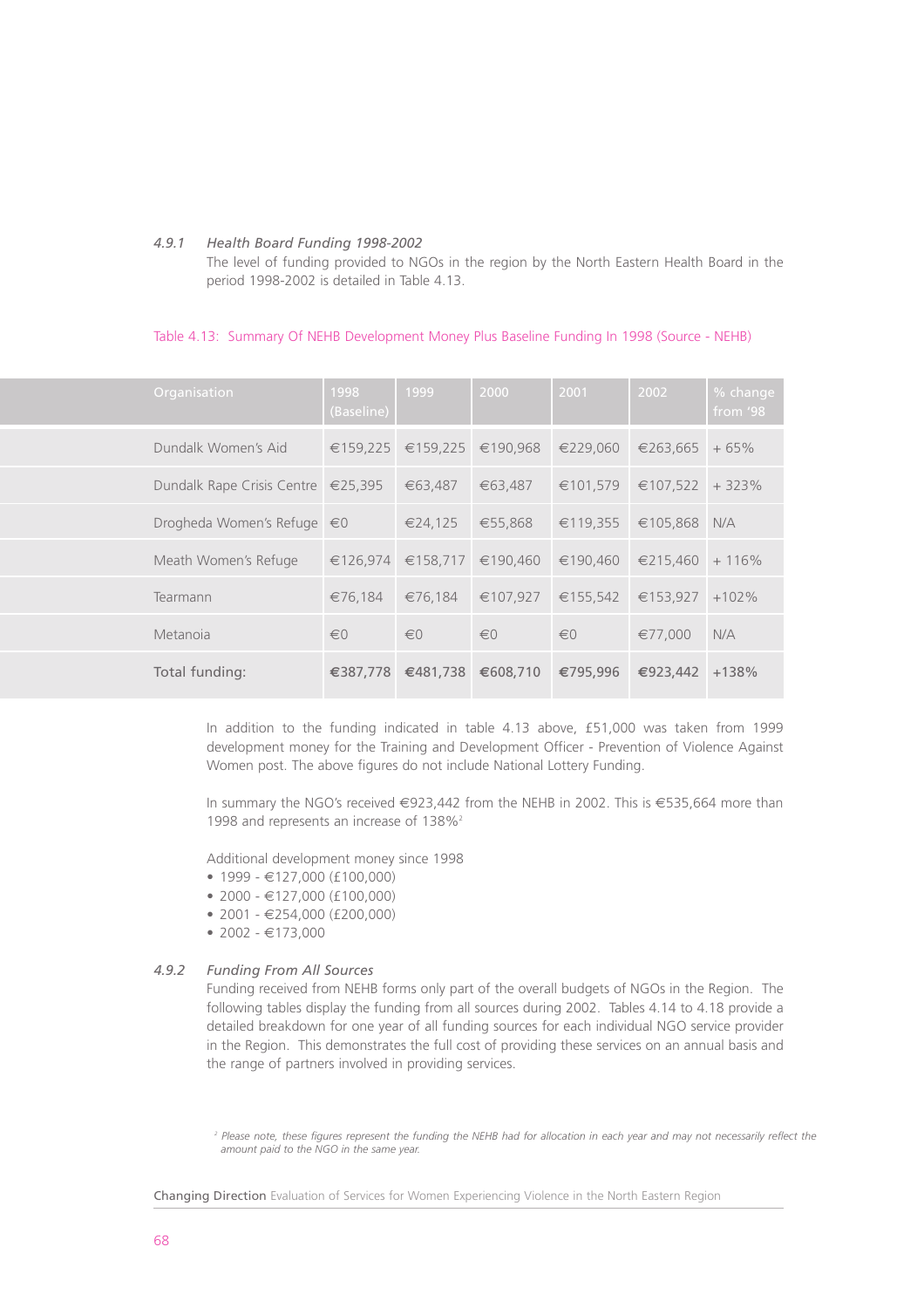#### *4.9.1 Health Board Funding 1998-2002*

The level of funding provided to NGOs in the region by the North Eastern Health Board in the period 1998-2002 is detailed in Table 4.13.

# Table 4.13: Summary Of NEHB Development Money Plus Baseline Funding In 1998 (Source - NEHB)

| Organisation                                 | 1998<br>(Baseline)      | 1999                | 2000     | 2001     | 2002     | % change<br>from $'98$ |
|----------------------------------------------|-------------------------|---------------------|----------|----------|----------|------------------------|
| Dundalk Women's Aid                          |                         | $€159.225$ €159.225 | €190.968 | €229.060 | €263,665 | $+65%$                 |
| Dundalk Rape Crisis Centre $\epsilon$ 25,395 |                         | €63,487             | €63,487  | €101,579 | €107,522 | $+323%$                |
| Drogheda Women's Refuge $\epsilon$ 0         |                         | €24,125             | €55,868  | €119,355 | €105,868 | N/A                    |
| Meath Women's Refuge                         | €126.974                | €158,717            | €190.460 | €190,460 | €215,460 | $+116%$                |
| Tearmann                                     | €76,184                 | €76,184             | €107,927 | €155,542 | €153,927 | $+102%$                |
| Metanoia                                     | $\epsilon$ <sup>0</sup> | $\in 0$             | $\in 0$  | $\in 0$  | €77.000  | N/A                    |
| Total funding:                               | €387,778                | €481,738            | €608,710 | €795,996 | €923,442 | $+138%$                |

In addition to the funding indicated in table 4.13 above, £51,000 was taken from 1999 development money for the Training and Development Officer - Prevention of Violence Against Women post. The above figures do not include National Lottery Funding.

In summary the NGO's received €923,442 from the NEHB in 2002. This is €535,664 more than 1998 and represents an increase of 138%<sup>2</sup>

Additional development money since 1998

- 1999  $\in$ 127,000 (£100,000)
- $2000 €127.000 (£100.000)$
- 2001 €254,000 (£200,000)
- 2002  $€173.000$

# *4.9.2 Funding From All Sources*

Funding received from NEHB forms only part of the overall budgets of NGOs in the Region. The following tables display the funding from all sources during 2002. Tables 4.14 to 4.18 provide a detailed breakdown for one year of all funding sources for each individual NGO service provider in the Region. This demonstrates the full cost of providing these services on an annual basis and the range of partners involved in providing services.

*<sup>2</sup> Please note, these figures represent the funding the NEHB had for allocation in each year and may not necessarily reflect the amount paid to the NGO in the same year.*

Changing Direction Evaluation of Services for Women Experiencing Violence in the North Eastern Region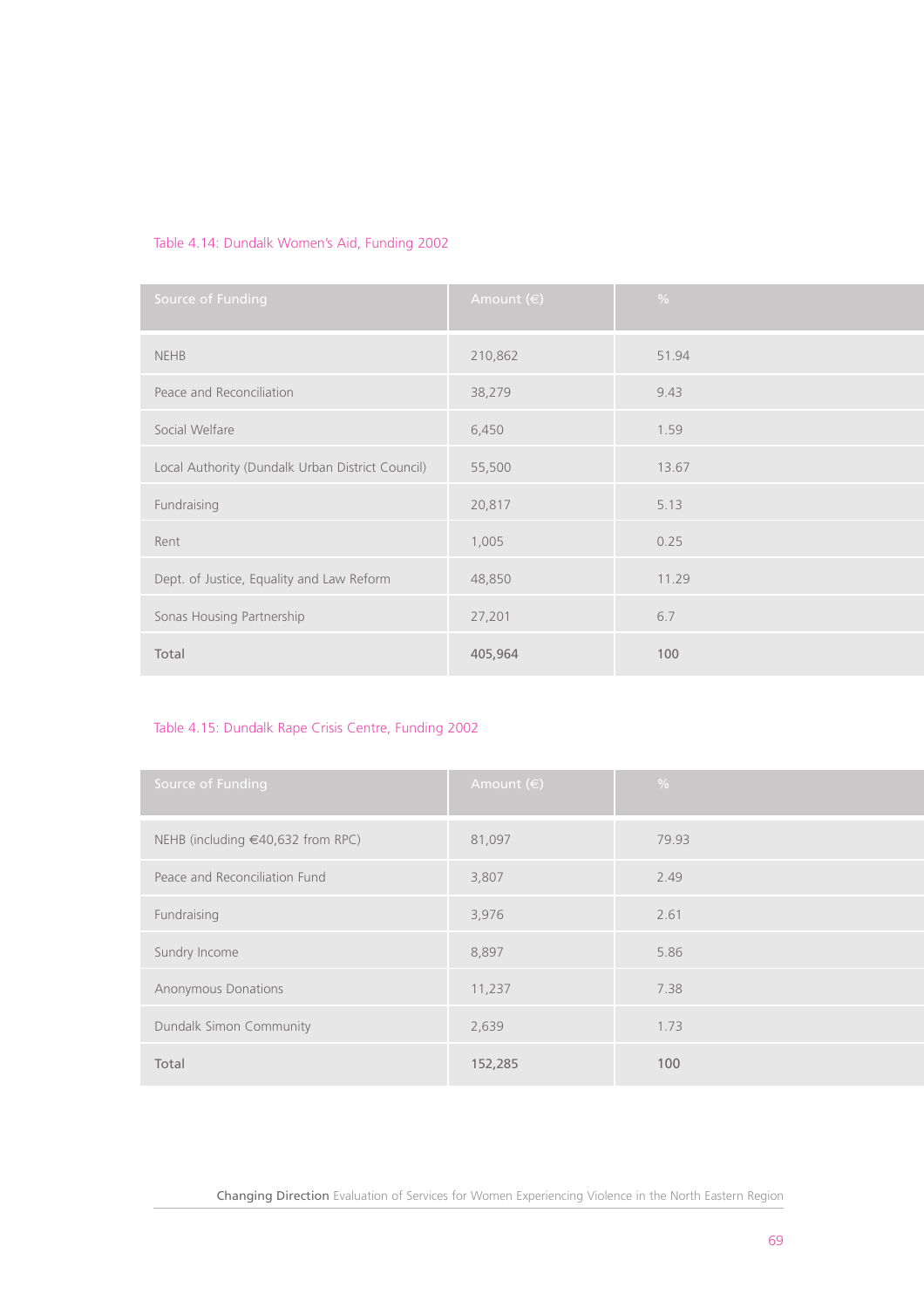# Table 4.14: Dundalk Women's Aid, Funding 2002

| Source of Funding                                | Amount $(\in)$ | $\frac{0}{0}$ |
|--------------------------------------------------|----------------|---------------|
| <b>NEHB</b>                                      | 210,862        | 51.94         |
| Peace and Reconciliation                         | 38,279         | 9.43          |
| Social Welfare                                   | 6,450          | 1.59          |
| Local Authority (Dundalk Urban District Council) | 55,500         | 13.67         |
| Fundraising                                      | 20,817         | 5.13          |
| Rent                                             | 1,005          | 0.25          |
| Dept. of Justice, Equality and Law Reform        | 48,850         | 11.29         |
| Sonas Housing Partnership                        | 27,201         | 6.7           |
| Total                                            | 405,964        | 100           |

# Table 4.15: Dundalk Rape Crisis Centre, Funding 2002

| Source of Funding                      | Amount $(\in)$ | $\frac{0}{0}$ |
|----------------------------------------|----------------|---------------|
| NEHB (including $\in$ 40,632 from RPC) | 81,097         | 79.93         |
| Peace and Reconciliation Fund          | 3,807          | 2.49          |
| Fundraising                            | 3,976          | 2.61          |
| Sundry Income                          | 8,897          | 5.86          |
| <b>Anonymous Donations</b>             | 11,237         | 7.38          |
| Dundalk Simon Community                | 2,639          | 1.73          |
| Total                                  | 152,285        | 100           |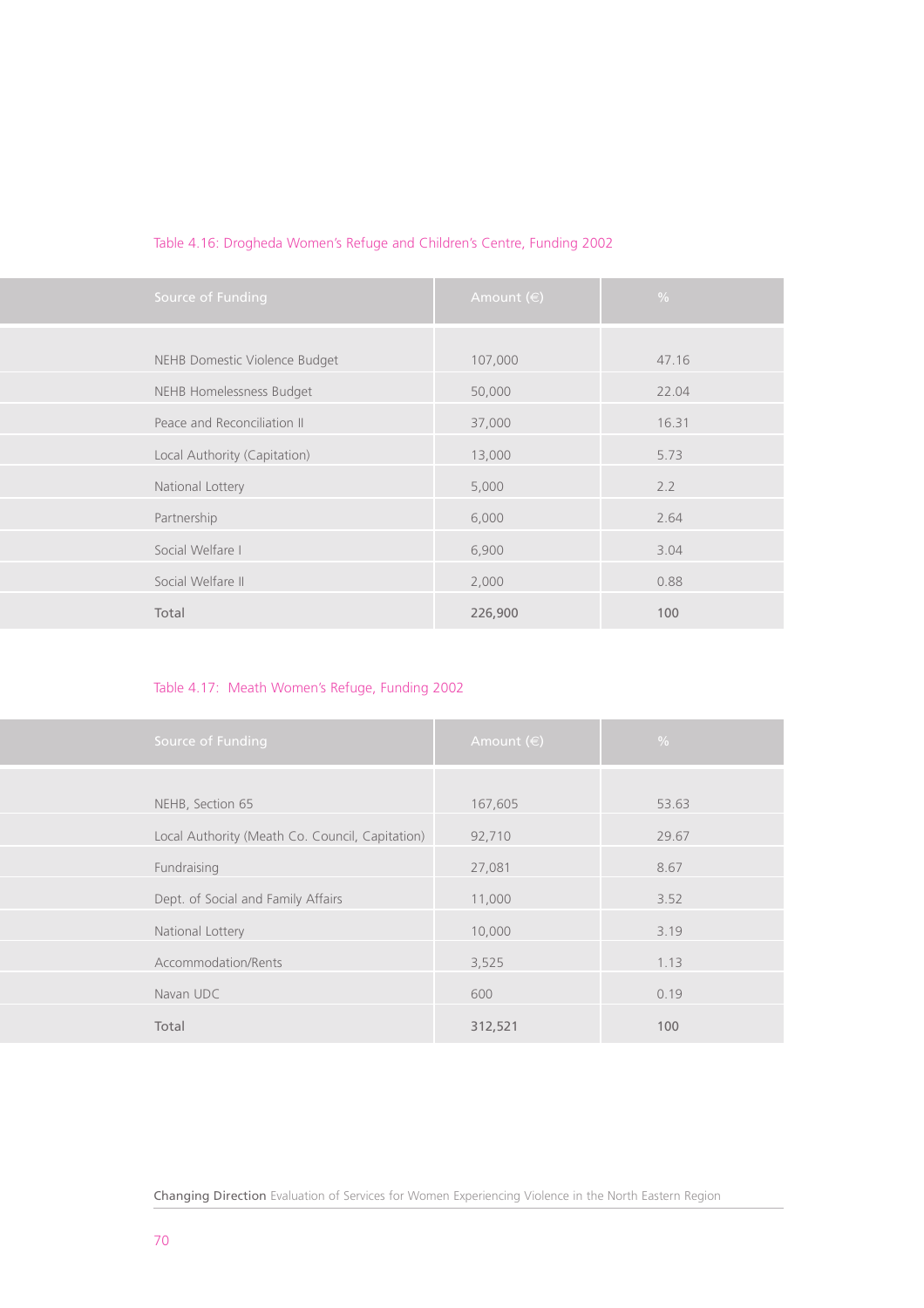| Table 4.16: Drogheda Women's Refuge and Children's Centre, Funding 2002 |  |  |
|-------------------------------------------------------------------------|--|--|
|                                                                         |  |  |

| Source of Funding             | Amount $(\in)$ | $\frac{0}{0}$ |
|-------------------------------|----------------|---------------|
| NEHB Domestic Violence Budget | 107,000        | 47.16         |
| NEHB Homelessness Budget      | 50,000         | 22.04         |
| Peace and Reconciliation II   | 37,000         | 16.31         |
| Local Authority (Capitation)  | 13,000         | 5.73          |
| National Lottery              | 5,000          | 2.2           |
| Partnership                   | 6,000          | 2.64          |
| Social Welfare I              | 6,900          | 3.04          |
| Social Welfare II             | 2,000          | 0.88          |
| Total                         | 226,900        | 100           |

# Table 4.17: Meath Women's Refuge, Funding 2002

| Source of Funding                               | Amount $(\in)$ | $\frac{0}{0}$ |
|-------------------------------------------------|----------------|---------------|
| NEHB, Section 65                                | 167,605        | 53.63         |
| Local Authority (Meath Co. Council, Capitation) | 92,710         | 29.67         |
| Fundraising                                     | 27,081         | 8.67          |
| Dept. of Social and Family Affairs              | 11,000         | 3.52          |
| National Lottery                                | 10,000         | 3.19          |
| Accommodation/Rents                             | 3,525          | 1.13          |
| Navan UDC                                       | 600            | 0.19          |
| Total                                           | 312,521        | 100           |

Changing Direction Evaluation of Services for Women Experiencing Violence in the North Eastern Region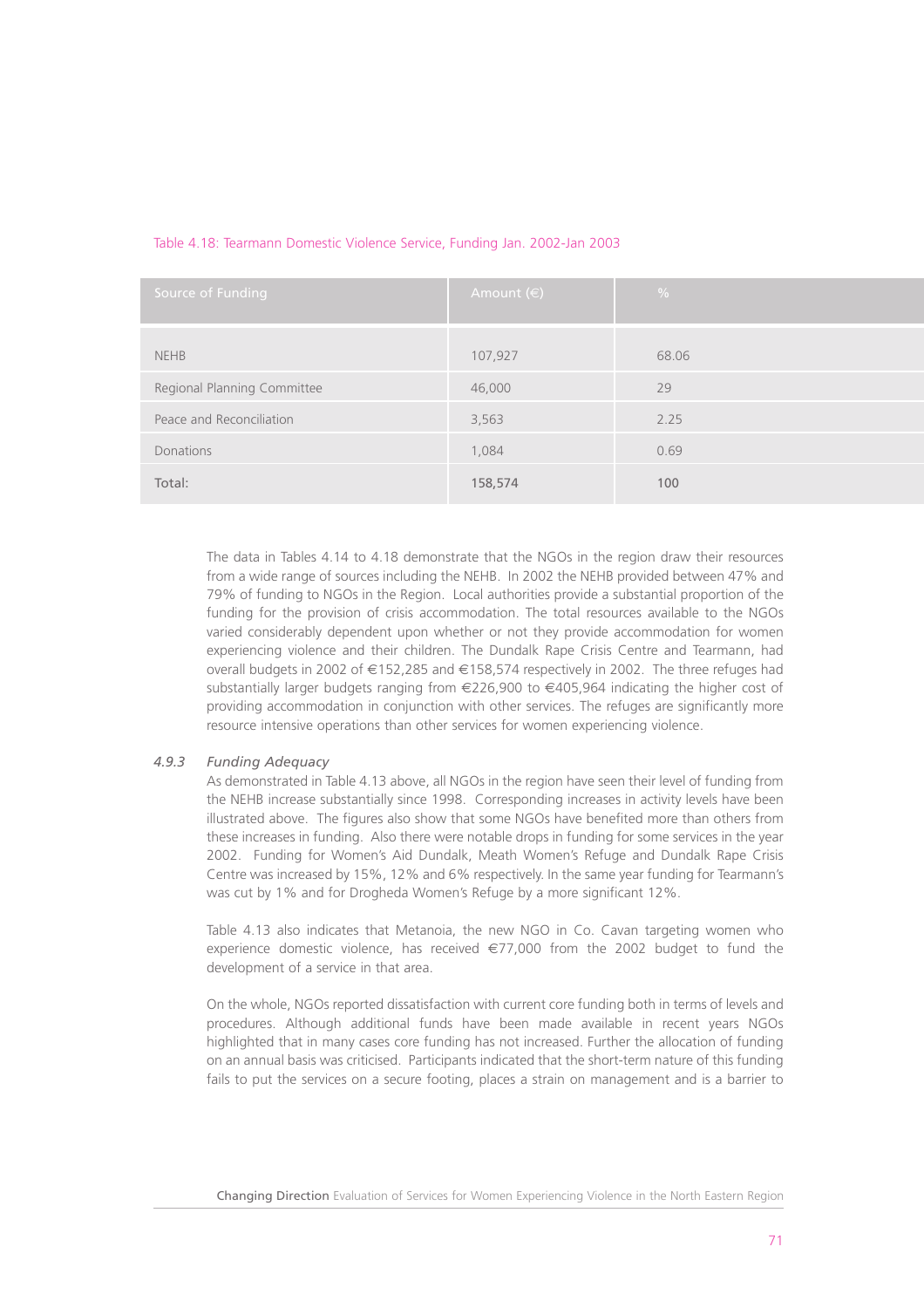| Source of Funding           | Amount $(\in)$ | $\frac{0}{0}$ |
|-----------------------------|----------------|---------------|
|                             |                |               |
| <b>NEHB</b>                 | 107,927        | 68.06         |
| Regional Planning Committee | 46,000         | 29            |
| Peace and Reconciliation    | 3,563          | 2.25          |
| Donations                   | 1,084          | 0.69          |
| Total:                      | 158,574        | 100           |

# Table 4.18: Tearmann Domestic Violence Service, Funding Jan. 2002-Jan 2003

The data in Tables 4.14 to 4.18 demonstrate that the NGOs in the region draw their resources from a wide range of sources including the NEHB. In 2002 the NEHB provided between 47% and 79% of funding to NGOs in the Region. Local authorities provide a substantial proportion of the funding for the provision of crisis accommodation. The total resources available to the NGOs varied considerably dependent upon whether or not they provide accommodation for women experiencing violence and their children. The Dundalk Rape Crisis Centre and Tearmann, had overall budgets in 2002 of €152,285 and €158,574 respectively in 2002. The three refuges had substantially larger budgets ranging from €226,900 to €405,964 indicating the higher cost of providing accommodation in conjunction with other services. The refuges are significantly more resource intensive operations than other services for women experiencing violence.

# *4.9.3 Funding Adequacy*

As demonstrated in Table 4.13 above, all NGOs in the region have seen their level of funding from the NEHB increase substantially since 1998. Corresponding increases in activity levels have been illustrated above. The figures also show that some NGOs have benefited more than others from these increases in funding. Also there were notable drops in funding for some services in the year 2002. Funding for Women's Aid Dundalk, Meath Women's Refuge and Dundalk Rape Crisis Centre was increased by 15%, 12% and 6% respectively. In the same year funding for Tearmann's was cut by 1% and for Drogheda Women's Refuge by a more significant 12%.

Table 4.13 also indicates that Metanoia, the new NGO in Co. Cavan targeting women who experience domestic violence, has received €77,000 from the 2002 budget to fund the development of a service in that area.

On the whole, NGOs reported dissatisfaction with current core funding both in terms of levels and procedures. Although additional funds have been made available in recent years NGOs highlighted that in many cases core funding has not increased. Further the allocation of funding on an annual basis was criticised. Participants indicated that the short-term nature of this funding fails to put the services on a secure footing, places a strain on management and is a barrier to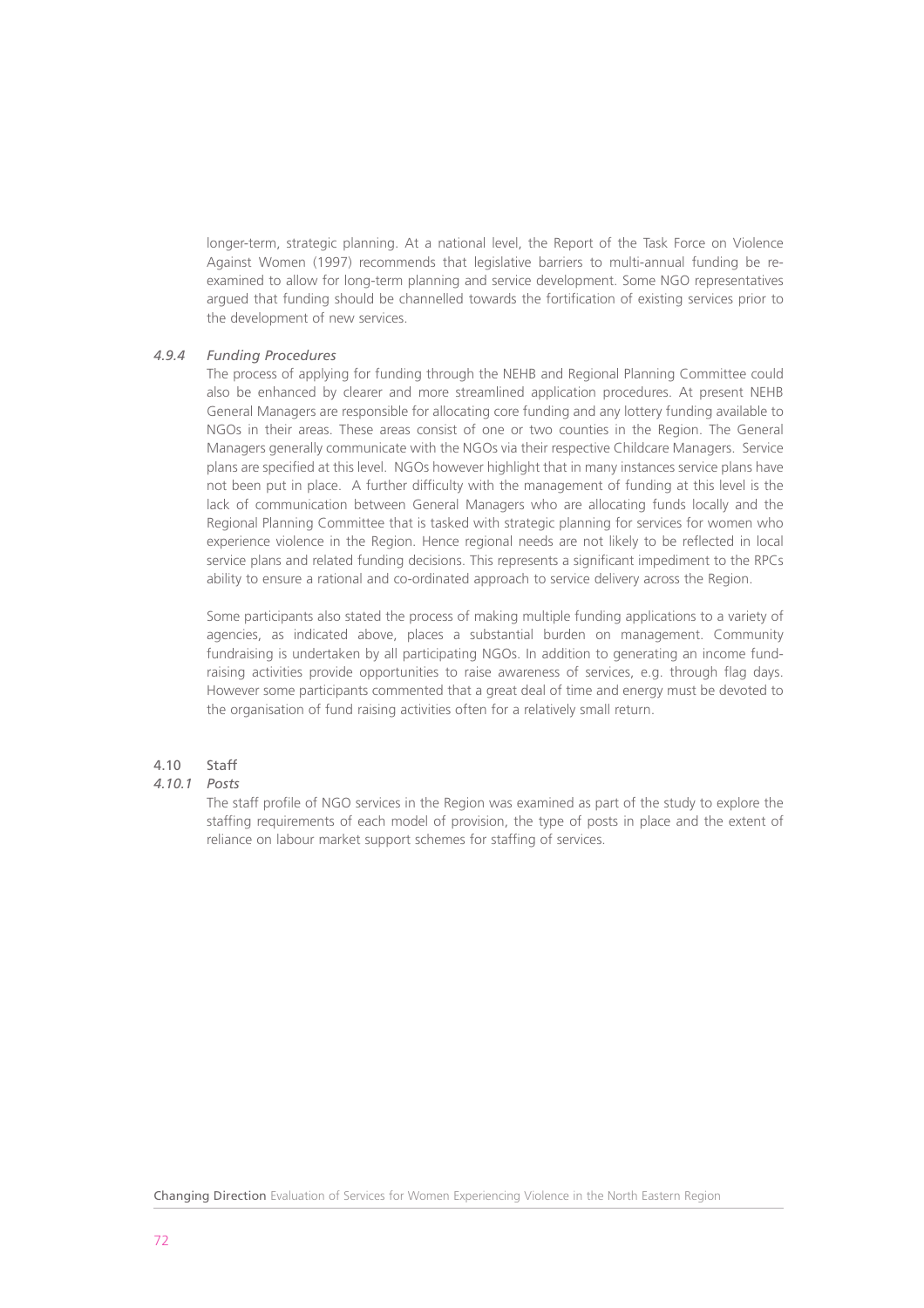longer-term, strategic planning. At a national level, the Report of the Task Force on Violence Against Women (1997) recommends that legislative barriers to multi-annual funding be reexamined to allow for long-term planning and service development. Some NGO representatives argued that funding should be channelled towards the fortification of existing services prior to the development of new services.

# *4.9.4 Funding Procedures*

The process of applying for funding through the NEHB and Regional Planning Committee could also be enhanced by clearer and more streamlined application procedures. At present NEHB General Managers are responsible for allocating core funding and any lottery funding available to NGOs in their areas. These areas consist of one or two counties in the Region. The General Managers generally communicate with the NGOs via their respective Childcare Managers. Service plans are specified at this level. NGOs however highlight that in many instances service plans have not been put in place. A further difficulty with the management of funding at this level is the lack of communication between General Managers who are allocating funds locally and the Regional Planning Committee that is tasked with strategic planning for services for women who experience violence in the Region. Hence regional needs are not likely to be reflected in local service plans and related funding decisions. This represents a significant impediment to the RPCs ability to ensure a rational and co-ordinated approach to service delivery across the Region.

Some participants also stated the process of making multiple funding applications to a variety of agencies, as indicated above, places a substantial burden on management. Community fundraising is undertaken by all participating NGOs. In addition to generating an income fundraising activities provide opportunities to raise awareness of services, e.g. through flag days. However some participants commented that a great deal of time and energy must be devoted to the organisation of fund raising activities often for a relatively small return.

# 4.10 Staff

# *4.10.1 Posts*

The staff profile of NGO services in the Region was examined as part of the study to explore the staffing requirements of each model of provision, the type of posts in place and the extent of reliance on labour market support schemes for staffing of services.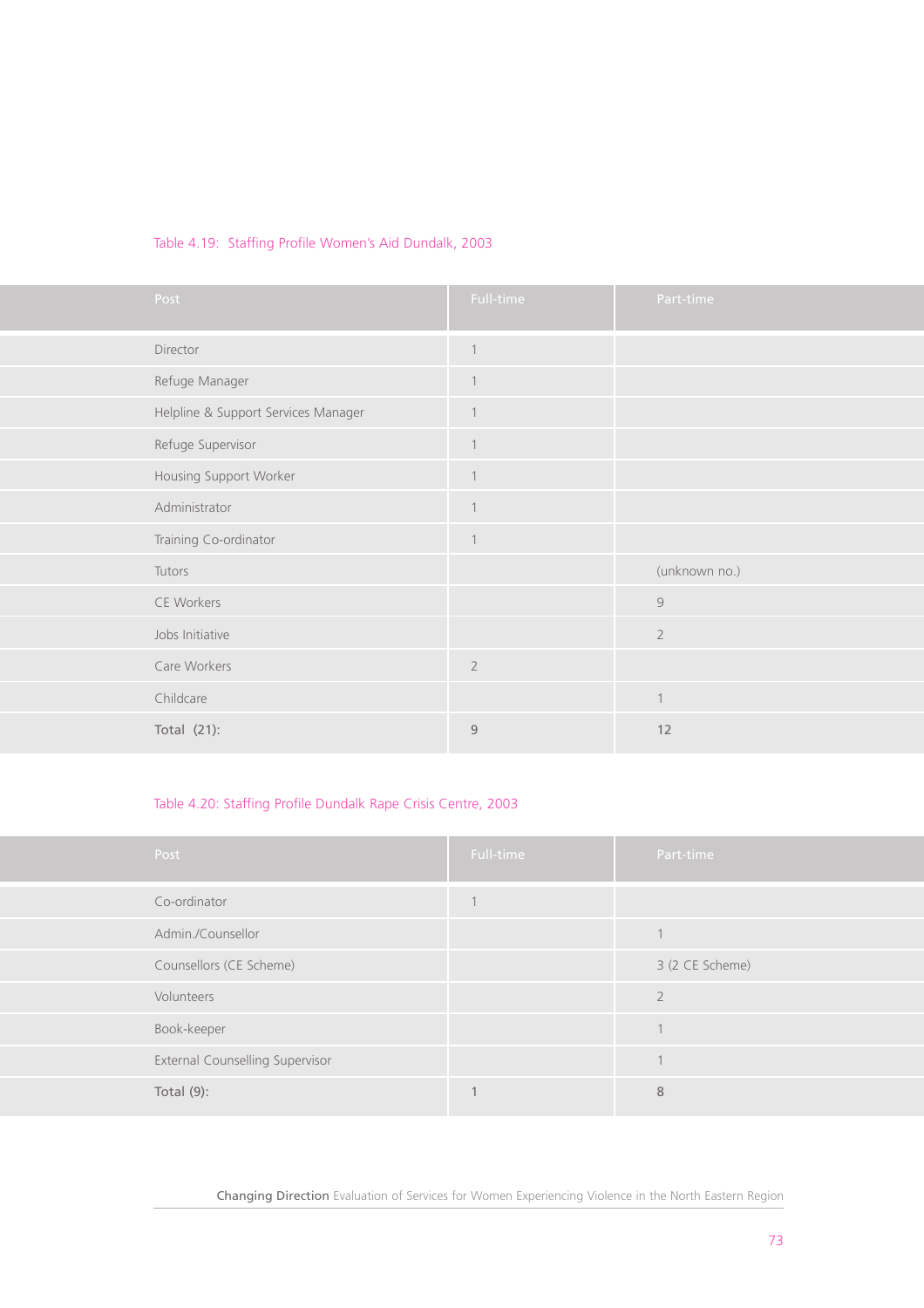# Table 4.19: Staffing Profile Women's Aid Dundalk, 2003

| Post                                | Full-time      | Part-time      |
|-------------------------------------|----------------|----------------|
| Director                            | $\mathbf{1}$   |                |
| Refuge Manager                      | $\mathbf{1}$   |                |
| Helpline & Support Services Manager | $\mathbf{1}$   |                |
| Refuge Supervisor                   | $\mathbf{1}$   |                |
| Housing Support Worker              | $\mathbf{1}$   |                |
| Administrator                       | $\mathbf{1}$   |                |
| Training Co-ordinator               | $\mathbf{1}$   |                |
| Tutors                              |                | (unknown no.)  |
| CE Workers                          |                | $\mathcal{G}$  |
| Jobs Initiative                     |                | $\overline{2}$ |
| Care Workers                        | $\overline{2}$ |                |
| Childcare                           |                | $\overline{1}$ |
| Total $(21)$ :                      | $\overline{9}$ | 12             |

# Table 4.20: Staffing Profile Dundalk Rape Crisis Centre, 2003

| Post                            | Full-time | Part-time                |
|---------------------------------|-----------|--------------------------|
| Co-ordinator                    |           |                          |
| Admin./Counsellor               |           |                          |
| Counsellors (CE Scheme)         |           | 3 (2 CE Scheme)          |
| Volunteers                      |           | $\overline{\phantom{a}}$ |
| Book-keeper                     |           |                          |
| External Counselling Supervisor |           |                          |
| Total $(9)$ :                   |           | 8                        |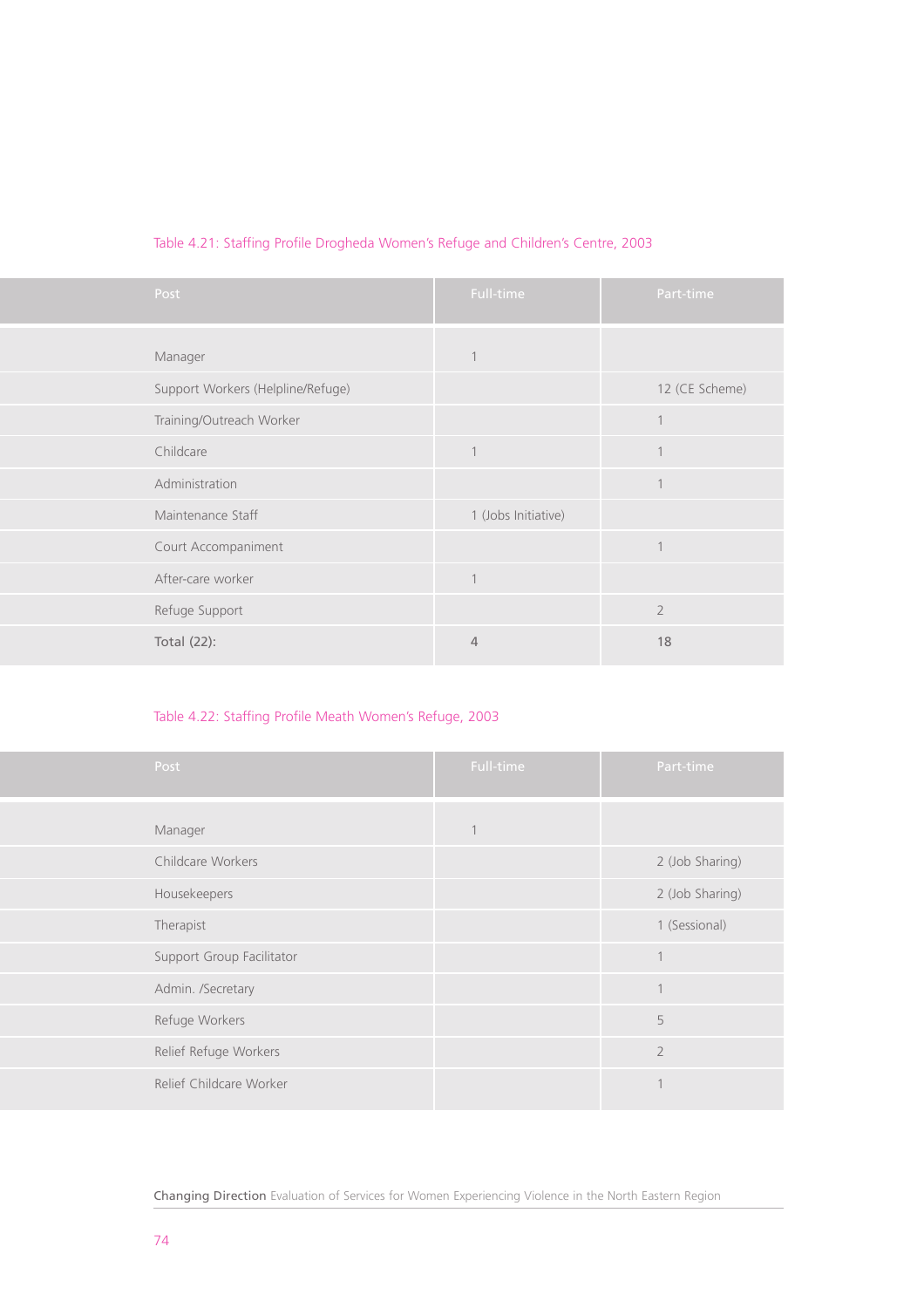| Post                              | Full-time           | Part-time      |
|-----------------------------------|---------------------|----------------|
|                                   |                     |                |
| Manager                           | 1                   |                |
| Support Workers (Helpline/Refuge) |                     | 12 (CE Scheme) |
| Training/Outreach Worker          |                     | 1              |
| Childcare                         | $\mathbf{1}$        | $\overline{1}$ |
| Administration                    |                     | $\overline{1}$ |
| Maintenance Staff                 | 1 (Jobs Initiative) |                |
| Court Accompaniment               |                     | $\overline{1}$ |
| After-care worker                 | 1                   |                |
| Refuge Support                    |                     | $\overline{2}$ |
| Total (22):                       | $\overline{4}$      | 18             |

# Table 4.21: Staffing Profile Drogheda Women's Refuge and Children's Centre, 2003

# Table 4.22: Staffing Profile Meath Women's Refuge, 2003

| Post                      | Full-time   | Part-time       |
|---------------------------|-------------|-----------------|
| Manager                   | $\mathbf 1$ |                 |
| Childcare Workers         |             | 2 (Job Sharing) |
| Housekeepers              |             | 2 (Job Sharing) |
| Therapist                 |             | 1 (Sessional)   |
| Support Group Facilitator |             | $\overline{1}$  |
| Admin. /Secretary         |             | $\mathbf{1}$    |
| Refuge Workers            |             | 5               |
| Relief Refuge Workers     |             | $\overline{2}$  |
| Relief Childcare Worker   |             | $\overline{1}$  |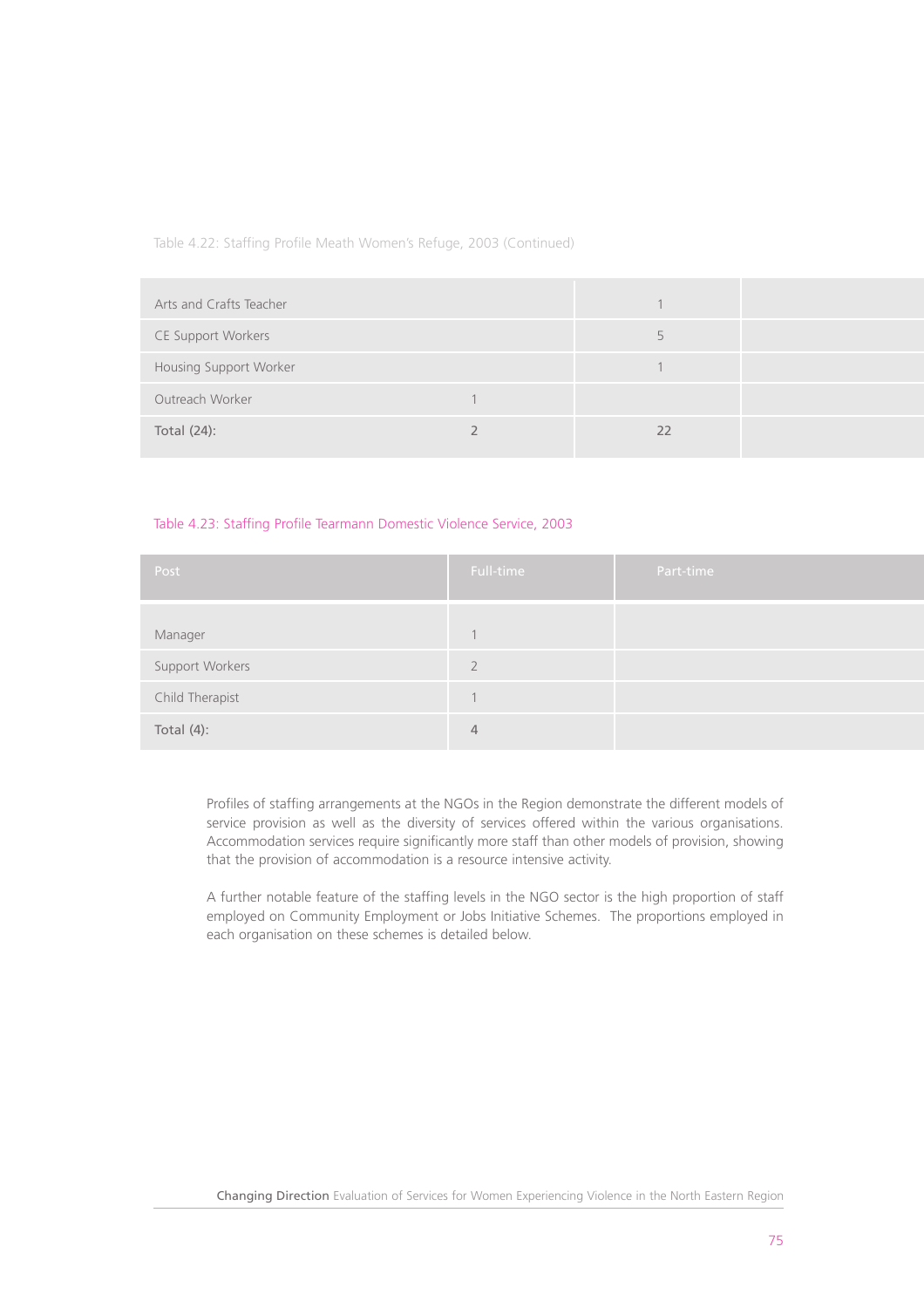Table 4.22: Staffing Profile Meath Women's Refuge, 2003 (Continued)

| Arts and Crafts Teacher   |    |  |
|---------------------------|----|--|
| <b>CE Support Workers</b> |    |  |
| Housing Support Worker    |    |  |
| Outreach Worker           |    |  |
| Total (24):               | 22 |  |

# Table 4.23: Staffing Profile Tearmann Domestic Violence Service, 2003

| Post            | Full-time | Part-time |
|-----------------|-----------|-----------|
|                 |           |           |
| Manager         |           |           |
| Support Workers |           |           |
| Child Therapist |           |           |
| Total $(4)$ :   | 4         |           |

Profiles of staffing arrangements at the NGOs in the Region demonstrate the different models of service provision as well as the diversity of services offered within the various organisations. Accommodation services require significantly more staff than other models of provision, showing that the provision of accommodation is a resource intensive activity.

A further notable feature of the staffing levels in the NGO sector is the high proportion of staff employed on Community Employment or Jobs Initiative Schemes. The proportions employed in each organisation on these schemes is detailed below.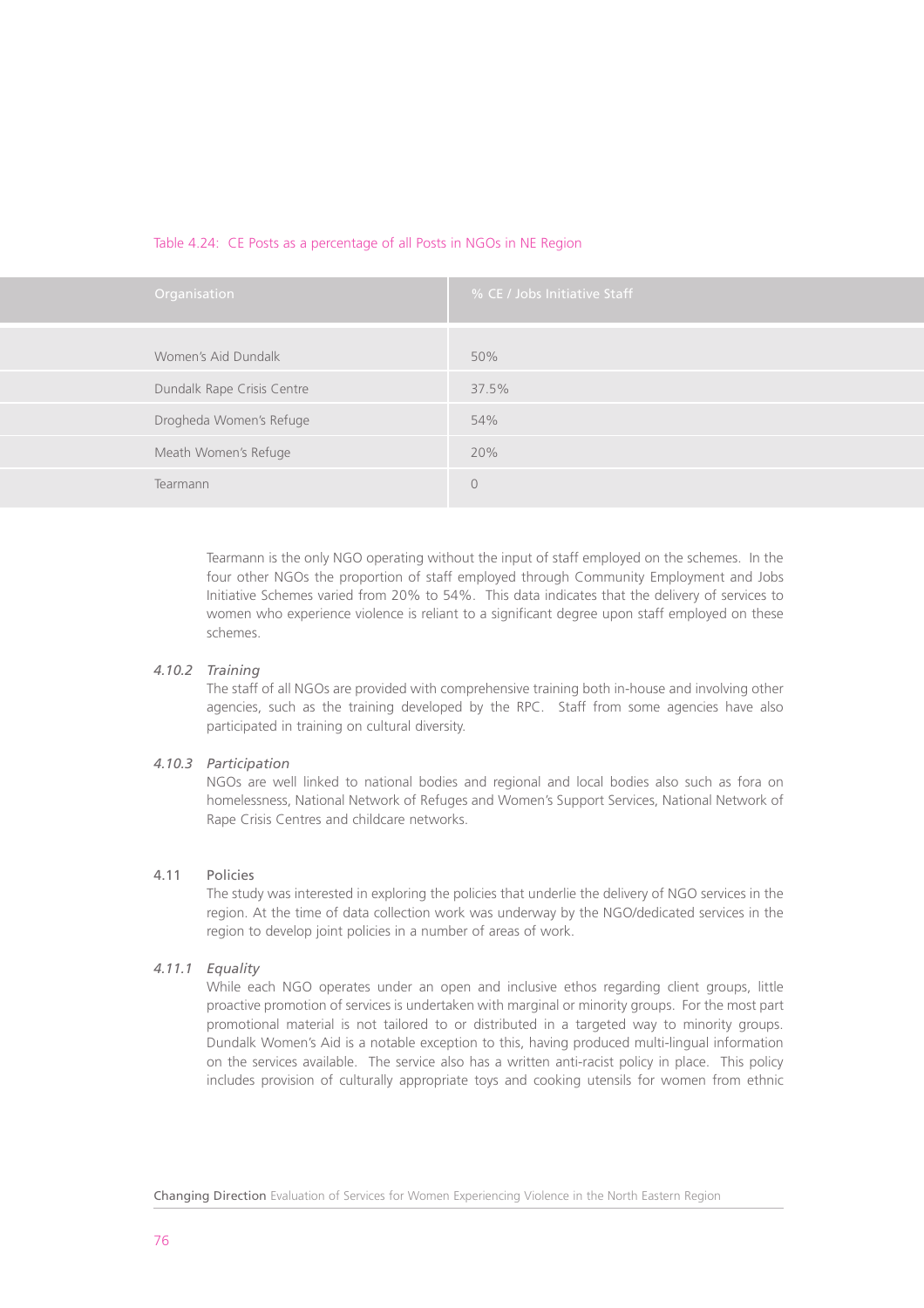# Table 4.24: CE Posts as a percentage of all Posts in NGOs in NE Region

| <b>Organisation</b>        | % CE / Jobs Initiative Staff |
|----------------------------|------------------------------|
| Women's Aid Dundalk        | 50%                          |
| Dundalk Rape Crisis Centre | 37.5%                        |
| Drogheda Women's Refuge    | 54%                          |
| Meath Women's Refuge       | 20%                          |
| Tearmann                   | $\theta$                     |

Tearmann is the only NGO operating without the input of staff employed on the schemes. In the four other NGOs the proportion of staff employed through Community Employment and Jobs Initiative Schemes varied from 20% to 54%. This data indicates that the delivery of services to women who experience violence is reliant to a significant degree upon staff employed on these schemes.

# *4.10.2 Training*

The staff of all NGOs are provided with comprehensive training both in-house and involving other agencies, such as the training developed by the RPC. Staff from some agencies have also participated in training on cultural diversity.

# *4.10.3 Participation*

NGOs are well linked to national bodies and regional and local bodies also such as fora on homelessness, National Network of Refuges and Women's Support Services, National Network of Rape Crisis Centres and childcare networks.

# 4.11 Policies

The study was interested in exploring the policies that underlie the delivery of NGO services in the region. At the time of data collection work was underway by the NGO/dedicated services in the region to develop joint policies in a number of areas of work.

# *4.11.1 Equality*

While each NGO operates under an open and inclusive ethos regarding client groups, little proactive promotion of services is undertaken with marginal or minority groups. For the most part promotional material is not tailored to or distributed in a targeted way to minority groups. Dundalk Women's Aid is a notable exception to this, having produced multi-lingual information on the services available. The service also has a written anti-racist policy in place. This policy includes provision of culturally appropriate toys and cooking utensils for women from ethnic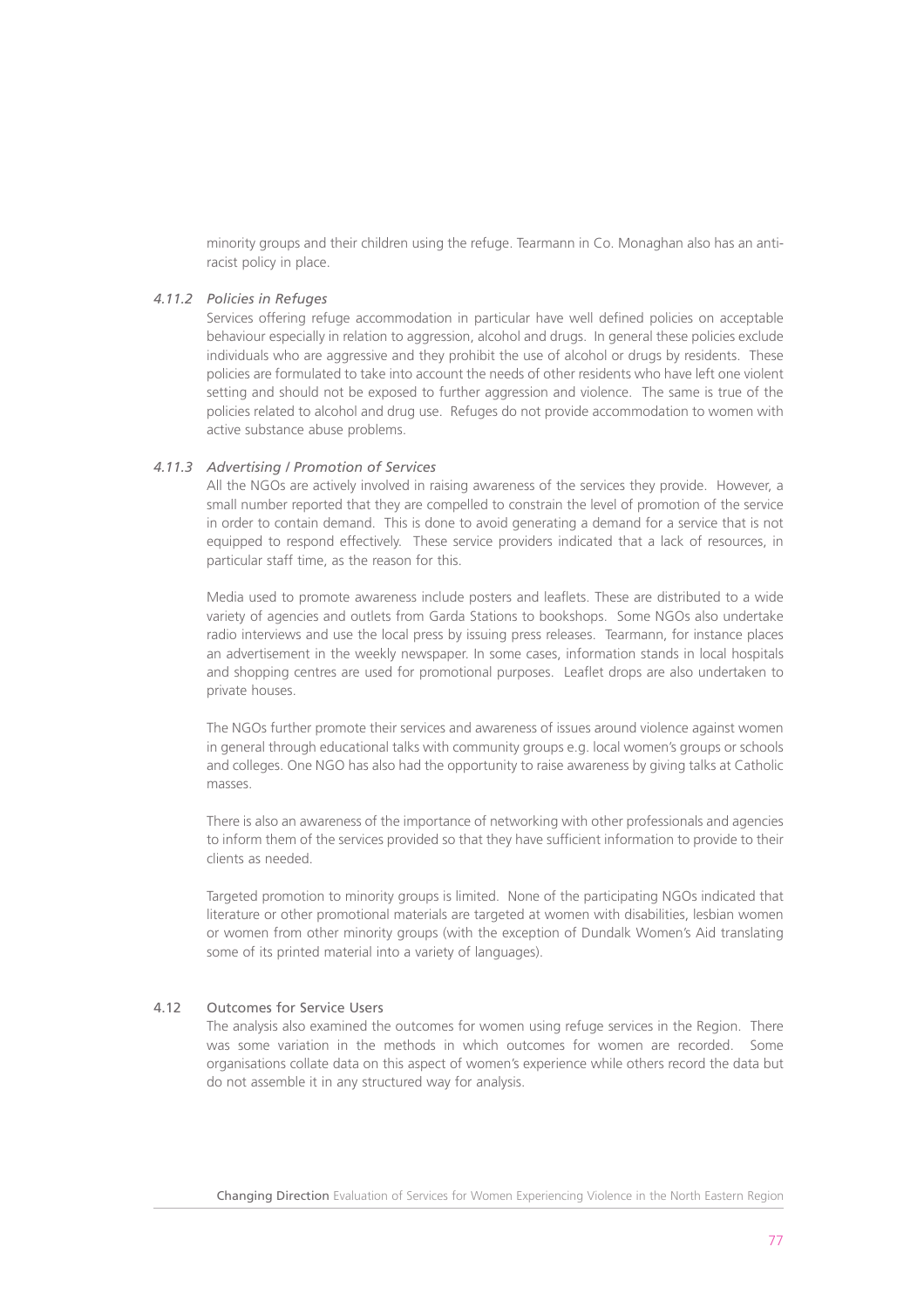minority groups and their children using the refuge. Tearmann in Co. Monaghan also has an antiracist policy in place.

# *4.11.2 Policies in Refuges*

Services offering refuge accommodation in particular have well defined policies on acceptable behaviour especially in relation to aggression, alcohol and drugs. In general these policies exclude individuals who are aggressive and they prohibit the use of alcohol or drugs by residents. These policies are formulated to take into account the needs of other residents who have left one violent setting and should not be exposed to further aggression and violence. The same is true of the policies related to alcohol and drug use. Refuges do not provide accommodation to women with active substance abuse problems.

# *4.11.3 Advertising / Promotion of Services*

All the NGOs are actively involved in raising awareness of the services they provide. However, a small number reported that they are compelled to constrain the level of promotion of the service in order to contain demand. This is done to avoid generating a demand for a service that is not equipped to respond effectively. These service providers indicated that a lack of resources, in particular staff time, as the reason for this.

Media used to promote awareness include posters and leaflets. These are distributed to a wide variety of agencies and outlets from Garda Stations to bookshops. Some NGOs also undertake radio interviews and use the local press by issuing press releases. Tearmann, for instance places an advertisement in the weekly newspaper. In some cases, information stands in local hospitals and shopping centres are used for promotional purposes. Leaflet drops are also undertaken to private houses.

The NGOs further promote their services and awareness of issues around violence against women in general through educational talks with community groups e.g. local women's groups or schools and colleges. One NGO has also had the opportunity to raise awareness by giving talks at Catholic masses.

There is also an awareness of the importance of networking with other professionals and agencies to inform them of the services provided so that they have sufficient information to provide to their clients as needed.

Targeted promotion to minority groups is limited. None of the participating NGOs indicated that literature or other promotional materials are targeted at women with disabilities, lesbian women or women from other minority groups (with the exception of Dundalk Women's Aid translating some of its printed material into a variety of languages).

# 4.12 Outcomes for Service Users

The analysis also examined the outcomes for women using refuge services in the Region. There was some variation in the methods in which outcomes for women are recorded. Some organisations collate data on this aspect of women's experience while others record the data but do not assemble it in any structured way for analysis.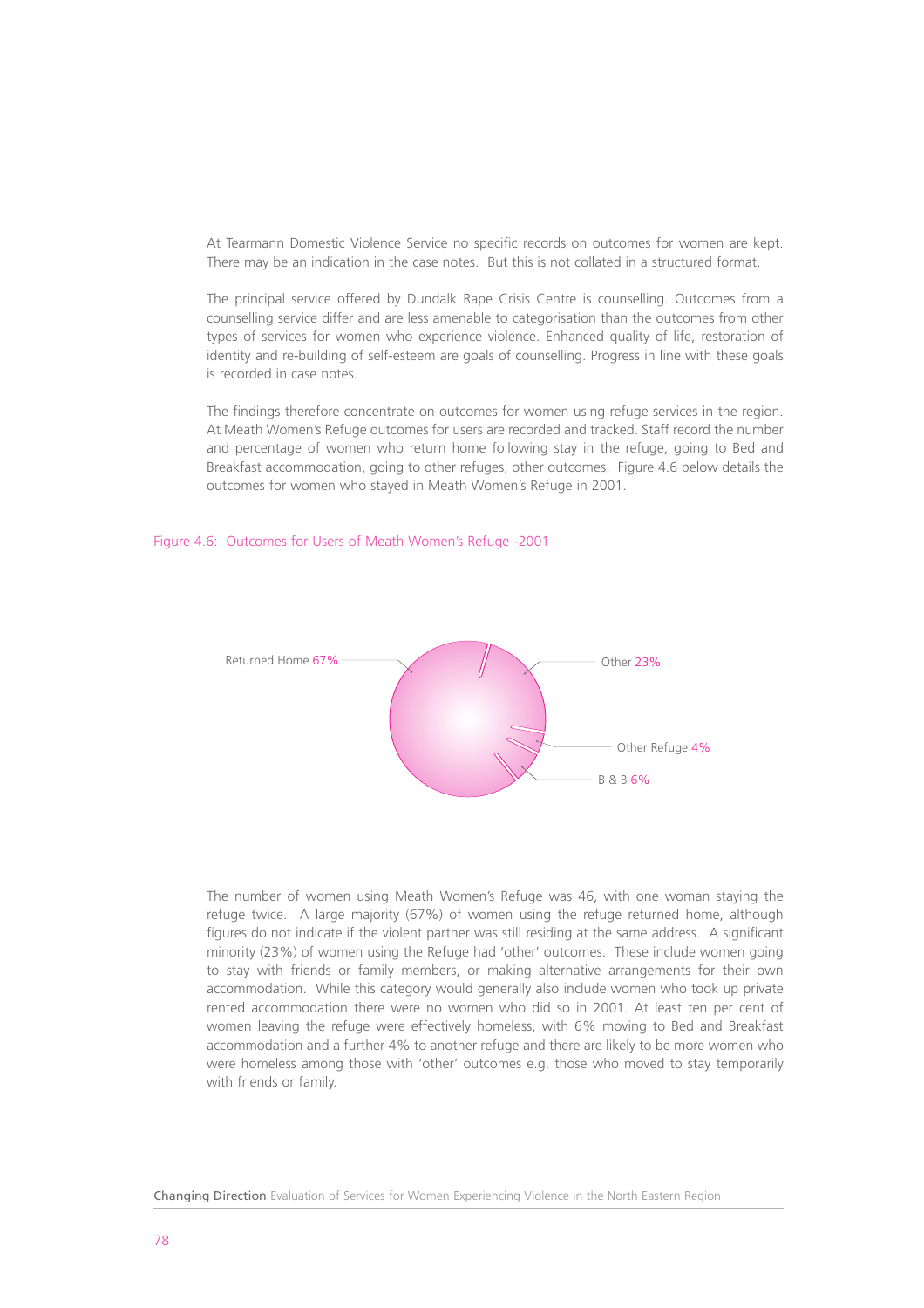At Tearmann Domestic Violence Service no specific records on outcomes for women are kept. There may be an indication in the case notes. But this is not collated in a structured format.

The principal service offered by Dundalk Rape Crisis Centre is counselling. Outcomes from a counselling service differ and are less amenable to categorisation than the outcomes from other types of services for women who experience violence. Enhanced quality of life, restoration of identity and re-building of self-esteem are goals of counselling. Progress in line with these goals is recorded in case notes.

The findings therefore concentrate on outcomes for women using refuge services in the region. At Meath Women's Refuge outcomes for users are recorded and tracked. Staff record the number and percentage of women who return home following stay in the refuge, going to Bed and Breakfast accommodation, going to other refuges, other outcomes. Figure 4.6 below details the outcomes for women who stayed in Meath Women's Refuge in 2001.

# Figure 4.6: Outcomes for Users of Meath Women's Refuge -2001



The number of women using Meath Women's Refuge was 46, with one woman staying the refuge twice. A large majority (67%) of women using the refuge returned home, although figures do not indicate if the violent partner was still residing at the same address. A significant minority (23%) of women using the Refuge had 'other' outcomes. These include women going to stay with friends or family members, or making alternative arrangements for their own accommodation. While this category would generally also include women who took up private rented accommodation there were no women who did so in 2001. At least ten per cent of women leaving the refuge were effectively homeless, with 6% moving to Bed and Breakfast accommodation and a further 4% to another refuge and there are likely to be more women who were homeless among those with 'other' outcomes e.g. those who moved to stay temporarily with friends or family.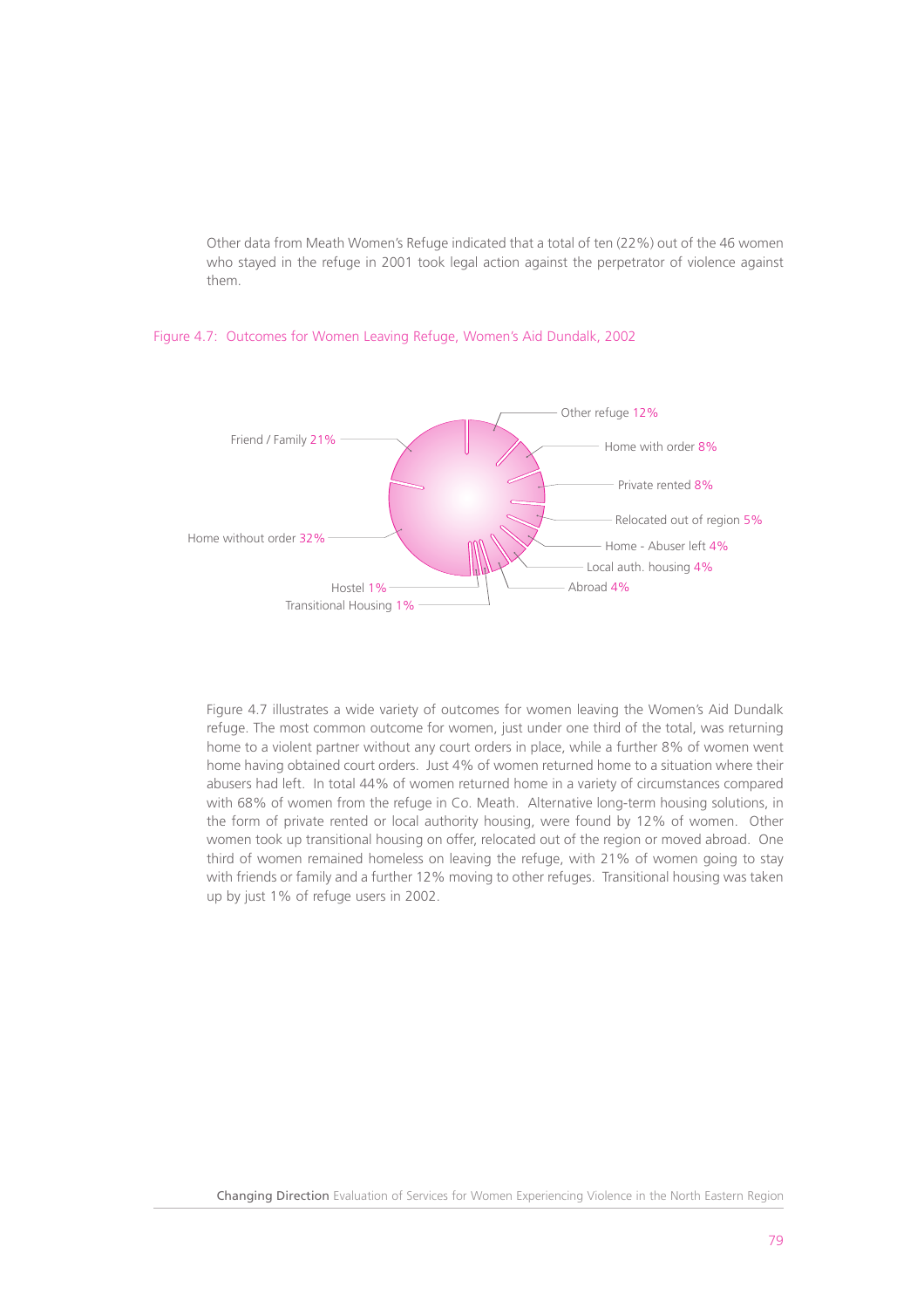Other data from Meath Women's Refuge indicated that a total of ten (22%) out of the 46 women who stayed in the refuge in 2001 took legal action against the perpetrator of violence against them.



# Figure 4.7: Outcomes for Women Leaving Refuge, Women's Aid Dundalk, 2002

Figure 4.7 illustrates a wide variety of outcomes for women leaving the Women's Aid Dundalk refuge. The most common outcome for women, just under one third of the total, was returning home to a violent partner without any court orders in place, while a further 8% of women went home having obtained court orders. Just 4% of women returned home to a situation where their abusers had left. In total 44% of women returned home in a variety of circumstances compared with 68% of women from the refuge in Co. Meath. Alternative long-term housing solutions, in the form of private rented or local authority housing, were found by 12% of women. Other women took up transitional housing on offer, relocated out of the region or moved abroad. One third of women remained homeless on leaving the refuge, with 21% of women going to stay with friends or family and a further 12% moving to other refuges. Transitional housing was taken up by just 1% of refuge users in 2002.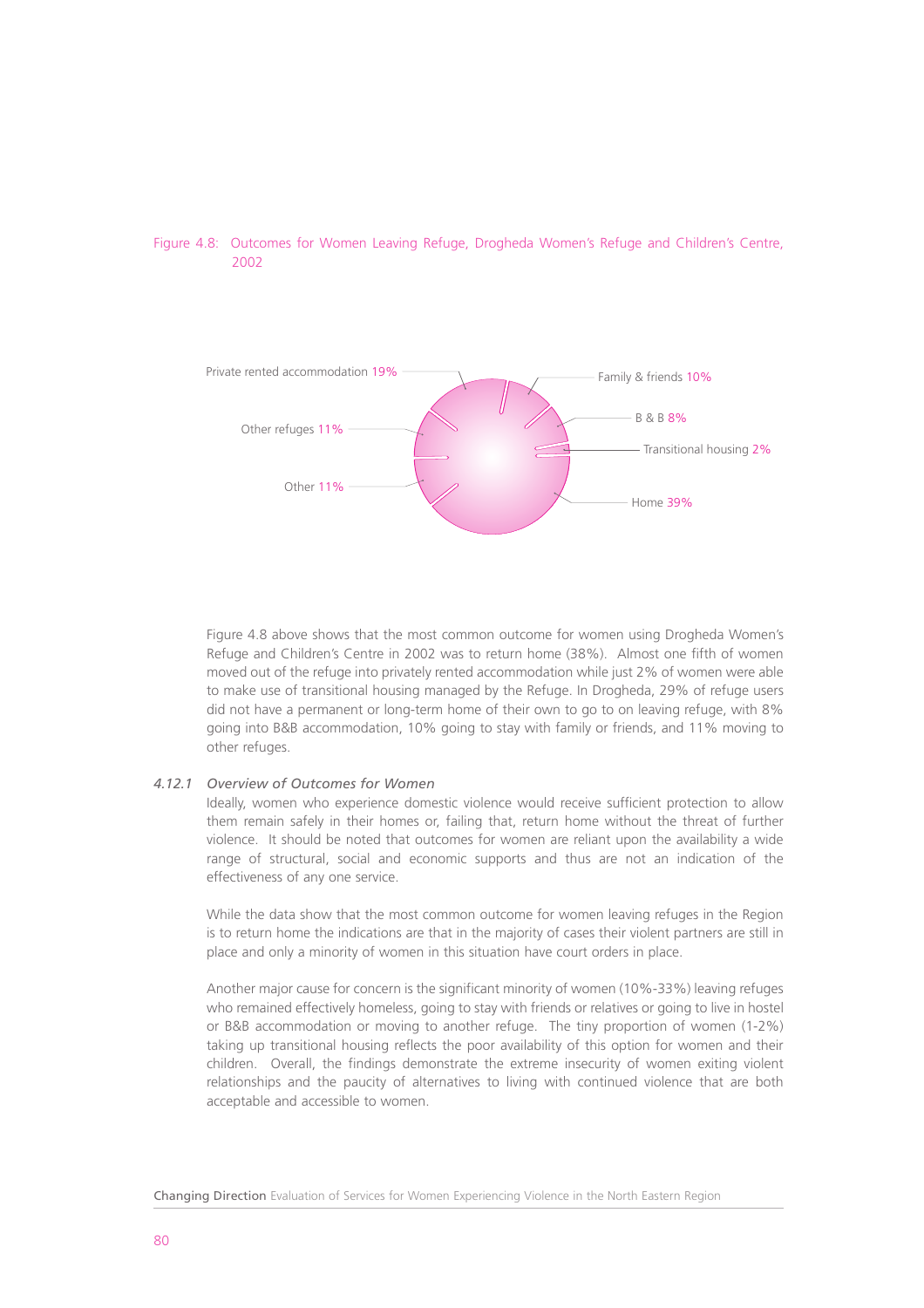



Figure 4.8 above shows that the most common outcome for women using Drogheda Women's Refuge and Children's Centre in 2002 was to return home (38%). Almost one fifth of women moved out of the refuge into privately rented accommodation while just 2% of women were able to make use of transitional housing managed by the Refuge. In Drogheda, 29% of refuge users did not have a permanent or long-term home of their own to go to on leaving refuge, with 8% going into B&B accommodation, 10% going to stay with family or friends, and 11% moving to other refuges.

# *4.12.1 Overview of Outcomes for Women*

Ideally, women who experience domestic violence would receive sufficient protection to allow them remain safely in their homes or, failing that, return home without the threat of further violence. It should be noted that outcomes for women are reliant upon the availability a wide range of structural, social and economic supports and thus are not an indication of the effectiveness of any one service.

While the data show that the most common outcome for women leaving refuges in the Region is to return home the indications are that in the majority of cases their violent partners are still in place and only a minority of women in this situation have court orders in place.

Another major cause for concern is the significant minority of women (10%-33%) leaving refuges who remained effectively homeless, going to stay with friends or relatives or going to live in hostel or B&B accommodation or moving to another refuge. The tiny proportion of women (1-2%) taking up transitional housing reflects the poor availability of this option for women and their children. Overall, the findings demonstrate the extreme insecurity of women exiting violent relationships and the paucity of alternatives to living with continued violence that are both acceptable and accessible to women.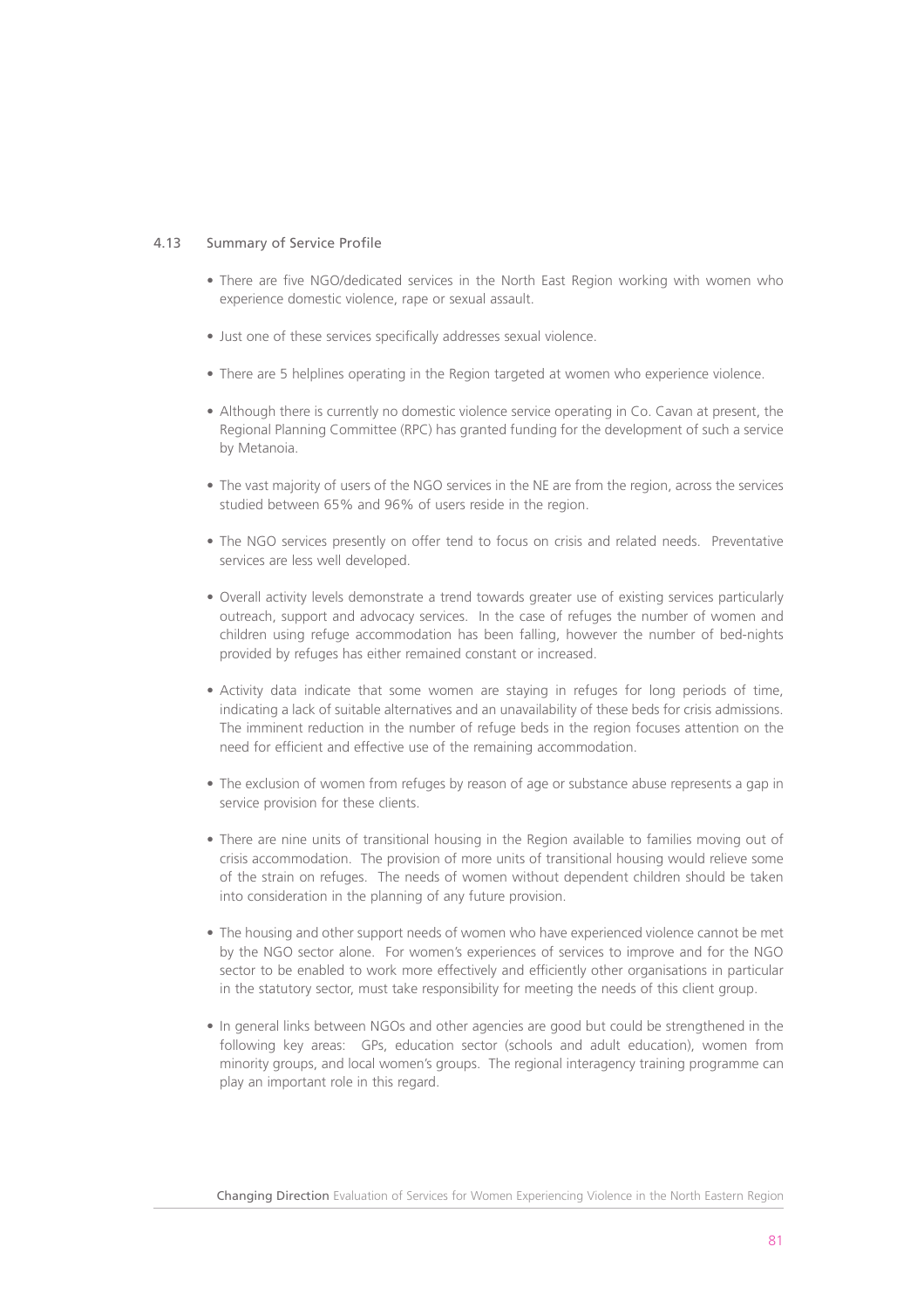# 4.13 Summary of Service Profile

- There are five NGO/dedicated services in the North East Region working with women who experience domestic violence, rape or sexual assault.
- Just one of these services specifically addresses sexual violence.
- There are 5 helplines operating in the Region targeted at women who experience violence.
- Although there is currently no domestic violence service operating in Co. Cavan at present, the Regional Planning Committee (RPC) has granted funding for the development of such a service by Metanoia.
- The vast majority of users of the NGO services in the NE are from the region, across the services studied between 65% and 96% of users reside in the region.
- The NGO services presently on offer tend to focus on crisis and related needs. Preventative services are less well developed.
- Overall activity levels demonstrate a trend towards greater use of existing services particularly outreach, support and advocacy services. In the case of refuges the number of women and children using refuge accommodation has been falling, however the number of bed-nights provided by refuges has either remained constant or increased.
- Activity data indicate that some women are staying in refuges for long periods of time, indicating a lack of suitable alternatives and an unavailability of these beds for crisis admissions. The imminent reduction in the number of refuge beds in the region focuses attention on the need for efficient and effective use of the remaining accommodation.
- The exclusion of women from refuges by reason of age or substance abuse represents a gap in service provision for these clients.
- There are nine units of transitional housing in the Region available to families moving out of crisis accommodation. The provision of more units of transitional housing would relieve some of the strain on refuges. The needs of women without dependent children should be taken into consideration in the planning of any future provision.
- The housing and other support needs of women who have experienced violence cannot be met by the NGO sector alone. For women's experiences of services to improve and for the NGO sector to be enabled to work more effectively and efficiently other organisations in particular in the statutory sector, must take responsibility for meeting the needs of this client group.
- In general links between NGOs and other agencies are good but could be strengthened in the following key areas: GPs, education sector (schools and adult education), women from minority groups, and local women's groups. The regional interagency training programme can play an important role in this regard.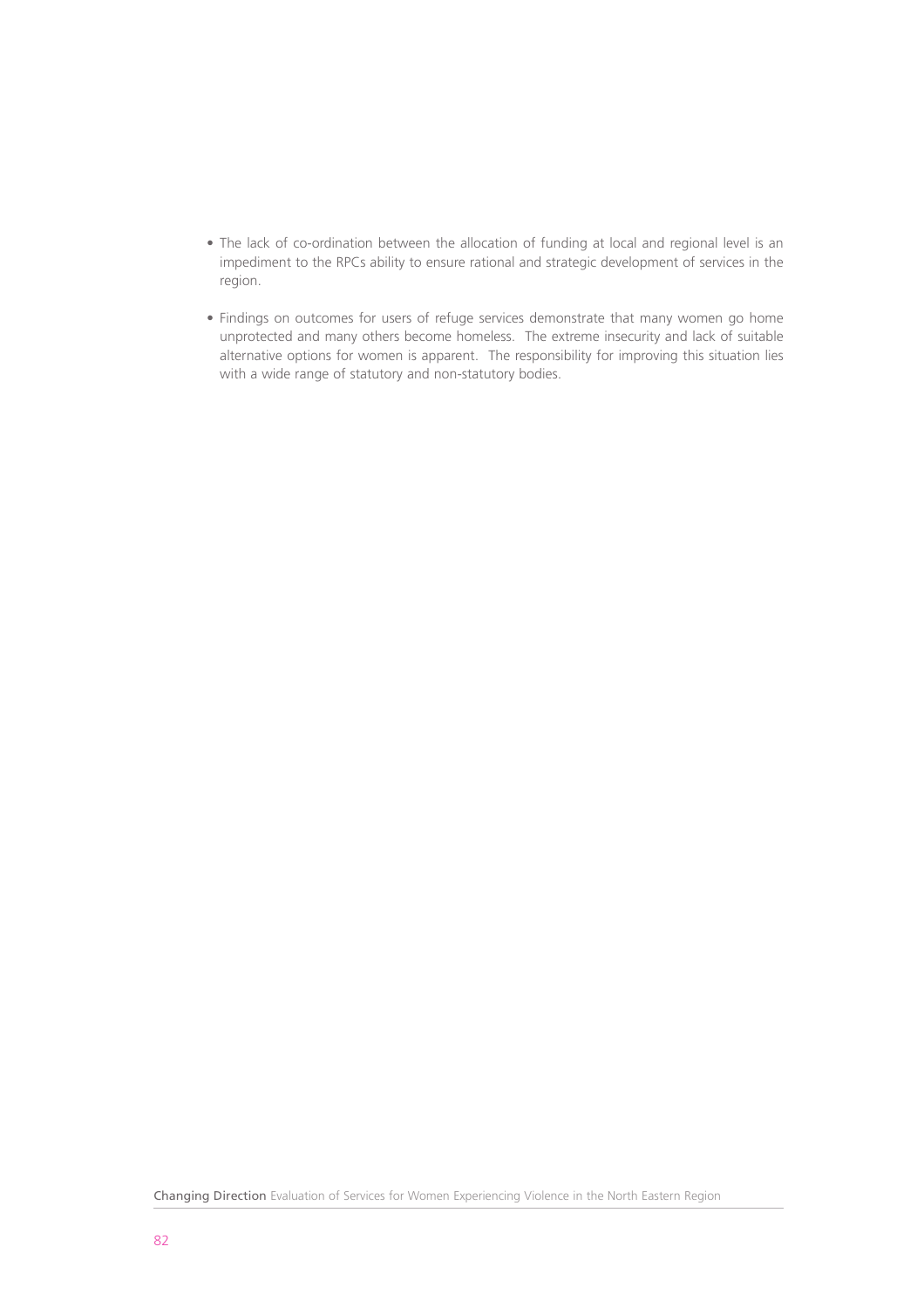- The lack of co-ordination between the allocation of funding at local and regional level is an impediment to the RPCs ability to ensure rational and strategic development of services in the region.
- Findings on outcomes for users of refuge services demonstrate that many women go home unprotected and many others become homeless. The extreme insecurity and lack of suitable alternative options for women is apparent. The responsibility for improving this situation lies with a wide range of statutory and non-statutory bodies.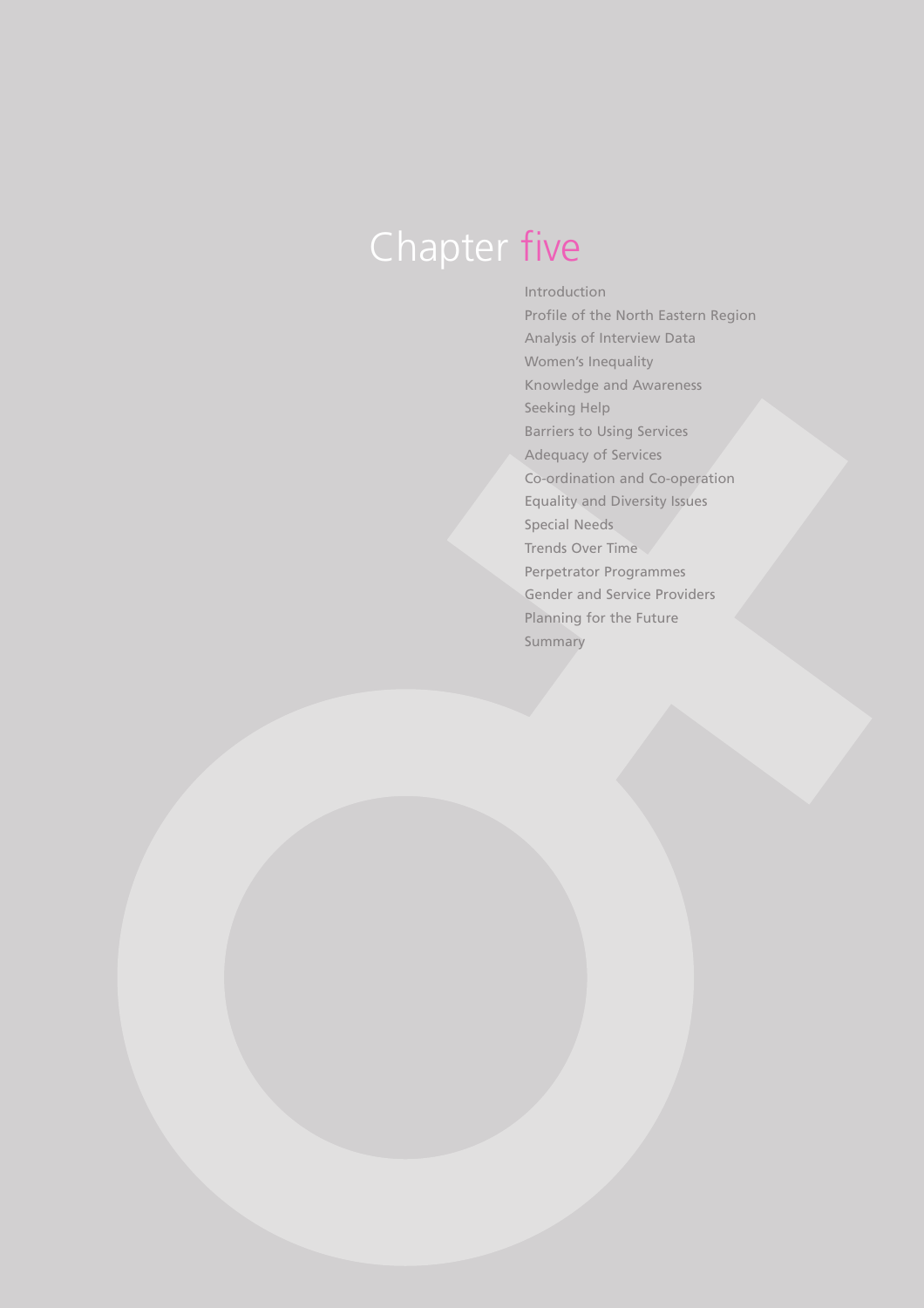# Chapter five

Introduction Profile of the North Eastern Region Analysis of Interview Data Women's Inequality Knowledge and Awareness Seeking Help Barriers to Using Services Adequacy of Services Co-ordination and Co-operation Equality and Diversity Issues Special Needs Trends Over Time Perpetrator Programmes Gender and Service Providers Planning for the Future Summary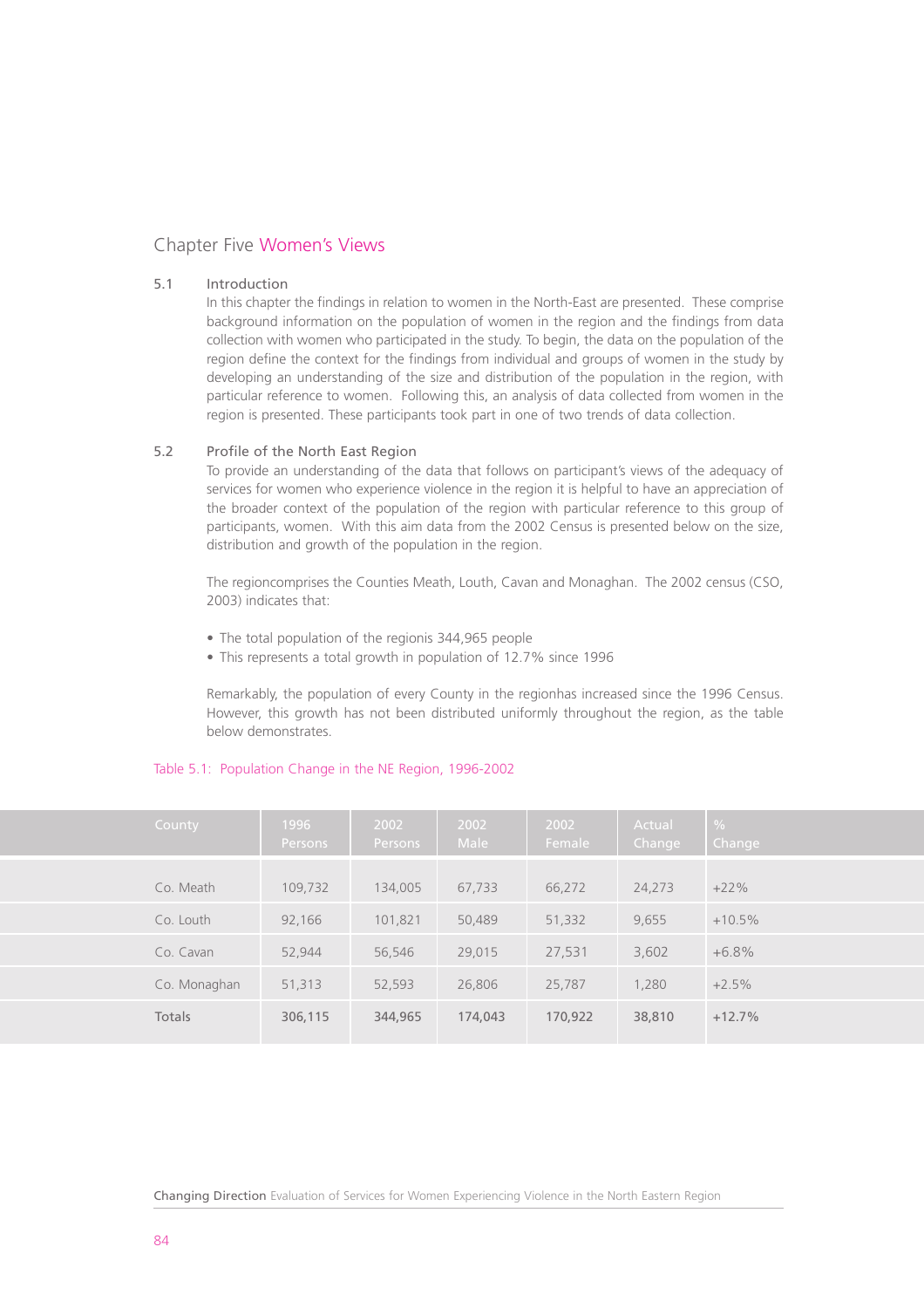# Chapter Five Women's Views

# 5.1 Introduction

In this chapter the findings in relation to women in the North-East are presented. These comprise background information on the population of women in the region and the findings from data collection with women who participated in the study. To begin, the data on the population of the region define the context for the findings from individual and groups of women in the study by developing an understanding of the size and distribution of the population in the region, with particular reference to women. Following this, an analysis of data collected from women in the region is presented. These participants took part in one of two trends of data collection.

# 5.2 Profile of the North East Region

To provide an understanding of the data that follows on participant's views of the adequacy of services for women who experience violence in the region it is helpful to have an appreciation of the broader context of the population of the region with particular reference to this group of participants, women. With this aim data from the 2002 Census is presented below on the size, distribution and growth of the population in the region.

The regioncomprises the Counties Meath, Louth, Cavan and Monaghan. The 2002 census (CSO, 2003) indicates that:

- The total population of the regionis 344,965 people
- This represents a total growth in population of 12.7% since 1996

Remarkably, the population of every County in the regionhas increased since the 1996 Census. However, this growth has not been distributed uniformly throughout the region, as the table below demonstrates.

| County       | 1996<br>Persons, | 2002<br>Persons | 2002<br><b>Male</b> | 2002<br>Female | Actual<br>Change | $\frac{0}{0}$<br>Change |
|--------------|------------------|-----------------|---------------------|----------------|------------------|-------------------------|
| Co. Meath    | 109.732          | 134,005         | 67.733              | 66,272         | 24,273           | $+22%$                  |
| Co. Louth    | 92,166           | 101,821         | 50,489              | 51,332         | 9.655            | $+10.5%$                |
| Co. Cavan    | 52,944           | 56,546          | 29.015              | 27,531         | 3,602            | $+6.8%$                 |
| Co. Monaghan | 51,313           | 52.593          | 26,806              | 25,787         | 1.280            | $+2.5%$                 |
| Totals       | 306,115          | 344,965         | 174,043             | 170,922        | 38,810           | $+12.7%$                |

# Table 5.1: Population Change in the NE Region, 1996-2002

Changing Direction Evaluation of Services for Women Experiencing Violence in the North Eastern Region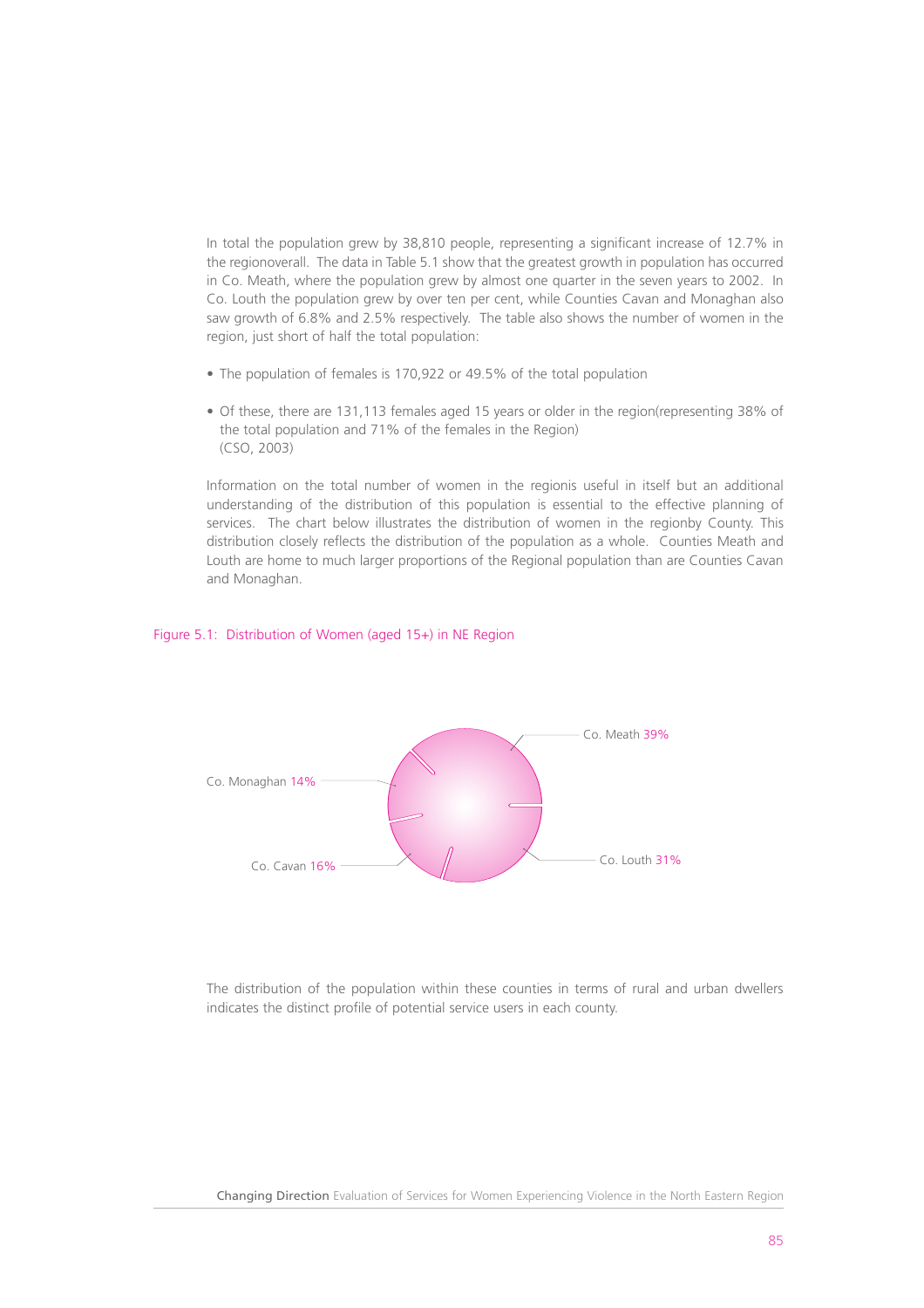In total the population grew by 38,810 people, representing a significant increase of 12.7% in the regionoverall. The data in Table 5.1 show that the greatest growth in population has occurred in Co. Meath, where the population grew by almost one quarter in the seven years to 2002. In Co. Louth the population grew by over ten per cent, while Counties Cavan and Monaghan also saw growth of 6.8% and 2.5% respectively. The table also shows the number of women in the region, just short of half the total population:

- The population of females is 170,922 or 49.5% of the total population
- Of these, there are 131,113 females aged 15 years or older in the region(representing 38% of the total population and 71% of the females in the Region) (CSO, 2003)

Information on the total number of women in the regionis useful in itself but an additional understanding of the distribution of this population is essential to the effective planning of services. The chart below illustrates the distribution of women in the regionby County. This distribution closely reflects the distribution of the population as a whole. Counties Meath and Louth are home to much larger proportions of the Regional population than are Counties Cavan and Monaghan.

## Figure 5.1: Distribution of Women (aged 15+) in NE Region



The distribution of the population within these counties in terms of rural and urban dwellers indicates the distinct profile of potential service users in each county.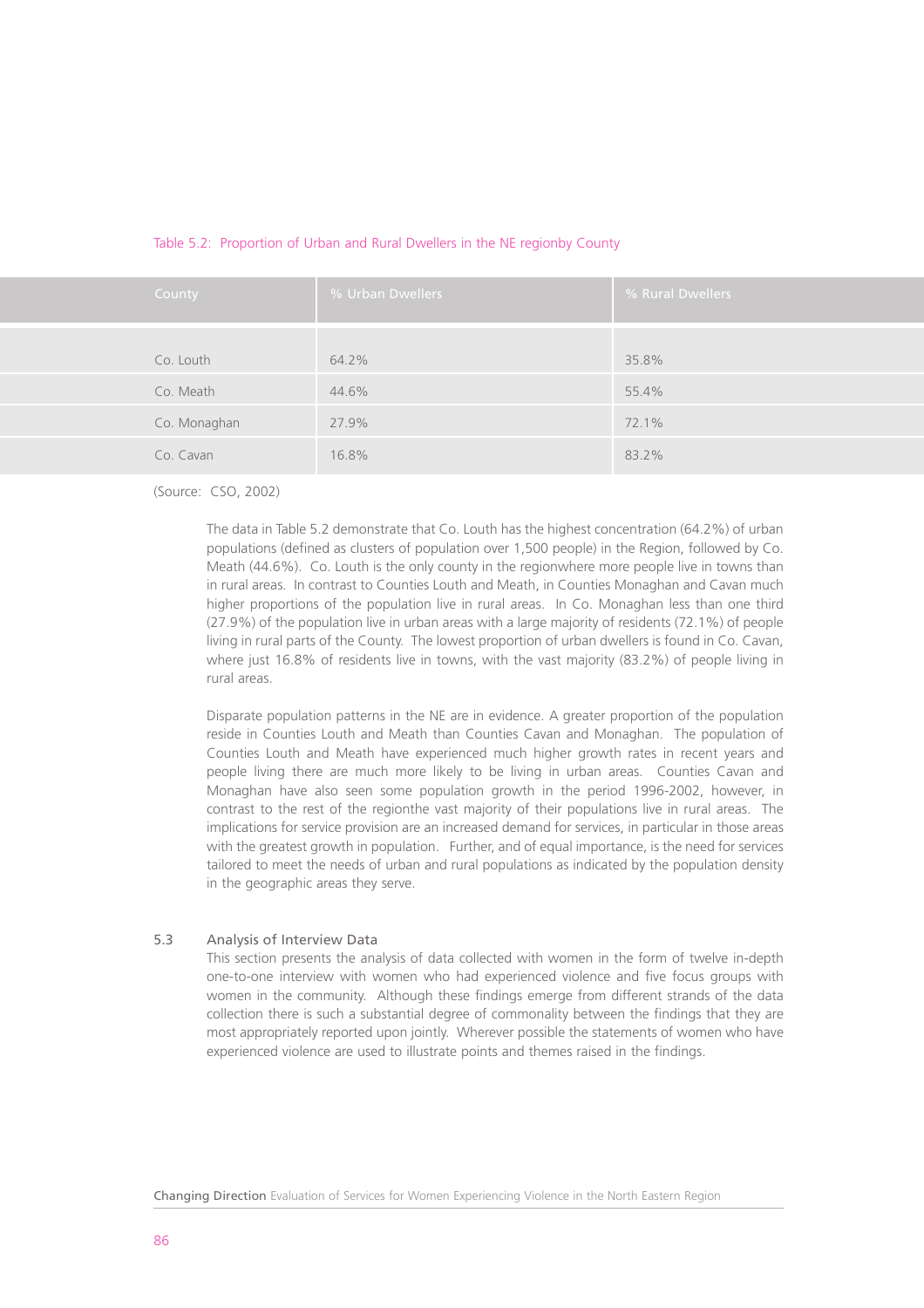| County       | % Urban Dwellers | % Rural Dwellers |
|--------------|------------------|------------------|
| Co. Louth    | 64.2%            | 35.8%            |
| Co. Meath    | 44.6%            | 55.4%            |
| Co. Monaghan | 27.9%            | 72.1%            |
| Co. Cavan    | 16.8%            | 83.2%            |

## Table 5.2: Proportion of Urban and Rural Dwellers in the NE regionby County

(Source: CSO, 2002)

The data in Table 5.2 demonstrate that Co. Louth has the highest concentration (64.2%) of urban populations (defined as clusters of population over 1,500 people) in the Region, followed by Co. Meath (44.6%). Co. Louth is the only county in the regionwhere more people live in towns than in rural areas. In contrast to Counties Louth and Meath, in Counties Monaghan and Cavan much higher proportions of the population live in rural areas. In Co. Monaghan less than one third (27.9%) of the population live in urban areas with a large majority of residents (72.1%) of people living in rural parts of the County. The lowest proportion of urban dwellers is found in Co. Cavan, where just 16.8% of residents live in towns, with the vast majority (83.2%) of people living in rural areas.

Disparate population patterns in the NE are in evidence. A greater proportion of the population reside in Counties Louth and Meath than Counties Cavan and Monaghan. The population of Counties Louth and Meath have experienced much higher growth rates in recent years and people living there are much more likely to be living in urban areas. Counties Cavan and Monaghan have also seen some population growth in the period 1996-2002, however, in contrast to the rest of the regionthe vast majority of their populations live in rural areas. The implications for service provision are an increased demand for services, in particular in those areas with the greatest growth in population. Further, and of equal importance, is the need for services tailored to meet the needs of urban and rural populations as indicated by the population density in the geographic areas they serve.

# 5.3 Analysis of Interview Data

This section presents the analysis of data collected with women in the form of twelve in-depth one-to-one interview with women who had experienced violence and five focus groups with women in the community. Although these findings emerge from different strands of the data collection there is such a substantial degree of commonality between the findings that they are most appropriately reported upon jointly. Wherever possible the statements of women who have experienced violence are used to illustrate points and themes raised in the findings.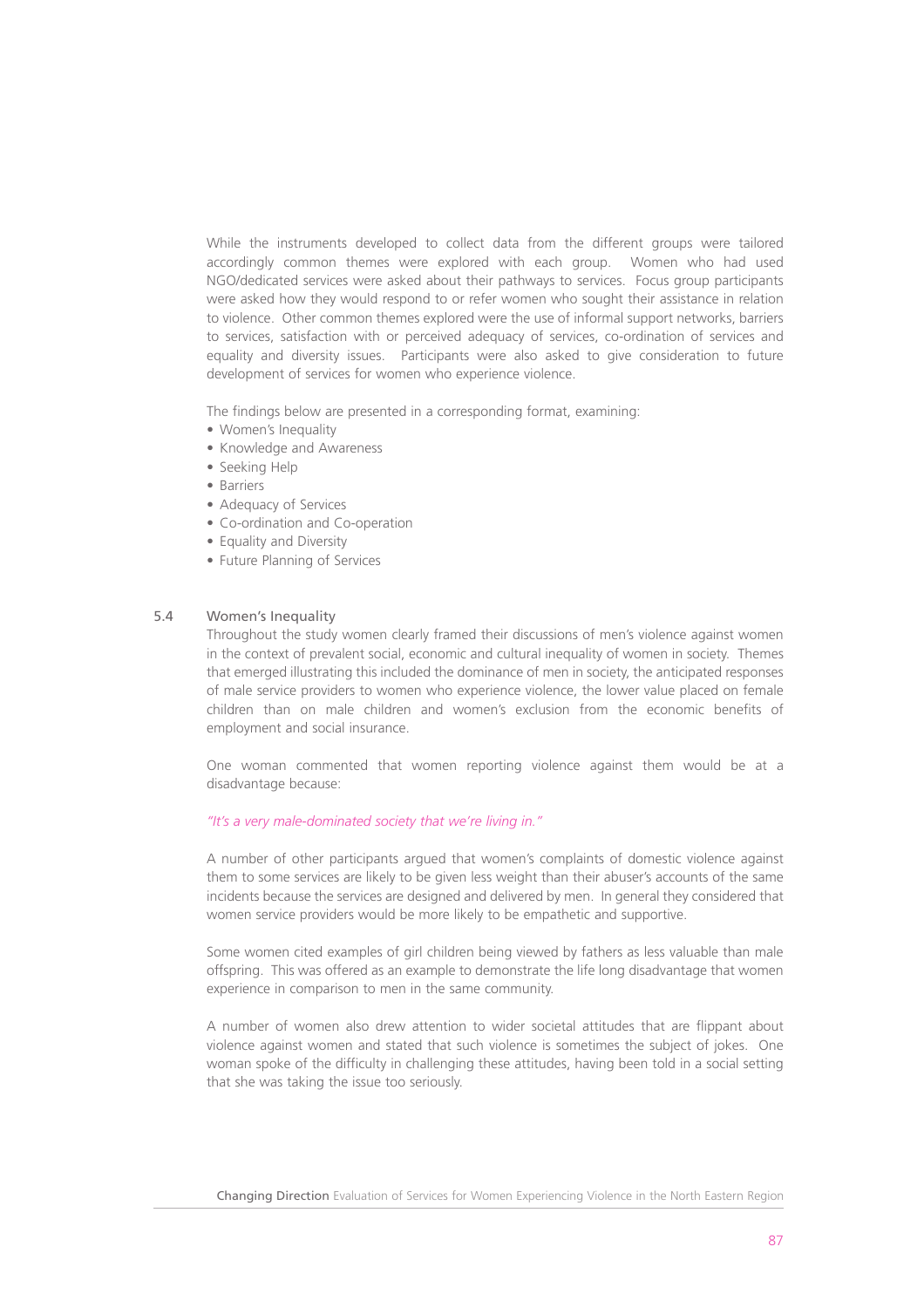While the instruments developed to collect data from the different groups were tailored accordingly common themes were explored with each group. Women who had used NGO/dedicated services were asked about their pathways to services. Focus group participants were asked how they would respond to or refer women who sought their assistance in relation to violence. Other common themes explored were the use of informal support networks, barriers to services, satisfaction with or perceived adequacy of services, co-ordination of services and equality and diversity issues. Participants were also asked to give consideration to future development of services for women who experience violence.

The findings below are presented in a corresponding format, examining:

- Women's Inequality
- Knowledge and Awareness
- Seeking Help
- Barriers
- Adequacy of Services
- Co-ordination and Co-operation
- Fquality and Diversity
- Future Planning of Services

## 5.4 Women's Inequality

Throughout the study women clearly framed their discussions of men's violence against women in the context of prevalent social, economic and cultural inequality of women in society. Themes that emerged illustrating this included the dominance of men in society, the anticipated responses of male service providers to women who experience violence, the lower value placed on female children than on male children and women's exclusion from the economic benefits of employment and social insurance.

One woman commented that women reporting violence against them would be at a disadvantage because:

## *"It's a very male-dominated society that we're living in."*

A number of other participants argued that women's complaints of domestic violence against them to some services are likely to be given less weight than their abuser's accounts of the same incidents because the services are designed and delivered by men. In general they considered that women service providers would be more likely to be empathetic and supportive.

Some women cited examples of girl children being viewed by fathers as less valuable than male offspring. This was offered as an example to demonstrate the life long disadvantage that women experience in comparison to men in the same community.

A number of women also drew attention to wider societal attitudes that are flippant about violence against women and stated that such violence is sometimes the subject of jokes. One woman spoke of the difficulty in challenging these attitudes, having been told in a social setting that she was taking the issue too seriously.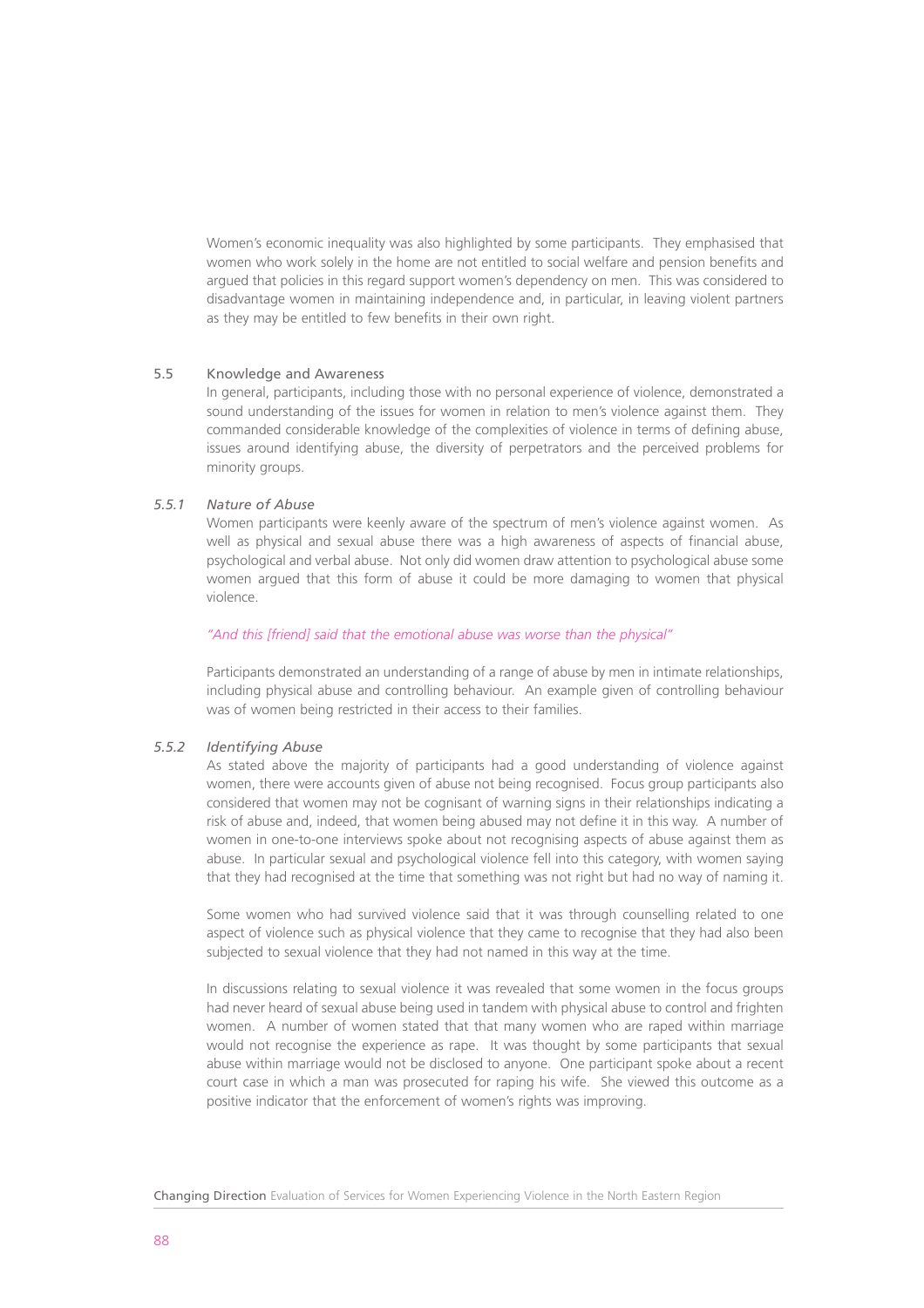Women's economic inequality was also highlighted by some participants. They emphasised that women who work solely in the home are not entitled to social welfare and pension benefits and argued that policies in this regard support women's dependency on men. This was considered to disadvantage women in maintaining independence and, in particular, in leaving violent partners as they may be entitled to few benefits in their own right.

# 5.5 Knowledge and Awareness

In general, participants, including those with no personal experience of violence, demonstrated a sound understanding of the issues for women in relation to men's violence against them. They commanded considerable knowledge of the complexities of violence in terms of defining abuse, issues around identifying abuse, the diversity of perpetrators and the perceived problems for minority groups.

# *5.5.1 Nature of Abuse*

Women participants were keenly aware of the spectrum of men's violence against women. As well as physical and sexual abuse there was a high awareness of aspects of financial abuse, psychological and verbal abuse. Not only did women draw attention to psychological abuse some women argued that this form of abuse it could be more damaging to women that physical violence.

## *"And this [friend] said that the emotional abuse was worse than the physical"*

Participants demonstrated an understanding of a range of abuse by men in intimate relationships, including physical abuse and controlling behaviour. An example given of controlling behaviour was of women being restricted in their access to their families.

# *5.5.2 Identifying Abuse*

As stated above the majority of participants had a good understanding of violence against women, there were accounts given of abuse not being recognised. Focus group participants also considered that women may not be cognisant of warning signs in their relationships indicating a risk of abuse and, indeed, that women being abused may not define it in this way. A number of women in one-to-one interviews spoke about not recognising aspects of abuse against them as abuse. In particular sexual and psychological violence fell into this category, with women saying that they had recognised at the time that something was not right but had no way of naming it.

Some women who had survived violence said that it was through counselling related to one aspect of violence such as physical violence that they came to recognise that they had also been subjected to sexual violence that they had not named in this way at the time.

In discussions relating to sexual violence it was revealed that some women in the focus groups had never heard of sexual abuse being used in tandem with physical abuse to control and frighten women. A number of women stated that that many women who are raped within marriage would not recognise the experience as rape. It was thought by some participants that sexual abuse within marriage would not be disclosed to anyone. One participant spoke about a recent court case in which a man was prosecuted for raping his wife. She viewed this outcome as a positive indicator that the enforcement of women's rights was improving.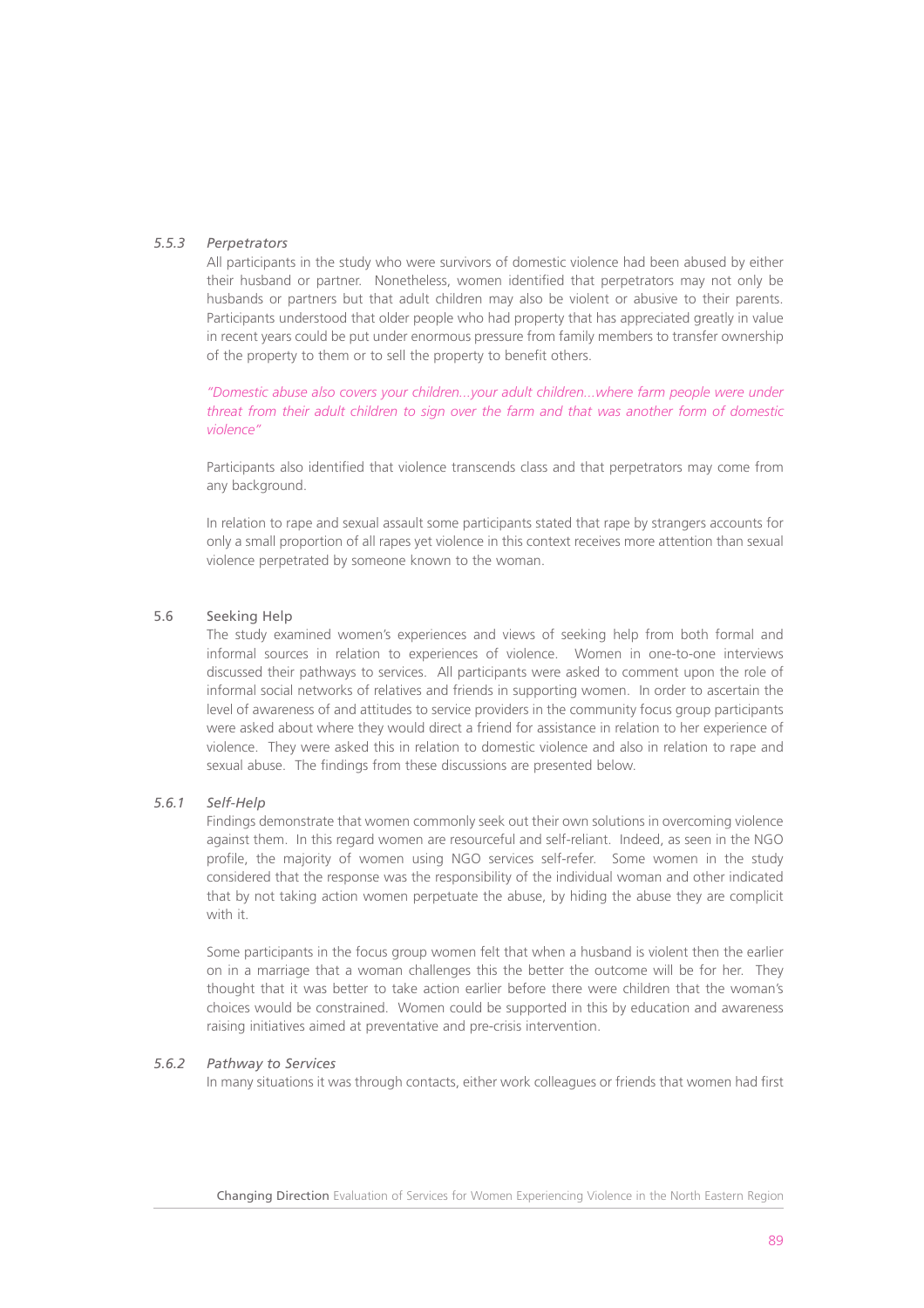# *5.5.3 Perpetrators*

All participants in the study who were survivors of domestic violence had been abused by either their husband or partner. Nonetheless, women identified that perpetrators may not only be husbands or partners but that adult children may also be violent or abusive to their parents. Participants understood that older people who had property that has appreciated greatly in value in recent years could be put under enormous pressure from family members to transfer ownership of the property to them or to sell the property to benefit others.

*"Domestic abuse also covers your children...your adult children...where farm people were under threat from their adult children to sign over the farm and that was another form of domestic violence"* 

Participants also identified that violence transcends class and that perpetrators may come from any background.

In relation to rape and sexual assault some participants stated that rape by strangers accounts for only a small proportion of all rapes yet violence in this context receives more attention than sexual violence perpetrated by someone known to the woman.

# 5.6 Seeking Help

The study examined women's experiences and views of seeking help from both formal and informal sources in relation to experiences of violence. Women in one-to-one interviews discussed their pathways to services. All participants were asked to comment upon the role of informal social networks of relatives and friends in supporting women. In order to ascertain the level of awareness of and attitudes to service providers in the community focus group participants were asked about where they would direct a friend for assistance in relation to her experience of violence. They were asked this in relation to domestic violence and also in relation to rape and sexual abuse. The findings from these discussions are presented below.

# *5.6.1 Self-Help*

Findings demonstrate that women commonly seek out their own solutions in overcoming violence against them. In this regard women are resourceful and self-reliant. Indeed, as seen in the NGO profile, the majority of women using NGO services self-refer. Some women in the study considered that the response was the responsibility of the individual woman and other indicated that by not taking action women perpetuate the abuse, by hiding the abuse they are complicit with it.

Some participants in the focus group women felt that when a husband is violent then the earlier on in a marriage that a woman challenges this the better the outcome will be for her. They thought that it was better to take action earlier before there were children that the woman's choices would be constrained. Women could be supported in this by education and awareness raising initiatives aimed at preventative and pre-crisis intervention.

# *5.6.2 Pathway to Services*

In many situations it was through contacts, either work colleagues or friends that women had first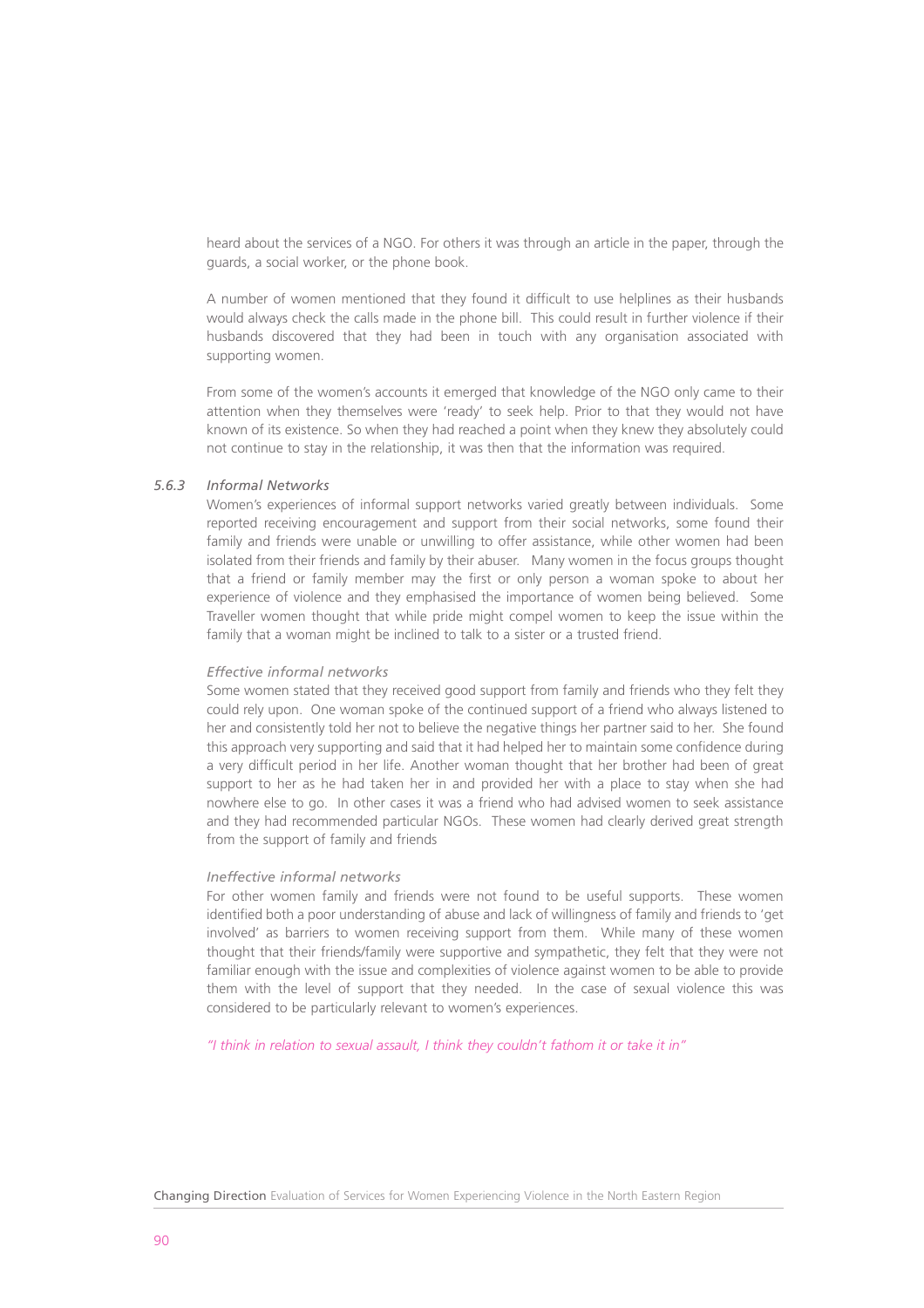heard about the services of a NGO. For others it was through an article in the paper, through the guards, a social worker, or the phone book.

A number of women mentioned that they found it difficult to use helplines as their husbands would always check the calls made in the phone bill. This could result in further violence if their husbands discovered that they had been in touch with any organisation associated with supporting women.

From some of the women's accounts it emerged that knowledge of the NGO only came to their attention when they themselves were 'ready' to seek help. Prior to that they would not have known of its existence. So when they had reached a point when they knew they absolutely could not continue to stay in the relationship, it was then that the information was required.

# *5.6.3 Informal Networks*

Women's experiences of informal support networks varied greatly between individuals. Some reported receiving encouragement and support from their social networks, some found their family and friends were unable or unwilling to offer assistance, while other women had been isolated from their friends and family by their abuser. Many women in the focus groups thought that a friend or family member may the first or only person a woman spoke to about her experience of violence and they emphasised the importance of women being believed. Some Traveller women thought that while pride might compel women to keep the issue within the family that a woman might be inclined to talk to a sister or a trusted friend.

## *Effective informal networks*

Some women stated that they received good support from family and friends who they felt they could rely upon. One woman spoke of the continued support of a friend who always listened to her and consistently told her not to believe the negative things her partner said to her. She found this approach very supporting and said that it had helped her to maintain some confidence during a very difficult period in her life. Another woman thought that her brother had been of great support to her as he had taken her in and provided her with a place to stay when she had nowhere else to go. In other cases it was a friend who had advised women to seek assistance and they had recommended particular NGOs. These women had clearly derived great strength from the support of family and friends

# *Ineffective informal networks*

For other women family and friends were not found to be useful supports. These women identified both a poor understanding of abuse and lack of willingness of family and friends to 'get involved' as barriers to women receiving support from them. While many of these women thought that their friends/family were supportive and sympathetic, they felt that they were not familiar enough with the issue and complexities of violence against women to be able to provide them with the level of support that they needed. In the case of sexual violence this was considered to be particularly relevant to women's experiences.

*"I think in relation to sexual assault, I think they couldn't fathom it or take it in"*

Changing Direction Evaluation of Services for Women Experiencing Violence in the North Eastern Region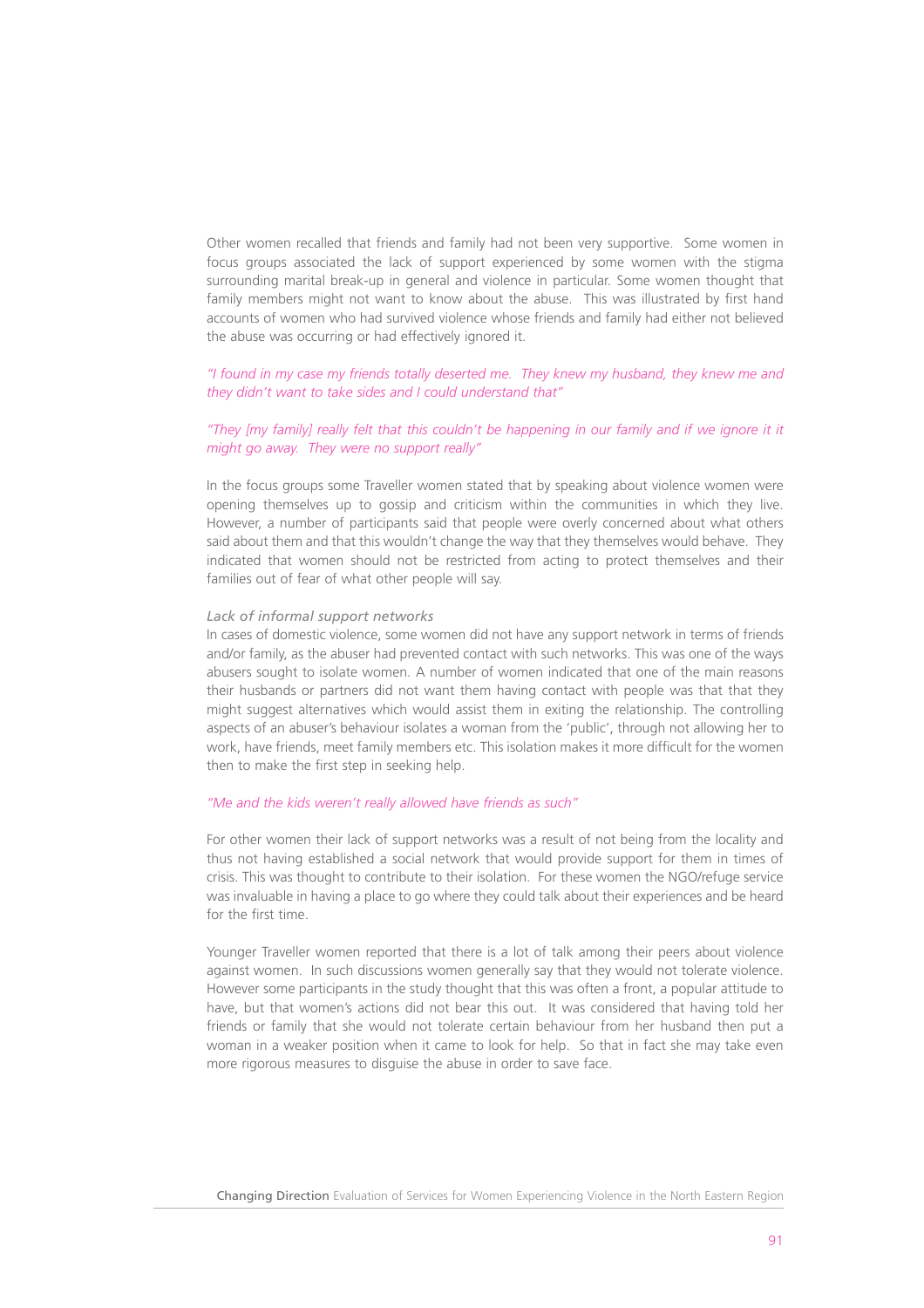Other women recalled that friends and family had not been very supportive. Some women in focus groups associated the lack of support experienced by some women with the stigma surrounding marital break-up in general and violence in particular. Some women thought that family members might not want to know about the abuse. This was illustrated by first hand accounts of women who had survived violence whose friends and family had either not believed the abuse was occurring or had effectively ignored it.

# *"I found in my case my friends totally deserted me. They knew my husband, they knew me and they didn't want to take sides and I could understand that"*

# *"They [my family] really felt that this couldn't be happening in our family and if we ignore it it might go away. They were no support really"*

In the focus groups some Traveller women stated that by speaking about violence women were opening themselves up to gossip and criticism within the communities in which they live. However, a number of participants said that people were overly concerned about what others said about them and that this wouldn't change the way that they themselves would behave. They indicated that women should not be restricted from acting to protect themselves and their families out of fear of what other people will say.

## *Lack of informal support networks*

In cases of domestic violence, some women did not have any support network in terms of friends and/or family, as the abuser had prevented contact with such networks. This was one of the ways abusers sought to isolate women. A number of women indicated that one of the main reasons their husbands or partners did not want them having contact with people was that that they might suggest alternatives which would assist them in exiting the relationship. The controlling aspects of an abuser's behaviour isolates a woman from the 'public', through not allowing her to work, have friends, meet family members etc. This isolation makes it more difficult for the women then to make the first step in seeking help.

## *"Me and the kids weren't really allowed have friends as such"*

For other women their lack of support networks was a result of not being from the locality and thus not having established a social network that would provide support for them in times of crisis. This was thought to contribute to their isolation. For these women the NGO/refuge service was invaluable in having a place to go where they could talk about their experiences and be heard for the first time.

Younger Traveller women reported that there is a lot of talk among their peers about violence against women. In such discussions women generally say that they would not tolerate violence. However some participants in the study thought that this was often a front, a popular attitude to have, but that women's actions did not bear this out. It was considered that having told her friends or family that she would not tolerate certain behaviour from her husband then put a woman in a weaker position when it came to look for help. So that in fact she may take even more rigorous measures to disguise the abuse in order to save face.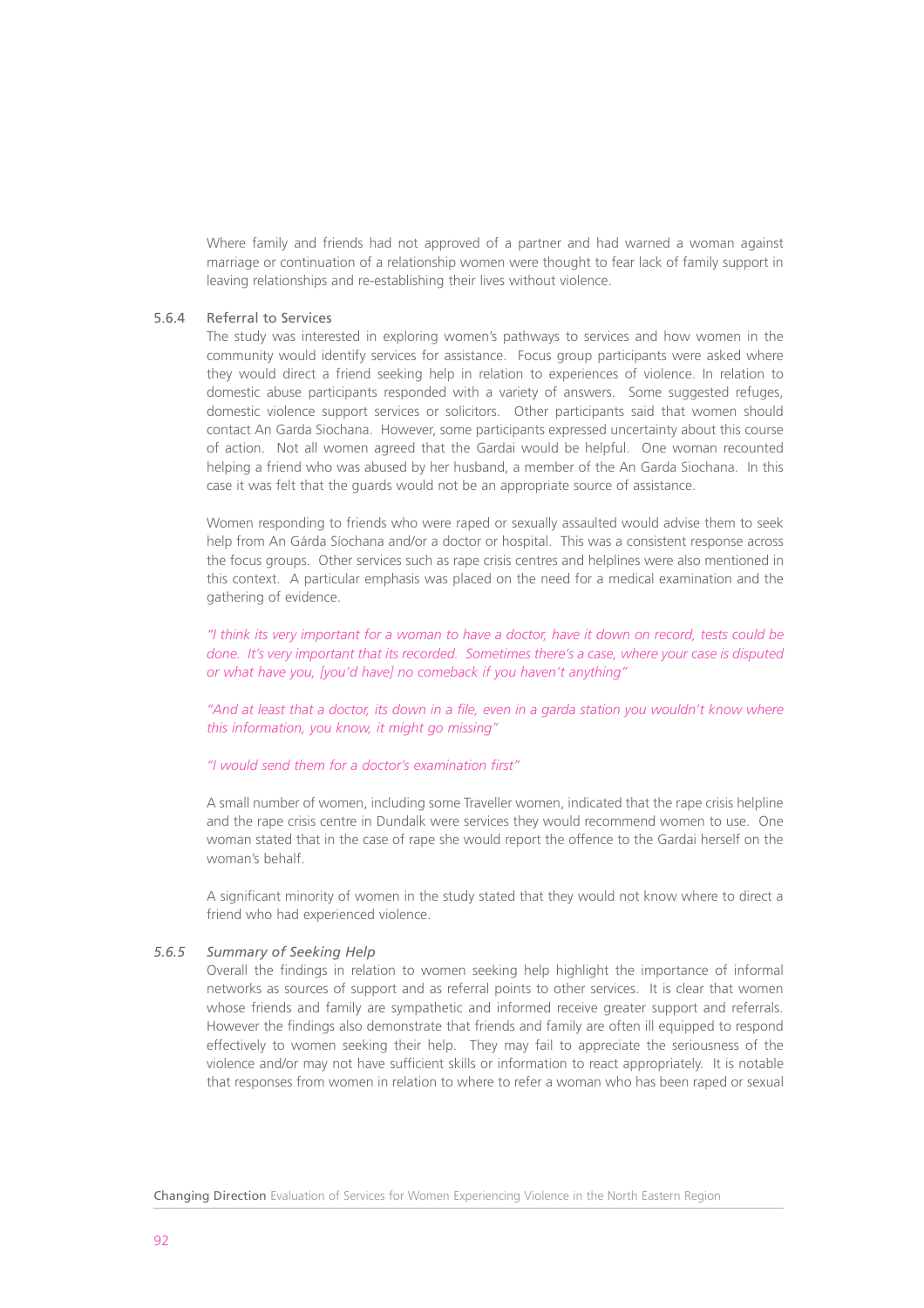Where family and friends had not approved of a partner and had warned a woman against marriage or continuation of a relationship women were thought to fear lack of family support in leaving relationships and re-establishing their lives without violence.

## 5.6.4 Referral to Services

The study was interested in exploring women's pathways to services and how women in the community would identify services for assistance. Focus group participants were asked where they would direct a friend seeking help in relation to experiences of violence. In relation to domestic abuse participants responded with a variety of answers. Some suggested refuges, domestic violence support services or solicitors. Other participants said that women should contact An Garda Siochana. However, some participants expressed uncertainty about this course of action. Not all women agreed that the Gardai would be helpful. One woman recounted helping a friend who was abused by her husband, a member of the An Garda Siochana. In this case it was felt that the guards would not be an appropriate source of assistance.

Women responding to friends who were raped or sexually assaulted would advise them to seek help from An Gárda Síochana and/or a doctor or hospital. This was a consistent response across the focus groups. Other services such as rape crisis centres and helplines were also mentioned in this context. A particular emphasis was placed on the need for a medical examination and the gathering of evidence.

*"I think its very important for a woman to have a doctor, have it down on record, tests could be done. It's very important that its recorded. Sometimes there's a case, where your case is disputed or what have you, [you'd have] no comeback if you haven't anything"*

*"And at least that a doctor, its down in a file, even in a garda station you wouldn't know where this information, you know, it might go missing"*

## *"I would send them for a doctor's examination first"*

A small number of women, including some Traveller women, indicated that the rape crisis helpline and the rape crisis centre in Dundalk were services they would recommend women to use. One woman stated that in the case of rape she would report the offence to the Gardai herself on the woman's behalf.

A significant minority of women in the study stated that they would not know where to direct a friend who had experienced violence.

## *5.6.5 Summary of Seeking Help*

Overall the findings in relation to women seeking help highlight the importance of informal networks as sources of support and as referral points to other services. It is clear that women whose friends and family are sympathetic and informed receive greater support and referrals. However the findings also demonstrate that friends and family are often ill equipped to respond effectively to women seeking their help. They may fail to appreciate the seriousness of the violence and/or may not have sufficient skills or information to react appropriately. It is notable that responses from women in relation to where to refer a woman who has been raped or sexual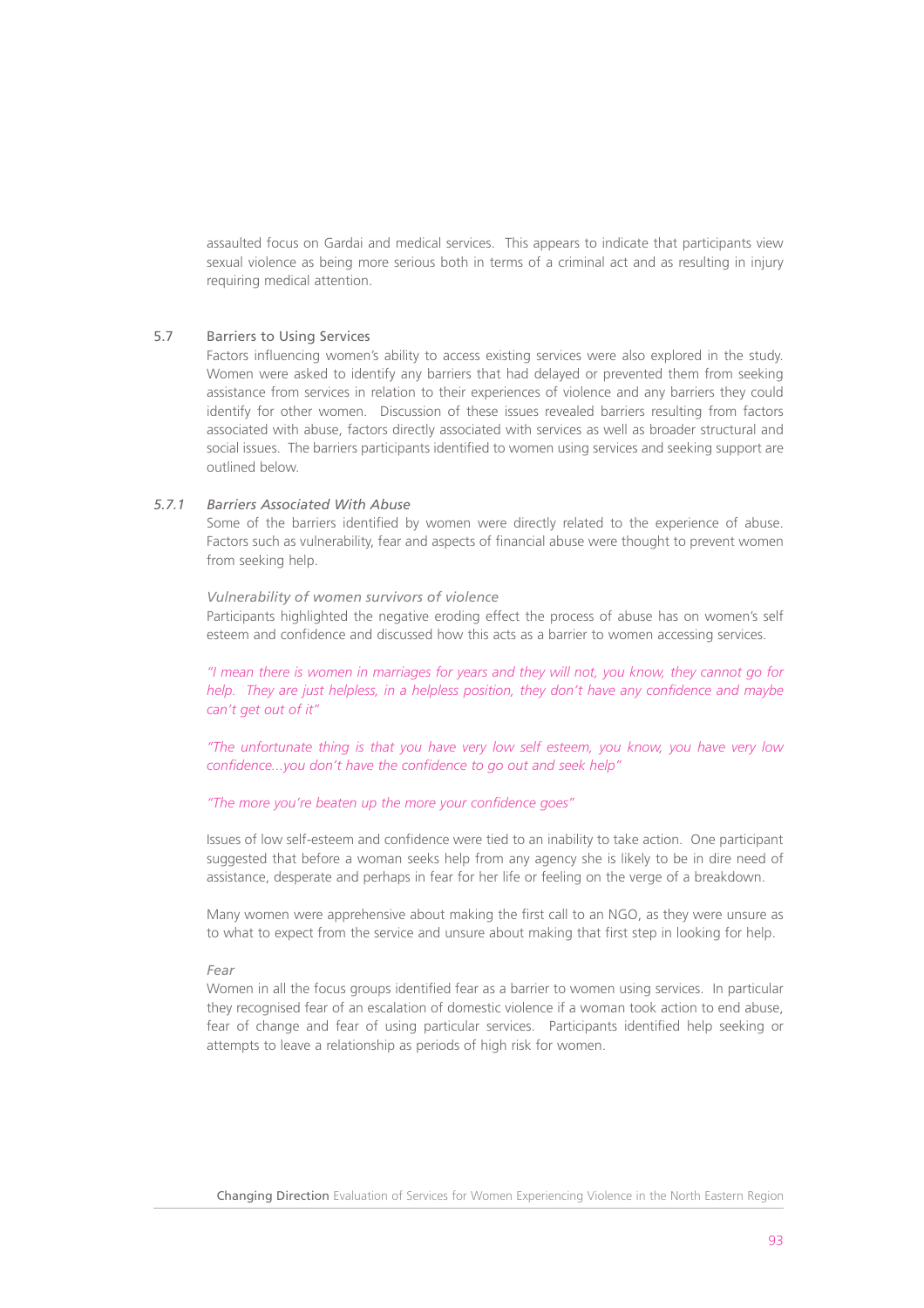assaulted focus on Gardai and medical services. This appears to indicate that participants view sexual violence as being more serious both in terms of a criminal act and as resulting in injury requiring medical attention.

# 5.7 Barriers to Using Services

Factors influencing women's ability to access existing services were also explored in the study. Women were asked to identify any barriers that had delayed or prevented them from seeking assistance from services in relation to their experiences of violence and any barriers they could identify for other women. Discussion of these issues revealed barriers resulting from factors associated with abuse, factors directly associated with services as well as broader structural and social issues. The barriers participants identified to women using services and seeking support are outlined below.

# *5.7.1 Barriers Associated With Abuse*

Some of the barriers identified by women were directly related to the experience of abuse. Factors such as vulnerability, fear and aspects of financial abuse were thought to prevent women from seeking help.

#### *Vulnerability of women survivors of violence*

Participants highlighted the negative eroding effect the process of abuse has on women's self esteem and confidence and discussed how this acts as a barrier to women accessing services.

*"I mean there is women in marriages for years and they will not, you know, they cannot go for help. They are just helpless, in a helpless position, they don't have any confidence and maybe can't get out of it"*

*"The unfortunate thing is that you have very low self esteem, you know, you have very low confidence...you don't have the confidence to go out and seek help"*

## *"The more you're beaten up the more your confidence goes"*

Issues of low self-esteem and confidence were tied to an inability to take action. One participant suggested that before a woman seeks help from any agency she is likely to be in dire need of assistance, desperate and perhaps in fear for her life or feeling on the verge of a breakdown.

Many women were apprehensive about making the first call to an NGO, as they were unsure as to what to expect from the service and unsure about making that first step in looking for help.

#### *Fear*

Women in all the focus groups identified fear as a barrier to women using services. In particular they recognised fear of an escalation of domestic violence if a woman took action to end abuse, fear of change and fear of using particular services. Participants identified help seeking or attempts to leave a relationship as periods of high risk for women.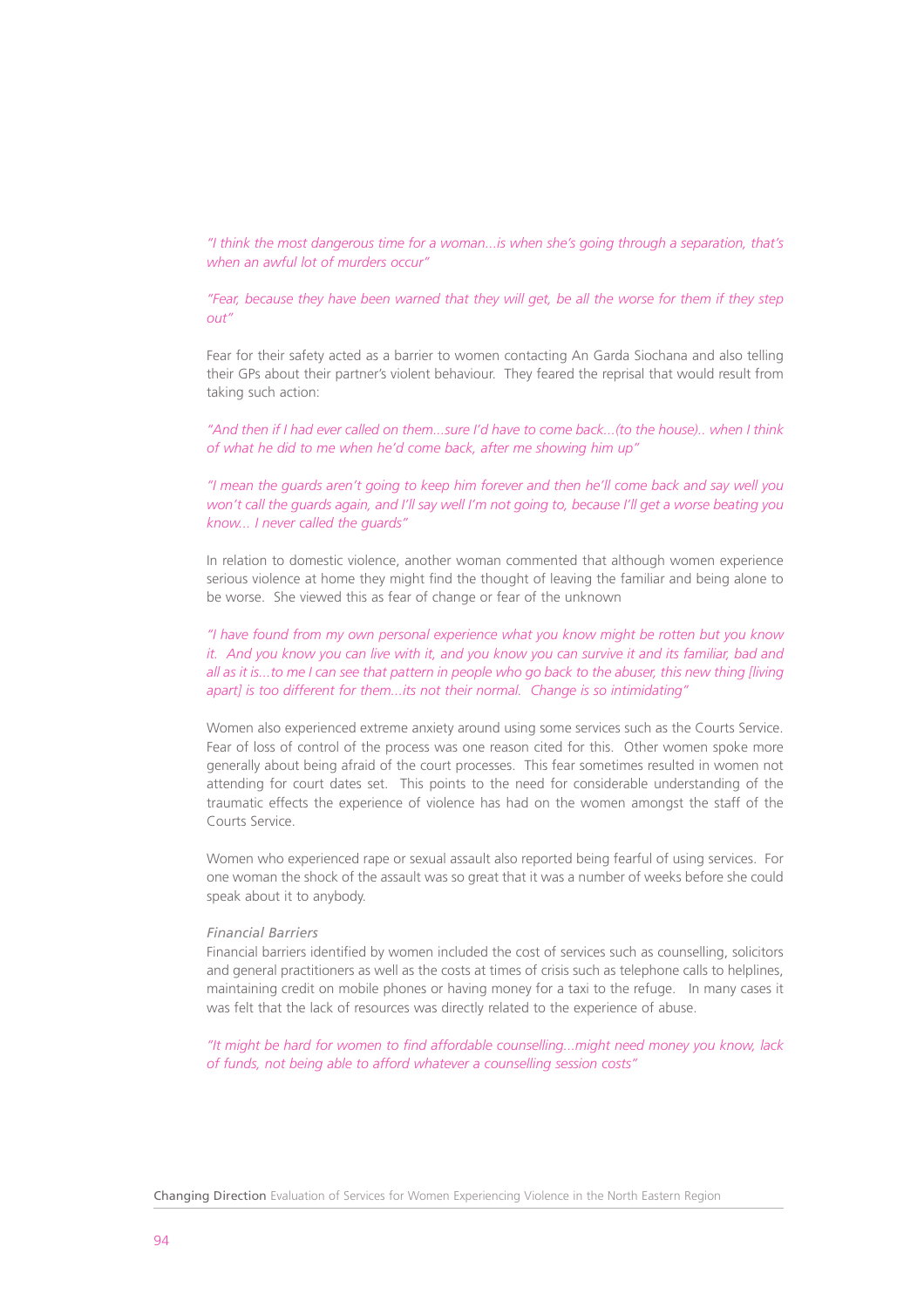*"I think the most dangerous time for a woman...is when she's going through a separation, that's when an awful lot of murders occur"*

*"Fear, because they have been warned that they will get, be all the worse for them if they step out"*

Fear for their safety acted as a barrier to women contacting An Garda Siochana and also telling their GPs about their partner's violent behaviour. They feared the reprisal that would result from taking such action:

*"And then if I had ever called on them...sure I'd have to come back...(to the house).. when I think of what he did to me when he'd come back, after me showing him up"*

*"I mean the guards aren't going to keep him forever and then he'll come back and say well you won't call the guards again, and I'll say well I'm not going to, because I'll get a worse beating you know... I never called the guards"*

In relation to domestic violence, another woman commented that although women experience serious violence at home they might find the thought of leaving the familiar and being alone to be worse. She viewed this as fear of change or fear of the unknown

*"I have found from my own personal experience what you know might be rotten but you know it. And you know you can live with it, and you know you can survive it and its familiar, bad and all as it is...to me I can see that pattern in people who go back to the abuser, this new thing [living apart] is too different for them...its not their normal. Change is so intimidating"*

Women also experienced extreme anxiety around using some services such as the Courts Service. Fear of loss of control of the process was one reason cited for this. Other women spoke more generally about being afraid of the court processes. This fear sometimes resulted in women not attending for court dates set. This points to the need for considerable understanding of the traumatic effects the experience of violence has had on the women amongst the staff of the Courts Service.

Women who experienced rape or sexual assault also reported being fearful of using services. For one woman the shock of the assault was so great that it was a number of weeks before she could speak about it to anybody.

## *Financial Barriers*

Financial barriers identified by women included the cost of services such as counselling, solicitors and general practitioners as well as the costs at times of crisis such as telephone calls to helplines, maintaining credit on mobile phones or having money for a taxi to the refuge. In many cases it was felt that the lack of resources was directly related to the experience of abuse.

*"It might be hard for women to find affordable counselling...might need money you know, lack of funds, not being able to afford whatever a counselling session costs"*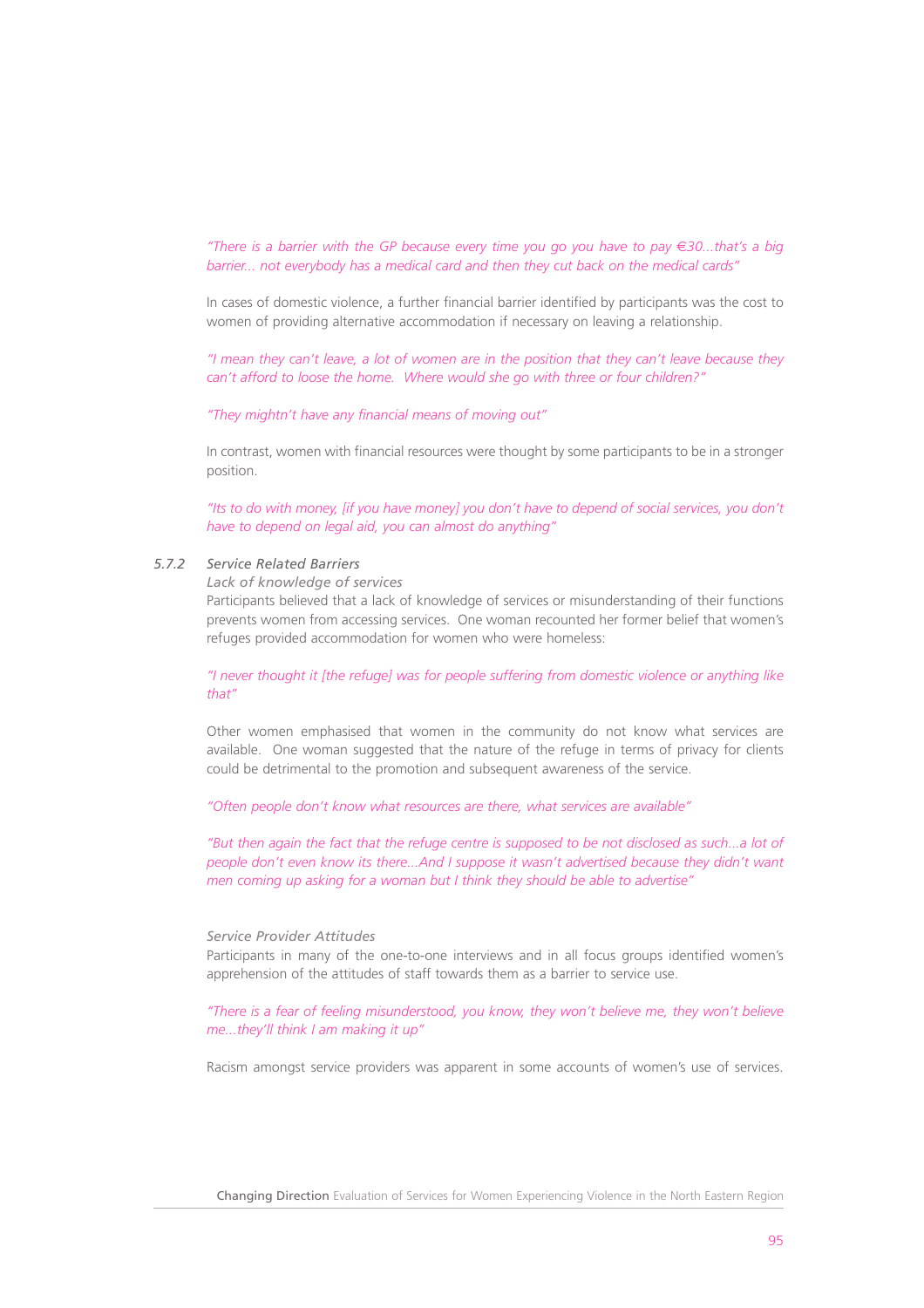*"There is a barrier with the GP because every time you go you have to pay* €*30...that's a big barrier... not everybody has a medical card and then they cut back on the medical cards"*

In cases of domestic violence, a further financial barrier identified by participants was the cost to women of providing alternative accommodation if necessary on leaving a relationship.

*"I mean they can't leave, a lot of women are in the position that they can't leave because they can't afford to loose the home. Where would she go with three or four children?"*

*"They mightn't have any financial means of moving out"*

In contrast, women with financial resources were thought by some participants to be in a stronger position.

*"Its to do with money, [if you have money] you don't have to depend of social services, you don't have to depend on legal aid, you can almost do anything"*

# *5.7.2 Service Related Barriers*

*Lack of knowledge of services*

Participants believed that a lack of knowledge of services or misunderstanding of their functions prevents women from accessing services. One woman recounted her former belief that women's refuges provided accommodation for women who were homeless:

*"I never thought it [the refuge] was for people suffering from domestic violence or anything like that"*

Other women emphasised that women in the community do not know what services are available. One woman suggested that the nature of the refuge in terms of privacy for clients could be detrimental to the promotion and subsequent awareness of the service.

*"Often people don't know what resources are there, what services are available"*

*"But then again the fact that the refuge centre is supposed to be not disclosed as such...a lot of people don't even know its there...And I suppose it wasn't advertised because they didn't want men coming up asking for a woman but I think they should be able to advertise"*

#### *Service Provider Attitudes*

Participants in many of the one-to-one interviews and in all focus groups identified women's apprehension of the attitudes of staff towards them as a barrier to service use.

*"There is a fear of feeling misunderstood, you know, they won't believe me, they won't believe me...they'll think I am making it up"*

Racism amongst service providers was apparent in some accounts of women's use of services.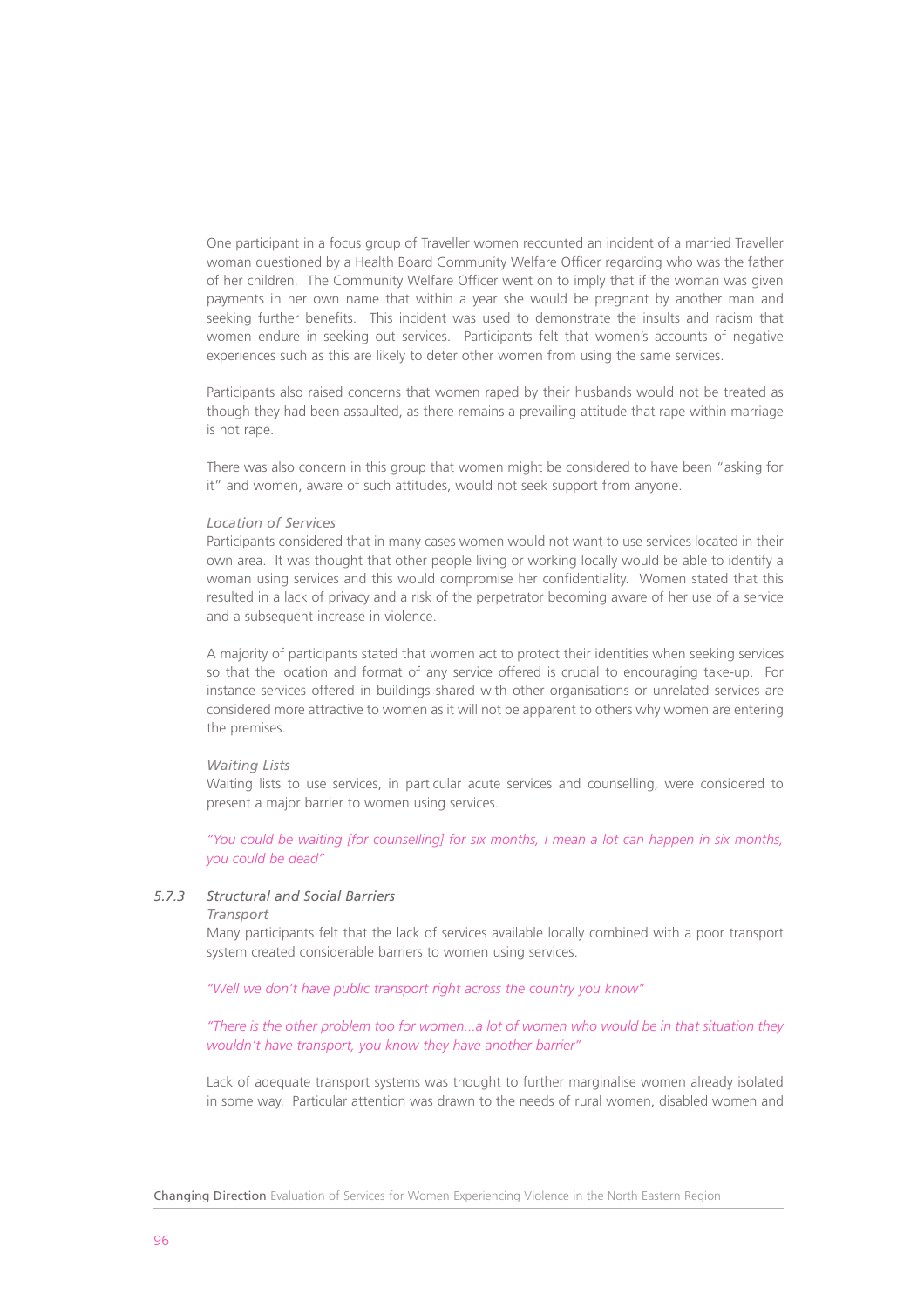One participant in a focus group of Traveller women recounted an incident of a married Traveller woman questioned by a Health Board Community Welfare Officer regarding who was the father of her children. The Community Welfare Officer went on to imply that if the woman was given payments in her own name that within a year she would be pregnant by another man and seeking further benefits. This incident was used to demonstrate the insults and racism that women endure in seeking out services. Participants felt that women's accounts of negative experiences such as this are likely to deter other women from using the same services.

Participants also raised concerns that women raped by their husbands would not be treated as though they had been assaulted, as there remains a prevailing attitude that rape within marriage is not rape.

There was also concern in this group that women might be considered to have been "asking for it" and women, aware of such attitudes, would not seek support from anyone.

## *Location of Services*

Participants considered that in many cases women would not want to use services located in their own area. It was thought that other people living or working locally would be able to identify a woman using services and this would compromise her confidentiality. Women stated that this resulted in a lack of privacy and a risk of the perpetrator becoming aware of her use of a service and a subsequent increase in violence.

A majority of participants stated that women act to protect their identities when seeking services so that the location and format of any service offered is crucial to encouraging take-up. For instance services offered in buildings shared with other organisations or unrelated services are considered more attractive to women as it will not be apparent to others why women are entering the premises.

## *Waiting Lists*

Waiting lists to use services, in particular acute services and counselling, were considered to present a major barrier to women using services.

*"You could be waiting [for counselling] for six months, I mean a lot can happen in six months, you could be dead"*

# *5.7.3 Structural and Social Barriers*

#### *Transport*

Many participants felt that the lack of services available locally combined with a poor transport system created considerable barriers to women using services.

*"Well we don't have public transport right across the country you know"*

*"There is the other problem too for women...a lot of women who would be in that situation they wouldn't have transport, you know they have another barrier"*

Lack of adequate transport systems was thought to further marginalise women already isolated in some way. Particular attention was drawn to the needs of rural women, disabled women and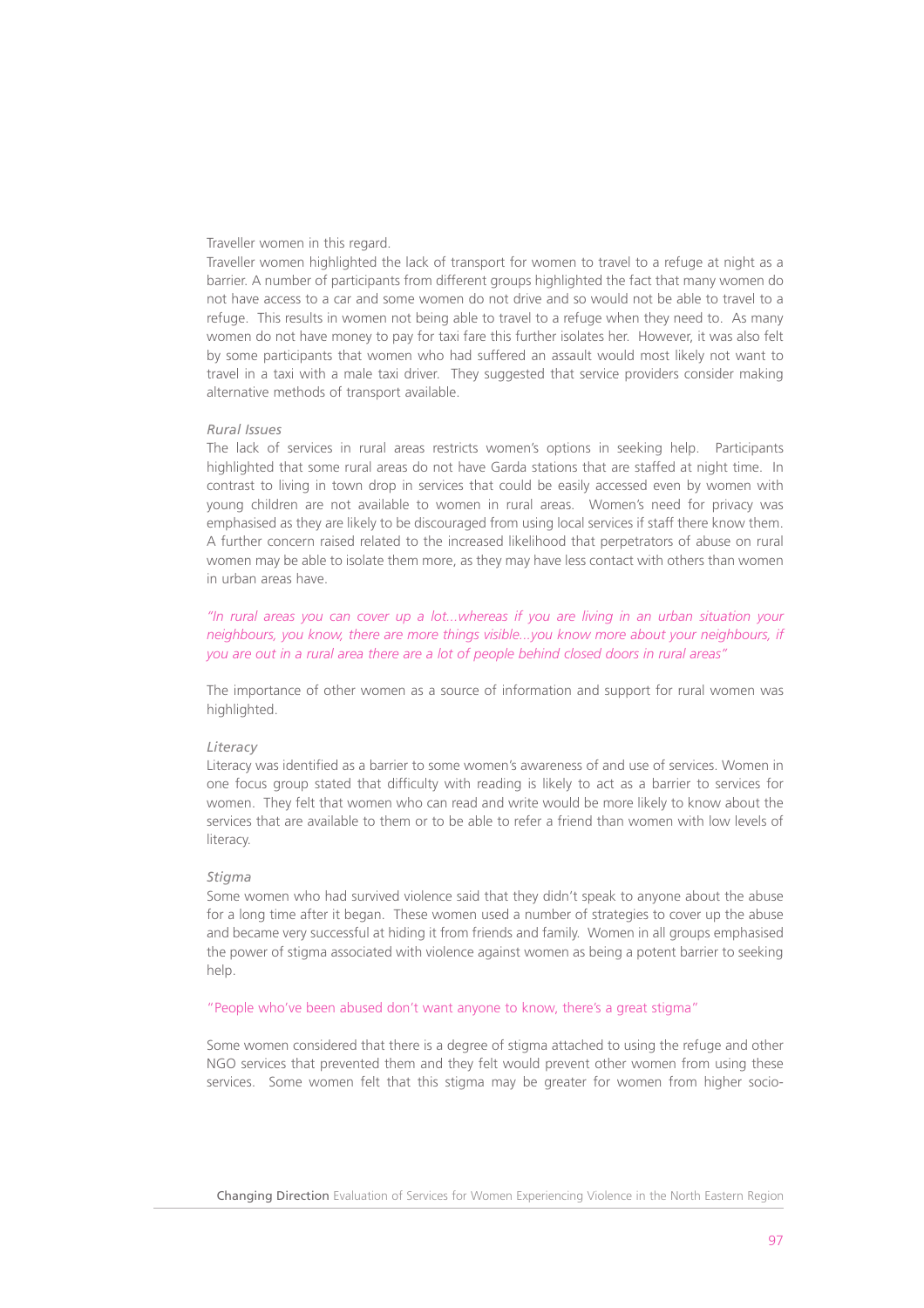## Traveller women in this regard.

Traveller women highlighted the lack of transport for women to travel to a refuge at night as a barrier. A number of participants from different groups highlighted the fact that many women do not have access to a car and some women do not drive and so would not be able to travel to a refuge. This results in women not being able to travel to a refuge when they need to. As many women do not have money to pay for taxi fare this further isolates her. However, it was also felt by some participants that women who had suffered an assault would most likely not want to travel in a taxi with a male taxi driver. They suggested that service providers consider making alternative methods of transport available.

## *Rural Issues*

The lack of services in rural areas restricts women's options in seeking help. Participants highlighted that some rural areas do not have Garda stations that are staffed at night time. In contrast to living in town drop in services that could be easily accessed even by women with young children are not available to women in rural areas. Women's need for privacy was emphasised as they are likely to be discouraged from using local services if staff there know them. A further concern raised related to the increased likelihood that perpetrators of abuse on rural women may be able to isolate them more, as they may have less contact with others than women in urban areas have.

*"In rural areas you can cover up a lot...whereas if you are living in an urban situation your neighbours, you know, there are more things visible...you know more about your neighbours, if you are out in a rural area there are a lot of people behind closed doors in rural areas"*

The importance of other women as a source of information and support for rural women was highlighted.

## *Literacy*

Literacy was identified as a barrier to some women's awareness of and use of services. Women in one focus group stated that difficulty with reading is likely to act as a barrier to services for women. They felt that women who can read and write would be more likely to know about the services that are available to them or to be able to refer a friend than women with low levels of literacy.

#### *Stigma*

Some women who had survived violence said that they didn't speak to anyone about the abuse for a long time after it began. These women used a number of strategies to cover up the abuse and became very successful at hiding it from friends and family. Women in all groups emphasised the power of stigma associated with violence against women as being a potent barrier to seeking help.

## "People who've been abused don't want anyone to know, there's a great stigma"

Some women considered that there is a degree of stigma attached to using the refuge and other NGO services that prevented them and they felt would prevent other women from using these services. Some women felt that this stigma may be greater for women from higher socio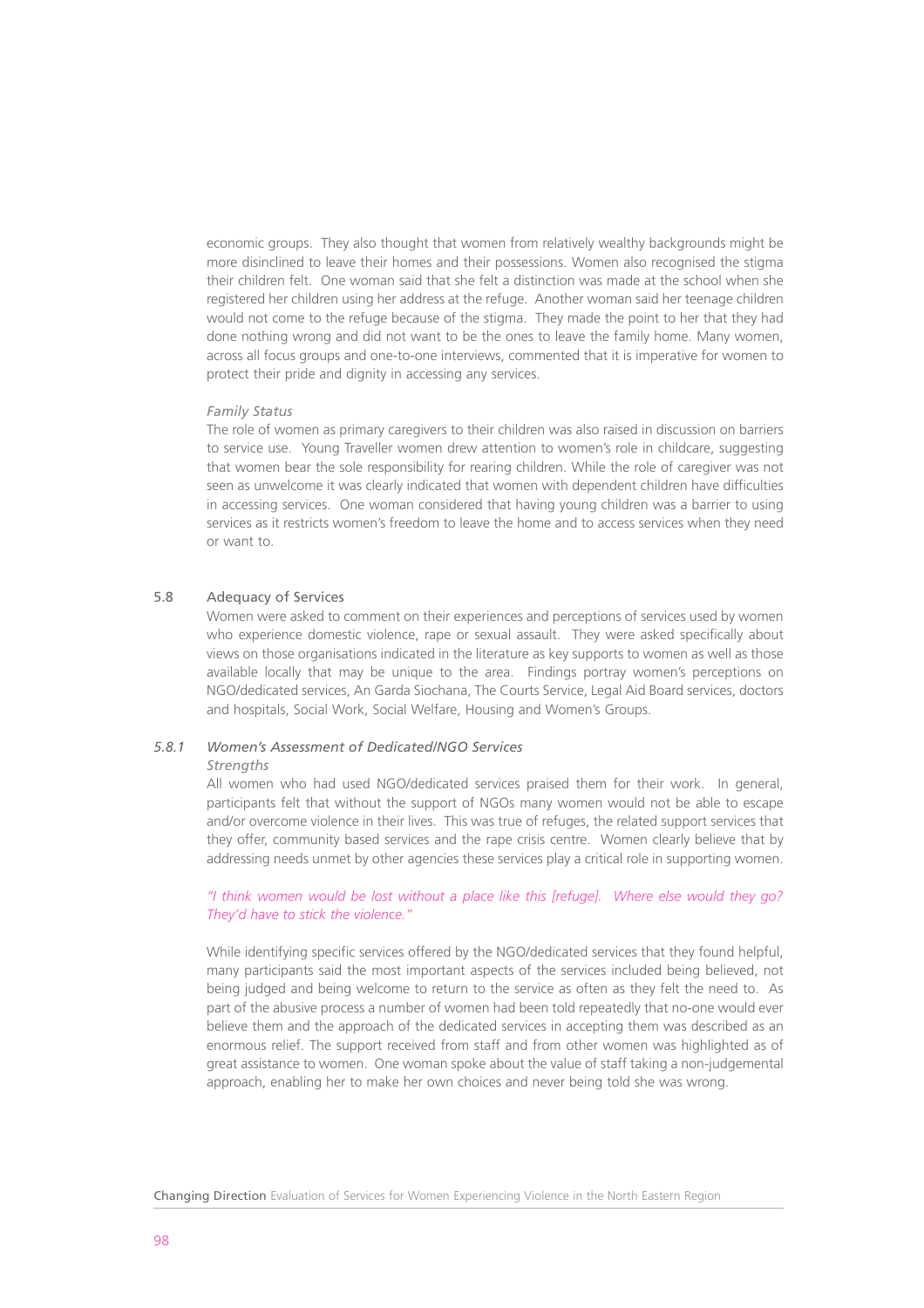economic groups. They also thought that women from relatively wealthy backgrounds might be more disinclined to leave their homes and their possessions. Women also recognised the stigma their children felt. One woman said that she felt a distinction was made at the school when she registered her children using her address at the refuge. Another woman said her teenage children would not come to the refuge because of the stigma. They made the point to her that they had done nothing wrong and did not want to be the ones to leave the family home. Many women, across all focus groups and one-to-one interviews, commented that it is imperative for women to protect their pride and dignity in accessing any services.

## *Family Status*

The role of women as primary caregivers to their children was also raised in discussion on barriers to service use. Young Traveller women drew attention to women's role in childcare, suggesting that women bear the sole responsibility for rearing children. While the role of caregiver was not seen as unwelcome it was clearly indicated that women with dependent children have difficulties in accessing services. One woman considered that having young children was a barrier to using services as it restricts women's freedom to leave the home and to access services when they need or want to.

## 5.8 Adequacy of Services

Women were asked to comment on their experiences and perceptions of services used by women who experience domestic violence, rape or sexual assault. They were asked specifically about views on those organisations indicated in the literature as key supports to women as well as those available locally that may be unique to the area. Findings portray women's perceptions on NGO/dedicated services, An Garda Siochana, The Courts Service, Legal Aid Board services, doctors and hospitals, Social Work, Social Welfare, Housing and Women's Groups.

# *5.8.1 Women's Assessment of Dedicated/NGO Services*

#### *Strengths*

All women who had used NGO/dedicated services praised them for their work. In general, participants felt that without the support of NGOs many women would not be able to escape and/or overcome violence in their lives. This was true of refuges, the related support services that they offer, community based services and the rape crisis centre. Women clearly believe that by addressing needs unmet by other agencies these services play a critical role in supporting women.

# *"I think women would be lost without a place like this [refuge]. Where else would they go? They'd have to stick the violence."*

While identifying specific services offered by the NGO/dedicated services that they found helpful, many participants said the most important aspects of the services included being believed, not being judged and being welcome to return to the service as often as they felt the need to. As part of the abusive process a number of women had been told repeatedly that no-one would ever believe them and the approach of the dedicated services in accepting them was described as an enormous relief. The support received from staff and from other women was highlighted as of great assistance to women. One woman spoke about the value of staff taking a non-judgemental approach, enabling her to make her own choices and never being told she was wrong.

Changing Direction Evaluation of Services for Women Experiencing Violence in the North Eastern Region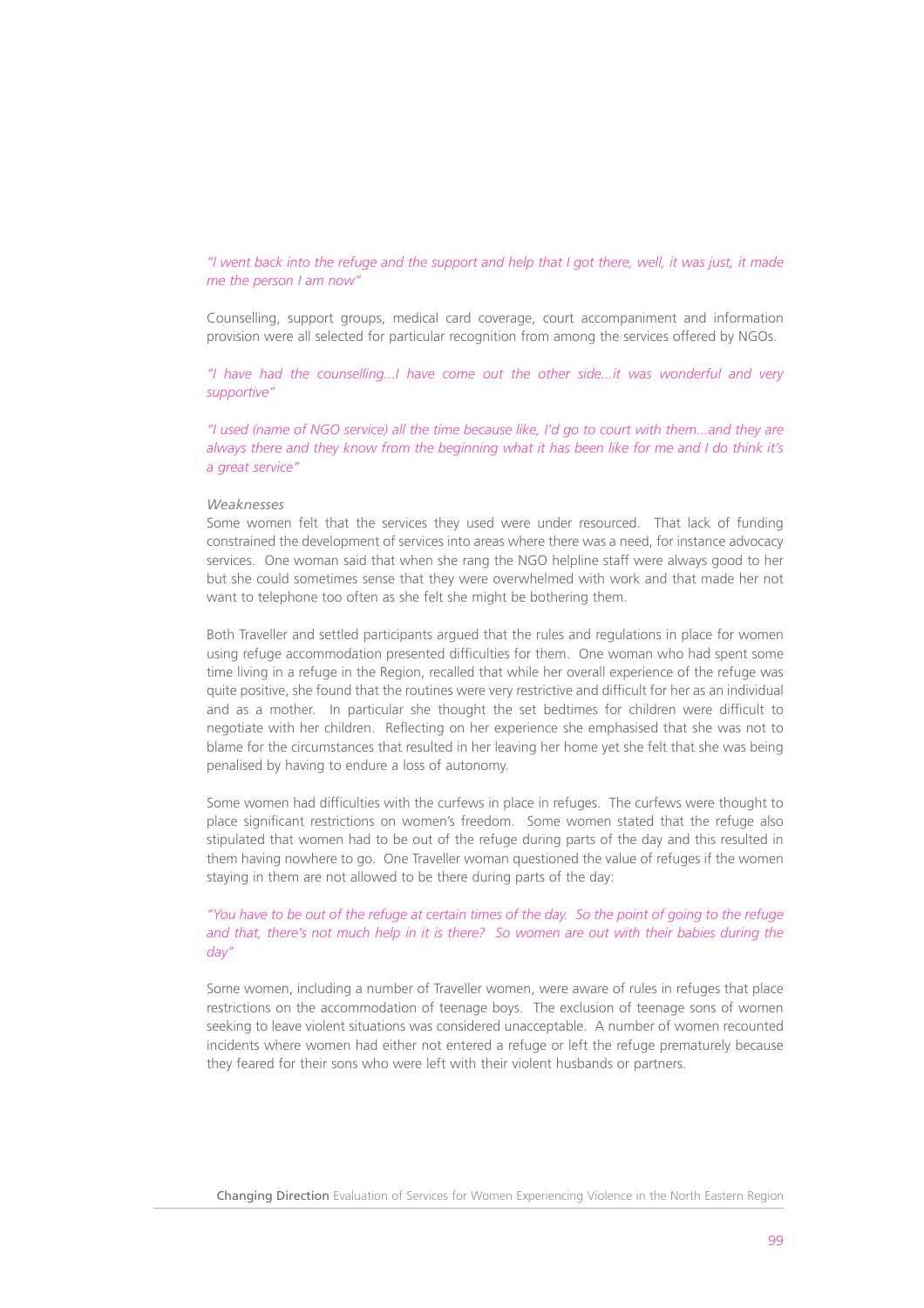*"I went back into the refuge and the support and help that I got there, well, it was just, it made me the person I am now"*

Counselling, support groups, medical card coverage, court accompaniment and information provision were all selected for particular recognition from among the services offered by NGOs.

*"I have had the counselling...I have come out the other side...it was wonderful and very supportive"*

*"I used (name of NGO service) all the time because like, I'd go to court with them...and they are always there and they know from the beginning what it has been like for me and I do think it's a great service"*

## *Weaknesses*

Some women felt that the services they used were under resourced. That lack of funding constrained the development of services into areas where there was a need, for instance advocacy services. One woman said that when she rang the NGO helpline staff were always good to her but she could sometimes sense that they were overwhelmed with work and that made her not want to telephone too often as she felt she might be bothering them.

Both Traveller and settled participants argued that the rules and regulations in place for women using refuge accommodation presented difficulties for them. One woman who had spent some time living in a refuge in the Region, recalled that while her overall experience of the refuge was quite positive, she found that the routines were very restrictive and difficult for her as an individual and as a mother. In particular she thought the set bedtimes for children were difficult to negotiate with her children. Reflecting on her experience she emphasised that she was not to blame for the circumstances that resulted in her leaving her home yet she felt that she was being penalised by having to endure a loss of autonomy.

Some women had difficulties with the curfews in place in refuges. The curfews were thought to place significant restrictions on women's freedom. Some women stated that the refuge also stipulated that women had to be out of the refuge during parts of the day and this resulted in them having nowhere to go. One Traveller woman questioned the value of refuges if the women staying in them are not allowed to be there during parts of the day:

# *"You have to be out of the refuge at certain times of the day. So the point of going to the refuge and that, there's not much help in it is there? So women are out with their babies during the day"*

Some women, including a number of Traveller women, were aware of rules in refuges that place restrictions on the accommodation of teenage boys. The exclusion of teenage sons of women seeking to leave violent situations was considered unacceptable. A number of women recounted incidents where women had either not entered a refuge or left the refuge prematurely because they feared for their sons who were left with their violent husbands or partners.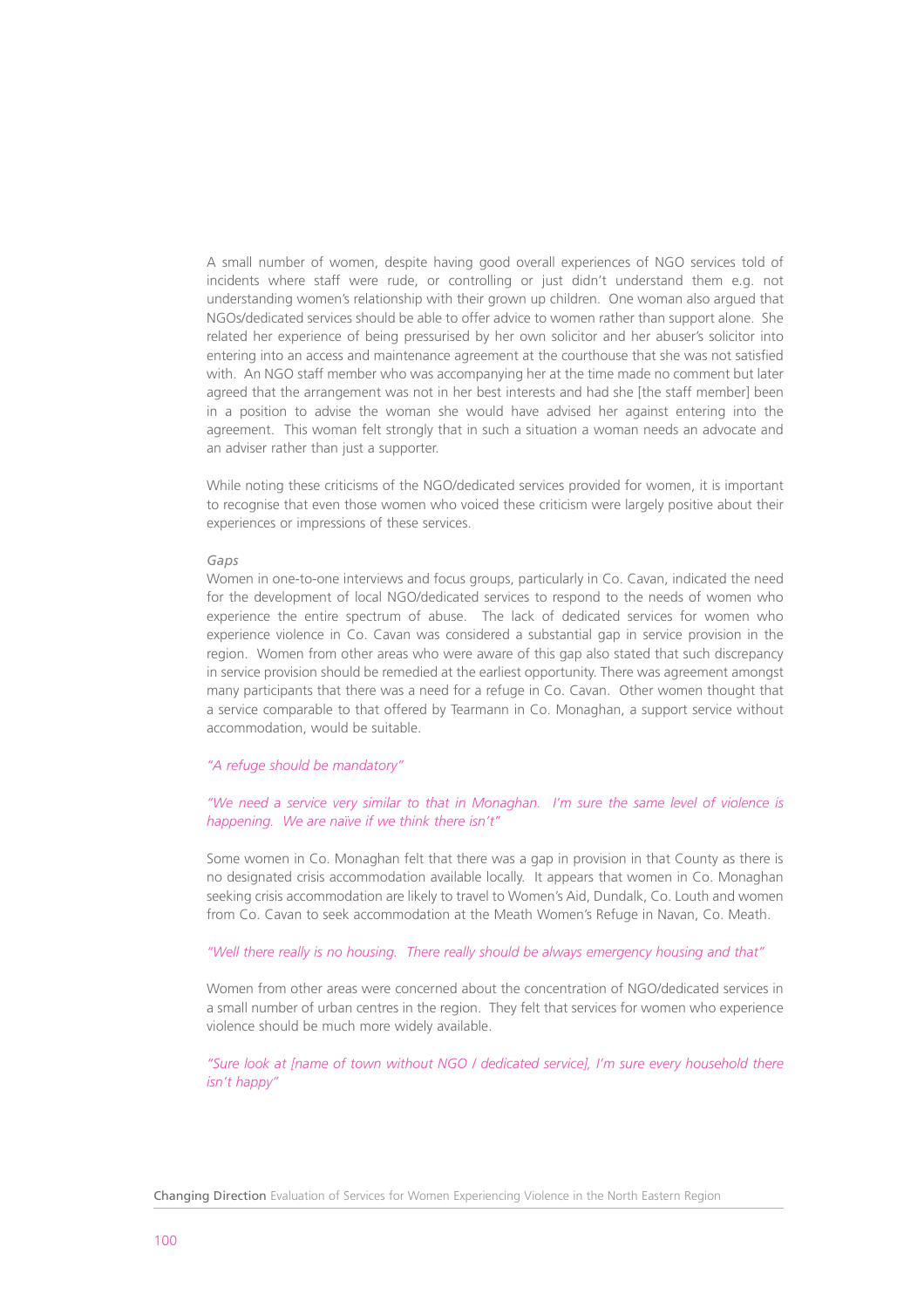A small number of women, despite having good overall experiences of NGO services told of incidents where staff were rude, or controlling or just didn't understand them e.g. not understanding women's relationship with their grown up children. One woman also argued that NGOs/dedicated services should be able to offer advice to women rather than support alone. She related her experience of being pressurised by her own solicitor and her abuser's solicitor into entering into an access and maintenance agreement at the courthouse that she was not satisfied with. An NGO staff member who was accompanying her at the time made no comment but later agreed that the arrangement was not in her best interests and had she [the staff member] been in a position to advise the woman she would have advised her against entering into the agreement. This woman felt strongly that in such a situation a woman needs an advocate and an adviser rather than just a supporter.

While noting these criticisms of the NGO/dedicated services provided for women, it is important to recognise that even those women who voiced these criticism were largely positive about their experiences or impressions of these services.

#### *Gaps*

Women in one-to-one interviews and focus groups, particularly in Co. Cavan, indicated the need for the development of local NGO/dedicated services to respond to the needs of women who experience the entire spectrum of abuse. The lack of dedicated services for women who experience violence in Co. Cavan was considered a substantial gap in service provision in the region. Women from other areas who were aware of this gap also stated that such discrepancy in service provision should be remedied at the earliest opportunity. There was agreement amongst many participants that there was a need for a refuge in Co. Cavan. Other women thought that a service comparable to that offered by Tearmann in Co. Monaghan, a support service without accommodation, would be suitable.

# *"A refuge should be mandatory"*

## *"We need a service very similar to that in Monaghan. I'm sure the same level of violence is happening. We are naïve if we think there isn't"*

Some women in Co. Monaghan felt that there was a gap in provision in that County as there is no designated crisis accommodation available locally. It appears that women in Co. Monaghan seeking crisis accommodation are likely to travel to Women's Aid, Dundalk, Co. Louth and women from Co. Cavan to seek accommodation at the Meath Women's Refuge in Navan, Co. Meath.

# *"Well there really is no housing. There really should be always emergency housing and that"*

Women from other areas were concerned about the concentration of NGO/dedicated services in a small number of urban centres in the region. They felt that services for women who experience violence should be much more widely available.

*"Sure look at [name of town without NGO / dedicated service], I'm sure every household there isn't happy"*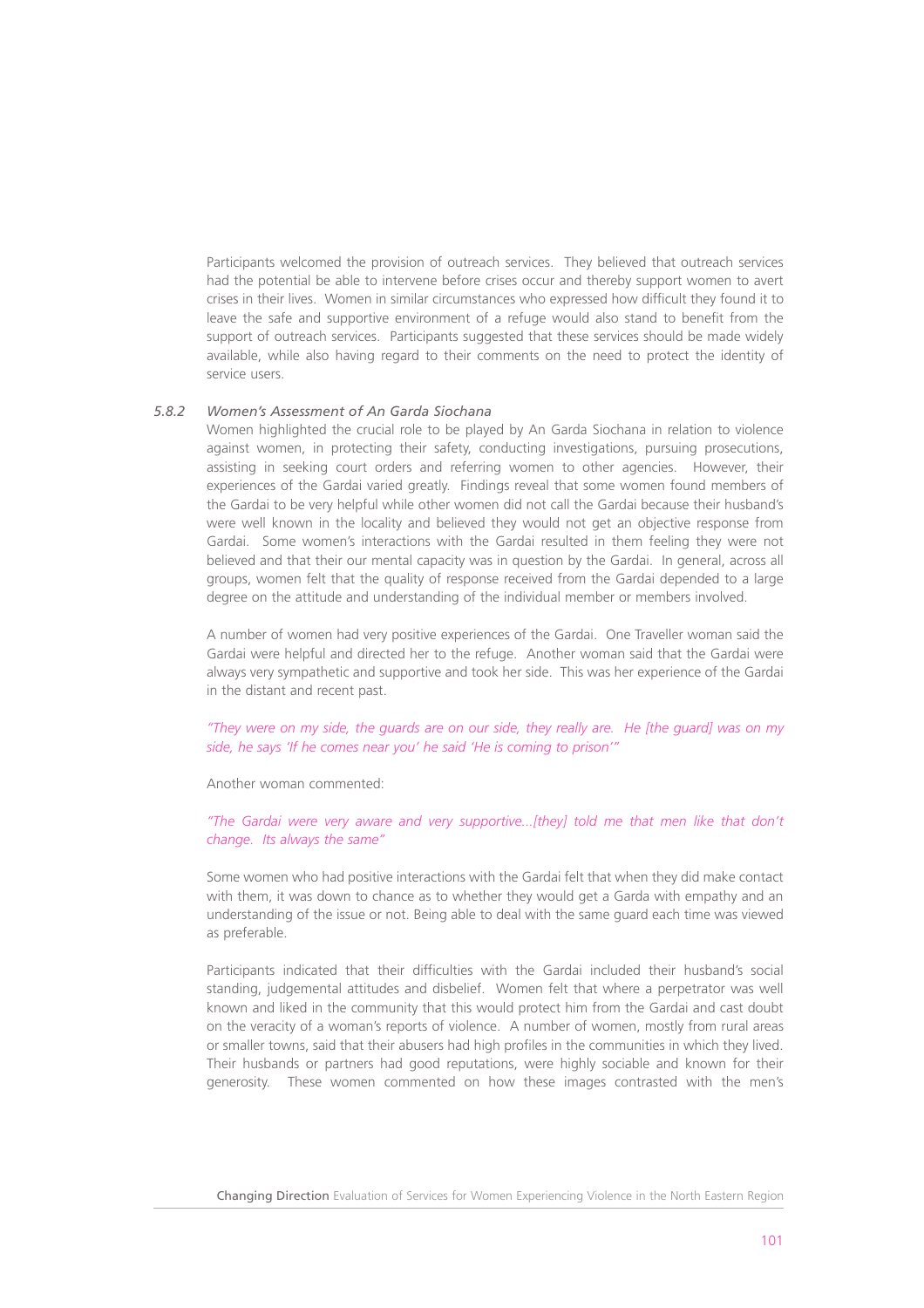Participants welcomed the provision of outreach services. They believed that outreach services had the potential be able to intervene before crises occur and thereby support women to avert crises in their lives. Women in similar circumstances who expressed how difficult they found it to leave the safe and supportive environment of a refuge would also stand to benefit from the support of outreach services. Participants suggested that these services should be made widely available, while also having regard to their comments on the need to protect the identity of service users.

## *5.8.2 Women's Assessment of An Garda Siochana*

Women highlighted the crucial role to be played by An Garda Siochana in relation to violence against women, in protecting their safety, conducting investigations, pursuing prosecutions, assisting in seeking court orders and referring women to other agencies. However, their experiences of the Gardai varied greatly. Findings reveal that some women found members of the Gardai to be very helpful while other women did not call the Gardai because their husband's were well known in the locality and believed they would not get an objective response from Gardai. Some women's interactions with the Gardai resulted in them feeling they were not believed and that their our mental capacity was in question by the Gardai. In general, across all groups, women felt that the quality of response received from the Gardai depended to a large degree on the attitude and understanding of the individual member or members involved.

A number of women had very positive experiences of the Gardai. One Traveller woman said the Gardai were helpful and directed her to the refuge. Another woman said that the Gardai were always very sympathetic and supportive and took her side. This was her experience of the Gardai in the distant and recent past.

*"They were on my side, the guards are on our side, they really are. He [the guard] was on my side, he says 'If he comes near you' he said 'He is coming to prison'"*

Another woman commented:

*"The Gardai were very aware and very supportive...[they] told me that men like that don't change. Its always the same"*

Some women who had positive interactions with the Gardai felt that when they did make contact with them, it was down to chance as to whether they would get a Garda with empathy and an understanding of the issue or not. Being able to deal with the same guard each time was viewed as preferable.

Participants indicated that their difficulties with the Gardai included their husband's social standing, judgemental attitudes and disbelief. Women felt that where a perpetrator was well known and liked in the community that this would protect him from the Gardai and cast doubt on the veracity of a woman's reports of violence. A number of women, mostly from rural areas or smaller towns, said that their abusers had high profiles in the communities in which they lived. Their husbands or partners had good reputations, were highly sociable and known for their generosity. These women commented on how these images contrasted with the men's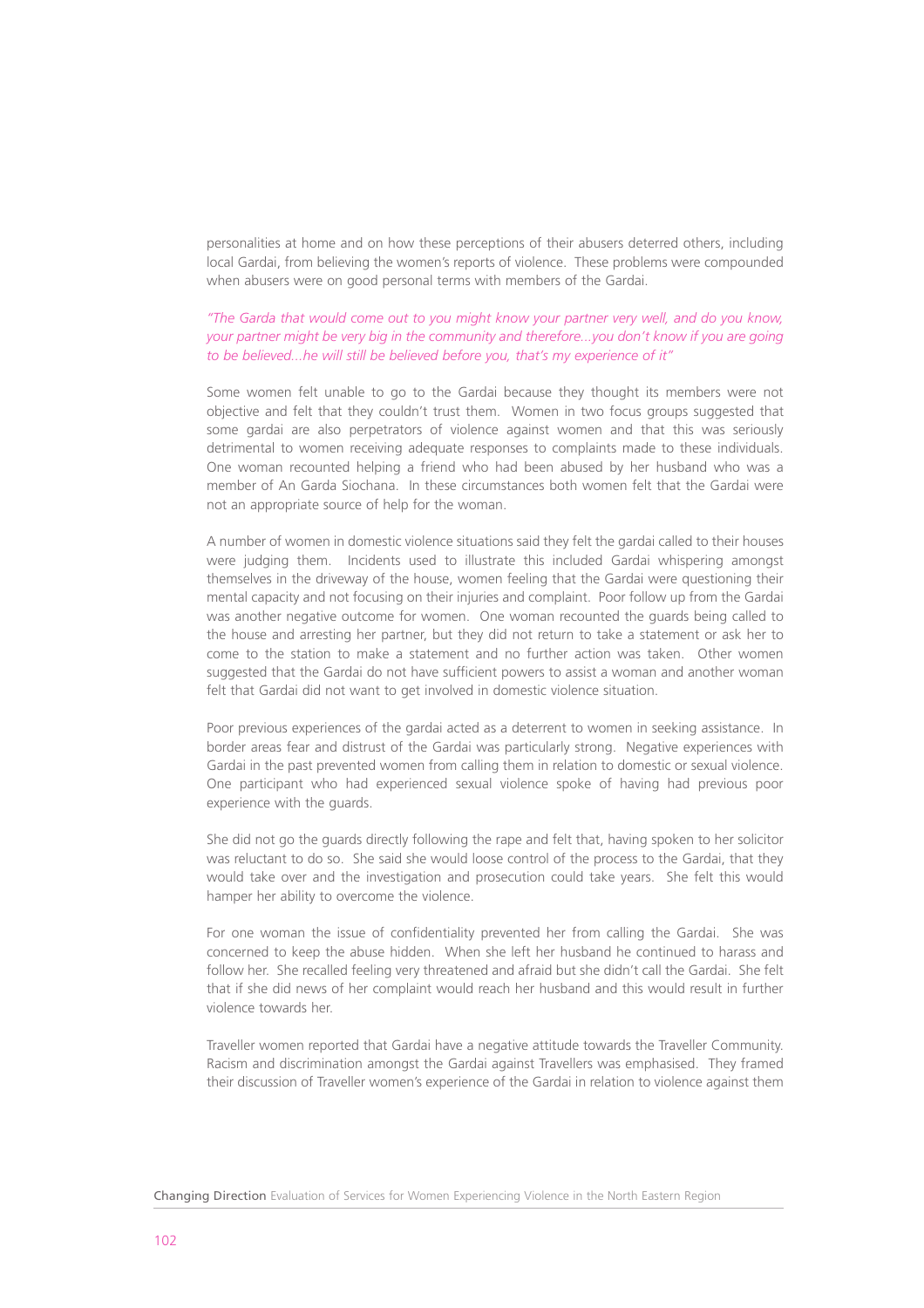personalities at home and on how these perceptions of their abusers deterred others, including local Gardai, from believing the women's reports of violence. These problems were compounded when abusers were on good personal terms with members of the Gardai.

# *"The Garda that would come out to you might know your partner very well, and do you know, your partner might be very big in the community and therefore...you don't know if you are going to be believed...he will still be believed before you, that's my experience of it"*

Some women felt unable to go to the Gardai because they thought its members were not objective and felt that they couldn't trust them. Women in two focus groups suggested that some gardai are also perpetrators of violence against women and that this was seriously detrimental to women receiving adequate responses to complaints made to these individuals. One woman recounted helping a friend who had been abused by her husband who was a member of An Garda Siochana. In these circumstances both women felt that the Gardai were not an appropriate source of help for the woman.

A number of women in domestic violence situations said they felt the gardai called to their houses were judging them. Incidents used to illustrate this included Gardai whispering amongst themselves in the driveway of the house, women feeling that the Gardai were questioning their mental capacity and not focusing on their injuries and complaint. Poor follow up from the Gardai was another negative outcome for women. One woman recounted the guards being called to the house and arresting her partner, but they did not return to take a statement or ask her to come to the station to make a statement and no further action was taken. Other women suggested that the Gardai do not have sufficient powers to assist a woman and another woman felt that Gardai did not want to get involved in domestic violence situation.

Poor previous experiences of the gardai acted as a deterrent to women in seeking assistance. In border areas fear and distrust of the Gardai was particularly strong. Negative experiences with Gardai in the past prevented women from calling them in relation to domestic or sexual violence. One participant who had experienced sexual violence spoke of having had previous poor experience with the guards.

She did not go the guards directly following the rape and felt that, having spoken to her solicitor was reluctant to do so. She said she would loose control of the process to the Gardai, that they would take over and the investigation and prosecution could take years. She felt this would hamper her ability to overcome the violence.

For one woman the issue of confidentiality prevented her from calling the Gardai. She was concerned to keep the abuse hidden. When she left her husband he continued to harass and follow her. She recalled feeling very threatened and afraid but she didn't call the Gardai. She felt that if she did news of her complaint would reach her husband and this would result in further violence towards her.

Traveller women reported that Gardai have a negative attitude towards the Traveller Community. Racism and discrimination amongst the Gardai against Travellers was emphasised. They framed their discussion of Traveller women's experience of the Gardai in relation to violence against them

Changing Direction Evaluation of Services for Women Experiencing Violence in the North Eastern Region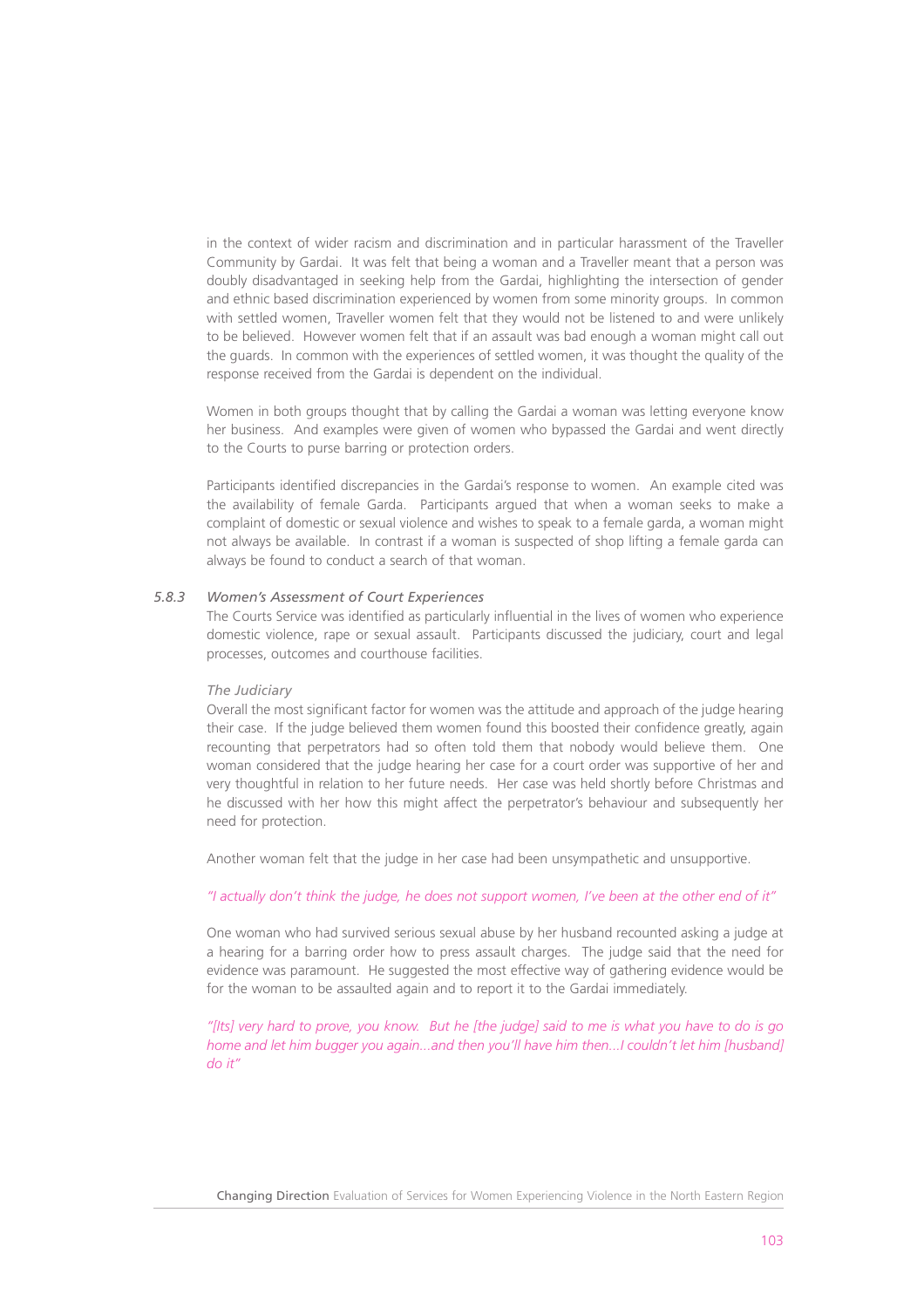in the context of wider racism and discrimination and in particular harassment of the Traveller Community by Gardai. It was felt that being a woman and a Traveller meant that a person was doubly disadvantaged in seeking help from the Gardai, highlighting the intersection of gender and ethnic based discrimination experienced by women from some minority groups. In common with settled women, Traveller women felt that they would not be listened to and were unlikely to be believed. However women felt that if an assault was bad enough a woman might call out the guards. In common with the experiences of settled women, it was thought the quality of the response received from the Gardai is dependent on the individual.

Women in both groups thought that by calling the Gardai a woman was letting everyone know her business. And examples were given of women who bypassed the Gardai and went directly to the Courts to purse barring or protection orders.

Participants identified discrepancies in the Gardai's response to women. An example cited was the availability of female Garda. Participants argued that when a woman seeks to make a complaint of domestic or sexual violence and wishes to speak to a female garda, a woman might not always be available. In contrast if a woman is suspected of shop lifting a female garda can always be found to conduct a search of that woman.

## *5.8.3 Women's Assessment of Court Experiences*

The Courts Service was identified as particularly influential in the lives of women who experience domestic violence, rape or sexual assault. Participants discussed the judiciary, court and legal processes, outcomes and courthouse facilities.

# *The Judiciary*

Overall the most significant factor for women was the attitude and approach of the judge hearing their case. If the judge believed them women found this boosted their confidence greatly, again recounting that perpetrators had so often told them that nobody would believe them. One woman considered that the judge hearing her case for a court order was supportive of her and very thoughtful in relation to her future needs. Her case was held shortly before Christmas and he discussed with her how this might affect the perpetrator's behaviour and subsequently her need for protection.

Another woman felt that the judge in her case had been unsympathetic and unsupportive.

# *"I actually don't think the judge, he does not support women, I've been at the other end of it"*

One woman who had survived serious sexual abuse by her husband recounted asking a judge at a hearing for a barring order how to press assault charges. The judge said that the need for evidence was paramount. He suggested the most effective way of gathering evidence would be for the woman to be assaulted again and to report it to the Gardai immediately.

*"[Its] very hard to prove, you know. But he [the judge] said to me is what you have to do is go home and let him bugger you again...and then you'll have him then...I couldn't let him [husband] do it"*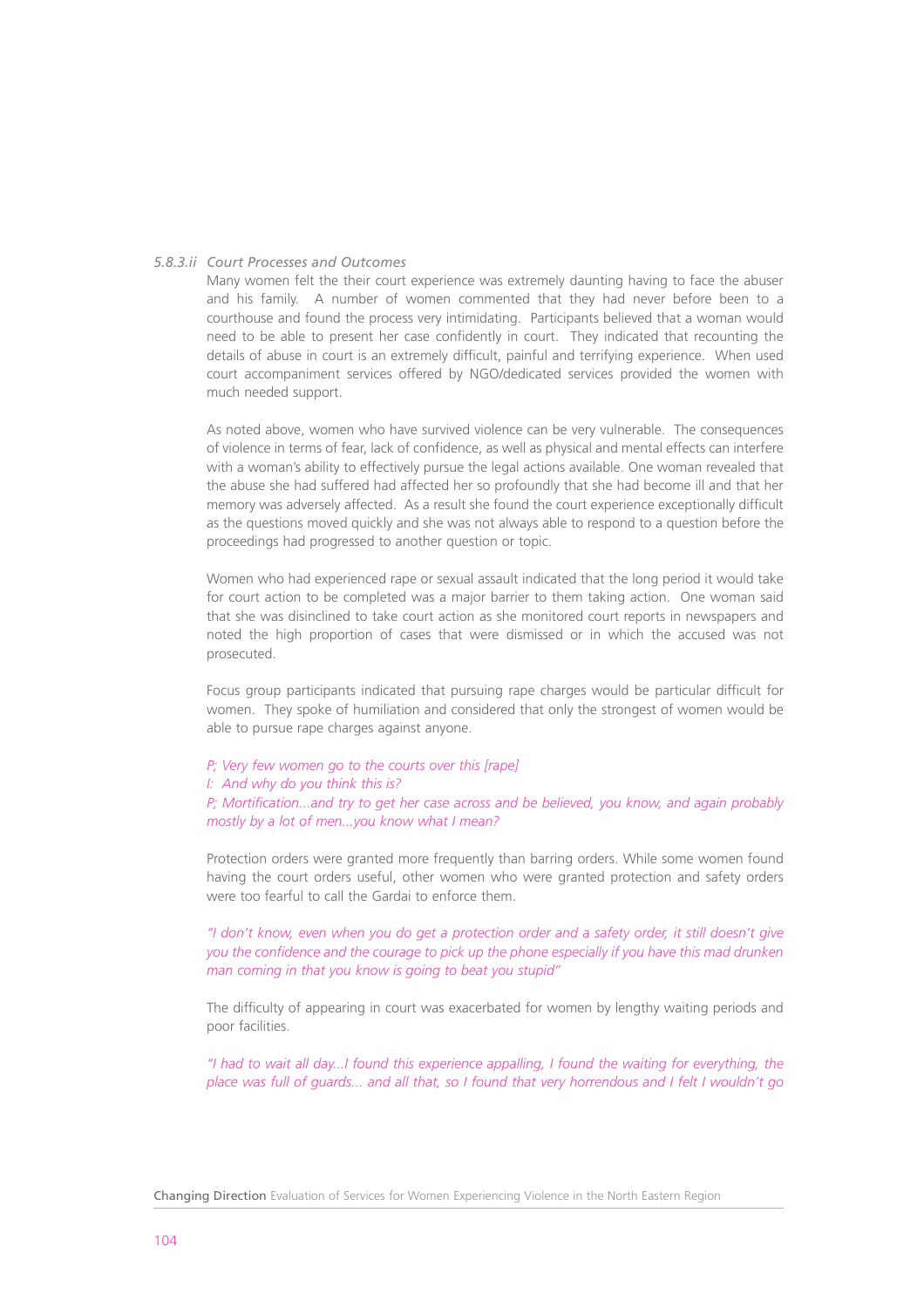# *5.8.3.ii Court Processes and Outcomes*

Many women felt the their court experience was extremely daunting having to face the abuser and his family. A number of women commented that they had never before been to a courthouse and found the process very intimidating. Participants believed that a woman would need to be able to present her case confidently in court. They indicated that recounting the details of abuse in court is an extremely difficult, painful and terrifying experience. When used court accompaniment services offered by NGO/dedicated services provided the women with much needed support.

As noted above, women who have survived violence can be very vulnerable. The consequences of violence in terms of fear, lack of confidence, as well as physical and mental effects can interfere with a woman's ability to effectively pursue the legal actions available. One woman revealed that the abuse she had suffered had affected her so profoundly that she had become ill and that her memory was adversely affected. As a result she found the court experience exceptionally difficult as the questions moved quickly and she was not always able to respond to a question before the proceedings had progressed to another question or topic.

Women who had experienced rape or sexual assault indicated that the long period it would take for court action to be completed was a major barrier to them taking action. One woman said that she was disinclined to take court action as she monitored court reports in newspapers and noted the high proportion of cases that were dismissed or in which the accused was not prosecuted.

Focus group participants indicated that pursuing rape charges would be particular difficult for women. They spoke of humiliation and considered that only the strongest of women would be able to pursue rape charges against anyone.

- *P; Very few women go to the courts over this [rape]*
- *I: And why do you think this is?*

*P; Mortification...and try to get her case across and be believed, you know, and again probably mostly by a lot of men...you know what I mean?*

Protection orders were granted more frequently than barring orders. While some women found having the court orders useful, other women who were granted protection and safety orders were too fearful to call the Gardai to enforce them.

*"I don't know, even when you do get a protection order and a safety order, it still doesn't give you the confidence and the courage to pick up the phone especially if you have this mad drunken man coming in that you know is going to beat you stupid"*

The difficulty of appearing in court was exacerbated for women by lengthy waiting periods and poor facilities.

*"I had to wait all day...I found this experience appalling, I found the waiting for everything, the place was full of guards... and all that, so I found that very horrendous and I felt I wouldn't go*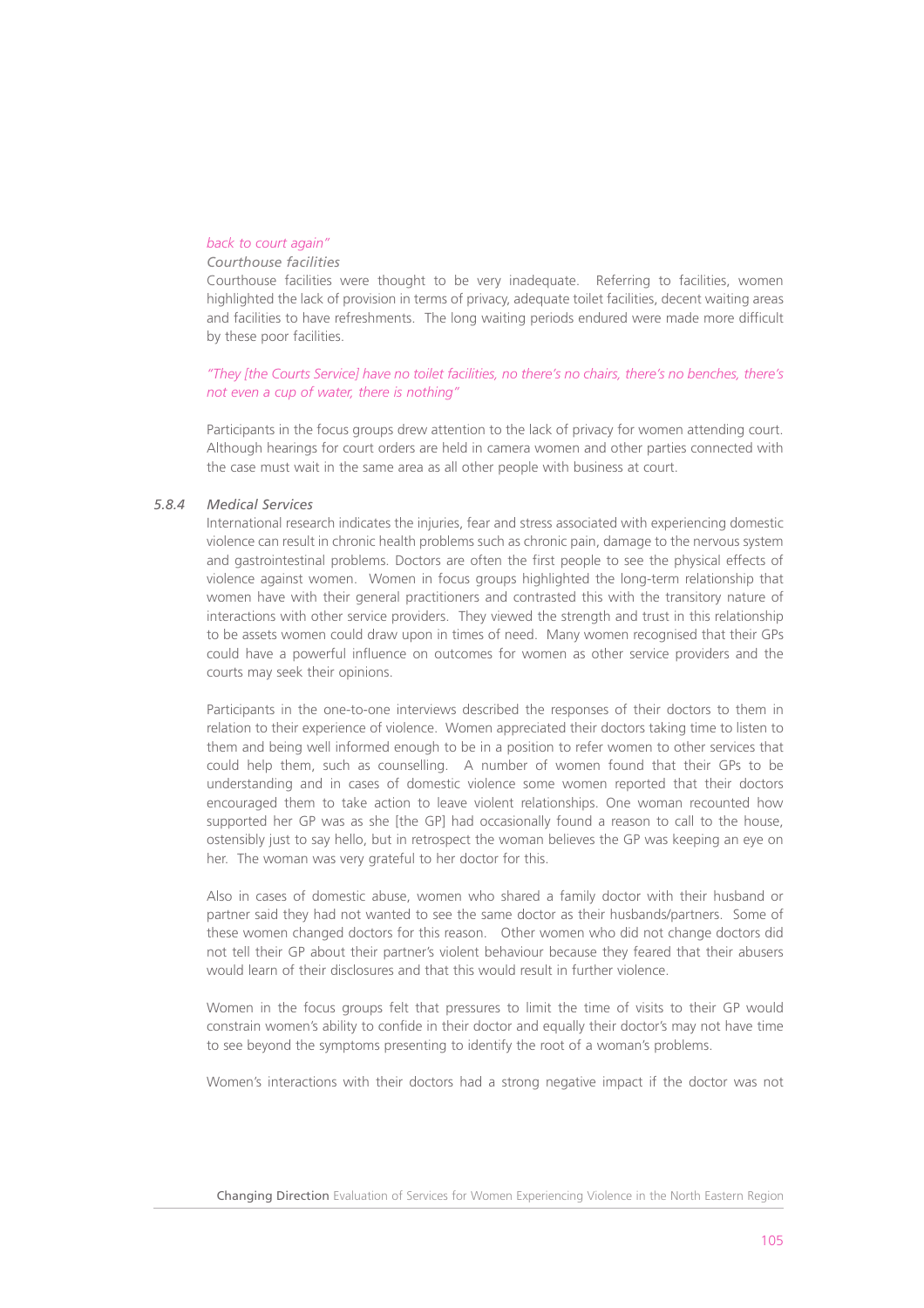## *back to court again"*

# *Courthouse facilities*

Courthouse facilities were thought to be very inadequate. Referring to facilities, women highlighted the lack of provision in terms of privacy, adequate toilet facilities, decent waiting areas and facilities to have refreshments. The long waiting periods endured were made more difficult by these poor facilities.

*"They [the Courts Service] have no toilet facilities, no there's no chairs, there's no benches, there's not even a cup of water, there is nothing"*

Participants in the focus groups drew attention to the lack of privacy for women attending court. Although hearings for court orders are held in camera women and other parties connected with the case must wait in the same area as all other people with business at court.

# *5.8.4 Medical Services*

International research indicates the injuries, fear and stress associated with experiencing domestic violence can result in chronic health problems such as chronic pain, damage to the nervous system and gastrointestinal problems. Doctors are often the first people to see the physical effects of violence against women. Women in focus groups highlighted the long-term relationship that women have with their general practitioners and contrasted this with the transitory nature of interactions with other service providers. They viewed the strength and trust in this relationship to be assets women could draw upon in times of need. Many women recognised that their GPs could have a powerful influence on outcomes for women as other service providers and the courts may seek their opinions.

Participants in the one-to-one interviews described the responses of their doctors to them in relation to their experience of violence. Women appreciated their doctors taking time to listen to them and being well informed enough to be in a position to refer women to other services that could help them, such as counselling. A number of women found that their GPs to be understanding and in cases of domestic violence some women reported that their doctors encouraged them to take action to leave violent relationships. One woman recounted how supported her GP was as she [the GP] had occasionally found a reason to call to the house, ostensibly just to say hello, but in retrospect the woman believes the GP was keeping an eye on her. The woman was very grateful to her doctor for this.

Also in cases of domestic abuse, women who shared a family doctor with their husband or partner said they had not wanted to see the same doctor as their husbands/partners. Some of these women changed doctors for this reason. Other women who did not change doctors did not tell their GP about their partner's violent behaviour because they feared that their abusers would learn of their disclosures and that this would result in further violence.

Women in the focus groups felt that pressures to limit the time of visits to their GP would constrain women's ability to confide in their doctor and equally their doctor's may not have time to see beyond the symptoms presenting to identify the root of a woman's problems.

Women's interactions with their doctors had a strong negative impact if the doctor was not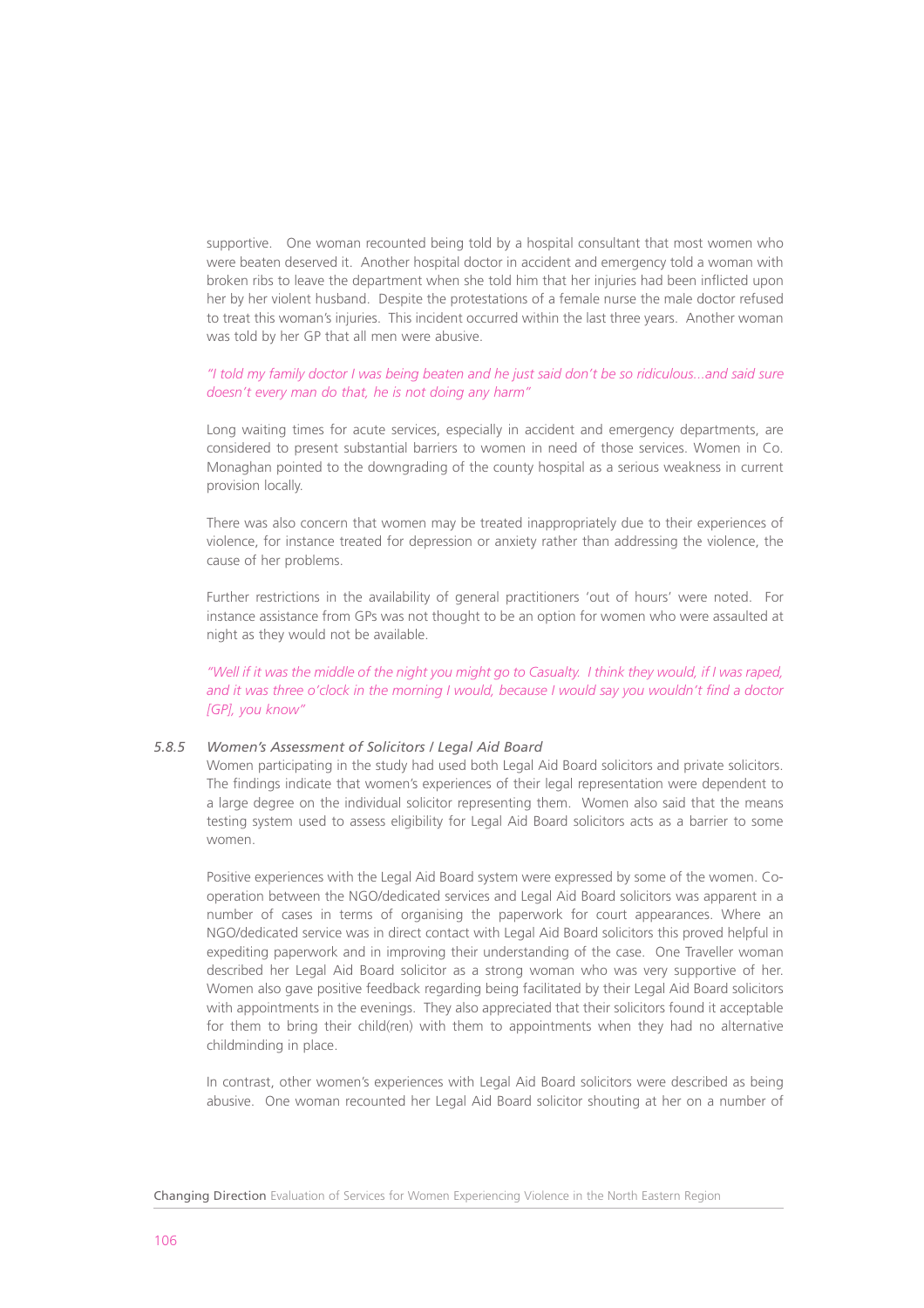supportive. One woman recounted being told by a hospital consultant that most women who were beaten deserved it. Another hospital doctor in accident and emergency told a woman with broken ribs to leave the department when she told him that her injuries had been inflicted upon her by her violent husband. Despite the protestations of a female nurse the male doctor refused to treat this woman's injuries. This incident occurred within the last three years. Another woman was told by her GP that all men were abusive.

# *"I told my family doctor I was being beaten and he just said don't be so ridiculous...and said sure doesn't every man do that, he is not doing any harm"*

Long waiting times for acute services, especially in accident and emergency departments, are considered to present substantial barriers to women in need of those services. Women in Co. Monaghan pointed to the downgrading of the county hospital as a serious weakness in current provision locally.

There was also concern that women may be treated inappropriately due to their experiences of violence, for instance treated for depression or anxiety rather than addressing the violence, the cause of her problems.

Further restrictions in the availability of general practitioners 'out of hours' were noted. For instance assistance from GPs was not thought to be an option for women who were assaulted at night as they would not be available.

*"Well if it was the middle of the night you might go to Casualty. I think they would, if I was raped, and it was three o'clock in the morning I would, because I would say you wouldn't find a doctor [GP], you know"*

# *5.8.5 Women's Assessment of Solicitors / Legal Aid Board*

Women participating in the study had used both Legal Aid Board solicitors and private solicitors. The findings indicate that women's experiences of their legal representation were dependent to a large degree on the individual solicitor representing them. Women also said that the means testing system used to assess eligibility for Legal Aid Board solicitors acts as a barrier to some women.

Positive experiences with the Legal Aid Board system were expressed by some of the women. Cooperation between the NGO/dedicated services and Legal Aid Board solicitors was apparent in a number of cases in terms of organising the paperwork for court appearances. Where an NGO/dedicated service was in direct contact with Legal Aid Board solicitors this proved helpful in expediting paperwork and in improving their understanding of the case. One Traveller woman described her Legal Aid Board solicitor as a strong woman who was very supportive of her. Women also gave positive feedback regarding being facilitated by their Legal Aid Board solicitors with appointments in the evenings. They also appreciated that their solicitors found it acceptable for them to bring their child(ren) with them to appointments when they had no alternative childminding in place.

In contrast, other women's experiences with Legal Aid Board solicitors were described as being abusive. One woman recounted her Legal Aid Board solicitor shouting at her on a number of

Changing Direction Evaluation of Services for Women Experiencing Violence in the North Eastern Region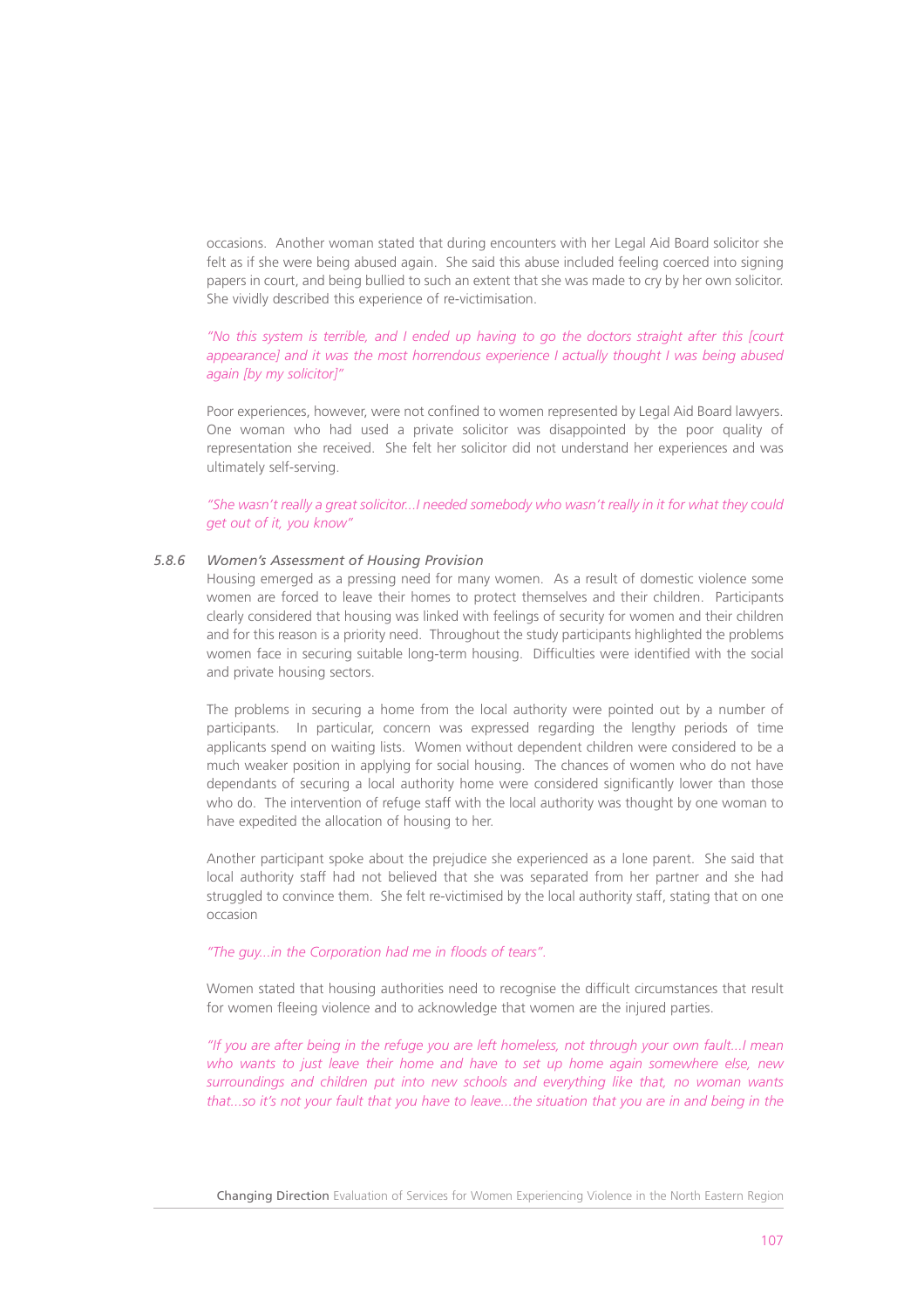occasions. Another woman stated that during encounters with her Legal Aid Board solicitor she felt as if she were being abused again. She said this abuse included feeling coerced into signing papers in court, and being bullied to such an extent that she was made to cry by her own solicitor. She vividly described this experience of re-victimisation.

# *"No this system is terrible, and I ended up having to go the doctors straight after this [court appearance] and it was the most horrendous experience I actually thought I was being abused again [by my solicitor]"*

Poor experiences, however, were not confined to women represented by Legal Aid Board lawyers. One woman who had used a private solicitor was disappointed by the poor quality of representation she received. She felt her solicitor did not understand her experiences and was ultimately self-serving.

*"She wasn't really a great solicitor...I needed somebody who wasn't really in it for what they could get out of it, you know"*

# *5.8.6 Women's Assessment of Housing Provision*

Housing emerged as a pressing need for many women. As a result of domestic violence some women are forced to leave their homes to protect themselves and their children. Participants clearly considered that housing was linked with feelings of security for women and their children and for this reason is a priority need. Throughout the study participants highlighted the problems women face in securing suitable long-term housing. Difficulties were identified with the social and private housing sectors.

The problems in securing a home from the local authority were pointed out by a number of participants. In particular, concern was expressed regarding the lengthy periods of time applicants spend on waiting lists. Women without dependent children were considered to be a much weaker position in applying for social housing. The chances of women who do not have dependants of securing a local authority home were considered significantly lower than those who do. The intervention of refuge staff with the local authority was thought by one woman to have expedited the allocation of housing to her.

Another participant spoke about the prejudice she experienced as a lone parent. She said that local authority staff had not believed that she was separated from her partner and she had struggled to convince them. She felt re-victimised by the local authority staff, stating that on one occasion

## *"The guy...in the Corporation had me in floods of tears".*

Women stated that housing authorities need to recognise the difficult circumstances that result for women fleeing violence and to acknowledge that women are the injured parties.

*"If you are after being in the refuge you are left homeless, not through your own fault...I mean who wants to just leave their home and have to set up home again somewhere else, new surroundings and children put into new schools and everything like that, no woman wants that...so it's not your fault that you have to leave...the situation that you are in and being in the*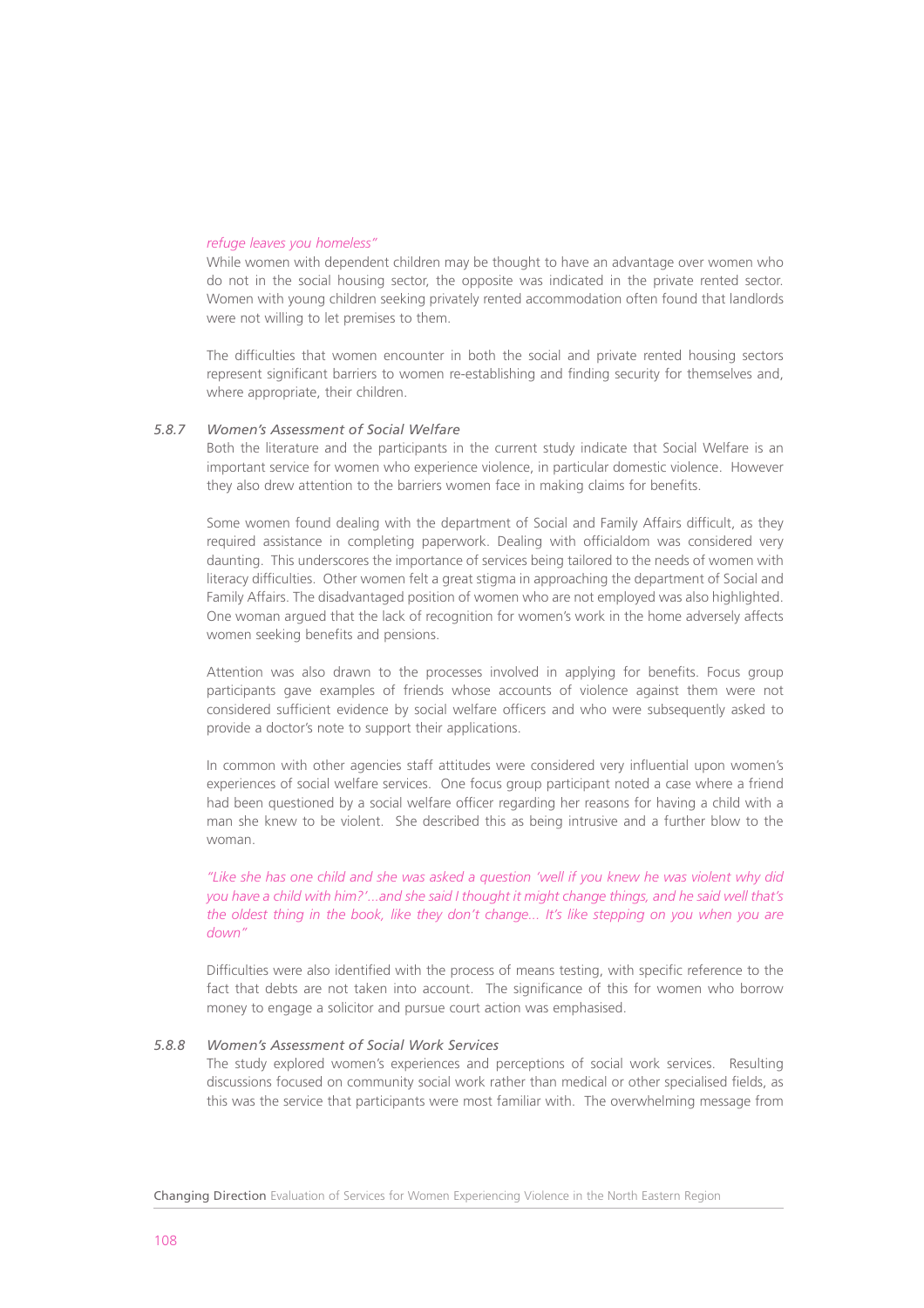#### *refuge leaves you homeless"*

While women with dependent children may be thought to have an advantage over women who do not in the social housing sector, the opposite was indicated in the private rented sector. Women with young children seeking privately rented accommodation often found that landlords were not willing to let premises to them.

The difficulties that women encounter in both the social and private rented housing sectors represent significant barriers to women re-establishing and finding security for themselves and, where appropriate, their children.

## *5.8.7 Women's Assessment of Social Welfare*

Both the literature and the participants in the current study indicate that Social Welfare is an important service for women who experience violence, in particular domestic violence. However they also drew attention to the barriers women face in making claims for benefits.

Some women found dealing with the department of Social and Family Affairs difficult, as they required assistance in completing paperwork. Dealing with officialdom was considered very daunting. This underscores the importance of services being tailored to the needs of women with literacy difficulties. Other women felt a great stigma in approaching the department of Social and Family Affairs. The disadvantaged position of women who are not employed was also highlighted. One woman argued that the lack of recognition for women's work in the home adversely affects women seeking benefits and pensions.

Attention was also drawn to the processes involved in applying for benefits. Focus group participants gave examples of friends whose accounts of violence against them were not considered sufficient evidence by social welfare officers and who were subsequently asked to provide a doctor's note to support their applications.

In common with other agencies staff attitudes were considered very influential upon women's experiences of social welfare services. One focus group participant noted a case where a friend had been questioned by a social welfare officer regarding her reasons for having a child with a man she knew to be violent. She described this as being intrusive and a further blow to the woman.

*"Like she has one child and she was asked a question 'well if you knew he was violent why did you have a child with him?'...and she said I thought it might change things, and he said well that's the oldest thing in the book, like they don't change... It's like stepping on you when you are down"*

Difficulties were also identified with the process of means testing, with specific reference to the fact that debts are not taken into account. The significance of this for women who borrow money to engage a solicitor and pursue court action was emphasised.

# *5.8.8 Women's Assessment of Social Work Services*

The study explored women's experiences and perceptions of social work services. Resulting discussions focused on community social work rather than medical or other specialised fields, as this was the service that participants were most familiar with. The overwhelming message from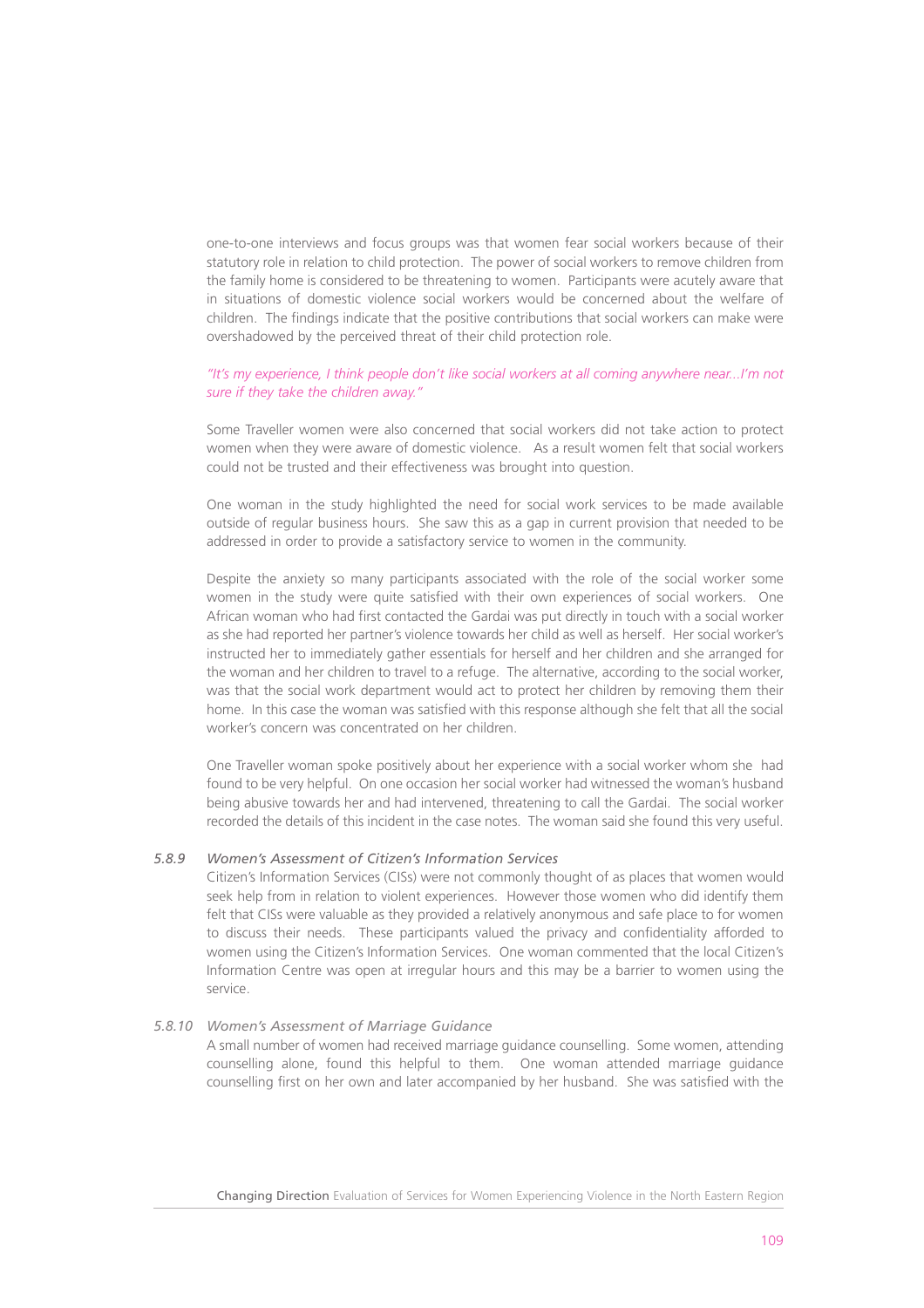one-to-one interviews and focus groups was that women fear social workers because of their statutory role in relation to child protection. The power of social workers to remove children from the family home is considered to be threatening to women. Participants were acutely aware that in situations of domestic violence social workers would be concerned about the welfare of children. The findings indicate that the positive contributions that social workers can make were overshadowed by the perceived threat of their child protection role.

# *"It's my experience, I think people don't like social workers at all coming anywhere near...I'm not sure if they take the children away."*

Some Traveller women were also concerned that social workers did not take action to protect women when they were aware of domestic violence. As a result women felt that social workers could not be trusted and their effectiveness was brought into question.

One woman in the study highlighted the need for social work services to be made available outside of regular business hours. She saw this as a gap in current provision that needed to be addressed in order to provide a satisfactory service to women in the community.

Despite the anxiety so many participants associated with the role of the social worker some women in the study were quite satisfied with their own experiences of social workers. One African woman who had first contacted the Gardai was put directly in touch with a social worker as she had reported her partner's violence towards her child as well as herself. Her social worker's instructed her to immediately gather essentials for herself and her children and she arranged for the woman and her children to travel to a refuge. The alternative, according to the social worker, was that the social work department would act to protect her children by removing them their home. In this case the woman was satisfied with this response although she felt that all the social worker's concern was concentrated on her children.

One Traveller woman spoke positively about her experience with a social worker whom she had found to be very helpful. On one occasion her social worker had witnessed the woman's husband being abusive towards her and had intervened, threatening to call the Gardai. The social worker recorded the details of this incident in the case notes. The woman said she found this very useful.

# *5.8.9 Women's Assessment of Citizen's Information Services*

Citizen's Information Services (CISs) were not commonly thought of as places that women would seek help from in relation to violent experiences. However those women who did identify them felt that CISs were valuable as they provided a relatively anonymous and safe place to for women to discuss their needs. These participants valued the privacy and confidentiality afforded to women using the Citizen's Information Services. One woman commented that the local Citizen's Information Centre was open at irregular hours and this may be a barrier to women using the service.

#### *5.8.10 Women's Assessment of Marriage Guidance*

A small number of women had received marriage guidance counselling. Some women, attending counselling alone, found this helpful to them. One woman attended marriage guidance counselling first on her own and later accompanied by her husband. She was satisfied with the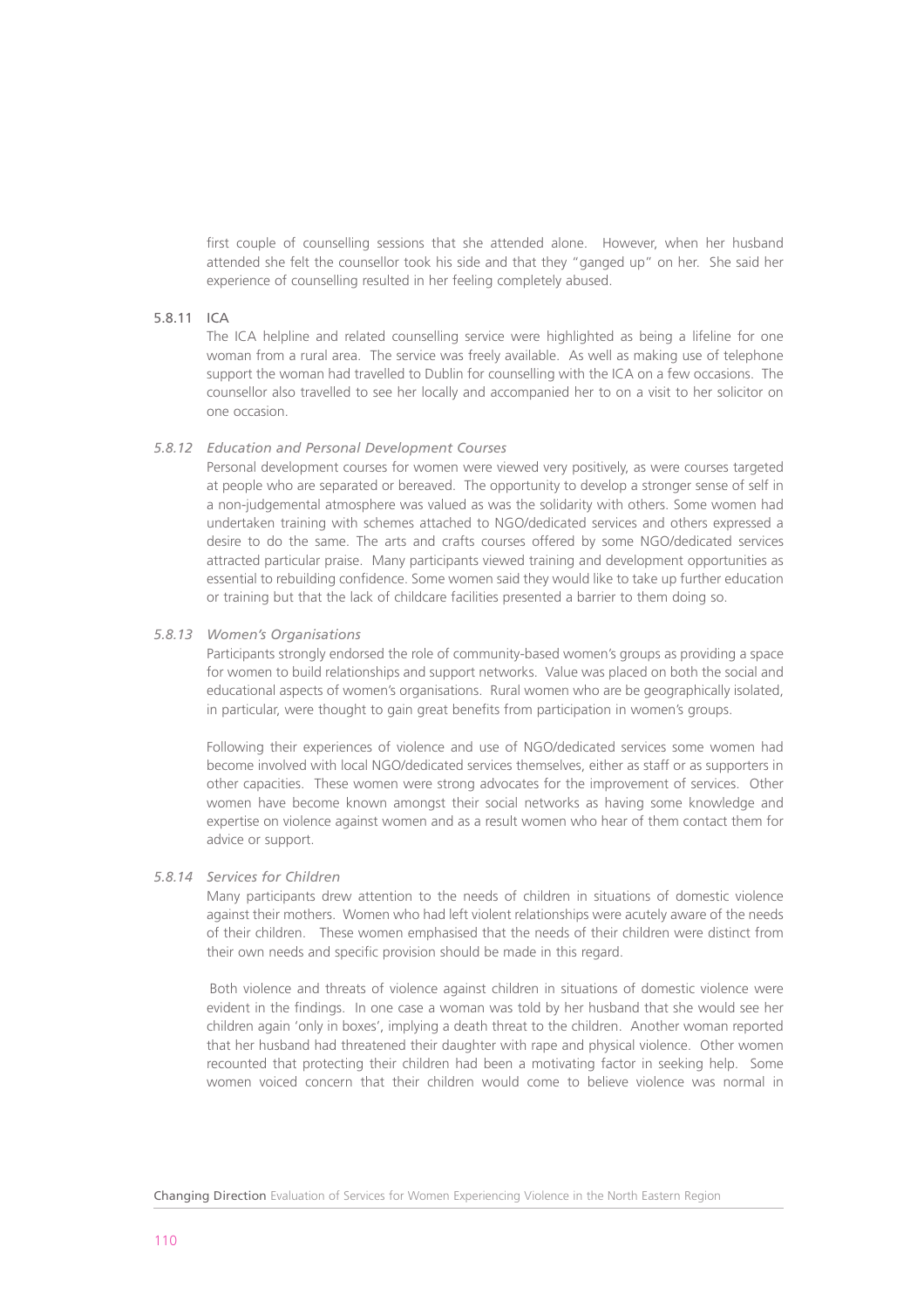first couple of counselling sessions that she attended alone. However, when her husband attended she felt the counsellor took his side and that they "ganged up" on her. She said her experience of counselling resulted in her feeling completely abused.

# 5.8.11 ICA

The ICA helpline and related counselling service were highlighted as being a lifeline for one woman from a rural area. The service was freely available. As well as making use of telephone support the woman had travelled to Dublin for counselling with the ICA on a few occasions. The counsellor also travelled to see her locally and accompanied her to on a visit to her solicitor on one occasion.

# *5.8.12 Education and Personal Development Courses*

Personal development courses for women were viewed very positively, as were courses targeted at people who are separated or bereaved. The opportunity to develop a stronger sense of self in a non-judgemental atmosphere was valued as was the solidarity with others. Some women had undertaken training with schemes attached to NGO/dedicated services and others expressed a desire to do the same. The arts and crafts courses offered by some NGO/dedicated services attracted particular praise. Many participants viewed training and development opportunities as essential to rebuilding confidence. Some women said they would like to take up further education or training but that the lack of childcare facilities presented a barrier to them doing so.

# *5.8.13 Women's Organisations*

Participants strongly endorsed the role of community-based women's groups as providing a space for women to build relationships and support networks. Value was placed on both the social and educational aspects of women's organisations. Rural women who are be geographically isolated, in particular, were thought to gain great benefits from participation in women's groups.

Following their experiences of violence and use of NGO/dedicated services some women had become involved with local NGO/dedicated services themselves, either as staff or as supporters in other capacities. These women were strong advocates for the improvement of services. Other women have become known amongst their social networks as having some knowledge and expertise on violence against women and as a result women who hear of them contact them for advice or support.

#### *5.8.14 Services for Children*

Many participants drew attention to the needs of children in situations of domestic violence against their mothers. Women who had left violent relationships were acutely aware of the needs of their children. These women emphasised that the needs of their children were distinct from their own needs and specific provision should be made in this regard.

Both violence and threats of violence against children in situations of domestic violence were evident in the findings. In one case a woman was told by her husband that she would see her children again 'only in boxes', implying a death threat to the children. Another woman reported that her husband had threatened their daughter with rape and physical violence. Other women recounted that protecting their children had been a motivating factor in seeking help. Some women voiced concern that their children would come to believe violence was normal in

Changing Direction Evaluation of Services for Women Experiencing Violence in the North Eastern Region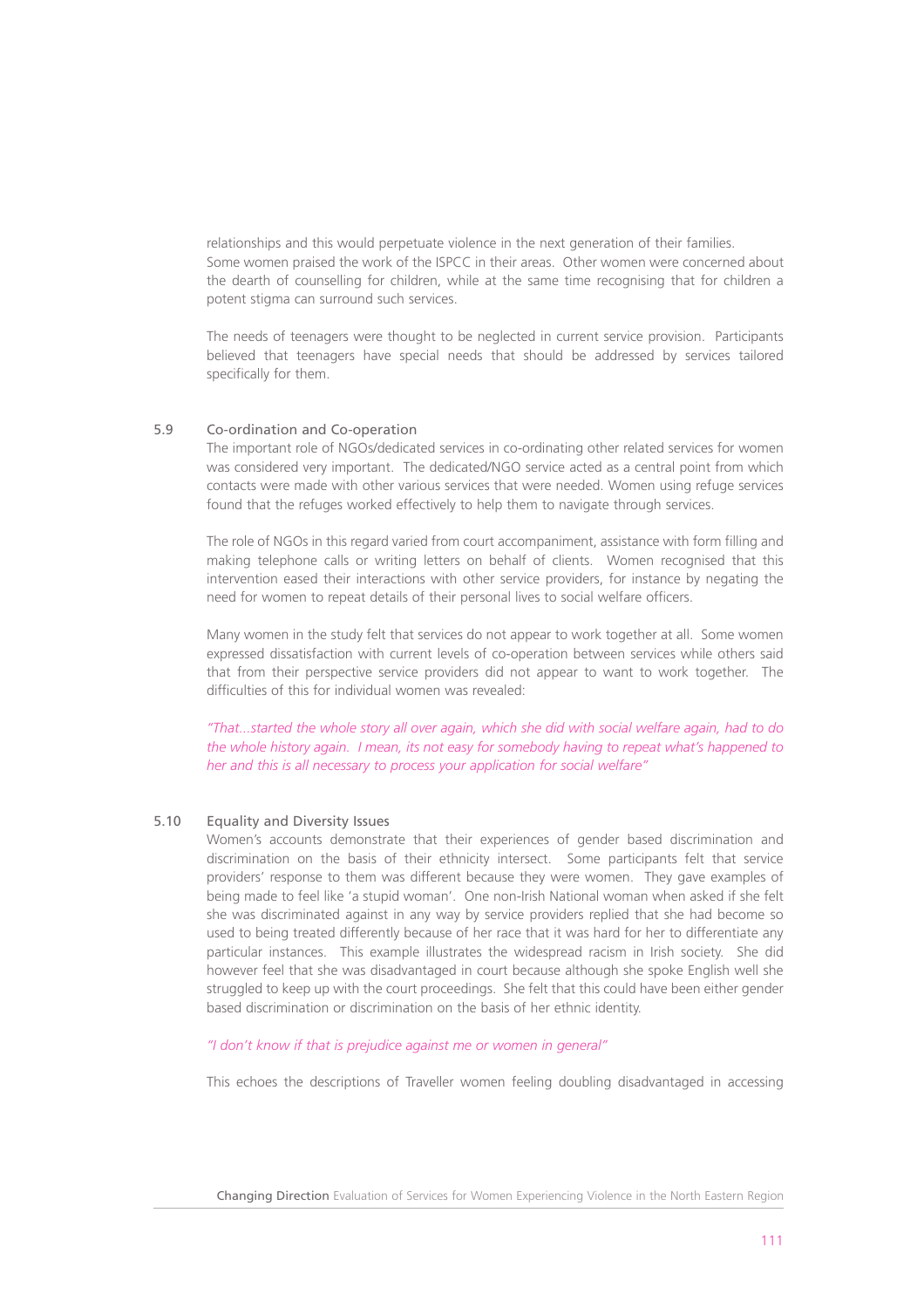relationships and this would perpetuate violence in the next generation of their families. Some women praised the work of the ISPCC in their areas. Other women were concerned about the dearth of counselling for children, while at the same time recognising that for children a potent stigma can surround such services.

The needs of teenagers were thought to be neglected in current service provision. Participants believed that teenagers have special needs that should be addressed by services tailored specifically for them.

## 5.9 Co-ordination and Co-operation

The important role of NGOs/dedicated services in co-ordinating other related services for women was considered very important. The dedicated/NGO service acted as a central point from which contacts were made with other various services that were needed. Women using refuge services found that the refuges worked effectively to help them to navigate through services.

The role of NGOs in this regard varied from court accompaniment, assistance with form filling and making telephone calls or writing letters on behalf of clients. Women recognised that this intervention eased their interactions with other service providers, for instance by negating the need for women to repeat details of their personal lives to social welfare officers.

Many women in the study felt that services do not appear to work together at all. Some women expressed dissatisfaction with current levels of co-operation between services while others said that from their perspective service providers did not appear to want to work together. The difficulties of this for individual women was revealed:

*"That...started the whole story all over again, which she did with social welfare again, had to do the whole history again. I mean, its not easy for somebody having to repeat what's happened to her and this is all necessary to process your application for social welfare"*

# 5.10 Equality and Diversity Issues

Women's accounts demonstrate that their experiences of gender based discrimination and discrimination on the basis of their ethnicity intersect. Some participants felt that service providers' response to them was different because they were women. They gave examples of being made to feel like 'a stupid woman'. One non-Irish National woman when asked if she felt she was discriminated against in any way by service providers replied that she had become so used to being treated differently because of her race that it was hard for her to differentiate any particular instances. This example illustrates the widespread racism in Irish society. She did however feel that she was disadvantaged in court because although she spoke English well she struggled to keep up with the court proceedings. She felt that this could have been either gender based discrimination or discrimination on the basis of her ethnic identity.

*"I don't know if that is prejudice against me or women in general"*

This echoes the descriptions of Traveller women feeling doubling disadvantaged in accessing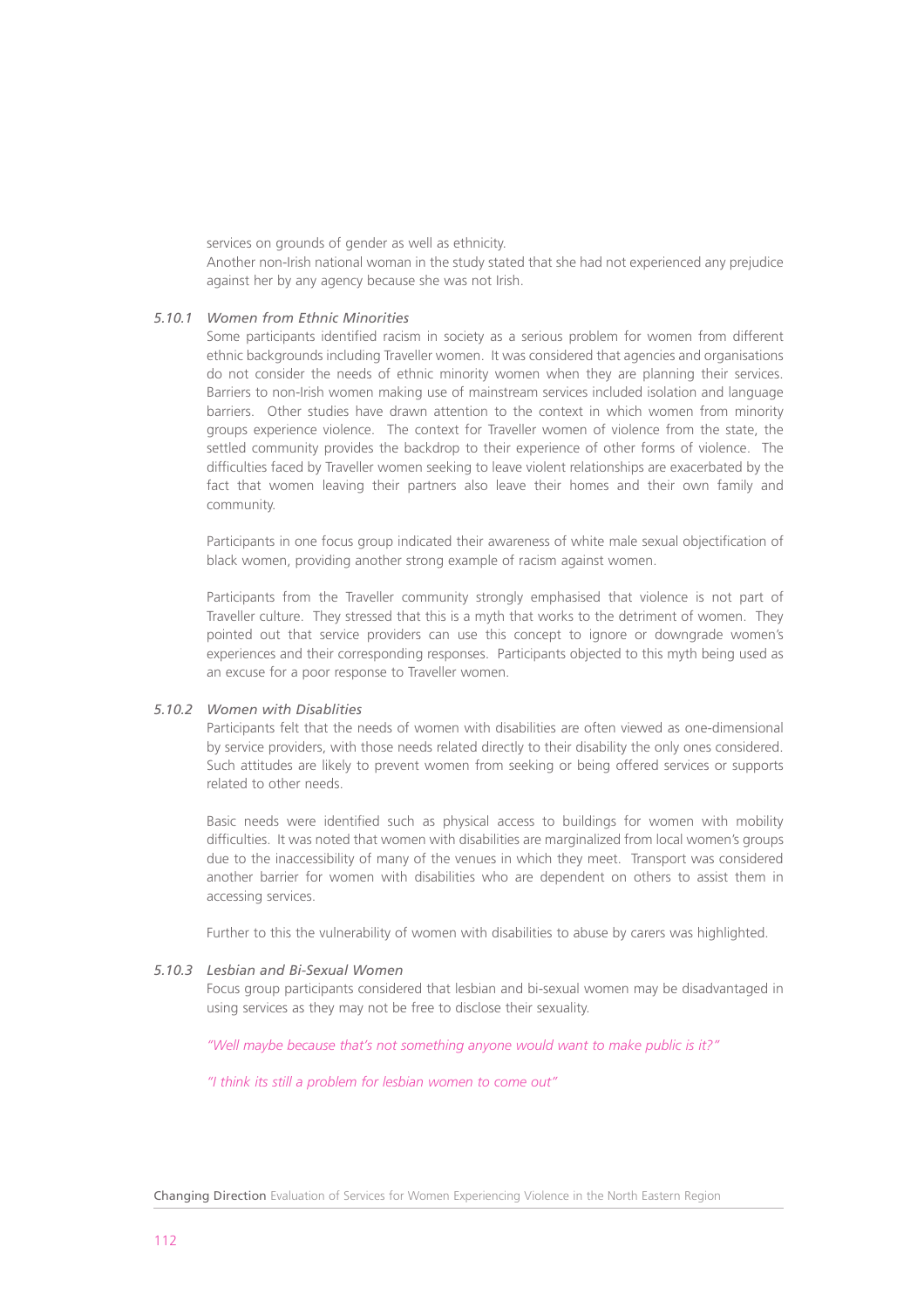services on grounds of gender as well as ethnicity.

Another non-Irish national woman in the study stated that she had not experienced any prejudice against her by any agency because she was not Irish.

# *5.10.1 Women from Ethnic Minorities*

Some participants identified racism in society as a serious problem for women from different ethnic backgrounds including Traveller women. It was considered that agencies and organisations do not consider the needs of ethnic minority women when they are planning their services. Barriers to non-Irish women making use of mainstream services included isolation and language barriers. Other studies have drawn attention to the context in which women from minority groups experience violence. The context for Traveller women of violence from the state, the settled community provides the backdrop to their experience of other forms of violence. The difficulties faced by Traveller women seeking to leave violent relationships are exacerbated by the fact that women leaving their partners also leave their homes and their own family and community.

Participants in one focus group indicated their awareness of white male sexual objectification of black women, providing another strong example of racism against women.

Participants from the Traveller community strongly emphasised that violence is not part of Traveller culture. They stressed that this is a myth that works to the detriment of women. They pointed out that service providers can use this concept to ignore or downgrade women's experiences and their corresponding responses. Participants objected to this myth being used as an excuse for a poor response to Traveller women.

# *5.10.2 Women with Disablities*

Participants felt that the needs of women with disabilities are often viewed as one-dimensional by service providers, with those needs related directly to their disability the only ones considered. Such attitudes are likely to prevent women from seeking or being offered services or supports related to other needs.

Basic needs were identified such as physical access to buildings for women with mobility difficulties. It was noted that women with disabilities are marginalized from local women's groups due to the inaccessibility of many of the venues in which they meet. Transport was considered another barrier for women with disabilities who are dependent on others to assist them in accessing services.

Further to this the vulnerability of women with disabilities to abuse by carers was highlighted.

#### *5.10.3 Lesbian and Bi-Sexual Women*

Focus group participants considered that lesbian and bi-sexual women may be disadvantaged in using services as they may not be free to disclose their sexuality.

*"Well maybe because that's not something anyone would want to make public is it?"*

*"I think its still a problem for lesbian women to come out"*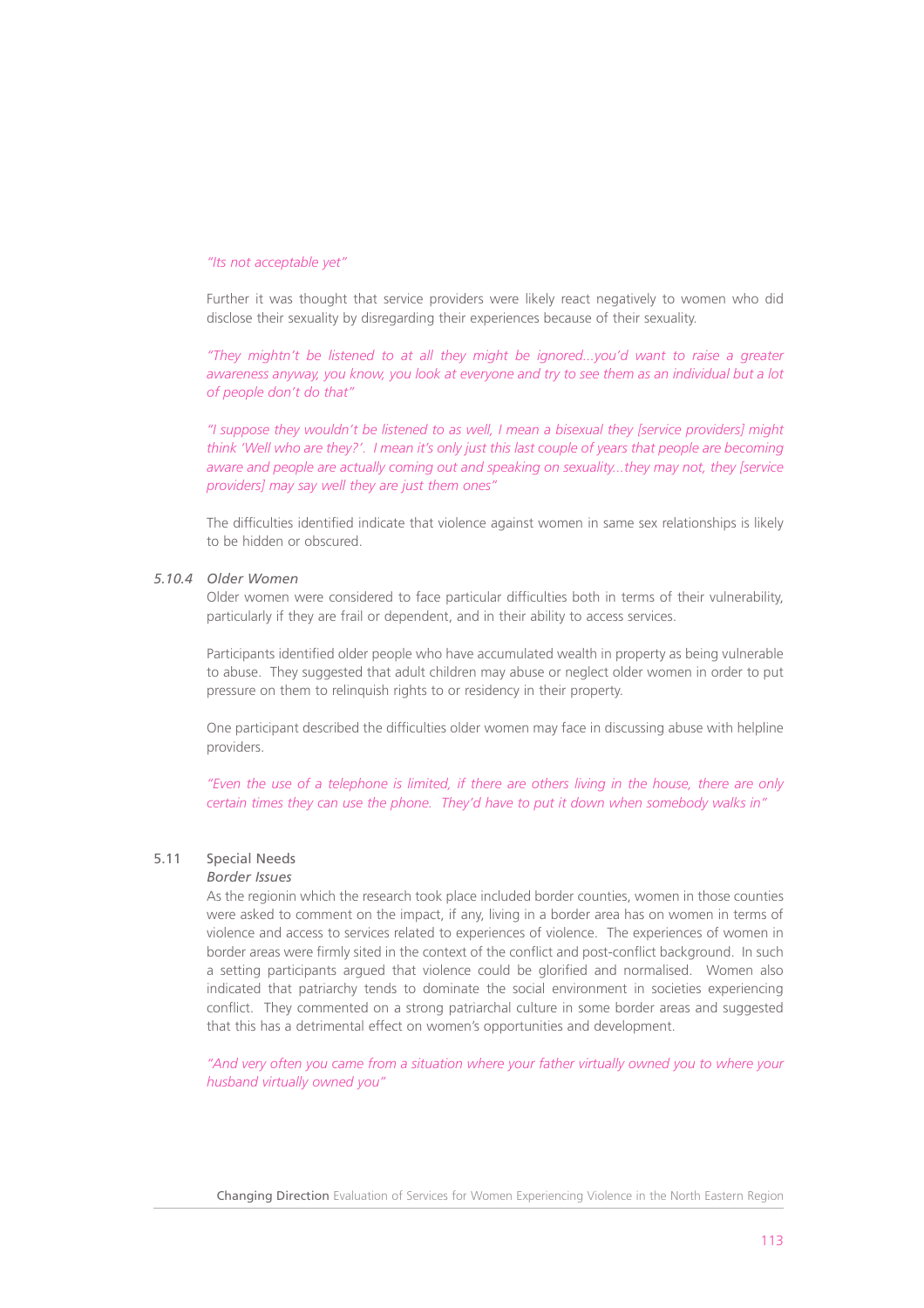#### *"Its not acceptable yet"*

Further it was thought that service providers were likely react negatively to women who did disclose their sexuality by disregarding their experiences because of their sexuality.

*"They mightn't be listened to at all they might be ignored...you'd want to raise a greater awareness anyway, you know, you look at everyone and try to see them as an individual but a lot of people don't do that"* 

*"I suppose they wouldn't be listened to as well, I mean a bisexual they [service providers] might think 'Well who are they?'. I mean it's only just this last couple of years that people are becoming aware and people are actually coming out and speaking on sexuality...they may not, they [service providers] may say well they are just them ones"*

The difficulties identified indicate that violence against women in same sex relationships is likely to be hidden or obscured.

#### *5.10.4 Older Women*

Older women were considered to face particular difficulties both in terms of their vulnerability, particularly if they are frail or dependent, and in their ability to access services.

Participants identified older people who have accumulated wealth in property as being vulnerable to abuse. They suggested that adult children may abuse or neglect older women in order to put pressure on them to relinquish rights to or residency in their property.

One participant described the difficulties older women may face in discussing abuse with helpline providers.

*"Even the use of a telephone is limited, if there are others living in the house, there are only certain times they can use the phone. They'd have to put it down when somebody walks in"*

# 5.11 Special Needs

# *Border Issues*

As the regionin which the research took place included border counties, women in those counties were asked to comment on the impact, if any, living in a border area has on women in terms of violence and access to services related to experiences of violence. The experiences of women in border areas were firmly sited in the context of the conflict and post-conflict background. In such a setting participants argued that violence could be glorified and normalised. Women also indicated that patriarchy tends to dominate the social environment in societies experiencing conflict. They commented on a strong patriarchal culture in some border areas and suggested that this has a detrimental effect on women's opportunities and development.

*"And very often you came from a situation where your father virtually owned you to where your husband virtually owned you"*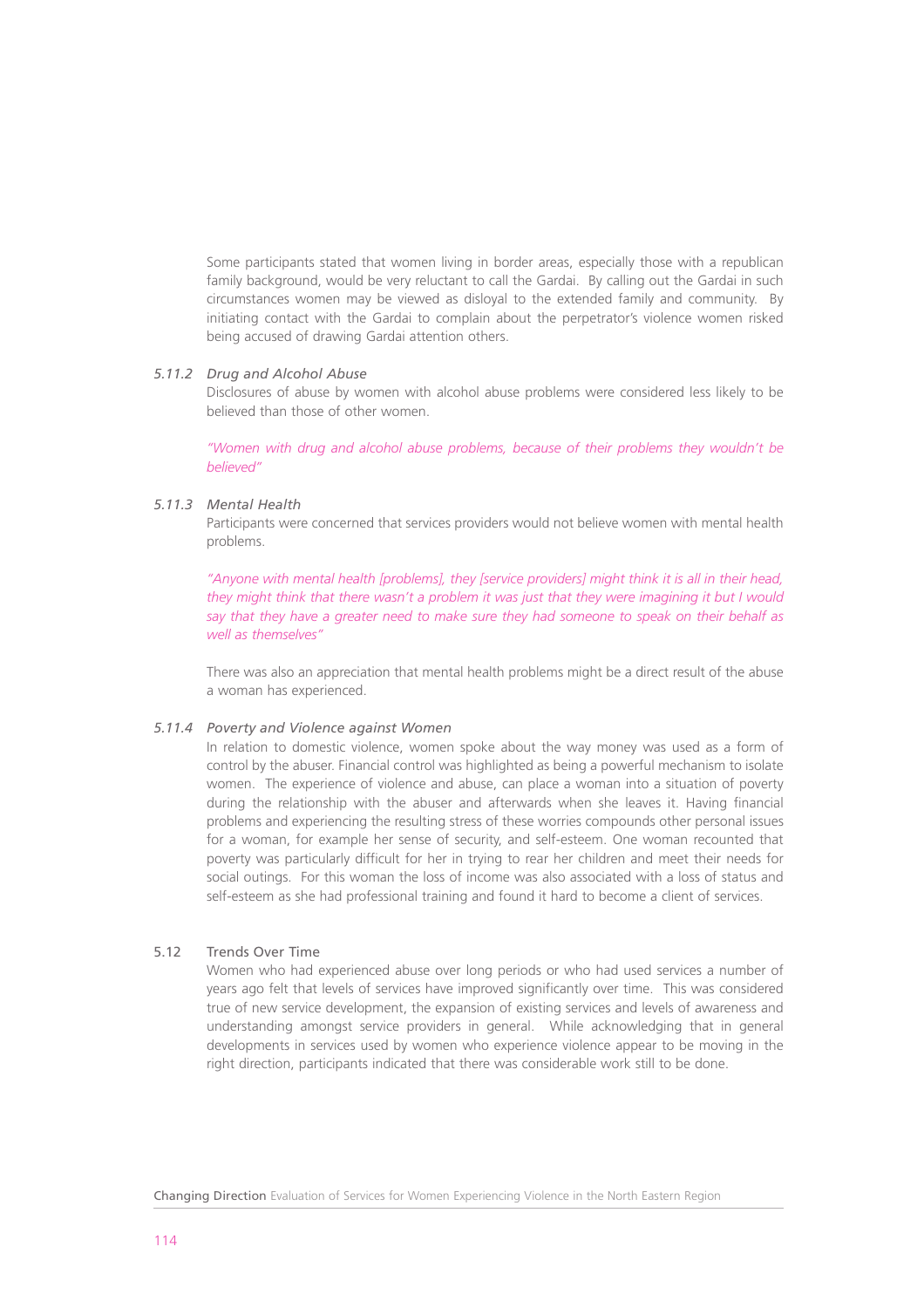Some participants stated that women living in border areas, especially those with a republican family background, would be very reluctant to call the Gardai. By calling out the Gardai in such circumstances women may be viewed as disloyal to the extended family and community. By initiating contact with the Gardai to complain about the perpetrator's violence women risked being accused of drawing Gardai attention others.

# *5.11.2 Drug and Alcohol Abuse*

Disclosures of abuse by women with alcohol abuse problems were considered less likely to be believed than those of other women.

*"Women with drug and alcohol abuse problems, because of their problems they wouldn't be believed"*

# *5.11.3 Mental Health*

Participants were concerned that services providers would not believe women with mental health problems.

*"Anyone with mental health [problems], they [service providers] might think it is all in their head, they might think that there wasn't a problem it was just that they were imagining it but I would say that they have a greater need to make sure they had someone to speak on their behalf as well as themselves"*

There was also an appreciation that mental health problems might be a direct result of the abuse a woman has experienced.

#### *5.11.4 Poverty and Violence against Women*

In relation to domestic violence, women spoke about the way money was used as a form of control by the abuser. Financial control was highlighted as being a powerful mechanism to isolate women. The experience of violence and abuse, can place a woman into a situation of poverty during the relationship with the abuser and afterwards when she leaves it. Having financial problems and experiencing the resulting stress of these worries compounds other personal issues for a woman, for example her sense of security, and self-esteem. One woman recounted that poverty was particularly difficult for her in trying to rear her children and meet their needs for social outings. For this woman the loss of income was also associated with a loss of status and self-esteem as she had professional training and found it hard to become a client of services.

# 5.12 Trends Over Time

Women who had experienced abuse over long periods or who had used services a number of years ago felt that levels of services have improved significantly over time. This was considered true of new service development, the expansion of existing services and levels of awareness and understanding amongst service providers in general. While acknowledging that in general developments in services used by women who experience violence appear to be moving in the right direction, participants indicated that there was considerable work still to be done.

Changing Direction Evaluation of Services for Women Experiencing Violence in the North Eastern Region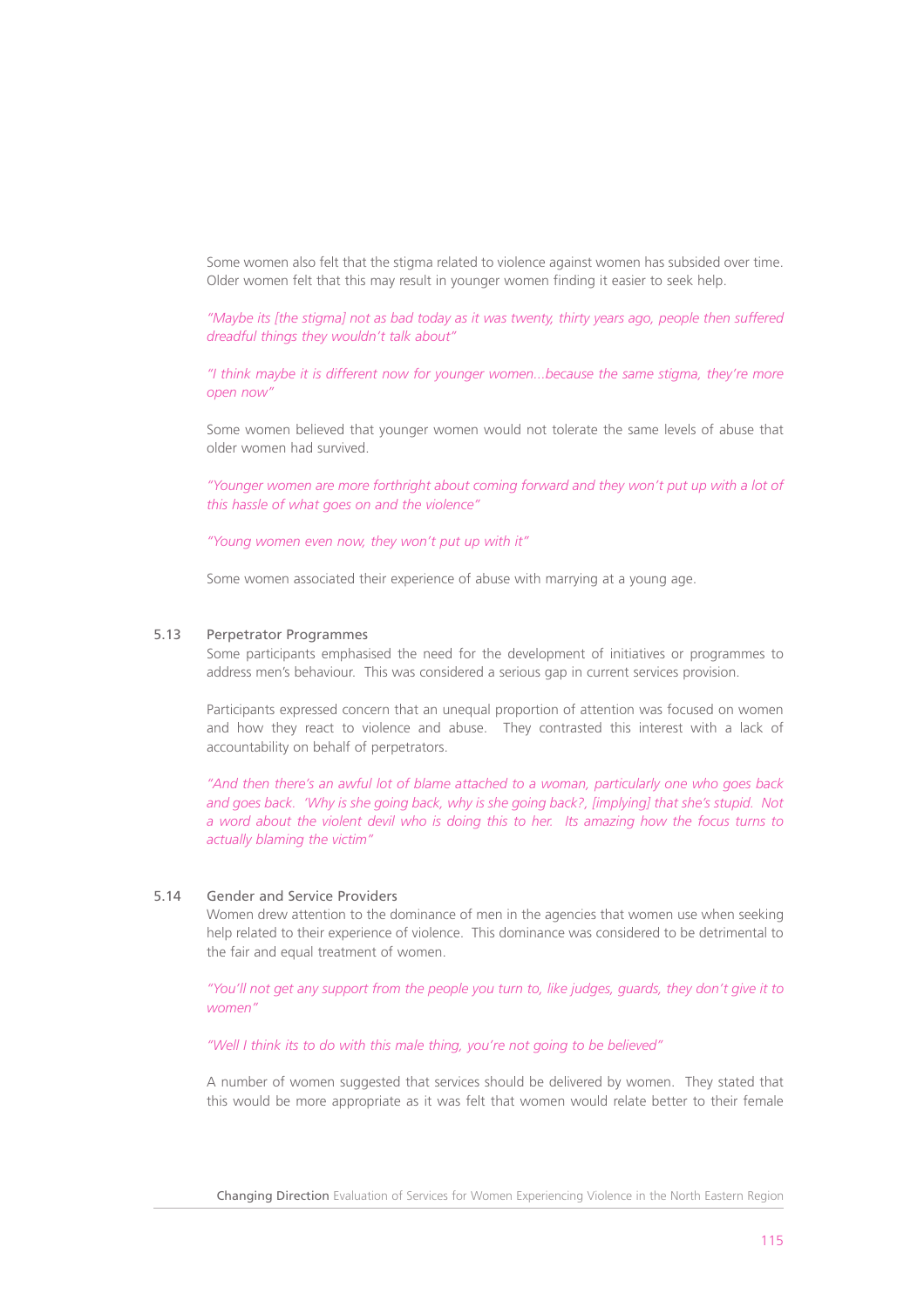Some women also felt that the stigma related to violence against women has subsided over time. Older women felt that this may result in younger women finding it easier to seek help.

*"Maybe its [the stigma] not as bad today as it was twenty, thirty years ago, people then suffered dreadful things they wouldn't talk about"*

*"I think maybe it is different now for younger women...because the same stigma, they're more open now"*

Some women believed that younger women would not tolerate the same levels of abuse that older women had survived.

*"Younger women are more forthright about coming forward and they won't put up with a lot of this hassle of what goes on and the violence"*

*"Young women even now, they won't put up with it"*

Some women associated their experience of abuse with marrying at a young age.

#### 5.13 Perpetrator Programmes

Some participants emphasised the need for the development of initiatives or programmes to address men's behaviour. This was considered a serious gap in current services provision.

Participants expressed concern that an unequal proportion of attention was focused on women and how they react to violence and abuse. They contrasted this interest with a lack of accountability on behalf of perpetrators.

*"And then there's an awful lot of blame attached to a woman, particularly one who goes back and goes back. 'Why is she going back, why is she going back?, [implying] that she's stupid. Not a word about the violent devil who is doing this to her. Its amazing how the focus turns to actually blaming the victim"*

# 5.14 Gender and Service Providers

Women drew attention to the dominance of men in the agencies that women use when seeking help related to their experience of violence. This dominance was considered to be detrimental to the fair and equal treatment of women.

*"You'll not get any support from the people you turn to, like judges, guards, they don't give it to women"*

*"Well I think its to do with this male thing, you're not going to be believed"*

A number of women suggested that services should be delivered by women. They stated that this would be more appropriate as it was felt that women would relate better to their female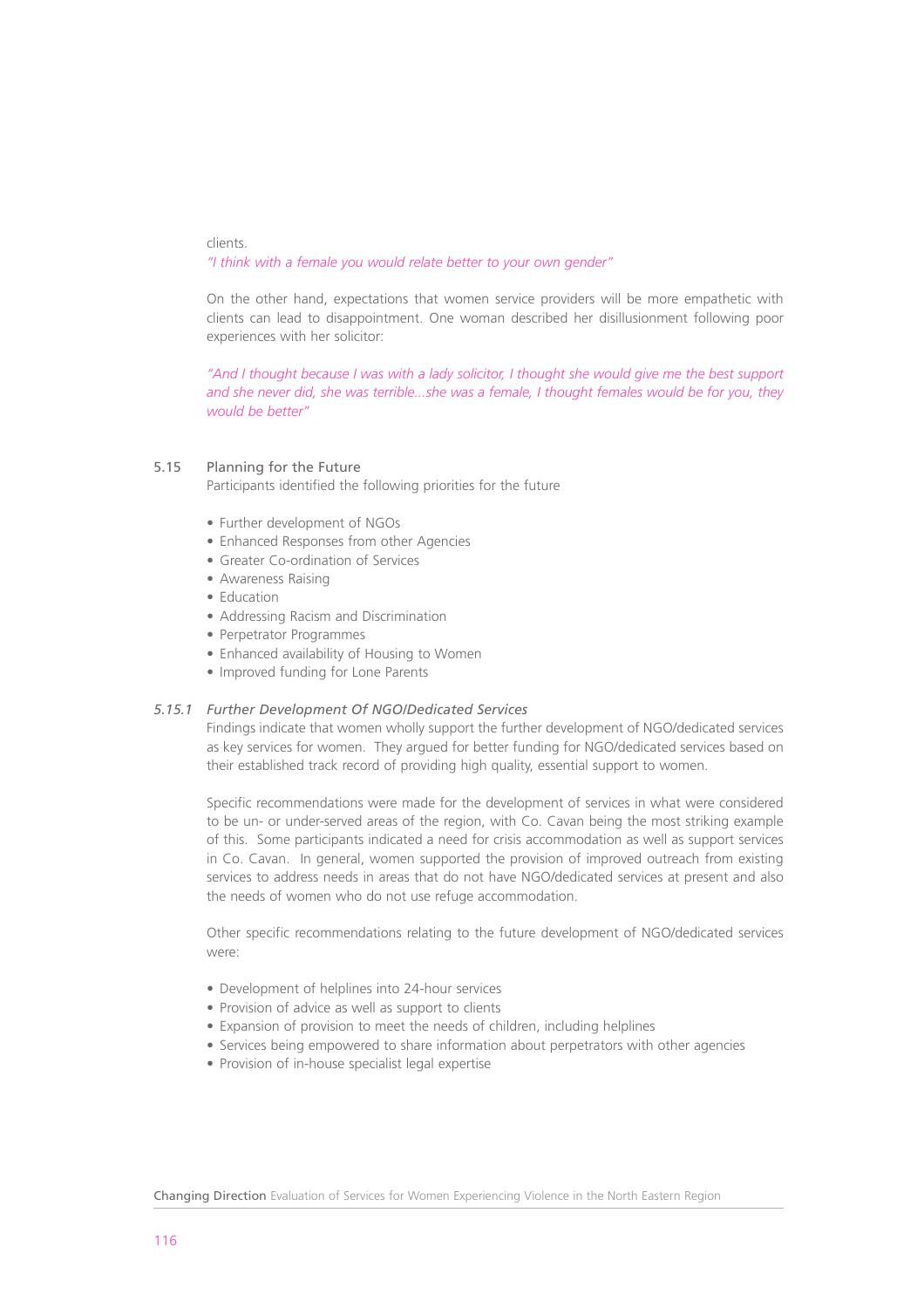clients. *"I think with a female you would relate better to your own gender"*

On the other hand, expectations that women service providers will be more empathetic with clients can lead to disappointment. One woman described her disillusionment following poor experiences with her solicitor:

*"And I thought because I was with a lady solicitor, I thought she would give me the best support and she never did, she was terrible...she was a female, I thought females would be for you, they would be better"*

# 5.15 Planning for the Future

Participants identified the following priorities for the future

- Further development of NGOs
- Enhanced Responses from other Agencies
- Greater Co-ordination of Services
- Awareness Raising
- Education
- Addressing Racism and Discrimination
- Perpetrator Programmes
- Enhanced availability of Housing to Women
- Improved funding for Lone Parents

## *5.15.1 Further Development Of NGO/Dedicated Services*

Findings indicate that women wholly support the further development of NGO/dedicated services as key services for women. They argued for better funding for NGO/dedicated services based on their established track record of providing high quality, essential support to women.

Specific recommendations were made for the development of services in what were considered to be un- or under-served areas of the region, with Co. Cavan being the most striking example of this. Some participants indicated a need for crisis accommodation as well as support services in Co. Cavan. In general, women supported the provision of improved outreach from existing services to address needs in areas that do not have NGO/dedicated services at present and also the needs of women who do not use refuge accommodation.

Other specific recommendations relating to the future development of NGO/dedicated services were:

- Development of helplines into 24-hour services
- Provision of advice as well as support to clients
- Expansion of provision to meet the needs of children, including helplines
- Services being empowered to share information about perpetrators with other agencies
- Provision of in-house specialist legal expertise

Changing Direction Evaluation of Services for Women Experiencing Violence in the North Eastern Region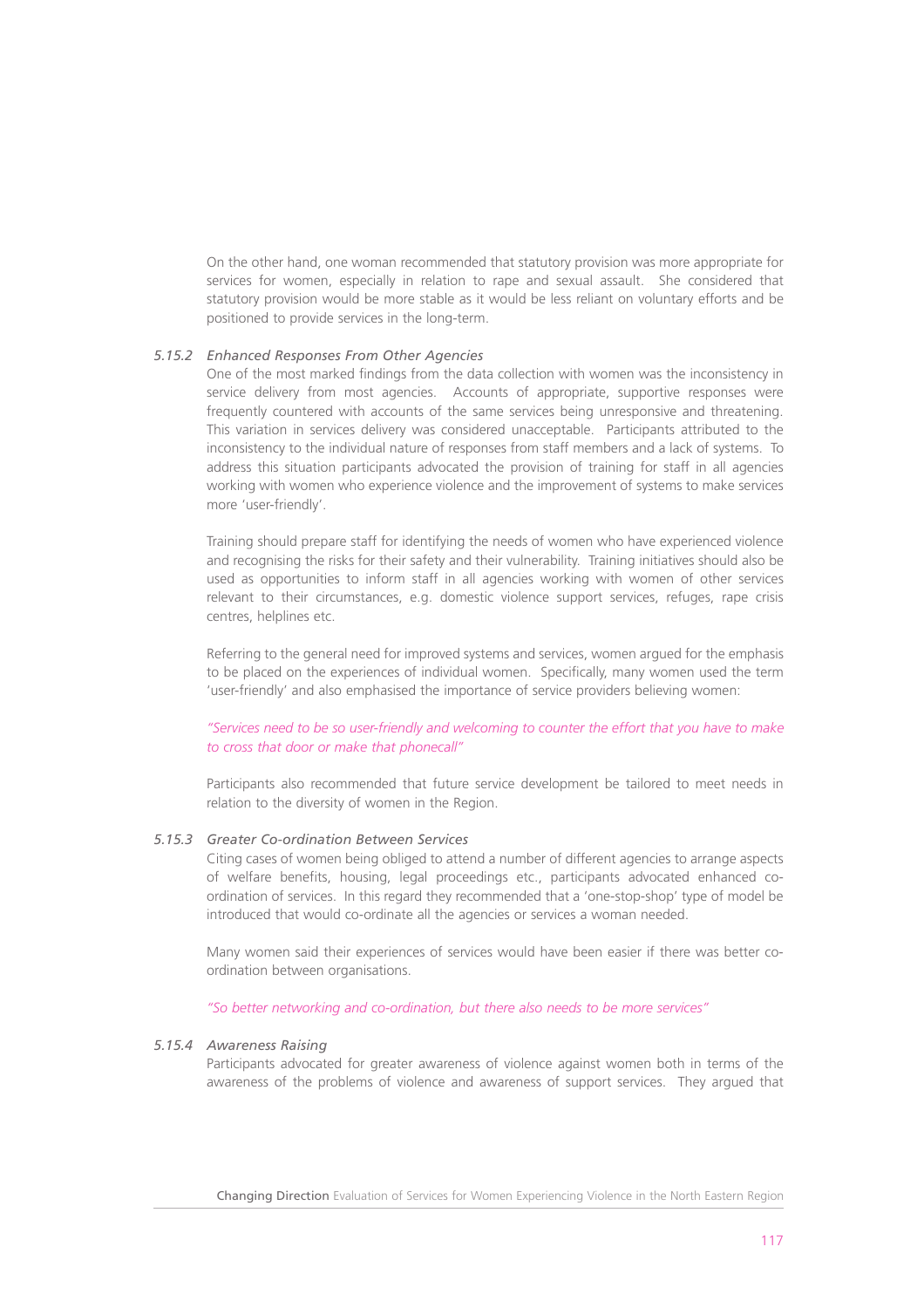On the other hand, one woman recommended that statutory provision was more appropriate for services for women, especially in relation to rape and sexual assault. She considered that statutory provision would be more stable as it would be less reliant on voluntary efforts and be positioned to provide services in the long-term.

# *5.15.2 Enhanced Responses From Other Agencies*

One of the most marked findings from the data collection with women was the inconsistency in service delivery from most agencies. Accounts of appropriate, supportive responses were frequently countered with accounts of the same services being unresponsive and threatening. This variation in services delivery was considered unacceptable. Participants attributed to the inconsistency to the individual nature of responses from staff members and a lack of systems. To address this situation participants advocated the provision of training for staff in all agencies working with women who experience violence and the improvement of systems to make services more 'user-friendly'.

Training should prepare staff for identifying the needs of women who have experienced violence and recognising the risks for their safety and their vulnerability. Training initiatives should also be used as opportunities to inform staff in all agencies working with women of other services relevant to their circumstances, e.g. domestic violence support services, refuges, rape crisis centres, helplines etc.

Referring to the general need for improved systems and services, women argued for the emphasis to be placed on the experiences of individual women. Specifically, many women used the term 'user-friendly' and also emphasised the importance of service providers believing women:

*"Services need to be so user-friendly and welcoming to counter the effort that you have to make to cross that door or make that phonecall"*

Participants also recommended that future service development be tailored to meet needs in relation to the diversity of women in the Region.

# *5.15.3 Greater Co-ordination Between Services*

Citing cases of women being obliged to attend a number of different agencies to arrange aspects of welfare benefits, housing, legal proceedings etc., participants advocated enhanced coordination of services. In this regard they recommended that a 'one-stop-shop' type of model be introduced that would co-ordinate all the agencies or services a woman needed.

Many women said their experiences of services would have been easier if there was better coordination between organisations.

#### *"So better networking and co-ordination, but there also needs to be more services"*

# *5.15.4 Awareness Raising*

Participants advocated for greater awareness of violence against women both in terms of the awareness of the problems of violence and awareness of support services. They argued that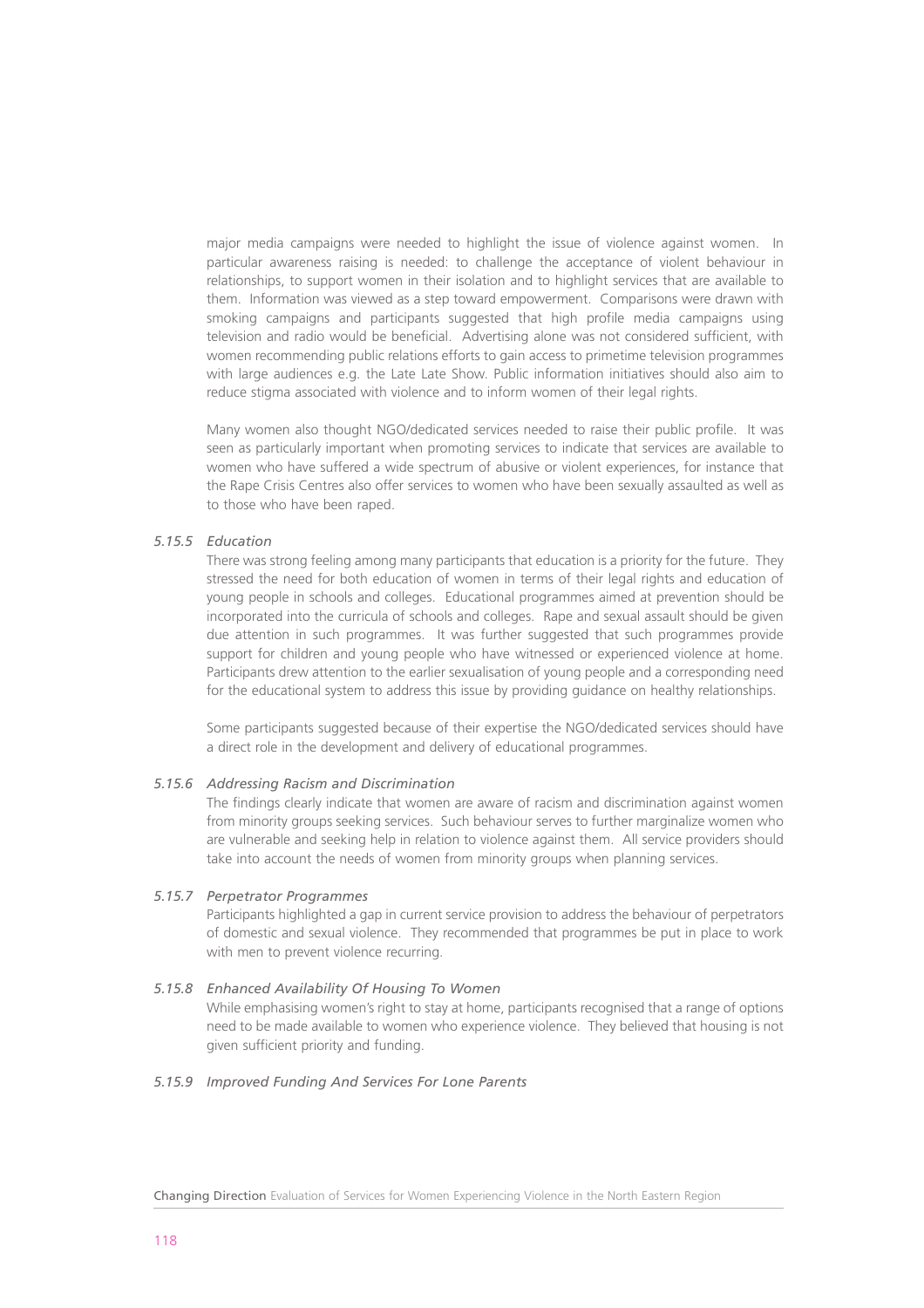major media campaigns were needed to highlight the issue of violence against women. In particular awareness raising is needed: to challenge the acceptance of violent behaviour in relationships, to support women in their isolation and to highlight services that are available to them. Information was viewed as a step toward empowerment. Comparisons were drawn with smoking campaigns and participants suggested that high profile media campaigns using television and radio would be beneficial. Advertising alone was not considered sufficient, with women recommending public relations efforts to gain access to primetime television programmes with large audiences e.g. the Late Late Show. Public information initiatives should also aim to reduce stigma associated with violence and to inform women of their legal rights.

Many women also thought NGO/dedicated services needed to raise their public profile. It was seen as particularly important when promoting services to indicate that services are available to women who have suffered a wide spectrum of abusive or violent experiences, for instance that the Rape Crisis Centres also offer services to women who have been sexually assaulted as well as to those who have been raped.

# *5.15.5 Education*

There was strong feeling among many participants that education is a priority for the future. They stressed the need for both education of women in terms of their legal rights and education of young people in schools and colleges. Educational programmes aimed at prevention should be incorporated into the curricula of schools and colleges. Rape and sexual assault should be given due attention in such programmes. It was further suggested that such programmes provide support for children and young people who have witnessed or experienced violence at home. Participants drew attention to the earlier sexualisation of young people and a corresponding need for the educational system to address this issue by providing guidance on healthy relationships.

Some participants suggested because of their expertise the NGO/dedicated services should have a direct role in the development and delivery of educational programmes.

#### *5.15.6 Addressing Racism and Discrimination*

The findings clearly indicate that women are aware of racism and discrimination against women from minority groups seeking services. Such behaviour serves to further marginalize women who are vulnerable and seeking help in relation to violence against them. All service providers should take into account the needs of women from minority groups when planning services.

# *5.15.7 Perpetrator Programmes*

Participants highlighted a gap in current service provision to address the behaviour of perpetrators of domestic and sexual violence. They recommended that programmes be put in place to work with men to prevent violence recurring.

#### *5.15.8 Enhanced Availability Of Housing To Women*

While emphasising women's right to stay at home, participants recognised that a range of options need to be made available to women who experience violence. They believed that housing is not given sufficient priority and funding.

# *5.15.9 Improved Funding And Services For Lone Parents*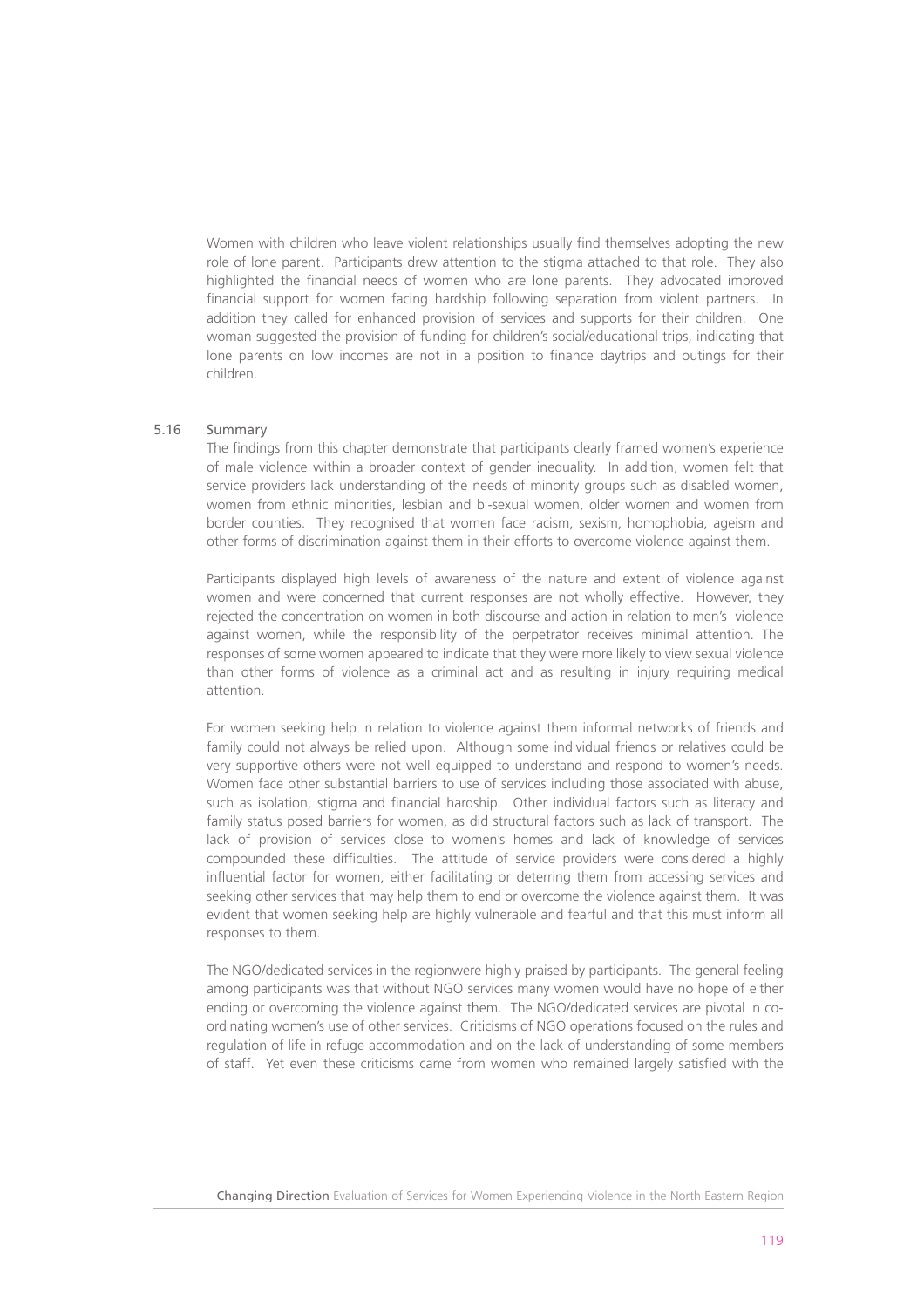Women with children who leave violent relationships usually find themselves adopting the new role of lone parent. Participants drew attention to the stigma attached to that role. They also highlighted the financial needs of women who are lone parents. They advocated improved financial support for women facing hardship following separation from violent partners. In addition they called for enhanced provision of services and supports for their children. One woman suggested the provision of funding for children's social/educational trips, indicating that lone parents on low incomes are not in a position to finance daytrips and outings for their children.

# 5.16 Summary

The findings from this chapter demonstrate that participants clearly framed women's experience of male violence within a broader context of gender inequality. In addition, women felt that service providers lack understanding of the needs of minority groups such as disabled women, women from ethnic minorities, lesbian and bi-sexual women, older women and women from border counties. They recognised that women face racism, sexism, homophobia, ageism and other forms of discrimination against them in their efforts to overcome violence against them.

Participants displayed high levels of awareness of the nature and extent of violence against women and were concerned that current responses are not wholly effective. However, they rejected the concentration on women in both discourse and action in relation to men's violence against women, while the responsibility of the perpetrator receives minimal attention. The responses of some women appeared to indicate that they were more likely to view sexual violence than other forms of violence as a criminal act and as resulting in injury requiring medical attention.

For women seeking help in relation to violence against them informal networks of friends and family could not always be relied upon. Although some individual friends or relatives could be very supportive others were not well equipped to understand and respond to women's needs. Women face other substantial barriers to use of services including those associated with abuse, such as isolation, stigma and financial hardship. Other individual factors such as literacy and family status posed barriers for women, as did structural factors such as lack of transport. The lack of provision of services close to women's homes and lack of knowledge of services compounded these difficulties. The attitude of service providers were considered a highly influential factor for women, either facilitating or deterring them from accessing services and seeking other services that may help them to end or overcome the violence against them. It was evident that women seeking help are highly vulnerable and fearful and that this must inform all responses to them.

The NGO/dedicated services in the regionwere highly praised by participants. The general feeling among participants was that without NGO services many women would have no hope of either ending or overcoming the violence against them. The NGO/dedicated services are pivotal in coordinating women's use of other services. Criticisms of NGO operations focused on the rules and regulation of life in refuge accommodation and on the lack of understanding of some members of staff. Yet even these criticisms came from women who remained largely satisfied with the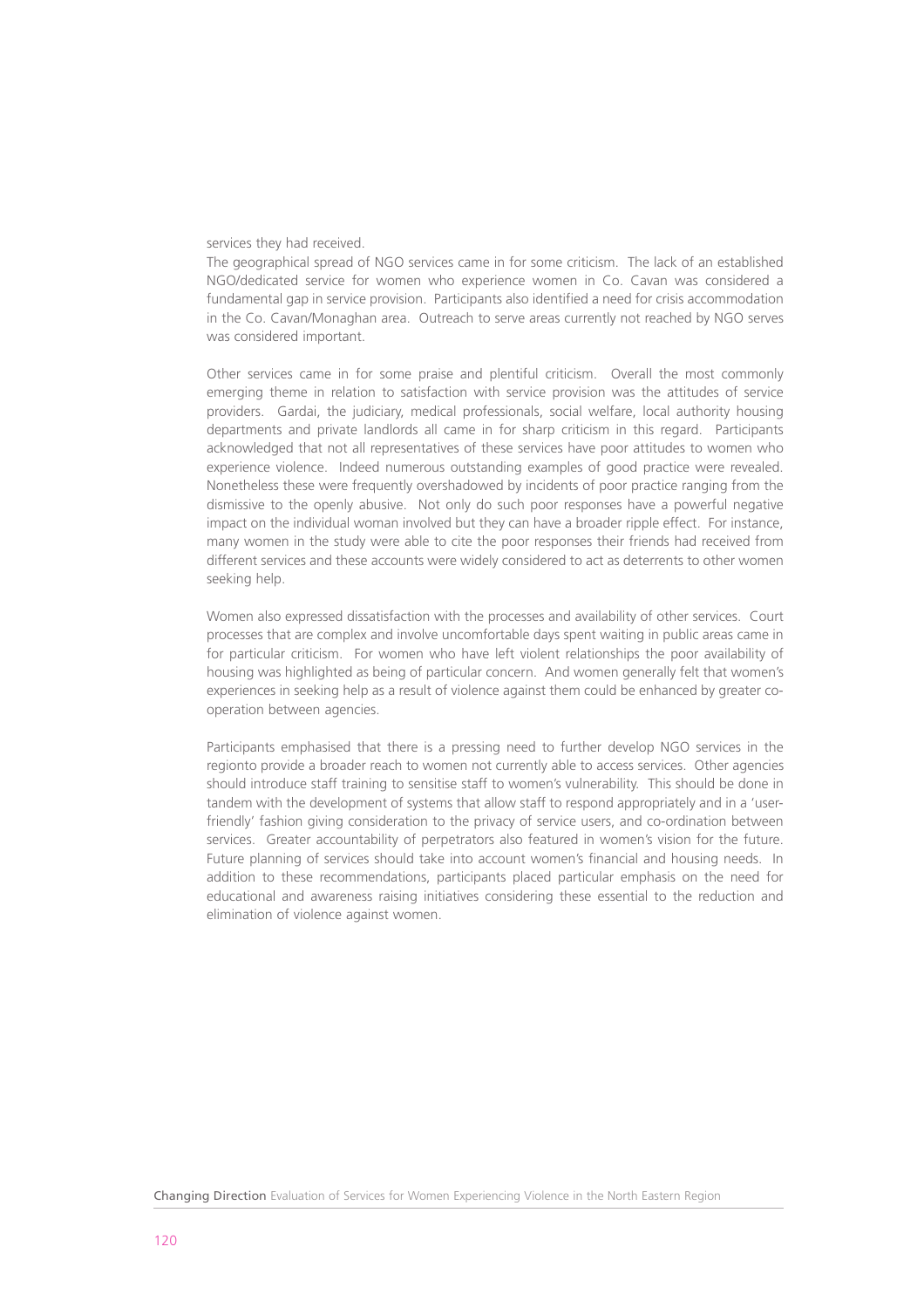#### services they had received.

The geographical spread of NGO services came in for some criticism. The lack of an established NGO/dedicated service for women who experience women in Co. Cavan was considered a fundamental gap in service provision. Participants also identified a need for crisis accommodation in the Co. Cavan/Monaghan area. Outreach to serve areas currently not reached by NGO serves was considered important.

Other services came in for some praise and plentiful criticism. Overall the most commonly emerging theme in relation to satisfaction with service provision was the attitudes of service providers. Gardai, the judiciary, medical professionals, social welfare, local authority housing departments and private landlords all came in for sharp criticism in this regard. Participants acknowledged that not all representatives of these services have poor attitudes to women who experience violence. Indeed numerous outstanding examples of good practice were revealed. Nonetheless these were frequently overshadowed by incidents of poor practice ranging from the dismissive to the openly abusive. Not only do such poor responses have a powerful negative impact on the individual woman involved but they can have a broader ripple effect. For instance, many women in the study were able to cite the poor responses their friends had received from different services and these accounts were widely considered to act as deterrents to other women seeking help.

Women also expressed dissatisfaction with the processes and availability of other services. Court processes that are complex and involve uncomfortable days spent waiting in public areas came in for particular criticism. For women who have left violent relationships the poor availability of housing was highlighted as being of particular concern. And women generally felt that women's experiences in seeking help as a result of violence against them could be enhanced by greater cooperation between agencies.

Participants emphasised that there is a pressing need to further develop NGO services in the regionto provide a broader reach to women not currently able to access services. Other agencies should introduce staff training to sensitise staff to women's vulnerability. This should be done in tandem with the development of systems that allow staff to respond appropriately and in a 'userfriendly' fashion giving consideration to the privacy of service users, and co-ordination between services. Greater accountability of perpetrators also featured in women's vision for the future. Future planning of services should take into account women's financial and housing needs. In addition to these recommendations, participants placed particular emphasis on the need for educational and awareness raising initiatives considering these essential to the reduction and elimination of violence against women.

Changing Direction Evaluation of Services for Women Experiencing Violence in the North Eastern Region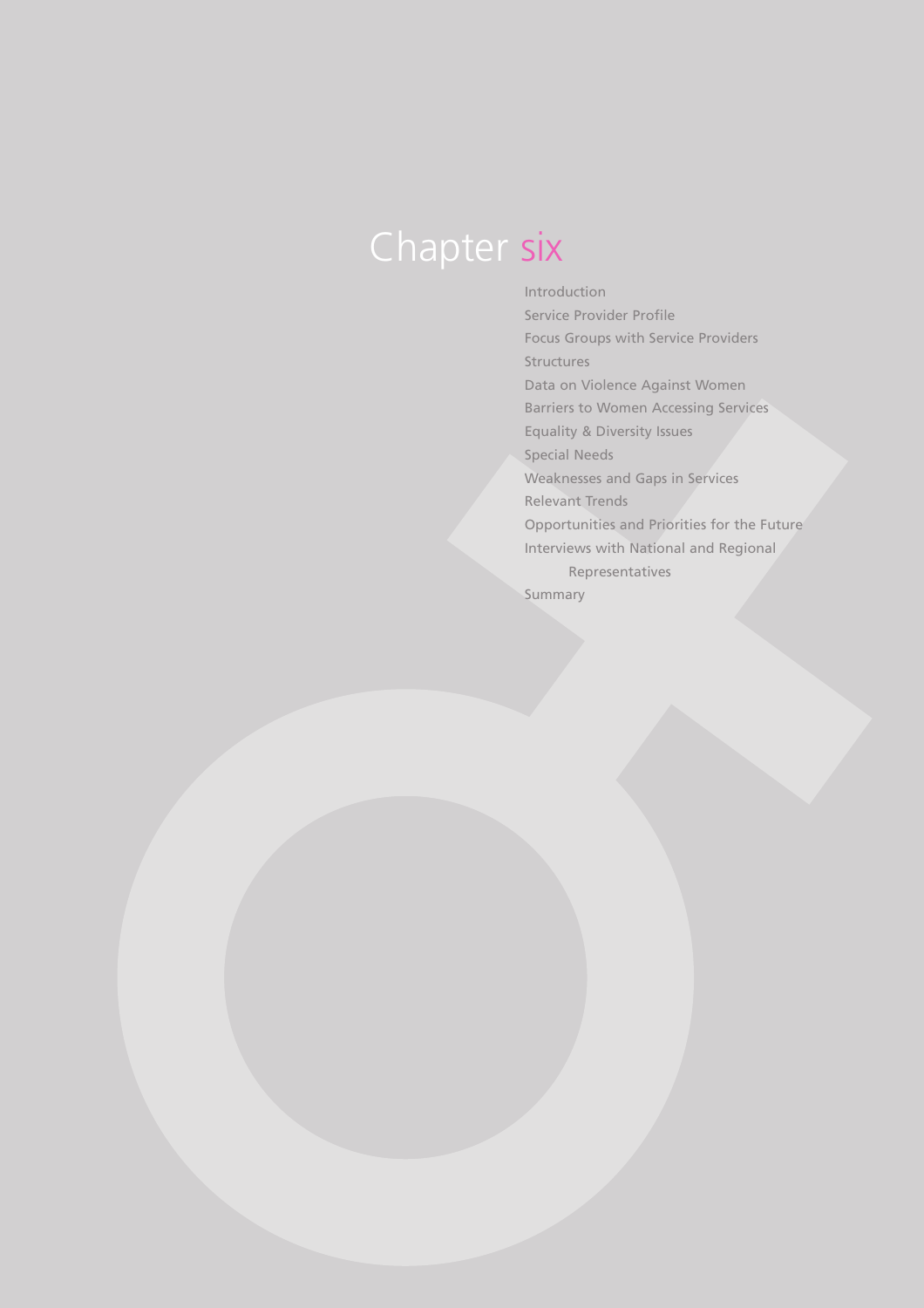# Chapter six

Introduction Service Provider Profile Focus Groups with Service Providers Structures Data on Violence Against Women Barriers to Women Accessing Services Equality & Diversity Issues Special Needs Weaknesses and Gaps in Services Relevant Trends Opportunities and Priorities for the Future Interviews with National and Regional Representatives Summary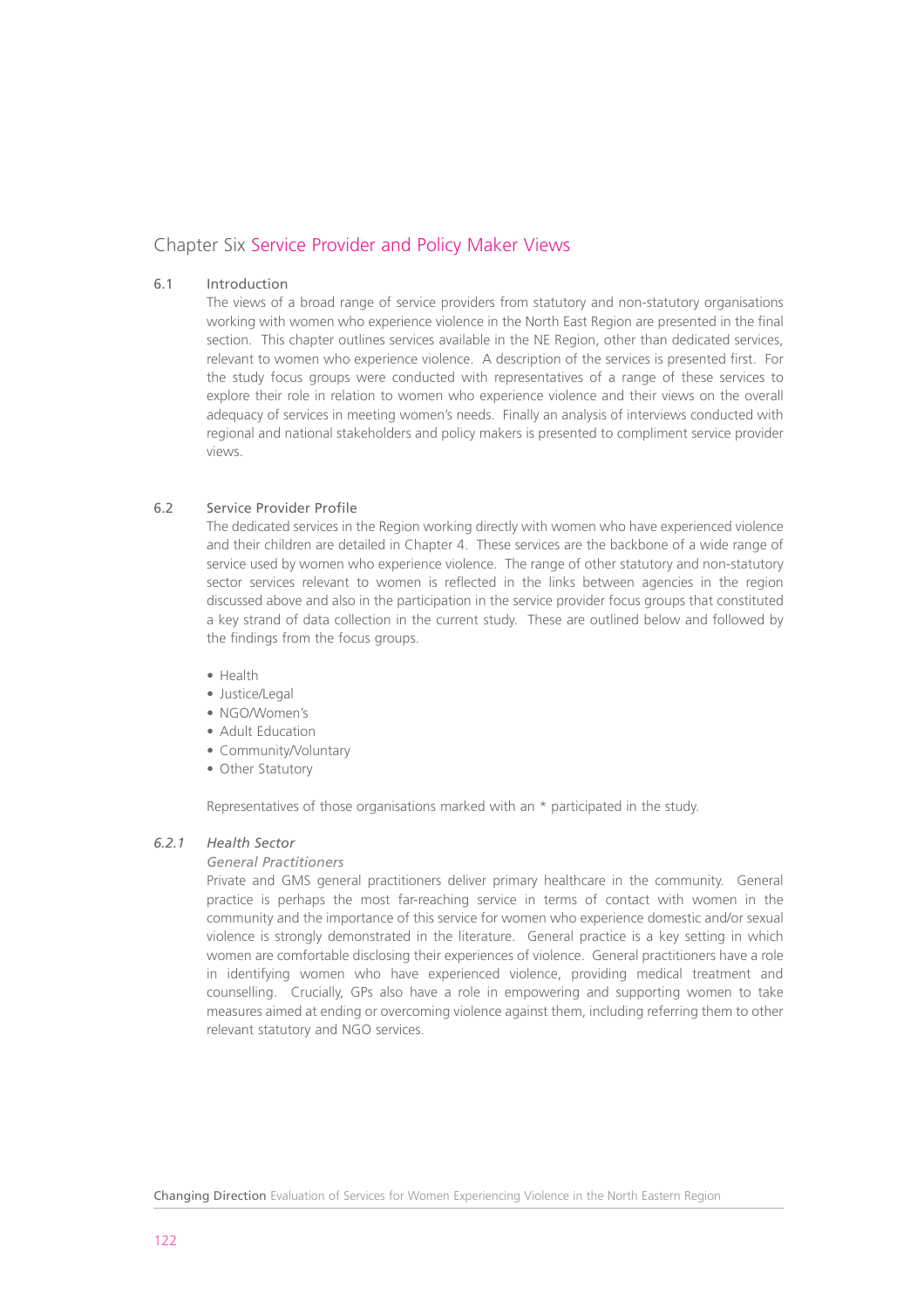# Chapter Six Service Provider and Policy Maker Views

# 6.1 Introduction

The views of a broad range of service providers from statutory and non-statutory organisations working with women who experience violence in the North East Region are presented in the final section. This chapter outlines services available in the NE Region, other than dedicated services, relevant to women who experience violence. A description of the services is presented first. For the study focus groups were conducted with representatives of a range of these services to explore their role in relation to women who experience violence and their views on the overall adequacy of services in meeting women's needs. Finally an analysis of interviews conducted with regional and national stakeholders and policy makers is presented to compliment service provider views.

# 6.2 Service Provider Profile

The dedicated services in the Region working directly with women who have experienced violence and their children are detailed in Chapter 4. These services are the backbone of a wide range of service used by women who experience violence. The range of other statutory and non-statutory sector services relevant to women is reflected in the links between agencies in the region discussed above and also in the participation in the service provider focus groups that constituted a key strand of data collection in the current study. These are outlined below and followed by the findings from the focus groups.

- Health
- Justice/Legal
- NGO/Women's
- Adult Education
- Community/Voluntary
- Other Statutory

Representatives of those organisations marked with an \* participated in the study.

# *6.2.1 Health Sector*

# *General Practitioners*

Private and GMS general practitioners deliver primary healthcare in the community. General practice is perhaps the most far-reaching service in terms of contact with women in the community and the importance of this service for women who experience domestic and/or sexual violence is strongly demonstrated in the literature. General practice is a key setting in which women are comfortable disclosing their experiences of violence. General practitioners have a role in identifying women who have experienced violence, providing medical treatment and counselling. Crucially, GPs also have a role in empowering and supporting women to take measures aimed at ending or overcoming violence against them, including referring them to other relevant statutory and NGO services.

Changing Direction Evaluation of Services for Women Experiencing Violence in the North Eastern Region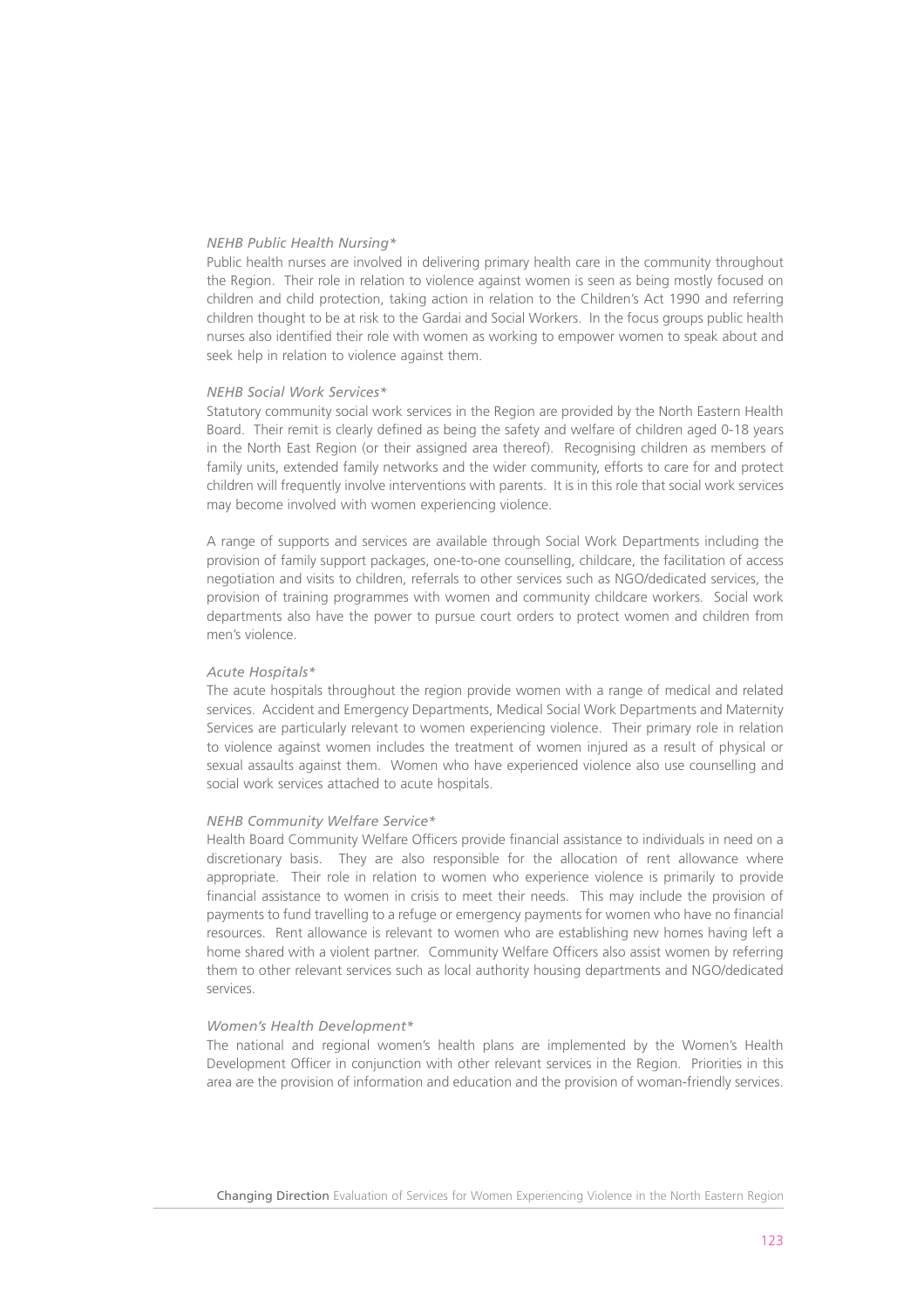#### *NEHB Public Health Nursing\**

Public health nurses are involved in delivering primary health care in the community throughout the Region. Their role in relation to violence against women is seen as being mostly focused on children and child protection, taking action in relation to the Children's Act 1990 and referring children thought to be at risk to the Gardai and Social Workers. In the focus groups public health nurses also identified their role with women as working to empower women to speak about and seek help in relation to violence against them.

#### *NEHB Social Work Services\**

Statutory community social work services in the Region are provided by the North Eastern Health Board. Their remit is clearly defined as being the safety and welfare of children aged 0-18 years in the North East Region (or their assigned area thereof). Recognising children as members of family units, extended family networks and the wider community, efforts to care for and protect children will frequently involve interventions with parents. It is in this role that social work services may become involved with women experiencing violence.

A range of supports and services are available through Social Work Departments including the provision of family support packages, one-to-one counselling, childcare, the facilitation of access negotiation and visits to children, referrals to other services such as NGO/dedicated services, the provision of training programmes with women and community childcare workers. Social work departments also have the power to pursue court orders to protect women and children from men's violence.

# *Acute Hospitals\**

The acute hospitals throughout the region provide women with a range of medical and related services. Accident and Emergency Departments, Medical Social Work Departments and Maternity Services are particularly relevant to women experiencing violence. Their primary role in relation to violence against women includes the treatment of women injured as a result of physical or sexual assaults against them. Women who have experienced violence also use counselling and social work services attached to acute hospitals.

#### *NEHB Community Welfare Service\**

Health Board Community Welfare Officers provide financial assistance to individuals in need on a discretionary basis. They are also responsible for the allocation of rent allowance where appropriate. Their role in relation to women who experience violence is primarily to provide financial assistance to women in crisis to meet their needs. This may include the provision of payments to fund travelling to a refuge or emergency payments for women who have no financial resources. Rent allowance is relevant to women who are establishing new homes having left a home shared with a violent partner. Community Welfare Officers also assist women by referring them to other relevant services such as local authority housing departments and NGO/dedicated services.

#### *Women's Health Development\**

The national and regional women's health plans are implemented by the Women's Health Development Officer in conjunction with other relevant services in the Region. Priorities in this area are the provision of information and education and the provision of woman-friendly services.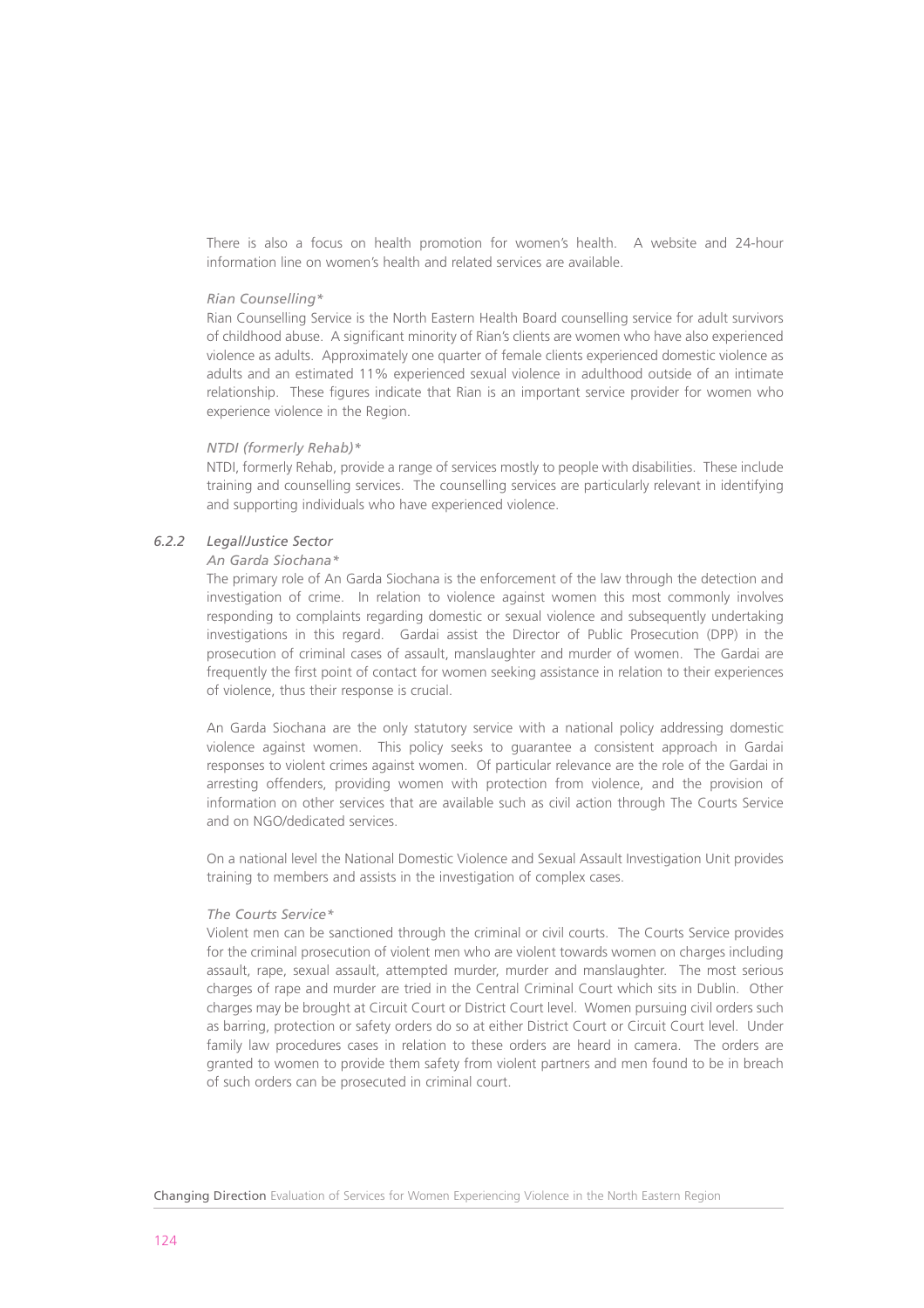There is also a focus on health promotion for women's health. A website and 24-hour information line on women's health and related services are available.

#### *Rian Counselling\**

Rian Counselling Service is the North Eastern Health Board counselling service for adult survivors of childhood abuse. A significant minority of Rian's clients are women who have also experienced violence as adults. Approximately one quarter of female clients experienced domestic violence as adults and an estimated 11% experienced sexual violence in adulthood outside of an intimate relationship. These figures indicate that Rian is an important service provider for women who experience violence in the Region.

#### *NTDI (formerly Rehab)\**

NTDI, formerly Rehab, provide a range of services mostly to people with disabilities. These include training and counselling services. The counselling services are particularly relevant in identifying and supporting individuals who have experienced violence.

# *6.2.2 Legal/Justice Sector*

# *An Garda Siochana\**

The primary role of An Garda Siochana is the enforcement of the law through the detection and investigation of crime. In relation to violence against women this most commonly involves responding to complaints regarding domestic or sexual violence and subsequently undertaking investigations in this regard. Gardai assist the Director of Public Prosecution (DPP) in the prosecution of criminal cases of assault, manslaughter and murder of women. The Gardai are frequently the first point of contact for women seeking assistance in relation to their experiences of violence, thus their response is crucial.

An Garda Siochana are the only statutory service with a national policy addressing domestic violence against women. This policy seeks to guarantee a consistent approach in Gardai responses to violent crimes against women. Of particular relevance are the role of the Gardai in arresting offenders, providing women with protection from violence, and the provision of information on other services that are available such as civil action through The Courts Service and on NGO/dedicated services.

On a national level the National Domestic Violence and Sexual Assault Investigation Unit provides training to members and assists in the investigation of complex cases.

## *The Courts Service\**

Violent men can be sanctioned through the criminal or civil courts. The Courts Service provides for the criminal prosecution of violent men who are violent towards women on charges including assault, rape, sexual assault, attempted murder, murder and manslaughter. The most serious charges of rape and murder are tried in the Central Criminal Court which sits in Dublin. Other charges may be brought at Circuit Court or District Court level. Women pursuing civil orders such as barring, protection or safety orders do so at either District Court or Circuit Court level. Under family law procedures cases in relation to these orders are heard in camera. The orders are granted to women to provide them safety from violent partners and men found to be in breach of such orders can be prosecuted in criminal court.

Changing Direction Evaluation of Services for Women Experiencing Violence in the North Eastern Region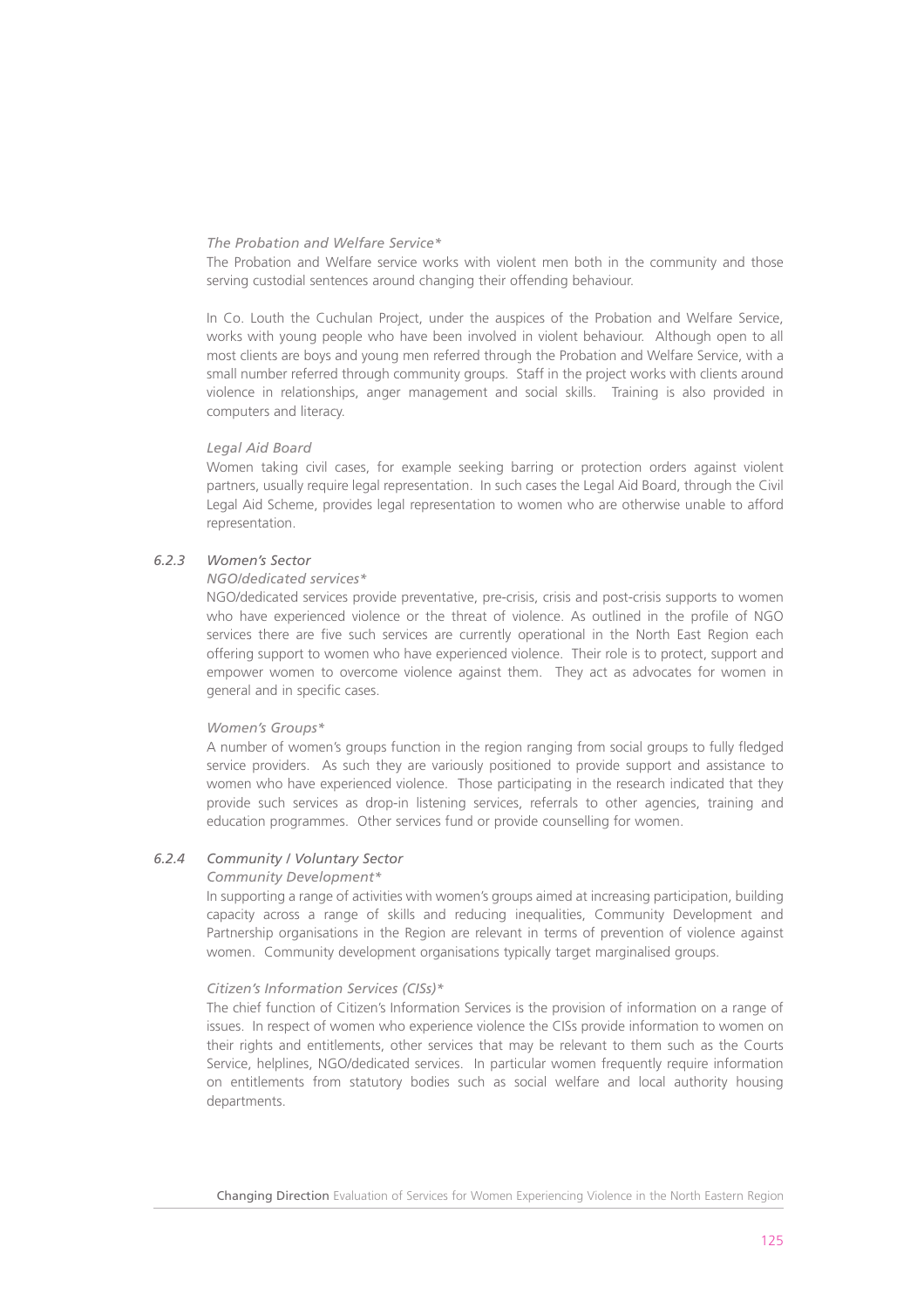#### *The Probation and Welfare Service\**

The Probation and Welfare service works with violent men both in the community and those serving custodial sentences around changing their offending behaviour.

In Co. Louth the Cuchulan Project, under the auspices of the Probation and Welfare Service, works with young people who have been involved in violent behaviour. Although open to all most clients are boys and young men referred through the Probation and Welfare Service, with a small number referred through community groups. Staff in the project works with clients around violence in relationships, anger management and social skills. Training is also provided in computers and literacy.

#### *Legal Aid Board*

Women taking civil cases, for example seeking barring or protection orders against violent partners, usually require legal representation. In such cases the Legal Aid Board, through the Civil Legal Aid Scheme, provides legal representation to women who are otherwise unable to afford representation.

# *6.2.3 Women's Sector*

# *NGO/dedicated services\**

NGO/dedicated services provide preventative, pre-crisis, crisis and post-crisis supports to women who have experienced violence or the threat of violence. As outlined in the profile of NGO services there are five such services are currently operational in the North East Region each offering support to women who have experienced violence. Their role is to protect, support and empower women to overcome violence against them. They act as advocates for women in general and in specific cases.

#### *Women's Groups\**

A number of women's groups function in the region ranging from social groups to fully fledged service providers. As such they are variously positioned to provide support and assistance to women who have experienced violence. Those participating in the research indicated that they provide such services as drop-in listening services, referrals to other agencies, training and education programmes. Other services fund or provide counselling for women.

# *6.2.4 Community / Voluntary Sector*

# *Community Development\**

In supporting a range of activities with women's groups aimed at increasing participation, building capacity across a range of skills and reducing inequalities, Community Development and Partnership organisations in the Region are relevant in terms of prevention of violence against women. Community development organisations typically target marginalised groups.

#### *Citizen's Information Services (CISs)\**

The chief function of Citizen's Information Services is the provision of information on a range of issues. In respect of women who experience violence the CISs provide information to women on their rights and entitlements, other services that may be relevant to them such as the Courts Service, helplines, NGO/dedicated services. In particular women frequently require information on entitlements from statutory bodies such as social welfare and local authority housing departments.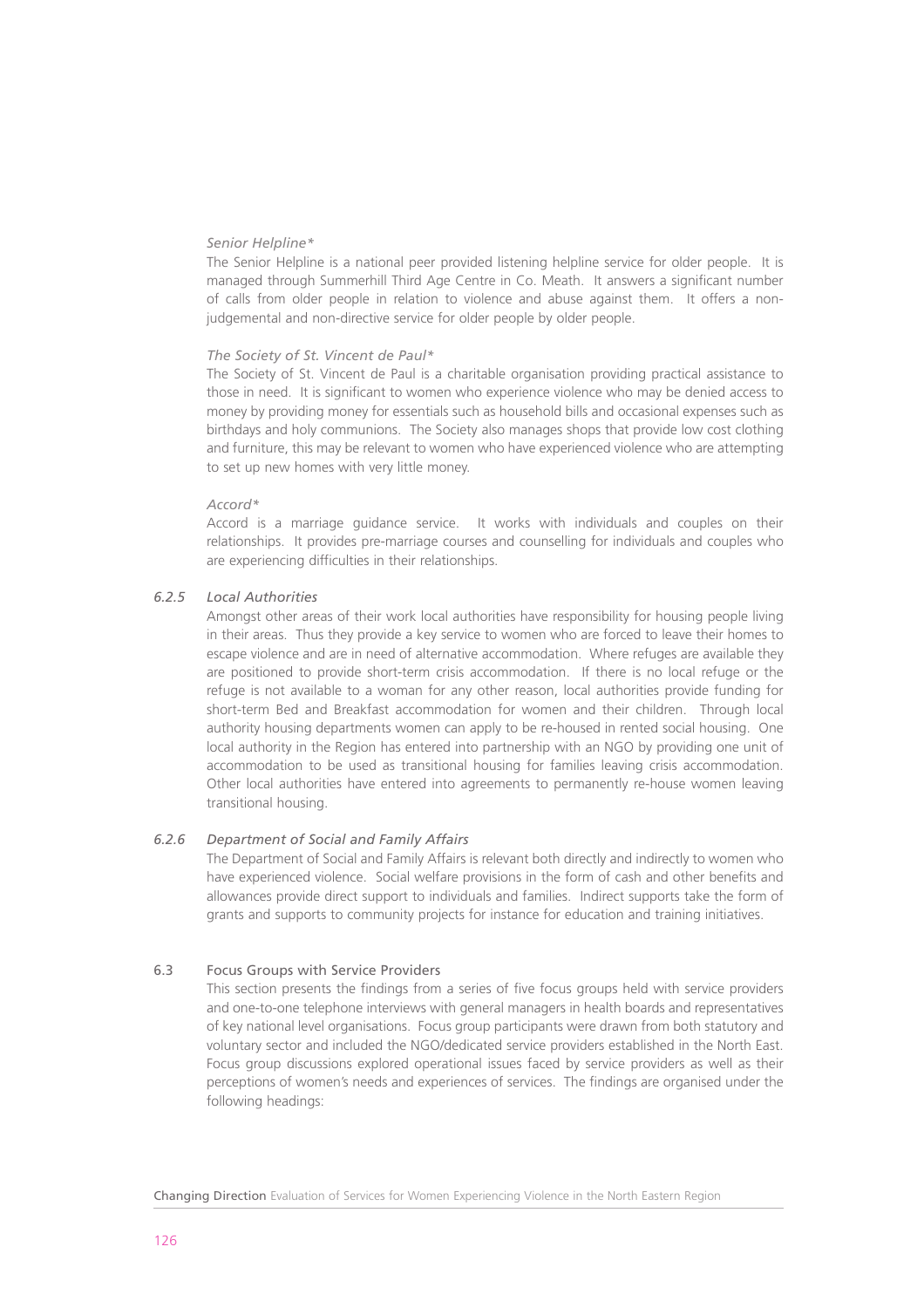# *Senior Helpline\**

The Senior Helpline is a national peer provided listening helpline service for older people. It is managed through Summerhill Third Age Centre in Co. Meath. It answers a significant number of calls from older people in relation to violence and abuse against them. It offers a nonjudgemental and non-directive service for older people by older people.

## *The Society of St. Vincent de Paul\**

The Society of St. Vincent de Paul is a charitable organisation providing practical assistance to those in need. It is significant to women who experience violence who may be denied access to money by providing money for essentials such as household bills and occasional expenses such as birthdays and holy communions. The Society also manages shops that provide low cost clothing and furniture, this may be relevant to women who have experienced violence who are attempting to set up new homes with very little money.

# *Accord\**

Accord is a marriage guidance service. It works with individuals and couples on their relationships. It provides pre-marriage courses and counselling for individuals and couples who are experiencing difficulties in their relationships.

# *6.2.5 Local Authorities*

Amongst other areas of their work local authorities have responsibility for housing people living in their areas. Thus they provide a key service to women who are forced to leave their homes to escape violence and are in need of alternative accommodation. Where refuges are available they are positioned to provide short-term crisis accommodation. If there is no local refuge or the refuge is not available to a woman for any other reason, local authorities provide funding for short-term Bed and Breakfast accommodation for women and their children. Through local authority housing departments women can apply to be re-housed in rented social housing. One local authority in the Region has entered into partnership with an NGO by providing one unit of accommodation to be used as transitional housing for families leaving crisis accommodation. Other local authorities have entered into agreements to permanently re-house women leaving transitional housing.

# *6.2.6 Department of Social and Family Affairs*

The Department of Social and Family Affairs is relevant both directly and indirectly to women who have experienced violence. Social welfare provisions in the form of cash and other benefits and allowances provide direct support to individuals and families. Indirect supports take the form of grants and supports to community projects for instance for education and training initiatives.

# 6.3 Focus Groups with Service Providers

This section presents the findings from a series of five focus groups held with service providers and one-to-one telephone interviews with general managers in health boards and representatives of key national level organisations. Focus group participants were drawn from both statutory and voluntary sector and included the NGO/dedicated service providers established in the North East. Focus group discussions explored operational issues faced by service providers as well as their perceptions of women's needs and experiences of services. The findings are organised under the following headings: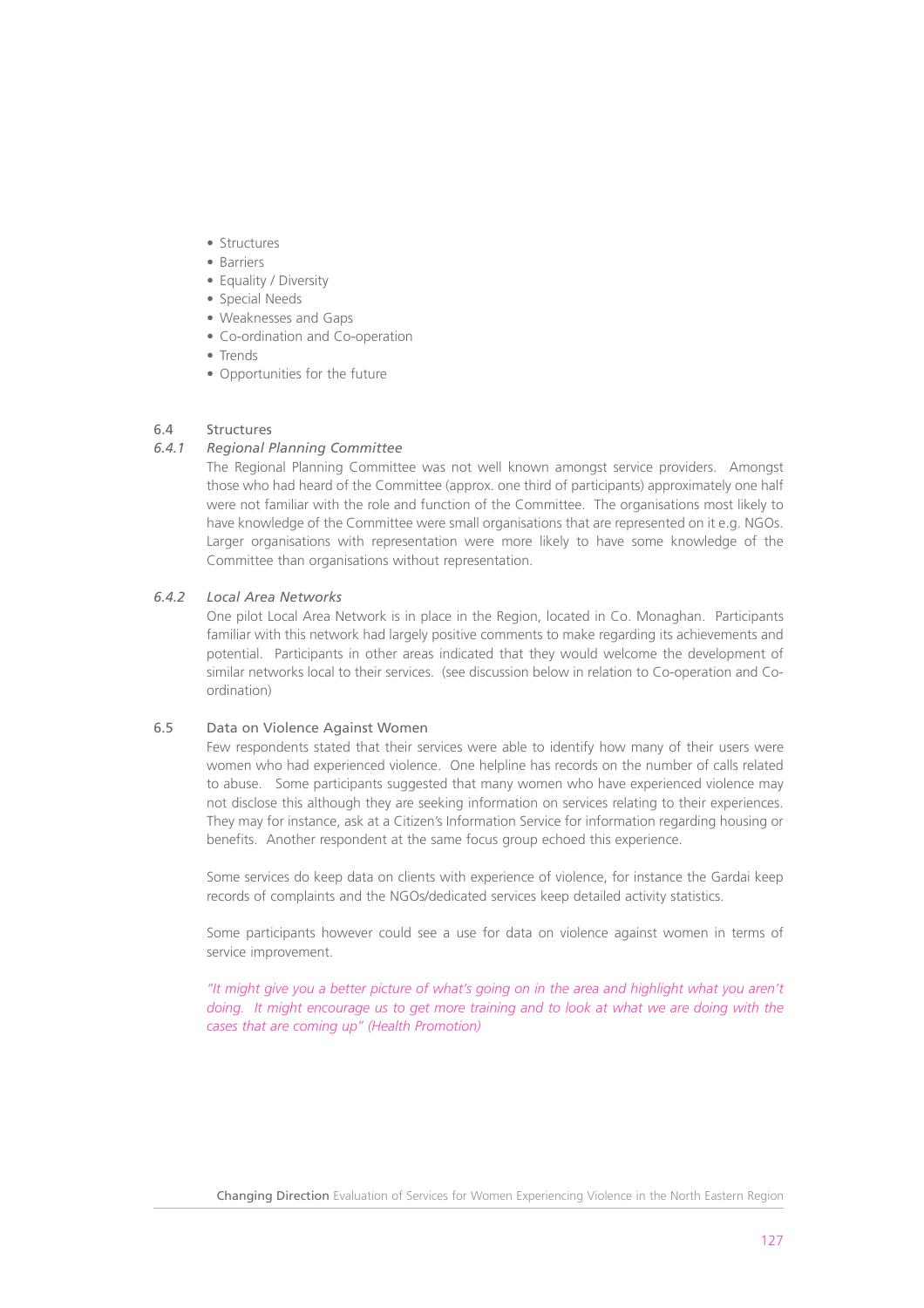- Structures
- Barriers
- Equality / Diversity
- Special Needs
- Weaknesses and Gaps
- Co-ordination and Co-operation
- Trends
- Opportunities for the future

# 6.4 Structures

## *6.4.1 Regional Planning Committee*

The Regional Planning Committee was not well known amongst service providers. Amongst those who had heard of the Committee (approx. one third of participants) approximately one half were not familiar with the role and function of the Committee. The organisations most likely to have knowledge of the Committee were small organisations that are represented on it e.g. NGOs. Larger organisations with representation were more likely to have some knowledge of the Committee than organisations without representation.

## *6.4.2 Local Area Networks*

One pilot Local Area Network is in place in the Region, located in Co. Monaghan. Participants familiar with this network had largely positive comments to make regarding its achievements and potential. Participants in other areas indicated that they would welcome the development of similar networks local to their services. (see discussion below in relation to Co-operation and Coordination)

#### 6.5 Data on Violence Against Women

Few respondents stated that their services were able to identify how many of their users were women who had experienced violence. One helpline has records on the number of calls related to abuse. Some participants suggested that many women who have experienced violence may not disclose this although they are seeking information on services relating to their experiences. They may for instance, ask at a Citizen's Information Service for information regarding housing or benefits. Another respondent at the same focus group echoed this experience.

Some services do keep data on clients with experience of violence, for instance the Gardai keep records of complaints and the NGOs/dedicated services keep detailed activity statistics.

Some participants however could see a use for data on violence against women in terms of service improvement.

*"It might give you a better picture of what's going on in the area and highlight what you aren't doing. It might encourage us to get more training and to look at what we are doing with the cases that are coming up" (Health Promotion)*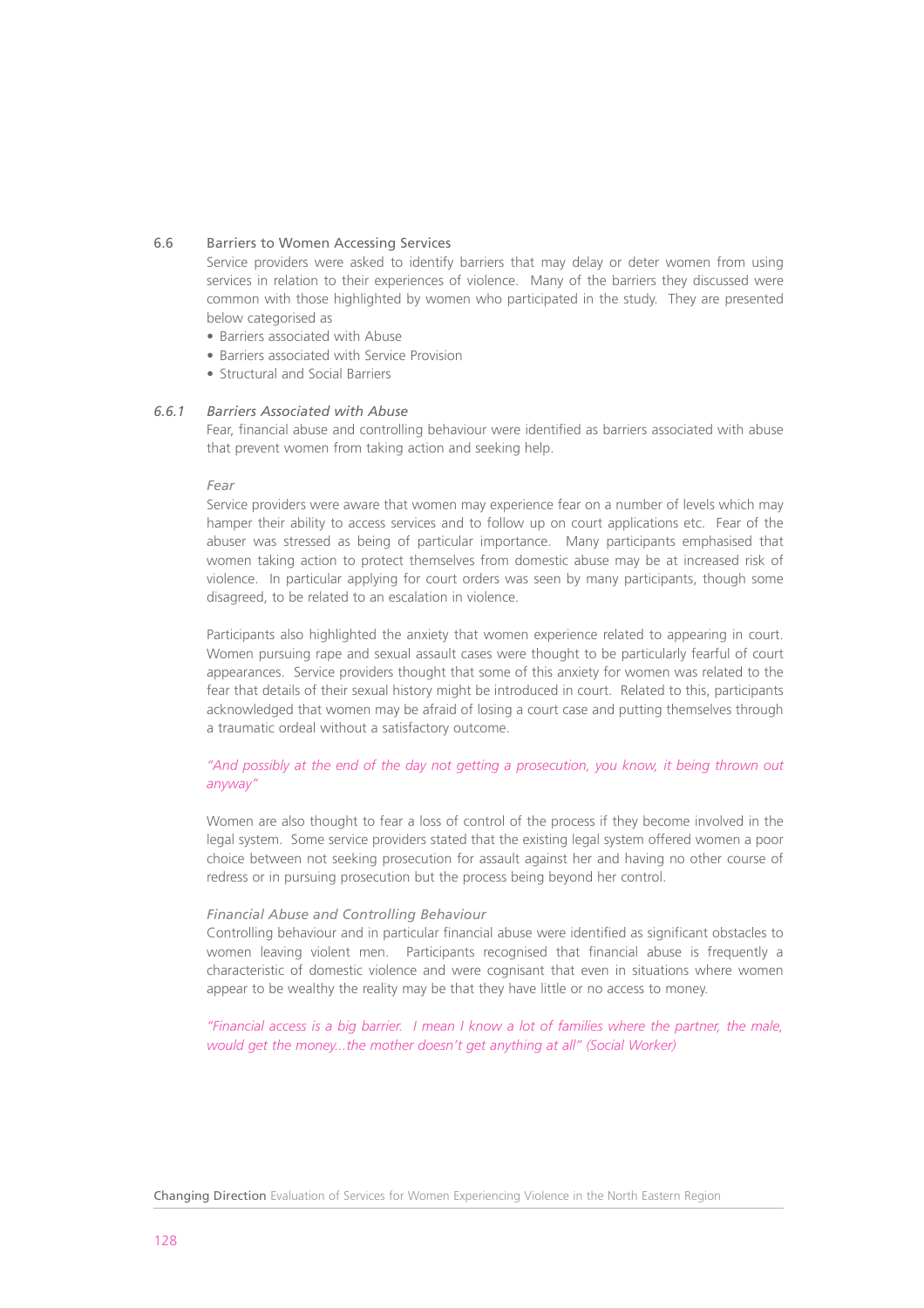#### 6.6 Barriers to Women Accessing Services

Service providers were asked to identify barriers that may delay or deter women from using services in relation to their experiences of violence. Many of the barriers they discussed were common with those highlighted by women who participated in the study. They are presented below categorised as

- Barriers associated with Abuse
- Barriers associated with Service Provision
- Structural and Social Barriers

# *6.6.1 Barriers Associated with Abuse*

Fear, financial abuse and controlling behaviour were identified as barriers associated with abuse that prevent women from taking action and seeking help.

#### *Fear*

Service providers were aware that women may experience fear on a number of levels which may hamper their ability to access services and to follow up on court applications etc. Fear of the abuser was stressed as being of particular importance. Many participants emphasised that women taking action to protect themselves from domestic abuse may be at increased risk of violence. In particular applying for court orders was seen by many participants, though some disagreed, to be related to an escalation in violence.

Participants also highlighted the anxiety that women experience related to appearing in court. Women pursuing rape and sexual assault cases were thought to be particularly fearful of court appearances. Service providers thought that some of this anxiety for women was related to the fear that details of their sexual history might be introduced in court. Related to this, participants acknowledged that women may be afraid of losing a court case and putting themselves through a traumatic ordeal without a satisfactory outcome.

# *"And possibly at the end of the day not getting a prosecution, you know, it being thrown out anyway"*

Women are also thought to fear a loss of control of the process if they become involved in the legal system. Some service providers stated that the existing legal system offered women a poor choice between not seeking prosecution for assault against her and having no other course of redress or in pursuing prosecution but the process being beyond her control.

## *Financial Abuse and Controlling Behaviour*

Controlling behaviour and in particular financial abuse were identified as significant obstacles to women leaving violent men. Participants recognised that financial abuse is frequently a characteristic of domestic violence and were cognisant that even in situations where women appear to be wealthy the reality may be that they have little or no access to money.

*"Financial access is a big barrier. I mean I know a lot of families where the partner, the male, would get the money...the mother doesn't get anything at all" (Social Worker)*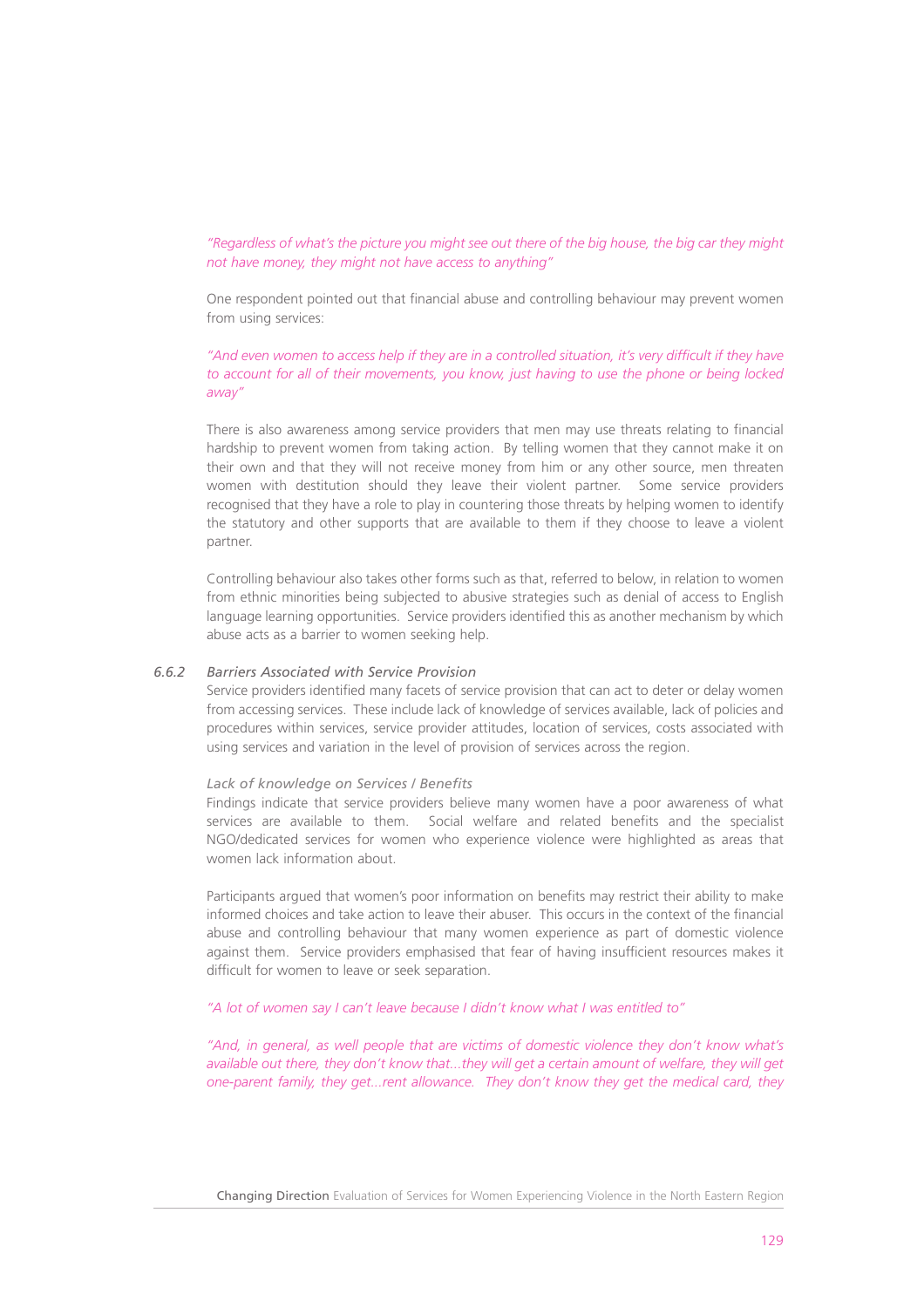*"Regardless of what's the picture you might see out there of the big house, the big car they might not have money, they might not have access to anything"* 

One respondent pointed out that financial abuse and controlling behaviour may prevent women from using services:

*"And even women to access help if they are in a controlled situation, it's very difficult if they have to account for all of their movements, you know, just having to use the phone or being locked away"* 

There is also awareness among service providers that men may use threats relating to financial hardship to prevent women from taking action. By telling women that they cannot make it on their own and that they will not receive money from him or any other source, men threaten women with destitution should they leave their violent partner. Some service providers recognised that they have a role to play in countering those threats by helping women to identify the statutory and other supports that are available to them if they choose to leave a violent partner.

Controlling behaviour also takes other forms such as that, referred to below, in relation to women from ethnic minorities being subjected to abusive strategies such as denial of access to English language learning opportunities. Service providers identified this as another mechanism by which abuse acts as a barrier to women seeking help.

# *6.6.2 Barriers Associated with Service Provision*

Service providers identified many facets of service provision that can act to deter or delay women from accessing services. These include lack of knowledge of services available, lack of policies and procedures within services, service provider attitudes, location of services, costs associated with using services and variation in the level of provision of services across the region.

#### *Lack of knowledge on Services / Benefits*

Findings indicate that service providers believe many women have a poor awareness of what services are available to them. Social welfare and related benefits and the specialist NGO/dedicated services for women who experience violence were highlighted as areas that women lack information about.

Participants argued that women's poor information on benefits may restrict their ability to make informed choices and take action to leave their abuser. This occurs in the context of the financial abuse and controlling behaviour that many women experience as part of domestic violence against them. Service providers emphasised that fear of having insufficient resources makes it difficult for women to leave or seek separation.

#### *"A lot of women say I can't leave because I didn't know what I was entitled to"*

*"And, in general, as well people that are victims of domestic violence they don't know what's available out there, they don't know that...they will get a certain amount of welfare, they will get one-parent family, they get...rent allowance. They don't know they get the medical card, they*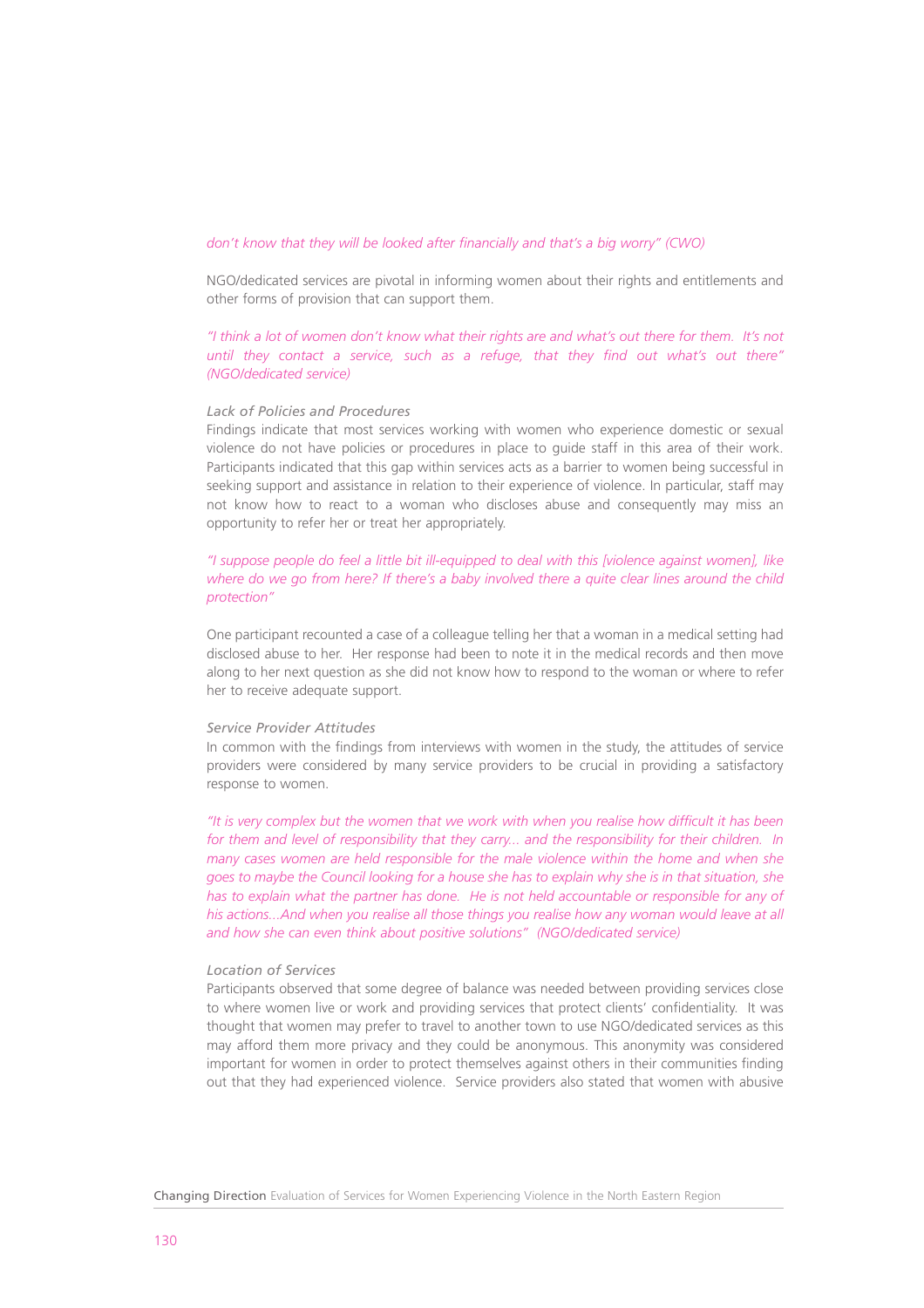#### *don't know that they will be looked after financially and that's a big worry" (CWO)*

NGO/dedicated services are pivotal in informing women about their rights and entitlements and other forms of provision that can support them.

*"I think a lot of women don't know what their rights are and what's out there for them. It's not until they contact a service, such as a refuge, that they find out what's out there" (NGO/dedicated service)*

#### *Lack of Policies and Procedures*

Findings indicate that most services working with women who experience domestic or sexual violence do not have policies or procedures in place to guide staff in this area of their work. Participants indicated that this gap within services acts as a barrier to women being successful in seeking support and assistance in relation to their experience of violence. In particular, staff may not know how to react to a woman who discloses abuse and consequently may miss an opportunity to refer her or treat her appropriately.

# *"I suppose people do feel a little bit ill-equipped to deal with this [violence against women], like where do we go from here? If there's a baby involved there a quite clear lines around the child protection"*

One participant recounted a case of a colleague telling her that a woman in a medical setting had disclosed abuse to her. Her response had been to note it in the medical records and then move along to her next question as she did not know how to respond to the woman or where to refer her to receive adequate support.

#### *Service Provider Attitudes*

In common with the findings from interviews with women in the study, the attitudes of service providers were considered by many service providers to be crucial in providing a satisfactory response to women.

*"It is very complex but the women that we work with when you realise how difficult it has been for them and level of responsibility that they carry... and the responsibility for their children. In many cases women are held responsible for the male violence within the home and when she goes to maybe the Council looking for a house she has to explain why she is in that situation, she has to explain what the partner has done. He is not held accountable or responsible for any of his actions...And when you realise all those things you realise how any woman would leave at all and how she can even think about positive solutions" (NGO/dedicated service)*

#### *Location of Services*

Participants observed that some degree of balance was needed between providing services close to where women live or work and providing services that protect clients' confidentiality. It was thought that women may prefer to travel to another town to use NGO/dedicated services as this may afford them more privacy and they could be anonymous. This anonymity was considered important for women in order to protect themselves against others in their communities finding out that they had experienced violence. Service providers also stated that women with abusive

Changing Direction Evaluation of Services for Women Experiencing Violence in the North Eastern Region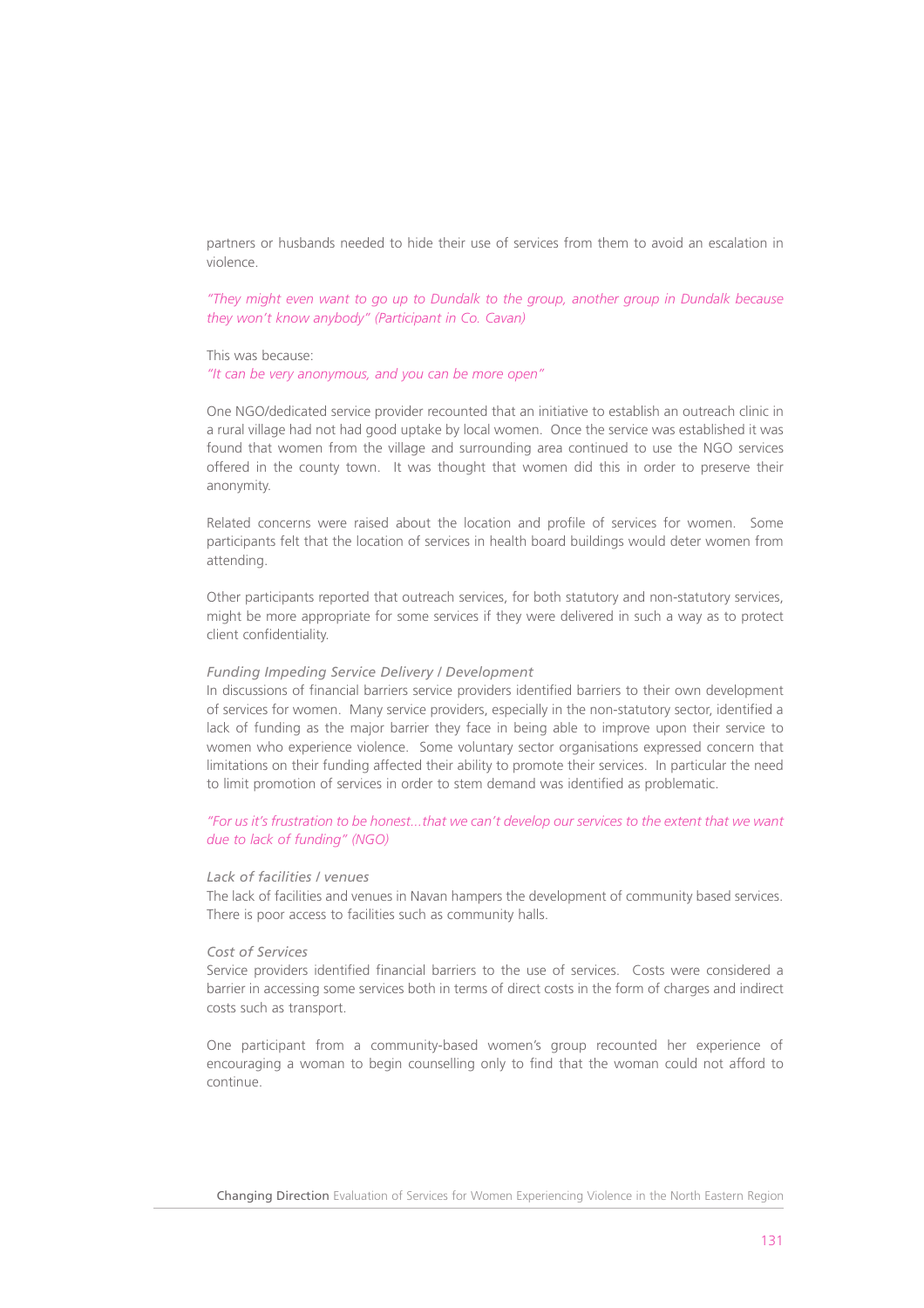partners or husbands needed to hide their use of services from them to avoid an escalation in violence.

*"They might even want to go up to Dundalk to the group, another group in Dundalk because they won't know anybody" (Participant in Co. Cavan)*

This was because:

*"It can be very anonymous, and you can be more open"* 

One NGO/dedicated service provider recounted that an initiative to establish an outreach clinic in a rural village had not had good uptake by local women. Once the service was established it was found that women from the village and surrounding area continued to use the NGO services offered in the county town. It was thought that women did this in order to preserve their anonymity.

Related concerns were raised about the location and profile of services for women. Some participants felt that the location of services in health board buildings would deter women from attending.

Other participants reported that outreach services, for both statutory and non-statutory services, might be more appropriate for some services if they were delivered in such a way as to protect client confidentiality.

#### *Funding Impeding Service Delivery / Development*

In discussions of financial barriers service providers identified barriers to their own development of services for women. Many service providers, especially in the non-statutory sector, identified a lack of funding as the major barrier they face in being able to improve upon their service to women who experience violence. Some voluntary sector organisations expressed concern that limitations on their funding affected their ability to promote their services. In particular the need to limit promotion of services in order to stem demand was identified as problematic.

*"For us it's frustration to be honest...that we can't develop our services to the extent that we want due to lack of funding" (NGO)*

#### *Lack of facilities / venues*

The lack of facilities and venues in Navan hampers the development of community based services. There is poor access to facilities such as community halls.

#### *Cost of Services*

Service providers identified financial barriers to the use of services. Costs were considered a barrier in accessing some services both in terms of direct costs in the form of charges and indirect costs such as transport.

One participant from a community-based women's group recounted her experience of encouraging a woman to begin counselling only to find that the woman could not afford to continue.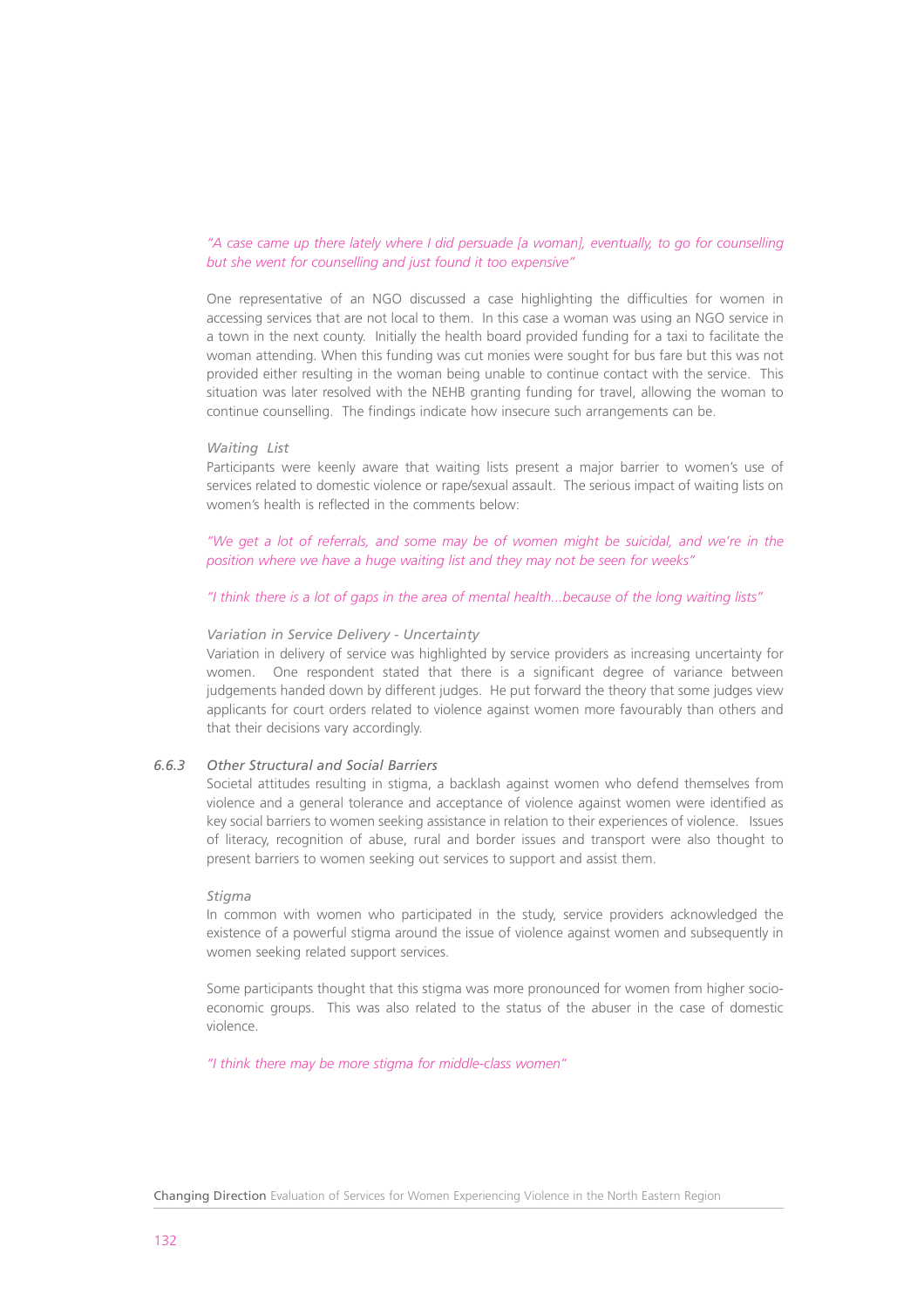## *"A case came up there lately where I did persuade [a woman], eventually, to go for counselling but she went for counselling and just found it too expensive"*

One representative of an NGO discussed a case highlighting the difficulties for women in accessing services that are not local to them. In this case a woman was using an NGO service in a town in the next county. Initially the health board provided funding for a taxi to facilitate the woman attending. When this funding was cut monies were sought for bus fare but this was not provided either resulting in the woman being unable to continue contact with the service. This situation was later resolved with the NEHB granting funding for travel, allowing the woman to continue counselling. The findings indicate how insecure such arrangements can be.

#### *Waiting List*

Participants were keenly aware that waiting lists present a major barrier to women's use of services related to domestic violence or rape/sexual assault. The serious impact of waiting lists on women's health is reflected in the comments below:

*"We get a lot of referrals, and some may be of women might be suicidal, and we're in the position where we have a huge waiting list and they may not be seen for weeks"*

#### *"I think there is a lot of gaps in the area of mental health...because of the long waiting lists"*

#### *Variation in Service Delivery - Uncertainty*

Variation in delivery of service was highlighted by service providers as increasing uncertainty for women. One respondent stated that there is a significant degree of variance between judgements handed down by different judges. He put forward the theory that some judges view applicants for court orders related to violence against women more favourably than others and that their decisions vary accordingly.

# *6.6.3 Other Structural and Social Barriers*

Societal attitudes resulting in stigma, a backlash against women who defend themselves from violence and a general tolerance and acceptance of violence against women were identified as key social barriers to women seeking assistance in relation to their experiences of violence. Issues of literacy, recognition of abuse, rural and border issues and transport were also thought to present barriers to women seeking out services to support and assist them.

#### *Stigma*

In common with women who participated in the study, service providers acknowledged the existence of a powerful stigma around the issue of violence against women and subsequently in women seeking related support services.

Some participants thought that this stigma was more pronounced for women from higher socioeconomic groups. This was also related to the status of the abuser in the case of domestic violence.

*"I think there may be more stigma for middle-class women"*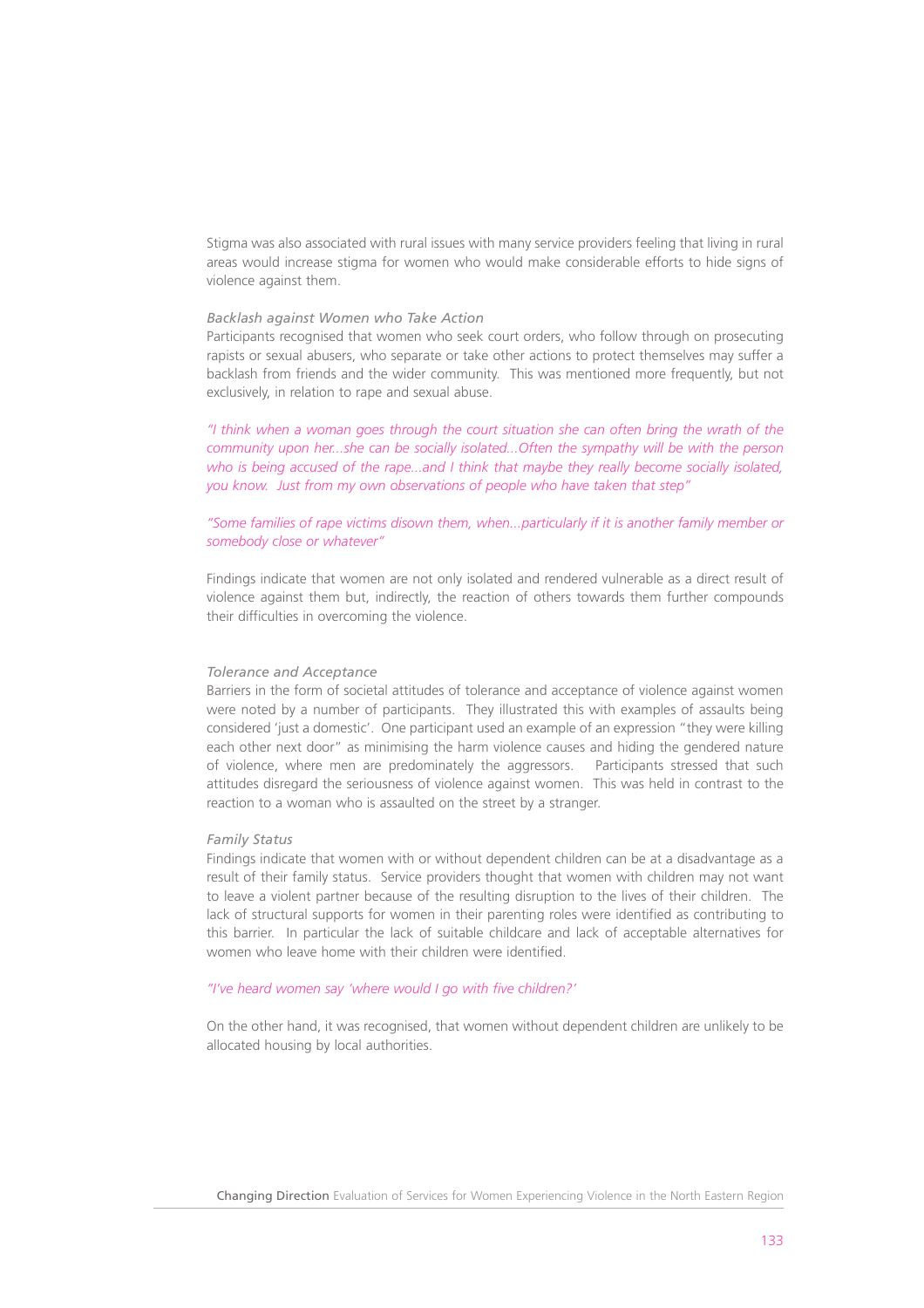Stigma was also associated with rural issues with many service providers feeling that living in rural areas would increase stigma for women who would make considerable efforts to hide signs of violence against them.

#### *Backlash against Women who Take Action*

Participants recognised that women who seek court orders, who follow through on prosecuting rapists or sexual abusers, who separate or take other actions to protect themselves may suffer a backlash from friends and the wider community. This was mentioned more frequently, but not exclusively, in relation to rape and sexual abuse.

*"I think when a woman goes through the court situation she can often bring the wrath of the community upon her...she can be socially isolated...Often the sympathy will be with the person who is being accused of the rape...and I think that maybe they really become socially isolated, you know. Just from my own observations of people who have taken that step"* 

# *"Some families of rape victims disown them, when...particularly if it is another family member or somebody close or whatever"*

Findings indicate that women are not only isolated and rendered vulnerable as a direct result of violence against them but, indirectly, the reaction of others towards them further compounds their difficulties in overcoming the violence.

#### *Tolerance and Acceptance*

Barriers in the form of societal attitudes of tolerance and acceptance of violence against women were noted by a number of participants. They illustrated this with examples of assaults being considered 'just a domestic'. One participant used an example of an expression "they were killing each other next door" as minimising the harm violence causes and hiding the gendered nature of violence, where men are predominately the aggressors. Participants stressed that such attitudes disregard the seriousness of violence against women. This was held in contrast to the reaction to a woman who is assaulted on the street by a stranger.

#### *Family Status*

Findings indicate that women with or without dependent children can be at a disadvantage as a result of their family status. Service providers thought that women with children may not want to leave a violent partner because of the resulting disruption to the lives of their children. The lack of structural supports for women in their parenting roles were identified as contributing to this barrier. In particular the lack of suitable childcare and lack of acceptable alternatives for women who leave home with their children were identified.

#### *"I've heard women say 'where would I go with five children?'*

On the other hand, it was recognised, that women without dependent children are unlikely to be allocated housing by local authorities.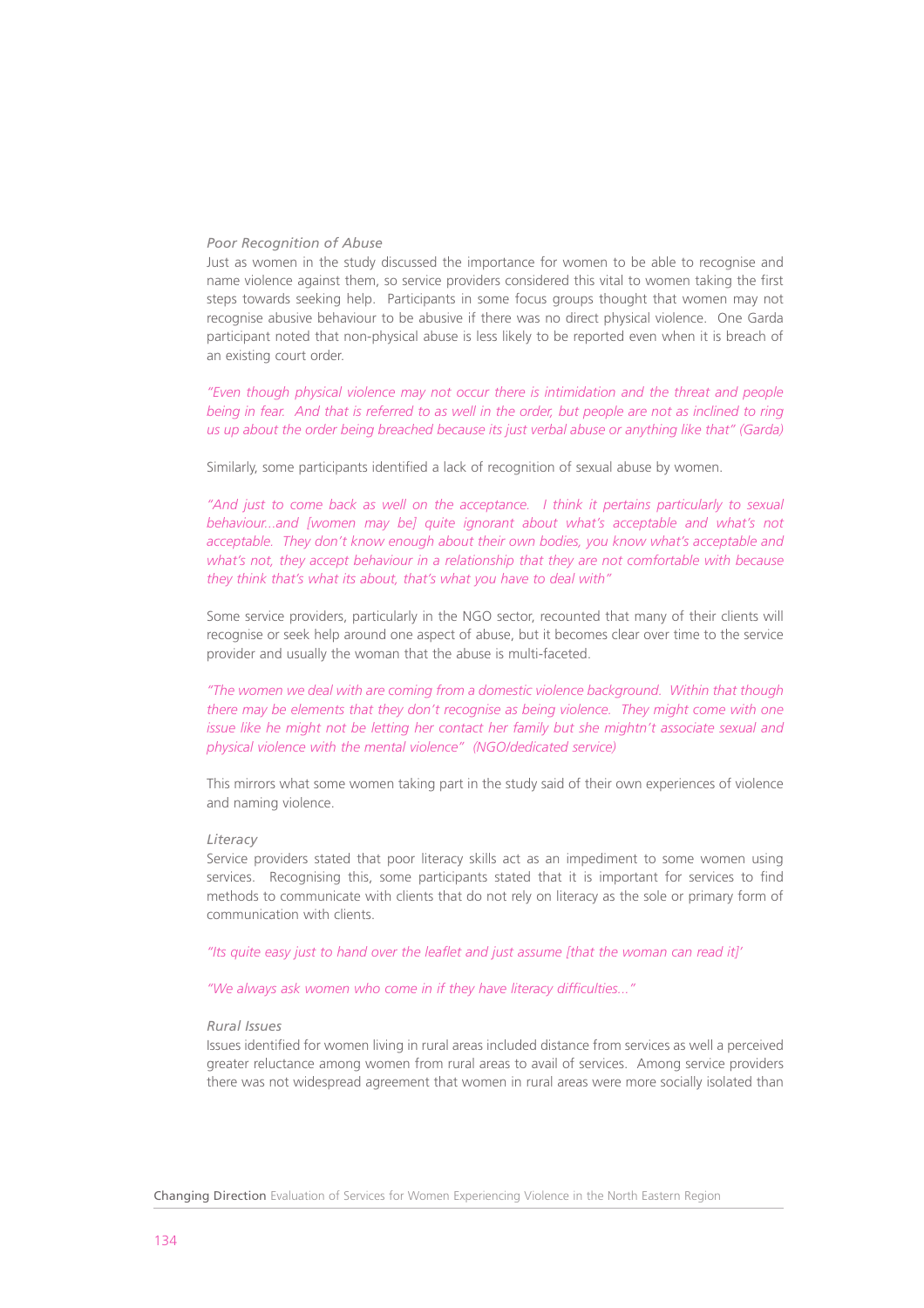#### *Poor Recognition of Abuse*

Just as women in the study discussed the importance for women to be able to recognise and name violence against them, so service providers considered this vital to women taking the first steps towards seeking help. Participants in some focus groups thought that women may not recognise abusive behaviour to be abusive if there was no direct physical violence. One Garda participant noted that non-physical abuse is less likely to be reported even when it is breach of an existing court order.

*"Even though physical violence may not occur there is intimidation and the threat and people being in fear. And that is referred to as well in the order, but people are not as inclined to ring us up about the order being breached because its just verbal abuse or anything like that" (Garda)*

Similarly, some participants identified a lack of recognition of sexual abuse by women.

*"And just to come back as well on the acceptance. I think it pertains particularly to sexual behaviour...and [women may be] quite ignorant about what's acceptable and what's not acceptable. They don't know enough about their own bodies, you know what's acceptable and what's not, they accept behaviour in a relationship that they are not comfortable with because they think that's what its about, that's what you have to deal with"* 

Some service providers, particularly in the NGO sector, recounted that many of their clients will recognise or seek help around one aspect of abuse, but it becomes clear over time to the service provider and usually the woman that the abuse is multi-faceted.

*"The women we deal with are coming from a domestic violence background. Within that though there may be elements that they don't recognise as being violence. They might come with one issue like he might not be letting her contact her family but she mightn't associate sexual and physical violence with the mental violence" (NGO/dedicated service)*

This mirrors what some women taking part in the study said of their own experiences of violence and naming violence.

#### *Literacy*

Service providers stated that poor literacy skills act as an impediment to some women using services. Recognising this, some participants stated that it is important for services to find methods to communicate with clients that do not rely on literacy as the sole or primary form of communication with clients.

*"Its quite easy just to hand over the leaflet and just assume [that the woman can read it]'*

*"We always ask women who come in if they have literacy difficulties..."* 

#### *Rural Issues*

Issues identified for women living in rural areas included distance from services as well a perceived greater reluctance among women from rural areas to avail of services. Among service providers there was not widespread agreement that women in rural areas were more socially isolated than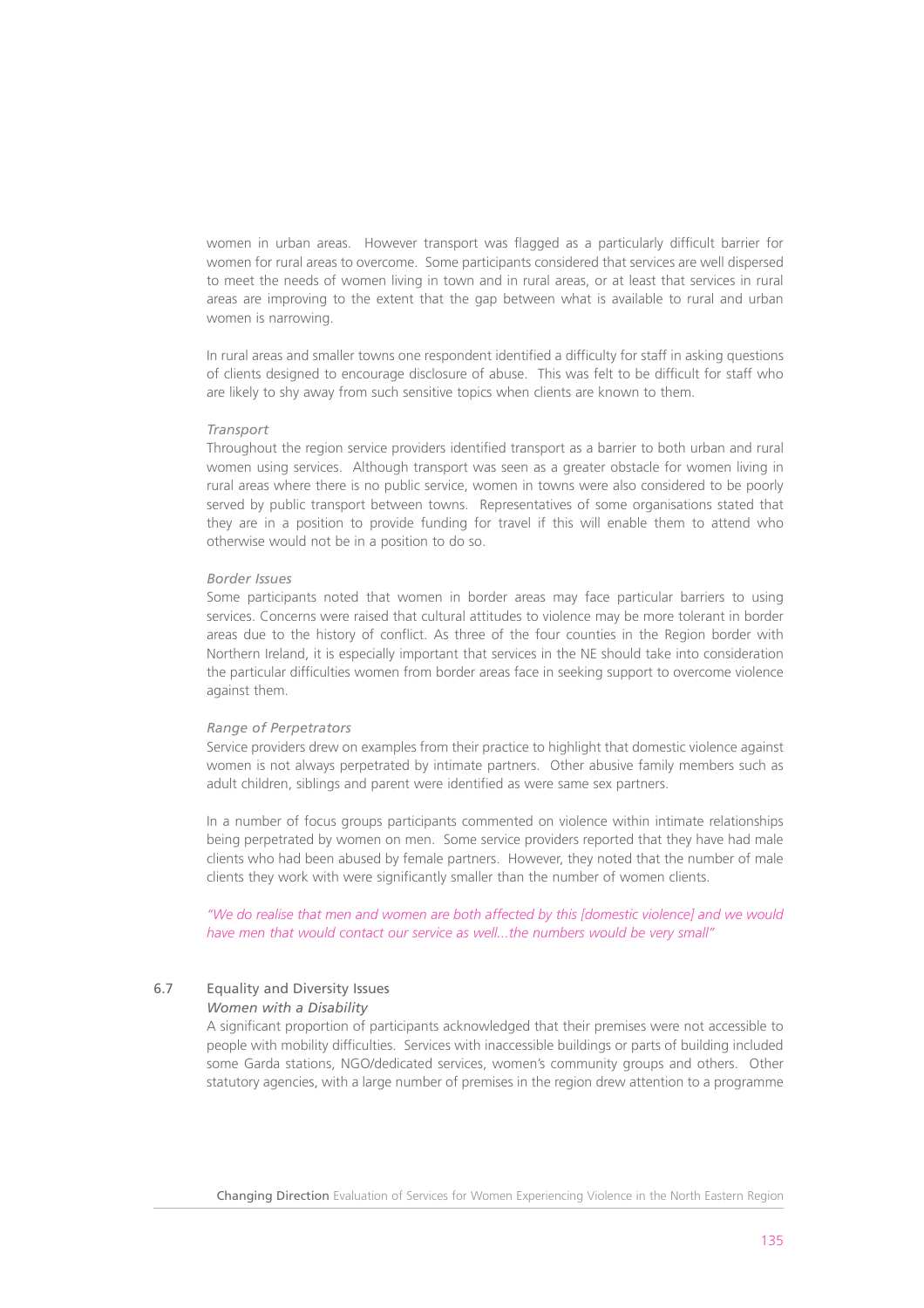women in urban areas. However transport was flagged as a particularly difficult barrier for women for rural areas to overcome. Some participants considered that services are well dispersed to meet the needs of women living in town and in rural areas, or at least that services in rural areas are improving to the extent that the gap between what is available to rural and urban women is narrowing.

In rural areas and smaller towns one respondent identified a difficulty for staff in asking questions of clients designed to encourage disclosure of abuse. This was felt to be difficult for staff who are likely to shy away from such sensitive topics when clients are known to them.

#### *Transport*

Throughout the region service providers identified transport as a barrier to both urban and rural women using services. Although transport was seen as a greater obstacle for women living in rural areas where there is no public service, women in towns were also considered to be poorly served by public transport between towns. Representatives of some organisations stated that they are in a position to provide funding for travel if this will enable them to attend who otherwise would not be in a position to do so.

# *Border Issues*

Some participants noted that women in border areas may face particular barriers to using services. Concerns were raised that cultural attitudes to violence may be more tolerant in border areas due to the history of conflict. As three of the four counties in the Region border with Northern Ireland, it is especially important that services in the NE should take into consideration the particular difficulties women from border areas face in seeking support to overcome violence against them.

#### *Range of Perpetrators*

Service providers drew on examples from their practice to highlight that domestic violence against women is not always perpetrated by intimate partners. Other abusive family members such as adult children, siblings and parent were identified as were same sex partners.

In a number of focus groups participants commented on violence within intimate relationships being perpetrated by women on men. Some service providers reported that they have had male clients who had been abused by female partners. However, they noted that the number of male clients they work with were significantly smaller than the number of women clients.

*"We do realise that men and women are both affected by this [domestic violence] and we would have men that would contact our service as well...the numbers would be very small"*

# 6.7 Equality and Diversity Issues

# *Women with a Disability*

A significant proportion of participants acknowledged that their premises were not accessible to people with mobility difficulties. Services with inaccessible buildings or parts of building included some Garda stations, NGO/dedicated services, women's community groups and others. Other statutory agencies, with a large number of premises in the region drew attention to a programme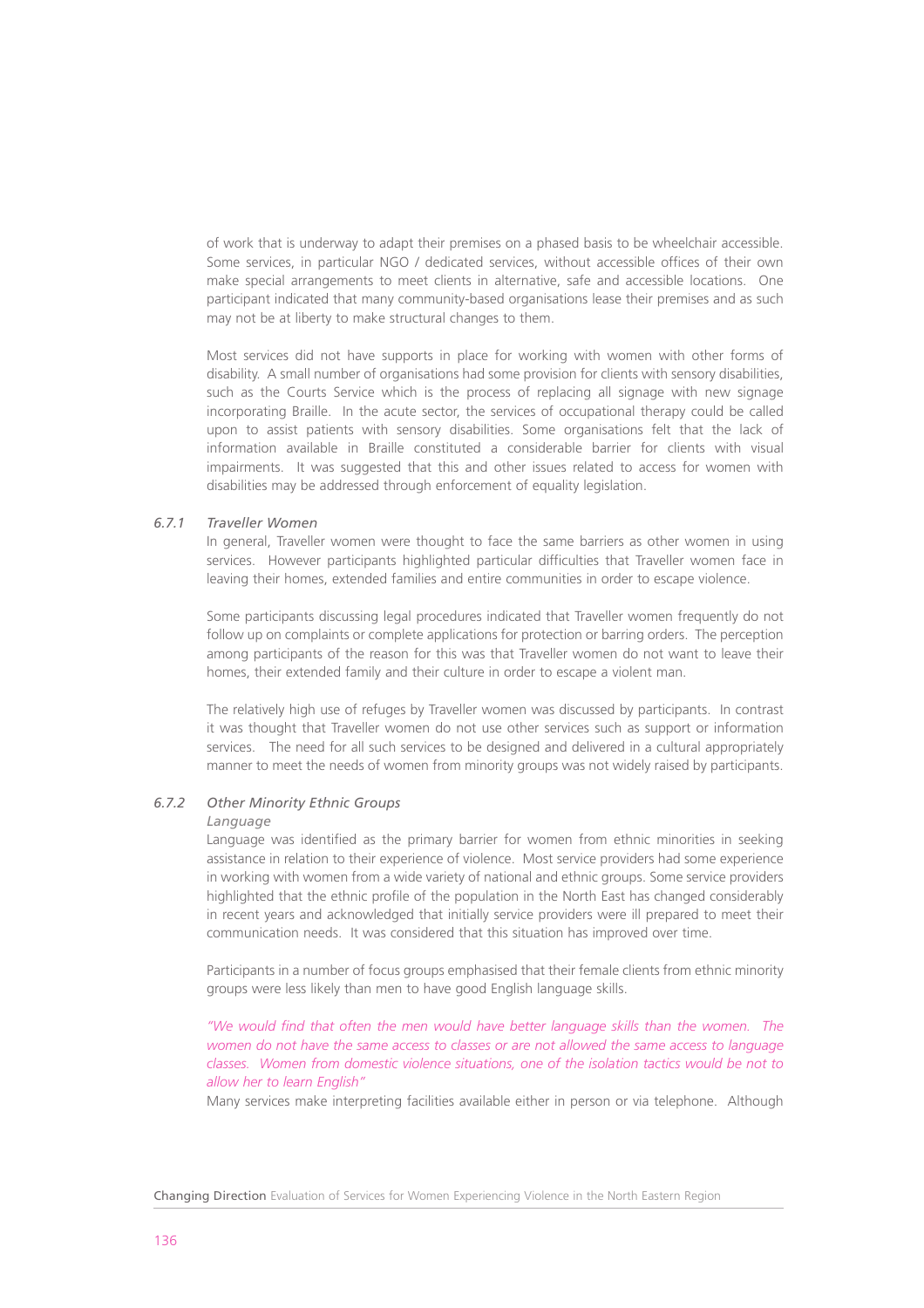of work that is underway to adapt their premises on a phased basis to be wheelchair accessible. Some services, in particular NGO / dedicated services, without accessible offices of their own make special arrangements to meet clients in alternative, safe and accessible locations. One participant indicated that many community-based organisations lease their premises and as such may not be at liberty to make structural changes to them.

Most services did not have supports in place for working with women with other forms of disability. A small number of organisations had some provision for clients with sensory disabilities, such as the Courts Service which is the process of replacing all signage with new signage incorporating Braille. In the acute sector, the services of occupational therapy could be called upon to assist patients with sensory disabilities. Some organisations felt that the lack of information available in Braille constituted a considerable barrier for clients with visual impairments. It was suggested that this and other issues related to access for women with disabilities may be addressed through enforcement of equality legislation.

# *6.7.1 Traveller Women*

In general, Traveller women were thought to face the same barriers as other women in using services. However participants highlighted particular difficulties that Traveller women face in leaving their homes, extended families and entire communities in order to escape violence.

Some participants discussing legal procedures indicated that Traveller women frequently do not follow up on complaints or complete applications for protection or barring orders. The perception among participants of the reason for this was that Traveller women do not want to leave their homes, their extended family and their culture in order to escape a violent man.

The relatively high use of refuges by Traveller women was discussed by participants. In contrast it was thought that Traveller women do not use other services such as support or information services. The need for all such services to be designed and delivered in a cultural appropriately manner to meet the needs of women from minority groups was not widely raised by participants.

# *6.7.2 Other Minority Ethnic Groups*

#### *Language*

Language was identified as the primary barrier for women from ethnic minorities in seeking assistance in relation to their experience of violence. Most service providers had some experience in working with women from a wide variety of national and ethnic groups. Some service providers highlighted that the ethnic profile of the population in the North East has changed considerably in recent years and acknowledged that initially service providers were ill prepared to meet their communication needs. It was considered that this situation has improved over time.

Participants in a number of focus groups emphasised that their female clients from ethnic minority groups were less likely than men to have good English language skills.

*"We would find that often the men would have better language skills than the women. The women do not have the same access to classes or are not allowed the same access to language classes. Women from domestic violence situations, one of the isolation tactics would be not to allow her to learn English"* 

Many services make interpreting facilities available either in person or via telephone. Although

Changing Direction Evaluation of Services for Women Experiencing Violence in the North Eastern Region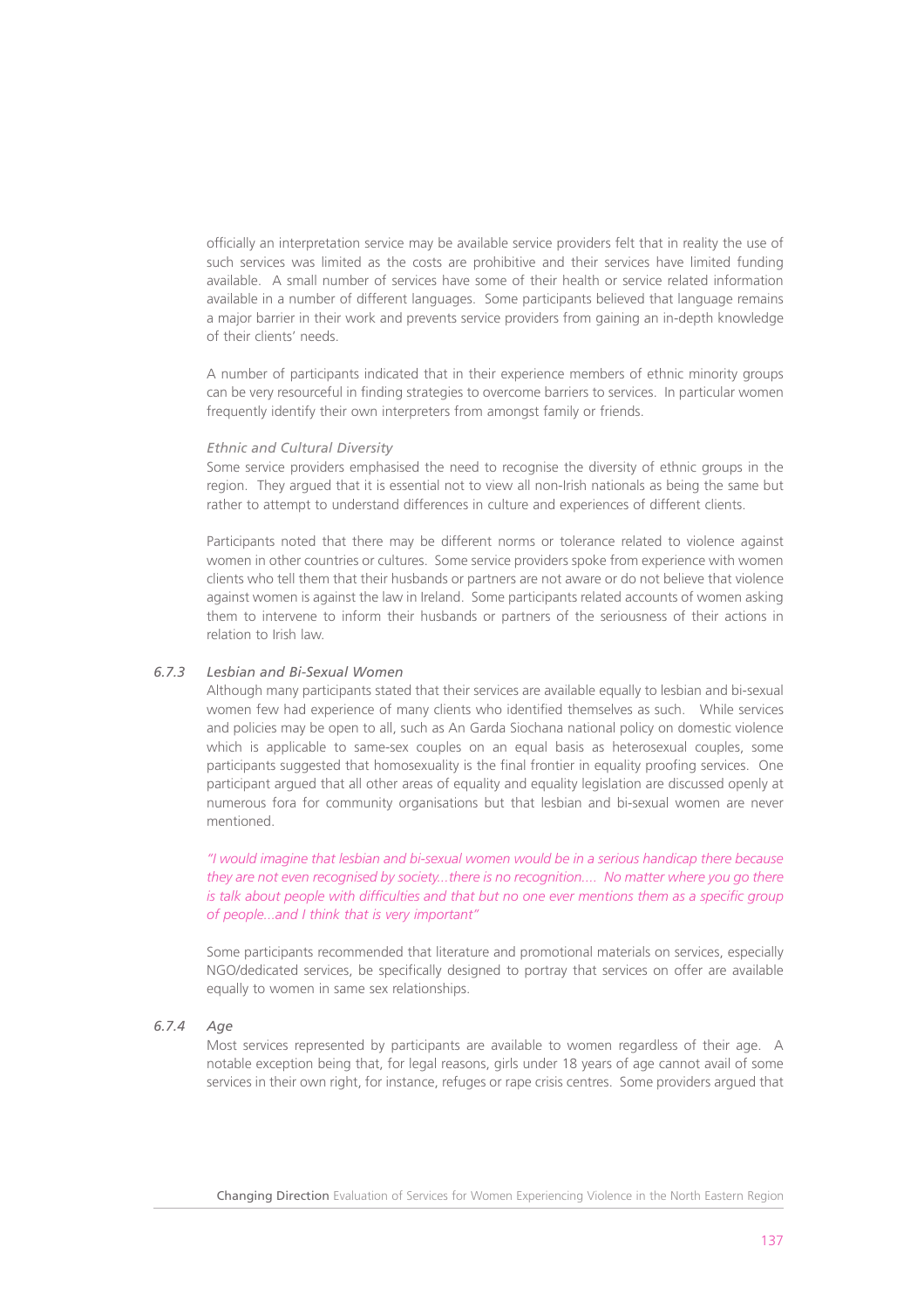officially an interpretation service may be available service providers felt that in reality the use of such services was limited as the costs are prohibitive and their services have limited funding available. A small number of services have some of their health or service related information available in a number of different languages. Some participants believed that language remains a major barrier in their work and prevents service providers from gaining an in-depth knowledge of their clients' needs.

A number of participants indicated that in their experience members of ethnic minority groups can be very resourceful in finding strategies to overcome barriers to services. In particular women frequently identify their own interpreters from amongst family or friends.

#### *Ethnic and Cultural Diversity*

Some service providers emphasised the need to recognise the diversity of ethnic groups in the region. They argued that it is essential not to view all non-Irish nationals as being the same but rather to attempt to understand differences in culture and experiences of different clients.

Participants noted that there may be different norms or tolerance related to violence against women in other countries or cultures. Some service providers spoke from experience with women clients who tell them that their husbands or partners are not aware or do not believe that violence against women is against the law in Ireland. Some participants related accounts of women asking them to intervene to inform their husbands or partners of the seriousness of their actions in relation to Irish law.

# *6.7.3 Lesbian and Bi-Sexual Women*

Although many participants stated that their services are available equally to lesbian and bi-sexual women few had experience of many clients who identified themselves as such. While services and policies may be open to all, such as An Garda Siochana national policy on domestic violence which is applicable to same-sex couples on an equal basis as heterosexual couples, some participants suggested that homosexuality is the final frontier in equality proofing services. One participant argued that all other areas of equality and equality legislation are discussed openly at numerous fora for community organisations but that lesbian and bi-sexual women are never mentioned.

*"I would imagine that lesbian and bi-sexual women would be in a serious handicap there because they are not even recognised by society...there is no recognition.... No matter where you go there is talk about people with difficulties and that but no one ever mentions them as a specific group of people...and I think that is very important"*

Some participants recommended that literature and promotional materials on services, especially NGO/dedicated services, be specifically designed to portray that services on offer are available equally to women in same sex relationships.

# *6.7.4 Age*

Most services represented by participants are available to women regardless of their age. A notable exception being that, for legal reasons, girls under 18 years of age cannot avail of some services in their own right, for instance, refuges or rape crisis centres. Some providers argued that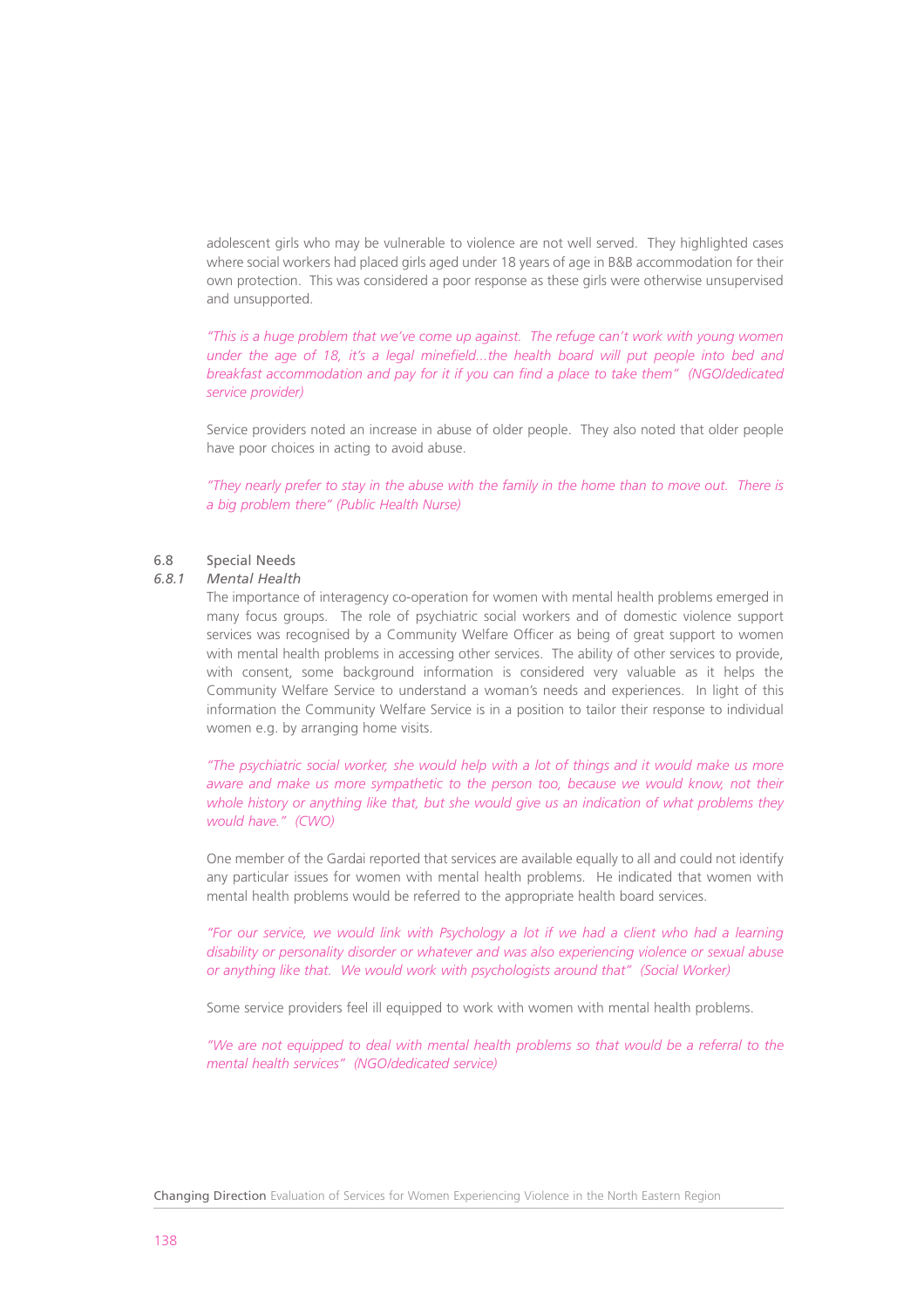adolescent girls who may be vulnerable to violence are not well served. They highlighted cases where social workers had placed girls aged under 18 years of age in B&B accommodation for their own protection. This was considered a poor response as these girls were otherwise unsupervised and unsupported.

*"This is a huge problem that we've come up against. The refuge can't work with young women under the age of 18, it's a legal minefield...the health board will put people into bed and breakfast accommodation and pay for it if you can find a place to take them" (NGO/dedicated service provider)*

Service providers noted an increase in abuse of older people. They also noted that older people have poor choices in acting to avoid abuse.

*"They nearly prefer to stay in the abuse with the family in the home than to move out. There is a big problem there" (Public Health Nurse)*

#### 6.8 Special Needs

#### *6.8.1 Mental Health*

The importance of interagency co-operation for women with mental health problems emerged in many focus groups. The role of psychiatric social workers and of domestic violence support services was recognised by a Community Welfare Officer as being of great support to women with mental health problems in accessing other services. The ability of other services to provide, with consent, some background information is considered very valuable as it helps the Community Welfare Service to understand a woman's needs and experiences. In light of this information the Community Welfare Service is in a position to tailor their response to individual women e.g. by arranging home visits.

*"The psychiatric social worker, she would help with a lot of things and it would make us more aware and make us more sympathetic to the person too, because we would know, not their whole history or anything like that, but she would give us an indication of what problems they would have." (CWO)*

One member of the Gardai reported that services are available equally to all and could not identify any particular issues for women with mental health problems. He indicated that women with mental health problems would be referred to the appropriate health board services.

*"For our service, we would link with Psychology a lot if we had a client who had a learning disability or personality disorder or whatever and was also experiencing violence or sexual abuse or anything like that. We would work with psychologists around that" (Social Worker)*

Some service providers feel ill equipped to work with women with mental health problems.

*"We are not equipped to deal with mental health problems so that would be a referral to the mental health services" (NGO/dedicated service)*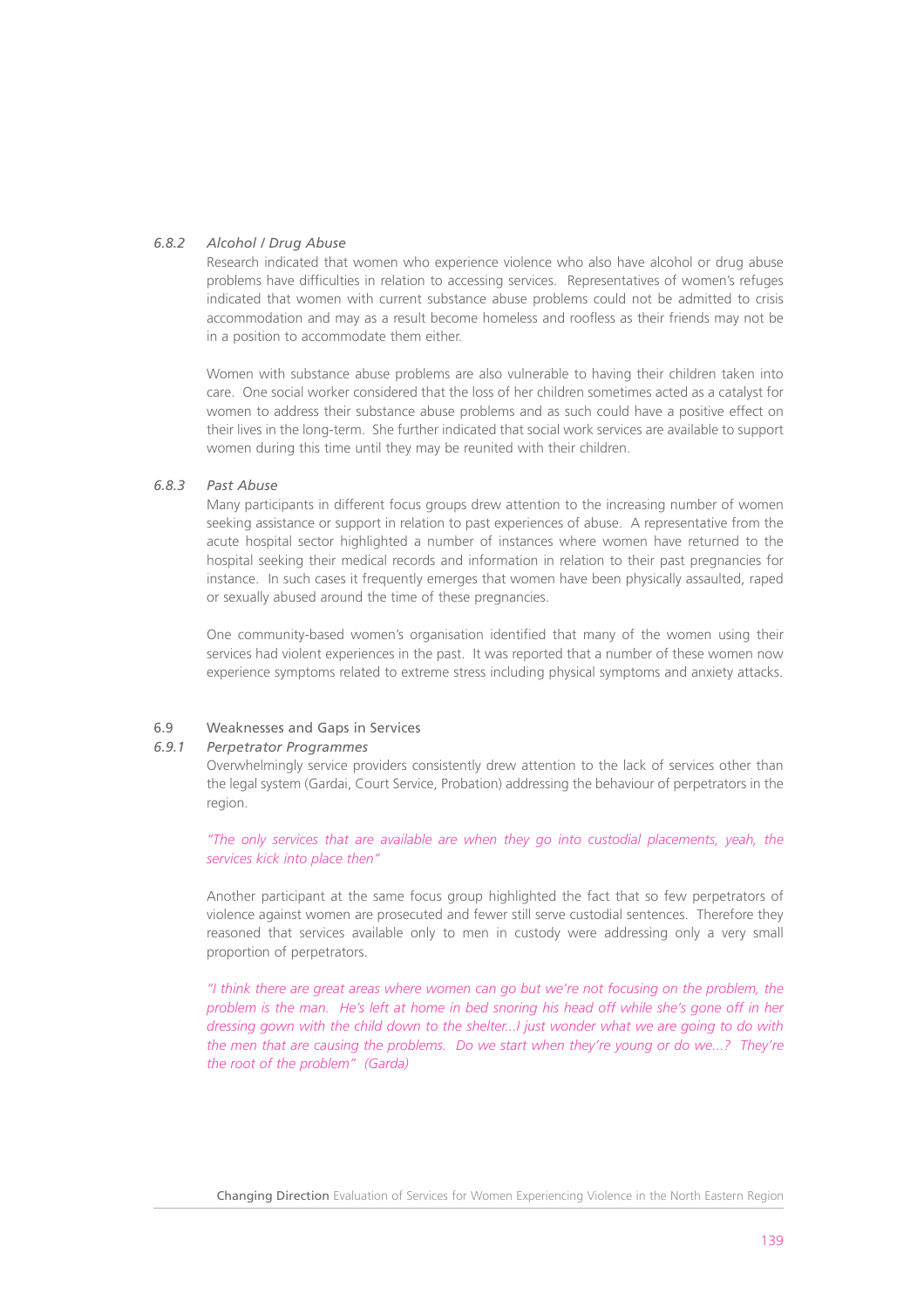# *6.8.2 Alcohol / Drug Abuse*

Research indicated that women who experience violence who also have alcohol or drug abuse problems have difficulties in relation to accessing services. Representatives of women's refuges indicated that women with current substance abuse problems could not be admitted to crisis accommodation and may as a result become homeless and roofless as their friends may not be in a position to accommodate them either.

Women with substance abuse problems are also vulnerable to having their children taken into care. One social worker considered that the loss of her children sometimes acted as a catalyst for women to address their substance abuse problems and as such could have a positive effect on their lives in the long-term. She further indicated that social work services are available to support women during this time until they may be reunited with their children.

# *6.8.3 Past Abuse*

Many participants in different focus groups drew attention to the increasing number of women seeking assistance or support in relation to past experiences of abuse. A representative from the acute hospital sector highlighted a number of instances where women have returned to the hospital seeking their medical records and information in relation to their past pregnancies for instance. In such cases it frequently emerges that women have been physically assaulted, raped or sexually abused around the time of these pregnancies.

One community-based women's organisation identified that many of the women using their services had violent experiences in the past. It was reported that a number of these women now experience symptoms related to extreme stress including physical symptoms and anxiety attacks.

# 6.9 Weaknesses and Gaps in Services

# *6.9.1 Perpetrator Programmes*

Overwhelmingly service providers consistently drew attention to the lack of services other than the legal system (Gardai, Court Service, Probation) addressing the behaviour of perpetrators in the region.

*"The only services that are available are when they go into custodial placements, yeah, the services kick into place then"*

Another participant at the same focus group highlighted the fact that so few perpetrators of violence against women are prosecuted and fewer still serve custodial sentences. Therefore they reasoned that services available only to men in custody were addressing only a very small proportion of perpetrators.

*"I think there are great areas where women can go but we're not focusing on the problem, the problem is the man. He's left at home in bed snoring his head off while she's gone off in her dressing gown with the child down to the shelter...I just wonder what we are going to do with the men that are causing the problems. Do we start when they're young or do we...? They're the root of the problem" (Garda)*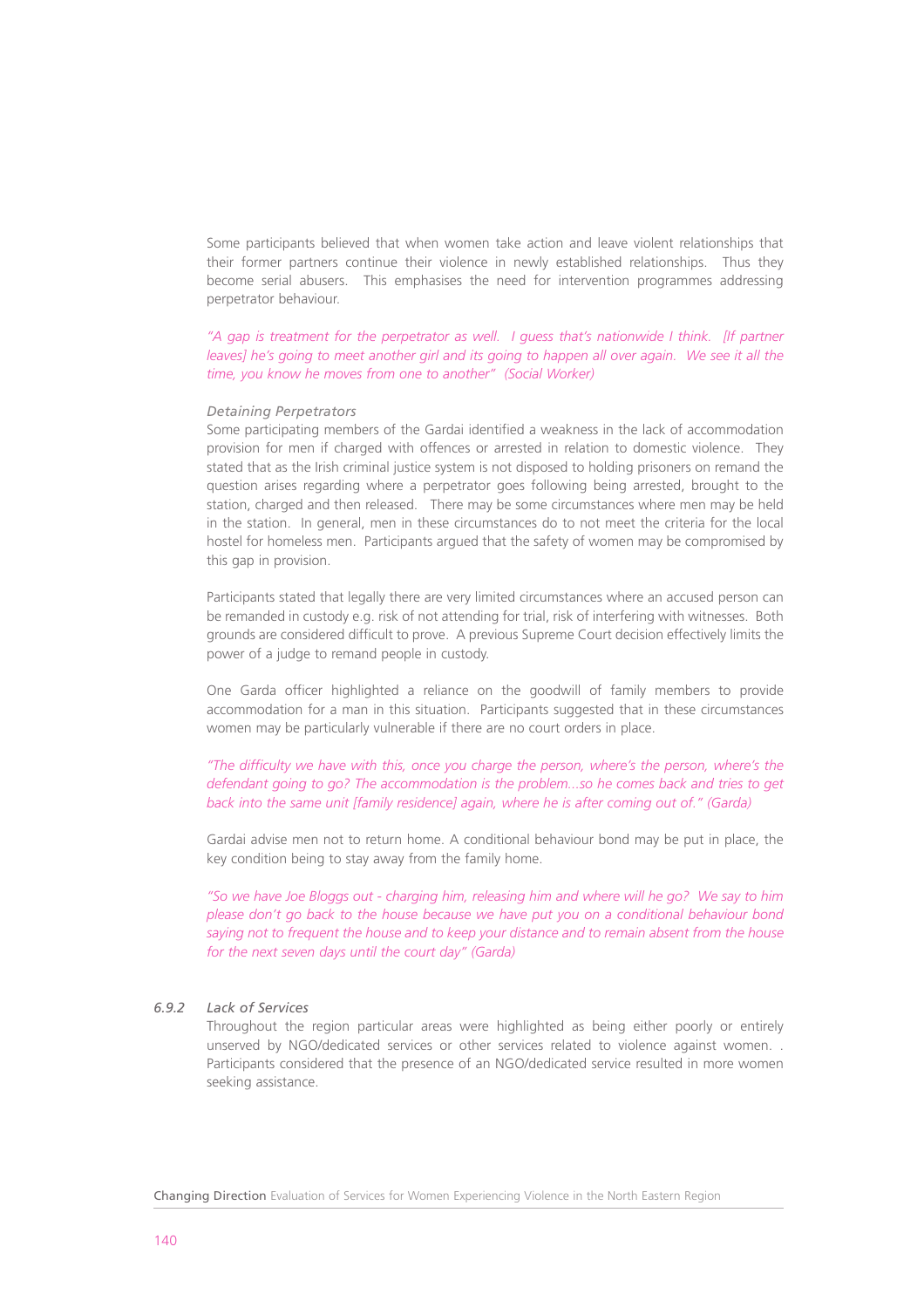Some participants believed that when women take action and leave violent relationships that their former partners continue their violence in newly established relationships. Thus they become serial abusers. This emphasises the need for intervention programmes addressing perpetrator behaviour.

*"A gap is treatment for the perpetrator as well. I guess that's nationwide I think. [If partner leaves] he's going to meet another girl and its going to happen all over again. We see it all the time, you know he moves from one to another" (Social Worker)*

#### *Detaining Perpetrators*

Some participating members of the Gardai identified a weakness in the lack of accommodation provision for men if charged with offences or arrested in relation to domestic violence. They stated that as the Irish criminal justice system is not disposed to holding prisoners on remand the question arises regarding where a perpetrator goes following being arrested, brought to the station, charged and then released. There may be some circumstances where men may be held in the station. In general, men in these circumstances do to not meet the criteria for the local hostel for homeless men. Participants argued that the safety of women may be compromised by this gap in provision.

Participants stated that legally there are very limited circumstances where an accused person can be remanded in custody e.g. risk of not attending for trial, risk of interfering with witnesses. Both grounds are considered difficult to prove. A previous Supreme Court decision effectively limits the power of a judge to remand people in custody.

One Garda officer highlighted a reliance on the goodwill of family members to provide accommodation for a man in this situation. Participants suggested that in these circumstances women may be particularly vulnerable if there are no court orders in place.

*"The difficulty we have with this, once you charge the person, where's the person, where's the defendant going to go? The accommodation is the problem...so he comes back and tries to get back into the same unit [family residence] again, where he is after coming out of." (Garda)*

Gardai advise men not to return home. A conditional behaviour bond may be put in place, the key condition being to stay away from the family home.

*"So we have Joe Bloggs out - charging him, releasing him and where will he go? We say to him please don't go back to the house because we have put you on a conditional behaviour bond saying not to frequent the house and to keep your distance and to remain absent from the house for the next seven days until the court day" (Garda)*

#### *6.9.2 Lack of Services*

Throughout the region particular areas were highlighted as being either poorly or entirely unserved by NGO/dedicated services or other services related to violence against women. . Participants considered that the presence of an NGO/dedicated service resulted in more women seeking assistance.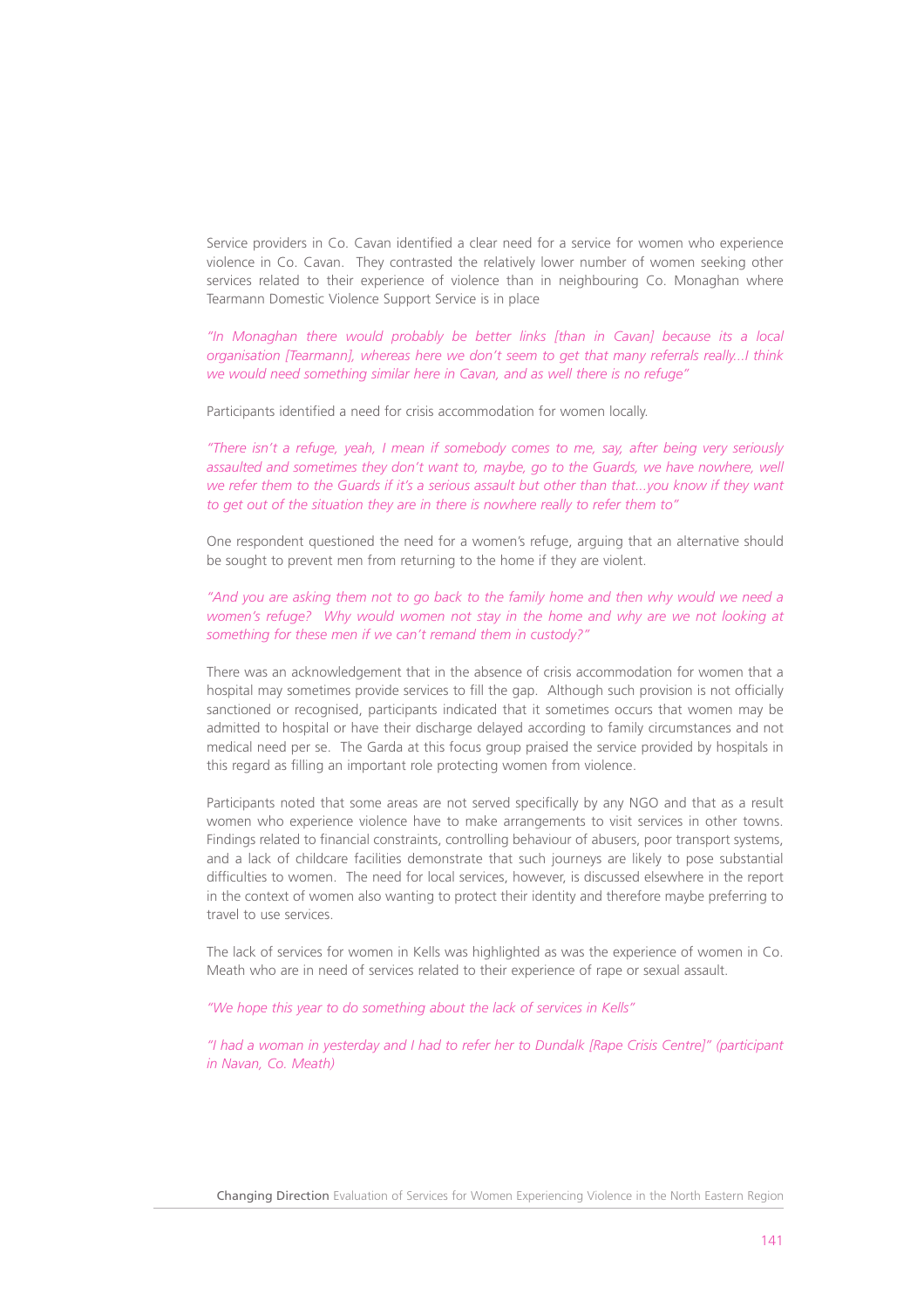Service providers in Co. Cavan identified a clear need for a service for women who experience violence in Co. Cavan. They contrasted the relatively lower number of women seeking other services related to their experience of violence than in neighbouring Co. Monaghan where Tearmann Domestic Violence Support Service is in place

*"In Monaghan there would probably be better links [than in Cavan] because its a local organisation [Tearmann], whereas here we don't seem to get that many referrals really...I think we would need something similar here in Cavan, and as well there is no refuge"*

Participants identified a need for crisis accommodation for women locally.

*"There isn't a refuge, yeah, I mean if somebody comes to me, say, after being very seriously assaulted and sometimes they don't want to, maybe, go to the Guards, we have nowhere, well we refer them to the Guards if it's a serious assault but other than that...you know if they want to get out of the situation they are in there is nowhere really to refer them to"* 

One respondent questioned the need for a women's refuge, arguing that an alternative should be sought to prevent men from returning to the home if they are violent.

*"And you are asking them not to go back to the family home and then why would we need a women's refuge? Why would women not stay in the home and why are we not looking at something for these men if we can't remand them in custody?"*

There was an acknowledgement that in the absence of crisis accommodation for women that a hospital may sometimes provide services to fill the gap. Although such provision is not officially sanctioned or recognised, participants indicated that it sometimes occurs that women may be admitted to hospital or have their discharge delayed according to family circumstances and not medical need per se. The Garda at this focus group praised the service provided by hospitals in this regard as filling an important role protecting women from violence.

Participants noted that some areas are not served specifically by any NGO and that as a result women who experience violence have to make arrangements to visit services in other towns. Findings related to financial constraints, controlling behaviour of abusers, poor transport systems, and a lack of childcare facilities demonstrate that such journeys are likely to pose substantial difficulties to women. The need for local services, however, is discussed elsewhere in the report in the context of women also wanting to protect their identity and therefore maybe preferring to travel to use services.

The lack of services for women in Kells was highlighted as was the experience of women in Co. Meath who are in need of services related to their experience of rape or sexual assault.

*"We hope this year to do something about the lack of services in Kells"* 

*"I had a woman in yesterday and I had to refer her to Dundalk [Rape Crisis Centre]" (participant in Navan, Co. Meath)*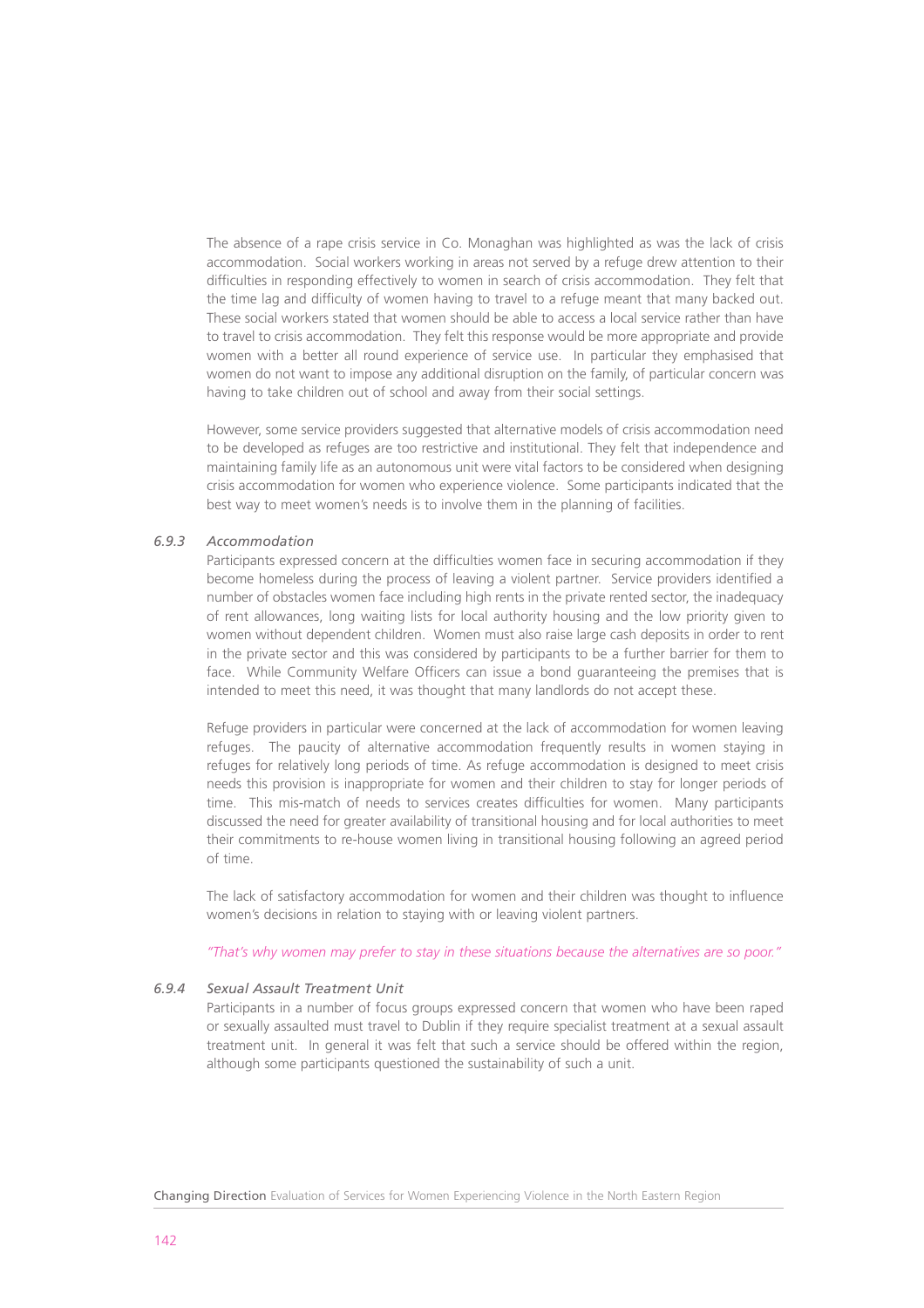The absence of a rape crisis service in Co. Monaghan was highlighted as was the lack of crisis accommodation. Social workers working in areas not served by a refuge drew attention to their difficulties in responding effectively to women in search of crisis accommodation. They felt that the time lag and difficulty of women having to travel to a refuge meant that many backed out. These social workers stated that women should be able to access a local service rather than have to travel to crisis accommodation. They felt this response would be more appropriate and provide women with a better all round experience of service use. In particular they emphasised that women do not want to impose any additional disruption on the family, of particular concern was having to take children out of school and away from their social settings.

However, some service providers suggested that alternative models of crisis accommodation need to be developed as refuges are too restrictive and institutional. They felt that independence and maintaining family life as an autonomous unit were vital factors to be considered when designing crisis accommodation for women who experience violence. Some participants indicated that the best way to meet women's needs is to involve them in the planning of facilities.

# *6.9.3 Accommodation*

Participants expressed concern at the difficulties women face in securing accommodation if they become homeless during the process of leaving a violent partner. Service providers identified a number of obstacles women face including high rents in the private rented sector, the inadequacy of rent allowances, long waiting lists for local authority housing and the low priority given to women without dependent children. Women must also raise large cash deposits in order to rent in the private sector and this was considered by participants to be a further barrier for them to face. While Community Welfare Officers can issue a bond guaranteeing the premises that is intended to meet this need, it was thought that many landlords do not accept these.

Refuge providers in particular were concerned at the lack of accommodation for women leaving refuges. The paucity of alternative accommodation frequently results in women staying in refuges for relatively long periods of time. As refuge accommodation is designed to meet crisis needs this provision is inappropriate for women and their children to stay for longer periods of time. This mis-match of needs to services creates difficulties for women. Many participants discussed the need for greater availability of transitional housing and for local authorities to meet their commitments to re-house women living in transitional housing following an agreed period of time.

The lack of satisfactory accommodation for women and their children was thought to influence women's decisions in relation to staying with or leaving violent partners.

*"That's why women may prefer to stay in these situations because the alternatives are so poor."*

# *6.9.4 Sexual Assault Treatment Unit*

Participants in a number of focus groups expressed concern that women who have been raped or sexually assaulted must travel to Dublin if they require specialist treatment at a sexual assault treatment unit. In general it was felt that such a service should be offered within the region, although some participants questioned the sustainability of such a unit.

Changing Direction Evaluation of Services for Women Experiencing Violence in the North Eastern Region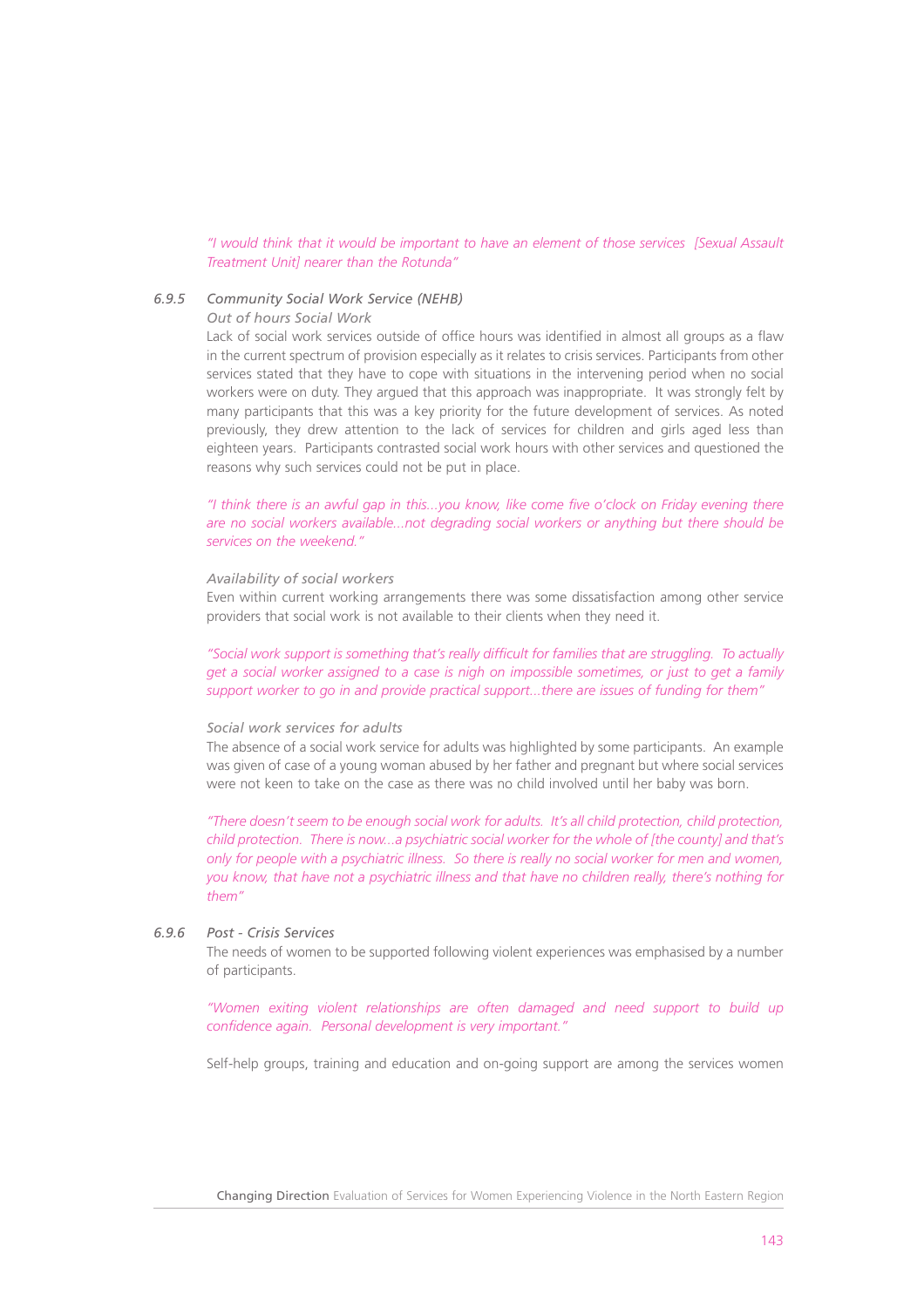#### *"I would think that it would be important to have an element of those services [Sexual Assault Treatment Unit] nearer than the Rotunda"*

# *6.9.5 Community Social Work Service (NEHB)*

#### *Out of hours Social Work*

Lack of social work services outside of office hours was identified in almost all groups as a flaw in the current spectrum of provision especially as it relates to crisis services. Participants from other services stated that they have to cope with situations in the intervening period when no social workers were on duty. They argued that this approach was inappropriate. It was strongly felt by many participants that this was a key priority for the future development of services. As noted previously, they drew attention to the lack of services for children and girls aged less than eighteen years. Participants contrasted social work hours with other services and questioned the reasons why such services could not be put in place.

*"I think there is an awful gap in this...you know, like come five o'clock on Friday evening there are no social workers available...not degrading social workers or anything but there should be services on the weekend."*

#### *Availability of social workers*

Even within current working arrangements there was some dissatisfaction among other service providers that social work is not available to their clients when they need it.

*"Social work support is something that's really difficult for families that are struggling. To actually get a social worker assigned to a case is nigh on impossible sometimes, or just to get a family support worker to go in and provide practical support...there are issues of funding for them"* 

#### *Social work services for adults*

The absence of a social work service for adults was highlighted by some participants. An example was given of case of a young woman abused by her father and pregnant but where social services were not keen to take on the case as there was no child involved until her baby was born.

*"There doesn't seem to be enough social work for adults. It's all child protection, child protection, child protection. There is now...a psychiatric social worker for the whole of [the county] and that's only for people with a psychiatric illness. So there is really no social worker for men and women, you know, that have not a psychiatric illness and that have no children really, there's nothing for them"*

# *6.9.6 Post - Crisis Services*

The needs of women to be supported following violent experiences was emphasised by a number of participants.

*"Women exiting violent relationships are often damaged and need support to build up confidence again. Personal development is very important."*

Self-help groups, training and education and on-going support are among the services women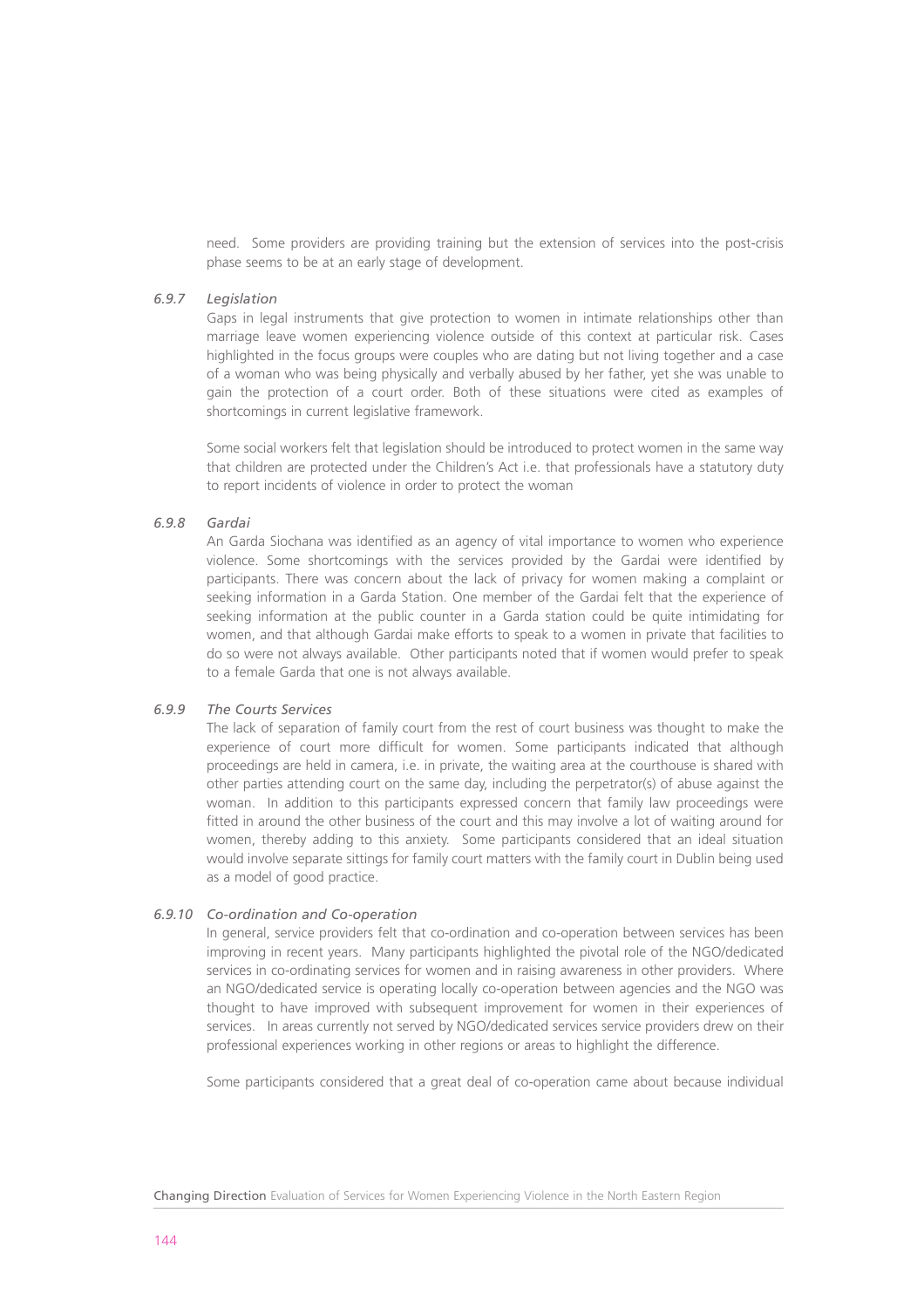need. Some providers are providing training but the extension of services into the post-crisis phase seems to be at an early stage of development.

## *6.9.7 Legislation*

Gaps in legal instruments that give protection to women in intimate relationships other than marriage leave women experiencing violence outside of this context at particular risk. Cases highlighted in the focus groups were couples who are dating but not living together and a case of a woman who was being physically and verbally abused by her father, yet she was unable to gain the protection of a court order. Both of these situations were cited as examples of shortcomings in current legislative framework.

Some social workers felt that legislation should be introduced to protect women in the same way that children are protected under the Children's Act i.e. that professionals have a statutory duty to report incidents of violence in order to protect the woman

## *6.9.8 Gardai*

An Garda Siochana was identified as an agency of vital importance to women who experience violence. Some shortcomings with the services provided by the Gardai were identified by participants. There was concern about the lack of privacy for women making a complaint or seeking information in a Garda Station. One member of the Gardai felt that the experience of seeking information at the public counter in a Garda station could be quite intimidating for women, and that although Gardai make efforts to speak to a women in private that facilities to do so were not always available. Other participants noted that if women would prefer to speak to a female Garda that one is not always available.

## *6.9.9 The Courts Services*

The lack of separation of family court from the rest of court business was thought to make the experience of court more difficult for women. Some participants indicated that although proceedings are held in camera, i.e. in private, the waiting area at the courthouse is shared with other parties attending court on the same day, including the perpetrator(s) of abuse against the woman. In addition to this participants expressed concern that family law proceedings were fitted in around the other business of the court and this may involve a lot of waiting around for women, thereby adding to this anxiety. Some participants considered that an ideal situation would involve separate sittings for family court matters with the family court in Dublin being used as a model of good practice.

#### *6.9.10 Co-ordination and Co-operation*

In general, service providers felt that co-ordination and co-operation between services has been improving in recent years. Many participants highlighted the pivotal role of the NGO/dedicated services in co-ordinating services for women and in raising awareness in other providers. Where an NGO/dedicated service is operating locally co-operation between agencies and the NGO was thought to have improved with subsequent improvement for women in their experiences of services. In areas currently not served by NGO/dedicated services service providers drew on their professional experiences working in other regions or areas to highlight the difference.

Some participants considered that a great deal of co-operation came about because individual

Changing Direction Evaluation of Services for Women Experiencing Violence in the North Eastern Region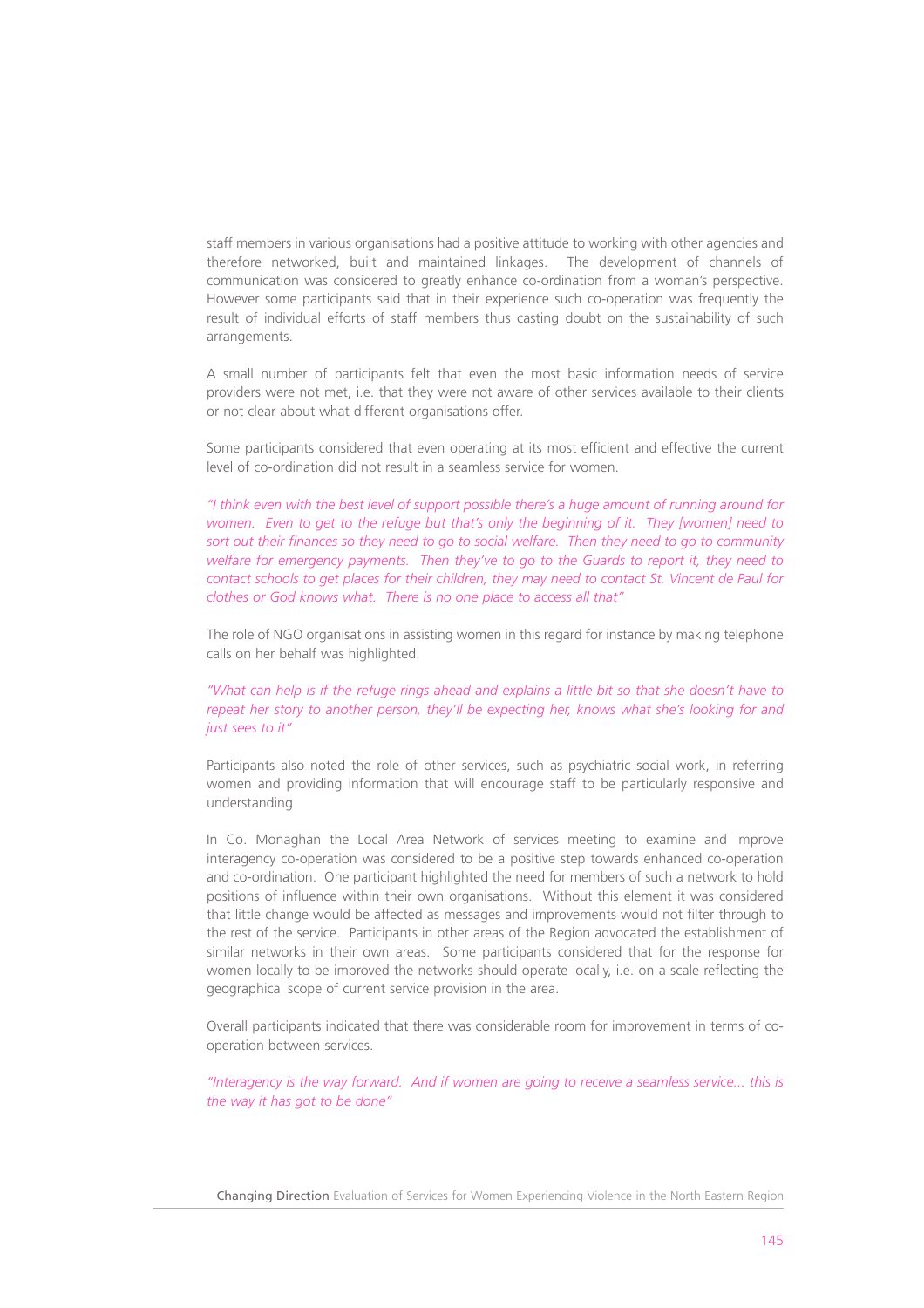staff members in various organisations had a positive attitude to working with other agencies and therefore networked, built and maintained linkages. The development of channels of communication was considered to greatly enhance co-ordination from a woman's perspective. However some participants said that in their experience such co-operation was frequently the result of individual efforts of staff members thus casting doubt on the sustainability of such arrangements.

A small number of participants felt that even the most basic information needs of service providers were not met, i.e. that they were not aware of other services available to their clients or not clear about what different organisations offer.

Some participants considered that even operating at its most efficient and effective the current level of co-ordination did not result in a seamless service for women.

*"I think even with the best level of support possible there's a huge amount of running around for women. Even to get to the refuge but that's only the beginning of it. They [women] need to sort out their finances so they need to go to social welfare. Then they need to go to community welfare for emergency payments. Then they've to go to the Guards to report it, they need to contact schools to get places for their children, they may need to contact St. Vincent de Paul for clothes or God knows what. There is no one place to access all that"*

The role of NGO organisations in assisting women in this regard for instance by making telephone calls on her behalf was highlighted.

*"What can help is if the refuge rings ahead and explains a little bit so that she doesn't have to repeat her story to another person, they'll be expecting her, knows what she's looking for and just sees to it"*

Participants also noted the role of other services, such as psychiatric social work, in referring women and providing information that will encourage staff to be particularly responsive and understanding

In Co. Monaghan the Local Area Network of services meeting to examine and improve interagency co-operation was considered to be a positive step towards enhanced co-operation and co-ordination. One participant highlighted the need for members of such a network to hold positions of influence within their own organisations. Without this element it was considered that little change would be affected as messages and improvements would not filter through to the rest of the service. Participants in other areas of the Region advocated the establishment of similar networks in their own areas. Some participants considered that for the response for women locally to be improved the networks should operate locally, i.e. on a scale reflecting the geographical scope of current service provision in the area.

Overall participants indicated that there was considerable room for improvement in terms of cooperation between services.

*"Interagency is the way forward. And if women are going to receive a seamless service... this is the way it has got to be done"*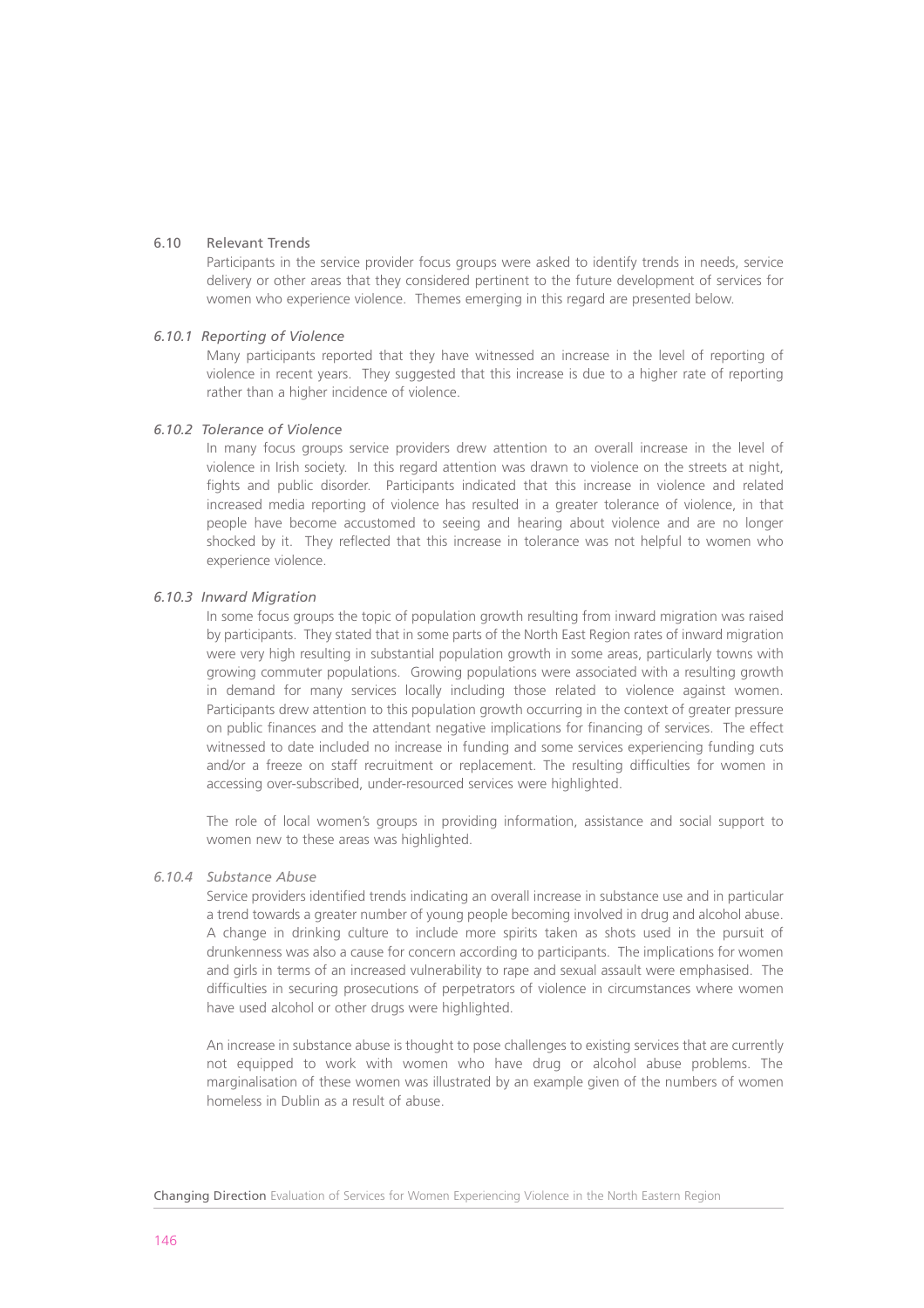## 6.10 Relevant Trends

Participants in the service provider focus groups were asked to identify trends in needs, service delivery or other areas that they considered pertinent to the future development of services for women who experience violence. Themes emerging in this regard are presented below.

#### *6.10.1 Reporting of Violence*

Many participants reported that they have witnessed an increase in the level of reporting of violence in recent years. They suggested that this increase is due to a higher rate of reporting rather than a higher incidence of violence.

#### *6.10.2 Tolerance of Violence*

In many focus groups service providers drew attention to an overall increase in the level of violence in Irish society. In this regard attention was drawn to violence on the streets at night, fights and public disorder. Participants indicated that this increase in violence and related increased media reporting of violence has resulted in a greater tolerance of violence, in that people have become accustomed to seeing and hearing about violence and are no longer shocked by it. They reflected that this increase in tolerance was not helpful to women who experience violence.

#### *6.10.3 Inward Migration*

In some focus groups the topic of population growth resulting from inward migration was raised by participants. They stated that in some parts of the North East Region rates of inward migration were very high resulting in substantial population growth in some areas, particularly towns with growing commuter populations. Growing populations were associated with a resulting growth in demand for many services locally including those related to violence against women. Participants drew attention to this population growth occurring in the context of greater pressure on public finances and the attendant negative implications for financing of services. The effect witnessed to date included no increase in funding and some services experiencing funding cuts and/or a freeze on staff recruitment or replacement. The resulting difficulties for women in accessing over-subscribed, under-resourced services were highlighted.

The role of local women's groups in providing information, assistance and social support to women new to these areas was highlighted.

## *6.10.4 Substance Abuse*

Service providers identified trends indicating an overall increase in substance use and in particular a trend towards a greater number of young people becoming involved in drug and alcohol abuse. A change in drinking culture to include more spirits taken as shots used in the pursuit of drunkenness was also a cause for concern according to participants. The implications for women and girls in terms of an increased vulnerability to rape and sexual assault were emphasised. The difficulties in securing prosecutions of perpetrators of violence in circumstances where women have used alcohol or other drugs were highlighted.

An increase in substance abuse is thought to pose challenges to existing services that are currently not equipped to work with women who have drug or alcohol abuse problems. The marginalisation of these women was illustrated by an example given of the numbers of women homeless in Dublin as a result of abuse.

Changing Direction Evaluation of Services for Women Experiencing Violence in the North Eastern Region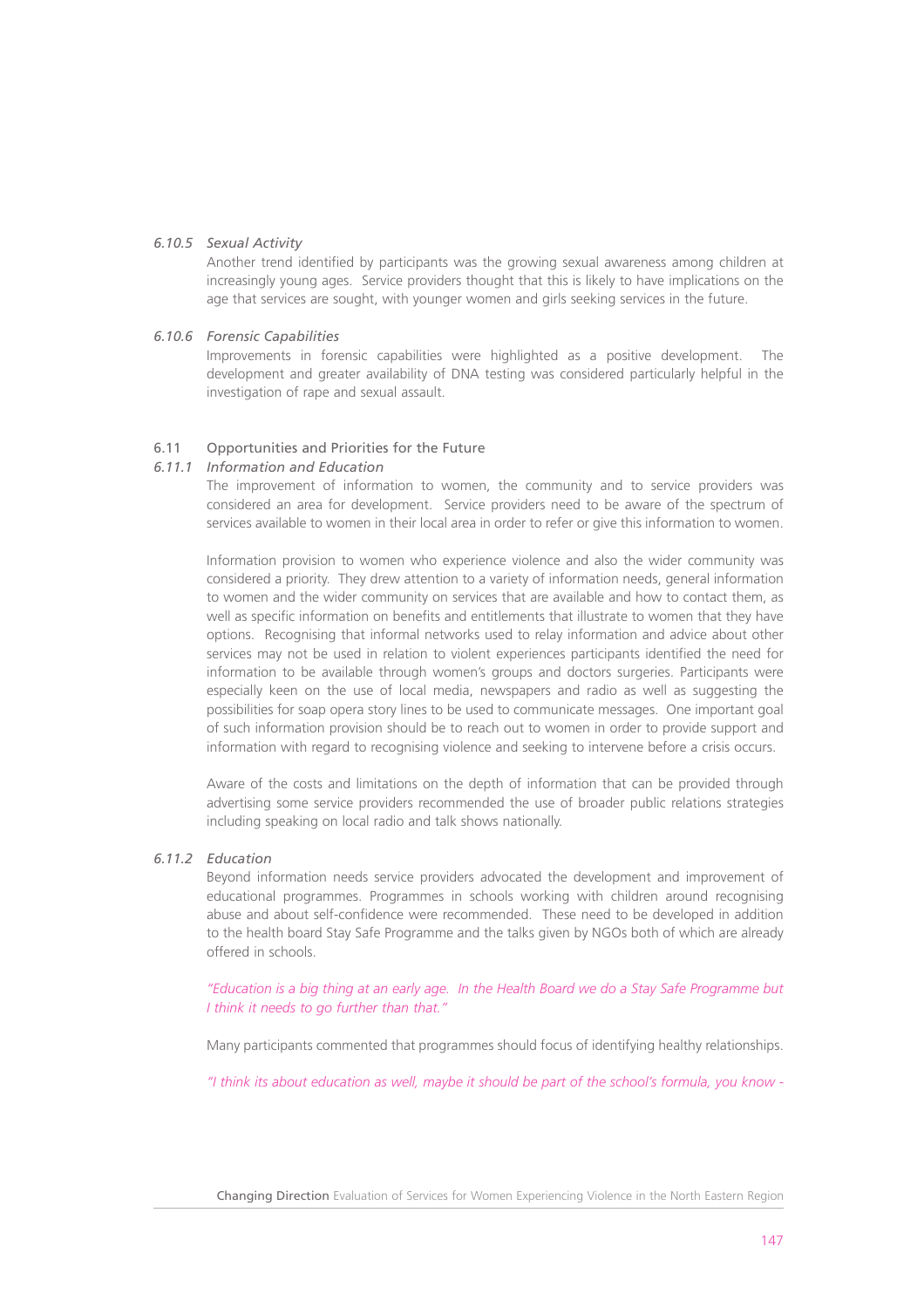## *6.10.5 Sexual Activity*

Another trend identified by participants was the growing sexual awareness among children at increasingly young ages. Service providers thought that this is likely to have implications on the age that services are sought, with younger women and girls seeking services in the future.

#### *6.10.6 Forensic Capabilities*

Improvements in forensic capabilities were highlighted as a positive development. The development and greater availability of DNA testing was considered particularly helpful in the investigation of rape and sexual assault.

#### 6.11 Opportunities and Priorities for the Future

#### *6.11.1 Information and Education*

The improvement of information to women, the community and to service providers was considered an area for development. Service providers need to be aware of the spectrum of services available to women in their local area in order to refer or give this information to women.

Information provision to women who experience violence and also the wider community was considered a priority. They drew attention to a variety of information needs, general information to women and the wider community on services that are available and how to contact them, as well as specific information on benefits and entitlements that illustrate to women that they have options. Recognising that informal networks used to relay information and advice about other services may not be used in relation to violent experiences participants identified the need for information to be available through women's groups and doctors surgeries. Participants were especially keen on the use of local media, newspapers and radio as well as suggesting the possibilities for soap opera story lines to be used to communicate messages. One important goal of such information provision should be to reach out to women in order to provide support and information with regard to recognising violence and seeking to intervene before a crisis occurs.

Aware of the costs and limitations on the depth of information that can be provided through advertising some service providers recommended the use of broader public relations strategies including speaking on local radio and talk shows nationally.

## *6.11.2 Education*

Beyond information needs service providers advocated the development and improvement of educational programmes. Programmes in schools working with children around recognising abuse and about self-confidence were recommended. These need to be developed in addition to the health board Stay Safe Programme and the talks given by NGOs both of which are already offered in schools.

*"Education is a big thing at an early age. In the Health Board we do a Stay Safe Programme but I think it needs to go further than that."*

Many participants commented that programmes should focus of identifying healthy relationships.

*"I think its about education as well, maybe it should be part of the school's formula, you know -*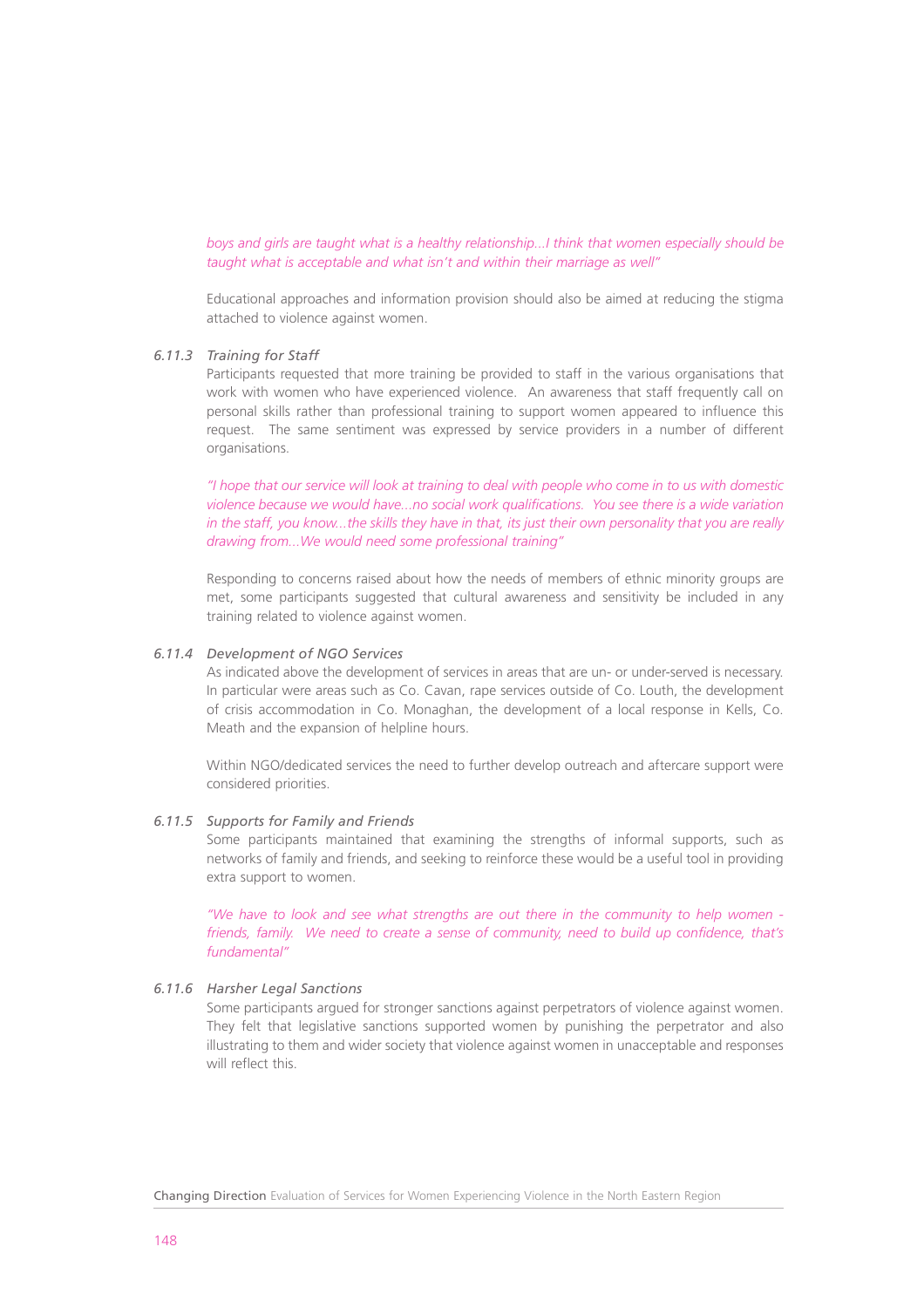*boys and girls are taught what is a healthy relationship...I think that women especially should be taught what is acceptable and what isn't and within their marriage as well"* 

Educational approaches and information provision should also be aimed at reducing the stigma attached to violence against women.

#### *6.11.3 Training for Staff*

Participants requested that more training be provided to staff in the various organisations that work with women who have experienced violence. An awareness that staff frequently call on personal skills rather than professional training to support women appeared to influence this request. The same sentiment was expressed by service providers in a number of different organisations.

*"I hope that our service will look at training to deal with people who come in to us with domestic violence because we would have...no social work qualifications. You see there is a wide variation in the staff, you know...the skills they have in that, its just their own personality that you are really drawing from...We would need some professional training"*

Responding to concerns raised about how the needs of members of ethnic minority groups are met, some participants suggested that cultural awareness and sensitivity be included in any training related to violence against women.

#### *6.11.4 Development of NGO Services*

As indicated above the development of services in areas that are un- or under-served is necessary. In particular were areas such as Co. Cavan, rape services outside of Co. Louth, the development of crisis accommodation in Co. Monaghan, the development of a local response in Kells, Co. Meath and the expansion of helpline hours.

Within NGO/dedicated services the need to further develop outreach and aftercare support were considered priorities.

#### *6.11.5 Supports for Family and Friends*

Some participants maintained that examining the strengths of informal supports, such as networks of family and friends, and seeking to reinforce these would be a useful tool in providing extra support to women.

*"We have to look and see what strengths are out there in the community to help women friends, family. We need to create a sense of community, need to build up confidence, that's fundamental"*

#### *6.11.6 Harsher Legal Sanctions*

Some participants argued for stronger sanctions against perpetrators of violence against women. They felt that legislative sanctions supported women by punishing the perpetrator and also illustrating to them and wider society that violence against women in unacceptable and responses will reflect this.

Changing Direction Evaluation of Services for Women Experiencing Violence in the North Eastern Region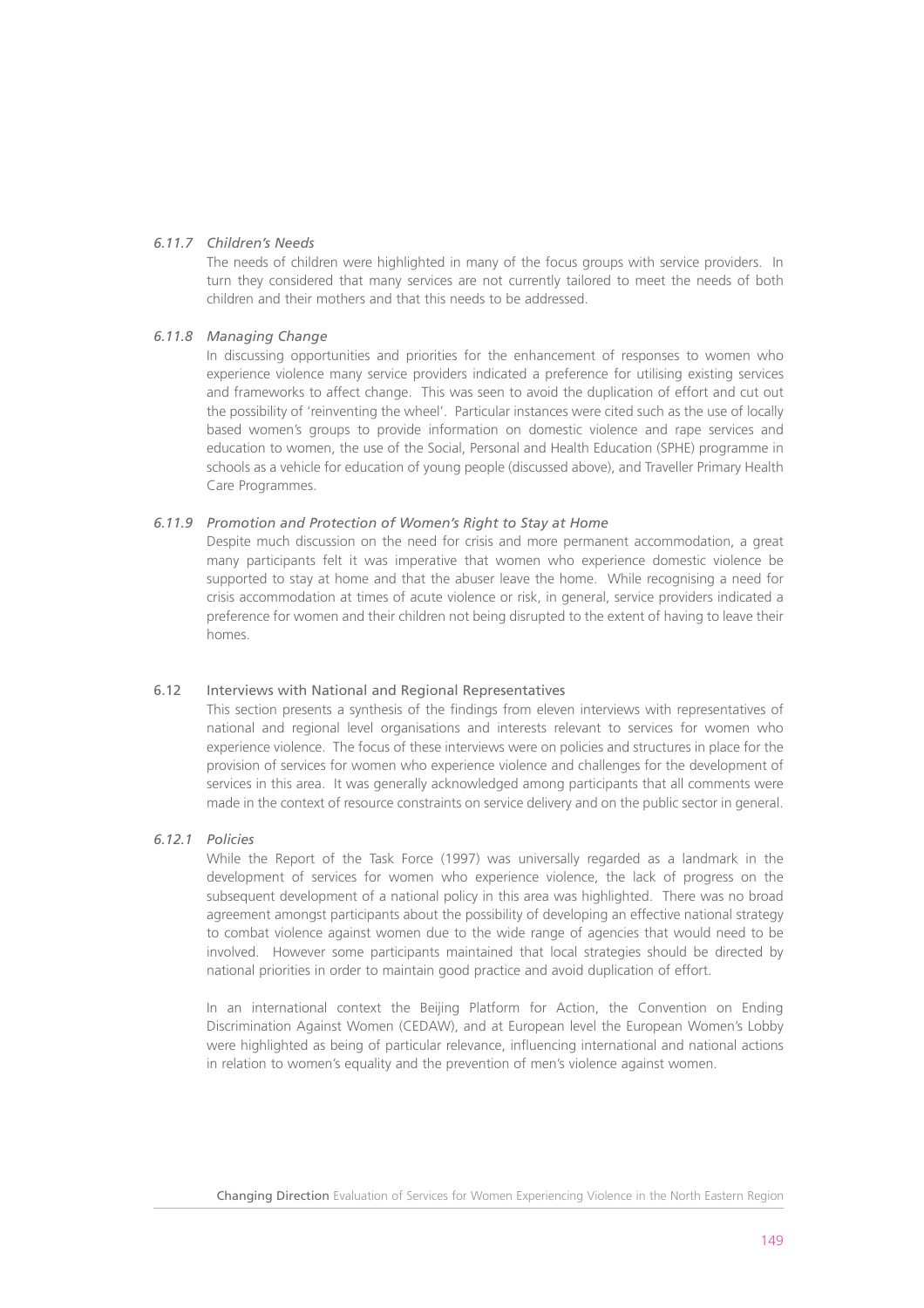## *6.11.7 Children's Needs*

The needs of children were highlighted in many of the focus groups with service providers. In turn they considered that many services are not currently tailored to meet the needs of both children and their mothers and that this needs to be addressed.

## *6.11.8 Managing Change*

In discussing opportunities and priorities for the enhancement of responses to women who experience violence many service providers indicated a preference for utilising existing services and frameworks to affect change. This was seen to avoid the duplication of effort and cut out the possibility of 'reinventing the wheel'. Particular instances were cited such as the use of locally based women's groups to provide information on domestic violence and rape services and education to women, the use of the Social, Personal and Health Education (SPHE) programme in schools as a vehicle for education of young people (discussed above), and Traveller Primary Health Care Programmes.

## *6.11.9 Promotion and Protection of Women's Right to Stay at Home*

Despite much discussion on the need for crisis and more permanent accommodation, a great many participants felt it was imperative that women who experience domestic violence be supported to stay at home and that the abuser leave the home. While recognising a need for crisis accommodation at times of acute violence or risk, in general, service providers indicated a preference for women and their children not being disrupted to the extent of having to leave their homes.

## 6.12 Interviews with National and Regional Representatives

This section presents a synthesis of the findings from eleven interviews with representatives of national and regional level organisations and interests relevant to services for women who experience violence. The focus of these interviews were on policies and structures in place for the provision of services for women who experience violence and challenges for the development of services in this area. It was generally acknowledged among participants that all comments were made in the context of resource constraints on service delivery and on the public sector in general.

## *6.12.1 Policies*

While the Report of the Task Force (1997) was universally regarded as a landmark in the development of services for women who experience violence, the lack of progress on the subsequent development of a national policy in this area was highlighted. There was no broad agreement amongst participants about the possibility of developing an effective national strategy to combat violence against women due to the wide range of agencies that would need to be involved. However some participants maintained that local strategies should be directed by national priorities in order to maintain good practice and avoid duplication of effort.

In an international context the Beijing Platform for Action, the Convention on Ending Discrimination Against Women (CEDAW), and at European level the European Women's Lobby were highlighted as being of particular relevance, influencing international and national actions in relation to women's equality and the prevention of men's violence against women.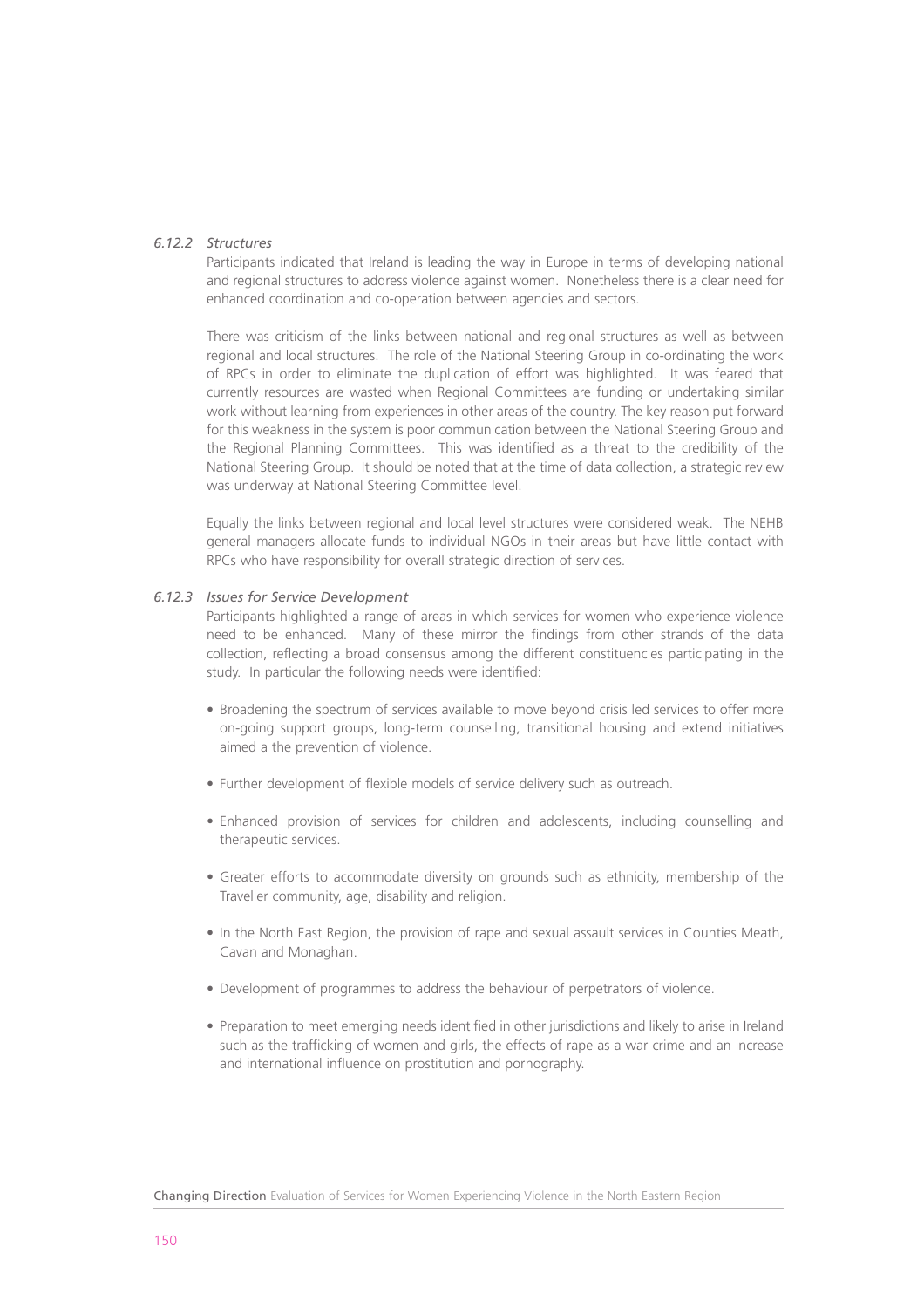## *6.12.2 Structures*

Participants indicated that Ireland is leading the way in Europe in terms of developing national and regional structures to address violence against women. Nonetheless there is a clear need for enhanced coordination and co-operation between agencies and sectors.

There was criticism of the links between national and regional structures as well as between regional and local structures. The role of the National Steering Group in co-ordinating the work of RPCs in order to eliminate the duplication of effort was highlighted. It was feared that currently resources are wasted when Regional Committees are funding or undertaking similar work without learning from experiences in other areas of the country. The key reason put forward for this weakness in the system is poor communication between the National Steering Group and the Regional Planning Committees. This was identified as a threat to the credibility of the National Steering Group. It should be noted that at the time of data collection, a strategic review was underway at National Steering Committee level.

Equally the links between regional and local level structures were considered weak. The NEHB general managers allocate funds to individual NGOs in their areas but have little contact with RPCs who have responsibility for overall strategic direction of services.

#### *6.12.3 Issues for Service Development*

Participants highlighted a range of areas in which services for women who experience violence need to be enhanced. Many of these mirror the findings from other strands of the data collection, reflecting a broad consensus among the different constituencies participating in the study. In particular the following needs were identified:

- Broadening the spectrum of services available to move beyond crisis led services to offer more on-going support groups, long-term counselling, transitional housing and extend initiatives aimed a the prevention of violence.
- Further development of flexible models of service delivery such as outreach.
- Enhanced provision of services for children and adolescents, including counselling and therapeutic services.
- Greater efforts to accommodate diversity on grounds such as ethnicity, membership of the Traveller community, age, disability and religion.
- In the North East Region, the provision of rape and sexual assault services in Counties Meath, Cavan and Monaghan.
- Development of programmes to address the behaviour of perpetrators of violence.
- Preparation to meet emerging needs identified in other jurisdictions and likely to arise in Ireland such as the trafficking of women and girls, the effects of rape as a war crime and an increase and international influence on prostitution and pornography.

Changing Direction Evaluation of Services for Women Experiencing Violence in the North Eastern Region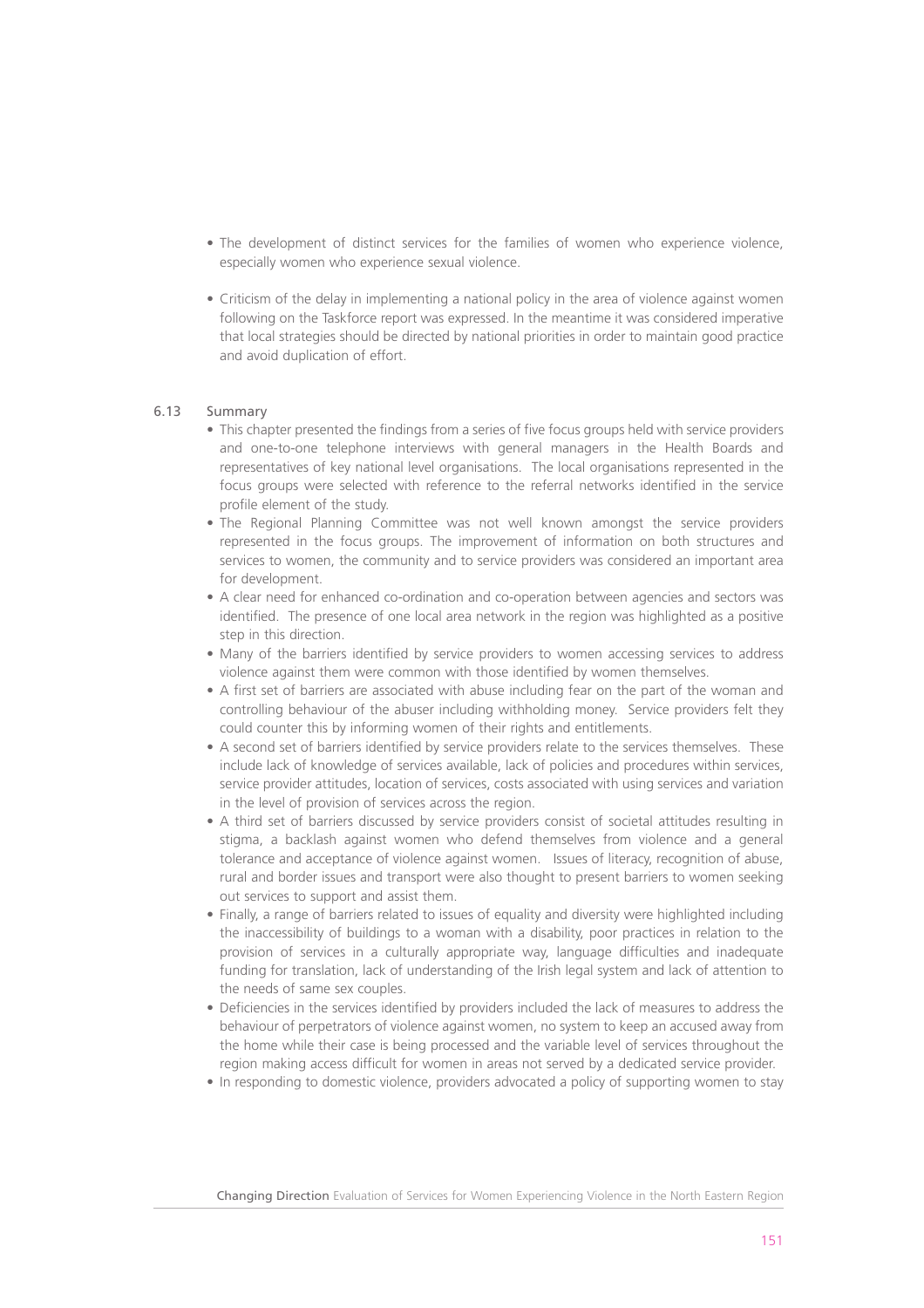- The development of distinct services for the families of women who experience violence, especially women who experience sexual violence.
- Criticism of the delay in implementing a national policy in the area of violence against women following on the Taskforce report was expressed. In the meantime it was considered imperative that local strategies should be directed by national priorities in order to maintain good practice and avoid duplication of effort.

## 6.13 Summary

- This chapter presented the findings from a series of five focus groups held with service providers and one-to-one telephone interviews with general managers in the Health Boards and representatives of key national level organisations. The local organisations represented in the focus groups were selected with reference to the referral networks identified in the service profile element of the study.
- The Regional Planning Committee was not well known amongst the service providers represented in the focus groups. The improvement of information on both structures and services to women, the community and to service providers was considered an important area for development.
- A clear need for enhanced co-ordination and co-operation between agencies and sectors was identified. The presence of one local area network in the region was highlighted as a positive step in this direction.
- Many of the barriers identified by service providers to women accessing services to address violence against them were common with those identified by women themselves.
- A first set of barriers are associated with abuse including fear on the part of the woman and controlling behaviour of the abuser including withholding money. Service providers felt they could counter this by informing women of their rights and entitlements.
- A second set of barriers identified by service providers relate to the services themselves. These include lack of knowledge of services available, lack of policies and procedures within services, service provider attitudes, location of services, costs associated with using services and variation in the level of provision of services across the region.
- A third set of barriers discussed by service providers consist of societal attitudes resulting in stigma, a backlash against women who defend themselves from violence and a general tolerance and acceptance of violence against women. Issues of literacy, recognition of abuse, rural and border issues and transport were also thought to present barriers to women seeking out services to support and assist them.
- Finally, a range of barriers related to issues of equality and diversity were highlighted including the inaccessibility of buildings to a woman with a disability, poor practices in relation to the provision of services in a culturally appropriate way, language difficulties and inadequate funding for translation, lack of understanding of the Irish legal system and lack of attention to the needs of same sex couples.
- Deficiencies in the services identified by providers included the lack of measures to address the behaviour of perpetrators of violence against women, no system to keep an accused away from the home while their case is being processed and the variable level of services throughout the region making access difficult for women in areas not served by a dedicated service provider.
- In responding to domestic violence, providers advocated a policy of supporting women to stay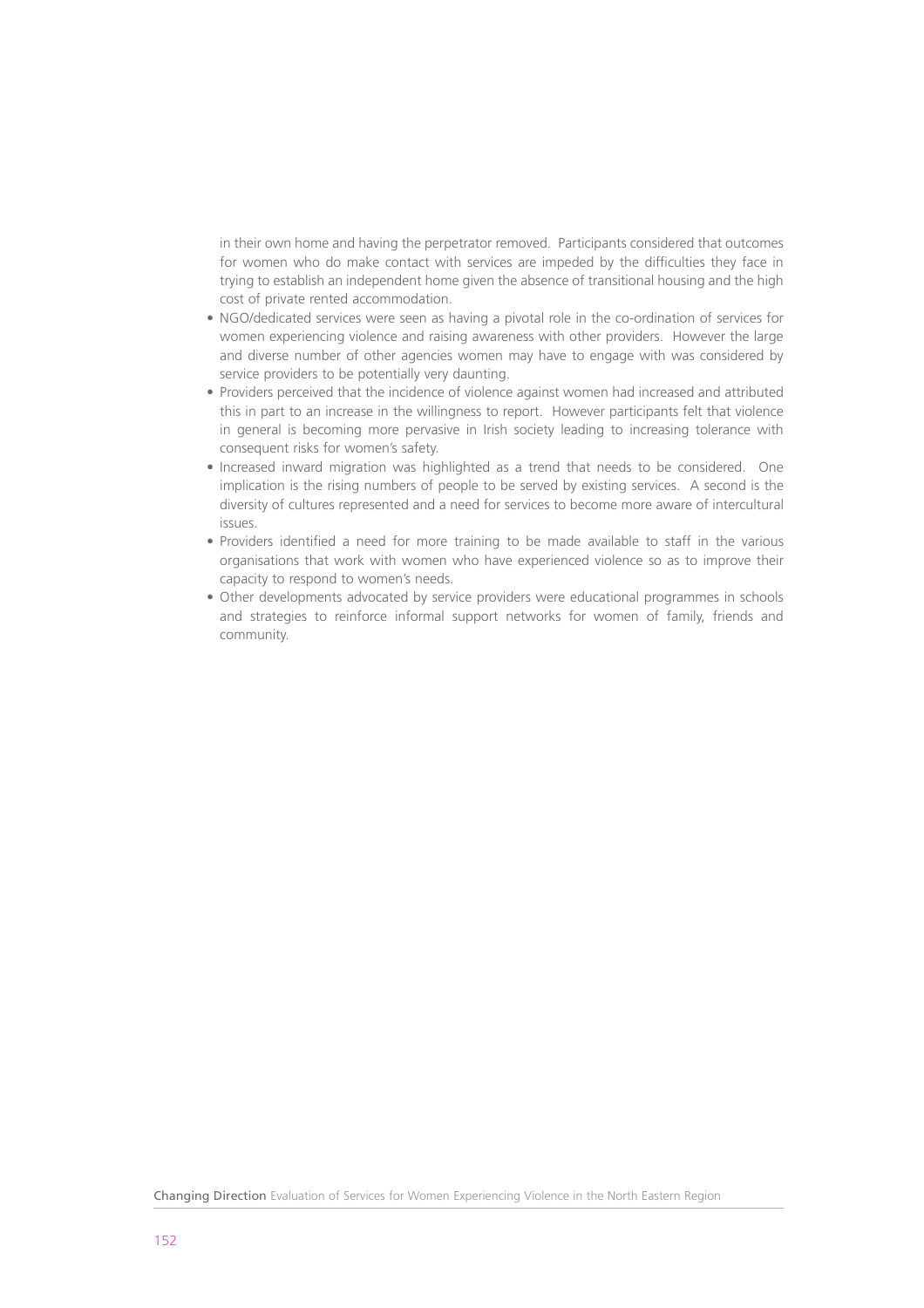in their own home and having the perpetrator removed. Participants considered that outcomes for women who do make contact with services are impeded by the difficulties they face in trying to establish an independent home given the absence of transitional housing and the high cost of private rented accommodation.

- NGO/dedicated services were seen as having a pivotal role in the co-ordination of services for women experiencing violence and raising awareness with other providers. However the large and diverse number of other agencies women may have to engage with was considered by service providers to be potentially very daunting.
- Providers perceived that the incidence of violence against women had increased and attributed this in part to an increase in the willingness to report. However participants felt that violence in general is becoming more pervasive in Irish society leading to increasing tolerance with consequent risks for women's safety.
- Increased inward migration was highlighted as a trend that needs to be considered. One implication is the rising numbers of people to be served by existing services. A second is the diversity of cultures represented and a need for services to become more aware of intercultural issues.
- Providers identified a need for more training to be made available to staff in the various organisations that work with women who have experienced violence so as to improve their capacity to respond to women's needs.
- Other developments advocated by service providers were educational programmes in schools and strategies to reinforce informal support networks for women of family, friends and community.

Changing Direction Evaluation of Services for Women Experiencing Violence in the North Eastern Region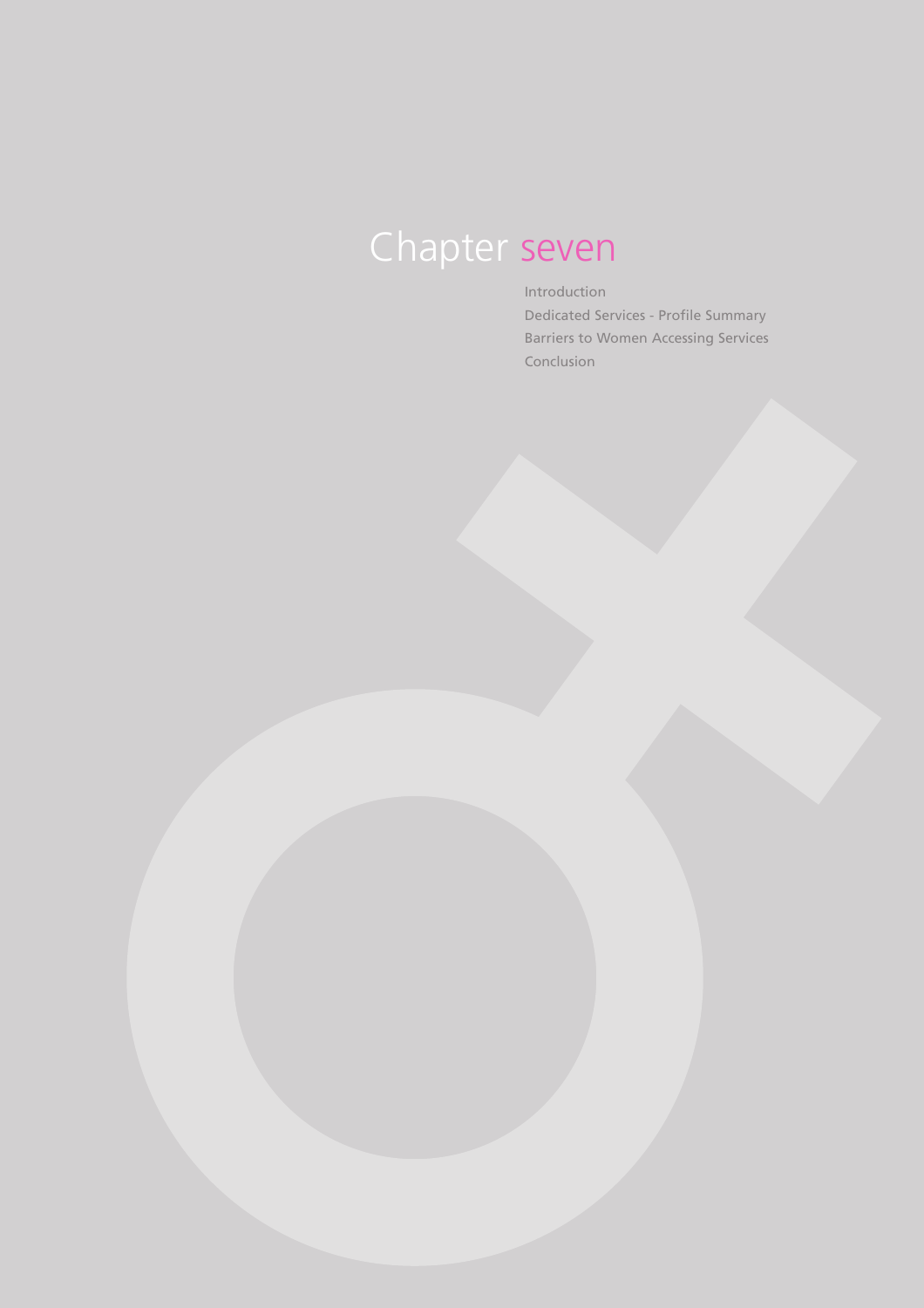# Chapter seven

Introduction

Dedicated Services - Profile Summary Barriers to Women Accessing Services Conclusion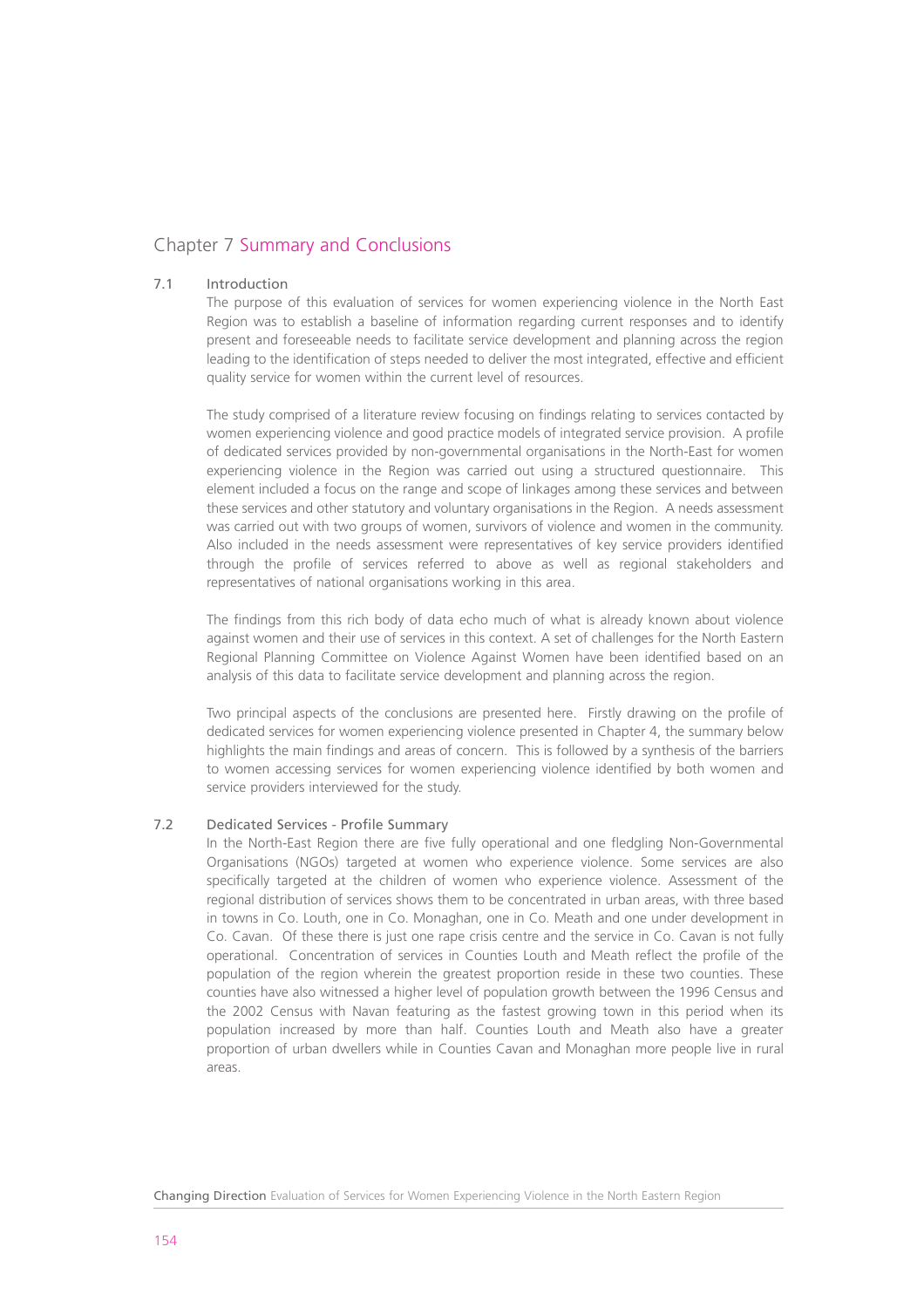## Chapter 7 Summary and Conclusions

## 7.1 Introduction

The purpose of this evaluation of services for women experiencing violence in the North East Region was to establish a baseline of information regarding current responses and to identify present and foreseeable needs to facilitate service development and planning across the region leading to the identification of steps needed to deliver the most integrated, effective and efficient quality service for women within the current level of resources.

The study comprised of a literature review focusing on findings relating to services contacted by women experiencing violence and good practice models of integrated service provision. A profile of dedicated services provided by non-governmental organisations in the North-East for women experiencing violence in the Region was carried out using a structured questionnaire. This element included a focus on the range and scope of linkages among these services and between these services and other statutory and voluntary organisations in the Region. A needs assessment was carried out with two groups of women, survivors of violence and women in the community. Also included in the needs assessment were representatives of key service providers identified through the profile of services referred to above as well as regional stakeholders and representatives of national organisations working in this area.

The findings from this rich body of data echo much of what is already known about violence against women and their use of services in this context. A set of challenges for the North Eastern Regional Planning Committee on Violence Against Women have been identified based on an analysis of this data to facilitate service development and planning across the region.

Two principal aspects of the conclusions are presented here. Firstly drawing on the profile of dedicated services for women experiencing violence presented in Chapter 4, the summary below highlights the main findings and areas of concern. This is followed by a synthesis of the barriers to women accessing services for women experiencing violence identified by both women and service providers interviewed for the study.

#### 7.2 Dedicated Services - Profile Summary

In the North-East Region there are five fully operational and one fledgling Non-Governmental Organisations (NGOs) targeted at women who experience violence. Some services are also specifically targeted at the children of women who experience violence. Assessment of the regional distribution of services shows them to be concentrated in urban areas, with three based in towns in Co. Louth, one in Co. Monaghan, one in Co. Meath and one under development in Co. Cavan. Of these there is just one rape crisis centre and the service in Co. Cavan is not fully operational. Concentration of services in Counties Louth and Meath reflect the profile of the population of the region wherein the greatest proportion reside in these two counties. These counties have also witnessed a higher level of population growth between the 1996 Census and the 2002 Census with Navan featuring as the fastest growing town in this period when its population increased by more than half. Counties Louth and Meath also have a greater proportion of urban dwellers while in Counties Cavan and Monaghan more people live in rural areas.

Changing Direction Evaluation of Services for Women Experiencing Violence in the North Eastern Region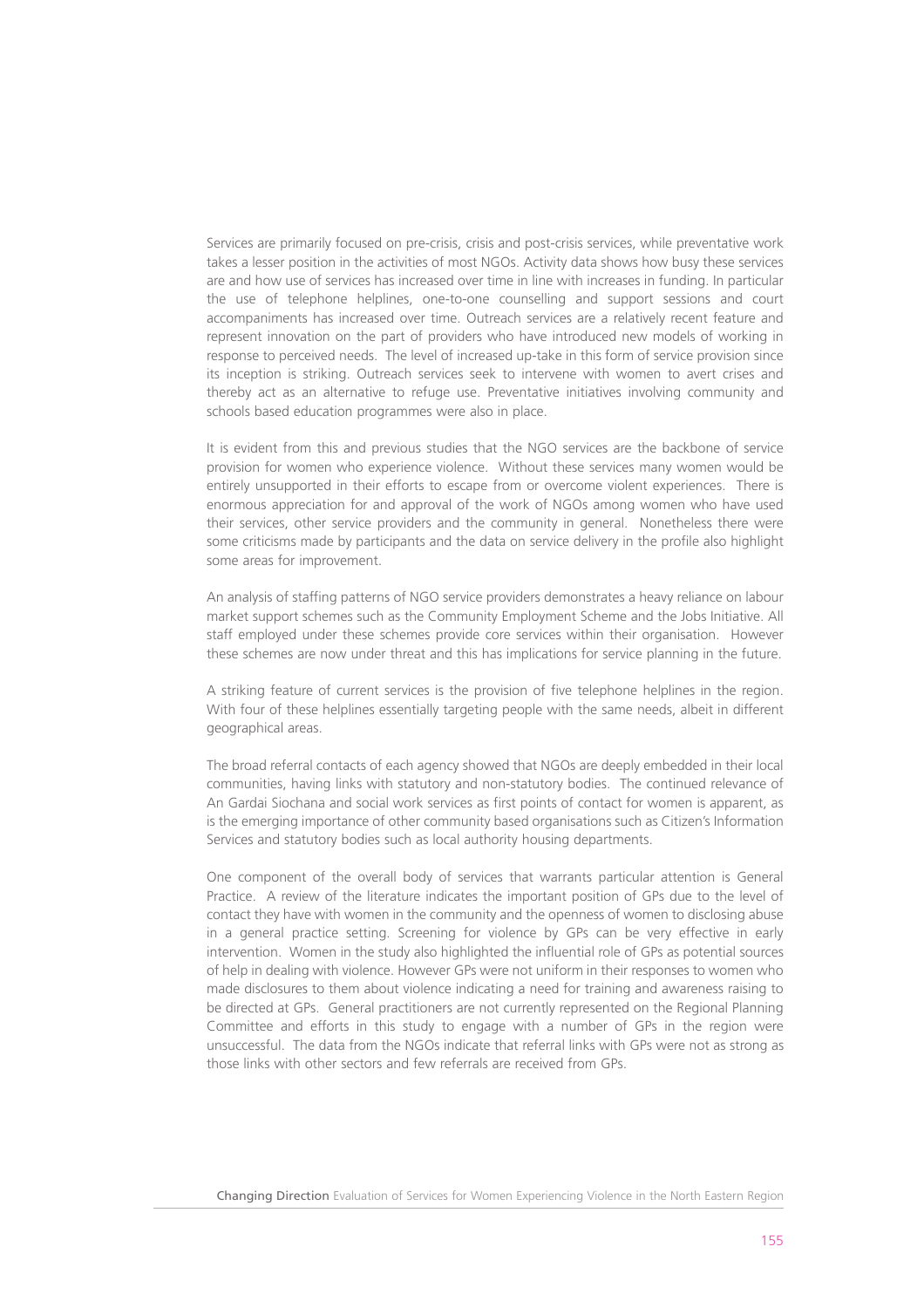Services are primarily focused on pre-crisis, crisis and post-crisis services, while preventative work takes a lesser position in the activities of most NGOs. Activity data shows how busy these services are and how use of services has increased over time in line with increases in funding. In particular the use of telephone helplines, one-to-one counselling and support sessions and court accompaniments has increased over time. Outreach services are a relatively recent feature and represent innovation on the part of providers who have introduced new models of working in response to perceived needs. The level of increased up-take in this form of service provision since its inception is striking. Outreach services seek to intervene with women to avert crises and thereby act as an alternative to refuge use. Preventative initiatives involving community and schools based education programmes were also in place.

It is evident from this and previous studies that the NGO services are the backbone of service provision for women who experience violence. Without these services many women would be entirely unsupported in their efforts to escape from or overcome violent experiences. There is enormous appreciation for and approval of the work of NGOs among women who have used their services, other service providers and the community in general. Nonetheless there were some criticisms made by participants and the data on service delivery in the profile also highlight some areas for improvement.

An analysis of staffing patterns of NGO service providers demonstrates a heavy reliance on labour market support schemes such as the Community Employment Scheme and the Jobs Initiative. All staff employed under these schemes provide core services within their organisation. However these schemes are now under threat and this has implications for service planning in the future.

A striking feature of current services is the provision of five telephone helplines in the region. With four of these helplines essentially targeting people with the same needs, albeit in different geographical areas.

The broad referral contacts of each agency showed that NGOs are deeply embedded in their local communities, having links with statutory and non-statutory bodies. The continued relevance of An Gardai Siochana and social work services as first points of contact for women is apparent, as is the emerging importance of other community based organisations such as Citizen's Information Services and statutory bodies such as local authority housing departments.

One component of the overall body of services that warrants particular attention is General Practice. A review of the literature indicates the important position of GPs due to the level of contact they have with women in the community and the openness of women to disclosing abuse in a general practice setting. Screening for violence by GPs can be very effective in early intervention. Women in the study also highlighted the influential role of GPs as potential sources of help in dealing with violence. However GPs were not uniform in their responses to women who made disclosures to them about violence indicating a need for training and awareness raising to be directed at GPs. General practitioners are not currently represented on the Regional Planning Committee and efforts in this study to engage with a number of GPs in the region were unsuccessful. The data from the NGOs indicate that referral links with GPs were not as strong as those links with other sectors and few referrals are received from GPs.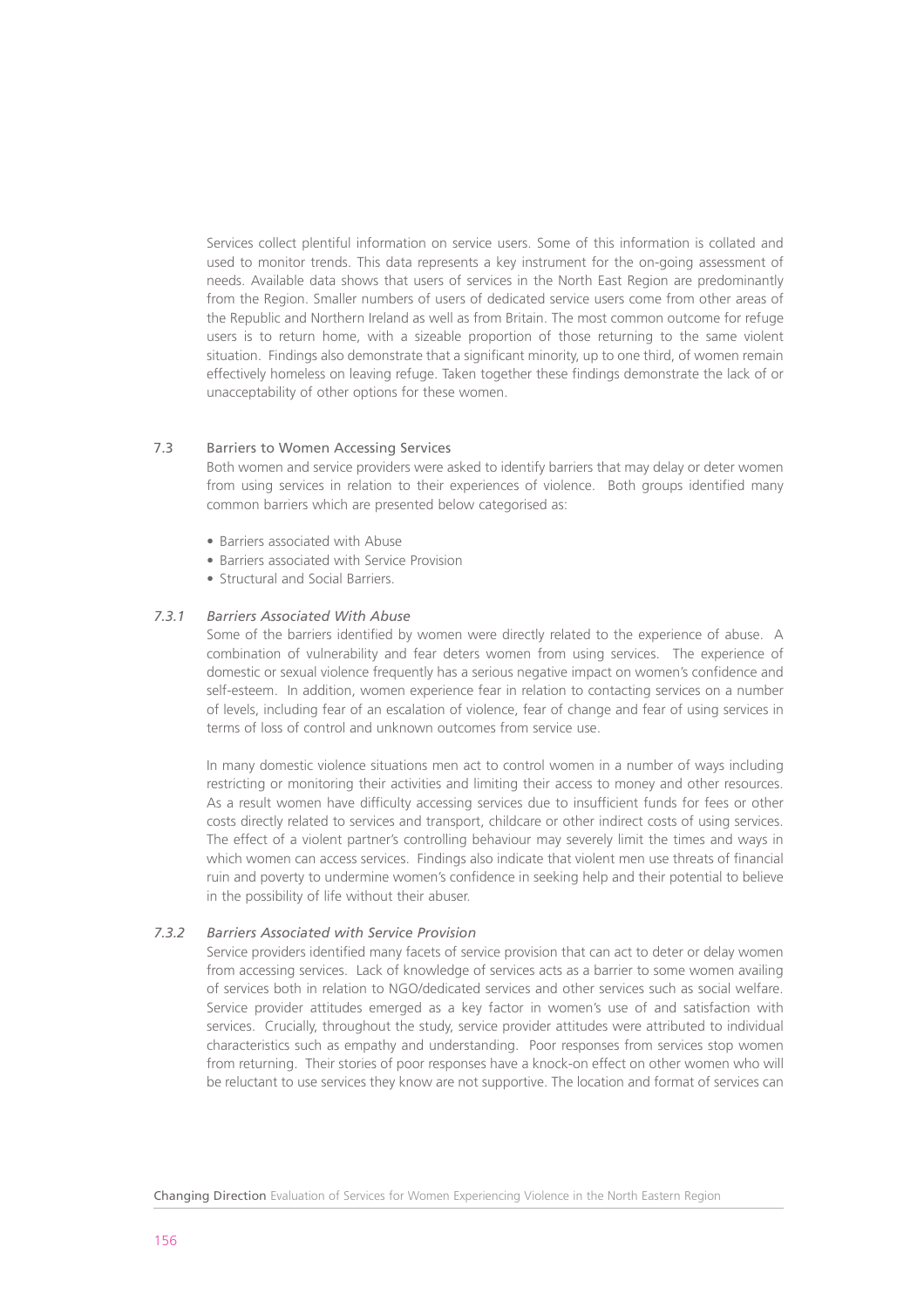Services collect plentiful information on service users. Some of this information is collated and used to monitor trends. This data represents a key instrument for the on-going assessment of needs. Available data shows that users of services in the North East Region are predominantly from the Region. Smaller numbers of users of dedicated service users come from other areas of the Republic and Northern Ireland as well as from Britain. The most common outcome for refuge users is to return home, with a sizeable proportion of those returning to the same violent situation. Findings also demonstrate that a significant minority, up to one third, of women remain effectively homeless on leaving refuge. Taken together these findings demonstrate the lack of or unacceptability of other options for these women.

#### 7.3 Barriers to Women Accessing Services

Both women and service providers were asked to identify barriers that may delay or deter women from using services in relation to their experiences of violence. Both groups identified many common barriers which are presented below categorised as:

- Barriers associated with Abuse
- Barriers associated with Service Provision
- Structural and Social Barriers.

## *7.3.1 Barriers Associated With Abuse*

Some of the barriers identified by women were directly related to the experience of abuse. A combination of vulnerability and fear deters women from using services. The experience of domestic or sexual violence frequently has a serious negative impact on women's confidence and self-esteem. In addition, women experience fear in relation to contacting services on a number of levels, including fear of an escalation of violence, fear of change and fear of using services in terms of loss of control and unknown outcomes from service use.

In many domestic violence situations men act to control women in a number of ways including restricting or monitoring their activities and limiting their access to money and other resources. As a result women have difficulty accessing services due to insufficient funds for fees or other costs directly related to services and transport, childcare or other indirect costs of using services. The effect of a violent partner's controlling behaviour may severely limit the times and ways in which women can access services. Findings also indicate that violent men use threats of financial ruin and poverty to undermine women's confidence in seeking help and their potential to believe in the possibility of life without their abuser.

## *7.3.2 Barriers Associated with Service Provision*

Service providers identified many facets of service provision that can act to deter or delay women from accessing services. Lack of knowledge of services acts as a barrier to some women availing of services both in relation to NGO/dedicated services and other services such as social welfare. Service provider attitudes emerged as a key factor in women's use of and satisfaction with services. Crucially, throughout the study, service provider attitudes were attributed to individual characteristics such as empathy and understanding. Poor responses from services stop women from returning. Their stories of poor responses have a knock-on effect on other women who will be reluctant to use services they know are not supportive. The location and format of services can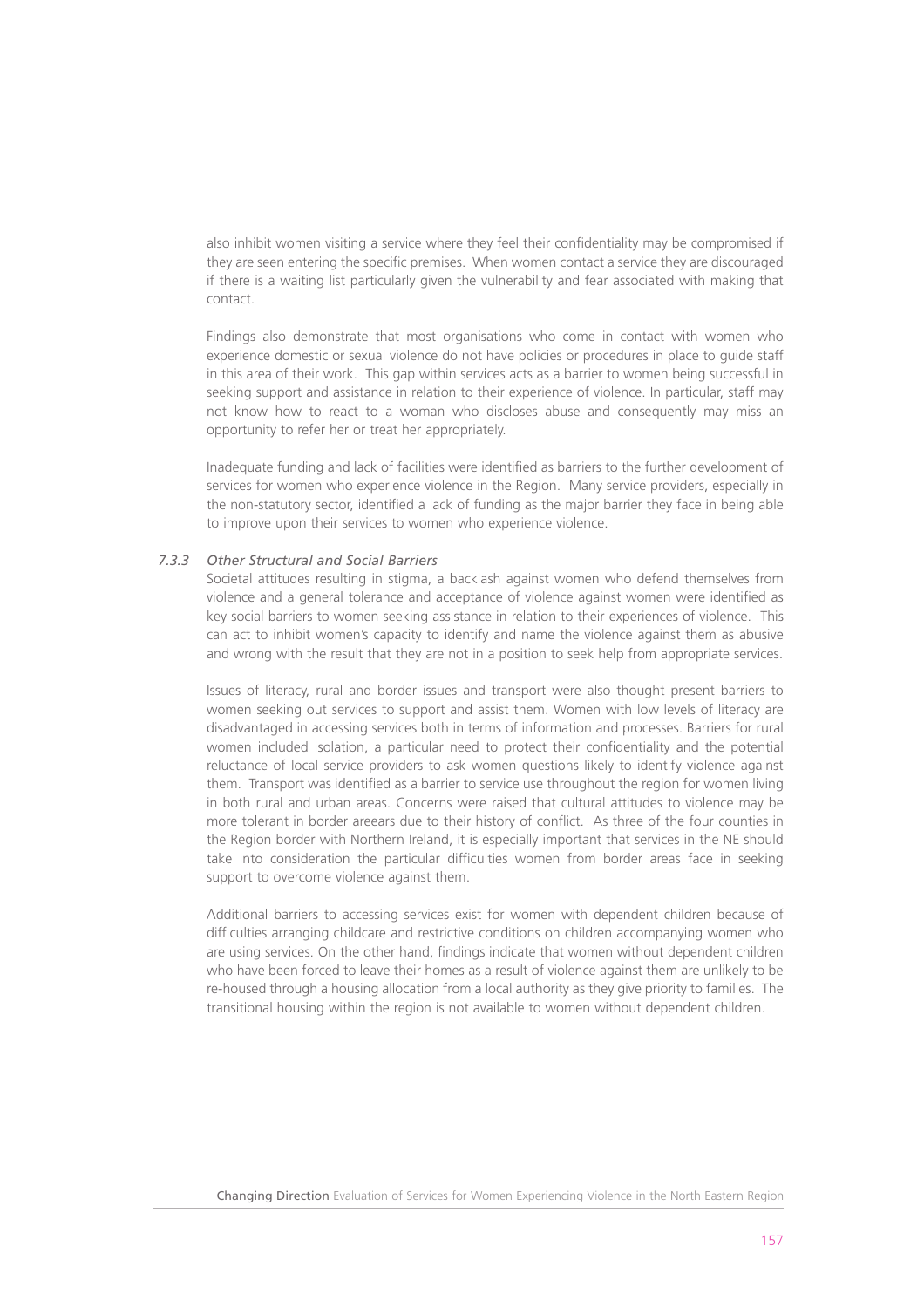also inhibit women visiting a service where they feel their confidentiality may be compromised if they are seen entering the specific premises. When women contact a service they are discouraged if there is a waiting list particularly given the vulnerability and fear associated with making that contact.

Findings also demonstrate that most organisations who come in contact with women who experience domestic or sexual violence do not have policies or procedures in place to guide staff in this area of their work. This gap within services acts as a barrier to women being successful in seeking support and assistance in relation to their experience of violence. In particular, staff may not know how to react to a woman who discloses abuse and consequently may miss an opportunity to refer her or treat her appropriately.

Inadequate funding and lack of facilities were identified as barriers to the further development of services for women who experience violence in the Region. Many service providers, especially in the non-statutory sector, identified a lack of funding as the major barrier they face in being able to improve upon their services to women who experience violence.

## *7.3.3 Other Structural and Social Barriers*

Societal attitudes resulting in stigma, a backlash against women who defend themselves from violence and a general tolerance and acceptance of violence against women were identified as key social barriers to women seeking assistance in relation to their experiences of violence. This can act to inhibit women's capacity to identify and name the violence against them as abusive and wrong with the result that they are not in a position to seek help from appropriate services.

Issues of literacy, rural and border issues and transport were also thought present barriers to women seeking out services to support and assist them. Women with low levels of literacy are disadvantaged in accessing services both in terms of information and processes. Barriers for rural women included isolation, a particular need to protect their confidentiality and the potential reluctance of local service providers to ask women questions likely to identify violence against them. Transport was identified as a barrier to service use throughout the region for women living in both rural and urban areas. Concerns were raised that cultural attitudes to violence may be more tolerant in border areears due to their history of conflict. As three of the four counties in the Region border with Northern Ireland, it is especially important that services in the NE should take into consideration the particular difficulties women from border areas face in seeking support to overcome violence against them.

Additional barriers to accessing services exist for women with dependent children because of difficulties arranging childcare and restrictive conditions on children accompanying women who are using services. On the other hand, findings indicate that women without dependent children who have been forced to leave their homes as a result of violence against them are unlikely to be re-housed through a housing allocation from a local authority as they give priority to families. The transitional housing within the region is not available to women without dependent children.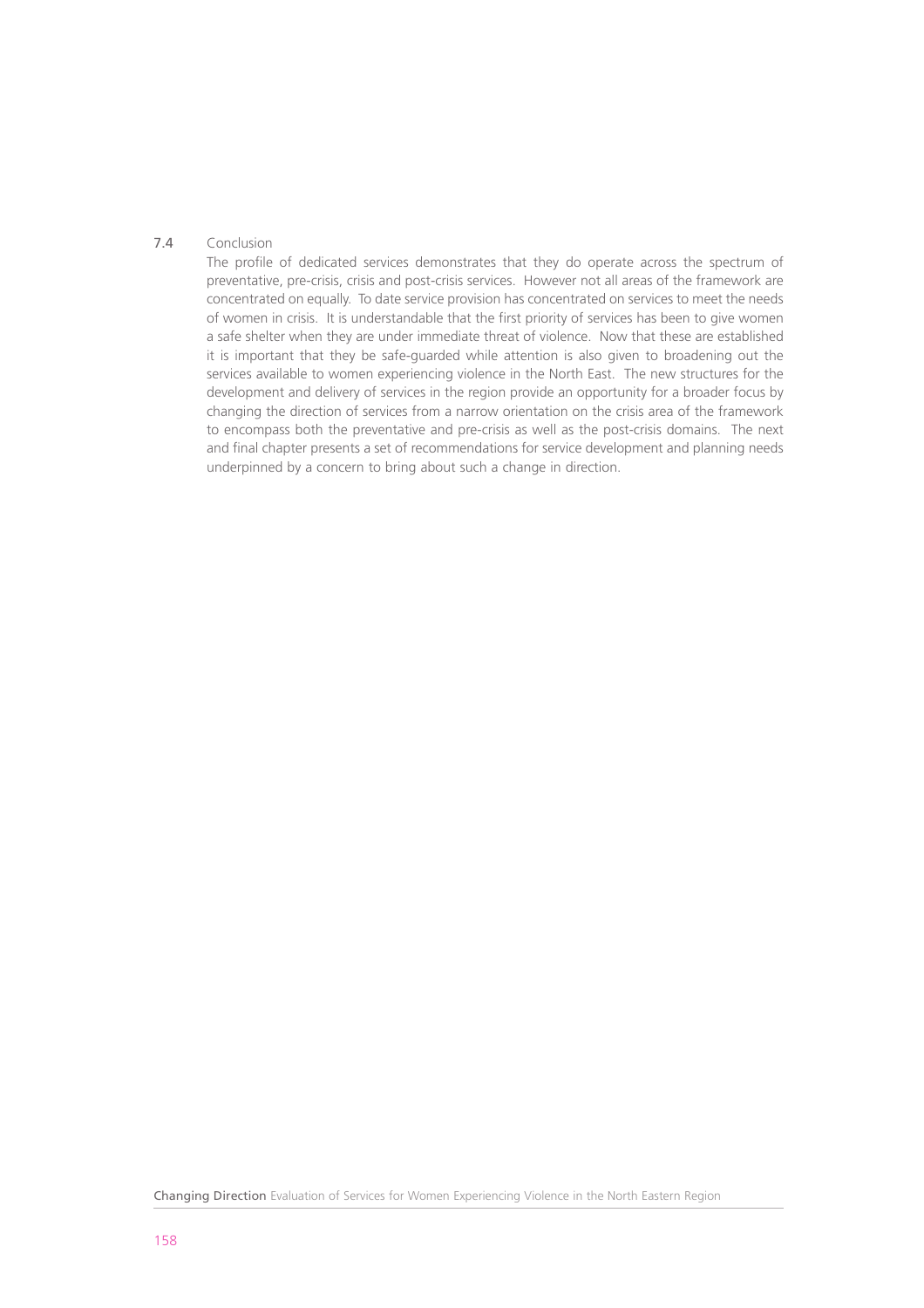## 7.4 Conclusion

The profile of dedicated services demonstrates that they do operate across the spectrum of preventative, pre-crisis, crisis and post-crisis services. However not all areas of the framework are concentrated on equally. To date service provision has concentrated on services to meet the needs of women in crisis. It is understandable that the first priority of services has been to give women a safe shelter when they are under immediate threat of violence. Now that these are established it is important that they be safe-guarded while attention is also given to broadening out the services available to women experiencing violence in the North East. The new structures for the development and delivery of services in the region provide an opportunity for a broader focus by changing the direction of services from a narrow orientation on the crisis area of the framework to encompass both the preventative and pre-crisis as well as the post-crisis domains. The next and final chapter presents a set of recommendations for service development and planning needs underpinned by a concern to bring about such a change in direction.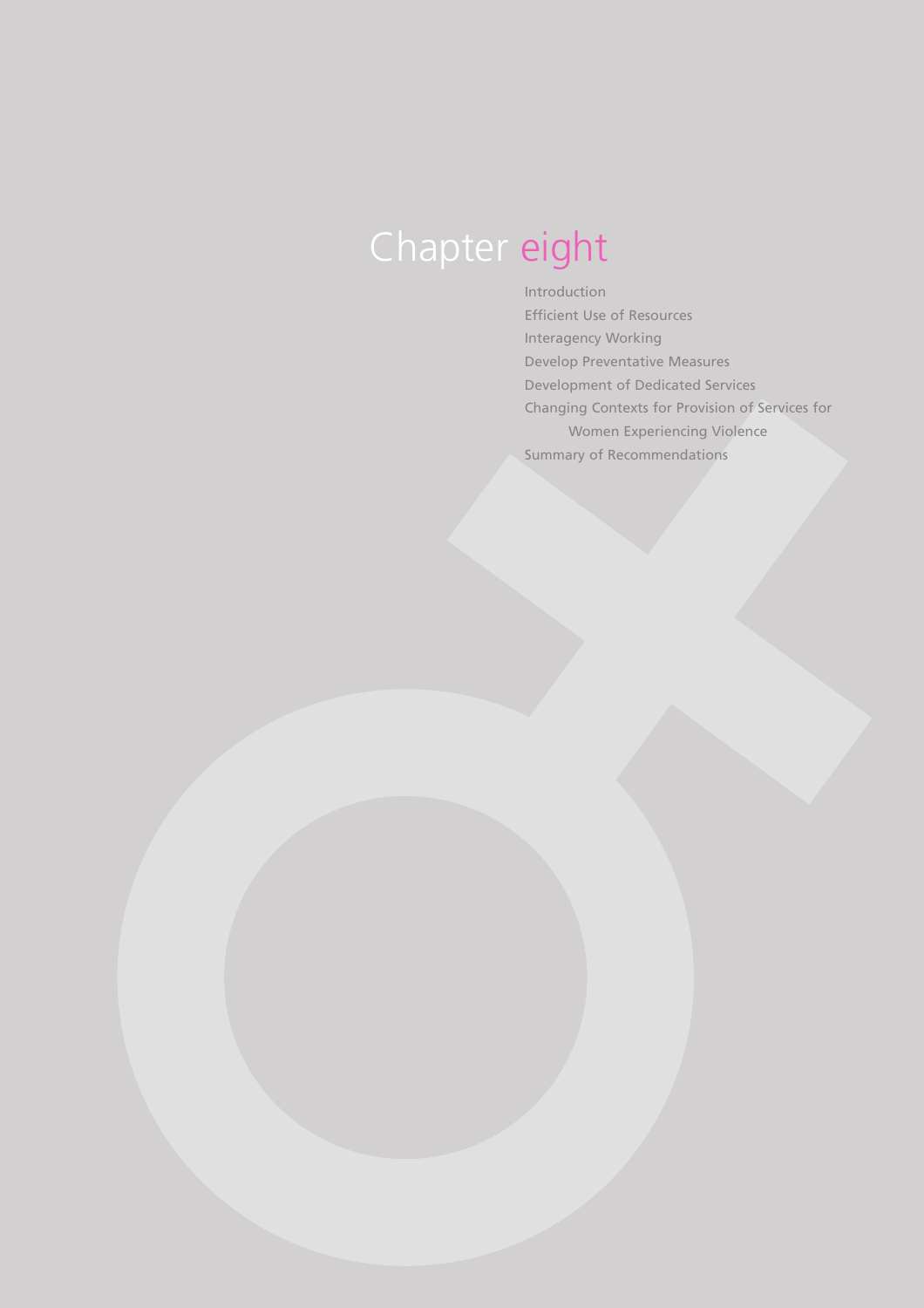## Chapter eight

Introduction Efficient Use of Resources Interagency Working Develop Preventative Measures Development of Dedicated Services Changing Contexts for Provision of Services for Women Experiencing Violence Summary of Recommendations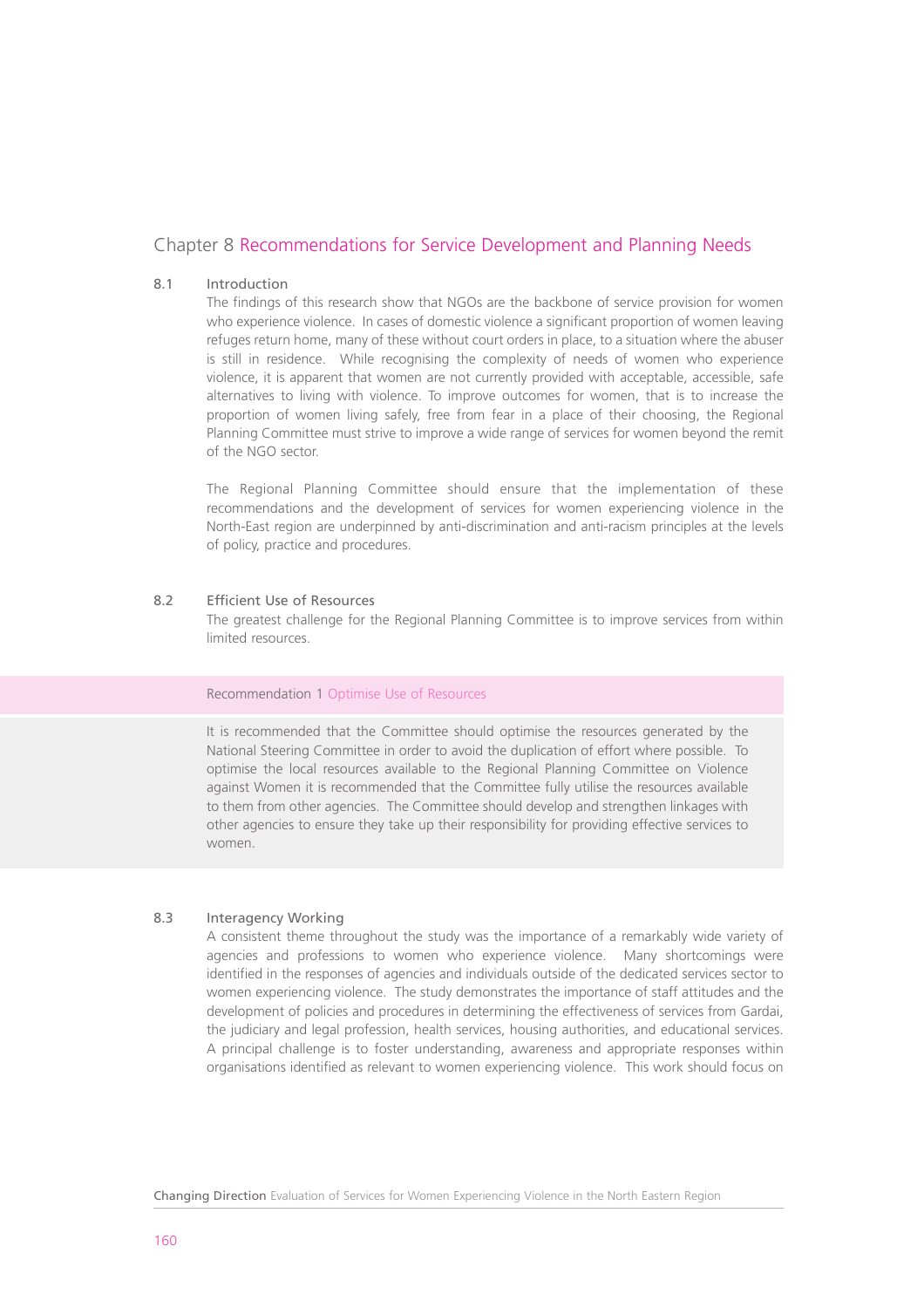## Chapter 8 Recommendations for Service Development and Planning Needs

## 8.1 Introduction

The findings of this research show that NGOs are the backbone of service provision for women who experience violence. In cases of domestic violence a significant proportion of women leaving refuges return home, many of these without court orders in place, to a situation where the abuser is still in residence. While recognising the complexity of needs of women who experience violence, it is apparent that women are not currently provided with acceptable, accessible, safe alternatives to living with violence. To improve outcomes for women, that is to increase the proportion of women living safely, free from fear in a place of their choosing, the Regional Planning Committee must strive to improve a wide range of services for women beyond the remit of the NGO sector.

The Regional Planning Committee should ensure that the implementation of these recommendations and the development of services for women experiencing violence in the North-East region are underpinned by anti-discrimination and anti-racism principles at the levels of policy, practice and procedures.

#### 8.2 Efficient Use of Resources

The greatest challenge for the Regional Planning Committee is to improve services from within limited resources.

## Recommendation 1 Optimise Use of Resources

It is recommended that the Committee should optimise the resources generated by the National Steering Committee in order to avoid the duplication of effort where possible. To optimise the local resources available to the Regional Planning Committee on Violence against Women it is recommended that the Committee fully utilise the resources available to them from other agencies. The Committee should develop and strengthen linkages with other agencies to ensure they take up their responsibility for providing effective services to women.

## 8.3 Interagency Working

A consistent theme throughout the study was the importance of a remarkably wide variety of agencies and professions to women who experience violence. Many shortcomings were identified in the responses of agencies and individuals outside of the dedicated services sector to women experiencing violence. The study demonstrates the importance of staff attitudes and the development of policies and procedures in determining the effectiveness of services from Gardai, the judiciary and legal profession, health services, housing authorities, and educational services. A principal challenge is to foster understanding, awareness and appropriate responses within organisations identified as relevant to women experiencing violence. This work should focus on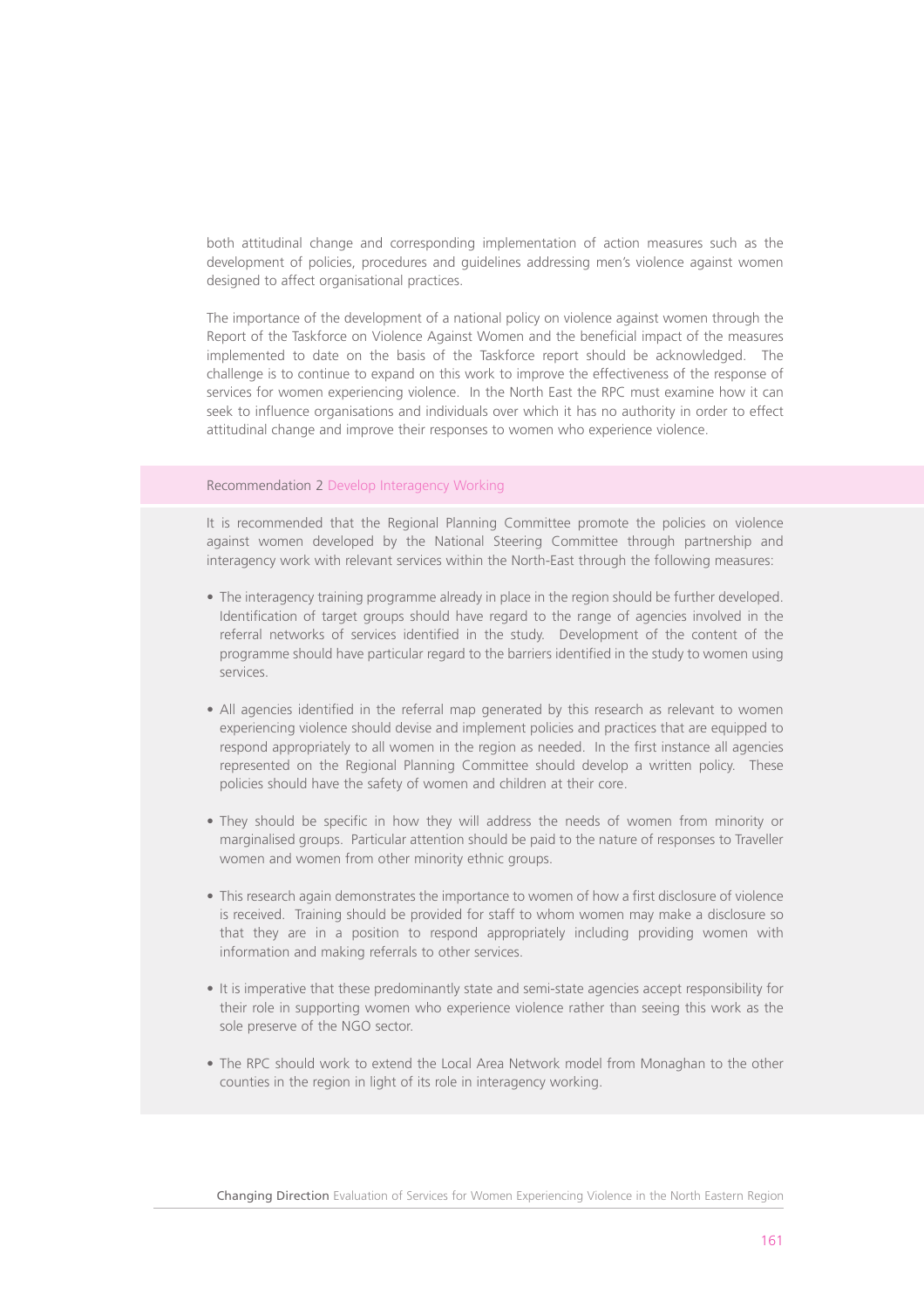both attitudinal change and corresponding implementation of action measures such as the development of policies, procedures and guidelines addressing men's violence against women designed to affect organisational practices.

The importance of the development of a national policy on violence against women through the Report of the Taskforce on Violence Against Women and the beneficial impact of the measures implemented to date on the basis of the Taskforce report should be acknowledged. The challenge is to continue to expand on this work to improve the effectiveness of the response of services for women experiencing violence. In the North East the RPC must examine how it can seek to influence organisations and individuals over which it has no authority in order to effect attitudinal change and improve their responses to women who experience violence.

## Recommendation 2 Develop Interagency Working

It is recommended that the Regional Planning Committee promote the policies on violence against women developed by the National Steering Committee through partnership and interagency work with relevant services within the North-East through the following measures:

- The interagency training programme already in place in the region should be further developed. Identification of target groups should have regard to the range of agencies involved in the referral networks of services identified in the study. Development of the content of the programme should have particular regard to the barriers identified in the study to women using services.
- All agencies identified in the referral map generated by this research as relevant to women experiencing violence should devise and implement policies and practices that are equipped to respond appropriately to all women in the region as needed. In the first instance all agencies represented on the Regional Planning Committee should develop a written policy. These policies should have the safety of women and children at their core.
- They should be specific in how they will address the needs of women from minority or marginalised groups. Particular attention should be paid to the nature of responses to Traveller women and women from other minority ethnic groups.
- This research again demonstrates the importance to women of how a first disclosure of violence is received. Training should be provided for staff to whom women may make a disclosure so that they are in a position to respond appropriately including providing women with information and making referrals to other services.
- It is imperative that these predominantly state and semi-state agencies accept responsibility for their role in supporting women who experience violence rather than seeing this work as the sole preserve of the NGO sector.
- The RPC should work to extend the Local Area Network model from Monaghan to the other counties in the region in light of its role in interagency working.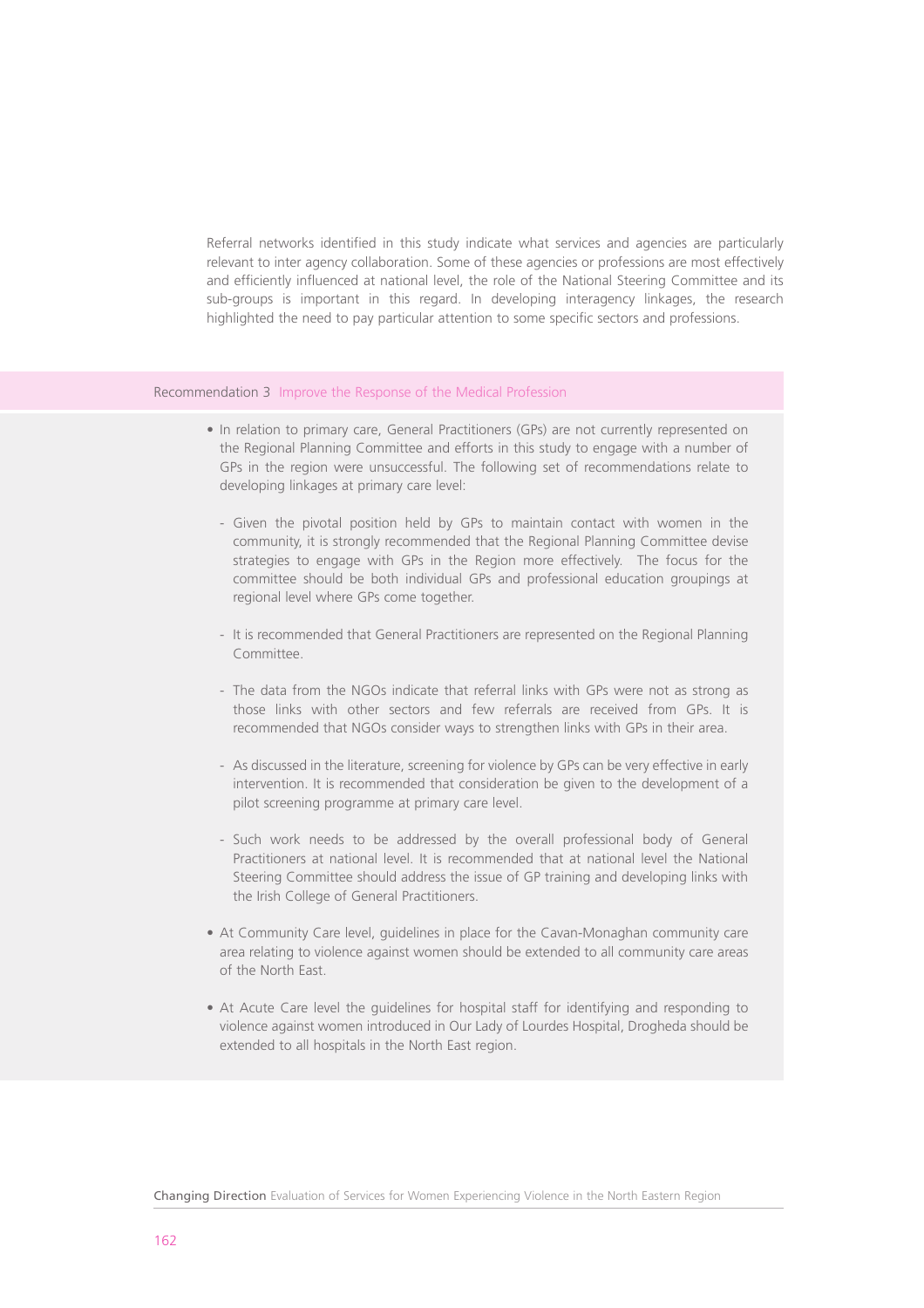Referral networks identified in this study indicate what services and agencies are particularly relevant to inter agency collaboration. Some of these agencies or professions are most effectively and efficiently influenced at national level, the role of the National Steering Committee and its sub-groups is important in this regard. In developing interagency linkages, the research highlighted the need to pay particular attention to some specific sectors and professions.

#### Recommendation 3 Improve the Response of the Medical Profession

- In relation to primary care, General Practitioners (GPs) are not currently represented on the Regional Planning Committee and efforts in this study to engage with a number of GPs in the region were unsuccessful. The following set of recommendations relate to developing linkages at primary care level:
	- Given the pivotal position held by GPs to maintain contact with women in the community, it is strongly recommended that the Regional Planning Committee devise strategies to engage with GPs in the Region more effectively. The focus for the committee should be both individual GPs and professional education groupings at regional level where GPs come together.
	- It is recommended that General Practitioners are represented on the Regional Planning Committee.
	- The data from the NGOs indicate that referral links with GPs were not as strong as those links with other sectors and few referrals are received from GPs. It is recommended that NGOs consider ways to strengthen links with GPs in their area.
	- As discussed in the literature, screening for violence by GPs can be very effective in early intervention. It is recommended that consideration be given to the development of a pilot screening programme at primary care level.
	- Such work needs to be addressed by the overall professional body of General Practitioners at national level. It is recommended that at national level the National Steering Committee should address the issue of GP training and developing links with the Irish College of General Practitioners.
- At Community Care level, guidelines in place for the Cavan-Monaghan community care area relating to violence against women should be extended to all community care areas of the North East.
- At Acute Care level the guidelines for hospital staff for identifying and responding to violence against women introduced in Our Lady of Lourdes Hospital, Drogheda should be extended to all hospitals in the North East region.

Changing Direction Evaluation of Services for Women Experiencing Violence in the North Eastern Region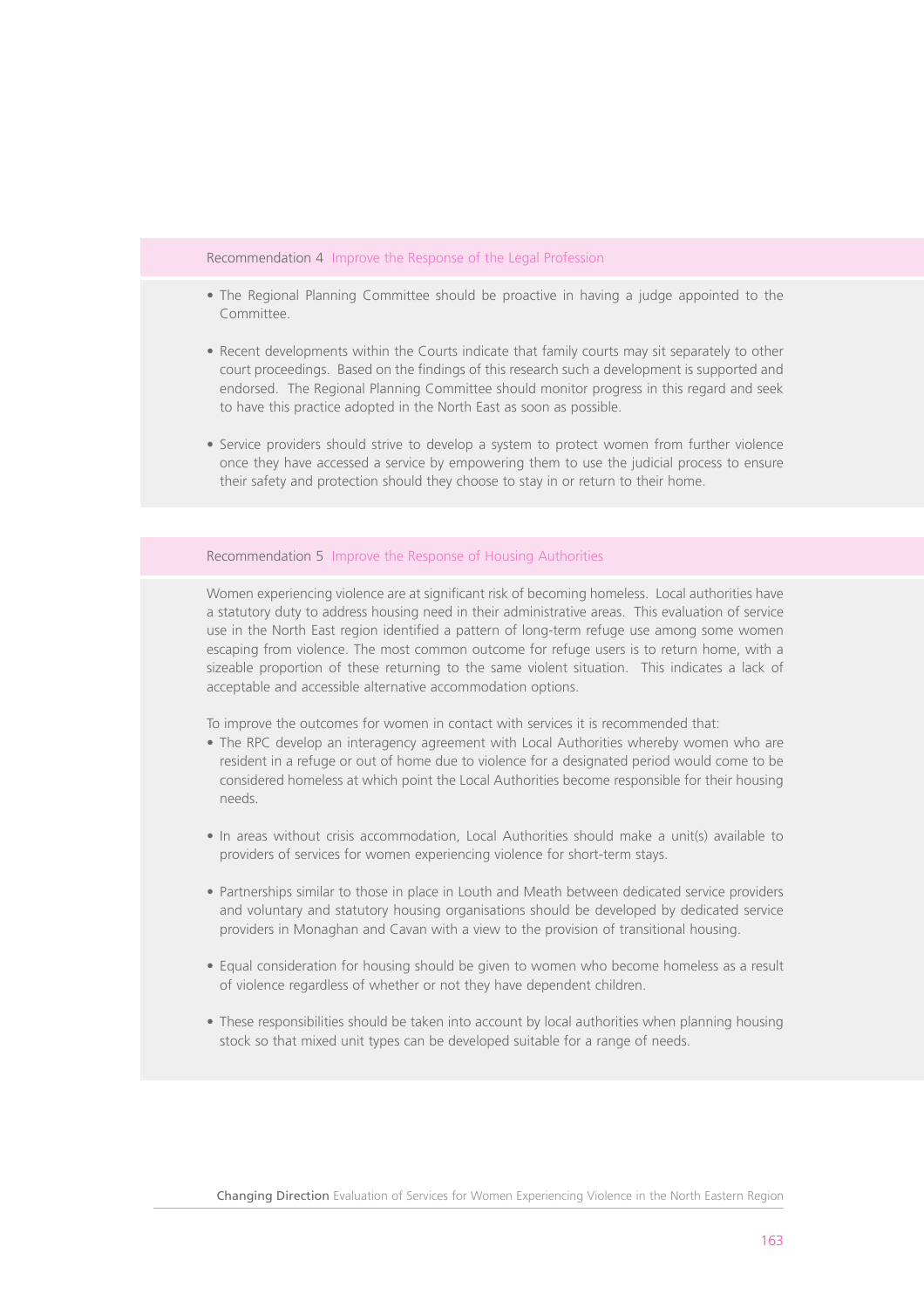#### Recommendation 4 Improve the Response of the Legal Profession

- The Regional Planning Committee should be proactive in having a judge appointed to the Committee.
- Recent developments within the Courts indicate that family courts may sit separately to other court proceedings. Based on the findings of this research such a development is supported and endorsed. The Regional Planning Committee should monitor progress in this regard and seek to have this practice adopted in the North East as soon as possible.
- Service providers should strive to develop a system to protect women from further violence once they have accessed a service by empowering them to use the judicial process to ensure their safety and protection should they choose to stay in or return to their home.

Recommendation 5 Improve the Response of Housing Authorities

Women experiencing violence are at significant risk of becoming homeless. Local authorities have a statutory duty to address housing need in their administrative areas. This evaluation of service use in the North East region identified a pattern of long-term refuge use among some women escaping from violence. The most common outcome for refuge users is to return home, with a sizeable proportion of these returning to the same violent situation. This indicates a lack of acceptable and accessible alternative accommodation options.

To improve the outcomes for women in contact with services it is recommended that:

- The RPC develop an interagency agreement with Local Authorities whereby women who are resident in a refuge or out of home due to violence for a designated period would come to be considered homeless at which point the Local Authorities become responsible for their housing needs.
- In areas without crisis accommodation, Local Authorities should make a unit(s) available to providers of services for women experiencing violence for short-term stays.
- Partnerships similar to those in place in Louth and Meath between dedicated service providers and voluntary and statutory housing organisations should be developed by dedicated service providers in Monaghan and Cavan with a view to the provision of transitional housing.
- Equal consideration for housing should be given to women who become homeless as a result of violence regardless of whether or not they have dependent children.
- These responsibilities should be taken into account by local authorities when planning housing stock so that mixed unit types can be developed suitable for a range of needs.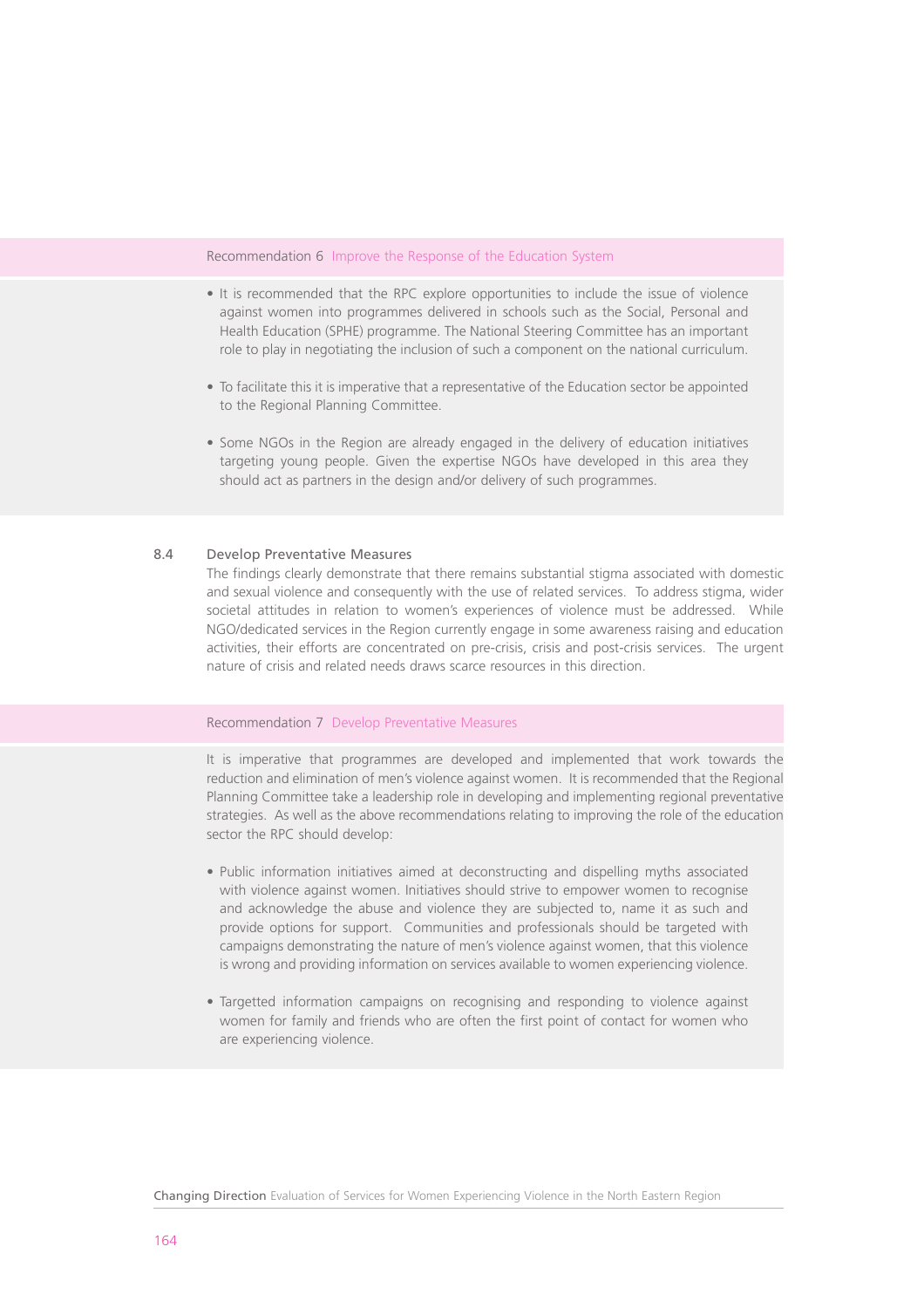#### Recommendation 6 Improve the Response of the Education System

- It is recommended that the RPC explore opportunities to include the issue of violence against women into programmes delivered in schools such as the Social, Personal and Health Education (SPHE) programme. The National Steering Committee has an important role to play in negotiating the inclusion of such a component on the national curriculum.
- To facilitate this it is imperative that a representative of the Education sector be appointed to the Regional Planning Committee.
- Some NGOs in the Region are already engaged in the delivery of education initiatives targeting young people. Given the expertise NGOs have developed in this area they should act as partners in the design and/or delivery of such programmes.

## 8.4 Develop Preventative Measures

The findings clearly demonstrate that there remains substantial stigma associated with domestic and sexual violence and consequently with the use of related services. To address stigma, wider societal attitudes in relation to women's experiences of violence must be addressed. While NGO/dedicated services in the Region currently engage in some awareness raising and education activities, their efforts are concentrated on pre-crisis, crisis and post-crisis services. The urgent nature of crisis and related needs draws scarce resources in this direction.

#### Recommendation 7 Develop Preventative Measures

It is imperative that programmes are developed and implemented that work towards the reduction and elimination of men's violence against women. It is recommended that the Regional Planning Committee take a leadership role in developing and implementing regional preventative strategies. As well as the above recommendations relating to improving the role of the education sector the RPC should develop:

- Public information initiatives aimed at deconstructing and dispelling myths associated with violence against women. Initiatives should strive to empower women to recognise and acknowledge the abuse and violence they are subjected to, name it as such and provide options for support. Communities and professionals should be targeted with campaigns demonstrating the nature of men's violence against women, that this violence is wrong and providing information on services available to women experiencing violence.
- Targetted information campaigns on recognising and responding to violence against women for family and friends who are often the first point of contact for women who are experiencing violence.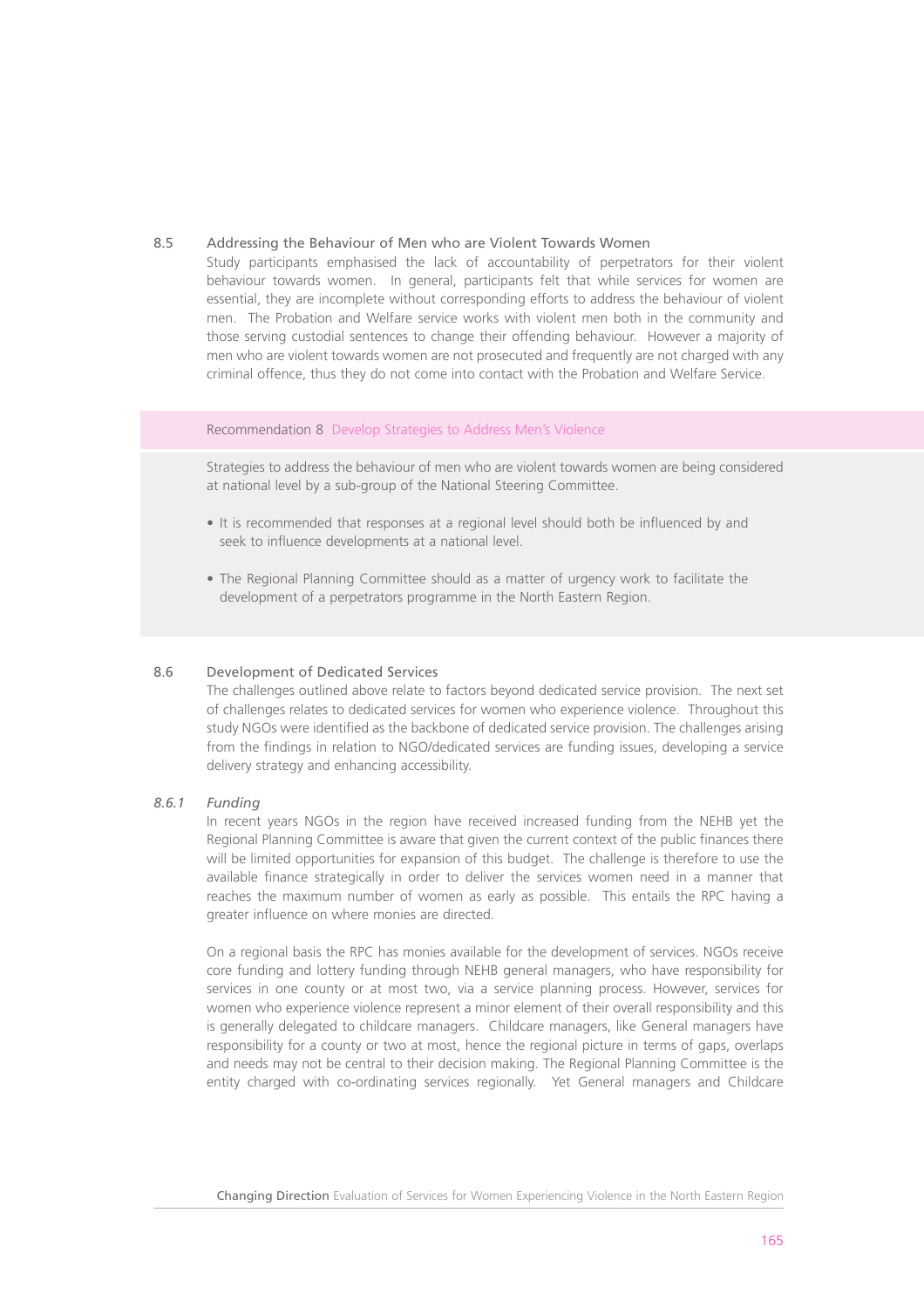#### 8.5 Addressing the Behaviour of Men who are Violent Towards Women

Study participants emphasised the lack of accountability of perpetrators for their violent behaviour towards women. In general, participants felt that while services for women are essential, they are incomplete without corresponding efforts to address the behaviour of violent men. The Probation and Welfare service works with violent men both in the community and those serving custodial sentences to change their offending behaviour. However a majority of men who are violent towards women are not prosecuted and frequently are not charged with any criminal offence, thus they do not come into contact with the Probation and Welfare Service.

#### Recommendation 8 Develop Strategies to Address Men's Violence

Strategies to address the behaviour of men who are violent towards women are being considered at national level by a sub-group of the National Steering Committee.

- It is recommended that responses at a regional level should both be influenced by and seek to influence developments at a national level.
- The Regional Planning Committee should as a matter of urgency work to facilitate the development of a perpetrators programme in the North Eastern Region.

#### 8.6 Development of Dedicated Services

The challenges outlined above relate to factors beyond dedicated service provision. The next set of challenges relates to dedicated services for women who experience violence. Throughout this study NGOs were identified as the backbone of dedicated service provision. The challenges arising from the findings in relation to NGO/dedicated services are funding issues, developing a service delivery strategy and enhancing accessibility.

#### *8.6.1 Funding*

In recent years NGOs in the region have received increased funding from the NEHB yet the Regional Planning Committee is aware that given the current context of the public finances there will be limited opportunities for expansion of this budget. The challenge is therefore to use the available finance strategically in order to deliver the services women need in a manner that reaches the maximum number of women as early as possible. This entails the RPC having a greater influence on where monies are directed.

On a regional basis the RPC has monies available for the development of services. NGOs receive core funding and lottery funding through NEHB general managers, who have responsibility for services in one county or at most two, via a service planning process. However, services for women who experience violence represent a minor element of their overall responsibility and this is generally delegated to childcare managers. Childcare managers, like General managers have responsibility for a county or two at most, hence the regional picture in terms of gaps, overlaps and needs may not be central to their decision making. The Regional Planning Committee is the entity charged with co-ordinating services regionally. Yet General managers and Childcare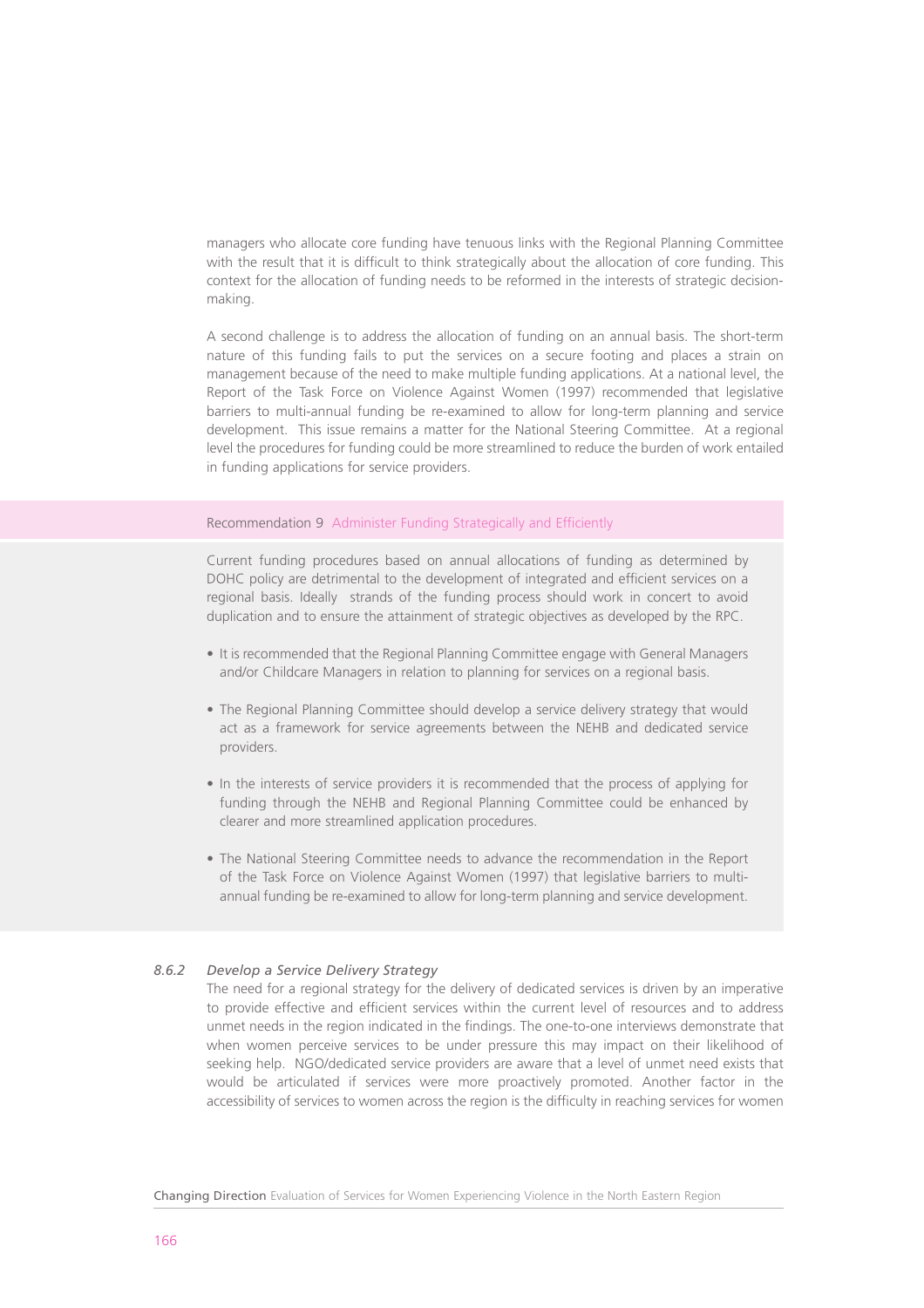managers who allocate core funding have tenuous links with the Regional Planning Committee with the result that it is difficult to think strategically about the allocation of core funding. This context for the allocation of funding needs to be reformed in the interests of strategic decisionmaking.

A second challenge is to address the allocation of funding on an annual basis. The short-term nature of this funding fails to put the services on a secure footing and places a strain on management because of the need to make multiple funding applications. At a national level, the Report of the Task Force on Violence Against Women (1997) recommended that legislative barriers to multi-annual funding be re-examined to allow for long-term planning and service development. This issue remains a matter for the National Steering Committee. At a regional level the procedures for funding could be more streamlined to reduce the burden of work entailed in funding applications for service providers.

## Recommendation 9 Administer Funding Strategically and Efficiently

Current funding procedures based on annual allocations of funding as determined by DOHC policy are detrimental to the development of integrated and efficient services on a regional basis. Ideally strands of the funding process should work in concert to avoid duplication and to ensure the attainment of strategic objectives as developed by the RPC.

- It is recommended that the Regional Planning Committee engage with General Managers and/or Childcare Managers in relation to planning for services on a regional basis.
- The Regional Planning Committee should develop a service delivery strategy that would act as a framework for service agreements between the NEHB and dedicated service providers.
- In the interests of service providers it is recommended that the process of applying for funding through the NEHB and Regional Planning Committee could be enhanced by clearer and more streamlined application procedures.
- The National Steering Committee needs to advance the recommendation in the Report of the Task Force on Violence Against Women (1997) that legislative barriers to multiannual funding be re-examined to allow for long-term planning and service development.

## *8.6.2 Develop a Service Delivery Strategy*

The need for a regional strategy for the delivery of dedicated services is driven by an imperative to provide effective and efficient services within the current level of resources and to address unmet needs in the region indicated in the findings. The one-to-one interviews demonstrate that when women perceive services to be under pressure this may impact on their likelihood of seeking help. NGO/dedicated service providers are aware that a level of unmet need exists that would be articulated if services were more proactively promoted. Another factor in the accessibility of services to women across the region is the difficulty in reaching services for women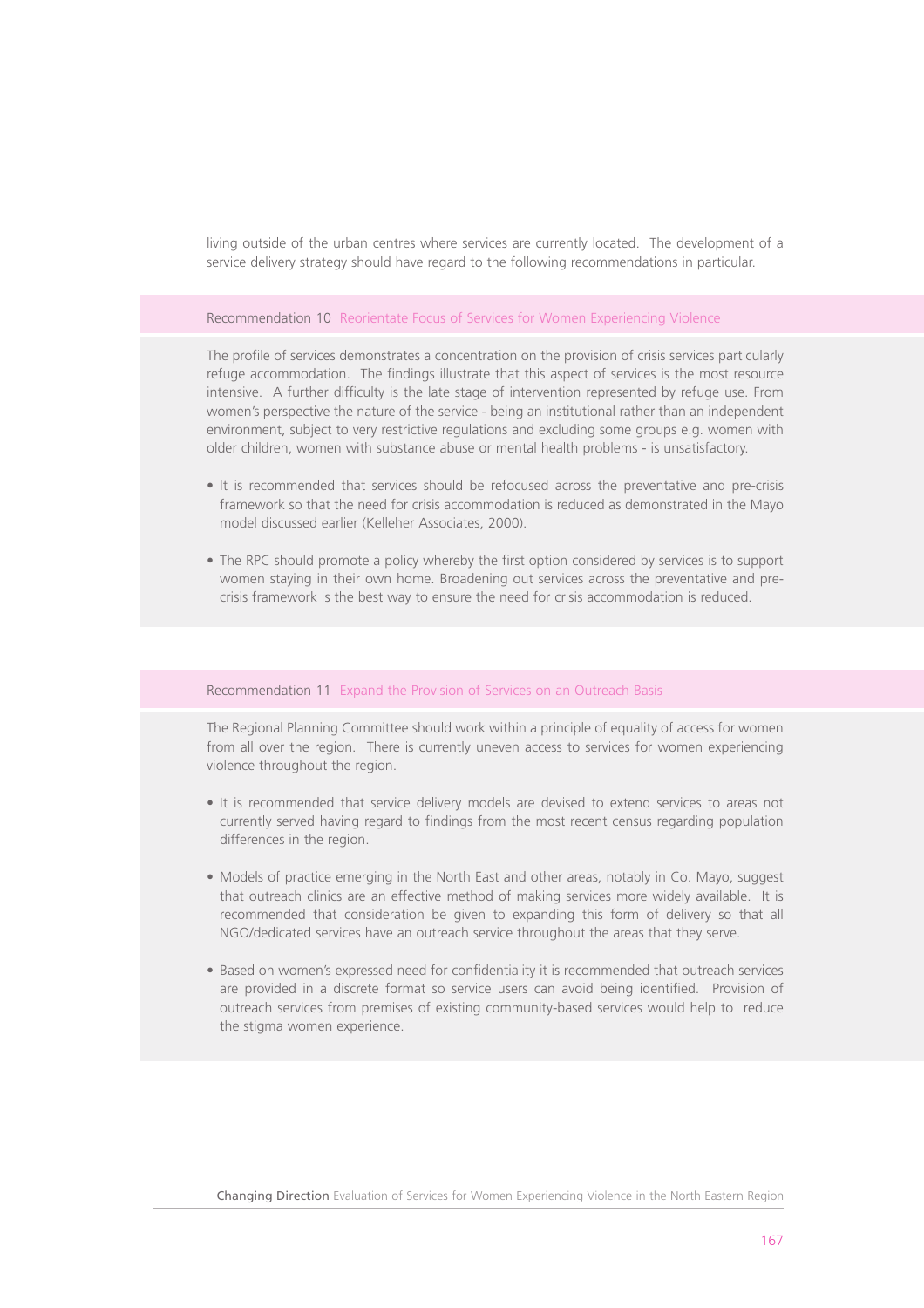living outside of the urban centres where services are currently located. The development of a service delivery strategy should have regard to the following recommendations in particular.

#### Recommendation 10 Reorientate Focus of Services for Women Experiencing Violence

The profile of services demonstrates a concentration on the provision of crisis services particularly refuge accommodation. The findings illustrate that this aspect of services is the most resource intensive. A further difficulty is the late stage of intervention represented by refuge use. From women's perspective the nature of the service - being an institutional rather than an independent environment, subject to very restrictive regulations and excluding some groups e.g. women with older children, women with substance abuse or mental health problems - is unsatisfactory.

- It is recommended that services should be refocused across the preventative and pre-crisis framework so that the need for crisis accommodation is reduced as demonstrated in the Mayo model discussed earlier (Kelleher Associates, 2000).
- The RPC should promote a policy whereby the first option considered by services is to support women staying in their own home. Broadening out services across the preventative and precrisis framework is the best way to ensure the need for crisis accommodation is reduced.

#### Recommendation 11 Expand the Provision of Services on an Outreach Basis

The Regional Planning Committee should work within a principle of equality of access for women from all over the region. There is currently uneven access to services for women experiencing violence throughout the region.

- It is recommended that service delivery models are devised to extend services to areas not currently served having regard to findings from the most recent census regarding population differences in the region.
- Models of practice emerging in the North East and other areas, notably in Co. Mayo, suggest that outreach clinics are an effective method of making services more widely available. It is recommended that consideration be given to expanding this form of delivery so that all NGO/dedicated services have an outreach service throughout the areas that they serve.
- Based on women's expressed need for confidentiality it is recommended that outreach services are provided in a discrete format so service users can avoid being identified. Provision of outreach services from premises of existing community-based services would help to reduce the stigma women experience.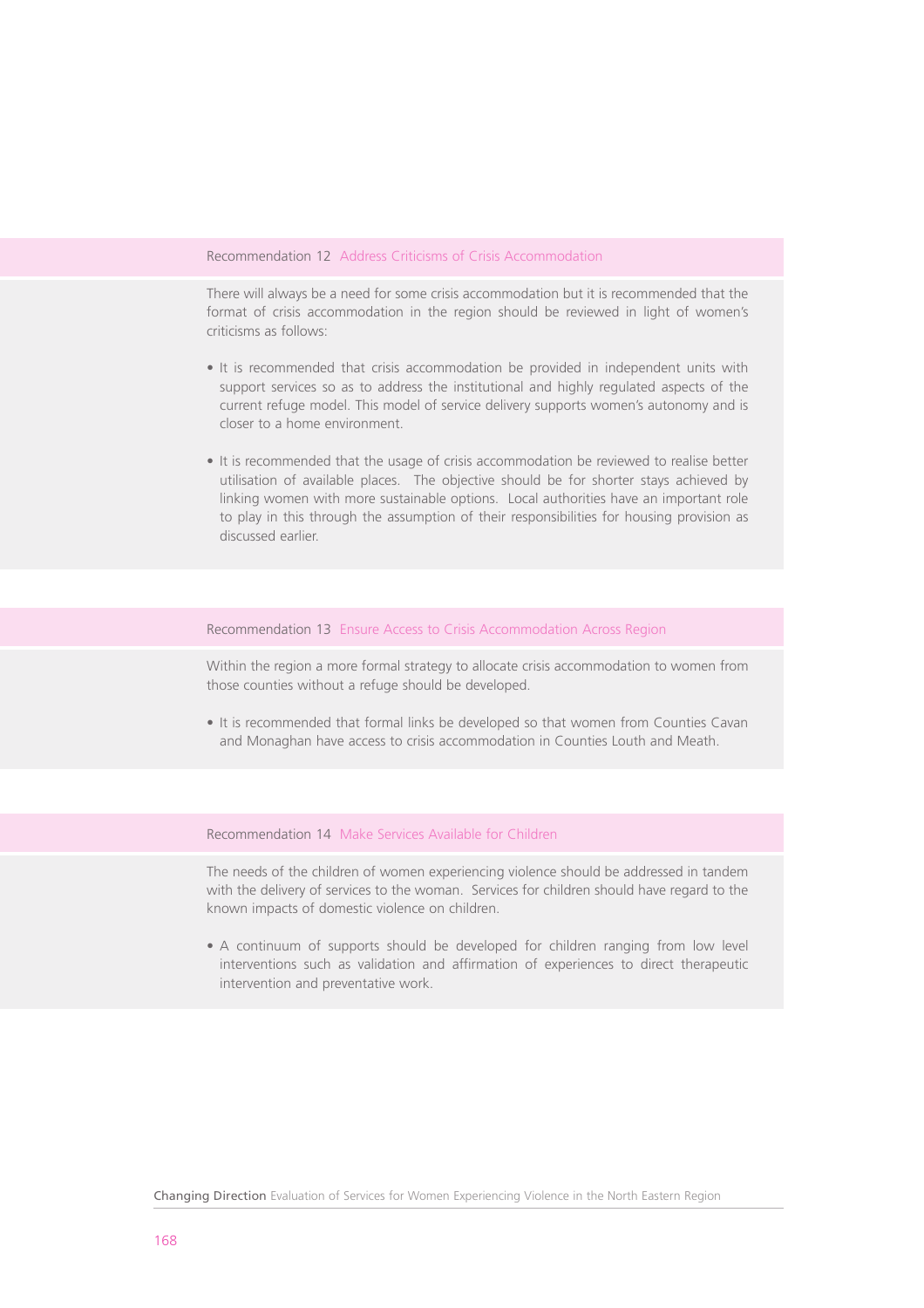#### Recommendation 12 Address Criticisms of Crisis Accommodation

There will always be a need for some crisis accommodation but it is recommended that the format of crisis accommodation in the region should be reviewed in light of women's criticisms as follows:

- It is recommended that crisis accommodation be provided in independent units with support services so as to address the institutional and highly regulated aspects of the current refuge model. This model of service delivery supports women's autonomy and is closer to a home environment.
- It is recommended that the usage of crisis accommodation be reviewed to realise better utilisation of available places. The objective should be for shorter stays achieved by linking women with more sustainable options. Local authorities have an important role to play in this through the assumption of their responsibilities for housing provision as discussed earlier.

#### Recommendation 13 Ensure Access to Crisis Accommodation Across Region

Within the region a more formal strategy to allocate crisis accommodation to women from those counties without a refuge should be developed.

• It is recommended that formal links be developed so that women from Counties Cavan and Monaghan have access to crisis accommodation in Counties Louth and Meath.

Recommendation 14 Make Services Available for Children

The needs of the children of women experiencing violence should be addressed in tandem with the delivery of services to the woman. Services for children should have regard to the known impacts of domestic violence on children.

• A continuum of supports should be developed for children ranging from low level interventions such as validation and affirmation of experiences to direct therapeutic intervention and preventative work.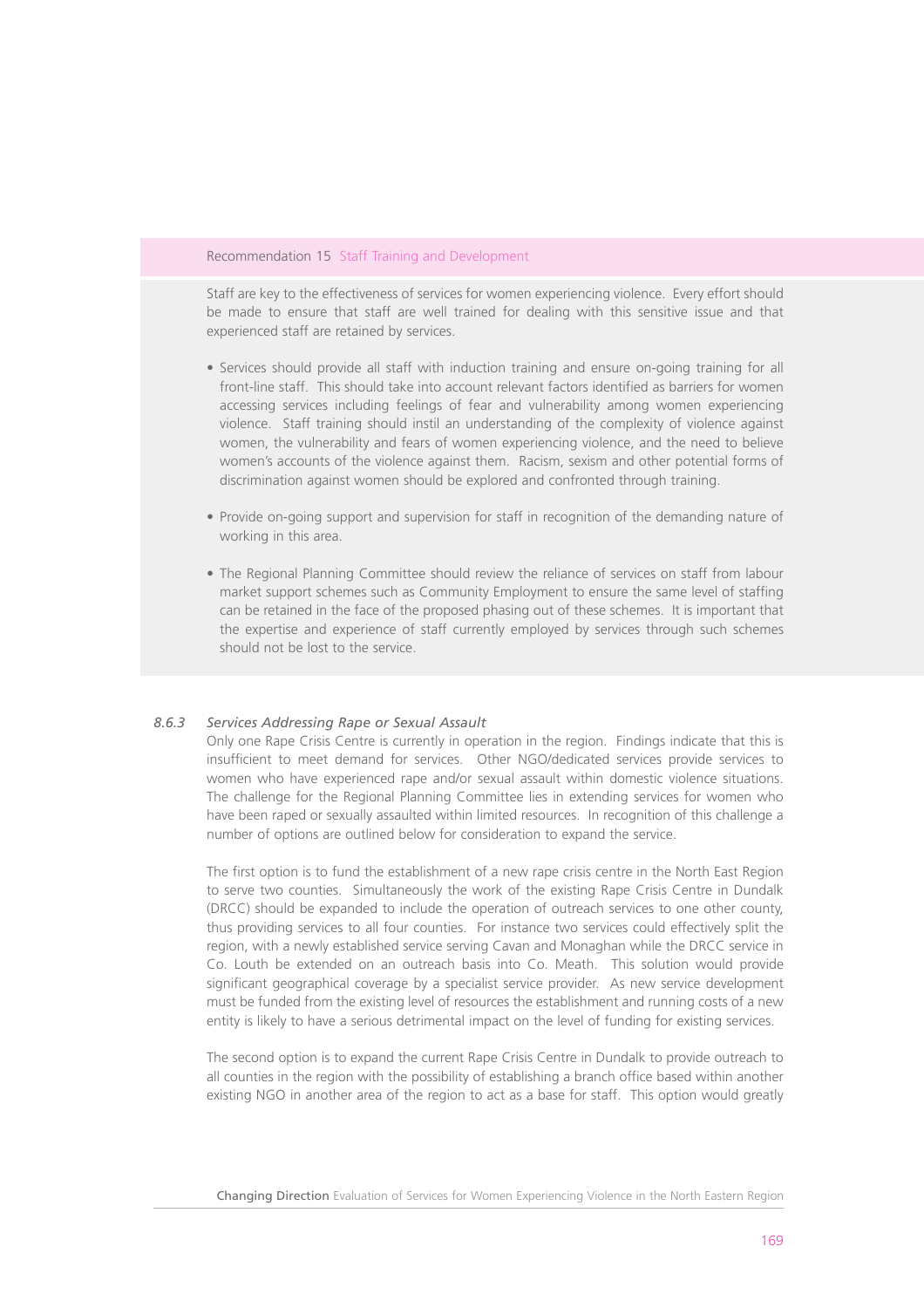#### Recommendation 15 Staff Training and Development

Staff are key to the effectiveness of services for women experiencing violence. Every effort should be made to ensure that staff are well trained for dealing with this sensitive issue and that experienced staff are retained by services.

- Services should provide all staff with induction training and ensure on-going training for all front-line staff. This should take into account relevant factors identified as barriers for women accessing services including feelings of fear and vulnerability among women experiencing violence. Staff training should instil an understanding of the complexity of violence against women, the vulnerability and fears of women experiencing violence, and the need to believe women's accounts of the violence against them. Racism, sexism and other potential forms of discrimination against women should be explored and confronted through training.
- Provide on-going support and supervision for staff in recognition of the demanding nature of working in this area.
- The Regional Planning Committee should review the reliance of services on staff from labour market support schemes such as Community Employment to ensure the same level of staffing can be retained in the face of the proposed phasing out of these schemes. It is important that the expertise and experience of staff currently employed by services through such schemes should not be lost to the service.

## *8.6.3 Services Addressing Rape or Sexual Assault*

Only one Rape Crisis Centre is currently in operation in the region. Findings indicate that this is insufficient to meet demand for services. Other NGO/dedicated services provide services to women who have experienced rape and/or sexual assault within domestic violence situations. The challenge for the Regional Planning Committee lies in extending services for women who have been raped or sexually assaulted within limited resources. In recognition of this challenge a number of options are outlined below for consideration to expand the service.

The first option is to fund the establishment of a new rape crisis centre in the North East Region to serve two counties. Simultaneously the work of the existing Rape Crisis Centre in Dundalk (DRCC) should be expanded to include the operation of outreach services to one other county, thus providing services to all four counties. For instance two services could effectively split the region, with a newly established service serving Cavan and Monaghan while the DRCC service in Co. Louth be extended on an outreach basis into Co. Meath. This solution would provide significant geographical coverage by a specialist service provider. As new service development must be funded from the existing level of resources the establishment and running costs of a new entity is likely to have a serious detrimental impact on the level of funding for existing services.

The second option is to expand the current Rape Crisis Centre in Dundalk to provide outreach to all counties in the region with the possibility of establishing a branch office based within another existing NGO in another area of the region to act as a base for staff. This option would greatly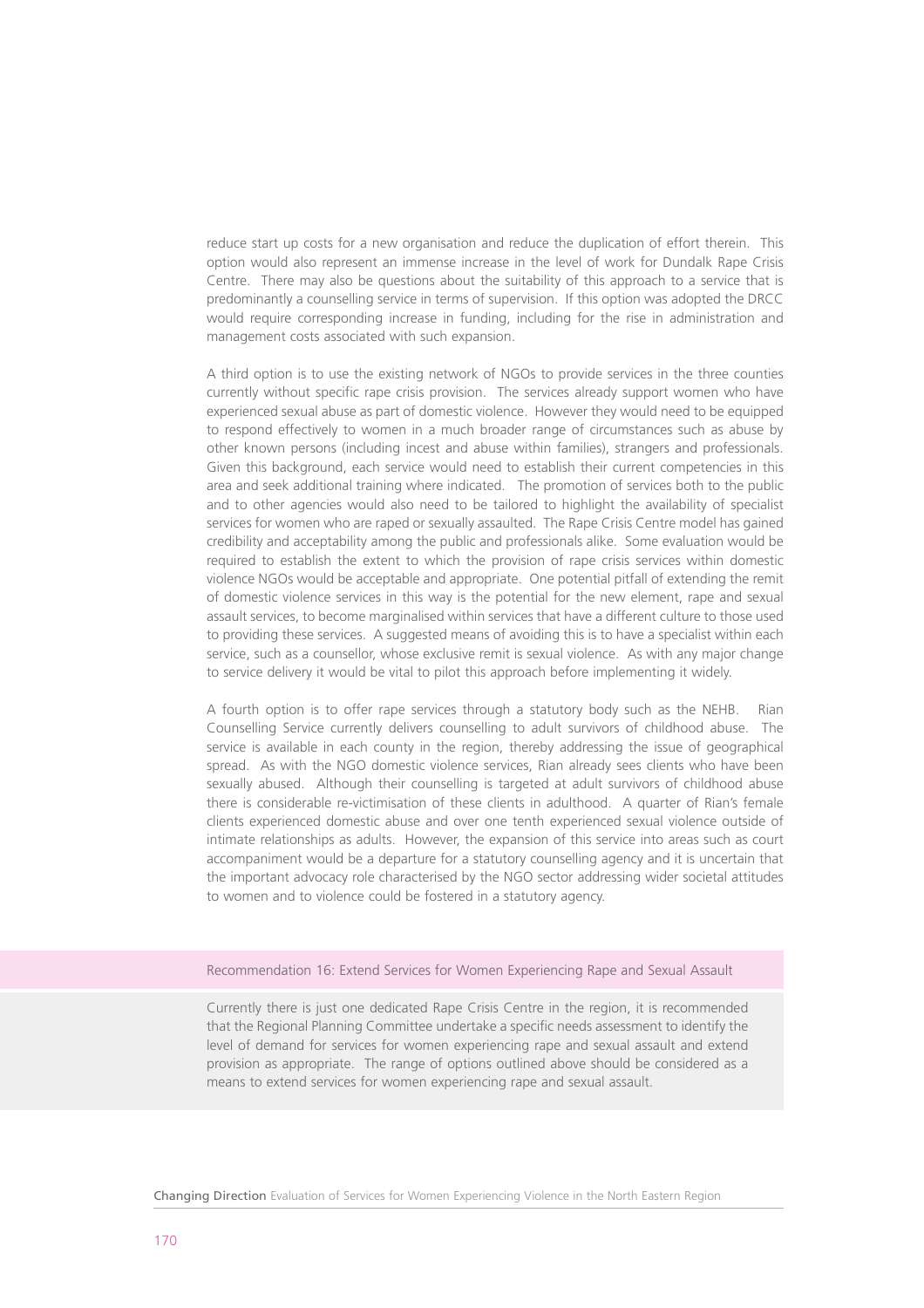reduce start up costs for a new organisation and reduce the duplication of effort therein. This option would also represent an immense increase in the level of work for Dundalk Rape Crisis Centre. There may also be questions about the suitability of this approach to a service that is predominantly a counselling service in terms of supervision. If this option was adopted the DRCC would require corresponding increase in funding, including for the rise in administration and management costs associated with such expansion.

A third option is to use the existing network of NGOs to provide services in the three counties currently without specific rape crisis provision. The services already support women who have experienced sexual abuse as part of domestic violence. However they would need to be equipped to respond effectively to women in a much broader range of circumstances such as abuse by other known persons (including incest and abuse within families), strangers and professionals. Given this background, each service would need to establish their current competencies in this area and seek additional training where indicated. The promotion of services both to the public and to other agencies would also need to be tailored to highlight the availability of specialist services for women who are raped or sexually assaulted. The Rape Crisis Centre model has gained credibility and acceptability among the public and professionals alike. Some evaluation would be required to establish the extent to which the provision of rape crisis services within domestic violence NGOs would be acceptable and appropriate. One potential pitfall of extending the remit of domestic violence services in this way is the potential for the new element, rape and sexual assault services, to become marginalised within services that have a different culture to those used to providing these services. A suggested means of avoiding this is to have a specialist within each service, such as a counsellor, whose exclusive remit is sexual violence. As with any major change to service delivery it would be vital to pilot this approach before implementing it widely.

A fourth option is to offer rape services through a statutory body such as the NEHB. Rian Counselling Service currently delivers counselling to adult survivors of childhood abuse. The service is available in each county in the region, thereby addressing the issue of geographical spread. As with the NGO domestic violence services, Rian already sees clients who have been sexually abused. Although their counselling is targeted at adult survivors of childhood abuse there is considerable re-victimisation of these clients in adulthood. A quarter of Rian's female clients experienced domestic abuse and over one tenth experienced sexual violence outside of intimate relationships as adults. However, the expansion of this service into areas such as court accompaniment would be a departure for a statutory counselling agency and it is uncertain that the important advocacy role characterised by the NGO sector addressing wider societal attitudes to women and to violence could be fostered in a statutory agency.

#### Recommendation 16: Extend Services for Women Experiencing Rape and Sexual Assault

Currently there is just one dedicated Rape Crisis Centre in the region, it is recommended that the Regional Planning Committee undertake a specific needs assessment to identify the level of demand for services for women experiencing rape and sexual assault and extend provision as appropriate. The range of options outlined above should be considered as a means to extend services for women experiencing rape and sexual assault.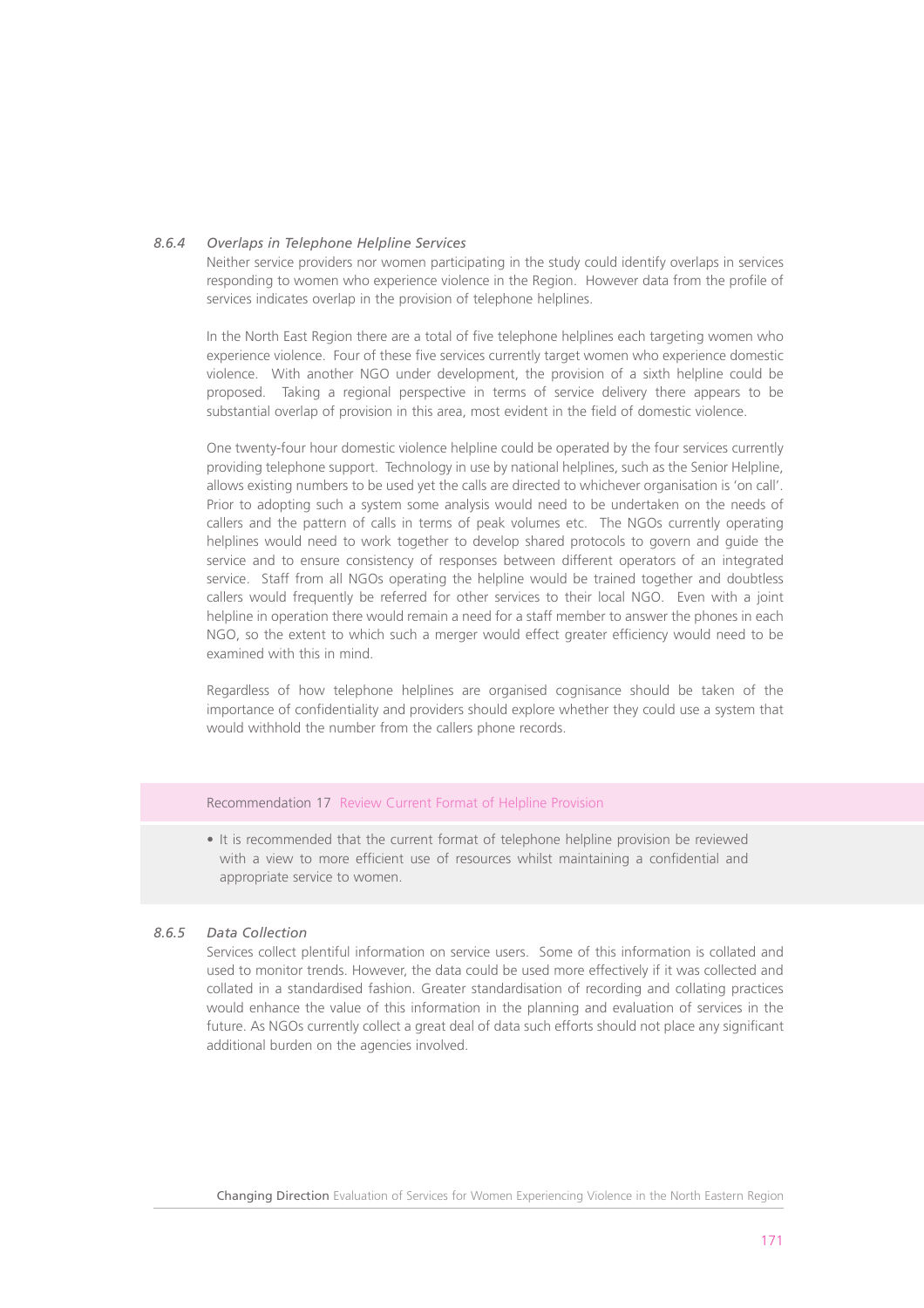## *8.6.4 Overlaps in Telephone Helpline Services*

Neither service providers nor women participating in the study could identify overlaps in services responding to women who experience violence in the Region. However data from the profile of services indicates overlap in the provision of telephone helplines.

In the North East Region there are a total of five telephone helplines each targeting women who experience violence. Four of these five services currently target women who experience domestic violence. With another NGO under development, the provision of a sixth helpline could be proposed. Taking a regional perspective in terms of service delivery there appears to be substantial overlap of provision in this area, most evident in the field of domestic violence.

One twenty-four hour domestic violence helpline could be operated by the four services currently providing telephone support. Technology in use by national helplines, such as the Senior Helpline, allows existing numbers to be used yet the calls are directed to whichever organisation is 'on call'. Prior to adopting such a system some analysis would need to be undertaken on the needs of callers and the pattern of calls in terms of peak volumes etc. The NGOs currently operating helplines would need to work together to develop shared protocols to govern and guide the service and to ensure consistency of responses between different operators of an integrated service. Staff from all NGOs operating the helpline would be trained together and doubtless callers would frequently be referred for other services to their local NGO. Even with a joint helpline in operation there would remain a need for a staff member to answer the phones in each NGO, so the extent to which such a merger would effect greater efficiency would need to be examined with this in mind.

Regardless of how telephone helplines are organised cognisance should be taken of the importance of confidentiality and providers should explore whether they could use a system that would withhold the number from the callers phone records.

#### Recommendation 17 Review Current Format of Helpline Provision

• It is recommended that the current format of telephone helpline provision be reviewed with a view to more efficient use of resources whilst maintaining a confidential and appropriate service to women.

## *8.6.5 Data Collection*

Services collect plentiful information on service users. Some of this information is collated and used to monitor trends. However, the data could be used more effectively if it was collected and collated in a standardised fashion. Greater standardisation of recording and collating practices would enhance the value of this information in the planning and evaluation of services in the future. As NGOs currently collect a great deal of data such efforts should not place any significant additional burden on the agencies involved.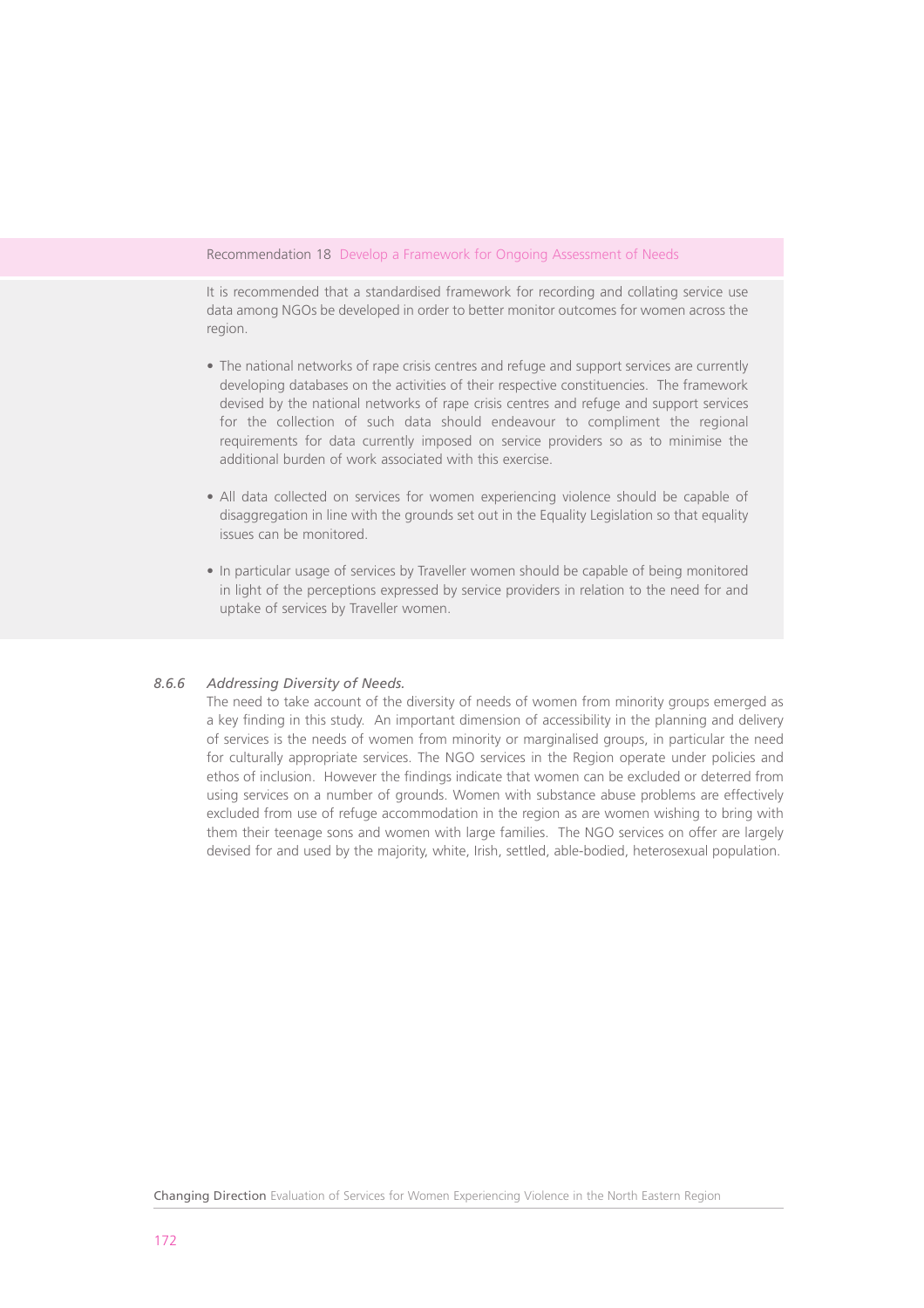#### Recommendation 18 Develop a Framework for Ongoing Assessment of Needs

It is recommended that a standardised framework for recording and collating service use data among NGOs be developed in order to better monitor outcomes for women across the region.

- The national networks of rape crisis centres and refuge and support services are currently developing databases on the activities of their respective constituencies. The framework devised by the national networks of rape crisis centres and refuge and support services for the collection of such data should endeavour to compliment the regional requirements for data currently imposed on service providers so as to minimise the additional burden of work associated with this exercise.
- All data collected on services for women experiencing violence should be capable of disaggregation in line with the grounds set out in the Equality Legislation so that equality issues can be monitored.
- In particular usage of services by Traveller women should be capable of being monitored in light of the perceptions expressed by service providers in relation to the need for and uptake of services by Traveller women.

#### *8.6.6 Addressing Diversity of Needs.*

The need to take account of the diversity of needs of women from minority groups emerged as a key finding in this study. An important dimension of accessibility in the planning and delivery of services is the needs of women from minority or marginalised groups, in particular the need for culturally appropriate services. The NGO services in the Region operate under policies and ethos of inclusion. However the findings indicate that women can be excluded or deterred from using services on a number of grounds. Women with substance abuse problems are effectively excluded from use of refuge accommodation in the region as are women wishing to bring with them their teenage sons and women with large families. The NGO services on offer are largely devised for and used by the majority, white, Irish, settled, able-bodied, heterosexual population.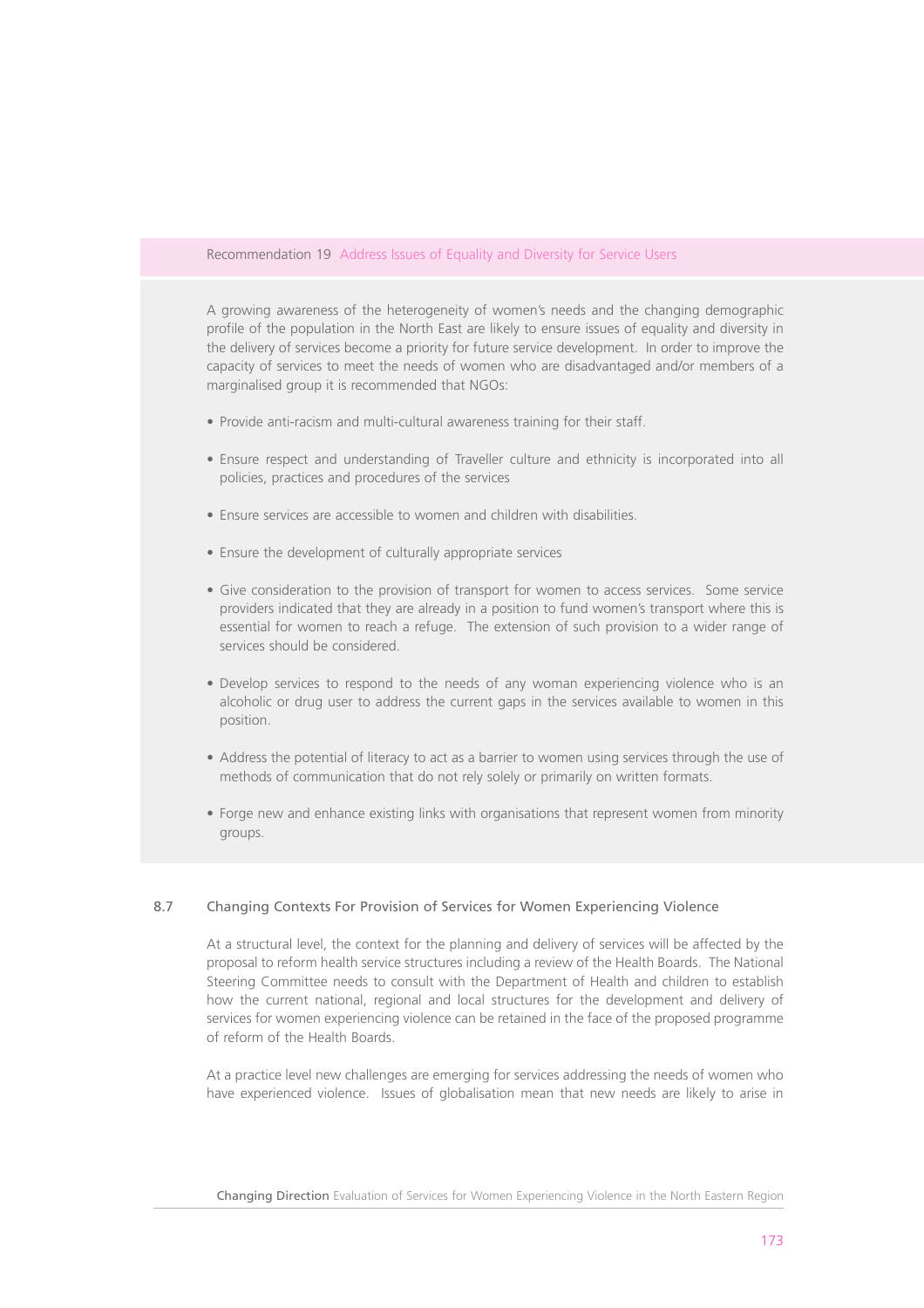#### Recommendation 19 Address Issues of Equality and Diversity for Service Users

A growing awareness of the heterogeneity of women's needs and the changing demographic profile of the population in the North East are likely to ensure issues of equality and diversity in the delivery of services become a priority for future service development. In order to improve the capacity of services to meet the needs of women who are disadvantaged and/or members of a marginalised group it is recommended that NGOs:

- Provide anti-racism and multi-cultural awareness training for their staff.
- Ensure respect and understanding of Traveller culture and ethnicity is incorporated into all policies, practices and procedures of the services
- Ensure services are accessible to women and children with disabilities.
- Ensure the development of culturally appropriate services
- Give consideration to the provision of transport for women to access services. Some service providers indicated that they are already in a position to fund women's transport where this is essential for women to reach a refuge. The extension of such provision to a wider range of services should be considered.
- Develop services to respond to the needs of any woman experiencing violence who is an alcoholic or drug user to address the current gaps in the services available to women in this position.
- Address the potential of literacy to act as a barrier to women using services through the use of methods of communication that do not rely solely or primarily on written formats.
- Forge new and enhance existing links with organisations that represent women from minority groups.

#### 8.7 Changing Contexts For Provision of Services for Women Experiencing Violence

At a structural level, the context for the planning and delivery of services will be affected by the proposal to reform health service structures including a review of the Health Boards. The National Steering Committee needs to consult with the Department of Health and children to establish how the current national, regional and local structures for the development and delivery of services for women experiencing violence can be retained in the face of the proposed programme of reform of the Health Boards.

At a practice level new challenges are emerging for services addressing the needs of women who have experienced violence. Issues of globalisation mean that new needs are likely to arise in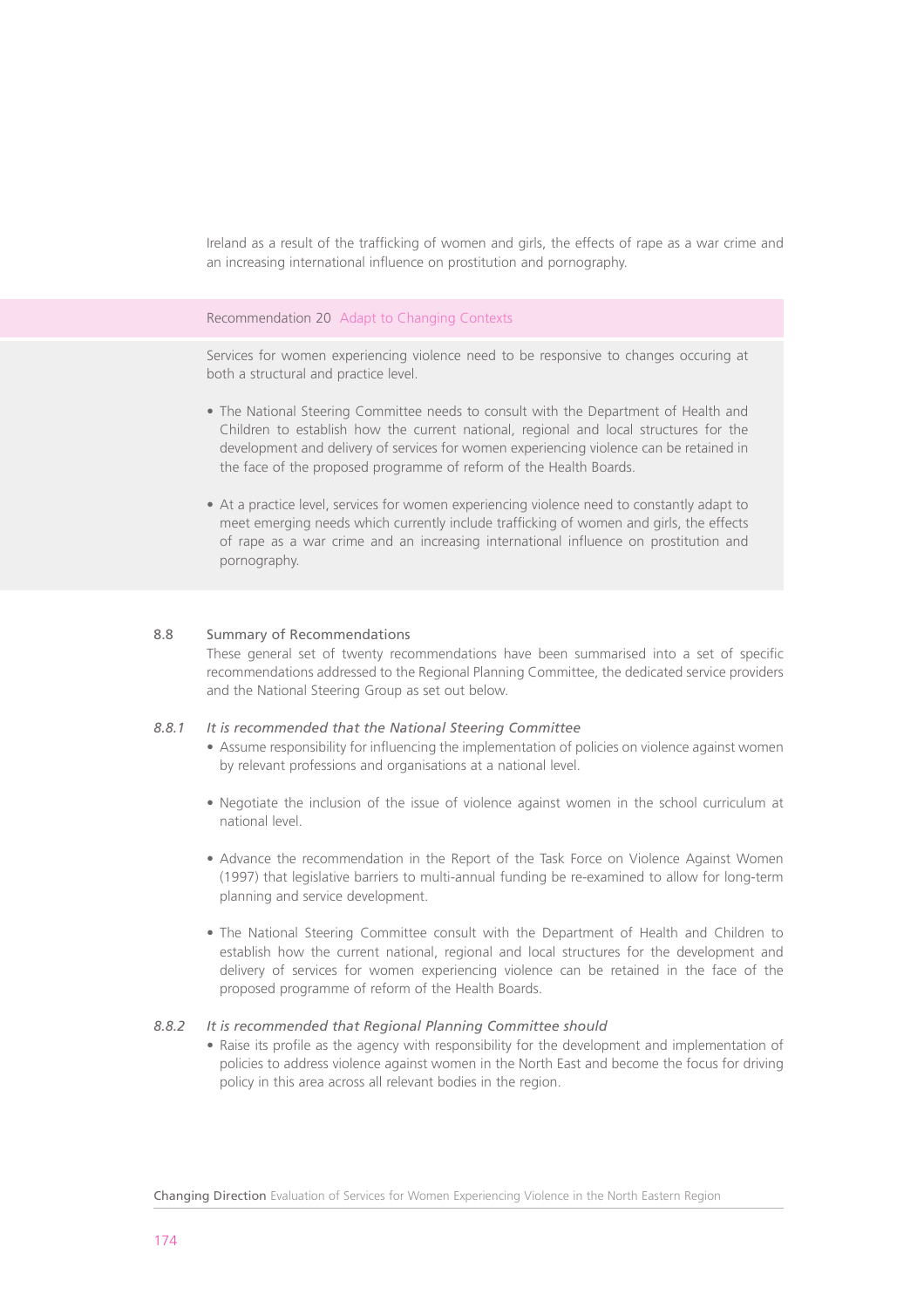Ireland as a result of the trafficking of women and girls, the effects of rape as a war crime and an increasing international influence on prostitution and pornography.

#### Recommendation 20 Adapt to Changing Contexts

Services for women experiencing violence need to be responsive to changes occuring at both a structural and practice level.

- The National Steering Committee needs to consult with the Department of Health and Children to establish how the current national, regional and local structures for the development and delivery of services for women experiencing violence can be retained in the face of the proposed programme of reform of the Health Boards.
- At a practice level, services for women experiencing violence need to constantly adapt to meet emerging needs which currently include trafficking of women and girls, the effects of rape as a war crime and an increasing international influence on prostitution and pornography.

#### 8.8 Summary of Recommendations

These general set of twenty recommendations have been summarised into a set of specific recommendations addressed to the Regional Planning Committee, the dedicated service providers and the National Steering Group as set out below.

#### *8.8.1 It is recommended that the National Steering Committee*

- Assume responsibility for influencing the implementation of policies on violence against women by relevant professions and organisations at a national level.
- Negotiate the inclusion of the issue of violence against women in the school curriculum at national level.
- Advance the recommendation in the Report of the Task Force on Violence Against Women (1997) that legislative barriers to multi-annual funding be re-examined to allow for long-term planning and service development.
- The National Steering Committee consult with the Department of Health and Children to establish how the current national, regional and local structures for the development and delivery of services for women experiencing violence can be retained in the face of the proposed programme of reform of the Health Boards.

#### *8.8.2 It is recommended that Regional Planning Committee should*

• Raise its profile as the agency with responsibility for the development and implementation of policies to address violence against women in the North East and become the focus for driving policy in this area across all relevant bodies in the region.

Changing Direction Evaluation of Services for Women Experiencing Violence in the North Eastern Region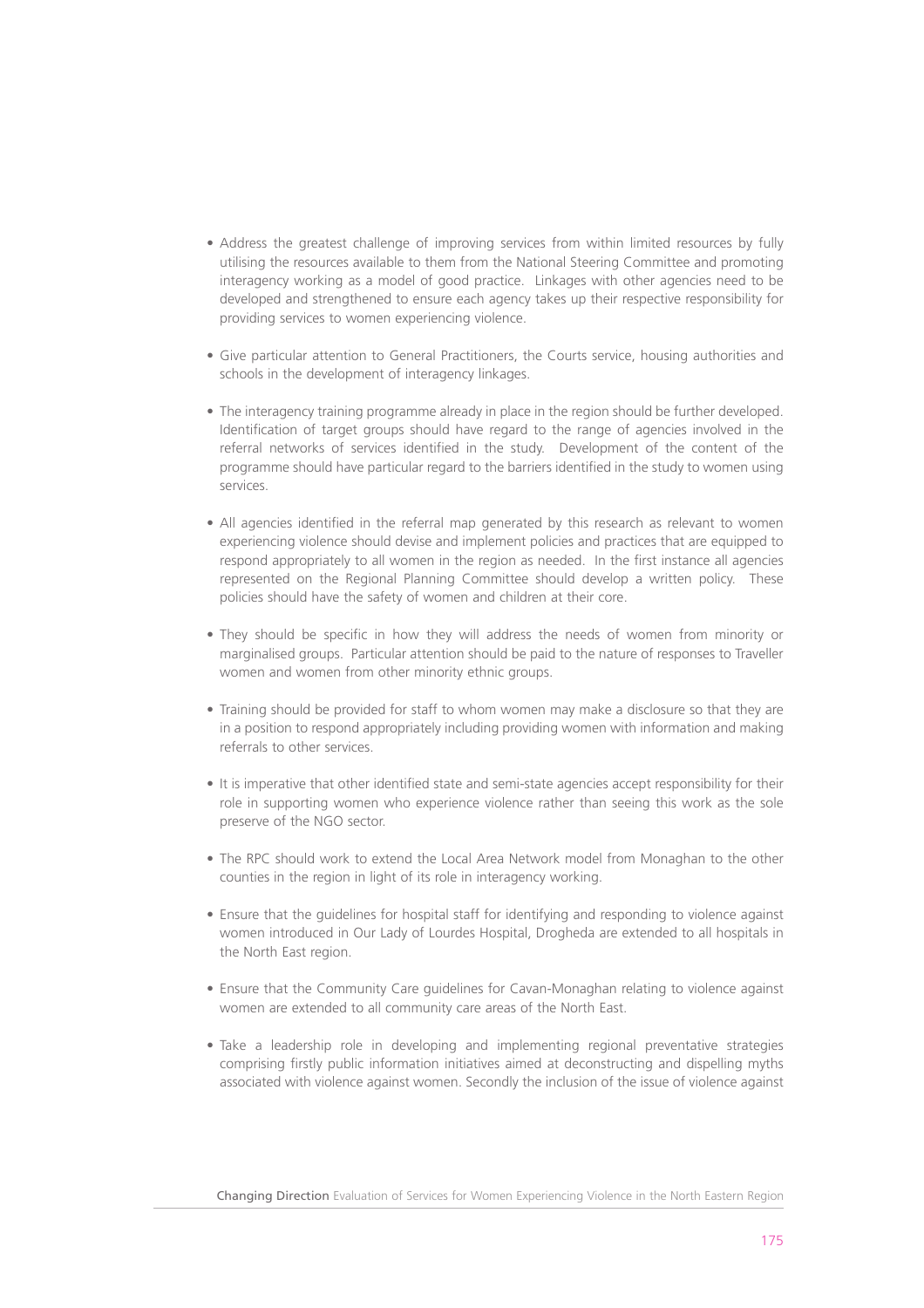- Address the greatest challenge of improving services from within limited resources by fully utilising the resources available to them from the National Steering Committee and promoting interagency working as a model of good practice. Linkages with other agencies need to be developed and strengthened to ensure each agency takes up their respective responsibility for providing services to women experiencing violence.
- Give particular attention to General Practitioners, the Courts service, housing authorities and schools in the development of interagency linkages.
- The interagency training programme already in place in the region should be further developed. Identification of target groups should have regard to the range of agencies involved in the referral networks of services identified in the study. Development of the content of the programme should have particular regard to the barriers identified in the study to women using services.
- All agencies identified in the referral map generated by this research as relevant to women experiencing violence should devise and implement policies and practices that are equipped to respond appropriately to all women in the region as needed. In the first instance all agencies represented on the Regional Planning Committee should develop a written policy. These policies should have the safety of women and children at their core.
- They should be specific in how they will address the needs of women from minority or marginalised groups. Particular attention should be paid to the nature of responses to Traveller women and women from other minority ethnic groups.
- Training should be provided for staff to whom women may make a disclosure so that they are in a position to respond appropriately including providing women with information and making referrals to other services.
- It is imperative that other identified state and semi-state agencies accept responsibility for their role in supporting women who experience violence rather than seeing this work as the sole preserve of the NGO sector.
- The RPC should work to extend the Local Area Network model from Monaghan to the other counties in the region in light of its role in interagency working.
- Ensure that the guidelines for hospital staff for identifying and responding to violence against women introduced in Our Lady of Lourdes Hospital, Drogheda are extended to all hospitals in the North East region.
- Ensure that the Community Care guidelines for Cavan-Monaghan relating to violence against women are extended to all community care areas of the North East.
- Take a leadership role in developing and implementing regional preventative strategies comprising firstly public information initiatives aimed at deconstructing and dispelling myths associated with violence against women. Secondly the inclusion of the issue of violence against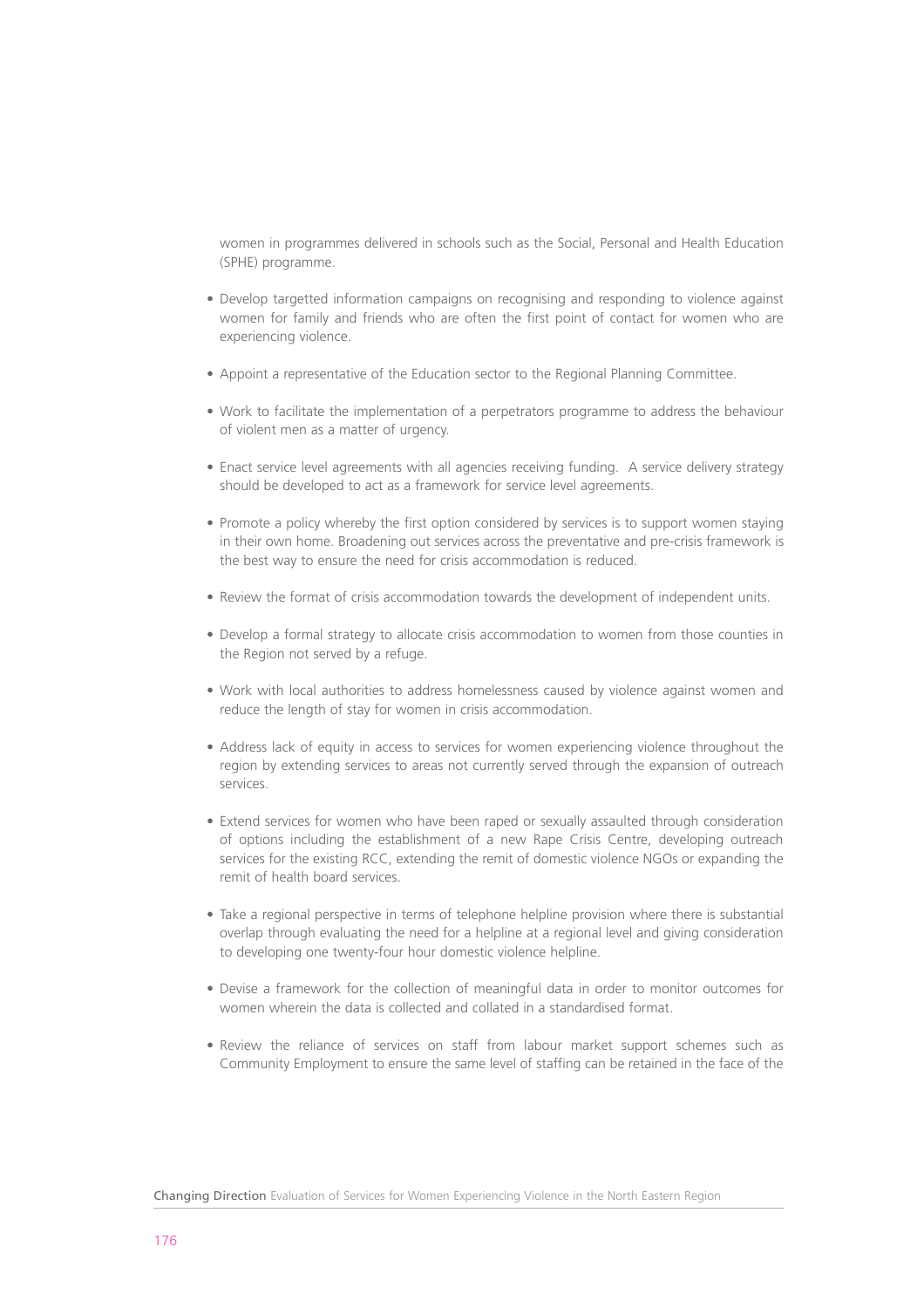women in programmes delivered in schools such as the Social, Personal and Health Education (SPHE) programme.

- Develop targetted information campaigns on recognising and responding to violence against women for family and friends who are often the first point of contact for women who are experiencing violence.
- Appoint a representative of the Education sector to the Regional Planning Committee.
- Work to facilitate the implementation of a perpetrators programme to address the behaviour of violent men as a matter of urgency.
- Enact service level agreements with all agencies receiving funding. A service delivery strategy should be developed to act as a framework for service level agreements.
- Promote a policy whereby the first option considered by services is to support women staying in their own home. Broadening out services across the preventative and pre-crisis framework is the best way to ensure the need for crisis accommodation is reduced.
- Review the format of crisis accommodation towards the development of independent units.
- Develop a formal strategy to allocate crisis accommodation to women from those counties in the Region not served by a refuge.
- Work with local authorities to address homelessness caused by violence against women and reduce the length of stay for women in crisis accommodation.
- Address lack of equity in access to services for women experiencing violence throughout the region by extending services to areas not currently served through the expansion of outreach services.
- Extend services for women who have been raped or sexually assaulted through consideration of options including the establishment of a new Rape Crisis Centre, developing outreach services for the existing RCC, extending the remit of domestic violence NGOs or expanding the remit of health board services.
- Take a regional perspective in terms of telephone helpline provision where there is substantial overlap through evaluating the need for a helpline at a regional level and giving consideration to developing one twenty-four hour domestic violence helpline.
- Devise a framework for the collection of meaningful data in order to monitor outcomes for women wherein the data is collected and collated in a standardised format.
- Review the reliance of services on staff from labour market support schemes such as Community Employment to ensure the same level of staffing can be retained in the face of the

Changing Direction Evaluation of Services for Women Experiencing Violence in the North Eastern Region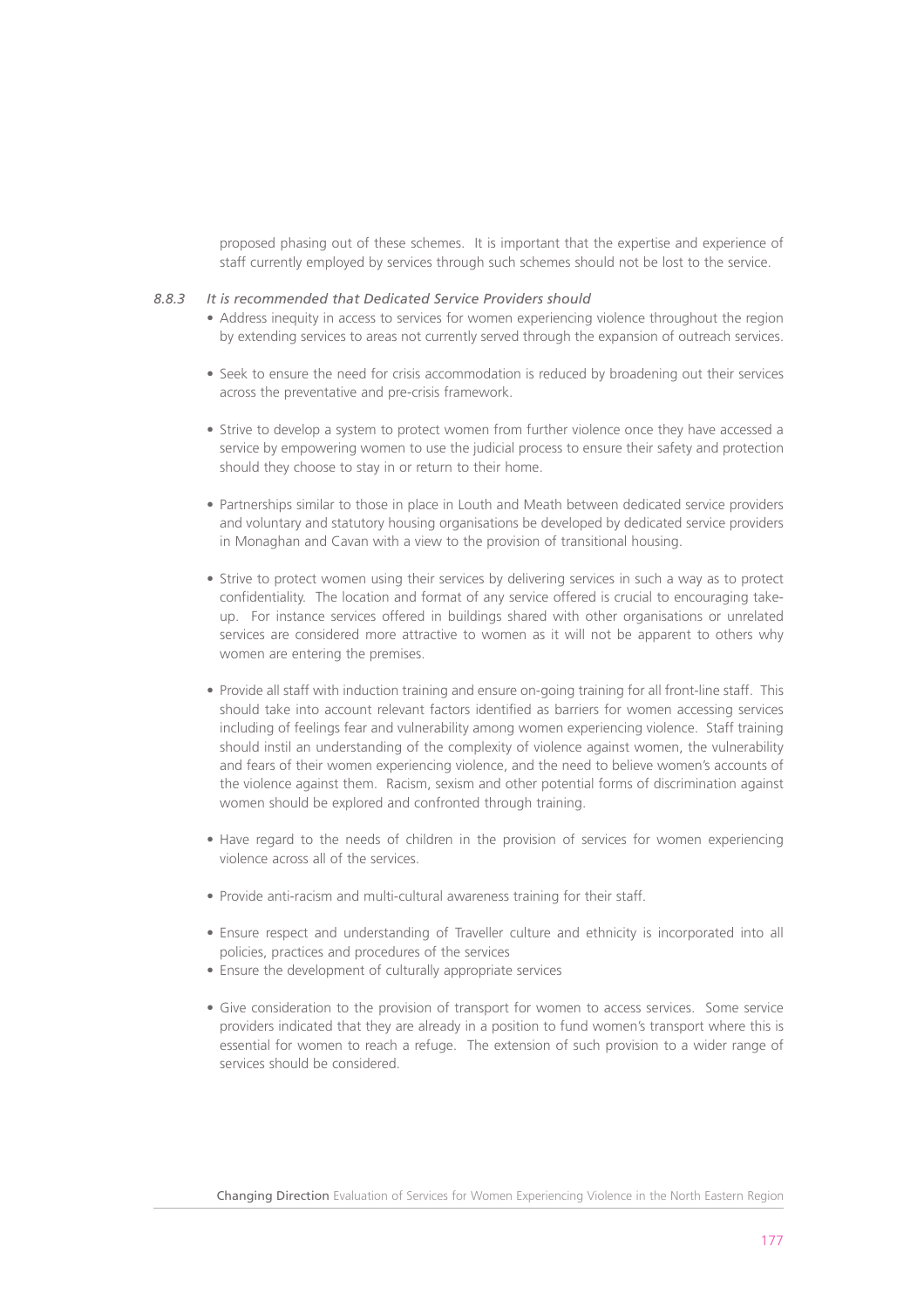proposed phasing out of these schemes. It is important that the expertise and experience of staff currently employed by services through such schemes should not be lost to the service.

#### *8.8.3 It is recommended that Dedicated Service Providers should*

- Address inequity in access to services for women experiencing violence throughout the region by extending services to areas not currently served through the expansion of outreach services.
- Seek to ensure the need for crisis accommodation is reduced by broadening out their services across the preventative and pre-crisis framework.
- Strive to develop a system to protect women from further violence once they have accessed a service by empowering women to use the judicial process to ensure their safety and protection should they choose to stay in or return to their home.
- Partnerships similar to those in place in Louth and Meath between dedicated service providers and voluntary and statutory housing organisations be developed by dedicated service providers in Monaghan and Cavan with a view to the provision of transitional housing.
- Strive to protect women using their services by delivering services in such a way as to protect confidentiality. The location and format of any service offered is crucial to encouraging takeup. For instance services offered in buildings shared with other organisations or unrelated services are considered more attractive to women as it will not be apparent to others why women are entering the premises.
- Provide all staff with induction training and ensure on-going training for all front-line staff. This should take into account relevant factors identified as barriers for women accessing services including of feelings fear and vulnerability among women experiencing violence. Staff training should instil an understanding of the complexity of violence against women, the vulnerability and fears of their women experiencing violence, and the need to believe women's accounts of the violence against them. Racism, sexism and other potential forms of discrimination against women should be explored and confronted through training.
- Have regard to the needs of children in the provision of services for women experiencing violence across all of the services.
- Provide anti-racism and multi-cultural awareness training for their staff.
- Ensure respect and understanding of Traveller culture and ethnicity is incorporated into all policies, practices and procedures of the services
- Ensure the development of culturally appropriate services
- Give consideration to the provision of transport for women to access services. Some service providers indicated that they are already in a position to fund women's transport where this is essential for women to reach a refuge. The extension of such provision to a wider range of services should be considered.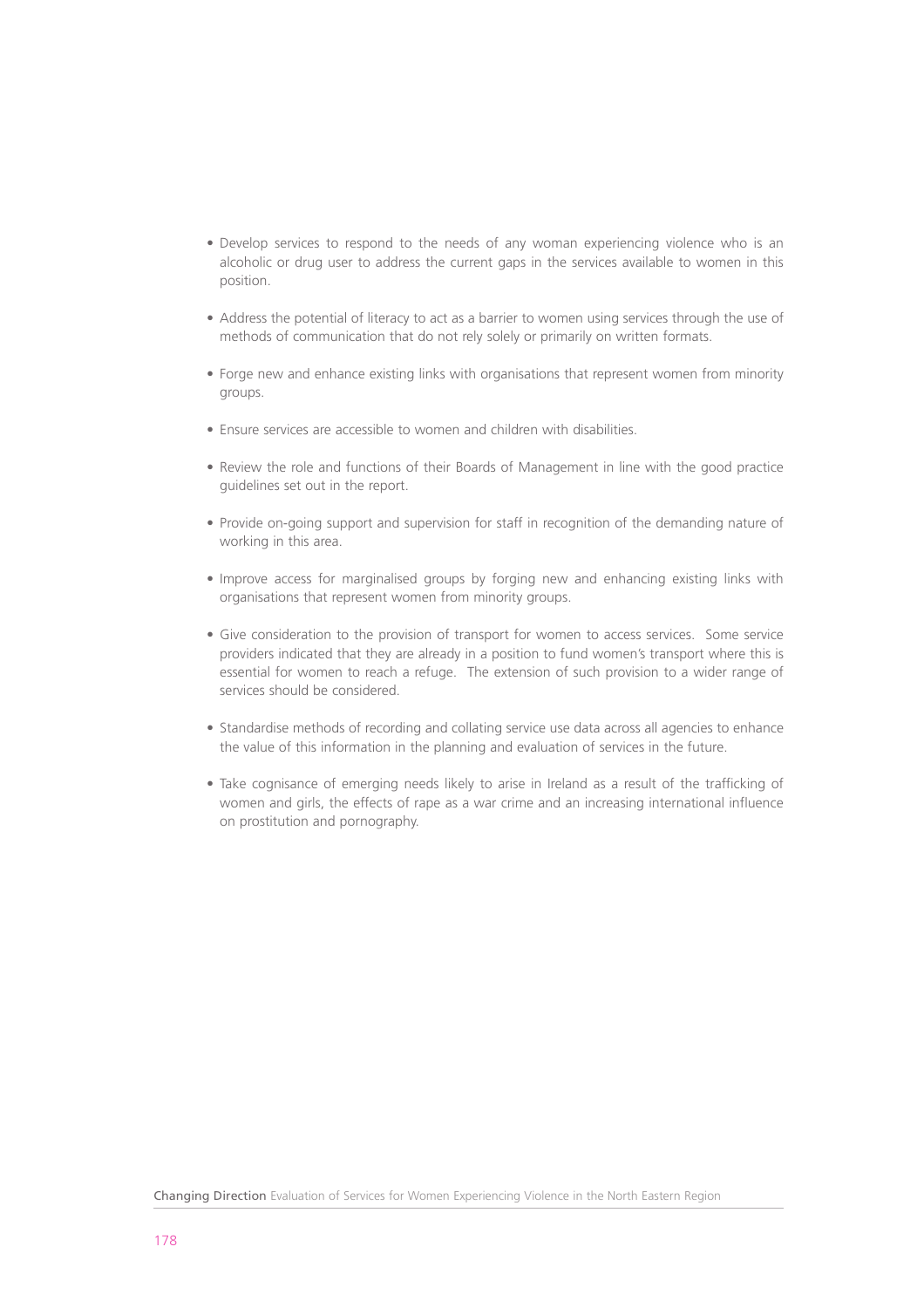- Develop services to respond to the needs of any woman experiencing violence who is an alcoholic or drug user to address the current gaps in the services available to women in this position.
- Address the potential of literacy to act as a barrier to women using services through the use of methods of communication that do not rely solely or primarily on written formats.
- Forge new and enhance existing links with organisations that represent women from minority groups.
- Ensure services are accessible to women and children with disabilities.
- Review the role and functions of their Boards of Management in line with the good practice guidelines set out in the report.
- Provide on-going support and supervision for staff in recognition of the demanding nature of working in this area.
- Improve access for marginalised groups by forging new and enhancing existing links with organisations that represent women from minority groups.
- Give consideration to the provision of transport for women to access services. Some service providers indicated that they are already in a position to fund women's transport where this is essential for women to reach a refuge. The extension of such provision to a wider range of services should be considered.
- Standardise methods of recording and collating service use data across all agencies to enhance the value of this information in the planning and evaluation of services in the future.
- Take cognisance of emerging needs likely to arise in Ireland as a result of the trafficking of women and girls, the effects of rape as a war crime and an increasing international influence on prostitution and pornography.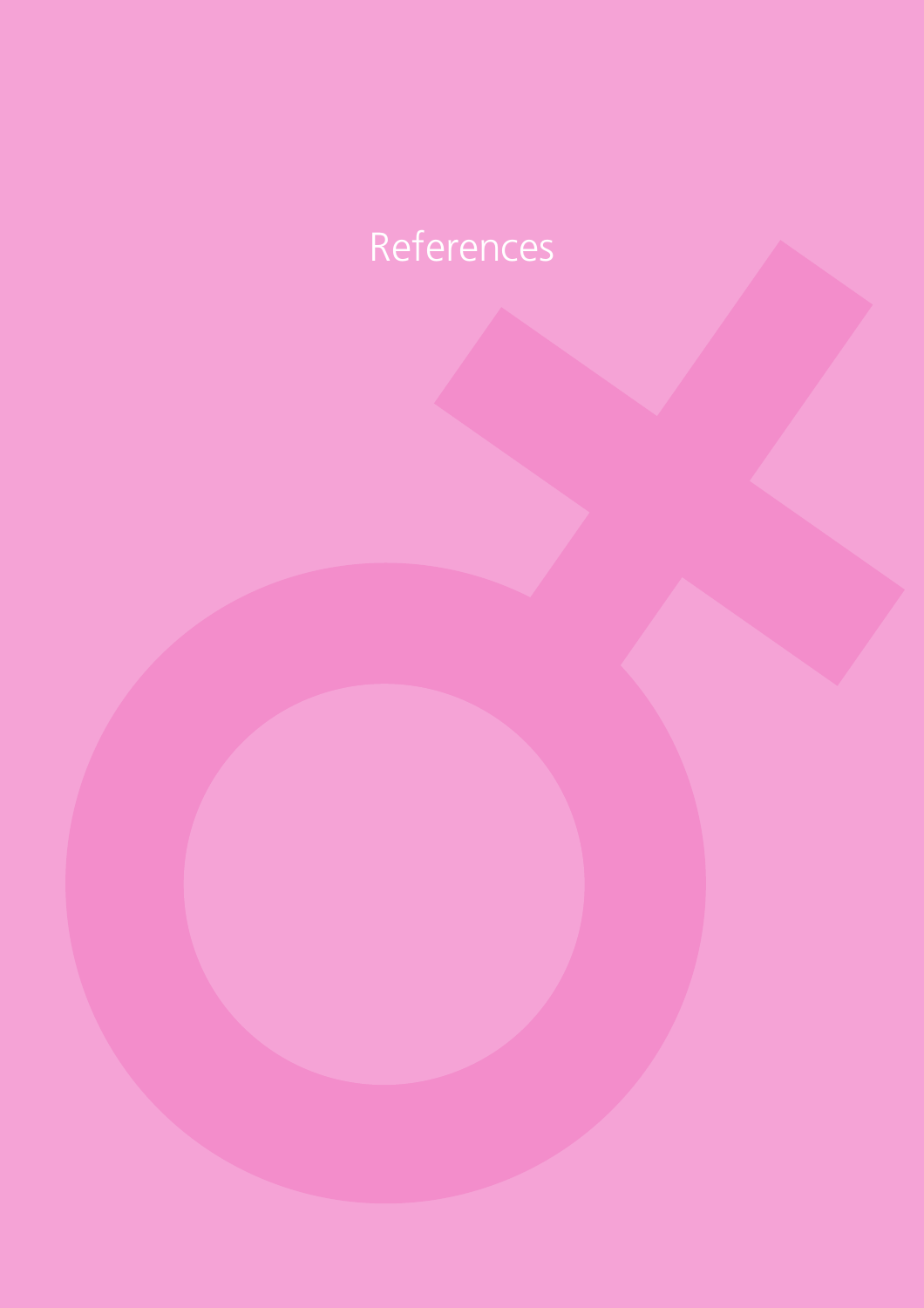# References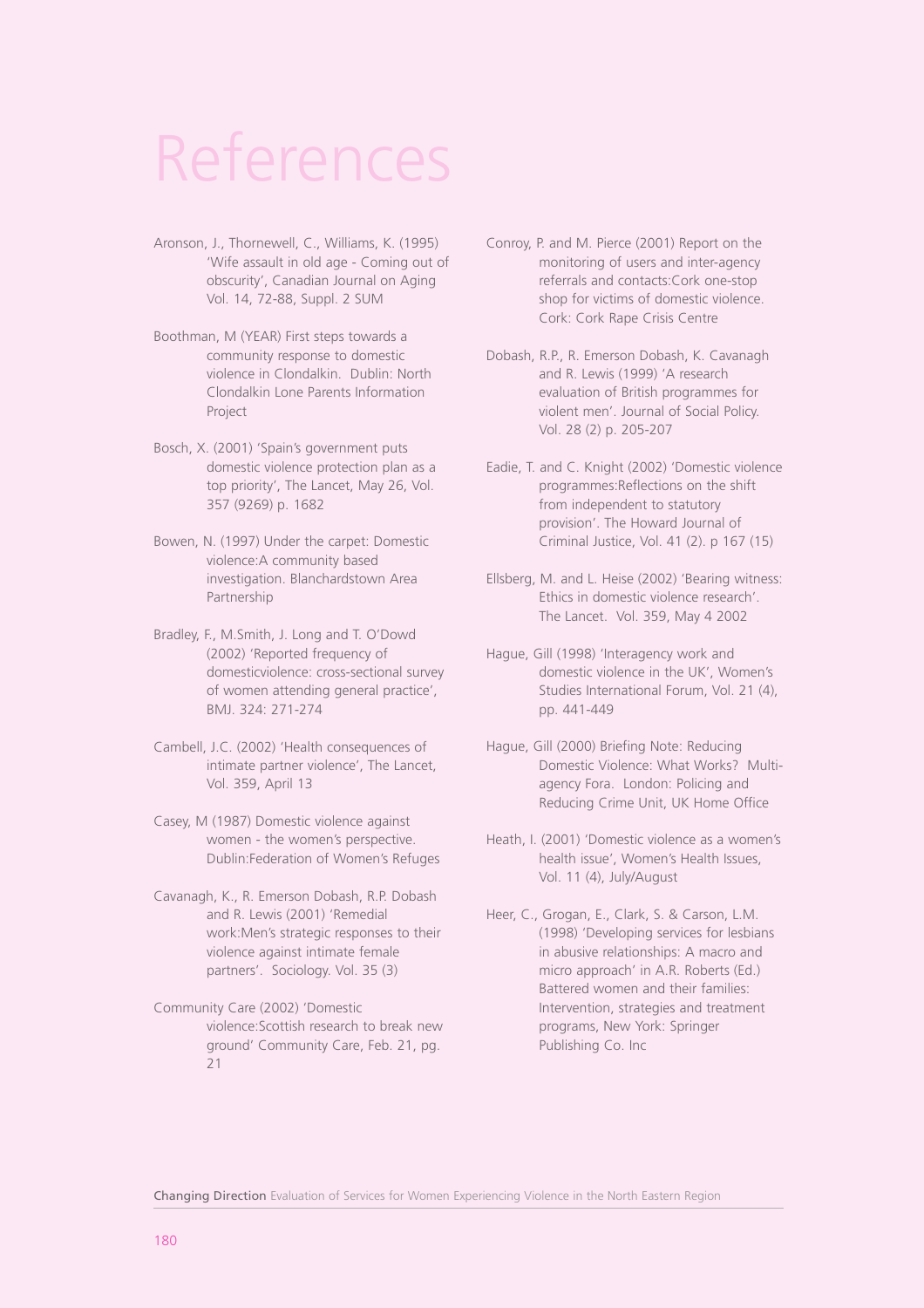# References

- Aronson, J., Thornewell, C., Williams, K. (1995) 'Wife assault in old age - Coming out of obscurity', Canadian Journal on Aging Vol. 14, 72-88, Suppl. 2 SUM
- Boothman, M (YEAR) First steps towards a community response to domestic violence in Clondalkin. Dublin: North Clondalkin Lone Parents Information Project
- Bosch, X. (2001) 'Spain's government puts domestic violence protection plan as a top priority', The Lancet, May 26, Vol. 357 (9269) p. 1682
- Bowen, N. (1997) Under the carpet: Domestic violence:A community based investigation. Blanchardstown Area Partnership
- Bradley, F., M.Smith, J. Long and T. O'Dowd (2002) 'Reported frequency of domesticviolence: cross-sectional survey of women attending general practice', BMJ. 324: 271-274
- Cambell, J.C. (2002) 'Health consequences of intimate partner violence', The Lancet, Vol. 359, April 13
- Casey, M (1987) Domestic violence against women - the women's perspective. Dublin:Federation of Women's Refuges
- Cavanagh, K., R. Emerson Dobash, R.P. Dobash and R. Lewis (2001) 'Remedial work:Men's strategic responses to their violence against intimate female partners'. Sociology. Vol. 35 (3)
- Community Care (2002) 'Domestic violence:Scottish research to break new ground' Community Care, Feb. 21, pg. 21
- Conroy, P. and M. Pierce (2001) Report on the monitoring of users and inter-agency referrals and contacts:Cork one-stop shop for victims of domestic violence. Cork: Cork Rape Crisis Centre
- Dobash, R.P., R. Emerson Dobash, K. Cavanagh and R. Lewis (1999) 'A research evaluation of British programmes for violent men'. Journal of Social Policy. Vol. 28 (2) p. 205-207
- Eadie, T. and C. Knight (2002) 'Domestic violence programmes:Reflections on the shift from independent to statutory provision'. The Howard Journal of Criminal Justice, Vol. 41 (2). p 167 (15)
- Ellsberg, M. and L. Heise (2002) 'Bearing witness: Ethics in domestic violence research'. The Lancet. Vol. 359, May 4 2002
- Hague, Gill (1998) 'Interagency work and domestic violence in the UK', Women's Studies International Forum, Vol. 21 (4), pp. 441-449
- Hague, Gill (2000) Briefing Note: Reducing Domestic Violence: What Works? Multiagency Fora. London: Policing and Reducing Crime Unit, UK Home Office
- Heath, I. (2001) 'Domestic violence as a women's health issue', Women's Health Issues, Vol. 11 (4), July/August
- Heer, C., Grogan, E., Clark, S. & Carson, L.M. (1998) 'Developing services for lesbians in abusive relationships: A macro and micro approach' in A.R. Roberts (Ed.) Battered women and their families: Intervention, strategies and treatment programs, New York: Springer Publishing Co. Inc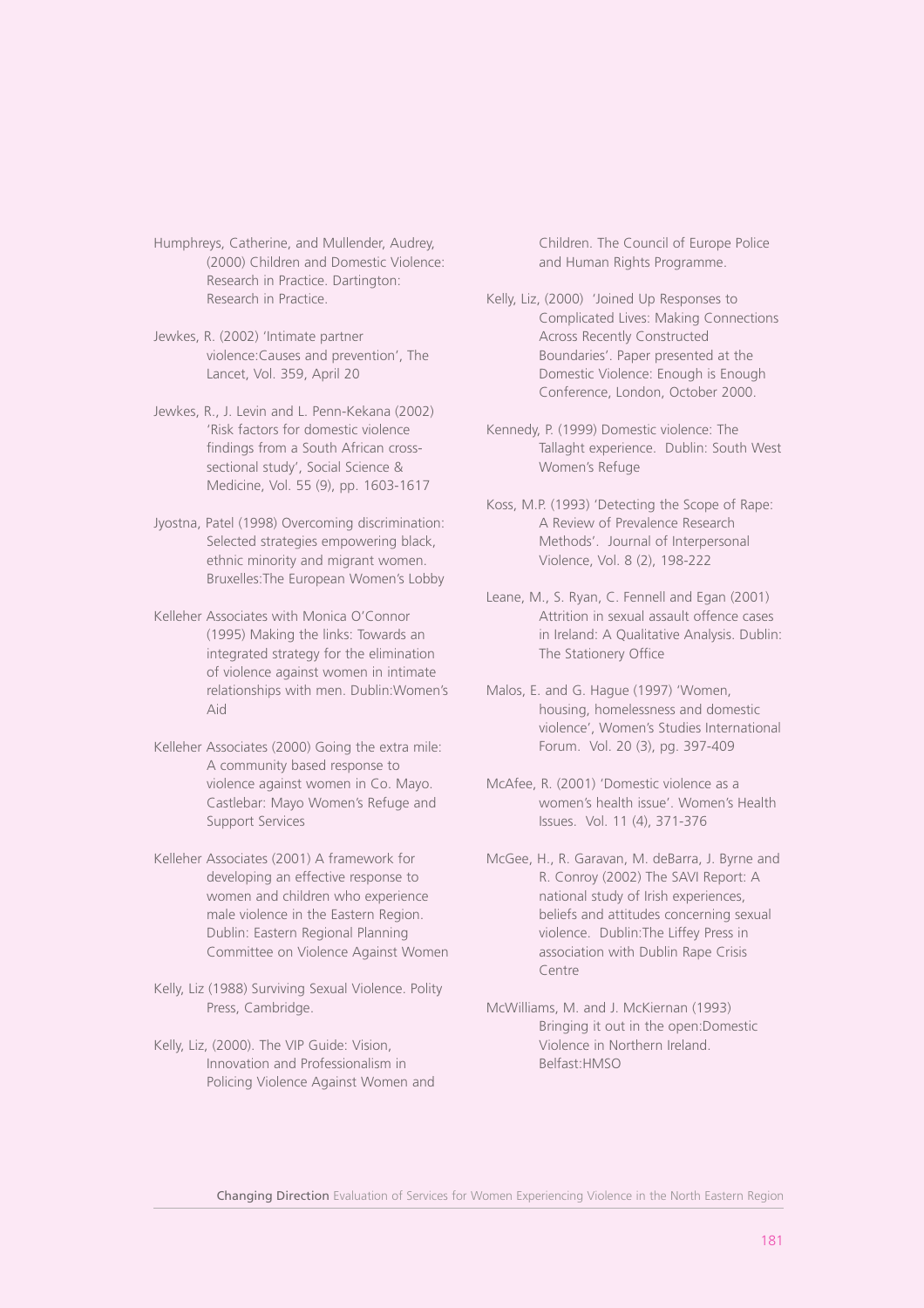Humphreys, Catherine, and Mullender, Audrey, (2000) Children and Domestic Violence: Research in Practice. Dartington: Research in Practice.

Jewkes, R. (2002) 'Intimate partner violence:Causes and prevention', The Lancet, Vol. 359, April 20

Jewkes, R., J. Levin and L. Penn-Kekana (2002) 'Risk factors for domestic violence findings from a South African crosssectional study', Social Science & Medicine, Vol. 55 (9), pp. 1603-1617

Jyostna, Patel (1998) Overcoming discrimination: Selected strategies empowering black, ethnic minority and migrant women. Bruxelles:The European Women's Lobby

Kelleher Associates with Monica O'Connor (1995) Making the links: Towards an integrated strategy for the elimination of violence against women in intimate relationships with men. Dublin:Women's Aid

Kelleher Associates (2000) Going the extra mile: A community based response to violence against women in Co. Mayo. Castlebar: Mayo Women's Refuge and Support Services

Kelleher Associates (2001) A framework for developing an effective response to women and children who experience male violence in the Eastern Region. Dublin: Eastern Regional Planning Committee on Violence Against Women

Kelly, Liz (1988) Surviving Sexual Violence. Polity Press, Cambridge.

Kelly, Liz, (2000). The VIP Guide: Vision, Innovation and Professionalism in Policing Violence Against Women and Children. The Council of Europe Police and Human Rights Programme.

Kelly, Liz, (2000) 'Joined Up Responses to Complicated Lives: Making Connections Across Recently Constructed Boundaries'. Paper presented at the Domestic Violence: Enough is Enough Conference, London, October 2000.

Kennedy, P. (1999) Domestic violence: The Tallaght experience. Dublin: South West Women's Refuge

Koss, M.P. (1993) 'Detecting the Scope of Rape: A Review of Prevalence Research Methods'. Journal of Interpersonal Violence, Vol. 8 (2), 198-222

Leane, M., S. Ryan, C. Fennell and Egan (2001) Attrition in sexual assault offence cases in Ireland: A Qualitative Analysis. Dublin: The Stationery Office

Malos, E. and G. Hague (1997) 'Women, housing, homelessness and domestic violence', Women's Studies International Forum. Vol. 20 (3), pg. 397-409

McAfee, R. (2001) 'Domestic violence as a women's health issue'. Women's Health Issues. Vol. 11 (4), 371-376

McGee, H., R. Garavan, M. deBarra, J. Byrne and R. Conroy (2002) The SAVI Report: A national study of Irish experiences, beliefs and attitudes concerning sexual violence. Dublin:The Liffey Press in association with Dublin Rape Crisis Centre

McWilliams, M. and J. McKiernan (1993) Bringing it out in the open:Domestic Violence in Northern Ireland. Belfast:HMSO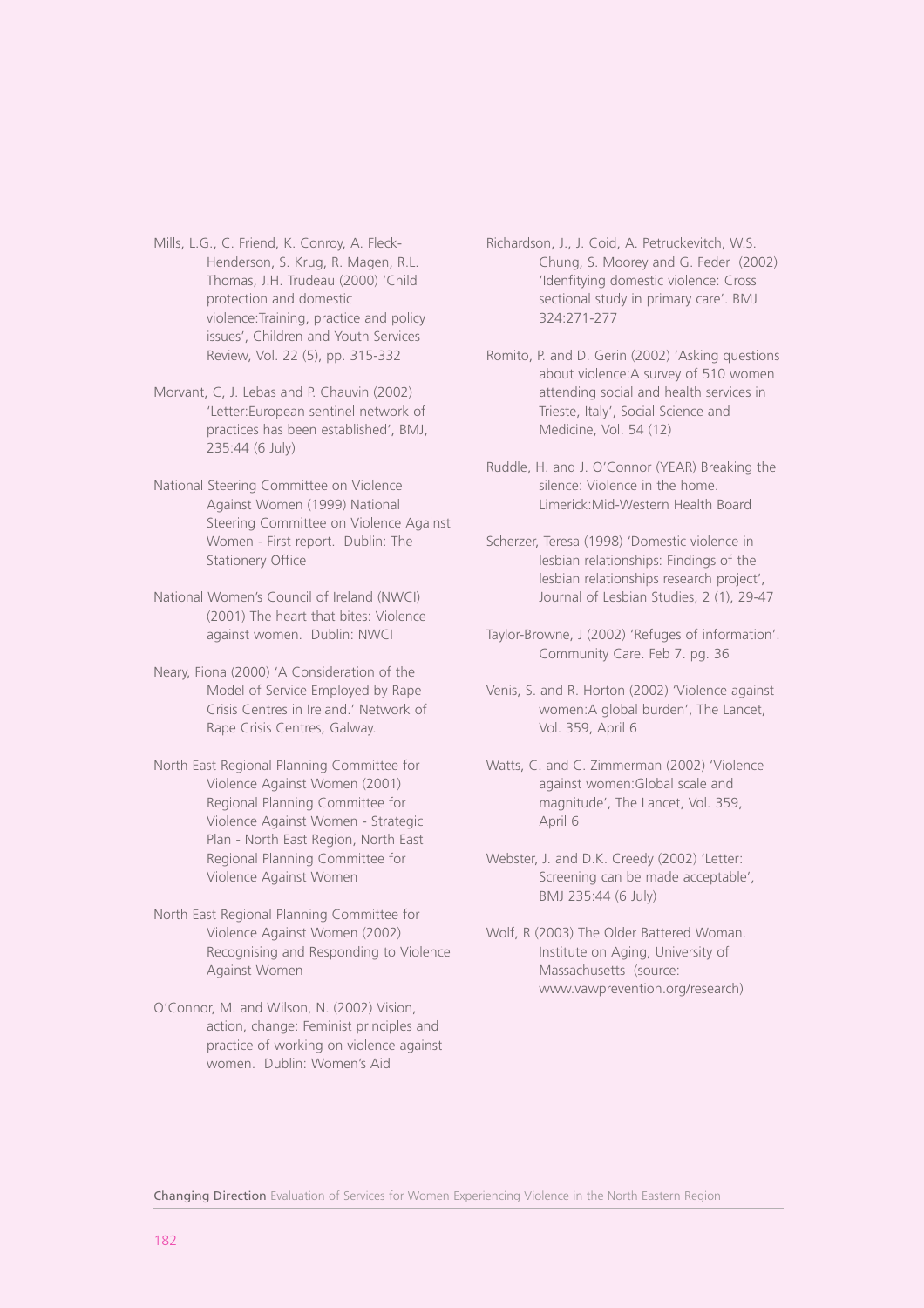Mills, L.G., C. Friend, K. Conroy, A. Fleck-Henderson, S. Krug, R. Magen, R.L. Thomas, J.H. Trudeau (2000) 'Child protection and domestic violence:Training, practice and policy issues', Children and Youth Services Review, Vol. 22 (5), pp. 315-332

- Morvant, C, J. Lebas and P. Chauvin (2002) 'Letter:European sentinel network of practices has been established', BMJ, 235:44 (6 July)
- National Steering Committee on Violence Against Women (1999) National Steering Committee on Violence Against Women - First report. Dublin: The Stationery Office
- National Women's Council of Ireland (NWCI) (2001) The heart that bites: Violence against women. Dublin: NWCI
- Neary, Fiona (2000) 'A Consideration of the Model of Service Employed by Rape Crisis Centres in Ireland.' Network of Rape Crisis Centres, Galway.
- North East Regional Planning Committee for Violence Against Women (2001) Regional Planning Committee for Violence Against Women - Strategic Plan - North East Region, North East Regional Planning Committee for Violence Against Women
- North East Regional Planning Committee for Violence Against Women (2002) Recognising and Responding to Violence Against Women
- O'Connor, M. and Wilson, N. (2002) Vision, action, change: Feminist principles and practice of working on violence against women. Dublin: Women's Aid

Richardson, J., J. Coid, A. Petruckevitch, W.S. Chung, S. Moorey and G. Feder (2002) 'Idenfitying domestic violence: Cross sectional study in primary care'. BMJ 324:271-277

Romito, P. and D. Gerin (2002) 'Asking questions about violence:A survey of 510 women attending social and health services in Trieste, Italy', Social Science and Medicine, Vol. 54 (12)

Ruddle, H. and J. O'Connor (YEAR) Breaking the silence: Violence in the home. Limerick:Mid-Western Health Board

Scherzer, Teresa (1998) 'Domestic violence in lesbian relationships: Findings of the lesbian relationships research project', Journal of Lesbian Studies, 2 (1), 29-47

Taylor-Browne, J (2002) 'Refuges of information'. Community Care. Feb 7. pg. 36

Venis, S. and R. Horton (2002) 'Violence against women:A global burden', The Lancet, Vol. 359, April 6

Watts, C. and C. Zimmerman (2002) 'Violence against women:Global scale and magnitude', The Lancet, Vol. 359, April 6

Webster, J. and D.K. Creedy (2002) 'Letter: Screening can be made acceptable', BMJ 235:44 (6 July)

Wolf, R (2003) The Older Battered Woman. Institute on Aging, University of Massachusetts (source: www.vawprevention.org/research)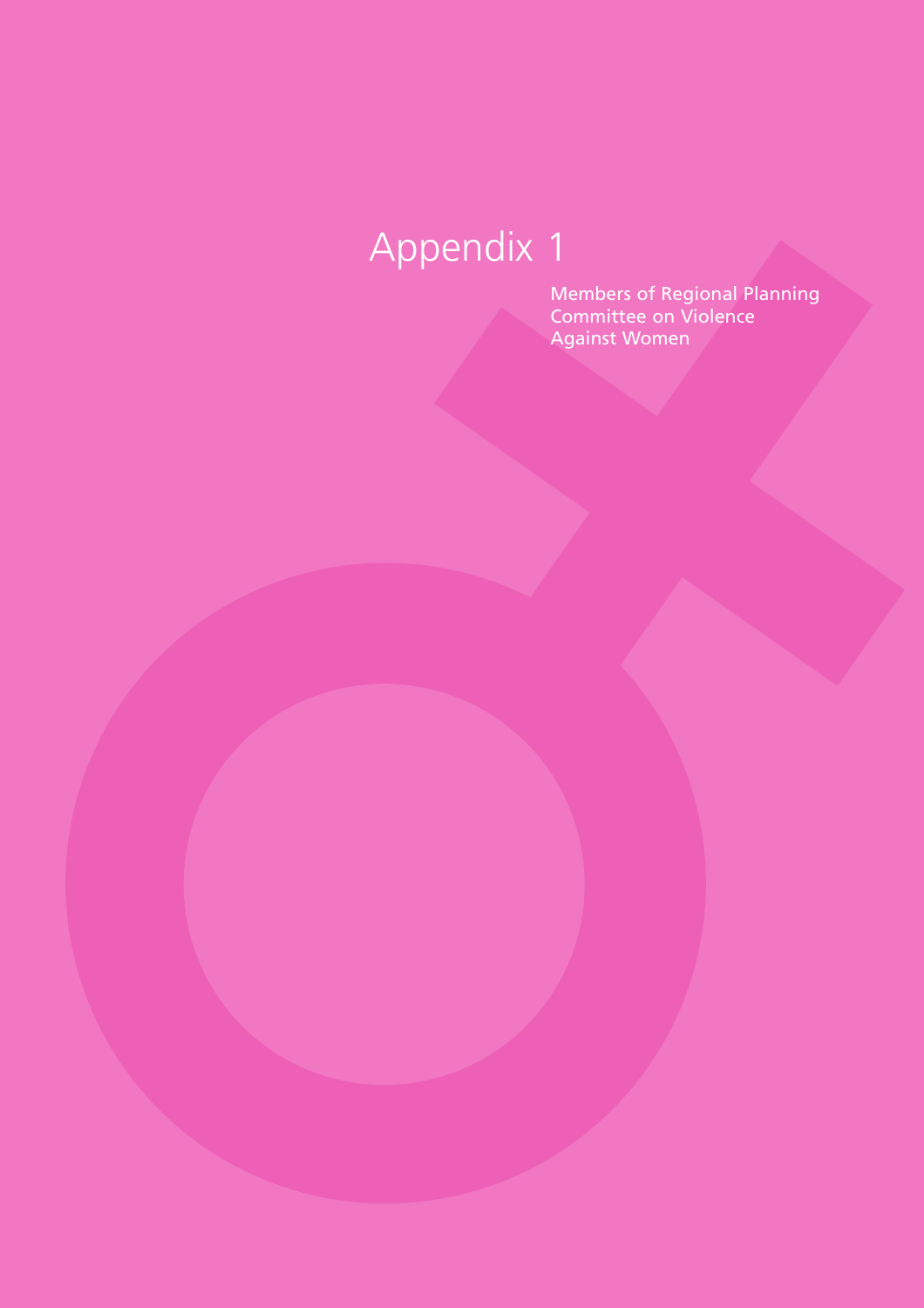Members of Regional Planning Committee on Violence Against Women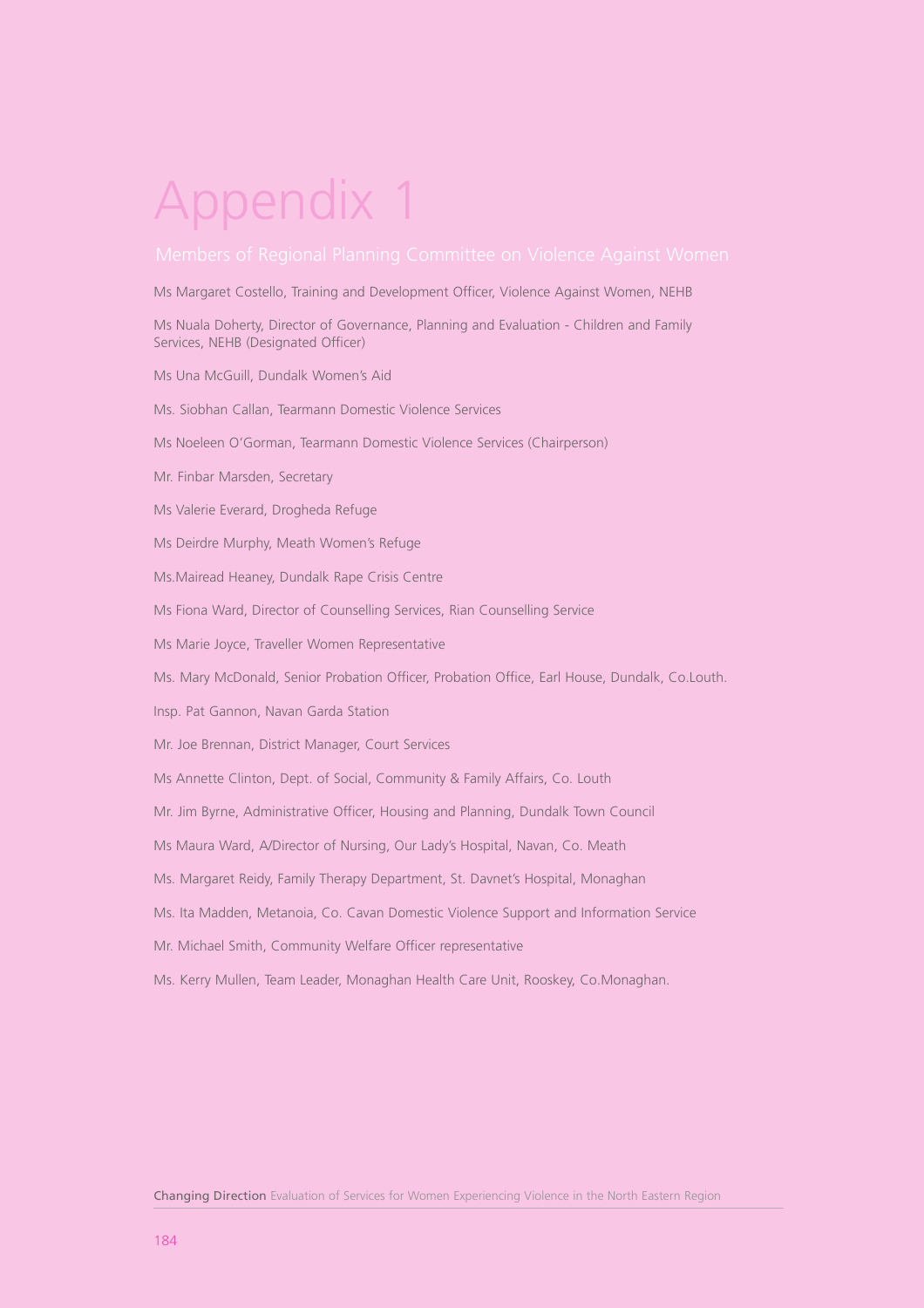Ms Margaret Costello, Training and Development Officer, Violence Against Women, NEHB

Ms Nuala Doherty, Director of Governance, Planning and Evaluation - Children and Family Services, NEHB (Designated Officer)

- Ms Una McGuill, Dundalk Women's Aid
- Ms. Siobhan Callan, Tearmann Domestic Violence Services
- Ms Noeleen O'Gorman, Tearmann Domestic Violence Services (Chairperson)
- Mr. Finbar Marsden, Secretary
- Ms Valerie Everard, Drogheda Refuge
- Ms Deirdre Murphy, Meath Women's Refuge
- Ms.Mairead Heaney, Dundalk Rape Crisis Centre
- Ms Fiona Ward, Director of Counselling Services, Rian Counselling Service
- Ms Marie Joyce, Traveller Women Representative
- Ms. Mary McDonald, Senior Probation Officer, Probation Office, Earl House, Dundalk, Co.Louth.
- Insp. Pat Gannon, Navan Garda Station
- Mr. Joe Brennan, District Manager, Court Services
- Ms Annette Clinton, Dept. of Social, Community & Family Affairs, Co. Louth
- Mr. Jim Byrne, Administrative Officer, Housing and Planning, Dundalk Town Council
- Ms Maura Ward, A/Director of Nursing, Our Lady's Hospital, Navan, Co. Meath
- Ms. Margaret Reidy, Family Therapy Department, St. Davnet's Hospital, Monaghan
- Ms. Ita Madden, Metanoia, Co. Cavan Domestic Violence Support and Information Service
- Mr. Michael Smith, Community Welfare Officer representative
- Ms. Kerry Mullen, Team Leader, Monaghan Health Care Unit, Rooskey, Co.Monaghan.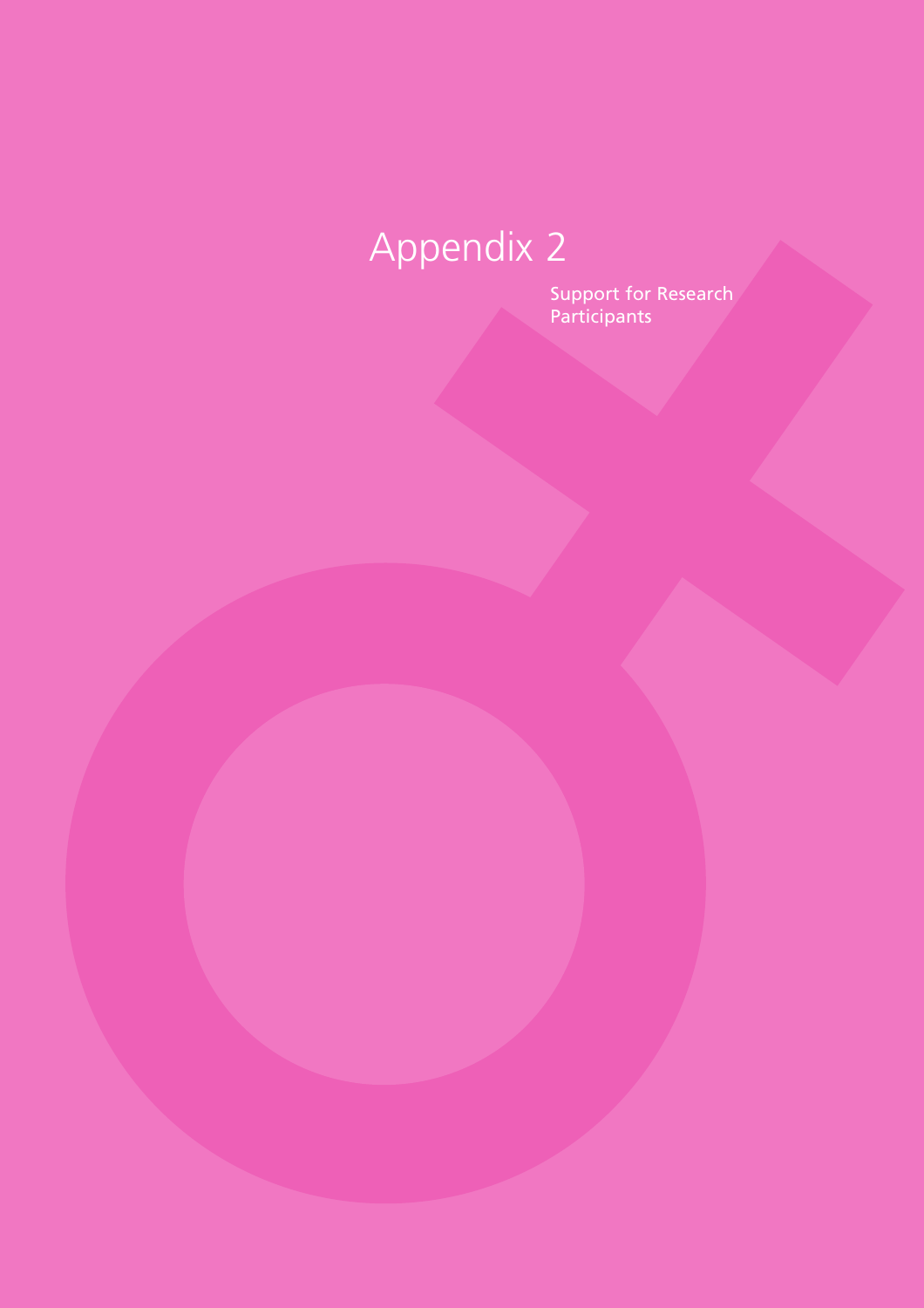Support for Research Participants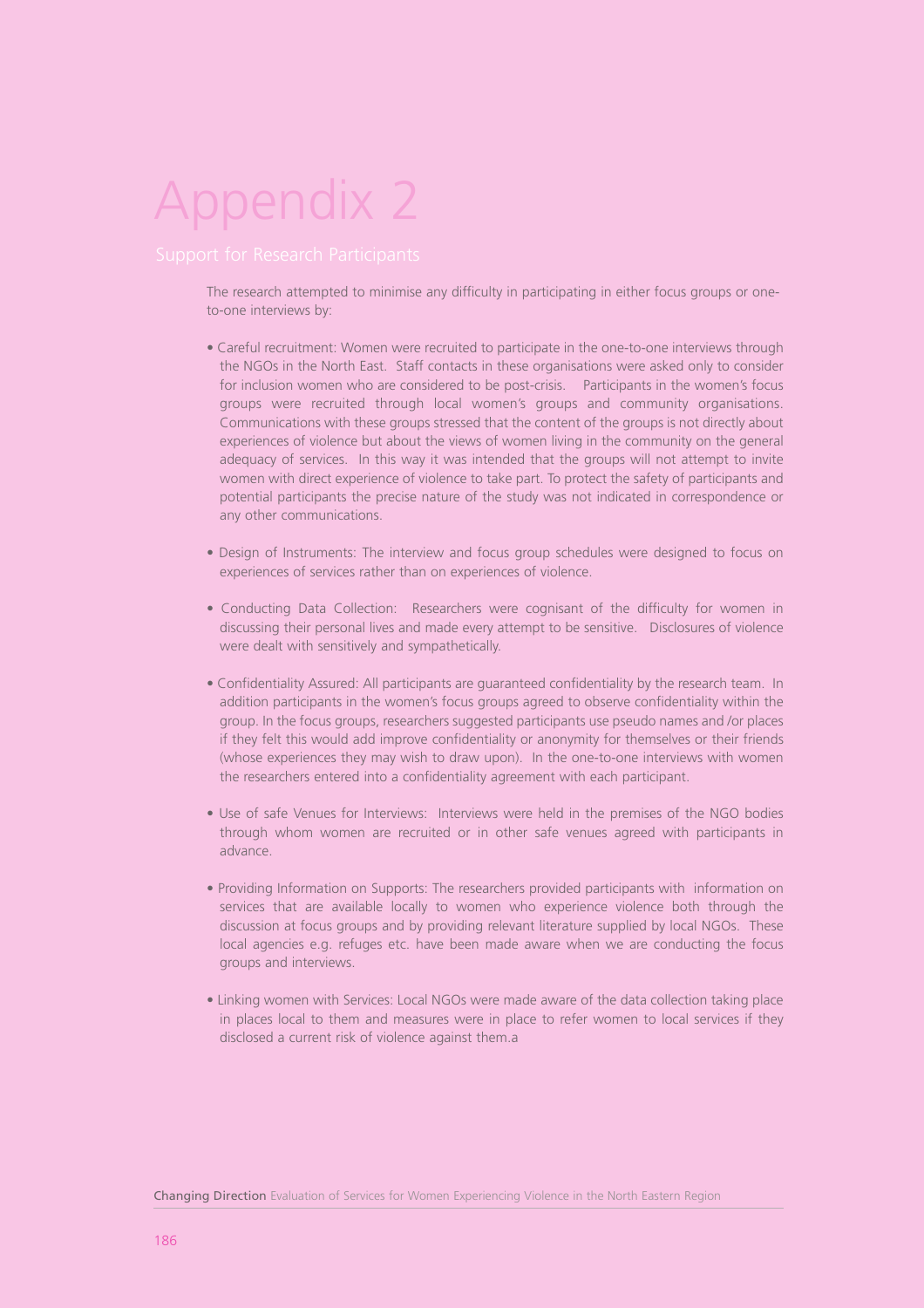The research attempted to minimise any difficulty in participating in either focus groups or oneto-one interviews by:

- Careful recruitment: Women were recruited to participate in the one-to-one interviews through the NGOs in the North East. Staff contacts in these organisations were asked only to consider for inclusion women who are considered to be post-crisis. Participants in the women's focus groups were recruited through local women's groups and community organisations. Communications with these groups stressed that the content of the groups is not directly about experiences of violence but about the views of women living in the community on the general adequacy of services. In this way it was intended that the groups will not attempt to invite women with direct experience of violence to take part. To protect the safety of participants and potential participants the precise nature of the study was not indicated in correspondence or any other communications.
- Design of Instruments: The interview and focus group schedules were designed to focus on experiences of services rather than on experiences of violence.
- Conducting Data Collection: Researchers were cognisant of the difficulty for women in discussing their personal lives and made every attempt to be sensitive. Disclosures of violence were dealt with sensitively and sympathetically.
- Confidentiality Assured: All participants are guaranteed confidentiality by the research team. In addition participants in the women's focus groups agreed to observe confidentiality within the group. In the focus groups, researchers suggested participants use pseudo names and /or places if they felt this would add improve confidentiality or anonymity for themselves or their friends (whose experiences they may wish to draw upon). In the one-to-one interviews with women the researchers entered into a confidentiality agreement with each participant.
- Use of safe Venues for Interviews: Interviews were held in the premises of the NGO bodies through whom women are recruited or in other safe venues agreed with participants in advance.
- Providing Information on Supports: The researchers provided participants with information on services that are available locally to women who experience violence both through the discussion at focus groups and by providing relevant literature supplied by local NGOs. These local agencies e.g. refuges etc. have been made aware when we are conducting the focus groups and interviews.
- Linking women with Services: Local NGOs were made aware of the data collection taking place in places local to them and measures were in place to refer women to local services if they disclosed a current risk of violence against them.a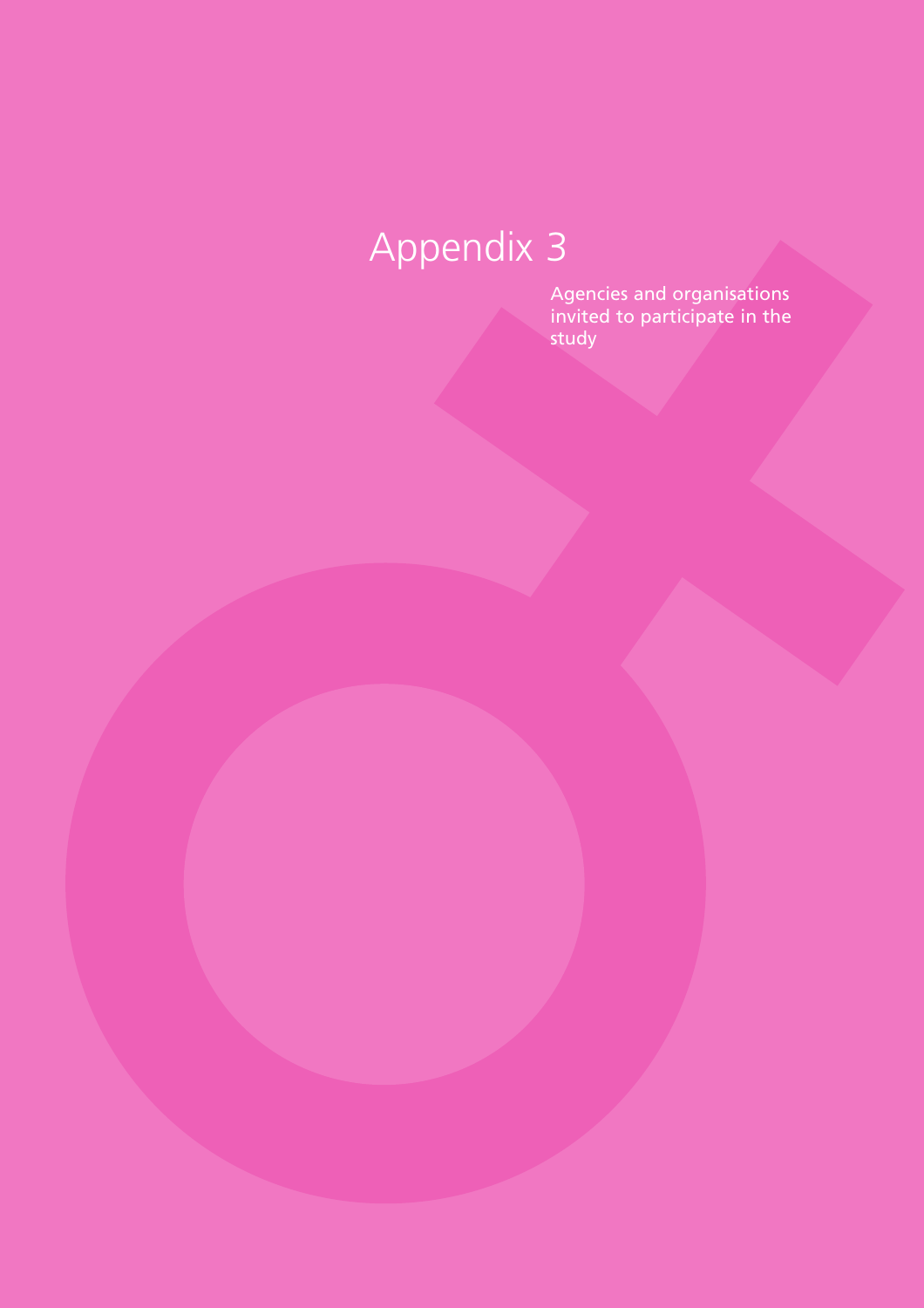Agencies and organisations invited to participate in the study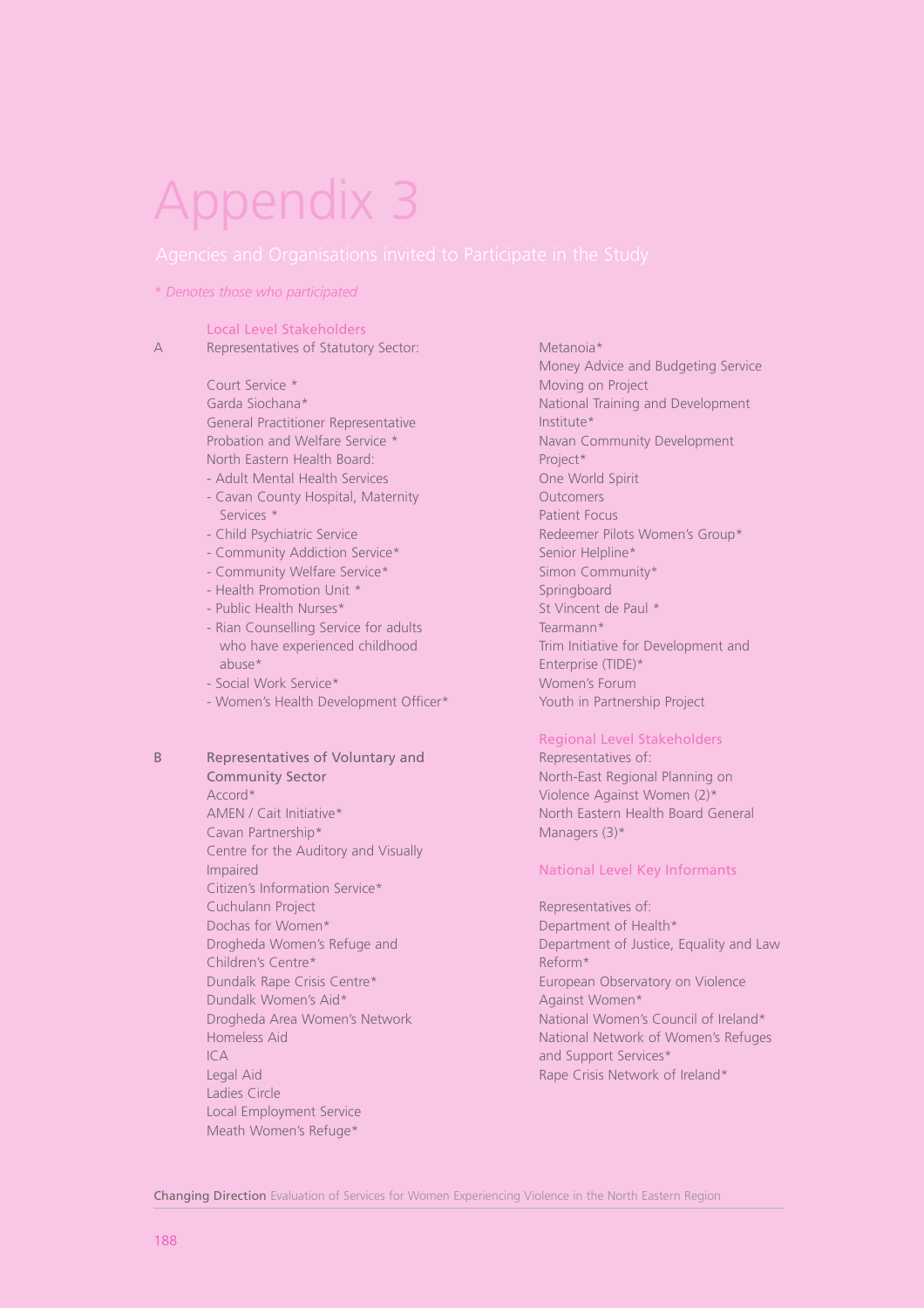#### *\* Denotes those who participated*

#### Local Level Stakeholders

A Representatives of Statutory Sector:

Court Service \* Garda Siochana\* General Practitioner Representative Probation and Welfare Service \* North Eastern Health Board:

- Adult Mental Health Services
- Cavan County Hospital, Maternity Services \*
- Child Psychiatric Service
- Community Addiction Service\*
- Community Welfare Service\*
- Health Promotion Unit \*
- Public Health Nurses\*
- Rian Counselling Service for adults who have experienced childhood abuse\*
- Social Work Service\*
- Women's Health Development Officer\*

B Representatives of Voluntary and Community Sector

> Accord\* AMEN / Cait Initiative\* Cavan Partnership\* Centre for the Auditory and Visually Impaired Citizen's Information Service\* Cuchulann Project Dochas for Women\* Drogheda Women's Refuge and Children's Centre\* Dundalk Rape Crisis Centre\* Dundalk Women's Aid\* Drogheda Area Women's Network Homeless Aid ICA Legal Aid Ladies Circle Local Employment Service Meath Women's Refuge\*

Money Advice and Budgeting Service Moving on Project National Training and Development Institute\* Navan Community Development Project\* One World Spirit **Outcomers** Patient Focus Redeemer Pilots Women's Group\* Senior Helpline\* Simon Community\* Springboard St Vincent de Paul \* Tearmann\* Trim Initiative for Development and Enterprise (TIDE)\* Women's Forum Youth in Partnership Project

Metanoia\*

#### Regional Level Stakeholders

Representatives of: North-East Regional Planning on Violence Against Women (2)\* North Eastern Health Board General Managers (3)\*

#### National Level Key Informants

Representatives of: Department of Health\* Department of Justice, Equality and Law Reform\* European Observatory on Violence Against Women\* National Women's Council of Ireland\* National Network of Women's Refuges and Support Services\* Rape Crisis Network of Ireland\*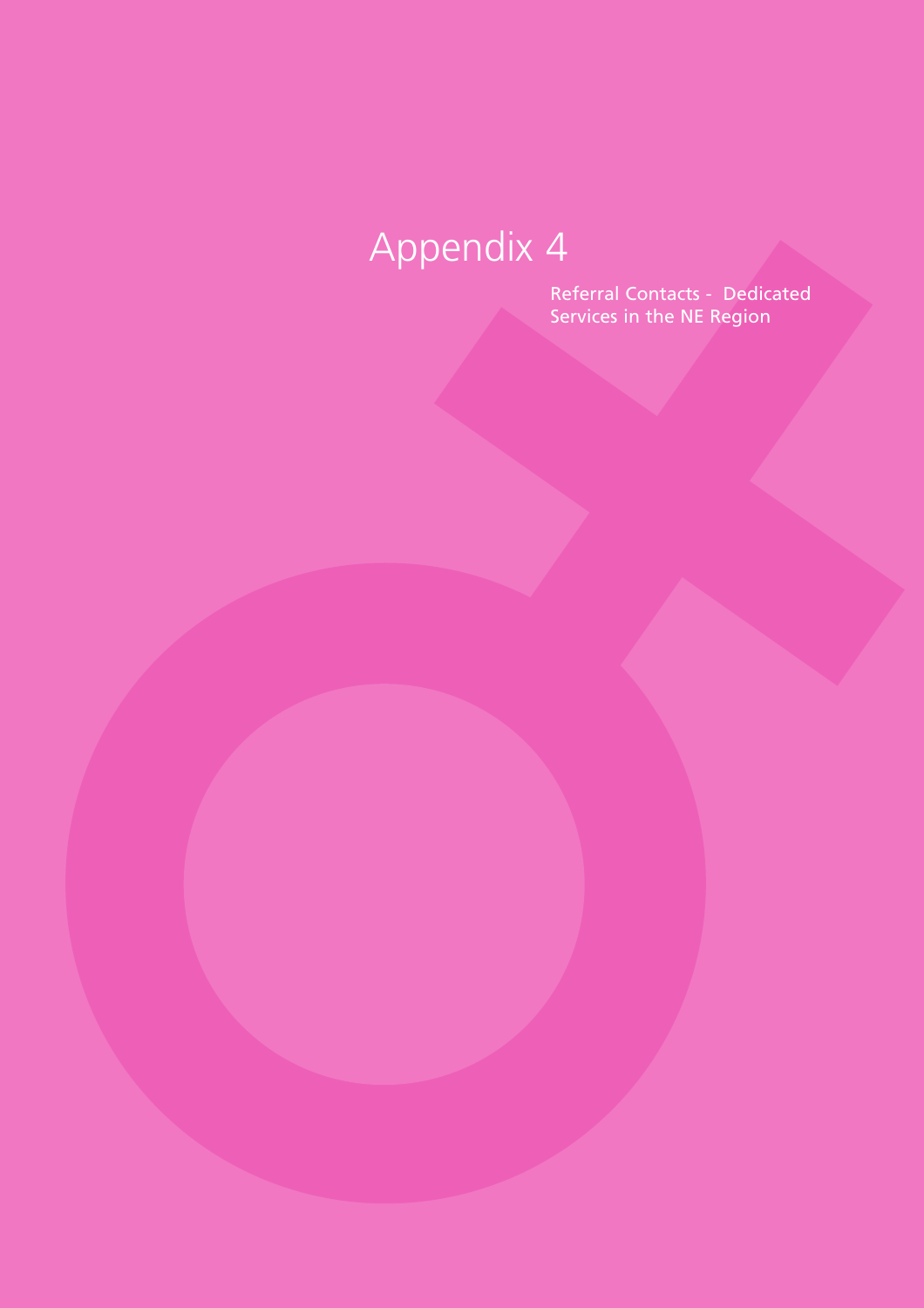Referral Contacts - Dedicated Services in the NE Region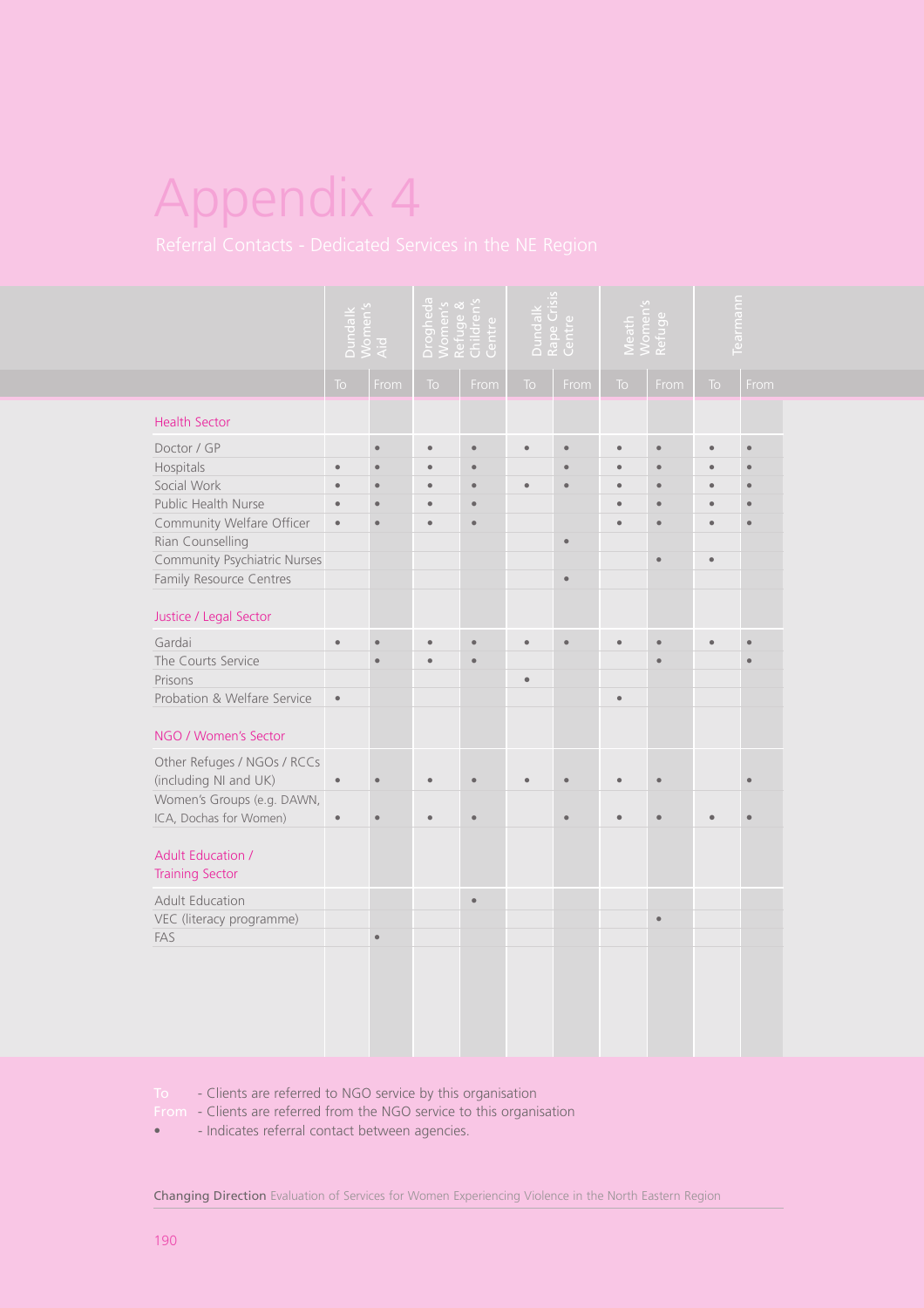|                                                                                                                                                                                              | Dundalk<br>Women's<br>Aid |           | Drogheda<br>Women's<br>Refuge &<br>Children's<br>Centre |           | Dundalk<br>Rape Crisis<br>Centre |           | Meath<br>Women's<br>Refuge |           | <u>Fearmann</u> |           |
|----------------------------------------------------------------------------------------------------------------------------------------------------------------------------------------------|---------------------------|-----------|---------------------------------------------------------|-----------|----------------------------------|-----------|----------------------------|-----------|-----------------|-----------|
|                                                                                                                                                                                              | <b>To</b>                 | From      | To                                                      | From      | To                               | From      | <b>To</b>                  | From      | To              | From      |
| <b>Health Sector</b>                                                                                                                                                                         |                           |           |                                                         |           |                                  |           |                            |           |                 |           |
| Doctor / GP                                                                                                                                                                                  |                           | $\bullet$ | $\bullet$                                               | $\bullet$ | $\bullet$                        | $\bullet$ | $\bullet$                  | $\bullet$ | $\bullet$       | $\bullet$ |
| Hospitals                                                                                                                                                                                    | ٠                         | $\bullet$ |                                                         |           |                                  |           |                            | $\bullet$ |                 |           |
| Social Work                                                                                                                                                                                  | ٠                         | $\bullet$ |                                                         |           | $\bullet$                        |           |                            | $\bullet$ | ٠               |           |
| Public Health Nurse                                                                                                                                                                          |                           | $\bullet$ |                                                         |           |                                  |           |                            | $\bullet$ |                 |           |
| Community Welfare Officer                                                                                                                                                                    | $\bullet$                 | $\bullet$ |                                                         |           |                                  |           |                            | $\bullet$ |                 |           |
| Rian Counselling                                                                                                                                                                             |                           |           |                                                         |           |                                  | $\bullet$ |                            |           |                 |           |
| Community Psychiatric Nurses                                                                                                                                                                 |                           |           |                                                         |           |                                  |           |                            | $\bullet$ | $\bullet$       |           |
| Family Resource Centres                                                                                                                                                                      |                           |           |                                                         |           |                                  | $\bullet$ |                            |           |                 |           |
| Justice / Legal Sector                                                                                                                                                                       |                           |           |                                                         |           |                                  |           |                            |           |                 |           |
| Gardai                                                                                                                                                                                       | $\bullet$                 | $\bullet$ |                                                         |           |                                  | $\bullet$ | $\bullet$                  | $\bullet$ |                 | $\bullet$ |
| The Courts Service                                                                                                                                                                           |                           | $\bullet$ |                                                         |           |                                  |           |                            | $\bullet$ |                 |           |
| Prisons                                                                                                                                                                                      |                           |           |                                                         |           | $\bullet$                        |           |                            |           |                 |           |
| Probation & Welfare Service                                                                                                                                                                  | $\bullet$                 |           |                                                         |           |                                  |           | $\bullet$                  |           |                 |           |
| NGO / Women's Sector                                                                                                                                                                         |                           |           |                                                         |           |                                  |           |                            |           |                 |           |
| Other Refuges / NGOs / RCCs                                                                                                                                                                  |                           |           |                                                         |           |                                  |           |                            |           |                 |           |
| (including NI and UK)                                                                                                                                                                        |                           | $\bullet$ |                                                         |           |                                  |           |                            | $\bullet$ |                 |           |
| Women's Groups (e.g. DAWN,                                                                                                                                                                   |                           |           |                                                         |           |                                  |           |                            |           |                 |           |
| ICA, Dochas for Women)                                                                                                                                                                       |                           | $\bullet$ |                                                         | ٠         |                                  |           |                            |           |                 |           |
| <b>Adult Education /</b><br><b>Training Sector</b>                                                                                                                                           |                           |           |                                                         |           |                                  |           |                            |           |                 |           |
| <b>Adult Education</b>                                                                                                                                                                       |                           |           |                                                         | $\bullet$ |                                  |           |                            |           |                 |           |
| VEC (literacy programme)                                                                                                                                                                     |                           |           |                                                         |           |                                  |           |                            | $\bullet$ |                 |           |
| FAS                                                                                                                                                                                          |                           |           |                                                         |           |                                  |           |                            |           |                 |           |
|                                                                                                                                                                                              |                           |           |                                                         |           |                                  |           |                            |           |                 |           |
|                                                                                                                                                                                              |                           |           |                                                         |           |                                  |           |                            |           |                 |           |
|                                                                                                                                                                                              |                           |           |                                                         |           |                                  |           |                            |           |                 |           |
|                                                                                                                                                                                              |                           |           |                                                         |           |                                  |           |                            |           |                 |           |
|                                                                                                                                                                                              |                           |           |                                                         |           |                                  |           |                            |           |                 |           |
|                                                                                                                                                                                              |                           |           |                                                         |           |                                  |           |                            |           |                 |           |
| - Clients are referred to NGO service by this organisation<br>To:<br>From - Clients are referred from the NGO service to this organisation<br>- Indicates referral contact between agencies. |                           |           |                                                         |           |                                  |           |                            |           |                 |           |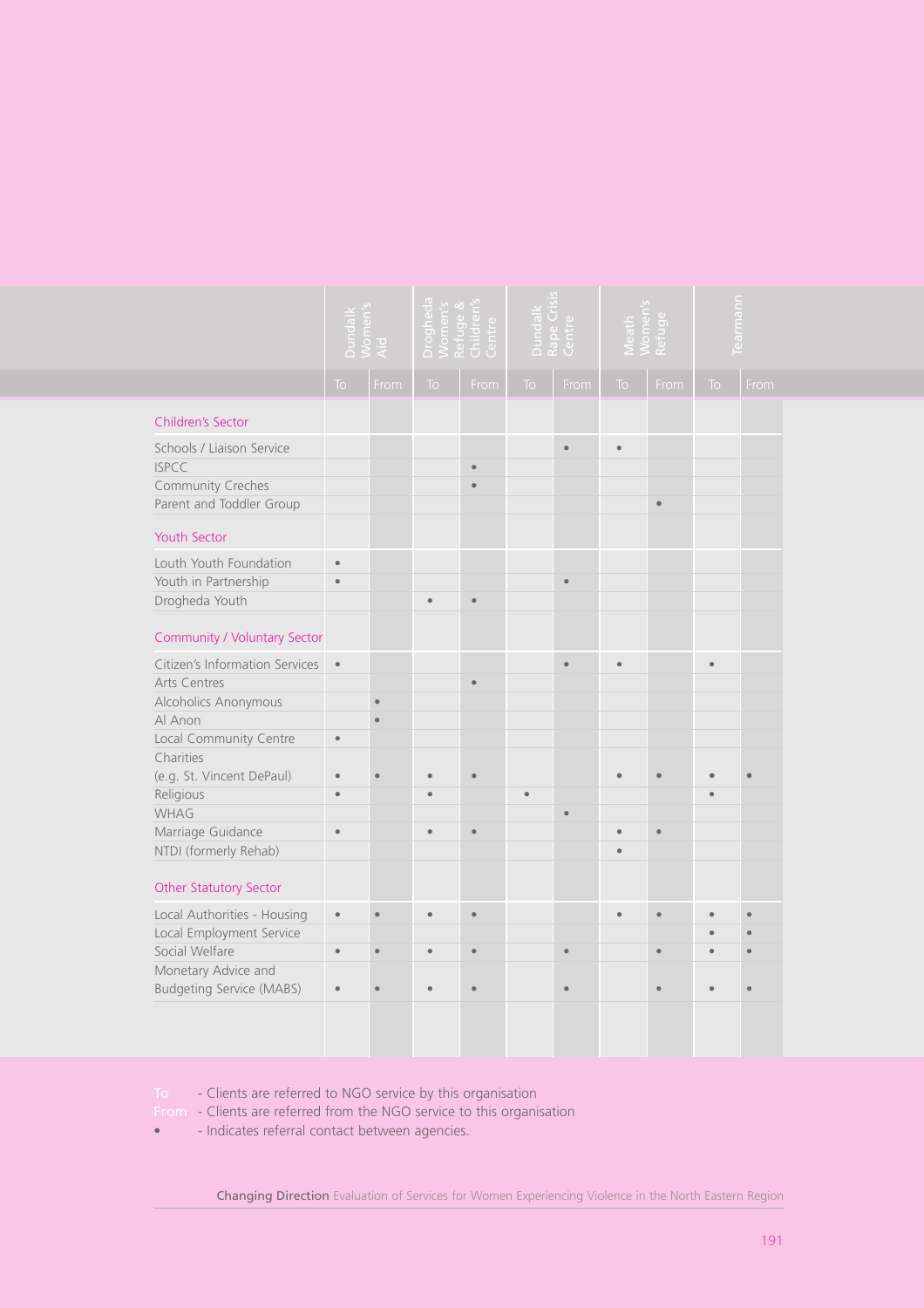|                                                                                                                                                                                                 | Dundalk<br>Women's<br>Aid |           | <u>Drogheda</u><br>Women's<br>Refuge &<br>Children's<br>Centre |           | Dundalk<br>Rape Crisis<br>Centre |           | $\circ$   |           | rmann     |      |
|-------------------------------------------------------------------------------------------------------------------------------------------------------------------------------------------------|---------------------------|-----------|----------------------------------------------------------------|-----------|----------------------------------|-----------|-----------|-----------|-----------|------|
|                                                                                                                                                                                                 | <b>To</b>                 | From      | To                                                             | From      | To                               | From      | <b>To</b> | From      | <b>To</b> | From |
| Children's Sector                                                                                                                                                                               |                           |           |                                                                |           |                                  |           |           |           |           |      |
| Schools / Liaison Service<br><b>ISPCC</b><br>Community Creches<br>Parent and Toddler Group                                                                                                      |                           |           |                                                                |           |                                  | $\bullet$ | $\bullet$ | $\bullet$ |           |      |
| Youth Sector                                                                                                                                                                                    |                           |           |                                                                |           |                                  |           |           |           |           |      |
| Louth Youth Foundation<br>Youth in Partnership<br>Drogheda Youth                                                                                                                                | $\bullet$                 |           |                                                                |           |                                  | $\bullet$ |           |           |           |      |
| Community / Voluntary Sector                                                                                                                                                                    |                           |           |                                                                |           |                                  |           |           |           |           |      |
| Citizen's Information Services<br>Arts Centres<br>Alcoholics Anonymous                                                                                                                          | $\bullet$                 |           |                                                                | $\bullet$ |                                  | $\bullet$ | e         |           |           |      |
| Al Anon<br>Local Community Centre                                                                                                                                                               | $\bullet$                 | $\bullet$ |                                                                |           |                                  |           |           |           |           |      |
| Charities<br>(e.g. St. Vincent DePaul)                                                                                                                                                          | $\bullet$                 | ٠         |                                                                | ٠         |                                  |           |           |           |           |      |
| Religious<br>WHAG                                                                                                                                                                               | $\bullet$                 |           |                                                                |           |                                  | $\bullet$ |           |           |           |      |
| Marriage Guidance<br>NTDI (formerly Rehab)                                                                                                                                                      | $\bullet$                 |           |                                                                | ٠         |                                  |           |           | $\bullet$ |           |      |
| Other Statutory Sector                                                                                                                                                                          |                           |           |                                                                |           |                                  |           |           |           |           |      |
| Local Authorities - Housing                                                                                                                                                                     | $\bullet$                 | ö         |                                                                |           |                                  |           |           |           |           |      |
| Local Employment Service<br>Social Welfare                                                                                                                                                      | $\bullet$                 | ö         |                                                                |           |                                  |           |           |           |           |      |
| Monetary Advice and                                                                                                                                                                             |                           |           |                                                                |           |                                  |           |           |           |           |      |
| <b>Budgeting Service (MABS)</b>                                                                                                                                                                 |                           |           |                                                                |           |                                  |           |           |           |           |      |
|                                                                                                                                                                                                 |                           |           |                                                                |           |                                  |           |           |           |           |      |
| - Clients are referred to NGO service by this organisation<br>To:<br>- Clients are referred from the NGO service to this organisation<br>From<br>- Indicates referral contact between agencies. |                           |           |                                                                |           |                                  |           |           |           |           |      |

- To Clients are referred to NGO service by this organisation
- From Clients are referred from the NGO service to this organisation
-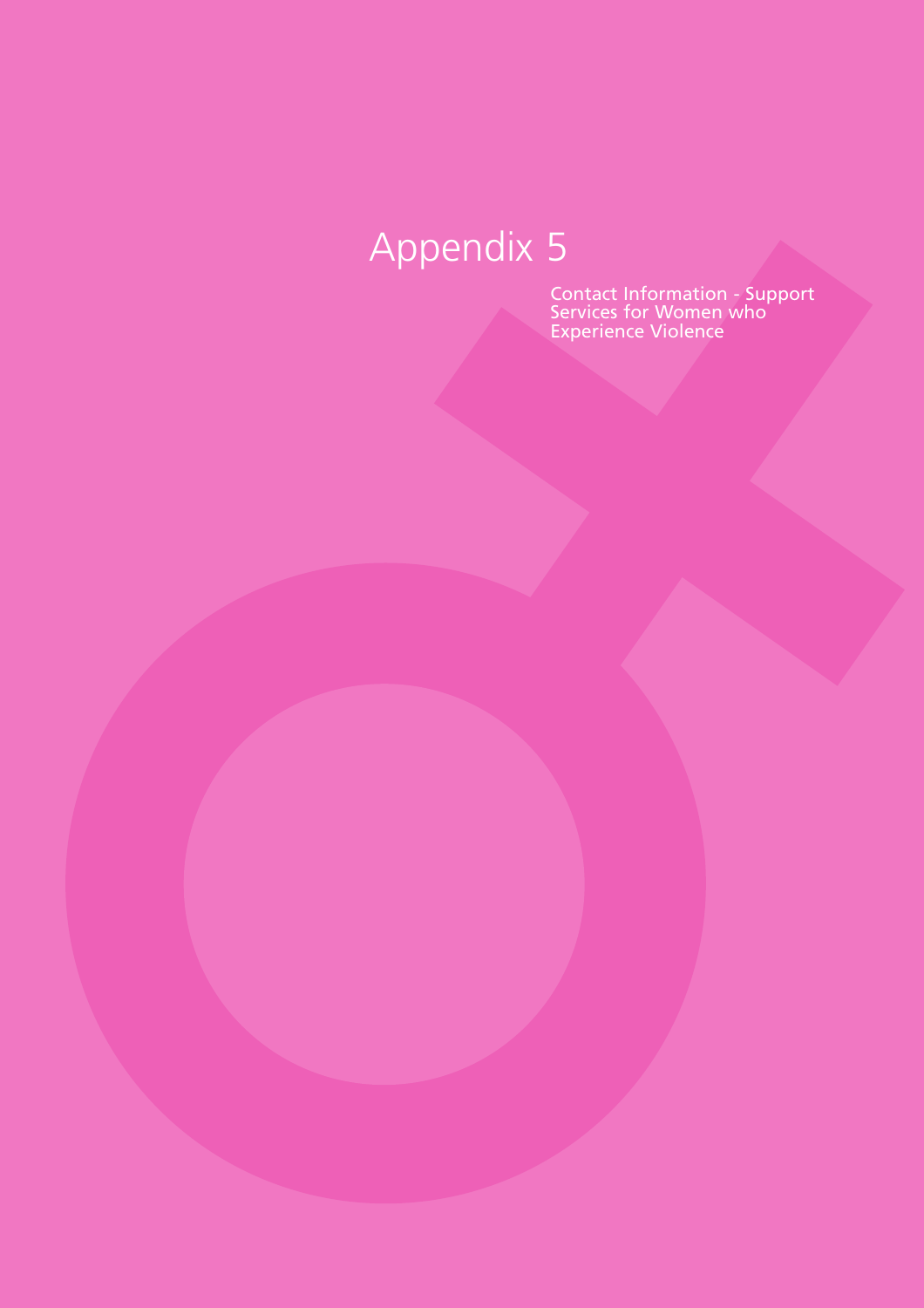Contact Information - Support Services for Women who Experience Violence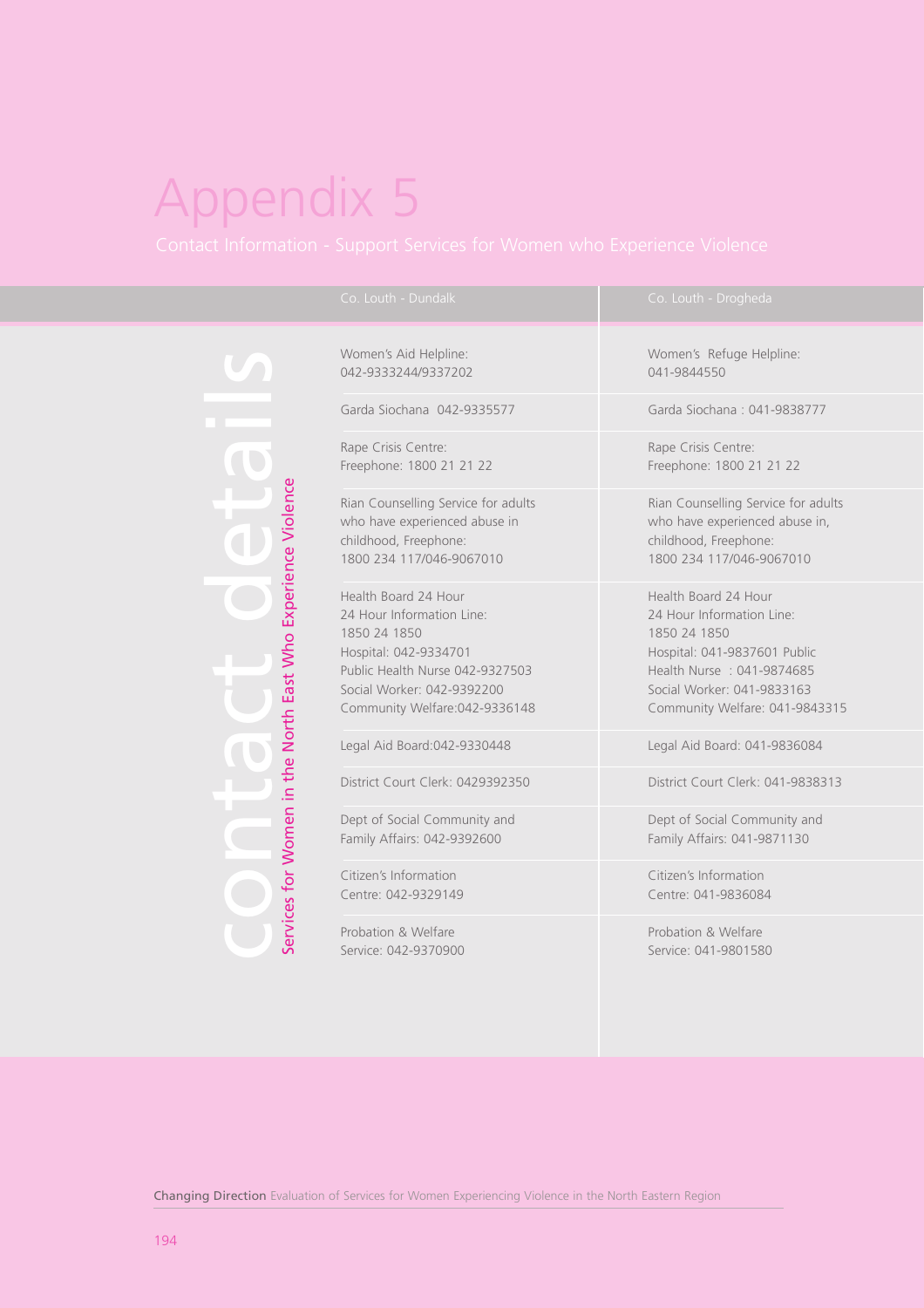ervices for Women in the North East Who Experience Violence Services for Women in the North East Who Experience Violence

042-9333244/9337202 041-9844550

Garda Siochana 042-9335577 Garda Siochana : 041-9838777

Rape Crisis Centre: Rape Crisis Centre:

who have experienced abuse in who have experienced abuse in, childhood, Freephone: childhood, Freephone: 1800 234 117/046-9067010 1800 234 117/046-9067010

Health Board 24 Hour Health Board 24 Hour 24 Hour Information Line: 24 Hour Information Line: 1850 24 1850 24 1850 24 1850 24 1850 24 1850 25 Hospital: 042-9334701 Hospital: 041-9837601 Public Public Health Nurse 042-9327503 Health Nurse : 041-9874685 Social Worker: 042-9392200 Social Worker: 041-9833163

District Court Clerk: 0429392350 District Court Clerk: 041-9838313

Dept of Social Community and Dept of Social Community and Family Affairs: 042-9392600 Family Affairs: 041-9871130

Citizen's Information Citizen's Information Centre: 042-9329149 Centre: 041-9836084

Probation & Welfare **Probation & Welfare** 

Women's Aid Helpline: Women's Refuge Helpline:

Freephone: 1800 21 21 22 Freephone: 1800 21 21 22

Rian Counselling Service for adults Rian Counselling Service for adults

Community Welfare:042-9336148 Community Welfare: 041-9843315

Legal Aid Board:042-9330448 Legal Aid Board: 041-9836084

Service: 042-9370900 Service: 041-9801580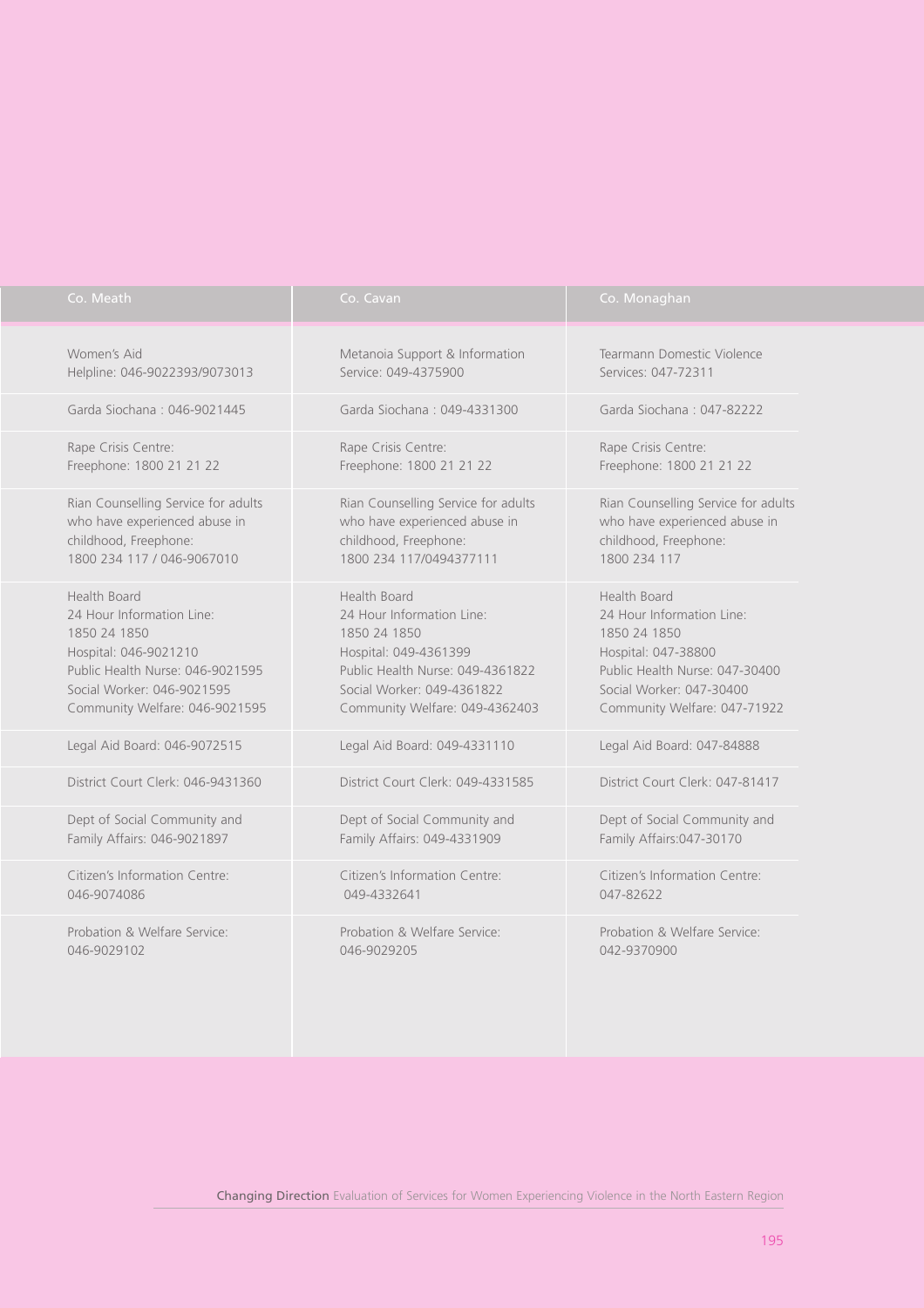| Co. Meath                           | Co. Cavan                           | Co. Monaghan                        |  |  |  |  |
|-------------------------------------|-------------------------------------|-------------------------------------|--|--|--|--|
| Women's Aid                         | Metanoia Support & Information      | Tearmann Domestic Violence          |  |  |  |  |
| Helpline: 046-9022393/9073013       | Service: 049-4375900                | Services: 047-72311                 |  |  |  |  |
| Garda Siochana: 046-9021445         | Garda Siochana: 049-4331300         | Garda Siochana: 047-82222           |  |  |  |  |
| Rape Crisis Centre:                 | Rape Crisis Centre:                 | Rape Crisis Centre:                 |  |  |  |  |
| Freephone: 1800 21 21 22            | Freephone: 1800 21 21 22            | Freephone: 1800 21 21 22            |  |  |  |  |
| Rian Counselling Service for adults | Rian Counselling Service for adults | Rian Counselling Service for adults |  |  |  |  |
| who have experienced abuse in       | who have experienced abuse in       | who have experienced abuse in       |  |  |  |  |
| childhood, Freephone:               | childhood, Freephone:               | childhood, Freephone:               |  |  |  |  |
| 1800 234 117 / 046-9067010          | 1800 234 117/0494377111             | 1800 234 117                        |  |  |  |  |
| Health Board                        | Health Board                        | Health Board                        |  |  |  |  |
| 24 Hour Information Line:           | 24 Hour Information Line:           | 24 Hour Information Line:           |  |  |  |  |
| 1850 24 1850                        | 1850 24 1850                        | 1850 24 1850                        |  |  |  |  |
| Hospital: 046-9021210               | Hospital: 049-4361399               | Hospital: 047-38800                 |  |  |  |  |
| Public Health Nurse: 046-9021595    | Public Health Nurse: 049-4361822    | Public Health Nurse: 047-30400      |  |  |  |  |
| Social Worker: 046-9021595          | Social Worker: 049-4361822          | Social Worker: 047-30400            |  |  |  |  |
| Community Welfare: 046-9021595      | Community Welfare: 049-4362403      | Community Welfare: 047-71922        |  |  |  |  |
| Legal Aid Board: 046-9072515        | Legal Aid Board: 049-4331110        | Legal Aid Board: 047-84888          |  |  |  |  |
| District Court Clerk: 046-9431360   | District Court Clerk: 049-4331585   | District Court Clerk: 047-81417     |  |  |  |  |
| Dept of Social Community and        | Dept of Social Community and        | Dept of Social Community and        |  |  |  |  |
| Family Affairs: 046-9021897         | Family Affairs: 049-4331909         | Family Affairs: 047-30170           |  |  |  |  |
| Citizen's Information Centre:       | Citizen's Information Centre:       | Citizen's Information Centre:       |  |  |  |  |
| 046-9074086                         | 049-4332641                         | 047-82622                           |  |  |  |  |
| Probation & Welfare Service:        | Probation & Welfare Service:        | Probation & Welfare Service:        |  |  |  |  |
| 046-9029102                         | 046-9029205                         | 042-9370900                         |  |  |  |  |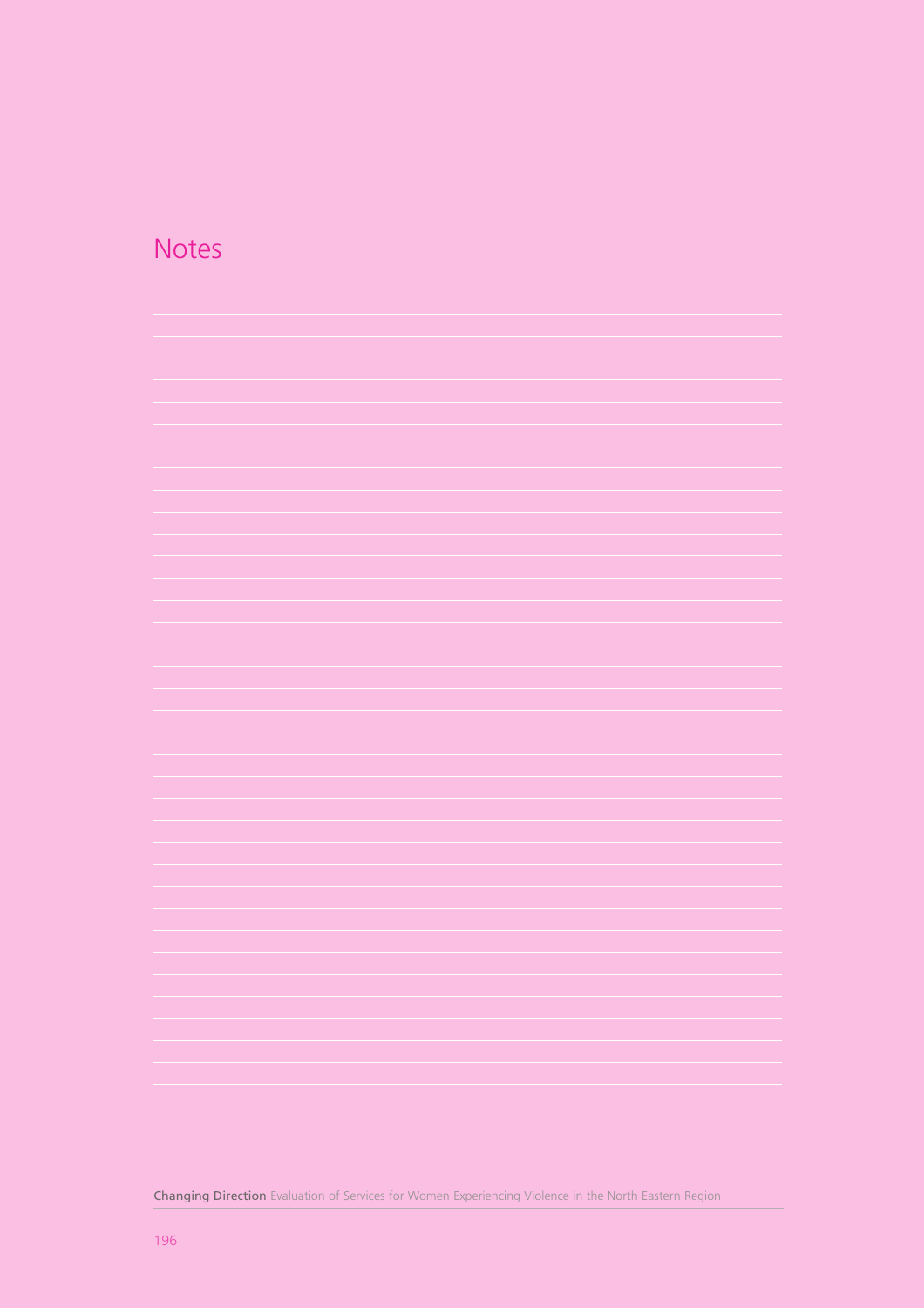### **Notes**



Changing Direction Evaluation of Services for Women Experiencing Violence in the North Eastern Region